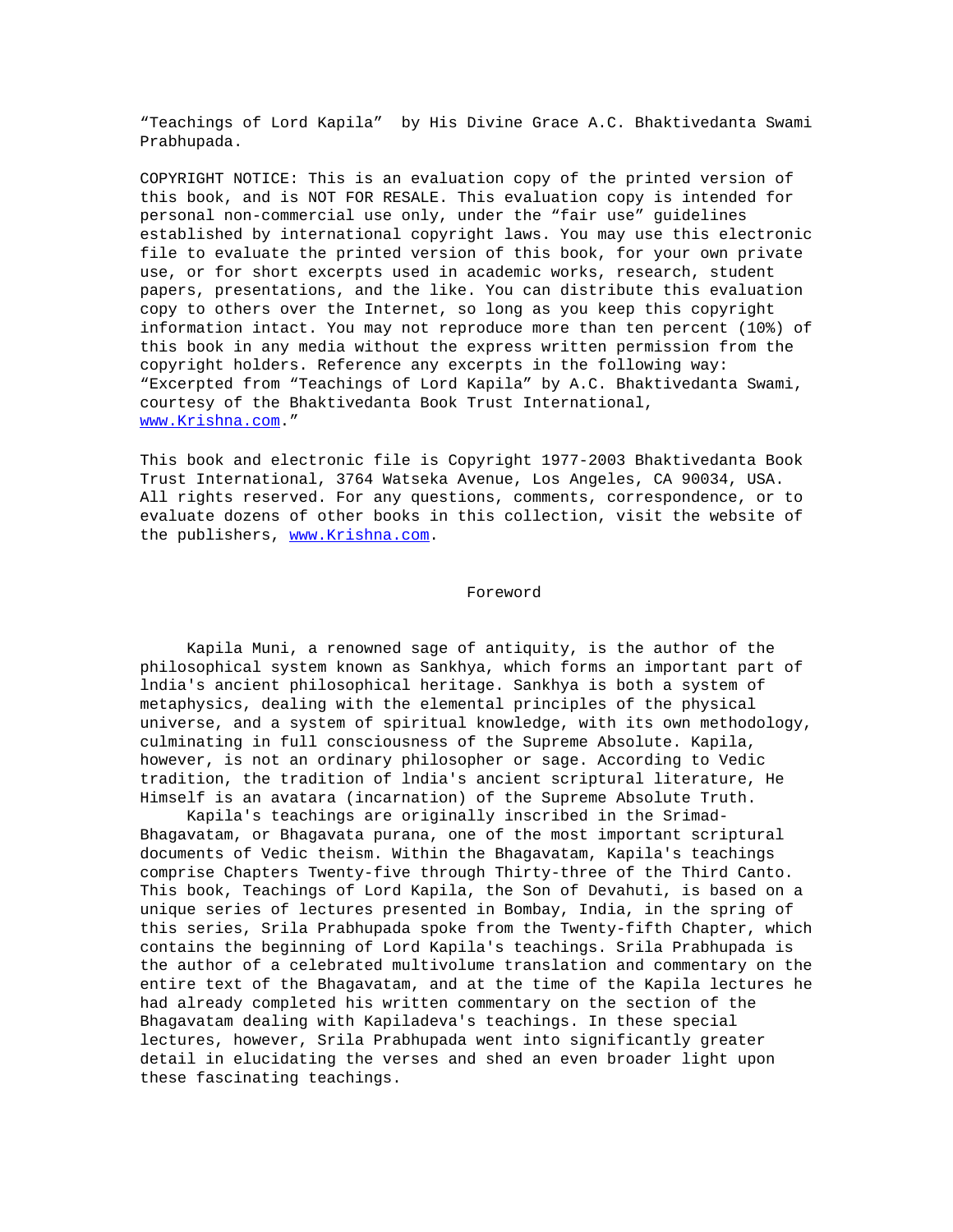"Teachings of Lord Kapila" by His Divine Grace A.C. Bhaktivedanta Swami Prabhupada.

COPYRIGHT NOTICE: This is an evaluation copy of the printed version of this book, and is NOT FOR RESALE. This evaluation copy is intended for personal non-commercial use only, under the "fair use" guidelines established by international copyright laws. You may use this electronic file to evaluate the printed version of this book, for your own private use, or for short excerpts used in academic works, research, student papers, presentations, and the like. You can distribute this evaluation copy to others over the Internet, so long as you keep this copyright information intact. You may not reproduce more than ten percent (10%) of this book in any media without the express written permission from the copyright holders. Reference any excerpts in the following way: "Excerpted from "Teachings of Lord Kapila" by A.C. Bhaktivedanta Swami, courtesy of the Bhaktivedanta Book Trust International, www.Krishna.com ."

This book and electronic file is Copyright 1977-2003 Bhaktivedanta Book Trust International, 3764 Watseka Avenue, Los Angeles, CA 90034, USA. All rights reserved. For any questions, comments, correspondence, or to evaluate dozens of other books in this collection, visit the website of the publishers, www.Krishna.com.

#### Foreword

 Kapila Muni, a renowned sage of antiquity, is the author of the philosophical system known as Sankhya, which forms an important part of lndia's ancient philosophical heritage. Sankhya is both a system of metaphysics, dealing with the elemental principles of the physical universe, and a system of spiritual knowledge, with its own methodology, culminating in full consciousness of the Supreme Absolute. Kapila, however, is not an ordinary philosopher or sage. According to Vedic tradition, the tradition of lndia's ancient scriptural literature, He Himself is an avatara (incarnation) of the Supreme Absolute Truth.

 Kapila's teachings are originally inscribed in the Srimad-Bhagavatam, or Bhagavata purana, one of the most important scriptural documents of Vedic theism. Within the Bhagavatam, Kapila's teachings comprise Chapters Twenty-five through Thirty-three of the Third Canto. This book, Teachings of Lord Kapila, the Son of Devahuti, is based on a unique series of lectures presented in Bombay, India, in the spring of this series, Srila Prabhupada spoke from the Twenty-fifth Chapter, which contains the beginning of Lord Kapila's teachings. Srila Prabhupada is the author of a celebrated multivolume translation and commentary on the entire text of the Bhagavatam, and at the time of the Kapila lectures he had already completed his written commentary on the section of the Bhagavatam dealing with Kapiladeva's teachings. In these special lectures, however, Srila Prabhupada went into significantly greater detail in elucidating the verses and shed an even broader light upon these fascinating teachings.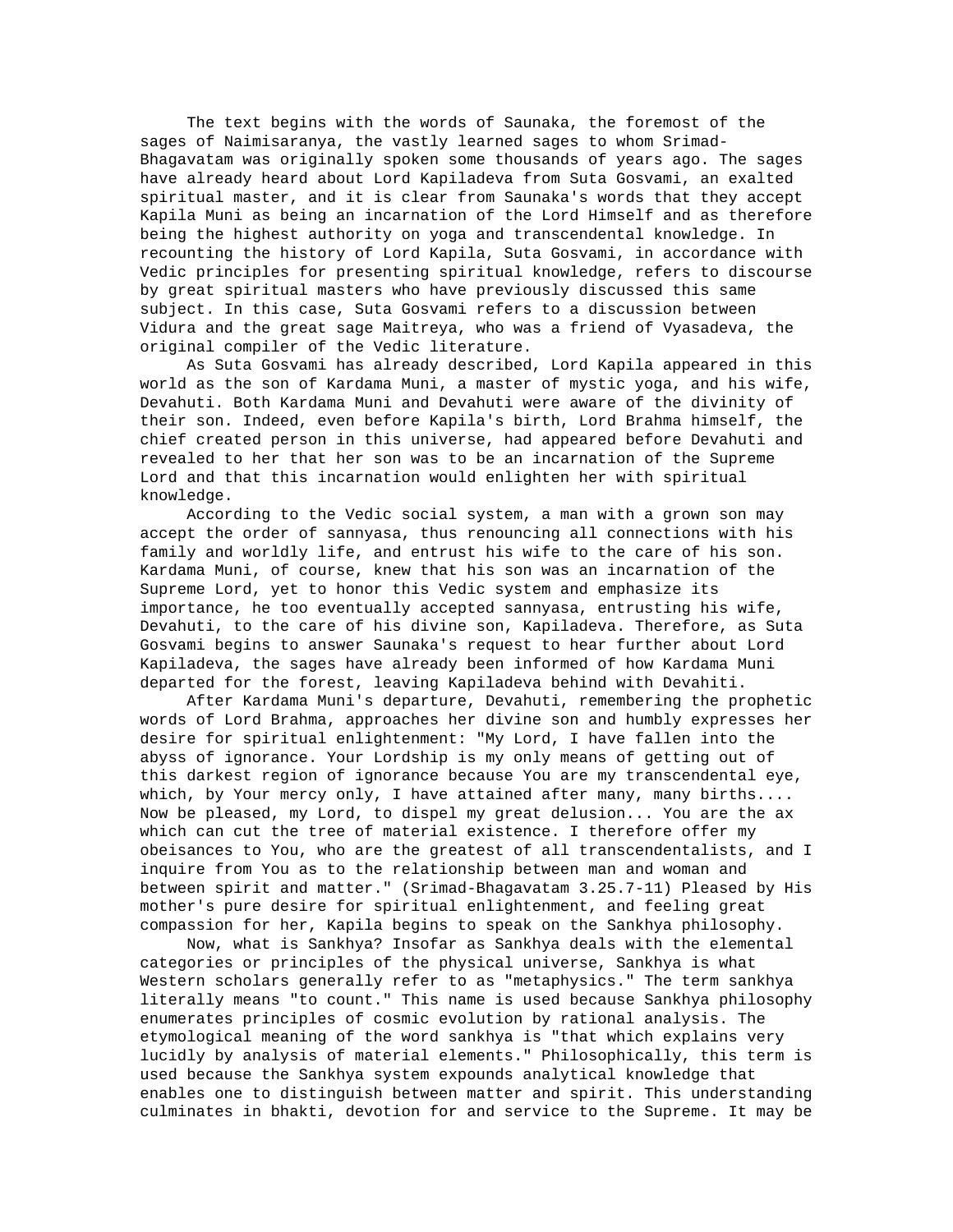The text begins with the words of Saunaka, the foremost of the sages of Naimisaranya, the vastly learned sages to whom Srimad-Bhagavatam was originally spoken some thousands of years ago. The sages have already heard about Lord Kapiladeva from Suta Gosvami, an exalted spiritual master, and it is clear from Saunaka's words that they accept Kapila Muni as being an incarnation of the Lord Himself and as therefore being the highest authority on yoga and transcendental knowledge. In recounting the history of Lord Kapila, Suta Gosvami, in accordance with Vedic principles for presenting spiritual knowledge, refers to discourse by great spiritual masters who have previously discussed this same subject. In this case, Suta Gosvami refers to a discussion between Vidura and the great sage Maitreya, who was a friend of Vyasadeva, the original compiler of the Vedic literature.

 As Suta Gosvami has already described, Lord Kapila appeared in this world as the son of Kardama Muni, a master of mystic yoga, and his wife, Devahuti. Both Kardama Muni and Devahuti were aware of the divinity of their son. Indeed, even before Kapila's birth, Lord Brahma himself, the chief created person in this universe, had appeared before Devahuti and revealed to her that her son was to be an incarnation of the Supreme Lord and that this incarnation would enlighten her with spiritual knowledge.

 According to the Vedic social system, a man with a grown son may accept the order of sannyasa, thus renouncing all connections with his family and worldly life, and entrust his wife to the care of his son. Kardama Muni, of course, knew that his son was an incarnation of the Supreme Lord, yet to honor this Vedic system and emphasize its importance, he too eventually accepted sannyasa, entrusting his wife, Devahuti, to the care of his divine son, Kapiladeva. Therefore, as Suta Gosvami begins to answer Saunaka's request to hear further about Lord Kapiladeva, the sages have already been informed of how Kardama Muni departed for the forest, leaving Kapiladeva behind with Devahiti.

 After Kardama Muni's departure, Devahuti, remembering the prophetic words of Lord Brahma, approaches her divine son and humbly expresses her desire for spiritual enlightenment: "My Lord, I have fallen into the abyss of ignorance. Your Lordship is my only means of getting out of this darkest region of ignorance because You are my transcendental eye, which, by Your mercy only, I have attained after many, many births.... Now be pleased, my Lord, to dispel my great delusion... You are the ax which can cut the tree of material existence. I therefore offer my obeisances to You, who are the greatest of all transcendentalists, and I inquire from You as to the relationship between man and woman and between spirit and matter." (Srimad-Bhagavatam 3.25.7-11) Pleased by His mother's pure desire for spiritual enlightenment, and feeling great compassion for her, Kapila begins to speak on the Sankhya philosophy.

 Now, what is Sankhya? Insofar as Sankhya deals with the elemental categories or principles of the physical universe, Sankhya is what Western scholars generally refer to as "metaphysics." The term sankhya literally means "to count." This name is used because Sankhya philosophy enumerates principles of cosmic evolution by rational analysis. The etymological meaning of the word sankhya is "that which explains very lucidly by analysis of material elements." Philosophically, this term is used because the Sankhya system expounds analytical knowledge that enables one to distinguish between matter and spirit. This understanding culminates in bhakti, devotion for and service to the Supreme. It may be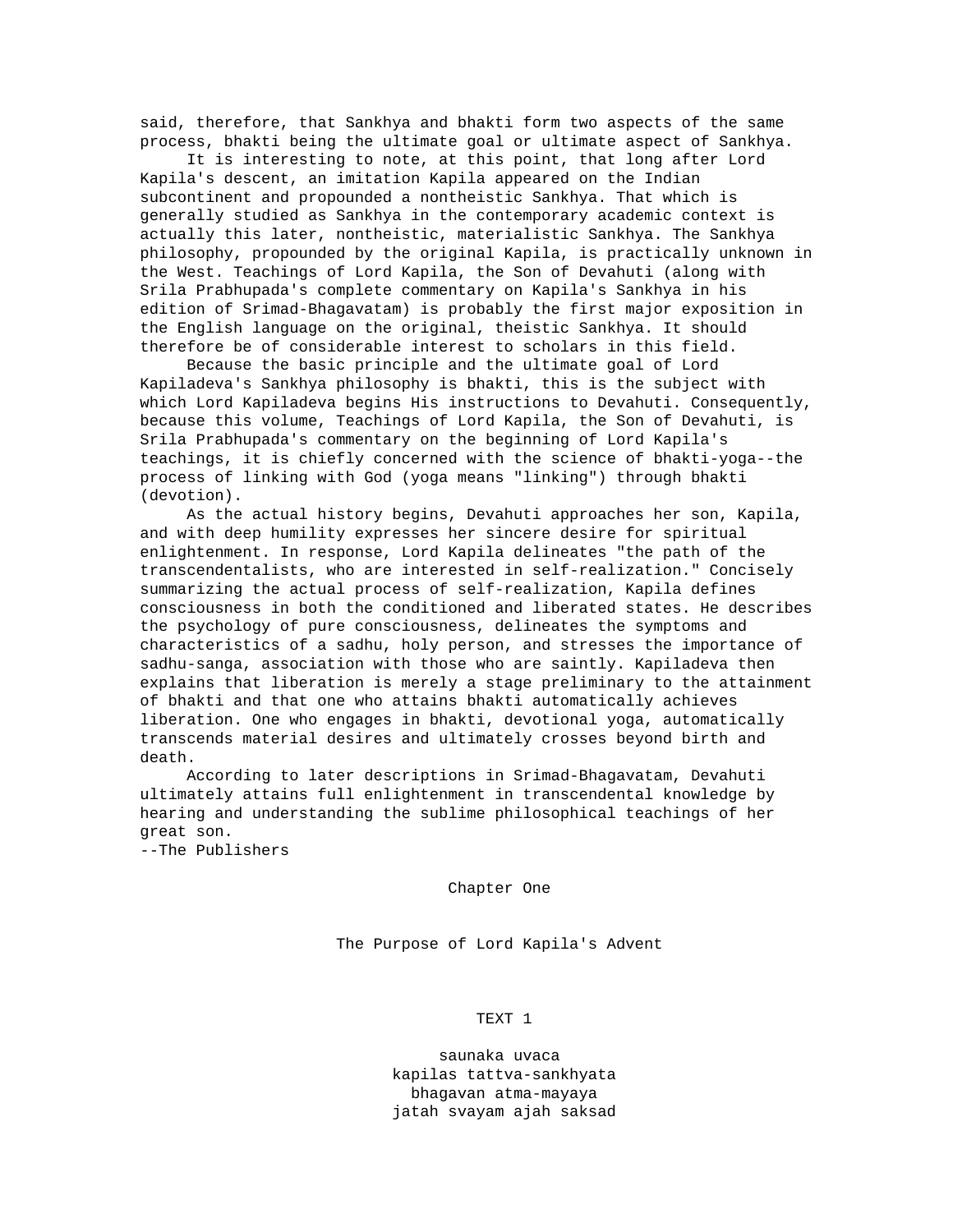said, therefore, that Sankhya and bhakti form two aspects of the same process, bhakti being the ultimate goal or ultimate aspect of Sankhya.

 It is interesting to note, at this point, that long after Lord Kapila's descent, an imitation Kapila appeared on the Indian subcontinent and propounded a nontheistic Sankhya. That which is generally studied as Sankhya in the contemporary academic context is actually this later, nontheistic, materialistic Sankhya. The Sankhya philosophy, propounded by the original Kapila, is practically unknown in the West. Teachings of Lord Kapila, the Son of Devahuti (along with Srila Prabhupada's complete commentary on Kapila's Sankhya in his edition of Srimad-Bhagavatam) is probably the first major exposition in the English language on the original, theistic Sankhya. It should therefore be of considerable interest to scholars in this field.

 Because the basic principle and the ultimate goal of Lord Kapiladeva's Sankhya philosophy is bhakti, this is the subject with which Lord Kapiladeva begins His instructions to Devahuti. Consequently, because this volume, Teachings of Lord Kapila, the Son of Devahuti, is Srila Prabhupada's commentary on the beginning of Lord Kapila's teachings, it is chiefly concerned with the science of bhakti-yoga--the process of linking with God (yoga means "linking") through bhakti (devotion).

 As the actual history begins, Devahuti approaches her son, Kapila, and with deep humility expresses her sincere desire for spiritual enlightenment. In response, Lord Kapila delineates "the path of the transcendentalists, who are interested in self-realization." Concisely summarizing the actual process of self-realization, Kapila defines consciousness in both the conditioned and liberated states. He describes the psychology of pure consciousness, delineates the symptoms and characteristics of a sadhu, holy person, and stresses the importance of sadhu-sanga, association with those who are saintly. Kapiladeva then explains that liberation is merely a stage preliminary to the attainment of bhakti and that one who attains bhakti automatically achieves liberation. One who engages in bhakti, devotional yoga, automatically transcends material desires and ultimately crosses beyond birth and death.

 According to later descriptions in Srimad-Bhagavatam, Devahuti ultimately attains full enlightenment in transcendental knowledge by hearing and understanding the sublime philosophical teachings of her great son.

--The Publishers

Chapter One

The Purpose of Lord Kapila's Advent

TEXT 1

 saunaka uvaca kapilas tattva-sankhyata bhagavan atma-mayaya jatah svayam ajah saksad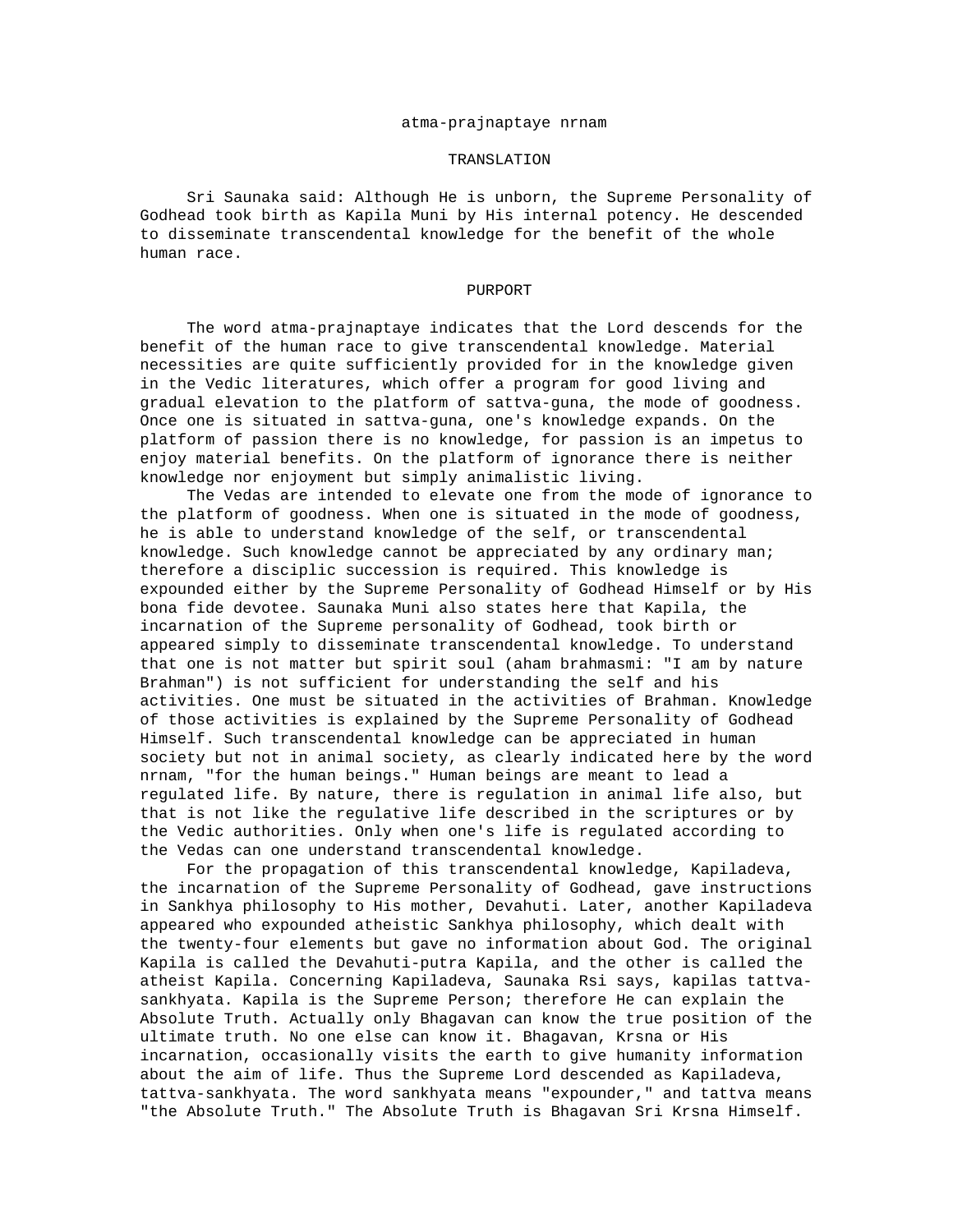#### TRANSLATION

 Sri Saunaka said: Although He is unborn, the Supreme Personality of Godhead took birth as Kapila Muni by His internal potency. He descended to disseminate transcendental knowledge for the benefit of the whole human race.

#### PURPORT

 The word atma-prajnaptaye indicates that the Lord descends for the benefit of the human race to give transcendental knowledge. Material necessities are quite sufficiently provided for in the knowledge given in the Vedic literatures, which offer a program for good living and gradual elevation to the platform of sattva-guna, the mode of goodness. Once one is situated in sattva-guna, one's knowledge expands. On the platform of passion there is no knowledge, for passion is an impetus to enjoy material benefits. On the platform of ignorance there is neither knowledge nor enjoyment but simply animalistic living.

 The Vedas are intended to elevate one from the mode of ignorance to the platform of goodness. When one is situated in the mode of goodness, he is able to understand knowledge of the self, or transcendental knowledge. Such knowledge cannot be appreciated by any ordinary man; therefore a disciplic succession is required. This knowledge is expounded either by the Supreme Personality of Godhead Himself or by His bona fide devotee. Saunaka Muni also states here that Kapila, the incarnation of the Supreme personality of Godhead, took birth or appeared simply to disseminate transcendental knowledge. To understand that one is not matter but spirit soul (aham brahmasmi: "I am by nature Brahman") is not sufficient for understanding the self and his activities. One must be situated in the activities of Brahman. Knowledge of those activities is explained by the Supreme Personality of Godhead Himself. Such transcendental knowledge can be appreciated in human society but not in animal society, as clearly indicated here by the word nrnam, "for the human beings." Human beings are meant to lead a regulated life. By nature, there is regulation in animal life also, but that is not like the regulative life described in the scriptures or by the Vedic authorities. Only when one's life is regulated according to the Vedas can one understand transcendental knowledge.

 For the propagation of this transcendental knowledge, Kapiladeva, the incarnation of the Supreme Personality of Godhead, gave instructions in Sankhya philosophy to His mother, Devahuti. Later, another Kapiladeva appeared who expounded atheistic Sankhya philosophy, which dealt with the twenty-four elements but gave no information about God. The original Kapila is called the Devahuti-putra Kapila, and the other is called the atheist Kapila. Concerning Kapiladeva, Saunaka Rsi says, kapilas tattvasankhyata. Kapila is the Supreme Person; therefore He can explain the Absolute Truth. Actually only Bhagavan can know the true position of the ultimate truth. No one else can know it. Bhagavan, Krsna or His incarnation, occasionally visits the earth to give humanity information about the aim of life. Thus the Supreme Lord descended as Kapiladeva, tattva-sankhyata. The word sankhyata means "expounder," and tattva means "the Absolute Truth." The Absolute Truth is Bhagavan Sri Krsna Himself.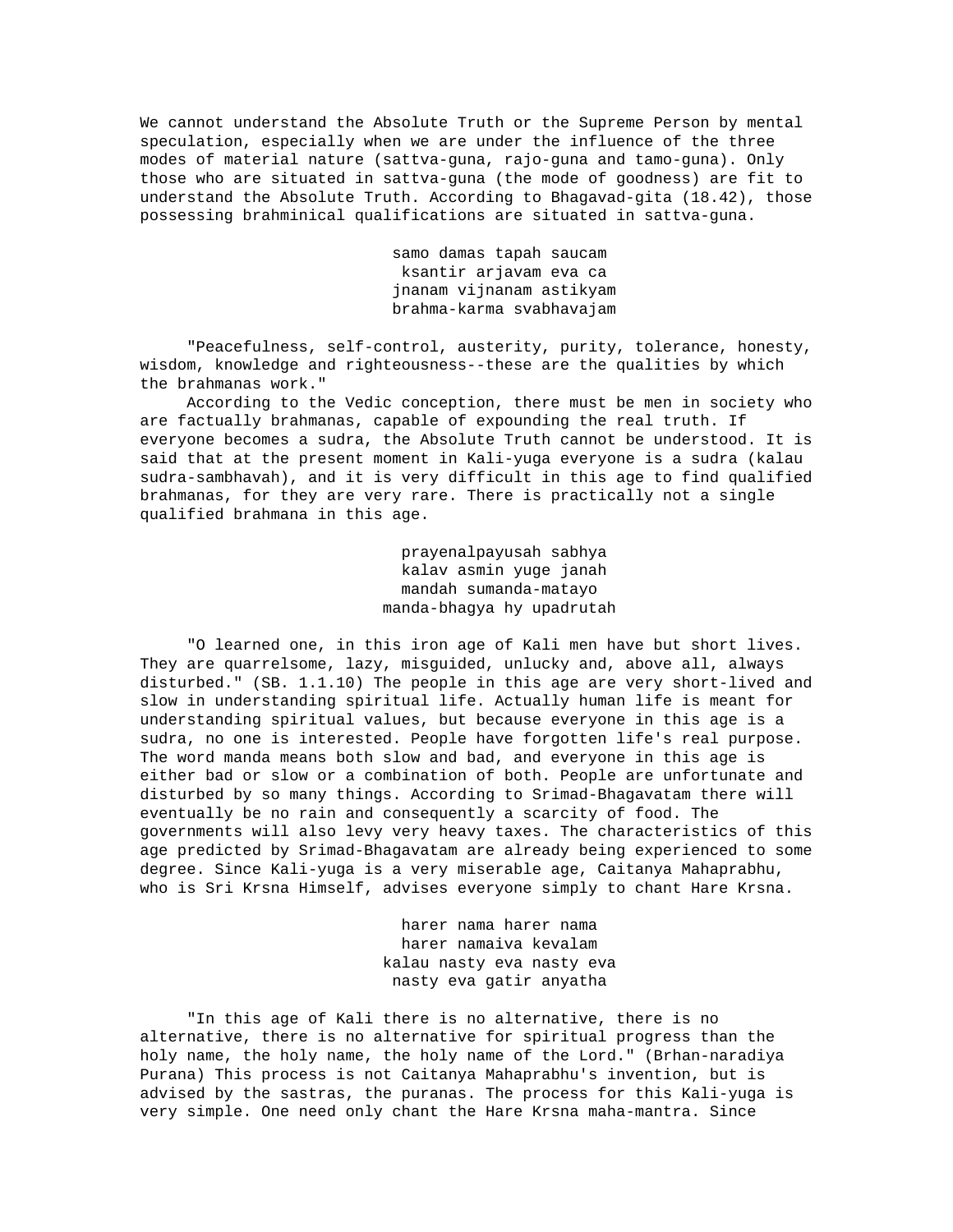We cannot understand the Absolute Truth or the Supreme Person by mental speculation, especially when we are under the influence of the three modes of material nature (sattva-guna, rajo-guna and tamo-guna). Only those who are situated in sattva-guna (the mode of goodness) are fit to understand the Absolute Truth. According to Bhagavad-gita (18.42), those possessing brahminical qualifications are situated in sattva-guna.

> samo damas tapah saucam ksantir arjavam eva ca jnanam vijnanam astikyam brahma-karma svabhavajam

 "Peacefulness, self-control, austerity, purity, tolerance, honesty, wisdom, knowledge and righteousness--these are the qualities by which the brahmanas work."

 According to the Vedic conception, there must be men in society who are factually brahmanas, capable of expounding the real truth. If everyone becomes a sudra, the Absolute Truth cannot be understood. It is said that at the present moment in Kali-yuga everyone is a sudra (kalau sudra-sambhavah), and it is very difficult in this age to find qualified brahmanas, for they are very rare. There is practically not a single qualified brahmana in this age.

> prayenalpayusah sabhya kalav asmin yuge janah mandah sumanda-matayo manda-bhagya hy upadrutah

 "O learned one, in this iron age of Kali men have but short lives. They are quarrelsome, lazy, misguided, unlucky and, above all, always disturbed." (SB. 1.1.10) The people in this age are very short-lived and slow in understanding spiritual life. Actually human life is meant for understanding spiritual values, but because everyone in this age is a sudra, no one is interested. People have forgotten life's real purpose. The word manda means both slow and bad, and everyone in this age is either bad or slow or a combination of both. People are unfortunate and disturbed by so many things. According to Srimad-Bhagavatam there will eventually be no rain and consequently a scarcity of food. The governments will also levy very heavy taxes. The characteristics of this age predicted by Srimad-Bhagavatam are already being experienced to some degree. Since Kali-yuga is a very miserable age, Caitanya Mahaprabhu, who is Sri Krsna Himself, advises everyone simply to chant Hare Krsna.

> harer nama harer nama harer namaiva kevalam kalau nasty eva nasty eva nasty eva gatir anyatha

 "In this age of Kali there is no alternative, there is no alternative, there is no alternative for spiritual progress than the holy name, the holy name, the holy name of the Lord." (Brhan-naradiya Purana) This process is not Caitanya Mahaprabhu's invention, but is advised by the sastras, the puranas. The process for this Kali-yuga is very simple. One need only chant the Hare Krsna maha-mantra. Since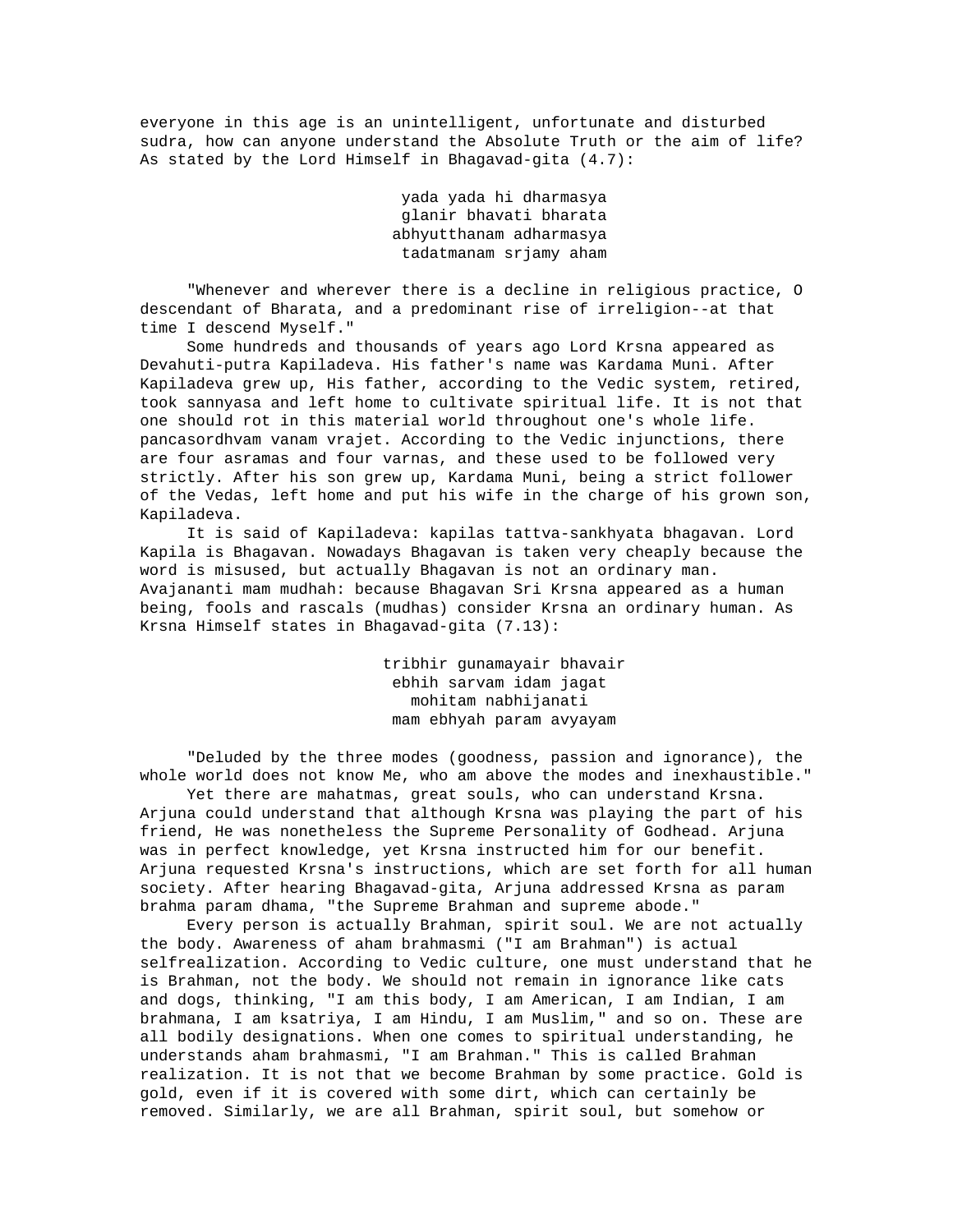everyone in this age is an unintelligent, unfortunate and disturbed sudra, how can anyone understand the Absolute Truth or the aim of life? As stated by the Lord Himself in Bhagavad-gita (4.7):

> yada yada hi dharmasya glanir bhavati bharata abhyutthanam adharmasya tadatmanam srjamy aham

 "Whenever and wherever there is a decline in religious practice, O descendant of Bharata, and a predominant rise of irreligion--at that time I descend Myself."

 Some hundreds and thousands of years ago Lord Krsna appeared as Devahuti-putra Kapiladeva. His father's name was Kardama Muni. After Kapiladeva grew up, His father, according to the Vedic system, retired, took sannyasa and left home to cultivate spiritual life. It is not that one should rot in this material world throughout one's whole life. pancasordhvam vanam vrajet. According to the Vedic injunctions, there are four asramas and four varnas, and these used to be followed very strictly. After his son grew up, Kardama Muni, being a strict follower of the Vedas, left home and put his wife in the charge of his grown son, Kapiladeva.

 It is said of Kapiladeva: kapilas tattva-sankhyata bhagavan. Lord Kapila is Bhagavan. Nowadays Bhagavan is taken very cheaply because the word is misused, but actually Bhagavan is not an ordinary man. Avajananti mam mudhah: because Bhagavan Sri Krsna appeared as a human being, fools and rascals (mudhas) consider Krsna an ordinary human. As Krsna Himself states in Bhagavad-gita (7.13):

> tribhir gunamayair bhavair ebhih sarvam idam jagat mohitam nabhijanati mam ebhyah param avyayam

 "Deluded by the three modes (goodness, passion and ignorance), the whole world does not know Me, who am above the modes and inexhaustible."

 Yet there are mahatmas, great souls, who can understand Krsna. Arjuna could understand that although Krsna was playing the part of his friend, He was nonetheless the Supreme Personality of Godhead. Arjuna was in perfect knowledge, yet Krsna instructed him for our benefit. Arjuna requested Krsna's instructions, which are set forth for all human society. After hearing Bhagavad-gita, Arjuna addressed Krsna as param brahma param dhama, "the Supreme Brahman and supreme abode."

 Every person is actually Brahman, spirit soul. We are not actually the body. Awareness of aham brahmasmi ("I am Brahman") is actual selfrealization. According to Vedic culture, one must understand that he is Brahman, not the body. We should not remain in ignorance like cats and dogs, thinking, "I am this body, I am American, I am Indian, I am brahmana, I am ksatriya, I am Hindu, I am Muslim," and so on. These are all bodily designations. When one comes to spiritual understanding, he understands aham brahmasmi, "I am Brahman." This is called Brahman realization. It is not that we become Brahman by some practice. Gold is gold, even if it is covered with some dirt, which can certainly be removed. Similarly, we are all Brahman, spirit soul, but somehow or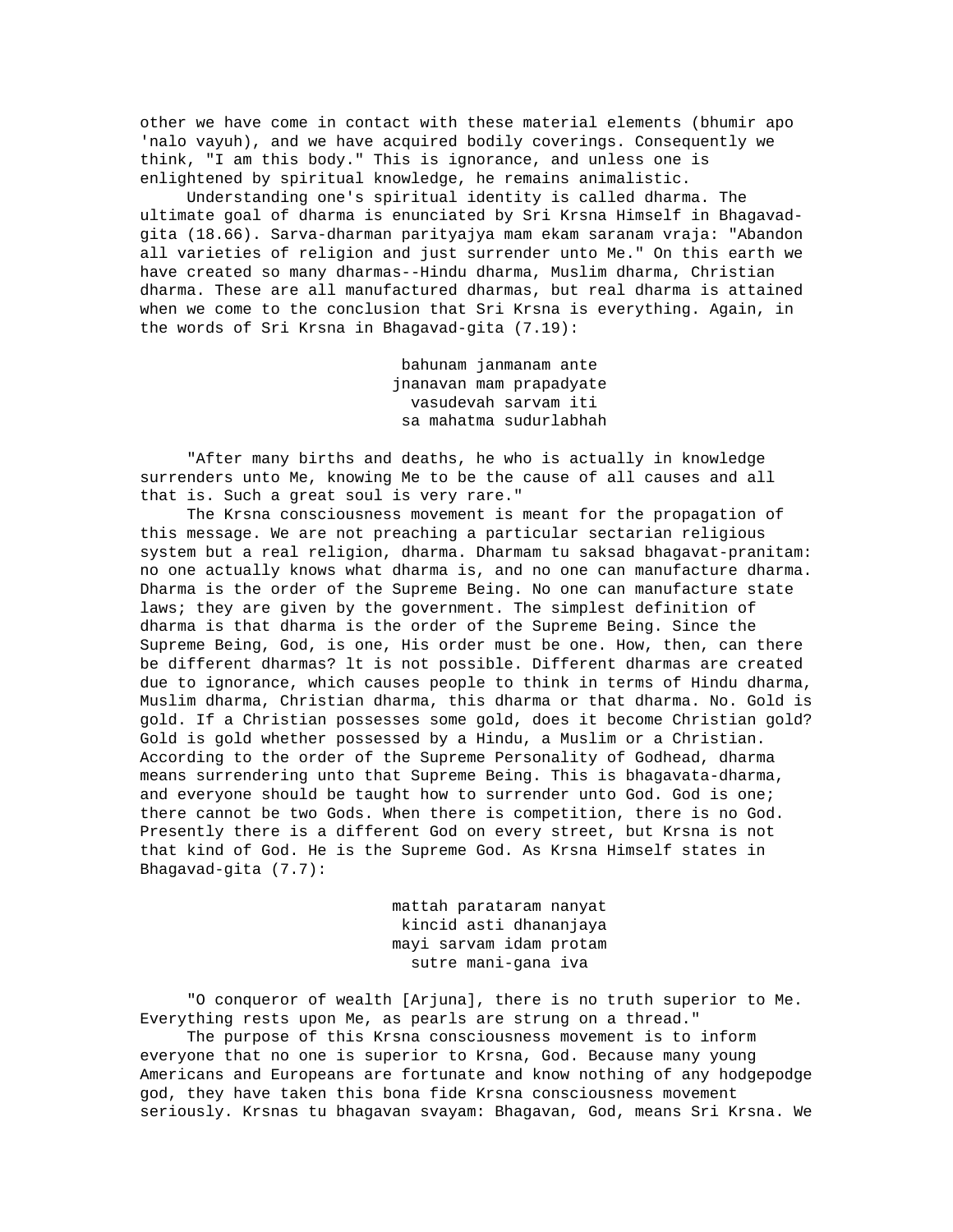other we have come in contact with these material elements (bhumir apo 'nalo vayuh), and we have acquired bodily coverings. Consequently we think, "I am this body." This is ignorance, and unless one is enlightened by spiritual knowledge, he remains animalistic.

 Understanding one's spiritual identity is called dharma. The ultimate goal of dharma is enunciated by Sri Krsna Himself in Bhagavadgita (18.66). Sarva-dharman parityajya mam ekam saranam vraja: "Abandon all varieties of religion and just surrender unto Me." On this earth we have created so many dharmas--Hindu dharma, Muslim dharma, Christian dharma. These are all manufactured dharmas, but real dharma is attained when we come to the conclusion that Sri Krsna is everything. Again, in the words of Sri Krsna in Bhagavad-gita (7.19):

> bahunam janmanam ante jnanavan mam prapadyate vasudevah sarvam iti sa mahatma sudurlabhah

 "After many births and deaths, he who is actually in knowledge surrenders unto Me, knowing Me to be the cause of all causes and all that is. Such a great soul is very rare."

 The Krsna consciousness movement is meant for the propagation of this message. We are not preaching a particular sectarian religious system but a real religion, dharma. Dharmam tu saksad bhagavat-pranitam: no one actually knows what dharma is, and no one can manufacture dharma. Dharma is the order of the Supreme Being. No one can manufacture state laws; they are given by the government. The simplest definition of dharma is that dharma is the order of the Supreme Being. Since the Supreme Being, God, is one, His order must be one. How, then, can there be different dharmas? lt is not possible. Different dharmas are created due to ignorance, which causes people to think in terms of Hindu dharma, Muslim dharma, Christian dharma, this dharma or that dharma. No. Gold is gold. If a Christian possesses some gold, does it become Christian gold? Gold is gold whether possessed by a Hindu, a Muslim or a Christian. According to the order of the Supreme Personality of Godhead, dharma means surrendering unto that Supreme Being. This is bhagavata-dharma, and everyone should be taught how to surrender unto God. God is one; there cannot be two Gods. When there is competition, there is no God. Presently there is a different God on every street, but Krsna is not that kind of God. He is the Supreme God. As Krsna Himself states in Bhagavad-gita (7.7):

> mattah parataram nanyat kincid asti dhananjaya mayi sarvam idam protam sutre mani-gana iva

 "O conqueror of wealth [Arjuna], there is no truth superior to Me. Everything rests upon Me, as pearls are strung on a thread."

 The purpose of this Krsna consciousness movement is to inform everyone that no one is superior to Krsna, God. Because many young Americans and Europeans are fortunate and know nothing of any hodgepodge god, they have taken this bona fide Krsna consciousness movement seriously. Krsnas tu bhagavan svayam: Bhagavan, God, means Sri Krsna. We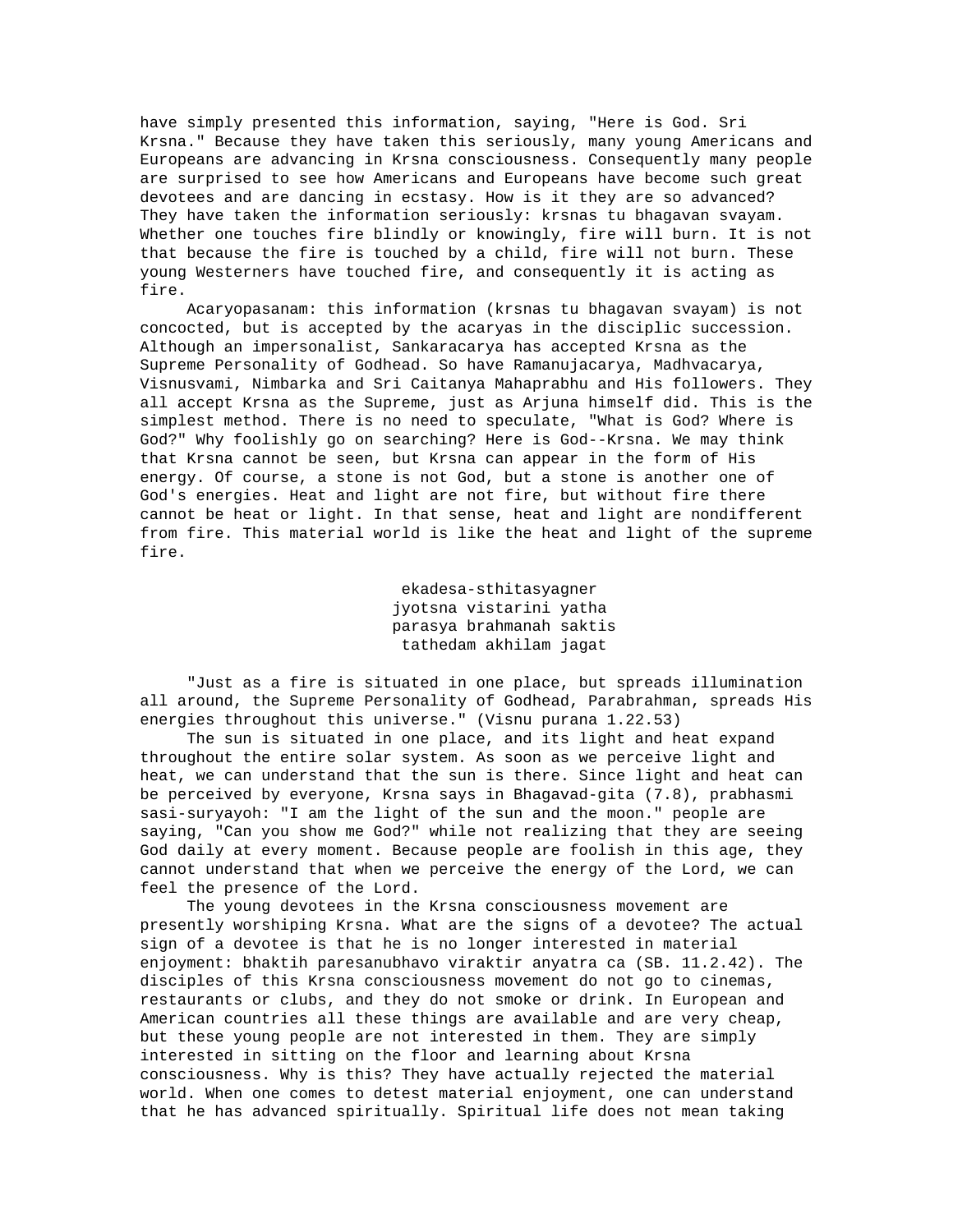have simply presented this information, saying, "Here is God. Sri Krsna." Because they have taken this seriously, many young Americans and Europeans are advancing in Krsna consciousness. Consequently many people are surprised to see how Americans and Europeans have become such great devotees and are dancing in ecstasy. How is it they are so advanced? They have taken the information seriously: krsnas tu bhagavan svayam. Whether one touches fire blindly or knowingly, fire will burn. It is not that because the fire is touched by a child, fire will not burn. These young Westerners have touched fire, and consequently it is acting as fire.

 Acaryopasanam: this information (krsnas tu bhagavan svayam) is not concocted, but is accepted by the acaryas in the disciplic succession. Although an impersonalist, Sankaracarya has accepted Krsna as the Supreme Personality of Godhead. So have Ramanujacarya, Madhvacarya, Visnusvami, Nimbarka and Sri Caitanya Mahaprabhu and His followers. They all accept Krsna as the Supreme, just as Arjuna himself did. This is the simplest method. There is no need to speculate, "What is God? Where is God?" Why foolishly go on searching? Here is God--Krsna. We may think that Krsna cannot be seen, but Krsna can appear in the form of His energy. Of course, a stone is not God, but a stone is another one of God's energies. Heat and light are not fire, but without fire there cannot be heat or light. In that sense, heat and light are nondifferent from fire. This material world is like the heat and light of the supreme fire.

> ekadesa-sthitasyagner jyotsna vistarini yatha parasya brahmanah saktis tathedam akhilam jagat

 "Just as a fire is situated in one place, but spreads illumination all around, the Supreme Personality of Godhead, Parabrahman, spreads His energies throughout this universe." (Visnu purana 1.22.53)

 The sun is situated in one place, and its light and heat expand throughout the entire solar system. As soon as we perceive light and heat, we can understand that the sun is there. Since light and heat can be perceived by everyone, Krsna says in Bhagavad-gita (7.8), prabhasmi sasi-suryayoh: "I am the light of the sun and the moon." people are saying, "Can you show me God?" while not realizing that they are seeing God daily at every moment. Because people are foolish in this age, they cannot understand that when we perceive the energy of the Lord, we can feel the presence of the Lord.

 The young devotees in the Krsna consciousness movement are presently worshiping Krsna. What are the signs of a devotee? The actual sign of a devotee is that he is no longer interested in material enjoyment: bhaktih paresanubhavo viraktir anyatra ca (SB. 11.2.42). The disciples of this Krsna consciousness movement do not go to cinemas, restaurants or clubs, and they do not smoke or drink. In European and American countries all these things are available and are very cheap, but these young people are not interested in them. They are simply interested in sitting on the floor and learning about Krsna consciousness. Why is this? They have actually rejected the material world. When one comes to detest material enjoyment, one can understand that he has advanced spiritually. Spiritual life does not mean taking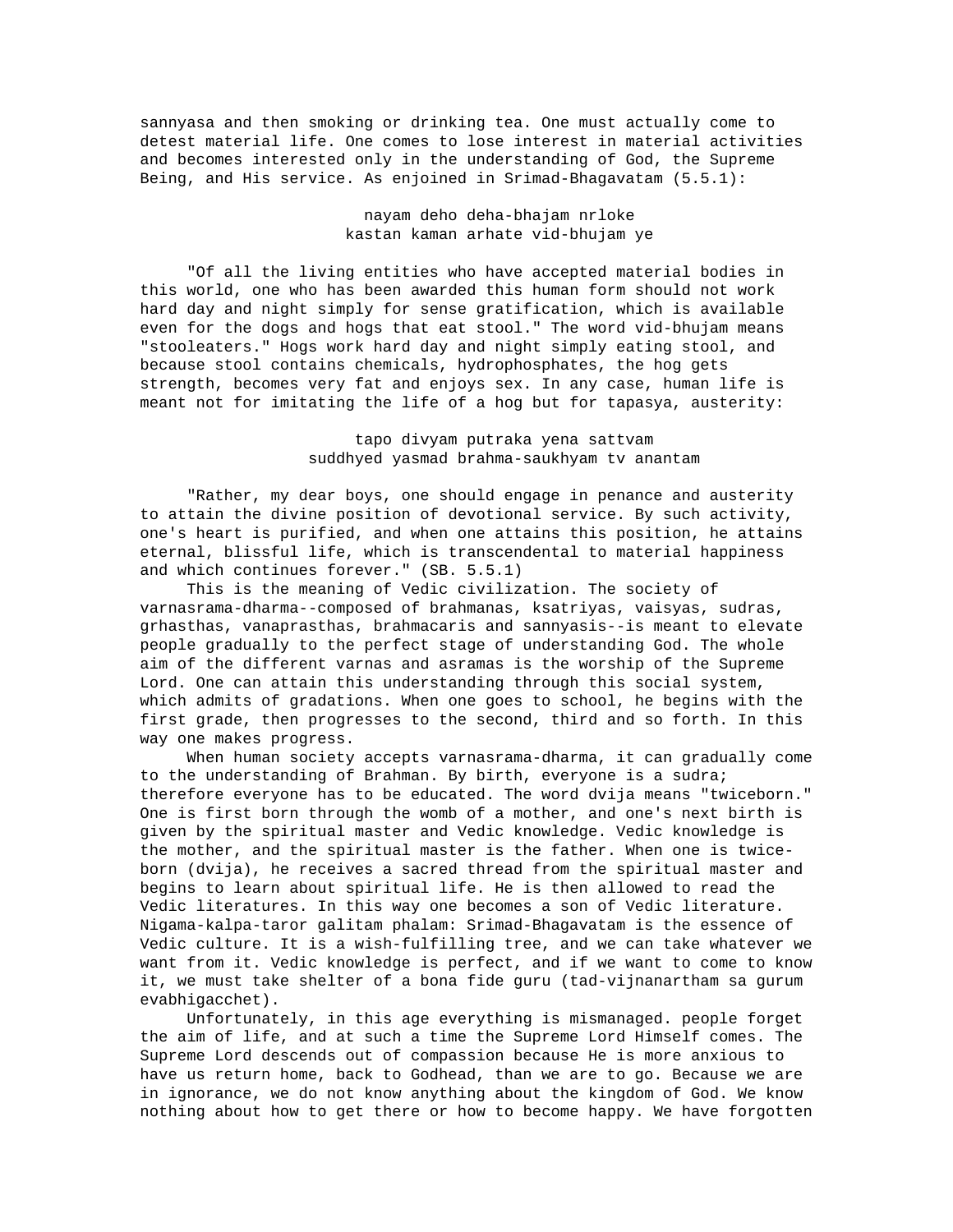sannyasa and then smoking or drinking tea. One must actually come to detest material life. One comes to lose interest in material activities and becomes interested only in the understanding of God, the Supreme Being, and His service. As enjoined in Srimad-Bhagavatam (5.5.1):

> nayam deho deha-bhajam nrloke kastan kaman arhate vid-bhujam ye

 "Of all the living entities who have accepted material bodies in this world, one who has been awarded this human form should not work hard day and night simply for sense gratification, which is available even for the dogs and hogs that eat stool." The word vid-bhujam means "stooleaters." Hogs work hard day and night simply eating stool, and because stool contains chemicals, hydrophosphates, the hog gets strength, becomes very fat and enjoys sex. In any case, human life is meant not for imitating the life of a hog but for tapasya, austerity:

> tapo divyam putraka yena sattvam suddhyed yasmad brahma-saukhyam tv anantam

 "Rather, my dear boys, one should engage in penance and austerity to attain the divine position of devotional service. By such activity, one's heart is purified, and when one attains this position, he attains eternal, blissful life, which is transcendental to material happiness and which continues forever." (SB. 5.5.1)

 This is the meaning of Vedic civilization. The society of varnasrama-dharma--composed of brahmanas, ksatriyas, vaisyas, sudras, grhasthas, vanaprasthas, brahmacaris and sannyasis--is meant to elevate people gradually to the perfect stage of understanding God. The whole aim of the different varnas and asramas is the worship of the Supreme Lord. One can attain this understanding through this social system, which admits of gradations. When one goes to school, he begins with the first grade, then progresses to the second, third and so forth. In this way one makes progress.

 When human society accepts varnasrama-dharma, it can gradually come to the understanding of Brahman. By birth, everyone is a sudra; therefore everyone has to be educated. The word dvija means "twiceborn." One is first born through the womb of a mother, and one's next birth is given by the spiritual master and Vedic knowledge. Vedic knowledge is the mother, and the spiritual master is the father. When one is twiceborn (dvija), he receives a sacred thread from the spiritual master and begins to learn about spiritual life. He is then allowed to read the Vedic literatures. In this way one becomes a son of Vedic literature. Nigama-kalpa-taror galitam phalam: Srimad-Bhagavatam is the essence of Vedic culture. It is a wish-fulfilling tree, and we can take whatever we want from it. Vedic knowledge is perfect, and if we want to come to know it, we must take shelter of a bona fide guru (tad-vijnanartham sa gurum evabhigacchet).

 Unfortunately, in this age everything is mismanaged. people forget the aim of life, and at such a time the Supreme Lord Himself comes. The Supreme Lord descends out of compassion because He is more anxious to have us return home, back to Godhead, than we are to go. Because we are in ignorance, we do not know anything about the kingdom of God. We know nothing about how to get there or how to become happy. We have forgotten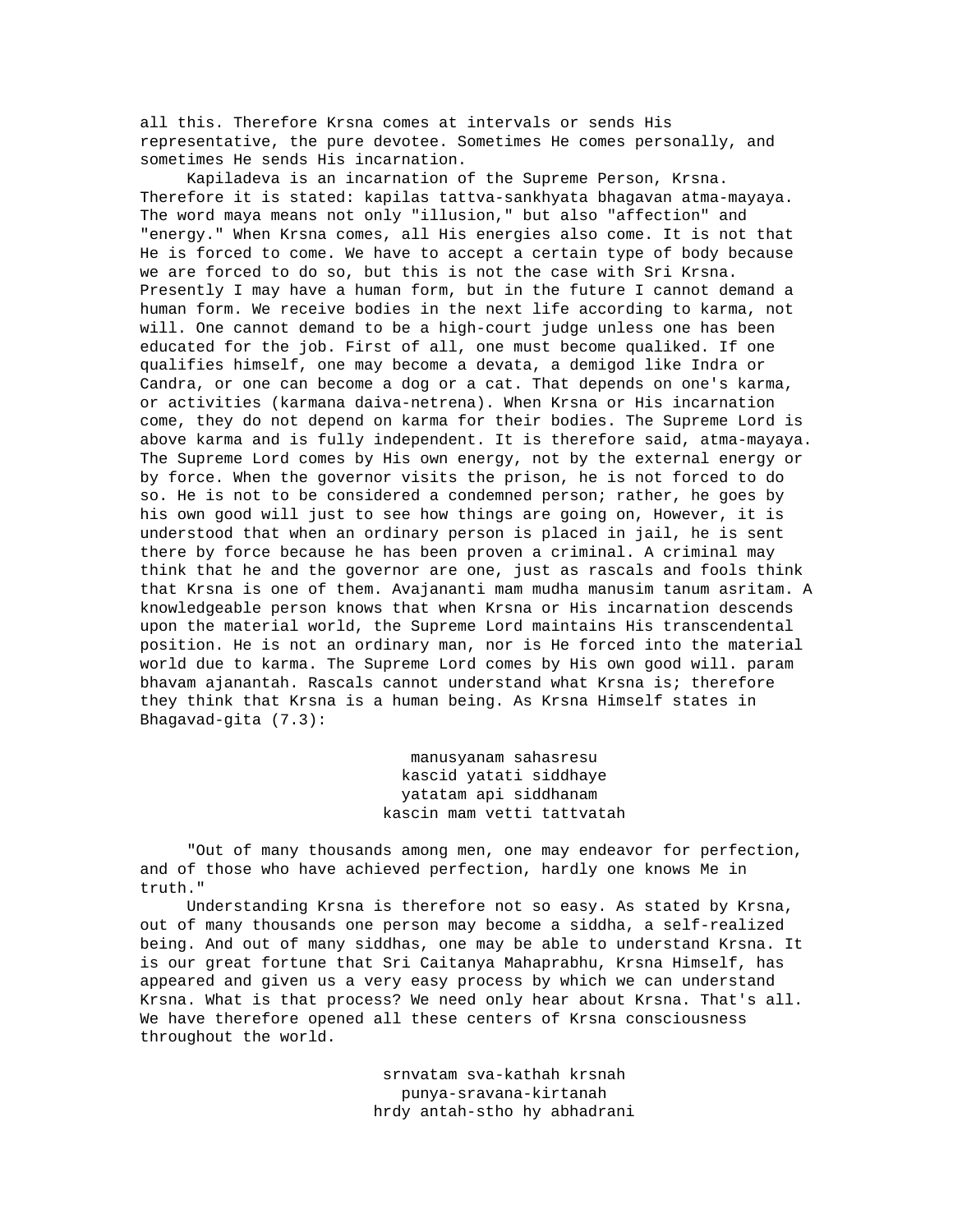all this. Therefore Krsna comes at intervals or sends His representative, the pure devotee. Sometimes He comes personally, and sometimes He sends His incarnation.

 Kapiladeva is an incarnation of the Supreme Person, Krsna. Therefore it is stated: kapilas tattva-sankhyata bhagavan atma-mayaya. The word maya means not only "illusion," but also "affection" and "energy." When Krsna comes, all His energies also come. It is not that He is forced to come. We have to accept a certain type of body because we are forced to do so, but this is not the case with Sri Krsna. Presently I may have a human form, but in the future I cannot demand a human form. We receive bodies in the next life according to karma, not will. One cannot demand to be a high-court judge unless one has been educated for the job. First of all, one must become qualiked. If one qualifies himself, one may become a devata, a demigod like Indra or Candra, or one can become a dog or a cat. That depends on one's karma, or activities (karmana daiva-netrena). When Krsna or His incarnation come, they do not depend on karma for their bodies. The Supreme Lord is above karma and is fully independent. It is therefore said, atma-mayaya. The Supreme Lord comes by His own energy, not by the external energy or by force. When the governor visits the prison, he is not forced to do so. He is not to be considered a condemned person; rather, he goes by his own good will just to see how things are going on, However, it is understood that when an ordinary person is placed in jail, he is sent there by force because he has been proven a criminal. A criminal may think that he and the governor are one, just as rascals and fools think that Krsna is one of them. Avajananti mam mudha manusim tanum asritam. A knowledgeable person knows that when Krsna or His incarnation descends upon the material world, the Supreme Lord maintains His transcendental position. He is not an ordinary man, nor is He forced into the material world due to karma. The Supreme Lord comes by His own good will. param bhavam ajanantah. Rascals cannot understand what Krsna is; therefore they think that Krsna is a human being. As Krsna Himself states in Bhagavad-gita (7.3):

> manusyanam sahasresu kascid yatati siddhaye yatatam api siddhanam kascin mam vetti tattvatah

 "Out of many thousands among men, one may endeavor for perfection, and of those who have achieved perfection, hardly one knows Me in truth."

 Understanding Krsna is therefore not so easy. As stated by Krsna, out of many thousands one person may become a siddha, a self-realized being. And out of many siddhas, one may be able to understand Krsna. It is our great fortune that Sri Caitanya Mahaprabhu, Krsna Himself, has appeared and given us a very easy process by which we can understand Krsna. What is that process? We need only hear about Krsna. That's all. We have therefore opened all these centers of Krsna consciousness throughout the world.

> srnvatam sva-kathah krsnah punya-sravana-kirtanah hrdy antah-stho hy abhadrani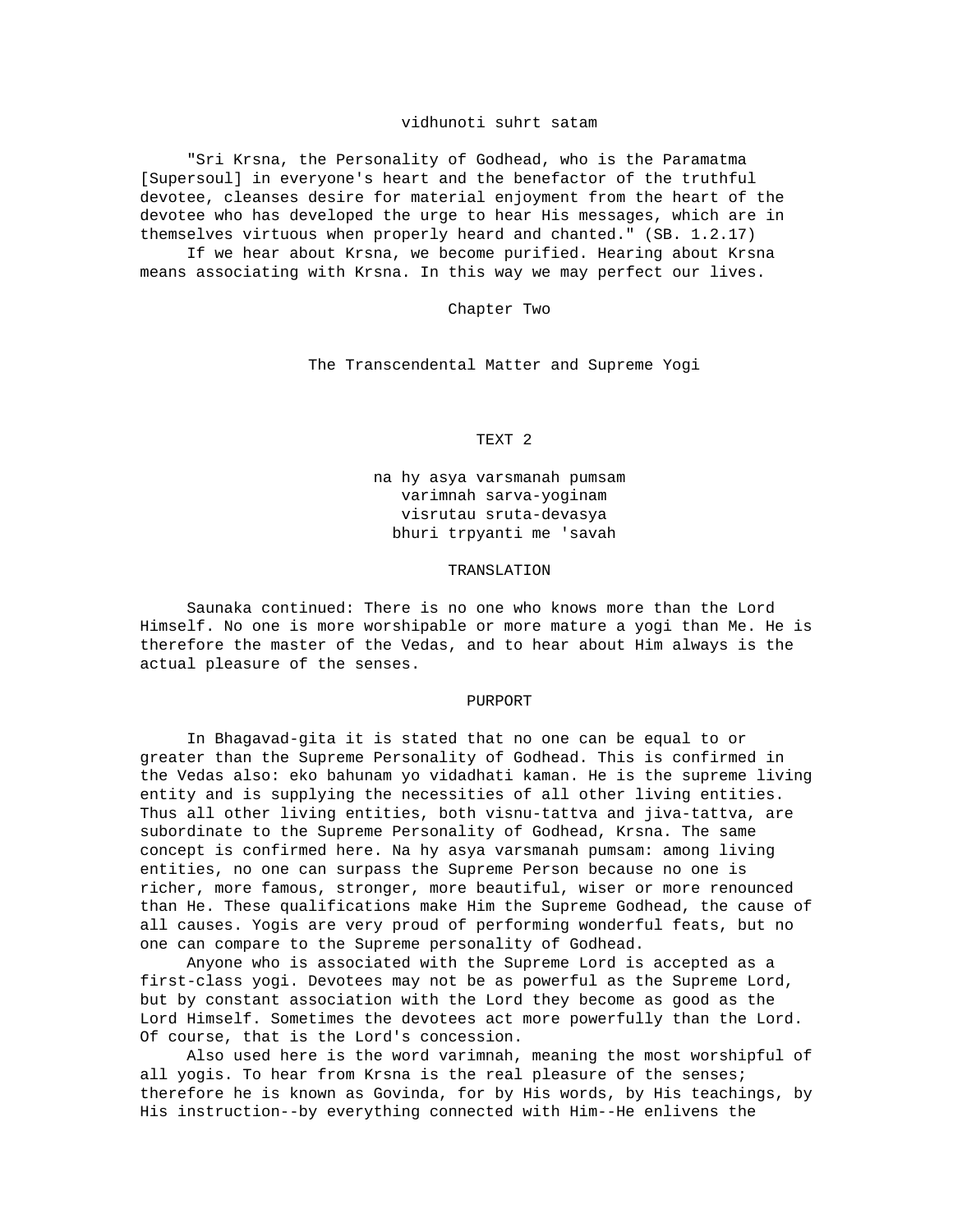### vidhunoti suhrt satam

 "Sri Krsna, the Personality of Godhead, who is the Paramatma [Supersoul] in everyone's heart and the benefactor of the truthful devotee, cleanses desire for material enjoyment from the heart of the devotee who has developed the urge to hear His messages, which are in themselves virtuous when properly heard and chanted." (SB. 1.2.17)

 If we hear about Krsna, we become purified. Hearing about Krsna means associating with Krsna. In this way we may perfect our lives.

### Chapter Two

The Transcendental Matter and Supreme Yogi

#### TEXT 2

 na hy asya varsmanah pumsam varimnah sarva-yoginam visrutau sruta-devasya bhuri trpyanti me 'savah

#### TRANSLATION

 Saunaka continued: There is no one who knows more than the Lord Himself. No one is more worshipable or more mature a yogi than Me. He is therefore the master of the Vedas, and to hear about Him always is the actual pleasure of the senses.

#### PURPORT

 In Bhagavad-gita it is stated that no one can be equal to or greater than the Supreme Personality of Godhead. This is confirmed in the Vedas also: eko bahunam yo vidadhati kaman. He is the supreme living entity and is supplying the necessities of all other living entities. Thus all other living entities, both visnu-tattva and jiva-tattva, are subordinate to the Supreme Personality of Godhead, Krsna. The same concept is confirmed here. Na hy asya varsmanah pumsam: among living entities, no one can surpass the Supreme Person because no one is richer, more famous, stronger, more beautiful, wiser or more renounced than He. These qualifications make Him the Supreme Godhead, the cause of all causes. Yogis are very proud of performing wonderful feats, but no one can compare to the Supreme personality of Godhead.

 Anyone who is associated with the Supreme Lord is accepted as a first-class yogi. Devotees may not be as powerful as the Supreme Lord, but by constant association with the Lord they become as good as the Lord Himself. Sometimes the devotees act more powerfully than the Lord. Of course, that is the Lord's concession.

 Also used here is the word varimnah, meaning the most worshipful of all yogis. To hear from Krsna is the real pleasure of the senses; therefore he is known as Govinda, for by His words, by His teachings, by His instruction--by everything connected with Him--He enlivens the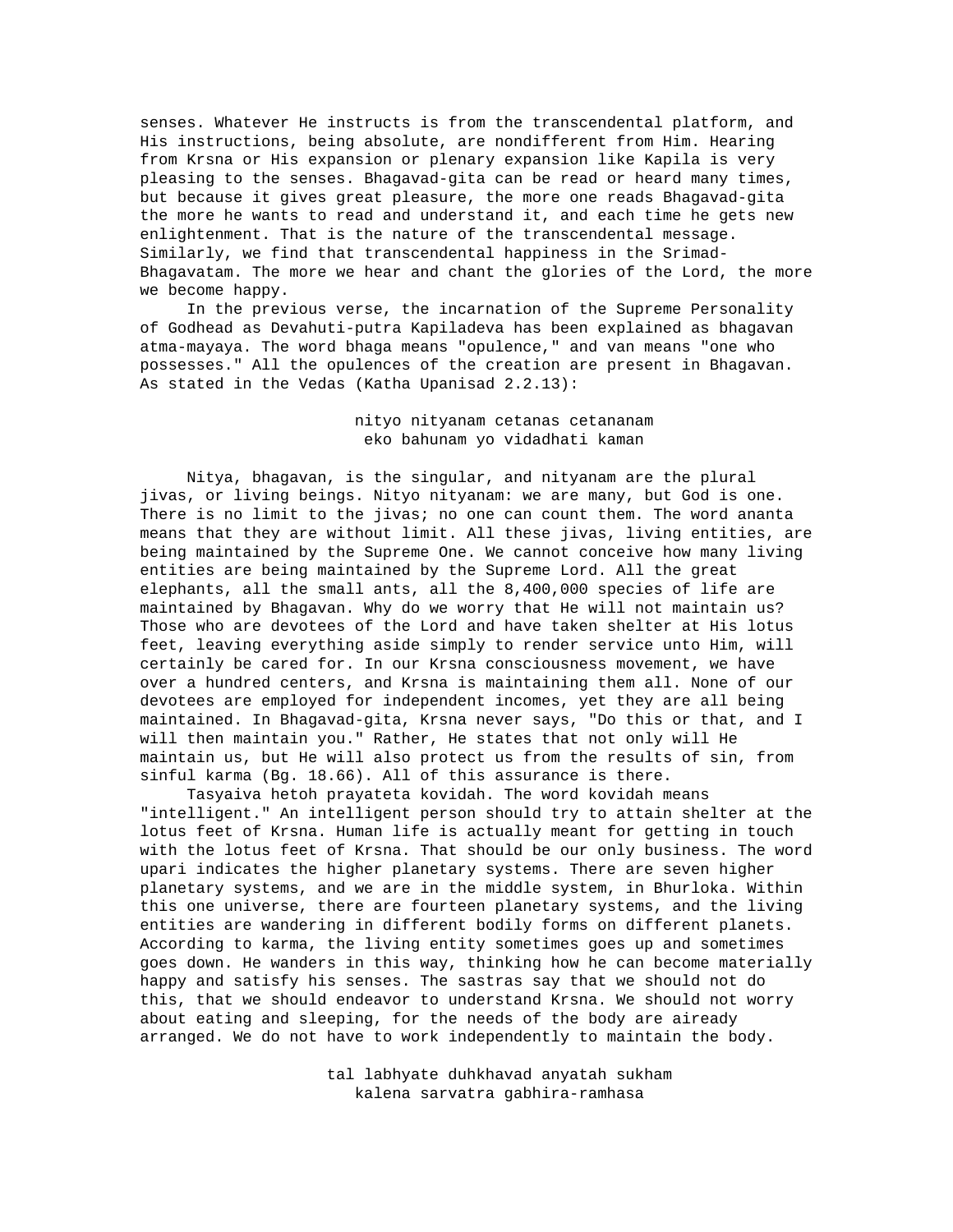senses. Whatever He instructs is from the transcendental platform, and His instructions, being absolute, are nondifferent from Him. Hearing from Krsna or His expansion or plenary expansion like Kapila is very pleasing to the senses. Bhagavad-gita can be read or heard many times, but because it gives great pleasure, the more one reads Bhagavad-gita the more he wants to read and understand it, and each time he gets new enlightenment. That is the nature of the transcendental message. Similarly, we find that transcendental happiness in the Srimad-Bhagavatam. The more we hear and chant the glories of the Lord, the more we become happy.

 In the previous verse, the incarnation of the Supreme Personality of Godhead as Devahuti-putra Kapiladeva has been explained as bhagavan atma-mayaya. The word bhaga means "opulence," and van means "one who possesses." All the opulences of the creation are present in Bhagavan. As stated in the Vedas (Katha Upanisad 2.2.13):

## nityo nityanam cetanas cetananam eko bahunam yo vidadhati kaman

 Nitya, bhagavan, is the singular, and nityanam are the plural jivas, or living beings. Nityo nityanam: we are many, but God is one. There is no limit to the jivas; no one can count them. The word ananta means that they are without limit. All these jivas, living entities, are being maintained by the Supreme One. We cannot conceive how many living entities are being maintained by the Supreme Lord. All the great elephants, all the small ants, all the 8,400,000 species of life are maintained by Bhagavan. Why do we worry that He will not maintain us? Those who are devotees of the Lord and have taken shelter at His lotus feet, leaving everything aside simply to render service unto Him, will certainly be cared for. In our Krsna consciousness movement, we have over a hundred centers, and Krsna is maintaining them all. None of our devotees are employed for independent incomes, yet they are all being maintained. In Bhagavad-gita, Krsna never says, "Do this or that, and I will then maintain you." Rather, He states that not only will He maintain us, but He will also protect us from the results of sin, from sinful karma (Bg. 18.66). All of this assurance is there.

 Tasyaiva hetoh prayateta kovidah. The word kovidah means "intelligent." An intelligent person should try to attain shelter at the lotus feet of Krsna. Human life is actually meant for getting in touch with the lotus feet of Krsna. That should be our only business. The word upari indicates the higher planetary systems. There are seven higher planetary systems, and we are in the middle system, in Bhurloka. Within this one universe, there are fourteen planetary systems, and the living entities are wandering in different bodily forms on different planets. According to karma, the living entity sometimes goes up and sometimes goes down. He wanders in this way, thinking how he can become materially happy and satisfy his senses. The sastras say that we should not do this, that we should endeavor to understand Krsna. We should not worry about eating and sleeping, for the needs of the body are aiready arranged. We do not have to work independently to maintain the body.

> tal labhyate duhkhavad anyatah sukham kalena sarvatra gabhira-ramhasa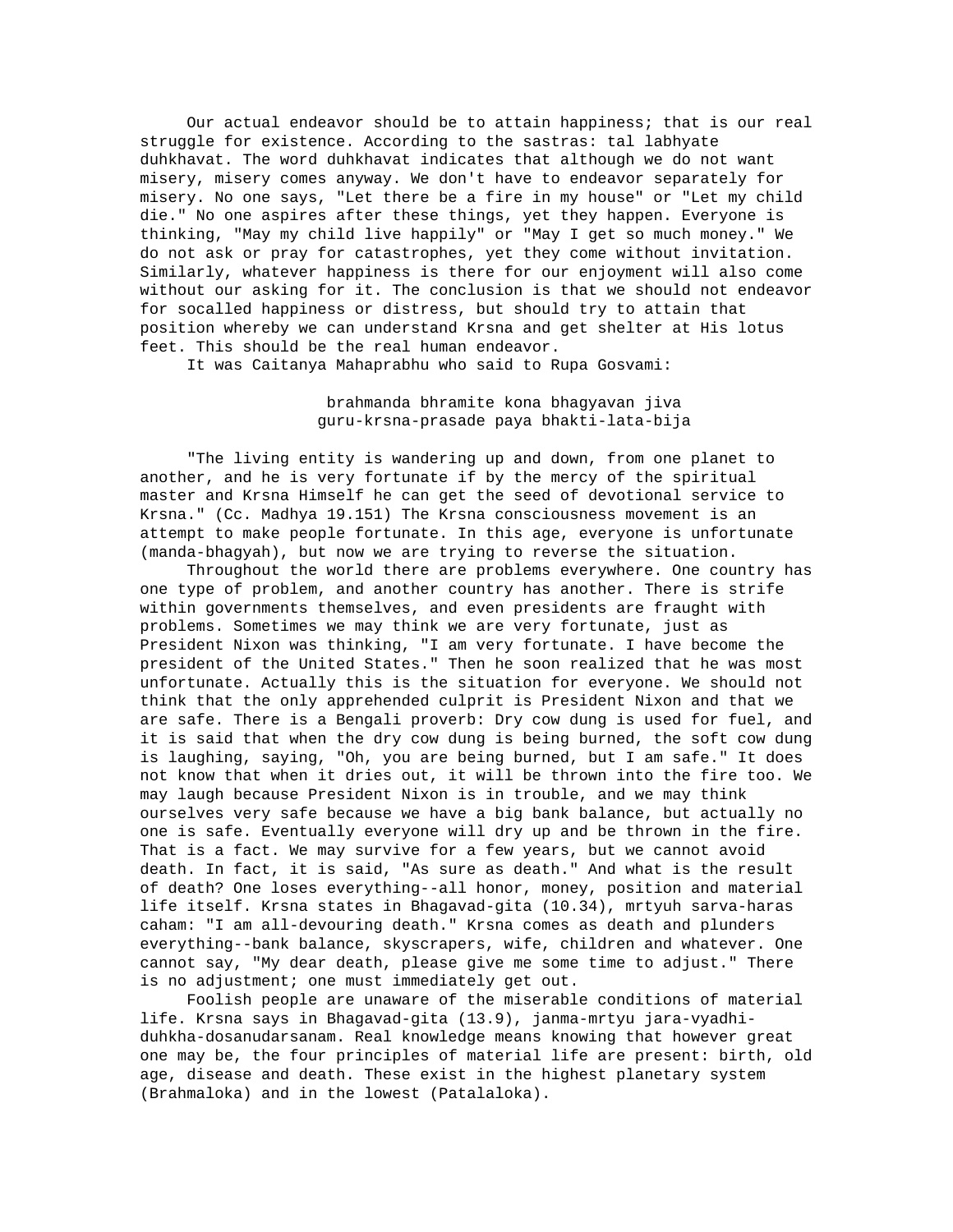Our actual endeavor should be to attain happiness; that is our real struggle for existence. According to the sastras: tal labhyate duhkhavat. The word duhkhavat indicates that although we do not want misery, misery comes anyway. We don't have to endeavor separately for misery. No one says, "Let there be a fire in my house" or "Let my child die." No one aspires after these things, yet they happen. Everyone is thinking, "May my child live happily" or "May I get so much money." We do not ask or pray for catastrophes, yet they come without invitation. Similarly, whatever happiness is there for our enjoyment will also come without our asking for it. The conclusion is that we should not endeavor for socalled happiness or distress, but should try to attain that position whereby we can understand Krsna and get shelter at His lotus feet. This should be the real human endeavor.

It was Caitanya Mahaprabhu who said to Rupa Gosvami:

 brahmanda bhramite kona bhagyavan jiva guru-krsna-prasade paya bhakti-lata-bija

 "The living entity is wandering up and down, from one planet to another, and he is very fortunate if by the mercy of the spiritual master and Krsna Himself he can get the seed of devotional service to Krsna." (Cc. Madhya 19.151) The Krsna consciousness movement is an attempt to make people fortunate. In this age, everyone is unfortunate (manda-bhagyah), but now we are trying to reverse the situation.

 Throughout the world there are problems everywhere. One country has one type of problem, and another country has another. There is strife within governments themselves, and even presidents are fraught with problems. Sometimes we may think we are very fortunate, just as President Nixon was thinking, "I am very fortunate. I have become the president of the United States." Then he soon realized that he was most unfortunate. Actually this is the situation for everyone. We should not think that the only apprehended culprit is President Nixon and that we are safe. There is a Bengali proverb: Dry cow dung is used for fuel, and it is said that when the dry cow dung is being burned, the soft cow dung is laughing, saying, "Oh, you are being burned, but I am safe." It does not know that when it dries out, it will be thrown into the fire too. We may laugh because President Nixon is in trouble, and we may think ourselves very safe because we have a big bank balance, but actually no one is safe. Eventually everyone will dry up and be thrown in the fire. That is a fact. We may survive for a few years, but we cannot avoid death. In fact, it is said, "As sure as death." And what is the result of death? One loses everything--all honor, money, position and material life itself. Krsna states in Bhagavad-gita (10.34), mrtyuh sarva-haras caham: "I am all-devouring death." Krsna comes as death and plunders everything--bank balance, skyscrapers, wife, children and whatever. One cannot say, "My dear death, please give me some time to adjust." There is no adjustment; one must immediately get out.

 Foolish people are unaware of the miserable conditions of material life. Krsna says in Bhagavad-gita (13.9), janma-mrtyu jara-vyadhiduhkha-dosanudarsanam. Real knowledge means knowing that however great one may be, the four principles of material life are present: birth, old age, disease and death. These exist in the highest planetary system (Brahmaloka) and in the lowest (Patalaloka).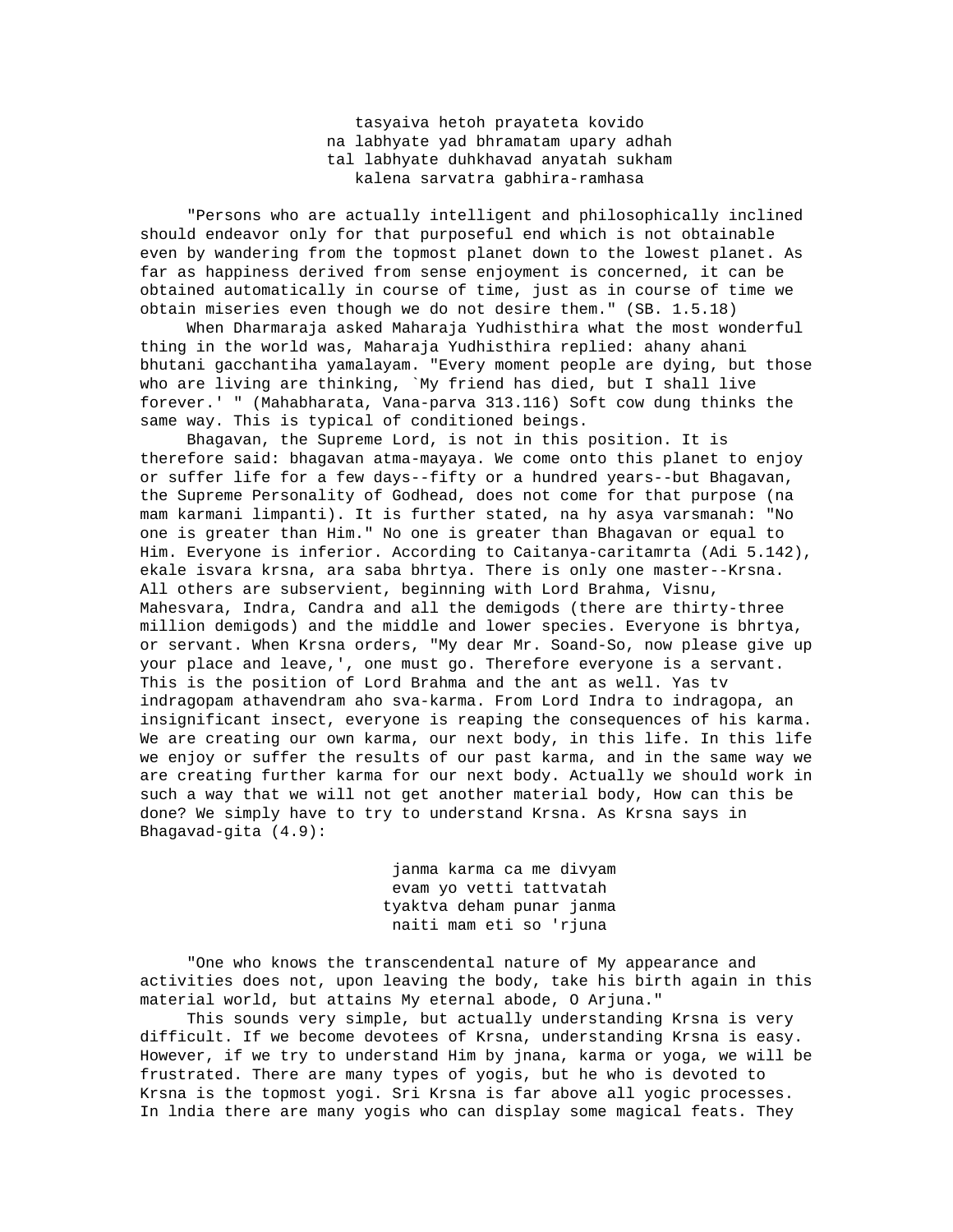tasyaiva hetoh prayateta kovido na labhyate yad bhramatam upary adhah tal labhyate duhkhavad anyatah sukham kalena sarvatra gabhira-ramhasa

 "Persons who are actually intelligent and philosophically inclined should endeavor only for that purposeful end which is not obtainable even by wandering from the topmost planet down to the lowest planet. As far as happiness derived from sense enjoyment is concerned, it can be obtained automatically in course of time, just as in course of time we obtain miseries even though we do not desire them." (SB. 1.5.18)

 When Dharmaraja asked Maharaja Yudhisthira what the most wonderful thing in the world was, Maharaja Yudhisthira replied: ahany ahani bhutani gacchantiha yamalayam. "Every moment people are dying, but those who are living are thinking, `My friend has died, but I shall live forever.' " (Mahabharata, Vana-parva 313.116) Soft cow dung thinks the same way. This is typical of conditioned beings.

 Bhagavan, the Supreme Lord, is not in this position. It is therefore said: bhagavan atma-mayaya. We come onto this planet to enjoy or suffer life for a few days--fifty or a hundred years--but Bhagavan, the Supreme Personality of Godhead, does not come for that purpose (na mam karmani limpanti). It is further stated, na hy asya varsmanah: "No one is greater than Him." No one is greater than Bhagavan or equal to Him. Everyone is inferior. According to Caitanya-caritamrta (Adi 5.142), ekale isvara krsna, ara saba bhrtya. There is only one master--Krsna. All others are subservient, beginning with Lord Brahma, Visnu, Mahesvara, Indra, Candra and all the demigods (there are thirty-three million demigods) and the middle and lower species. Everyone is bhrtya, or servant. When Krsna orders, "My dear Mr. Soand-So, now please give up your place and leave,', one must go. Therefore everyone is a servant. This is the position of Lord Brahma and the ant as well. Yas tv indragopam athavendram aho sva-karma. From Lord Indra to indragopa, an insignificant insect, everyone is reaping the consequences of his karma. We are creating our own karma, our next body, in this life. In this life we enjoy or suffer the results of our past karma, and in the same way we are creating further karma for our next body. Actually we should work in such a way that we will not get another material body, How can this be done? We simply have to try to understand Krsna. As Krsna says in Bhagavad-gita (4.9):

> janma karma ca me divyam evam yo vetti tattvatah tyaktva deham punar janma naiti mam eti so 'rjuna

 "One who knows the transcendental nature of My appearance and activities does not, upon leaving the body, take his birth again in this material world, but attains My eternal abode, O Arjuna."

 This sounds very simple, but actually understanding Krsna is very difficult. If we become devotees of Krsna, understanding Krsna is easy. However, if we try to understand Him by jnana, karma or yoga, we will be frustrated. There are many types of yogis, but he who is devoted to Krsna is the topmost yogi. Sri Krsna is far above all yogic processes. In lndia there are many yogis who can display some magical feats. They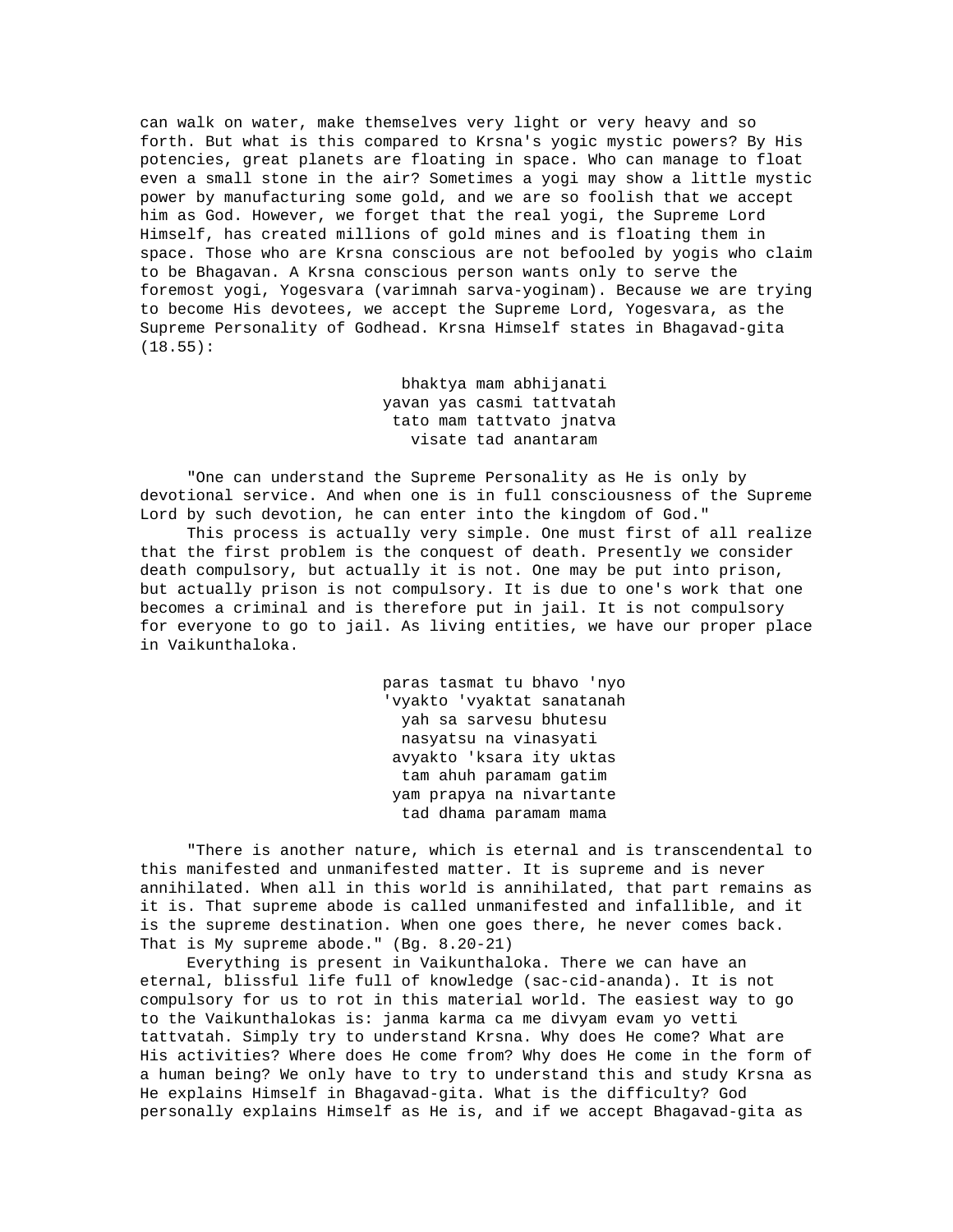can walk on water, make themselves very light or very heavy and so forth. But what is this compared to Krsna's yogic mystic powers? By His potencies, great planets are floating in space. Who can manage to float even a small stone in the air? Sometimes a yogi may show a little mystic power by manufacturing some gold, and we are so foolish that we accept him as God. However, we forget that the real yogi, the Supreme Lord Himself, has created millions of gold mines and is floating them in space. Those who are Krsna conscious are not befooled by yogis who claim to be Bhagavan. A Krsna conscious person wants only to serve the foremost yogi, Yogesvara (varimnah sarva-yoginam). Because we are trying to become His devotees, we accept the Supreme Lord, Yogesvara, as the Supreme Personality of Godhead. Krsna Himself states in Bhagavad-gita (18.55):

> bhaktya mam abhijanati yavan yas casmi tattvatah tato mam tattvato jnatva visate tad anantaram

 "One can understand the Supreme Personality as He is only by devotional service. And when one is in full consciousness of the Supreme Lord by such devotion, he can enter into the kingdom of God."

 This process is actually very simple. One must first of all realize that the first problem is the conquest of death. Presently we consider death compulsory, but actually it is not. One may be put into prison, but actually prison is not compulsory. It is due to one's work that one becomes a criminal and is therefore put in jail. It is not compulsory for everyone to go to jail. As living entities, we have our proper place in Vaikunthaloka.

> paras tasmat tu bhavo 'nyo 'vyakto 'vyaktat sanatanah yah sa sarvesu bhutesu nasyatsu na vinasyati avyakto 'ksara ity uktas tam ahuh paramam gatim yam prapya na nivartante tad dhama paramam mama

 "There is another nature, which is eternal and is transcendental to this manifested and unmanifested matter. It is supreme and is never annihilated. When all in this world is annihilated, that part remains as it is. That supreme abode is called unmanifested and infallible, and it is the supreme destination. When one goes there, he never comes back. That is My supreme abode." (Bg. 8.20-21)

 Everything is present in Vaikunthaloka. There we can have an eternal, blissful life full of knowledge (sac-cid-ananda). It is not compulsory for us to rot in this material world. The easiest way to go to the Vaikunthalokas is: janma karma ca me divyam evam yo vetti tattvatah. Simply try to understand Krsna. Why does He come? What are His activities? Where does He come from? Why does He come in the form of a human being? We only have to try to understand this and study Krsna as He explains Himself in Bhagavad-gita. What is the difficulty? God personally explains Himself as He is, and if we accept Bhagavad-gita as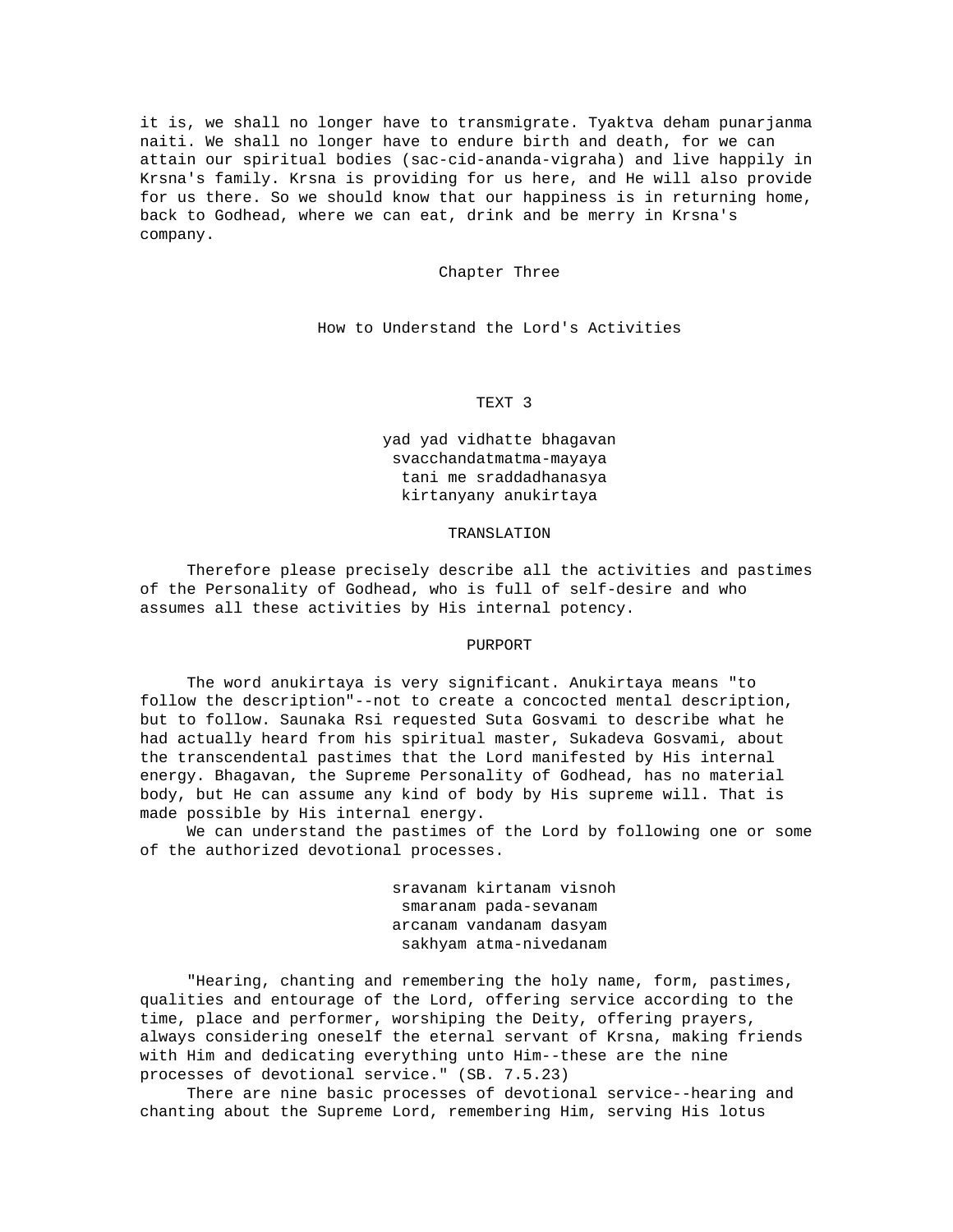it is, we shall no longer have to transmigrate. Tyaktva deham punarjanma naiti. We shall no longer have to endure birth and death, for we can attain our spiritual bodies (sac-cid-ananda-vigraha) and live happily in Krsna's family. Krsna is providing for us here, and He will also provide for us there. So we should know that our happiness is in returning home, back to Godhead, where we can eat, drink and be merry in Krsna's company.

Chapter Three

How to Understand the Lord's Activities

### TEXT 3

 yad yad vidhatte bhagavan svacchandatmatma-mayaya tani me sraddadhanasya kirtanyany anukirtaya

#### TRANSLATION

 Therefore please precisely describe all the activities and pastimes of the Personality of Godhead, who is full of self-desire and who assumes all these activities by His internal potency.

#### PURPORT

 The word anukirtaya is very significant. Anukirtaya means "to follow the description"--not to create a concocted mental description, but to follow. Saunaka Rsi requested Suta Gosvami to describe what he had actually heard from his spiritual master, Sukadeva Gosvami, about the transcendental pastimes that the Lord manifested by His internal energy. Bhagavan, the Supreme Personality of Godhead, has no material body, but He can assume any kind of body by His supreme will. That is made possible by His internal energy.

 We can understand the pastimes of the Lord by following one or some of the authorized devotional processes.

> sravanam kirtanam visnoh smaranam pada-sevanam arcanam vandanam dasyam sakhyam atma-nivedanam

 "Hearing, chanting and remembering the holy name, form, pastimes, qualities and entourage of the Lord, offering service according to the time, place and performer, worshiping the Deity, offering prayers, always considering oneself the eternal servant of Krsna, making friends with Him and dedicating everything unto Him--these are the nine processes of devotional service." (SB. 7.5.23)

 There are nine basic processes of devotional service--hearing and chanting about the Supreme Lord, remembering Him, serving His lotus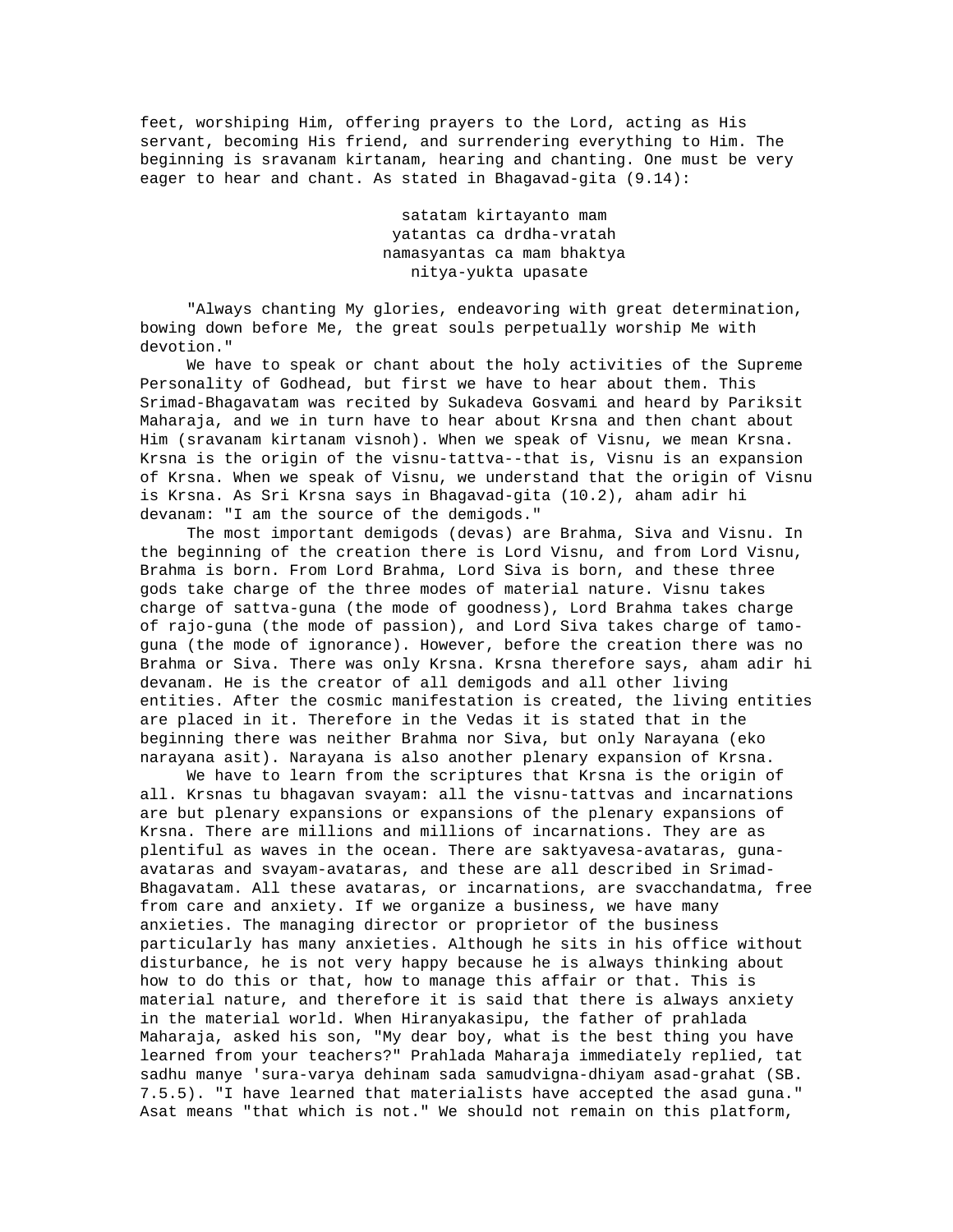feet, worshiping Him, offering prayers to the Lord, acting as His servant, becoming His friend, and surrendering everything to Him. The beginning is sravanam kirtanam, hearing and chanting. One must be very eager to hear and chant. As stated in Bhagavad-gita (9.14):

> satatam kirtayanto mam yatantas ca drdha-vratah namasyantas ca mam bhaktya nitya-yukta upasate

 "Always chanting My glories, endeavoring with great determination, bowing down before Me, the great souls perpetually worship Me with devotion."

 We have to speak or chant about the holy activities of the Supreme Personality of Godhead, but first we have to hear about them. This Srimad-Bhagavatam was recited by Sukadeva Gosvami and heard by Pariksit Maharaja, and we in turn have to hear about Krsna and then chant about Him (sravanam kirtanam visnoh). When we speak of Visnu, we mean Krsna. Krsna is the origin of the visnu-tattva--that is, Visnu is an expansion of Krsna. When we speak of Visnu, we understand that the origin of Visnu is Krsna. As Sri Krsna says in Bhagavad-gita (10.2), aham adir hi devanam: "I am the source of the demigods."

 The most important demigods (devas) are Brahma, Siva and Visnu. In the beginning of the creation there is Lord Visnu, and from Lord Visnu, Brahma is born. From Lord Brahma, Lord Siva is born, and these three gods take charge of the three modes of material nature. Visnu takes charge of sattva-guna (the mode of goodness), Lord Brahma takes charge of rajo-guna (the mode of passion), and Lord Siva takes charge of tamoguna (the mode of ignorance). However, before the creation there was no Brahma or Siva. There was only Krsna. Krsna therefore says, aham adir hi devanam. He is the creator of all demigods and all other living entities. After the cosmic manifestation is created, the living entities are placed in it. Therefore in the Vedas it is stated that in the beginning there was neither Brahma nor Siva, but only Narayana (eko narayana asit). Narayana is also another plenary expansion of Krsna.

 We have to learn from the scriptures that Krsna is the origin of all. Krsnas tu bhagavan svayam: all the visnu-tattvas and incarnations are but plenary expansions or expansions of the plenary expansions of Krsna. There are millions and millions of incarnations. They are as plentiful as waves in the ocean. There are saktyavesa-avataras, gunaavataras and svayam-avataras, and these are all described in Srimad-Bhagavatam. All these avataras, or incarnations, are svacchandatma, free from care and anxiety. If we organize a business, we have many anxieties. The managing director or proprietor of the business particularly has many anxieties. Although he sits in his office without disturbance, he is not very happy because he is always thinking about how to do this or that, how to manage this affair or that. This is material nature, and therefore it is said that there is always anxiety in the material world. When Hiranyakasipu, the father of prahlada Maharaja, asked his son, "My dear boy, what is the best thing you have learned from your teachers?" Prahlada Maharaja immediately replied, tat sadhu manye 'sura-varya dehinam sada samudvigna-dhiyam asad-grahat (SB. 7.5.5). "I have learned that materialists have accepted the asad guna." Asat means "that which is not." We should not remain on this platform,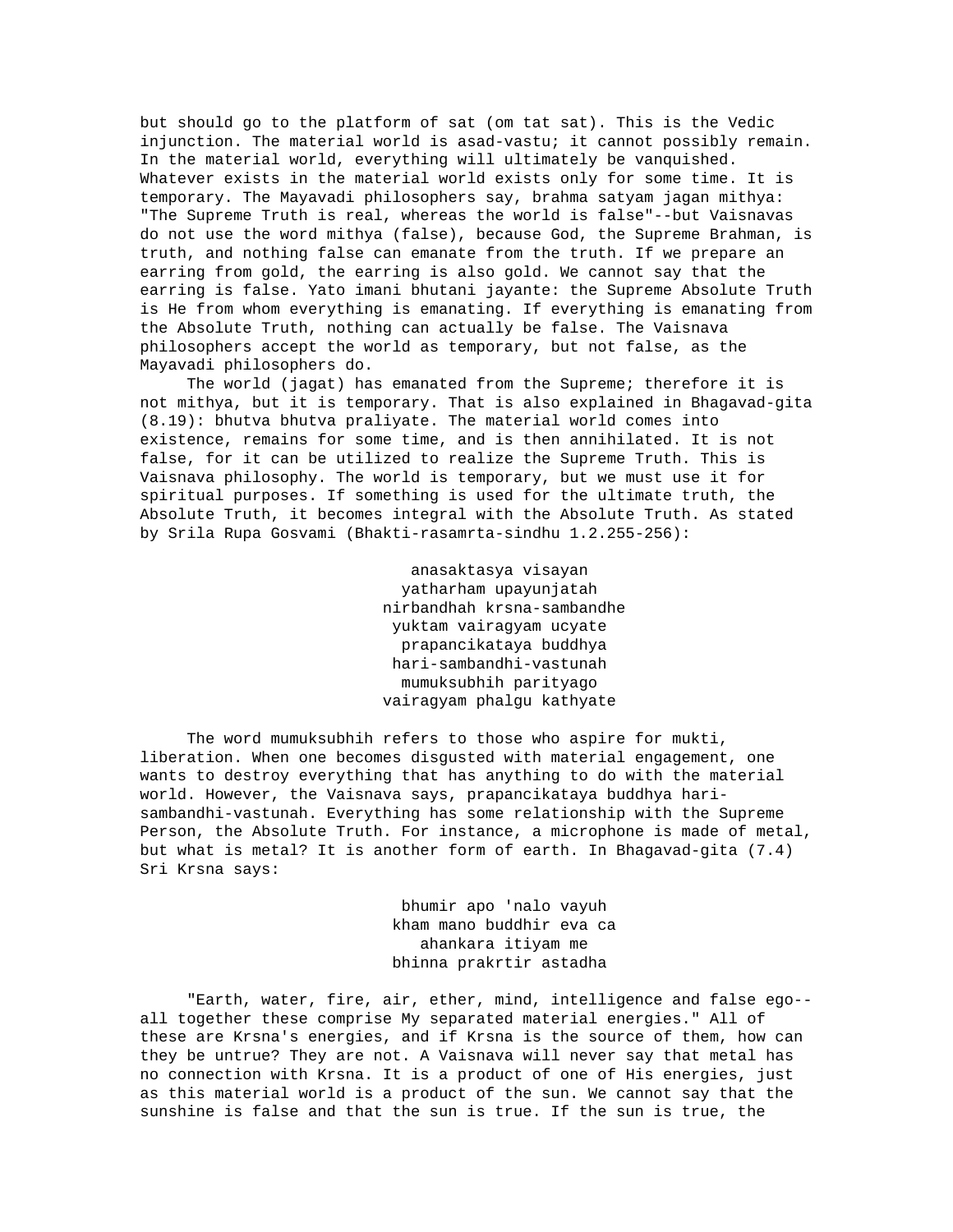but should go to the platform of sat (om tat sat). This is the Vedic injunction. The material world is asad-vastu; it cannot possibly remain. In the material world, everything will ultimately be vanquished. Whatever exists in the material world exists only for some time. It is temporary. The Mayavadi philosophers say, brahma satyam jagan mithya: "The Supreme Truth is real, whereas the world is false"--but Vaisnavas do not use the word mithya (false), because God, the Supreme Brahman, is truth, and nothing false can emanate from the truth. If we prepare an earring from gold, the earring is also gold. We cannot say that the earring is false. Yato imani bhutani jayante: the Supreme Absolute Truth is He from whom everything is emanating. If everything is emanating from the Absolute Truth, nothing can actually be false. The Vaisnava philosophers accept the world as temporary, but not false, as the Mayavadi philosophers do.

 The world (jagat) has emanated from the Supreme; therefore it is not mithya, but it is temporary. That is also explained in Bhagavad-gita (8.19): bhutva bhutva praliyate. The material world comes into existence, remains for some time, and is then annihilated. It is not false, for it can be utilized to realize the Supreme Truth. This is Vaisnava philosophy. The world is temporary, but we must use it for spiritual purposes. If something is used for the ultimate truth, the Absolute Truth, it becomes integral with the Absolute Truth. As stated by Srila Rupa Gosvami (Bhakti-rasamrta-sindhu 1.2.255-256):

> anasaktasya visayan yatharham upayunjatah nirbandhah krsna-sambandhe yuktam vairagyam ucyate prapancikataya buddhya hari-sambandhi-vastunah mumuksubhih parityago vairagyam phalgu kathyate

 The word mumuksubhih refers to those who aspire for mukti, liberation. When one becomes disgusted with material engagement, one wants to destroy everything that has anything to do with the material world. However, the Vaisnava says, prapancikataya buddhya harisambandhi-vastunah. Everything has some relationship with the Supreme Person, the Absolute Truth. For instance, a microphone is made of metal, but what is metal? It is another form of earth. In Bhagavad-gita (7.4) Sri Krsna says:

> bhumir apo 'nalo vayuh kham mano buddhir eva ca ahankara itiyam me bhinna prakrtir astadha

 "Earth, water, fire, air, ether, mind, intelligence and false ego- all together these comprise My separated material energies." All of these are Krsna's energies, and if Krsna is the source of them, how can they be untrue? They are not. A Vaisnava will never say that metal has no connection with Krsna. It is a product of one of His energies, just as this material world is a product of the sun. We cannot say that the sunshine is false and that the sun is true. If the sun is true, the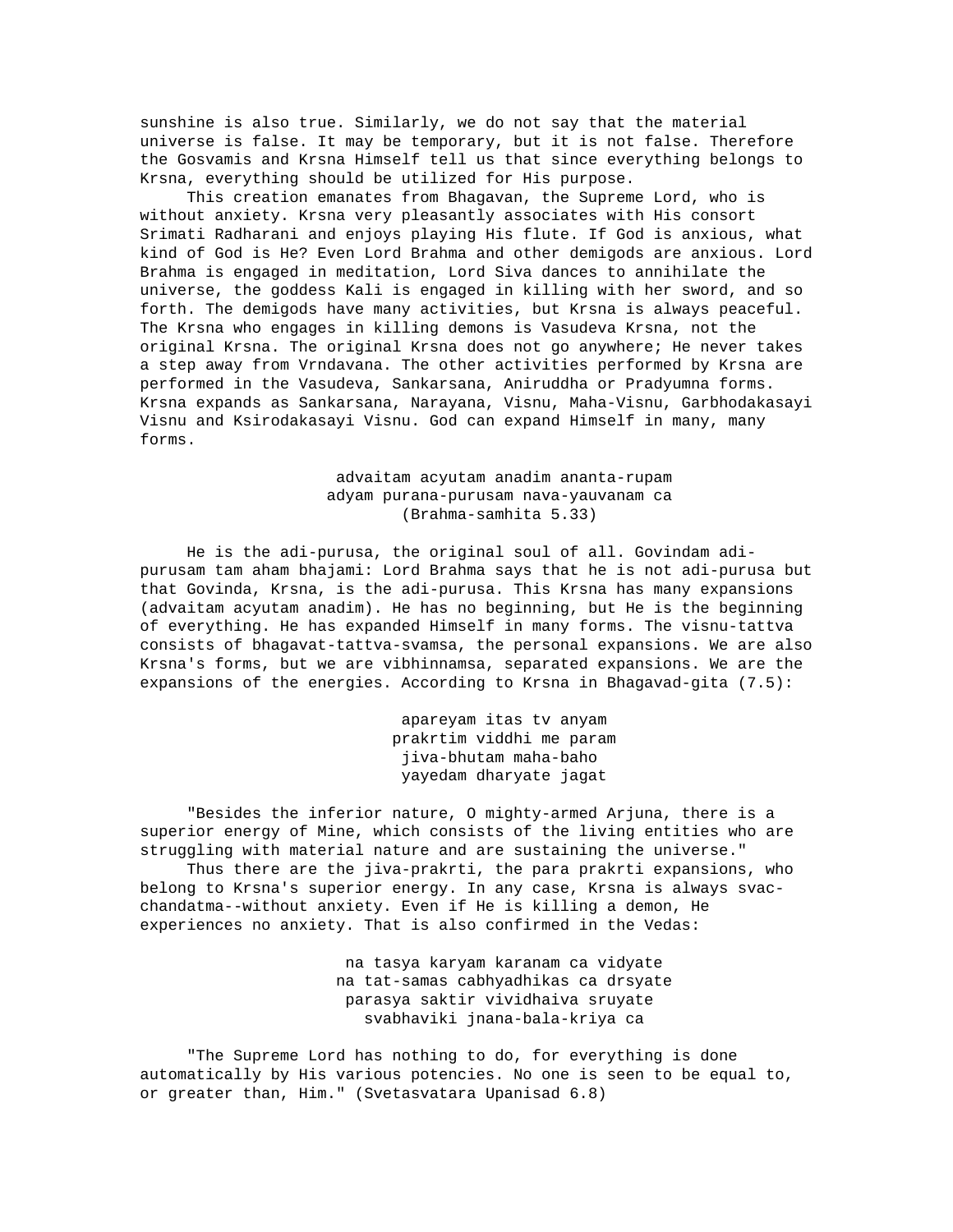sunshine is also true. Similarly, we do not say that the material universe is false. It may be temporary, but it is not false. Therefore the Gosvamis and Krsna Himself tell us that since everything belongs to Krsna, everything should be utilized for His purpose.

 This creation emanates from Bhagavan, the Supreme Lord, who is without anxiety. Krsna very pleasantly associates with His consort Srimati Radharani and enjoys playing His flute. If God is anxious, what kind of God is He? Even Lord Brahma and other demigods are anxious. Lord Brahma is engaged in meditation, Lord Siva dances to annihilate the universe, the goddess Kali is engaged in killing with her sword, and so forth. The demigods have many activities, but Krsna is always peaceful. The Krsna who engages in killing demons is Vasudeva Krsna, not the original Krsna. The original Krsna does not go anywhere; He never takes a step away from Vrndavana. The other activities performed by Krsna are performed in the Vasudeva, Sankarsana, Aniruddha or Pradyumna forms. Krsna expands as Sankarsana, Narayana, Visnu, Maha-Visnu, Garbhodakasayi Visnu and Ksirodakasayi Visnu. God can expand Himself in many, many forms.

> advaitam acyutam anadim ananta-rupam adyam purana-purusam nava-yauvanam ca (Brahma-samhita 5.33)

 He is the adi-purusa, the original soul of all. Govindam adipurusam tam aham bhajami: Lord Brahma says that he is not adi-purusa but that Govinda, Krsna, is the adi-purusa. This Krsna has many expansions (advaitam acyutam anadim). He has no beginning, but He is the beginning of everything. He has expanded Himself in many forms. The visnu-tattva consists of bhagavat-tattva-svamsa, the personal expansions. We are also Krsna's forms, but we are vibhinnamsa, separated expansions. We are the expansions of the energies. According to Krsna in Bhagavad-gita (7.5):

> apareyam itas tv anyam prakrtim viddhi me param jiva-bhutam maha-baho yayedam dharyate jagat

 "Besides the inferior nature, O mighty-armed Arjuna, there is a superior energy of Mine, which consists of the living entities who are struggling with material nature and are sustaining the universe."

 Thus there are the jiva-prakrti, the para prakrti expansions, who belong to Krsna's superior energy. In any case, Krsna is always svacchandatma--without anxiety. Even if He is killing a demon, He experiences no anxiety. That is also confirmed in the Vedas:

> na tasya karyam karanam ca vidyate na tat-samas cabhyadhikas ca drsyate parasya saktir vividhaiva sruyate svabhaviki jnana-bala-kriya ca

 "The Supreme Lord has nothing to do, for everything is done automatically by His various potencies. No one is seen to be equal to, or greater than, Him." (Svetasvatara Upanisad 6.8)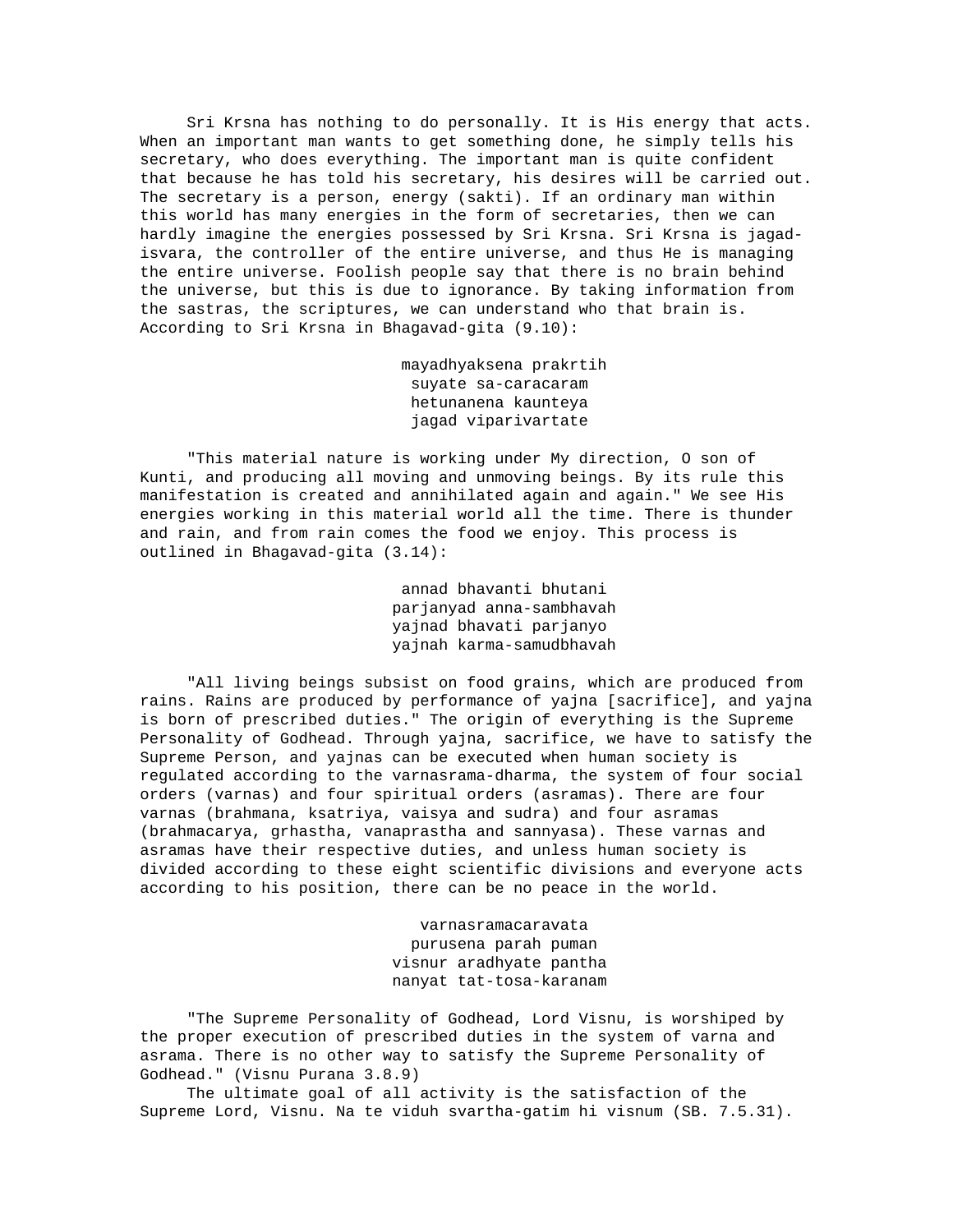Sri Krsna has nothing to do personally. It is His energy that acts. When an important man wants to get something done, he simply tells his secretary, who does everything. The important man is quite confident that because he has told his secretary, his desires will be carried out. The secretary is a person, energy (sakti). If an ordinary man within this world has many energies in the form of secretaries, then we can hardly imagine the energies possessed by Sri Krsna. Sri Krsna is jagadisvara, the controller of the entire universe, and thus He is managing the entire universe. Foolish people say that there is no brain behind the universe, but this is due to ignorance. By taking information from the sastras, the scriptures, we can understand who that brain is. According to Sri Krsna in Bhagavad-gita (9.10):

> mayadhyaksena prakrtih suyate sa-caracaram hetunanena kaunteya jagad viparivartate

 "This material nature is working under My direction, O son of Kunti, and producing all moving and unmoving beings. By its rule this manifestation is created and annihilated again and again." We see His energies working in this material world all the time. There is thunder and rain, and from rain comes the food we enjoy. This process is outlined in Bhagavad-gita (3.14):

> annad bhavanti bhutani parjanyad anna-sambhavah yajnad bhavati parjanyo yajnah karma-samudbhavah

 "All living beings subsist on food grains, which are produced from rains. Rains are produced by performance of yajna [sacrifice], and yajna is born of prescribed duties." The origin of everything is the Supreme Personality of Godhead. Through yajna, sacrifice, we have to satisfy the Supreme Person, and yajnas can be executed when human society is regulated according to the varnasrama-dharma, the system of four social orders (varnas) and four spiritual orders (asramas). There are four varnas (brahmana, ksatriya, vaisya and sudra) and four asramas (brahmacarya, grhastha, vanaprastha and sannyasa). These varnas and asramas have their respective duties, and unless human society is divided according to these eight scientific divisions and everyone acts according to his position, there can be no peace in the world.

> varnasramacaravata purusena parah puman visnur aradhyate pantha nanyat tat-tosa-karanam

 "The Supreme Personality of Godhead, Lord Visnu, is worshiped by the proper execution of prescribed duties in the system of varna and asrama. There is no other way to satisfy the Supreme Personality of Godhead." (Visnu Purana 3.8.9)

 The ultimate goal of all activity is the satisfaction of the Supreme Lord, Visnu. Na te viduh svartha-gatim hi visnum (SB. 7.5.31).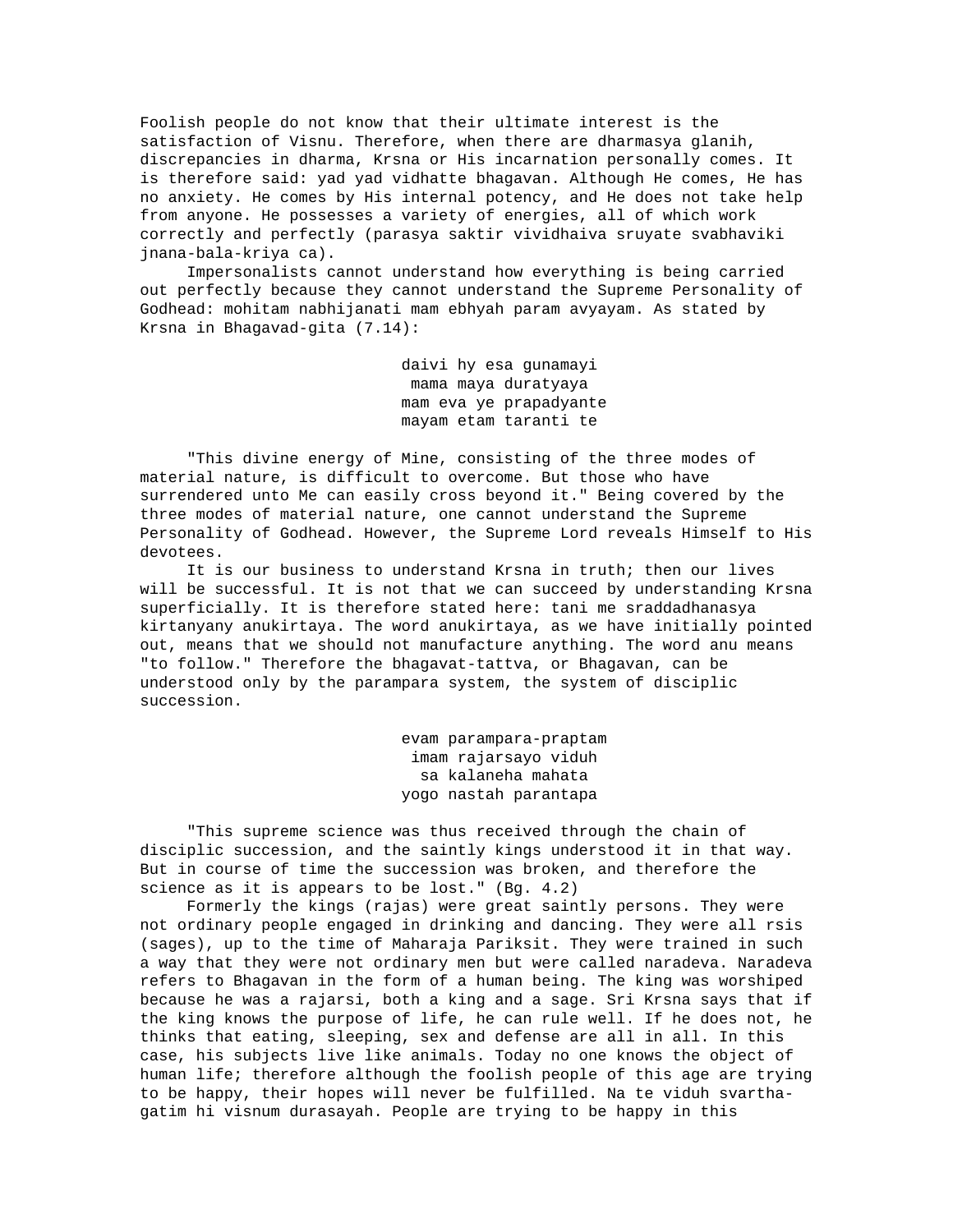Foolish people do not know that their ultimate interest is the satisfaction of Visnu. Therefore, when there are dharmasya glanih, discrepancies in dharma, Krsna or His incarnation personally comes. It is therefore said: yad yad vidhatte bhagavan. Although He comes, He has no anxiety. He comes by His internal potency, and He does not take help from anyone. He possesses a variety of energies, all of which work correctly and perfectly (parasya saktir vividhaiva sruyate svabhaviki jnana-bala-kriya ca).

 Impersonalists cannot understand how everything is being carried out perfectly because they cannot understand the Supreme Personality of Godhead: mohitam nabhijanati mam ebhyah param avyayam. As stated by Krsna in Bhagavad-gita (7.14):

> daivi hy esa gunamayi mama maya duratyaya mam eva ye prapadyante mayam etam taranti te

 "This divine energy of Mine, consisting of the three modes of material nature, is difficult to overcome. But those who have surrendered unto Me can easily cross beyond it." Being covered by the three modes of material nature, one cannot understand the Supreme Personality of Godhead. However, the Supreme Lord reveals Himself to His devotees.

 It is our business to understand Krsna in truth; then our lives will be successful. It is not that we can succeed by understanding Krsna superficially. It is therefore stated here: tani me sraddadhanasya kirtanyany anukirtaya. The word anukirtaya, as we have initially pointed out, means that we should not manufacture anything. The word anu means "to follow." Therefore the bhagavat-tattva, or Bhagavan, can be understood only by the parampara system, the system of disciplic succession.

> evam parampara-praptam imam rajarsayo viduh sa kalaneha mahata yogo nastah parantapa

 "This supreme science was thus received through the chain of disciplic succession, and the saintly kings understood it in that way. But in course of time the succession was broken, and therefore the science as it is appears to be lost." (Bg. 4.2)

 Formerly the kings (rajas) were great saintly persons. They were not ordinary people engaged in drinking and dancing. They were all rsis (sages), up to the time of Maharaja Pariksit. They were trained in such a way that they were not ordinary men but were called naradeva. Naradeva refers to Bhagavan in the form of a human being. The king was worshiped because he was a rajarsi, both a king and a sage. Sri Krsna says that if the king knows the purpose of life, he can rule well. If he does not, he thinks that eating, sleeping, sex and defense are all in all. In this case, his subjects live like animals. Today no one knows the object of human life; therefore although the foolish people of this age are trying to be happy, their hopes will never be fulfilled. Na te viduh svarthagatim hi visnum durasayah. People are trying to be happy in this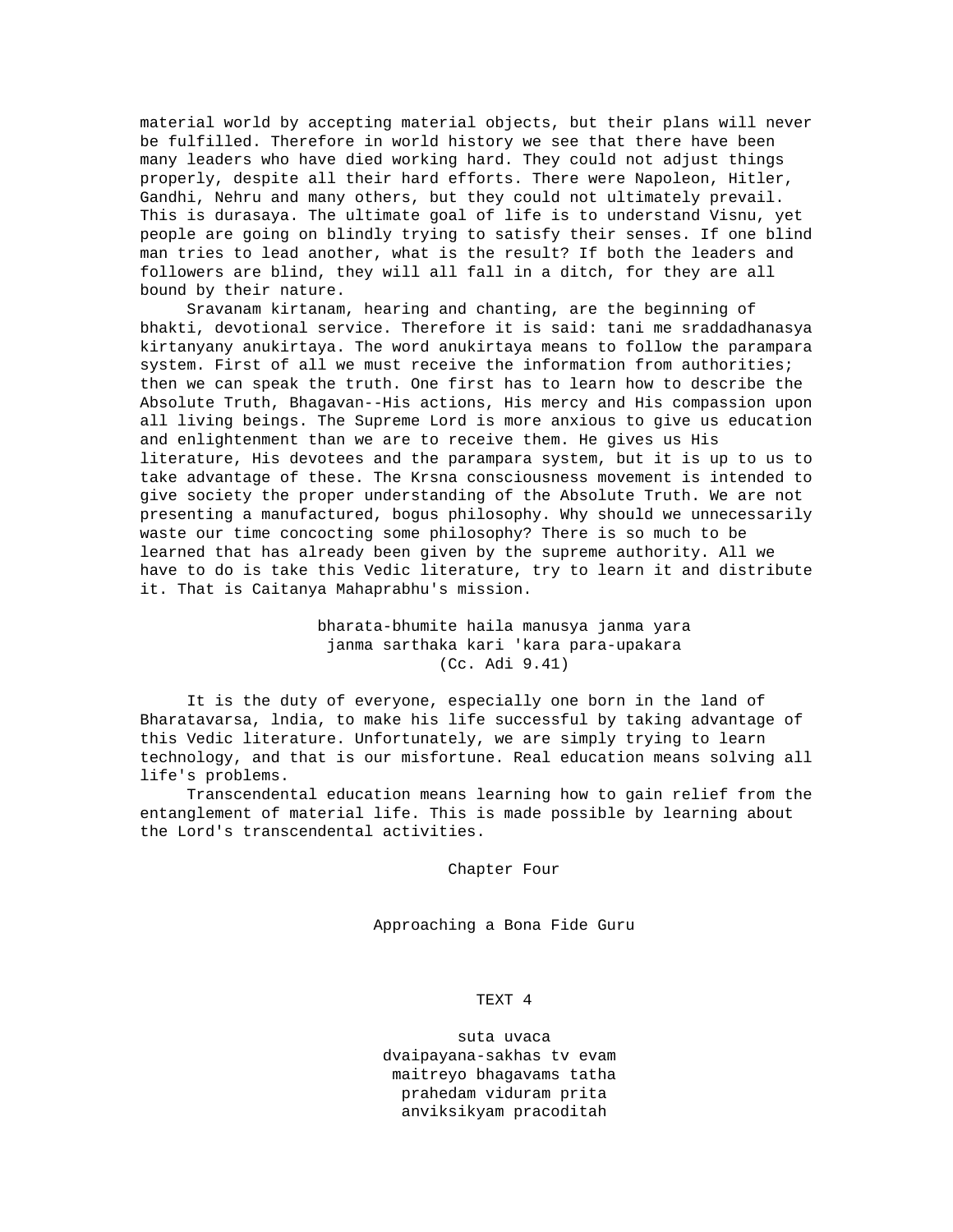material world by accepting material objects, but their plans will never be fulfilled. Therefore in world history we see that there have been many leaders who have died working hard. They could not adjust things properly, despite all their hard efforts. There were Napoleon, Hitler, Gandhi, Nehru and many others, but they could not ultimately prevail. This is durasaya. The ultimate goal of life is to understand Visnu, yet people are going on blindly trying to satisfy their senses. If one blind man tries to lead another, what is the result? If both the leaders and followers are blind, they will all fall in a ditch, for they are all bound by their nature.

 Sravanam kirtanam, hearing and chanting, are the beginning of bhakti, devotional service. Therefore it is said: tani me sraddadhanasya kirtanyany anukirtaya. The word anukirtaya means to follow the parampara system. First of all we must receive the information from authorities; then we can speak the truth. One first has to learn how to describe the Absolute Truth, Bhagavan--His actions, His mercy and His compassion upon all living beings. The Supreme Lord is more anxious to give us education and enlightenment than we are to receive them. He gives us His literature, His devotees and the parampara system, but it is up to us to take advantage of these. The Krsna consciousness movement is intended to give society the proper understanding of the Absolute Truth. We are not presenting a manufactured, bogus philosophy. Why should we unnecessarily waste our time concocting some philosophy? There is so much to be learned that has already been given by the supreme authority. All we have to do is take this Vedic literature, try to learn it and distribute it. That is Caitanya Mahaprabhu's mission.

# bharata-bhumite haila manusya janma yara janma sarthaka kari 'kara para-upakara (Cc. Adi 9.41)

 It is the duty of everyone, especially one born in the land of Bharatavarsa, lndia, to make his life successful by taking advantage of this Vedic literature. Unfortunately, we are simply trying to learn technology, and that is our misfortune. Real education means solving all life's problems.

 Transcendental education means learning how to gain relief from the entanglement of material life. This is made possible by learning about the Lord's transcendental activities.

Chapter Four

Approaching a Bona Fide Guru

# TEXT 4

 suta uvaca dvaipayana-sakhas tv evam maitreyo bhagavams tatha prahedam viduram prita anviksikyam pracoditah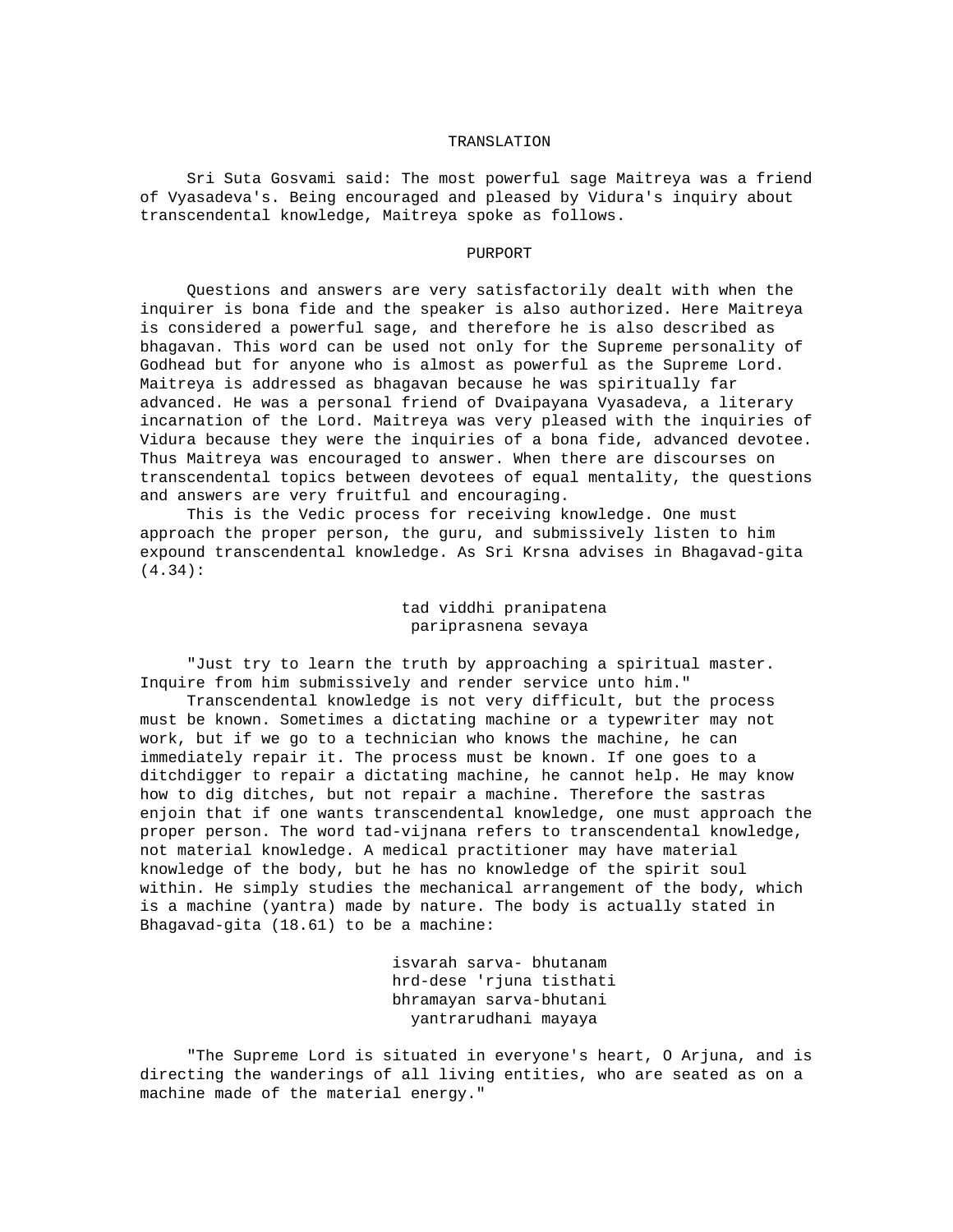### TRANSLATION

 Sri Suta Gosvami said: The most powerful sage Maitreya was a friend of Vyasadeva's. Being encouraged and pleased by Vidura's inquiry about transcendental knowledge, Maitreya spoke as follows.

#### PURPORT

 Questions and answers are very satisfactorily dealt with when the inquirer is bona fide and the speaker is also authorized. Here Maitreya is considered a powerful sage, and therefore he is also described as bhagavan. This word can be used not only for the Supreme personality of Godhead but for anyone who is almost as powerful as the Supreme Lord. Maitreya is addressed as bhagavan because he was spiritually far advanced. He was a personal friend of Dvaipayana Vyasadeva, a literary incarnation of the Lord. Maitreya was very pleased with the inquiries of Vidura because they were the inquiries of a bona fide, advanced devotee. Thus Maitreya was encouraged to answer. When there are discourses on transcendental topics between devotees of equal mentality, the questions and answers are very fruitful and encouraging.

 This is the Vedic process for receiving knowledge. One must approach the proper person, the guru, and submissively listen to him expound transcendental knowledge. As Sri Krsna advises in Bhagavad-gita (4.34):

# tad viddhi pranipatena pariprasnena sevaya

 "Just try to learn the truth by approaching a spiritual master. Inquire from him submissively and render service unto him."

 Transcendental knowledge is not very difficult, but the process must be known. Sometimes a dictating machine or a typewriter may not work, but if we go to a technician who knows the machine, he can immediately repair it. The process must be known. If one goes to a ditchdigger to repair a dictating machine, he cannot help. He may know how to dig ditches, but not repair a machine. Therefore the sastras enjoin that if one wants transcendental knowledge, one must approach the proper person. The word tad-vijnana refers to transcendental knowledge, not material knowledge. A medical practitioner may have material knowledge of the body, but he has no knowledge of the spirit soul within. He simply studies the mechanical arrangement of the body, which is a machine (yantra) made by nature. The body is actually stated in Bhagavad-gita (18.61) to be a machine:

> isvarah sarva- bhutanam hrd-dese 'rjuna tisthati bhramayan sarva-bhutani yantrarudhani mayaya

 "The Supreme Lord is situated in everyone's heart, O Arjuna, and is directing the wanderings of all living entities, who are seated as on a machine made of the material energy."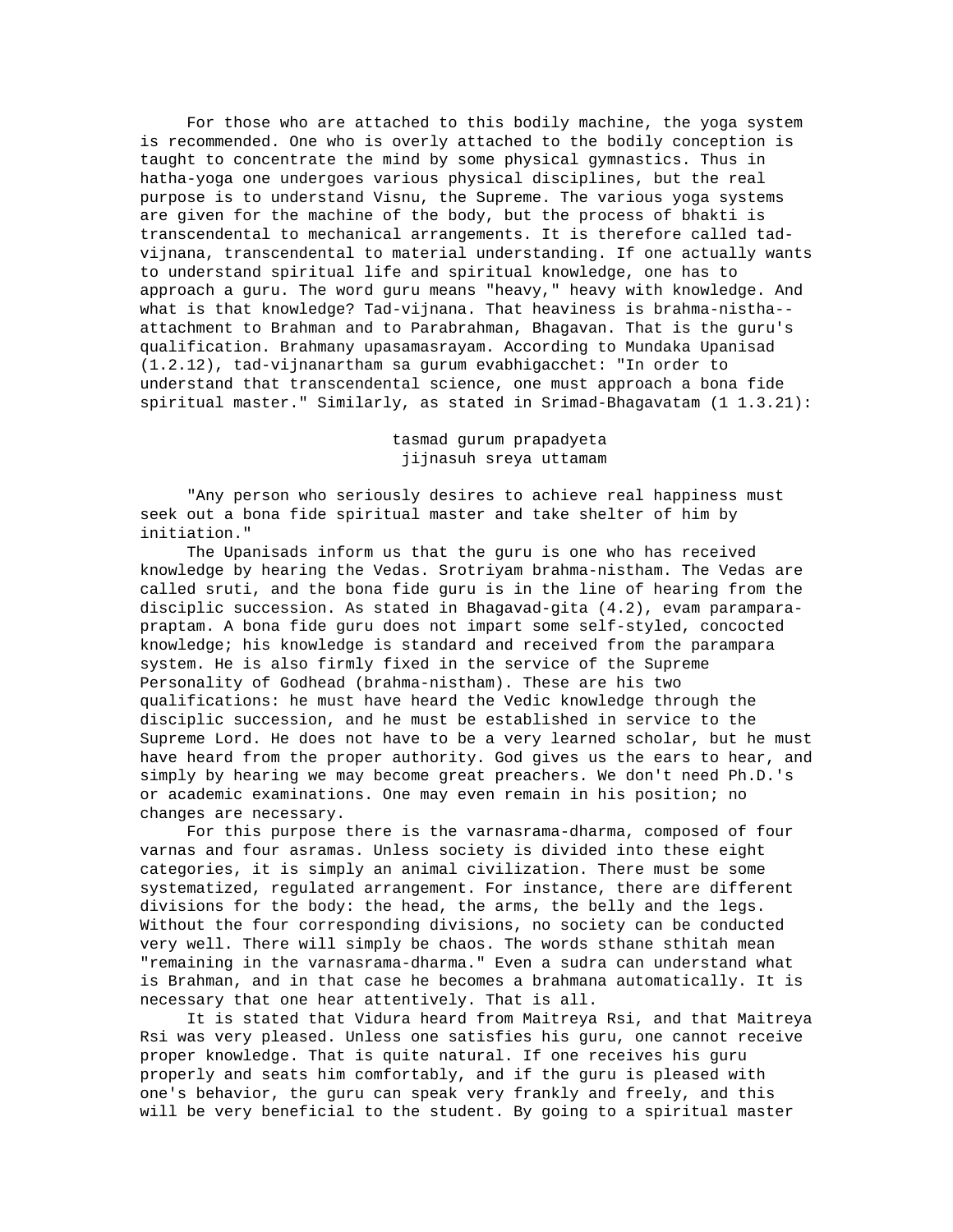For those who are attached to this bodily machine, the yoga system is recommended. One who is overly attached to the bodily conception is taught to concentrate the mind by some physical gymnastics. Thus in hatha-yoga one undergoes various physical disciplines, but the real purpose is to understand Visnu, the Supreme. The various yoga systems are given for the machine of the body, but the process of bhakti is transcendental to mechanical arrangements. It is therefore called tadvijnana, transcendental to material understanding. If one actually wants to understand spiritual life and spiritual knowledge, one has to approach a guru. The word guru means "heavy," heavy with knowledge. And what is that knowledge? Tad-vijnana. That heaviness is brahma-nistha- attachment to Brahman and to Parabrahman, Bhagavan. That is the guru's qualification. Brahmany upasamasrayam. According to Mundaka Upanisad (1.2.12), tad-vijnanartham sa gurum evabhigacchet: "In order to understand that transcendental science, one must approach a bona fide spiritual master." Similarly, as stated in Srimad-Bhagavatam (1 1.3.21):

> tasmad gurum prapadyeta jijnasuh sreya uttamam

 "Any person who seriously desires to achieve real happiness must seek out a bona fide spiritual master and take shelter of him by initiation."

 The Upanisads inform us that the guru is one who has received knowledge by hearing the Vedas. Srotriyam brahma-nistham. The Vedas are called sruti, and the bona fide guru is in the line of hearing from the disciplic succession. As stated in Bhagavad-gita (4.2), evam paramparapraptam. A bona fide guru does not impart some self-styled, concocted knowledge; his knowledge is standard and received from the parampara system. He is also firmly fixed in the service of the Supreme Personality of Godhead (brahma-nistham). These are his two qualifications: he must have heard the Vedic knowledge through the disciplic succession, and he must be established in service to the Supreme Lord. He does not have to be a very learned scholar, but he must have heard from the proper authority. God gives us the ears to hear, and simply by hearing we may become great preachers. We don't need Ph.D.'s or academic examinations. One may even remain in his position; no changes are necessary.

 For this purpose there is the varnasrama-dharma, composed of four varnas and four asramas. Unless society is divided into these eight categories, it is simply an animal civilization. There must be some systematized, regulated arrangement. For instance, there are different divisions for the body: the head, the arms, the belly and the legs. Without the four corresponding divisions, no society can be conducted very well. There will simply be chaos. The words sthane sthitah mean "remaining in the varnasrama-dharma." Even a sudra can understand what is Brahman, and in that case he becomes a brahmana automatically. It is necessary that one hear attentively. That is all.

 It is stated that Vidura heard from Maitreya Rsi, and that Maitreya Rsi was very pleased. Unless one satisfies his guru, one cannot receive proper knowledge. That is quite natural. If one receives his guru properly and seats him comfortably, and if the guru is pleased with one's behavior, the guru can speak very frankly and freely, and this will be very beneficial to the student. By going to a spiritual master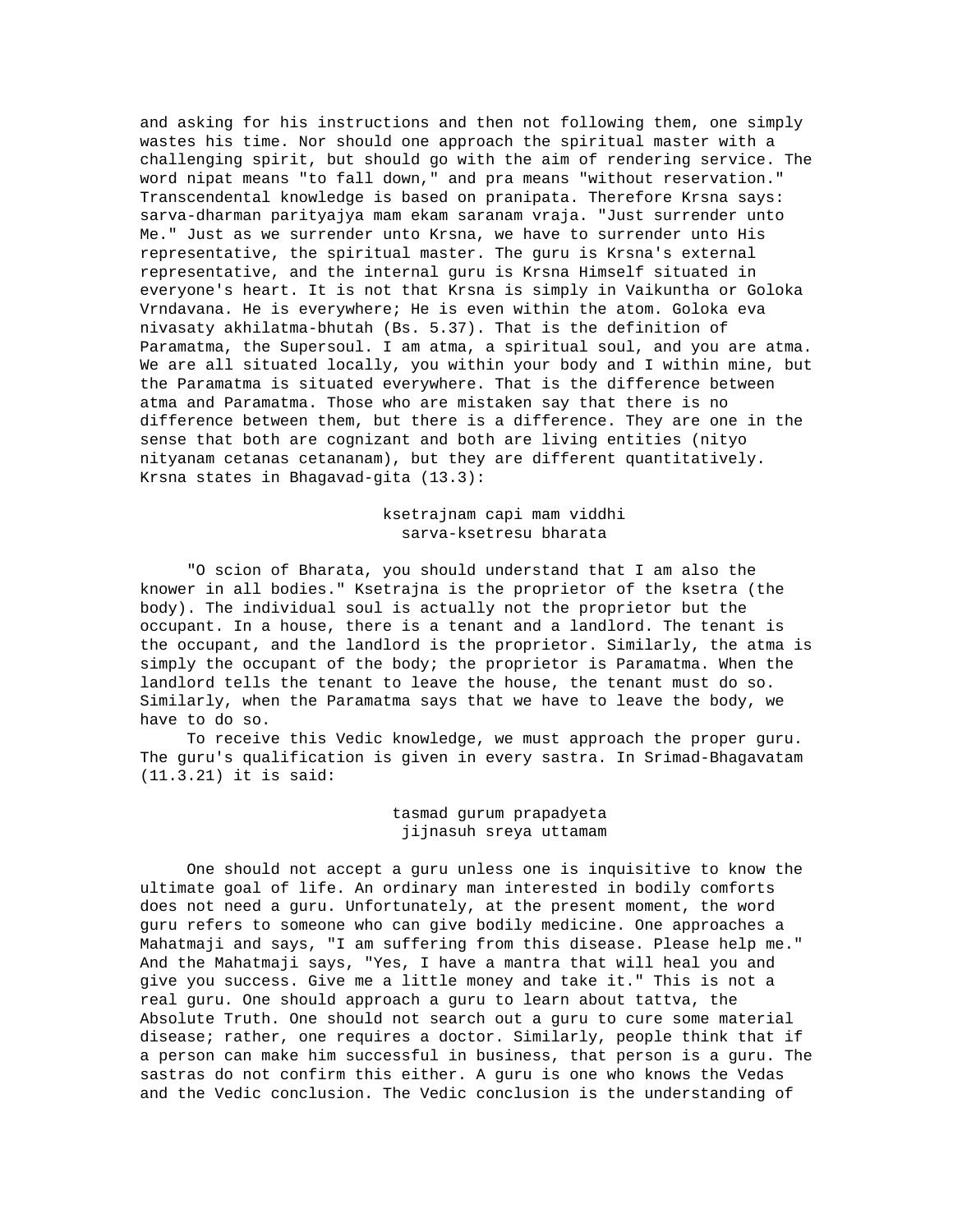and asking for his instructions and then not following them, one simply wastes his time. Nor should one approach the spiritual master with a challenging spirit, but should go with the aim of rendering service. The word nipat means "to fall down," and pra means "without reservation." Transcendental knowledge is based on pranipata. Therefore Krsna says: sarva-dharman parityajya mam ekam saranam vraja. "Just surrender unto Me." Just as we surrender unto Krsna, we have to surrender unto His representative, the spiritual master. The guru is Krsna's external representative, and the internal guru is Krsna Himself situated in everyone's heart. It is not that Krsna is simply in Vaikuntha or Goloka Vrndavana. He is everywhere; He is even within the atom. Goloka eva nivasaty akhilatma-bhutah (Bs. 5.37). That is the definition of Paramatma, the Supersoul. I am atma, a spiritual soul, and you are atma. We are all situated locally, you within your body and I within mine, but the Paramatma is situated everywhere. That is the difference between atma and Paramatma. Those who are mistaken say that there is no difference between them, but there is a difference. They are one in the sense that both are cognizant and both are living entities (nityo nityanam cetanas cetananam), but they are different quantitatively. Krsna states in Bhagavad-gita (13.3):

# ksetrajnam capi mam viddhi sarva-ksetresu bharata

 "O scion of Bharata, you should understand that I am also the knower in all bodies." Ksetrajna is the proprietor of the ksetra (the body). The individual soul is actually not the proprietor but the occupant. In a house, there is a tenant and a landlord. The tenant is the occupant, and the landlord is the proprietor. Similarly, the atma is simply the occupant of the body; the proprietor is Paramatma. When the landlord tells the tenant to leave the house, the tenant must do so. Similarly, when the Paramatma says that we have to leave the body, we have to do so.

 To receive this Vedic knowledge, we must approach the proper guru. The guru's qualification is given in every sastra. In Srimad-Bhagavatam (11.3.21) it is said:

# tasmad gurum prapadyeta jijnasuh sreya uttamam

 One should not accept a guru unless one is inquisitive to know the ultimate goal of life. An ordinary man interested in bodily comforts does not need a guru. Unfortunately, at the present moment, the word guru refers to someone who can give bodily medicine. One approaches a Mahatmaji and says, "I am suffering from this disease. Please help me." And the Mahatmaji says, "Yes, I have a mantra that will heal you and give you success. Give me a little money and take it." This is not a real guru. One should approach a guru to learn about tattva, the Absolute Truth. One should not search out a guru to cure some material disease; rather, one requires a doctor. Similarly, people think that if a person can make him successful in business, that person is a guru. The sastras do not confirm this either. A guru is one who knows the Vedas and the Vedic conclusion. The Vedic conclusion is the understanding of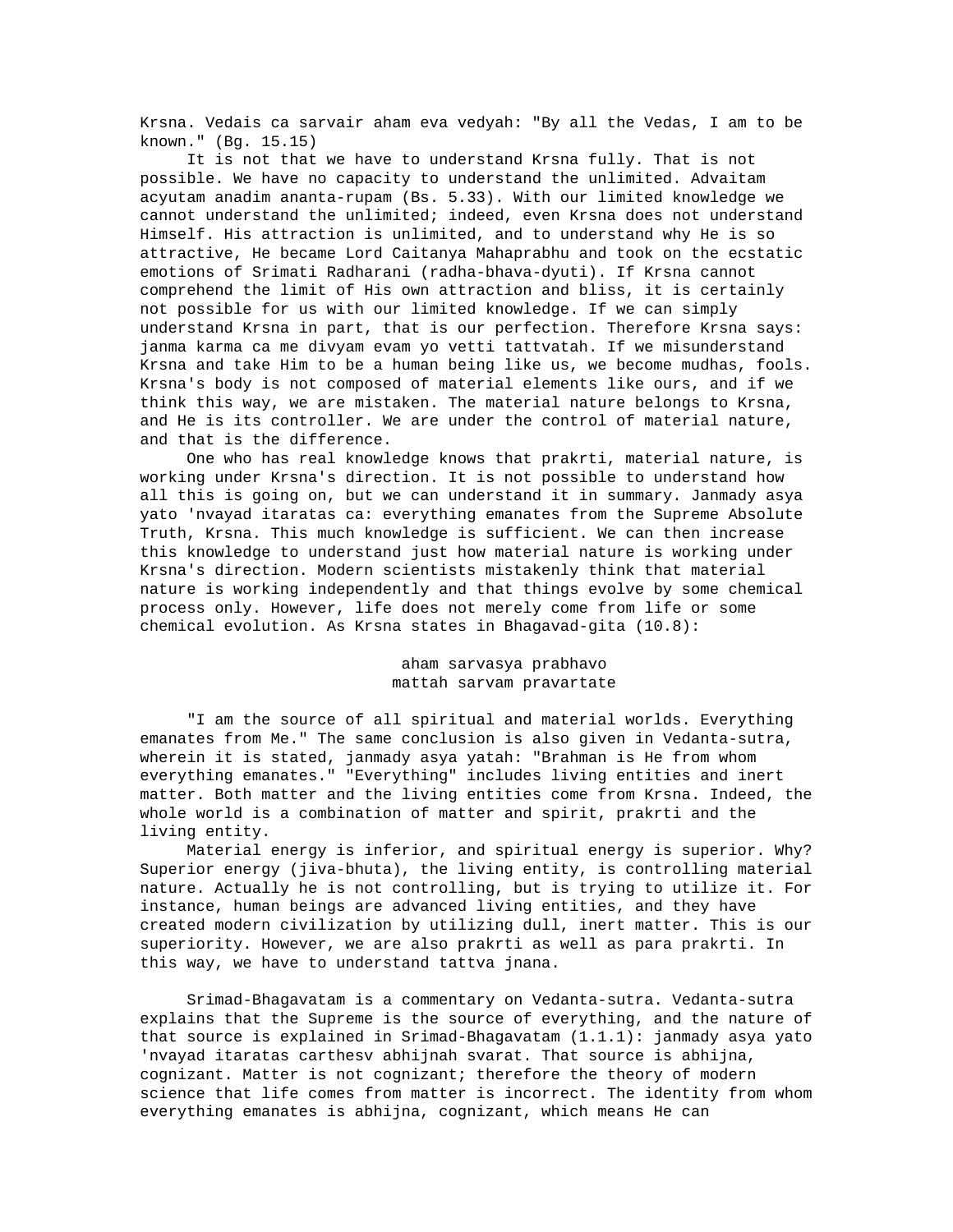Krsna. Vedais ca sarvair aham eva vedyah: "By all the Vedas, I am to be known." (Bg. 15.15)

 It is not that we have to understand Krsna fully. That is not possible. We have no capacity to understand the unlimited. Advaitam acyutam anadim ananta-rupam (Bs. 5.33). With our limited knowledge we cannot understand the unlimited; indeed, even Krsna does not understand Himself. His attraction is unlimited, and to understand why He is so attractive, He became Lord Caitanya Mahaprabhu and took on the ecstatic emotions of Srimati Radharani (radha-bhava-dyuti). If Krsna cannot comprehend the limit of His own attraction and bliss, it is certainly not possible for us with our limited knowledge. If we can simply understand Krsna in part, that is our perfection. Therefore Krsna says: janma karma ca me divyam evam yo vetti tattvatah. If we misunderstand Krsna and take Him to be a human being like us, we become mudhas, fools. Krsna's body is not composed of material elements like ours, and if we think this way, we are mistaken. The material nature belongs to Krsna, and He is its controller. We are under the control of material nature, and that is the difference.

 One who has real knowledge knows that prakrti, material nature, is working under Krsna's direction. It is not possible to understand how all this is going on, but we can understand it in summary. Janmady asya yato 'nvayad itaratas ca: everything emanates from the Supreme Absolute Truth, Krsna. This much knowledge is sufficient. We can then increase this knowledge to understand just how material nature is working under Krsna's direction. Modern scientists mistakenly think that material nature is working independently and that things evolve by some chemical process only. However, life does not merely come from life or some chemical evolution. As Krsna states in Bhagavad-gita (10.8):

> aham sarvasya prabhavo mattah sarvam pravartate

 "I am the source of all spiritual and material worlds. Everything emanates from Me." The same conclusion is also given in Vedanta-sutra, wherein it is stated, janmady asya yatah: "Brahman is He from whom everything emanates." "Everything" includes living entities and inert matter. Both matter and the living entities come from Krsna. Indeed, the whole world is a combination of matter and spirit, prakrti and the living entity.

 Material energy is inferior, and spiritual energy is superior. Why? Superior energy (jiva-bhuta), the living entity, is controlling material nature. Actually he is not controlling, but is trying to utilize it. For instance, human beings are advanced living entities, and they have created modern civilization by utilizing dull, inert matter. This is our superiority. However, we are also prakrti as well as para prakrti. In this way, we have to understand tattva jnana.

 Srimad-Bhagavatam is a commentary on Vedanta-sutra. Vedanta-sutra explains that the Supreme is the source of everything, and the nature of that source is explained in Srimad-Bhagavatam  $(1.1.1)$ : janmady asya yato 'nvayad itaratas carthesv abhijnah svarat. That source is abhijna, cognizant. Matter is not cognizant; therefore the theory of modern science that life comes from matter is incorrect. The identity from whom everything emanates is abhijna, cognizant, which means He can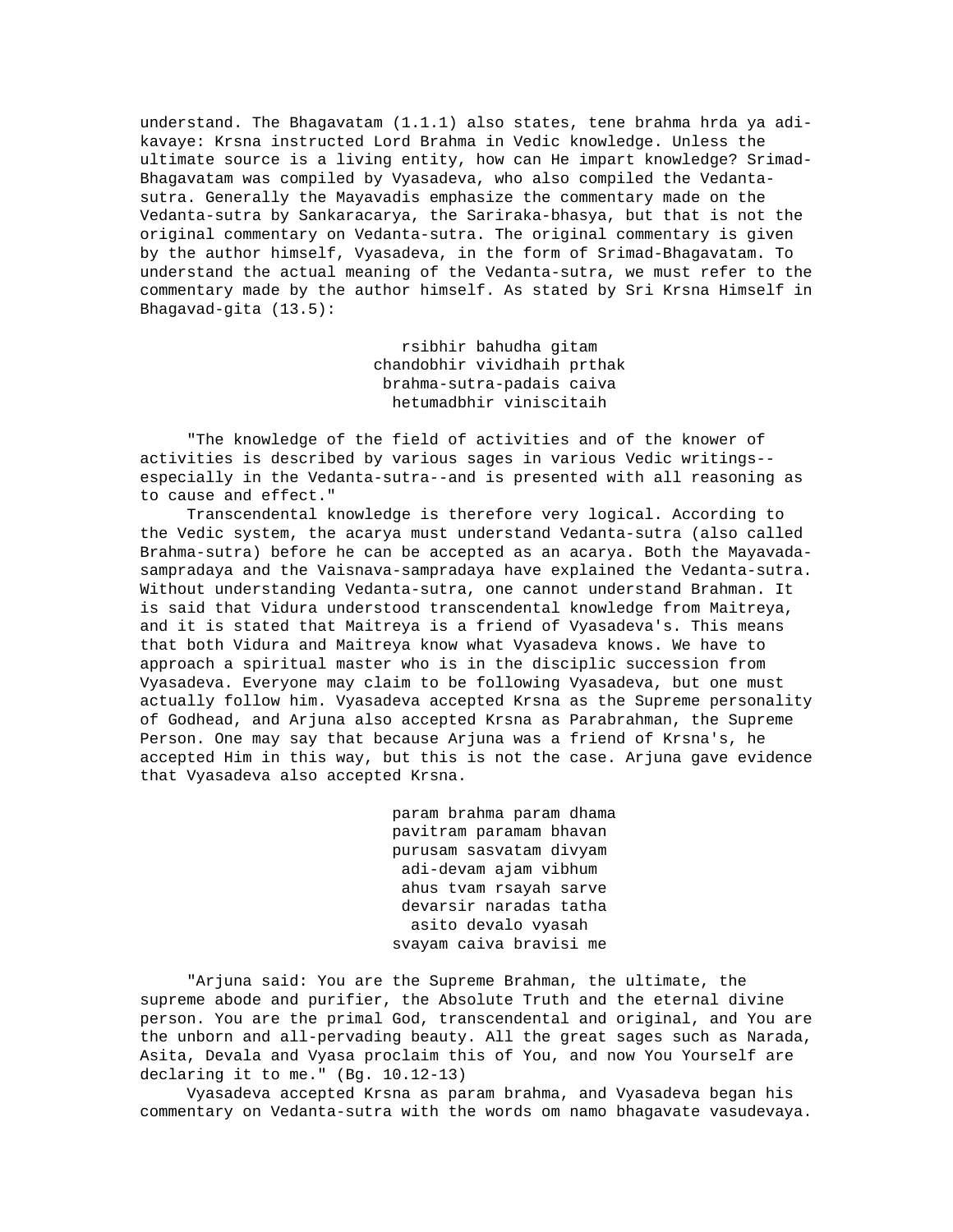understand. The Bhagavatam (1.1.1) also states, tene brahma hrda ya adikavaye: Krsna instructed Lord Brahma in Vedic knowledge. Unless the ultimate source is a living entity, how can He impart knowledge? Srimad-Bhagavatam was compiled by Vyasadeva, who also compiled the Vedantasutra. Generally the Mayavadis emphasize the commentary made on the Vedanta-sutra by Sankaracarya, the Sariraka-bhasya, but that is not the original commentary on Vedanta-sutra. The original commentary is given by the author himself, Vyasadeva, in the form of Srimad-Bhagavatam. To understand the actual meaning of the Vedanta-sutra, we must refer to the commentary made by the author himself. As stated by Sri Krsna Himself in Bhagavad-gita (13.5):

> rsibhir bahudha gitam chandobhir vividhaih prthak brahma-sutra-padais caiva hetumadbhir viniscitaih

 "The knowledge of the field of activities and of the knower of activities is described by various sages in various Vedic writings- especially in the Vedanta-sutra--and is presented with all reasoning as to cause and effect."

 Transcendental knowledge is therefore very logical. According to the Vedic system, the acarya must understand Vedanta-sutra (also called Brahma-sutra) before he can be accepted as an acarya. Both the Mayavadasampradaya and the Vaisnava-sampradaya have explained the Vedanta-sutra. Without understanding Vedanta-sutra, one cannot understand Brahman. It is said that Vidura understood transcendental knowledge from Maitreya, and it is stated that Maitreya is a friend of Vyasadeva's. This means that both Vidura and Maitreya know what Vyasadeva knows. We have to approach a spiritual master who is in the disciplic succession from Vyasadeva. Everyone may claim to be following Vyasadeva, but one must actually follow him. Vyasadeva accepted Krsna as the Supreme personality of Godhead, and Arjuna also accepted Krsna as Parabrahman, the Supreme Person. One may say that because Arjuna was a friend of Krsna's, he accepted Him in this way, but this is not the case. Arjuna gave evidence that Vyasadeva also accepted Krsna.

> param brahma param dhama pavitram paramam bhavan purusam sasvatam divyam adi-devam ajam vibhum ahus tvam rsayah sarve devarsir naradas tatha asito devalo vyasah svayam caiva bravisi me

 "Arjuna said: You are the Supreme Brahman, the ultimate, the supreme abode and purifier, the Absolute Truth and the eternal divine person. You are the primal God, transcendental and original, and You are the unborn and all-pervading beauty. All the great sages such as Narada, Asita, Devala and Vyasa proclaim this of You, and now You Yourself are declaring it to me." (Bg. 10.12-13)

 Vyasadeva accepted Krsna as param brahma, and Vyasadeva began his commentary on Vedanta-sutra with the words om namo bhagavate vasudevaya.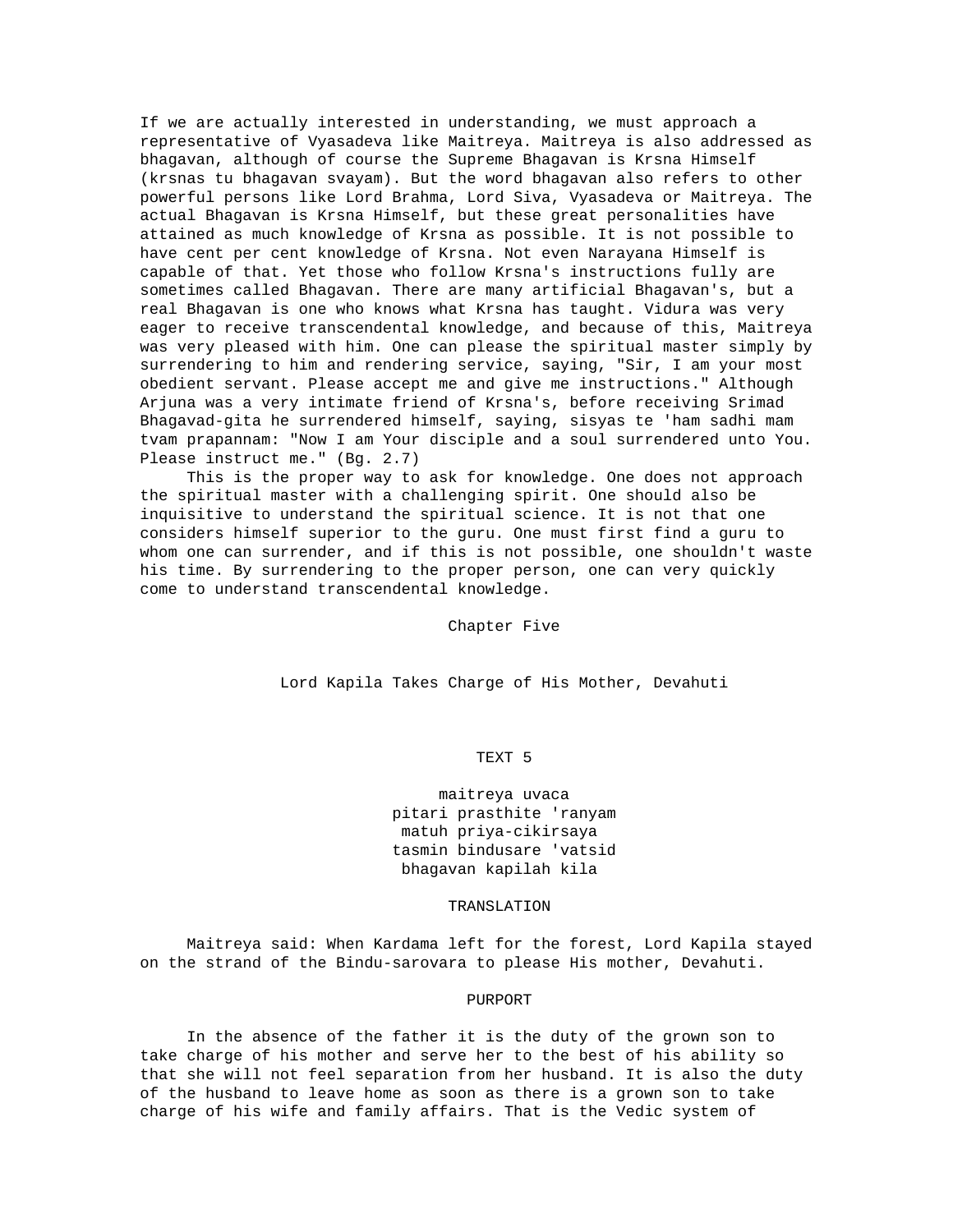If we are actually interested in understanding, we must approach a representative of Vyasadeva like Maitreya. Maitreya is also addressed as bhagavan, although of course the Supreme Bhagavan is Krsna Himself (krsnas tu bhagavan svayam). But the word bhagavan also refers to other powerful persons like Lord Brahma, Lord Siva, Vyasadeva or Maitreya. The actual Bhagavan is Krsna Himself, but these great personalities have attained as much knowledge of Krsna as possible. It is not possible to have cent per cent knowledge of Krsna. Not even Narayana Himself is capable of that. Yet those who follow Krsna's instructions fully are sometimes called Bhagavan. There are many artificial Bhagavan's, but a real Bhagavan is one who knows what Krsna has taught. Vidura was very eager to receive transcendental knowledge, and because of this, Maitreya was very pleased with him. One can please the spiritual master simply by surrendering to him and rendering service, saying, "Sir, I am your most obedient servant. Please accept me and give me instructions." Although Arjuna was a very intimate friend of Krsna's, before receiving Srimad Bhagavad-gita he surrendered himself, saying, sisyas te 'ham sadhi mam tvam prapannam: "Now I am Your disciple and a soul surrendered unto You. Please instruct me." (Bg. 2.7)

 This is the proper way to ask for knowledge. One does not approach the spiritual master with a challenging spirit. One should also be inquisitive to understand the spiritual science. It is not that one considers himself superior to the guru. One must first find a guru to whom one can surrender, and if this is not possible, one shouldn't waste his time. By surrendering to the proper person, one can very quickly come to understand transcendental knowledge.

Chapter Five

Lord Kapila Takes Charge of His Mother, Devahuti

### TEXT 5

 maitreya uvaca pitari prasthite 'ranyam matuh priya-cikirsaya tasmin bindusare 'vatsid bhagavan kapilah kila

#### TRANSLATION

 Maitreya said: When Kardama left for the forest, Lord Kapila stayed on the strand of the Bindu-sarovara to please His mother, Devahuti.

#### PURPORT

 In the absence of the father it is the duty of the grown son to take charge of his mother and serve her to the best of his ability so that she will not feel separation from her husband. It is also the duty of the husband to leave home as soon as there is a grown son to take charge of his wife and family affairs. That is the Vedic system of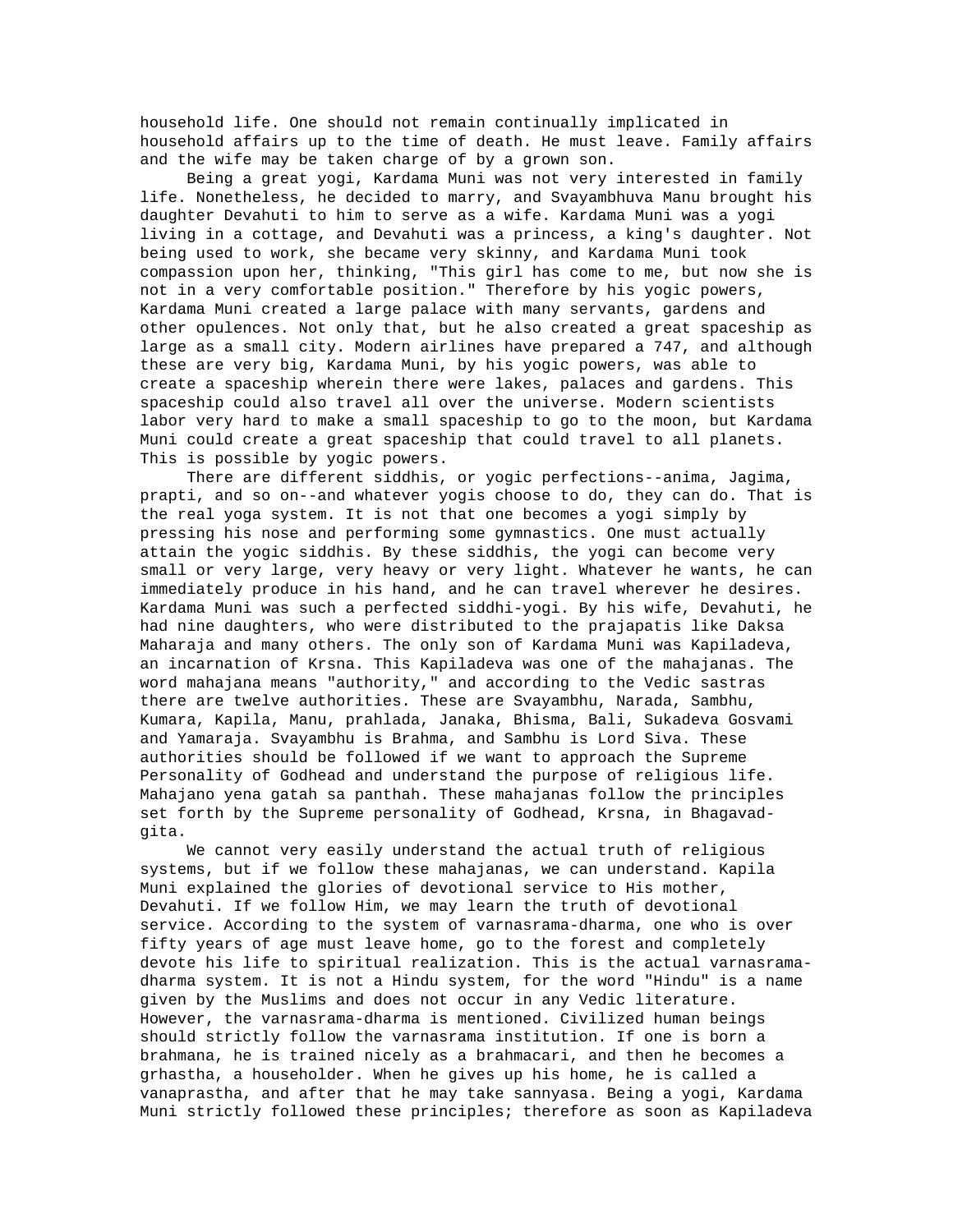household life. One should not remain continually implicated in household affairs up to the time of death. He must leave. Family affairs and the wife may be taken charge of by a grown son.

 Being a great yogi, Kardama Muni was not very interested in family life. Nonetheless, he decided to marry, and Svayambhuva Manu brought his daughter Devahuti to him to serve as a wife. Kardama Muni was a yogi living in a cottage, and Devahuti was a princess, a king's daughter. Not being used to work, she became very skinny, and Kardama Muni took compassion upon her, thinking, "This girl has come to me, but now she is not in a very comfortable position." Therefore by his yogic powers, Kardama Muni created a large palace with many servants, gardens and other opulences. Not only that, but he also created a great spaceship as large as a small city. Modern airlines have prepared a 747, and although these are very big, Kardama Muni, by his yogic powers, was able to create a spaceship wherein there were lakes, palaces and gardens. This spaceship could also travel all over the universe. Modern scientists labor very hard to make a small spaceship to go to the moon, but Kardama Muni could create a great spaceship that could travel to all planets. This is possible by yogic powers.

 There are different siddhis, or yogic perfections--anima, Jagima, prapti, and so on--and whatever yogis choose to do, they can do. That is the real yoga system. It is not that one becomes a yogi simply by pressing his nose and performing some gymnastics. One must actually attain the yogic siddhis. By these siddhis, the yogi can become very small or very large, very heavy or very light. Whatever he wants, he can immediately produce in his hand, and he can travel wherever he desires. Kardama Muni was such a perfected siddhi-yogi. By his wife, Devahuti, he had nine daughters, who were distributed to the prajapatis like Daksa Maharaja and many others. The only son of Kardama Muni was Kapiladeva, an incarnation of Krsna. This Kapiladeva was one of the mahajanas. The word mahajana means "authority," and according to the Vedic sastras there are twelve authorities. These are Svayambhu, Narada, Sambhu, Kumara, Kapila, Manu, prahlada, Janaka, Bhisma, Bali, Sukadeva Gosvami and Yamaraja. Svayambhu is Brahma, and Sambhu is Lord Siva. These authorities should be followed if we want to approach the Supreme Personality of Godhead and understand the purpose of religious life. Mahajano yena gatah sa panthah. These mahajanas follow the principles set forth by the Supreme personality of Godhead, Krsna, in Bhagavadgita.

 We cannot very easily understand the actual truth of religious systems, but if we follow these mahajanas, we can understand. Kapila Muni explained the glories of devotional service to His mother, Devahuti. If we follow Him, we may learn the truth of devotional service. According to the system of varnasrama-dharma, one who is over fifty years of age must leave home, go to the forest and completely devote his life to spiritual realization. This is the actual varnasramadharma system. It is not a Hindu system, for the word "Hindu" is a name given by the Muslims and does not occur in any Vedic literature. However, the varnasrama-dharma is mentioned. Civilized human beings should strictly follow the varnasrama institution. If one is born a brahmana, he is trained nicely as a brahmacari, and then he becomes a grhastha, a householder. When he gives up his home, he is called a vanaprastha, and after that he may take sannyasa. Being a yogi, Kardama Muni strictly followed these principles; therefore as soon as Kapiladeva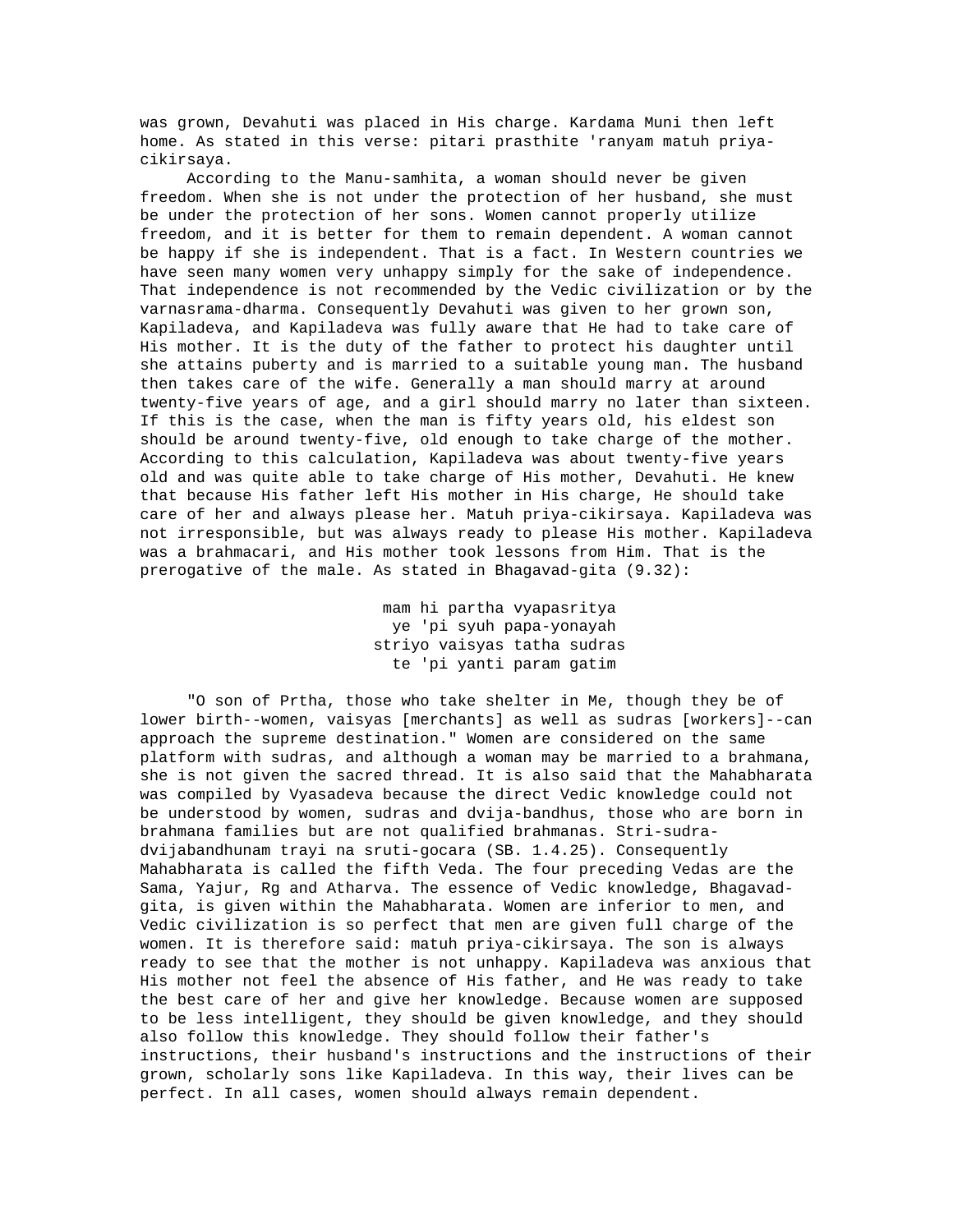was grown, Devahuti was placed in His charge. Kardama Muni then left home. As stated in this verse: pitari prasthite 'ranyam matuh priyacikirsaya.

 According to the Manu-samhita, a woman should never be given freedom. When she is not under the protection of her husband, she must be under the protection of her sons. Women cannot properly utilize freedom, and it is better for them to remain dependent. A woman cannot be happy if she is independent. That is a fact. In Western countries we have seen many women very unhappy simply for the sake of independence. That independence is not recommended by the Vedic civilization or by the varnasrama-dharma. Consequently Devahuti was given to her grown son, Kapiladeva, and Kapiladeva was fully aware that He had to take care of His mother. It is the duty of the father to protect his daughter until she attains puberty and is married to a suitable young man. The husband then takes care of the wife. Generally a man should marry at around twenty-five years of age, and a girl should marry no later than sixteen. If this is the case, when the man is fifty years old, his eldest son should be around twenty-five, old enough to take charge of the mother. According to this calculation, Kapiladeva was about twenty-five years old and was quite able to take charge of His mother, Devahuti. He knew that because His father left His mother in His charge, He should take care of her and always please her. Matuh priya-cikirsaya. Kapiladeva was not irresponsible, but was always ready to please His mother. Kapiladeva was a brahmacari, and His mother took lessons from Him. That is the prerogative of the male. As stated in Bhagavad-gita (9.32):

> mam hi partha vyapasritya ye 'pi syuh papa-yonayah striyo vaisyas tatha sudras te 'pi yanti param gatim

 "O son of Prtha, those who take shelter in Me, though they be of lower birth--women, vaisyas [merchants] as well as sudras [workers]--can approach the supreme destination." Women are considered on the same platform with sudras, and although a woman may be married to a brahmana, she is not given the sacred thread. It is also said that the Mahabharata was compiled by Vyasadeva because the direct Vedic knowledge could not be understood by women, sudras and dvija-bandhus, those who are born in brahmana families but are not qualified brahmanas. Stri-sudradvijabandhunam trayi na sruti-gocara (SB. 1.4.25). Consequently Mahabharata is called the fifth Veda. The four preceding Vedas are the Sama, Yajur, Rg and Atharva. The essence of Vedic knowledge, Bhagavadgita, is given within the Mahabharata. Women are inferior to men, and Vedic civilization is so perfect that men are given full charge of the women. It is therefore said: matuh priya-cikirsaya. The son is always ready to see that the mother is not unhappy. Kapiladeva was anxious that His mother not feel the absence of His father, and He was ready to take the best care of her and give her knowledge. Because women are supposed to be less intelligent, they should be given knowledge, and they should also follow this knowledge. They should follow their father's instructions, their husband's instructions and the instructions of their grown, scholarly sons like Kapiladeva. In this way, their lives can be perfect. In all cases, women should always remain dependent.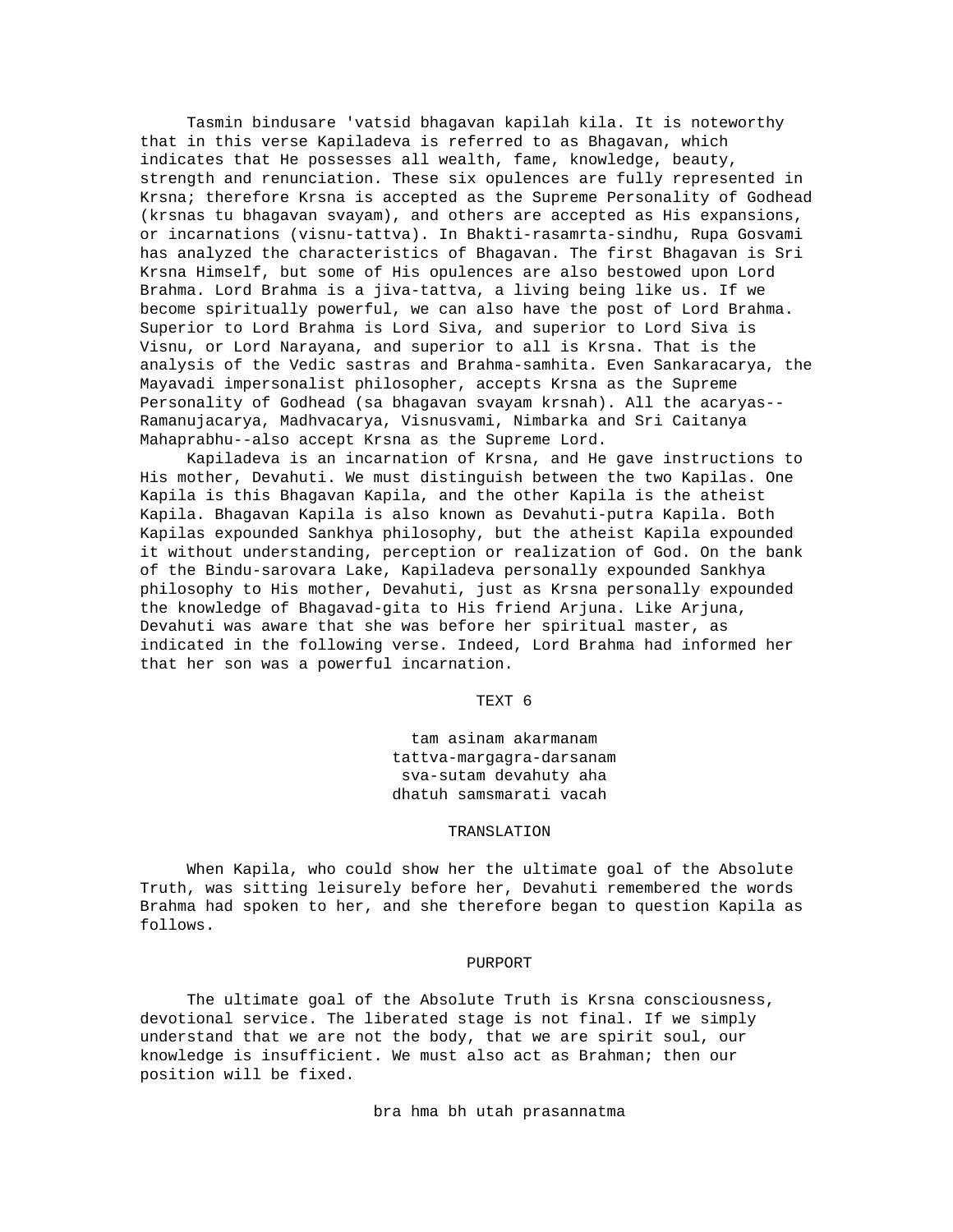Tasmin bindusare 'vatsid bhagavan kapilah kila. It is noteworthy that in this verse Kapiladeva is referred to as Bhagavan, which indicates that He possesses all wealth, fame, knowledge, beauty, strength and renunciation. These six opulences are fully represented in Krsna; therefore Krsna is accepted as the Supreme Personality of Godhead (krsnas tu bhagavan svayam), and others are accepted as His expansions, or incarnations (visnu-tattva). In Bhakti-rasamrta-sindhu, Rupa Gosvami has analyzed the characteristics of Bhagavan. The first Bhagavan is Sri Krsna Himself, but some of His opulences are also bestowed upon Lord Brahma. Lord Brahma is a jiva-tattva, a living being like us. If we become spiritually powerful, we can also have the post of Lord Brahma. Superior to Lord Brahma is Lord Siva, and superior to Lord Siva is Visnu, or Lord Narayana, and superior to all is Krsna. That is the analysis of the Vedic sastras and Brahma-samhita. Even Sankaracarya, the Mayavadi impersonalist philosopher, accepts Krsna as the Supreme Personality of Godhead (sa bhagavan svayam krsnah). All the acaryas-- Ramanujacarya, Madhvacarya, Visnusvami, Nimbarka and Sri Caitanya Mahaprabhu--also accept Krsna as the Supreme Lord.

 Kapiladeva is an incarnation of Krsna, and He gave instructions to His mother, Devahuti. We must distinguish between the two Kapilas. One Kapila is this Bhagavan Kapila, and the other Kapila is the atheist Kapila. Bhagavan Kapila is also known as Devahuti-putra Kapila. Both Kapilas expounded Sankhya philosophy, but the atheist Kapila expounded it without understanding, perception or realization of God. On the bank of the Bindu-sarovara Lake, Kapiladeva personally expounded Sankhya philosophy to His mother, Devahuti, just as Krsna personally expounded the knowledge of Bhagavad-gita to His friend Arjuna. Like Arjuna, Devahuti was aware that she was before her spiritual master, as indicated in the following verse. Indeed, Lord Brahma had informed her that her son was a powerful incarnation.

TEXT 6

 tam asinam akarmanam tattva-margagra-darsanam sva-sutam devahuty aha dhatuh samsmarati vacah

### TRANSLATION

 When Kapila, who could show her the ultimate goal of the Absolute Truth, was sitting leisurely before her, Devahuti remembered the words Brahma had spoken to her, and she therefore began to question Kapila as follows.

#### PURPORT

 The ultimate goal of the Absolute Truth is Krsna consciousness, devotional service. The liberated stage is not final. If we simply understand that we are not the body, that we are spirit soul, our knowledge is insufficient. We must also act as Brahman; then our position will be fixed.

bra hma bh utah prasannatma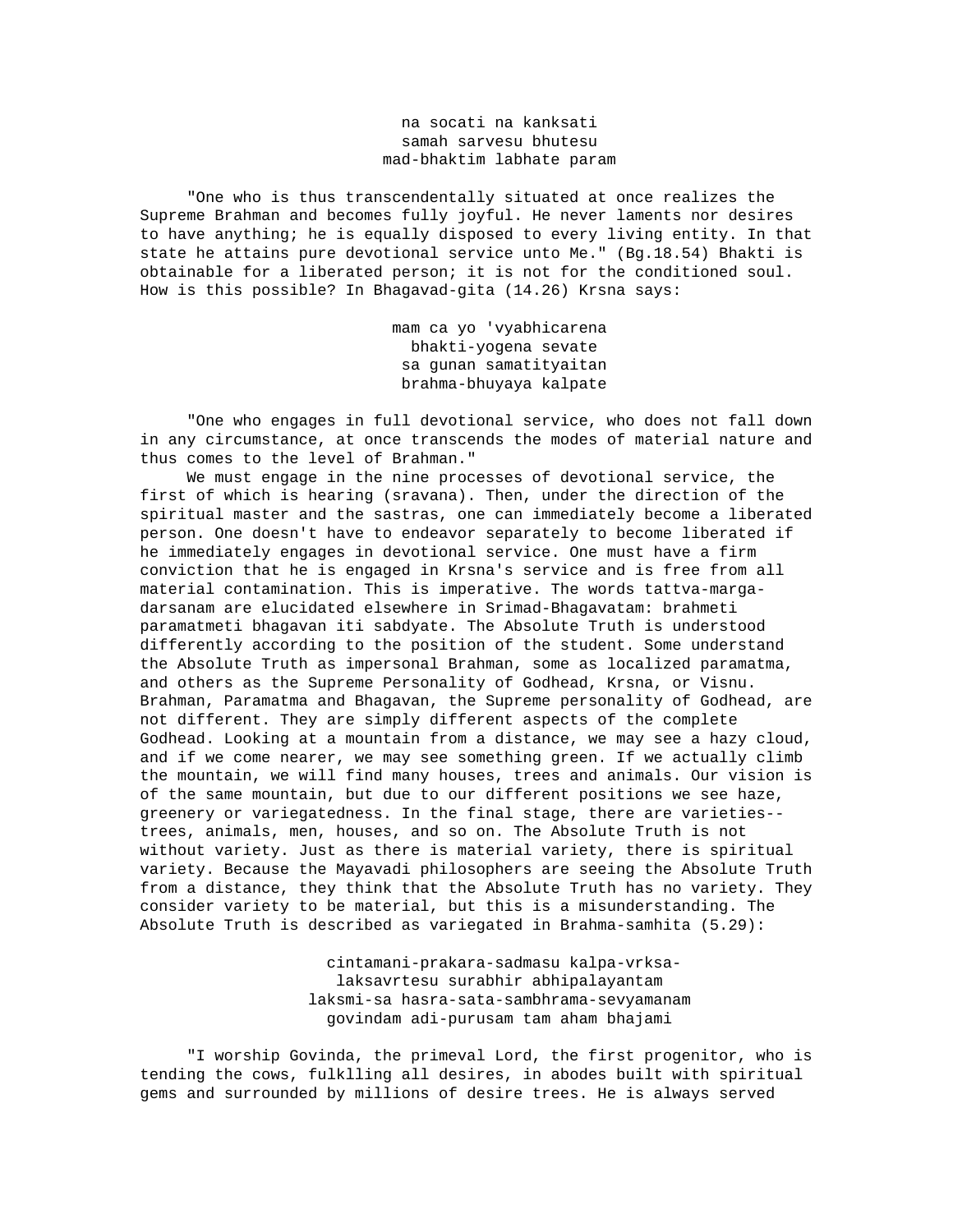# na socati na kanksati samah sarvesu bhutesu mad-bhaktim labhate param

 "One who is thus transcendentally situated at once realizes the Supreme Brahman and becomes fully joyful. He never laments nor desires to have anything; he is equally disposed to every living entity. In that state he attains pure devotional service unto Me." (Bg.18.54) Bhakti is obtainable for a liberated person; it is not for the conditioned soul. How is this possible? In Bhagavad-gita (14.26) Krsna says:

> mam ca yo 'vyabhicarena bhakti-yogena sevate sa gunan samatityaitan brahma-bhuyaya kalpate

 "One who engages in full devotional service, who does not fall down in any circumstance, at once transcends the modes of material nature and thus comes to the level of Brahman."

 We must engage in the nine processes of devotional service, the first of which is hearing (sravana). Then, under the direction of the spiritual master and the sastras, one can immediately become a liberated person. One doesn't have to endeavor separately to become liberated if he immediately engages in devotional service. One must have a firm conviction that he is engaged in Krsna's service and is free from all material contamination. This is imperative. The words tattva-margadarsanam are elucidated elsewhere in Srimad-Bhagavatam: brahmeti paramatmeti bhagavan iti sabdyate. The Absolute Truth is understood differently according to the position of the student. Some understand the Absolute Truth as impersonal Brahman, some as localized paramatma, and others as the Supreme Personality of Godhead, Krsna, or Visnu. Brahman, Paramatma and Bhagavan, the Supreme personality of Godhead, are not different. They are simply different aspects of the complete Godhead. Looking at a mountain from a distance, we may see a hazy cloud, and if we come nearer, we may see something green. If we actually climb the mountain, we will find many houses, trees and animals. Our vision is of the same mountain, but due to our different positions we see haze, greenery or variegatedness. In the final stage, there are varieties- trees, animals, men, houses, and so on. The Absolute Truth is not without variety. Just as there is material variety, there is spiritual variety. Because the Mayavadi philosophers are seeing the Absolute Truth from a distance, they think that the Absolute Truth has no variety. They consider variety to be material, but this is a misunderstanding. The Absolute Truth is described as variegated in Brahma-samhita (5.29):

> cintamani-prakara-sadmasu kalpa-vrksa laksavrtesu surabhir abhipalayantam laksmi-sa hasra-sata-sambhrama-sevyamanam govindam adi-purusam tam aham bhajami

 "I worship Govinda, the primeval Lord, the first progenitor, who is tending the cows, fulklling all desires, in abodes built with spiritual gems and surrounded by millions of desire trees. He is always served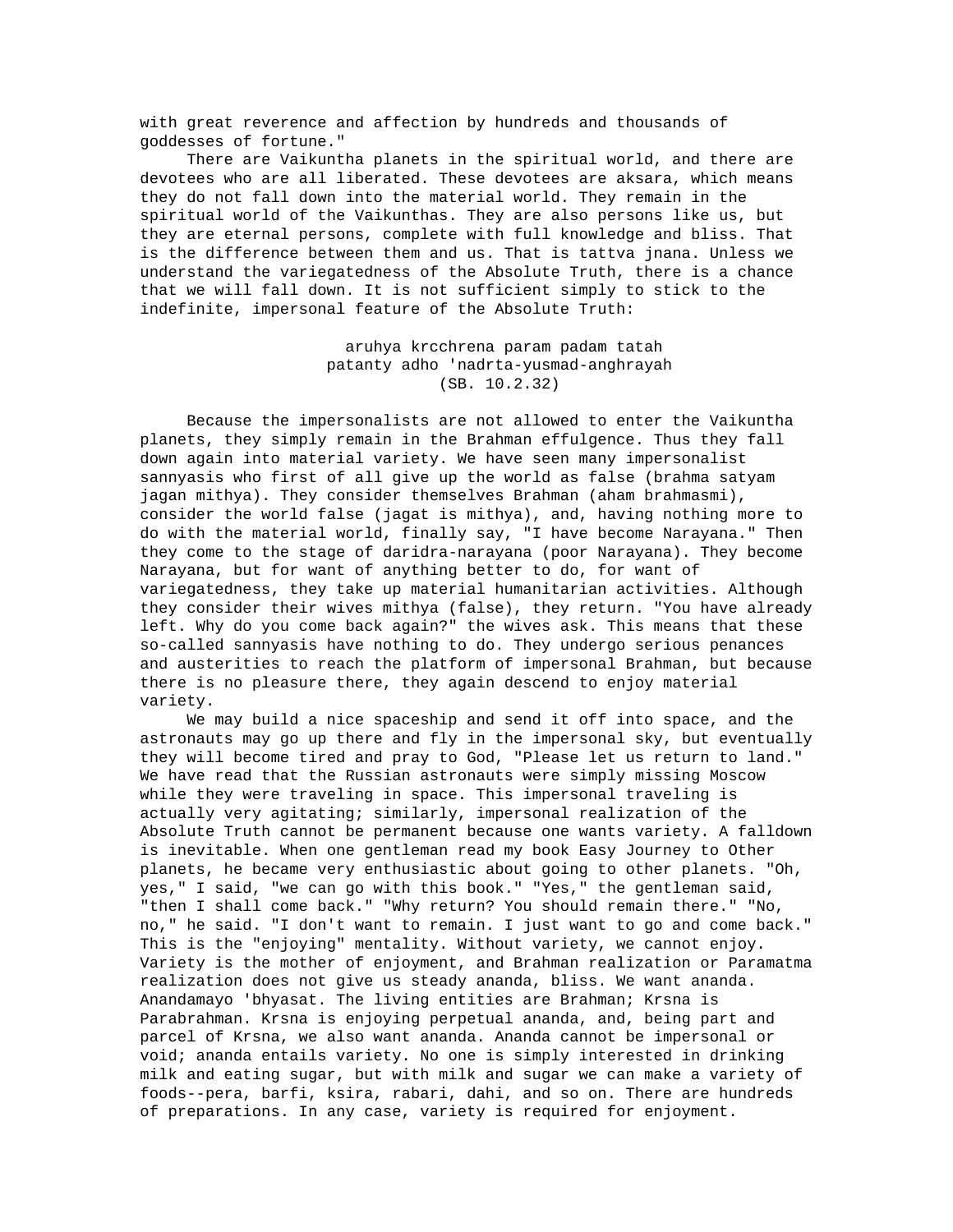with great reverence and affection by hundreds and thousands of goddesses of fortune."

 There are Vaikuntha planets in the spiritual world, and there are devotees who are all liberated. These devotees are aksara, which means they do not fall down into the material world. They remain in the spiritual world of the Vaikunthas. They are also persons like us, but they are eternal persons, complete with full knowledge and bliss. That is the difference between them and us. That is tattva jnana. Unless we understand the variegatedness of the Absolute Truth, there is a chance that we will fall down. It is not sufficient simply to stick to the indefinite, impersonal feature of the Absolute Truth:

## aruhya krcchrena param padam tatah patanty adho 'nadrta-yusmad-anghrayah (SB. 10.2.32)

 Because the impersonalists are not allowed to enter the Vaikuntha planets, they simply remain in the Brahman effulgence. Thus they fall down again into material variety. We have seen many impersonalist sannyasis who first of all give up the world as false (brahma satyam jagan mithya). They consider themselves Brahman (aham brahmasmi), consider the world false (jagat is mithya), and, having nothing more to do with the material world, finally say, "I have become Narayana." Then they come to the stage of daridra-narayana (poor Narayana). They become Narayana, but for want of anything better to do, for want of variegatedness, they take up material humanitarian activities. Although they consider their wives mithya (false), they return. "You have already left. Why do you come back again?" the wives ask. This means that these so-called sannyasis have nothing to do. They undergo serious penances and austerities to reach the platform of impersonal Brahman, but because there is no pleasure there, they again descend to enjoy material variety.

 We may build a nice spaceship and send it off into space, and the astronauts may go up there and fly in the impersonal sky, but eventually they will become tired and pray to God, "Please let us return to land." We have read that the Russian astronauts were simply missing Moscow while they were traveling in space. This impersonal traveling is actually very agitating; similarly, impersonal realization of the Absolute Truth cannot be permanent because one wants variety. A falldown is inevitable. When one gentleman read my book Easy Journey to Other planets, he became very enthusiastic about going to other planets. "Oh, yes," I said, "we can go with this book." "Yes," the gentleman said, "then I shall come back." "Why return? You should remain there." "No, no," he said. "I don't want to remain. I just want to go and come back." This is the "enjoying" mentality. Without variety, we cannot enjoy. Variety is the mother of enjoyment, and Brahman realization or Paramatma realization does not give us steady ananda, bliss. We want ananda. Anandamayo 'bhyasat. The living entities are Brahman; Krsna is Parabrahman. Krsna is enjoying perpetual ananda, and, being part and parcel of Krsna, we also want ananda. Ananda cannot be impersonal or void; ananda entails variety. No one is simply interested in drinking milk and eating sugar, but with milk and sugar we can make a variety of foods--pera, barfi, ksira, rabari, dahi, and so on. There are hundreds of preparations. In any case, variety is required for enjoyment.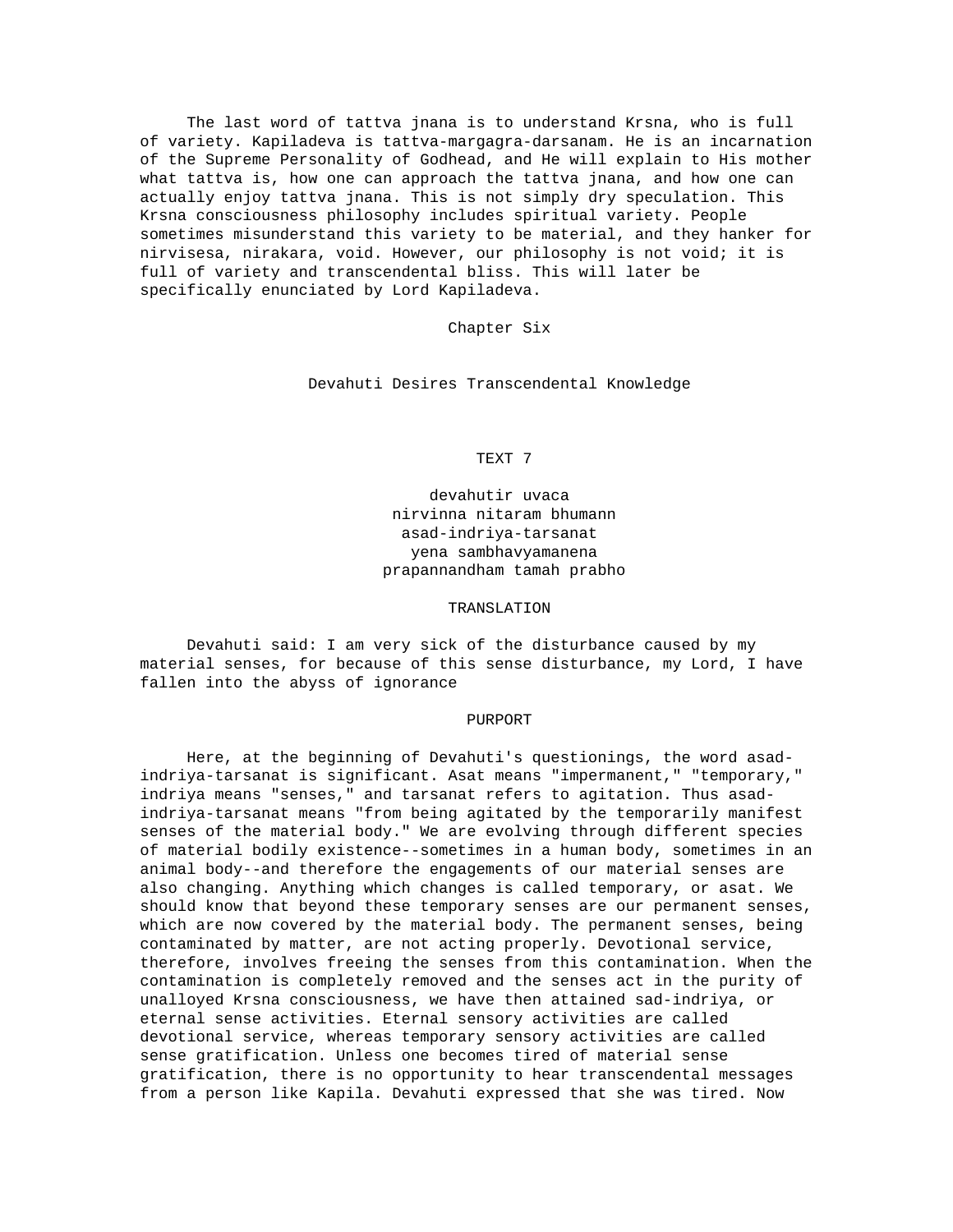The last word of tattva jnana is to understand Krsna, who is full of variety. Kapiladeva is tattva-margagra-darsanam. He is an incarnation of the Supreme Personality of Godhead, and He will explain to His mother what tattva is, how one can approach the tattva jnana, and how one can actually enjoy tattva jnana. This is not simply dry speculation. This Krsna consciousness philosophy includes spiritual variety. People sometimes misunderstand this variety to be material, and they hanker for nirvisesa, nirakara, void. However, our philosophy is not void; it is full of variety and transcendental bliss. This will later be specifically enunciated by Lord Kapiladeva.

Chapter Six

Devahuti Desires Transcendental Knowledge

TEXT 7

 devahutir uvaca nirvinna nitaram bhumann asad-indriya-tarsanat yena sambhavyamanena prapannandham tamah prabho

TRANSLATION

 Devahuti said: I am very sick of the disturbance caused by my material senses, for because of this sense disturbance, my Lord, I have fallen into the abyss of ignorance

### PURPORT

 Here, at the beginning of Devahuti's questionings, the word asadindriya-tarsanat is significant. Asat means "impermanent," "temporary," indriya means "senses," and tarsanat refers to agitation. Thus asadindriya-tarsanat means "from being agitated by the temporarily manifest senses of the material body." We are evolving through different species of material bodily existence--sometimes in a human body, sometimes in an animal body--and therefore the engagements of our material senses are also changing. Anything which changes is called temporary, or asat. We should know that beyond these temporary senses are our permanent senses, which are now covered by the material body. The permanent senses, being contaminated by matter, are not acting properly. Devotional service, therefore, involves freeing the senses from this contamination. When the contamination is completely removed and the senses act in the purity of unalloyed Krsna consciousness, we have then attained sad-indriya, or eternal sense activities. Eternal sensory activities are called devotional service, whereas temporary sensory activities are called sense gratification. Unless one becomes tired of material sense gratification, there is no opportunity to hear transcendental messages from a person like Kapila. Devahuti expressed that she was tired. Now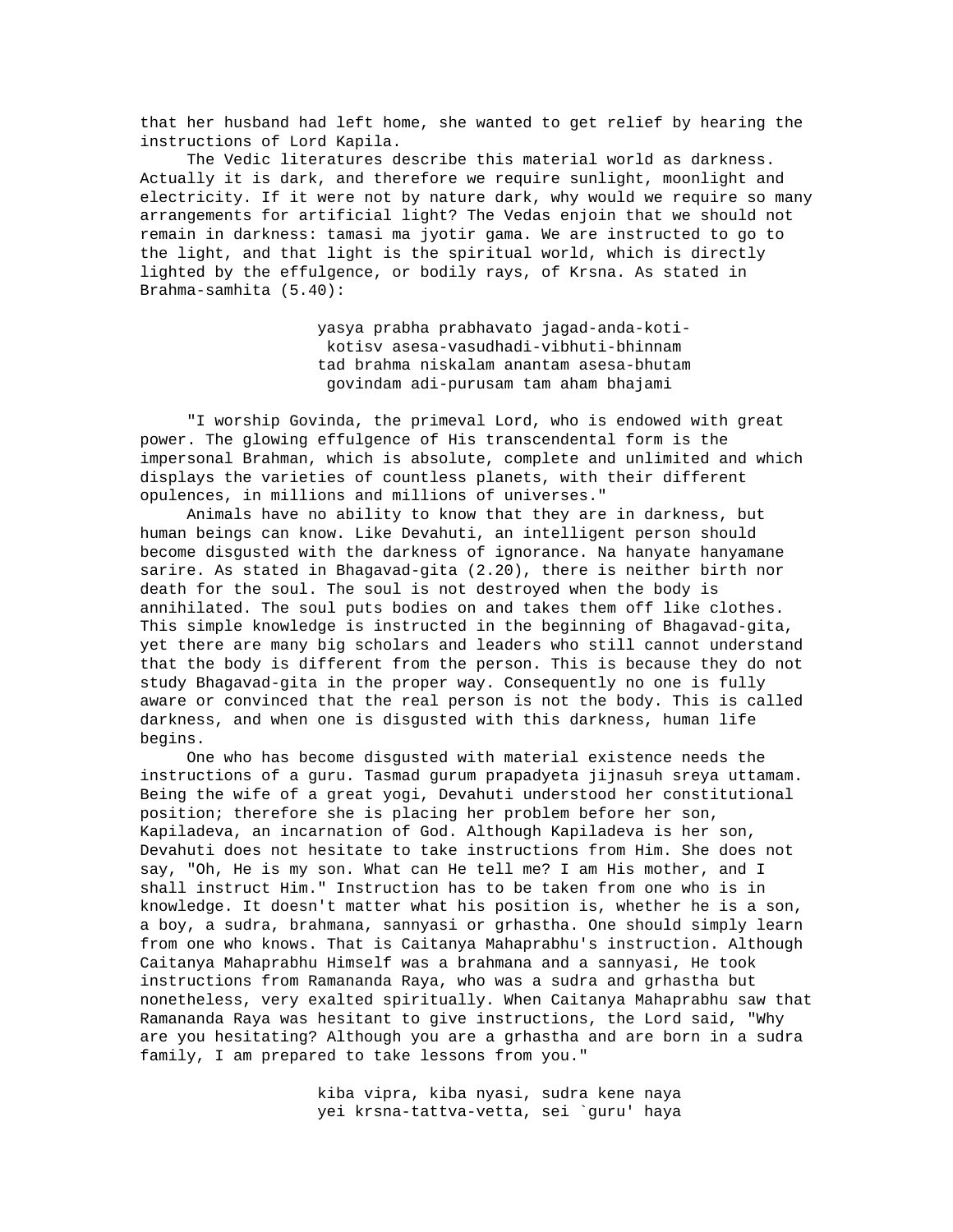that her husband had left home, she wanted to get relief by hearing the instructions of Lord Kapila.

 The Vedic literatures describe this material world as darkness. Actually it is dark, and therefore we require sunlight, moonlight and electricity. If it were not by nature dark, why would we require so many arrangements for artificial light? The Vedas enjoin that we should not remain in darkness: tamasi ma jyotir gama. We are instructed to go to the light, and that light is the spiritual world, which is directly lighted by the effulgence, or bodily rays, of Krsna. As stated in Brahma-samhita (5.40):

> yasya prabha prabhavato jagad-anda-koti kotisv asesa-vasudhadi-vibhuti-bhinnam tad brahma niskalam anantam asesa-bhutam govindam adi-purusam tam aham bhajami

 "I worship Govinda, the primeval Lord, who is endowed with great power. The glowing effulgence of His transcendental form is the impersonal Brahman, which is absolute, complete and unlimited and which displays the varieties of countless planets, with their different opulences, in millions and millions of universes."

 Animals have no ability to know that they are in darkness, but human beings can know. Like Devahuti, an intelligent person should become disgusted with the darkness of ignorance. Na hanyate hanyamane sarire. As stated in Bhagavad-gita (2.20), there is neither birth nor death for the soul. The soul is not destroyed when the body is annihilated. The soul puts bodies on and takes them off like clothes. This simple knowledge is instructed in the beginning of Bhagavad-gita, yet there are many big scholars and leaders who still cannot understand that the body is different from the person. This is because they do not study Bhagavad-gita in the proper way. Consequently no one is fully aware or convinced that the real person is not the body. This is called darkness, and when one is disgusted with this darkness, human life begins.

 One who has become disgusted with material existence needs the instructions of a guru. Tasmad gurum prapadyeta jijnasuh sreya uttamam. Being the wife of a great yogi, Devahuti understood her constitutional position; therefore she is placing her problem before her son, Kapiladeva, an incarnation of God. Although Kapiladeva is her son, Devahuti does not hesitate to take instructions from Him. She does not say, "Oh, He is my son. What can He tell me? I am His mother, and I shall instruct Him." Instruction has to be taken from one who is in knowledge. It doesn't matter what his position is, whether he is a son, a boy, a sudra, brahmana, sannyasi or grhastha. One should simply learn from one who knows. That is Caitanya Mahaprabhu's instruction. Although Caitanya Mahaprabhu Himself was a brahmana and a sannyasi, He took instructions from Ramananda Raya, who was a sudra and grhastha but nonetheless, very exalted spiritually. When Caitanya Mahaprabhu saw that Ramananda Raya was hesitant to give instructions, the Lord said, "Why are you hesitating? Although you are a grhastha and are born in a sudra family, I am prepared to take lessons from you."

> kiba vipra, kiba nyasi, sudra kene naya yei krsna-tattva-vetta, sei `guru' haya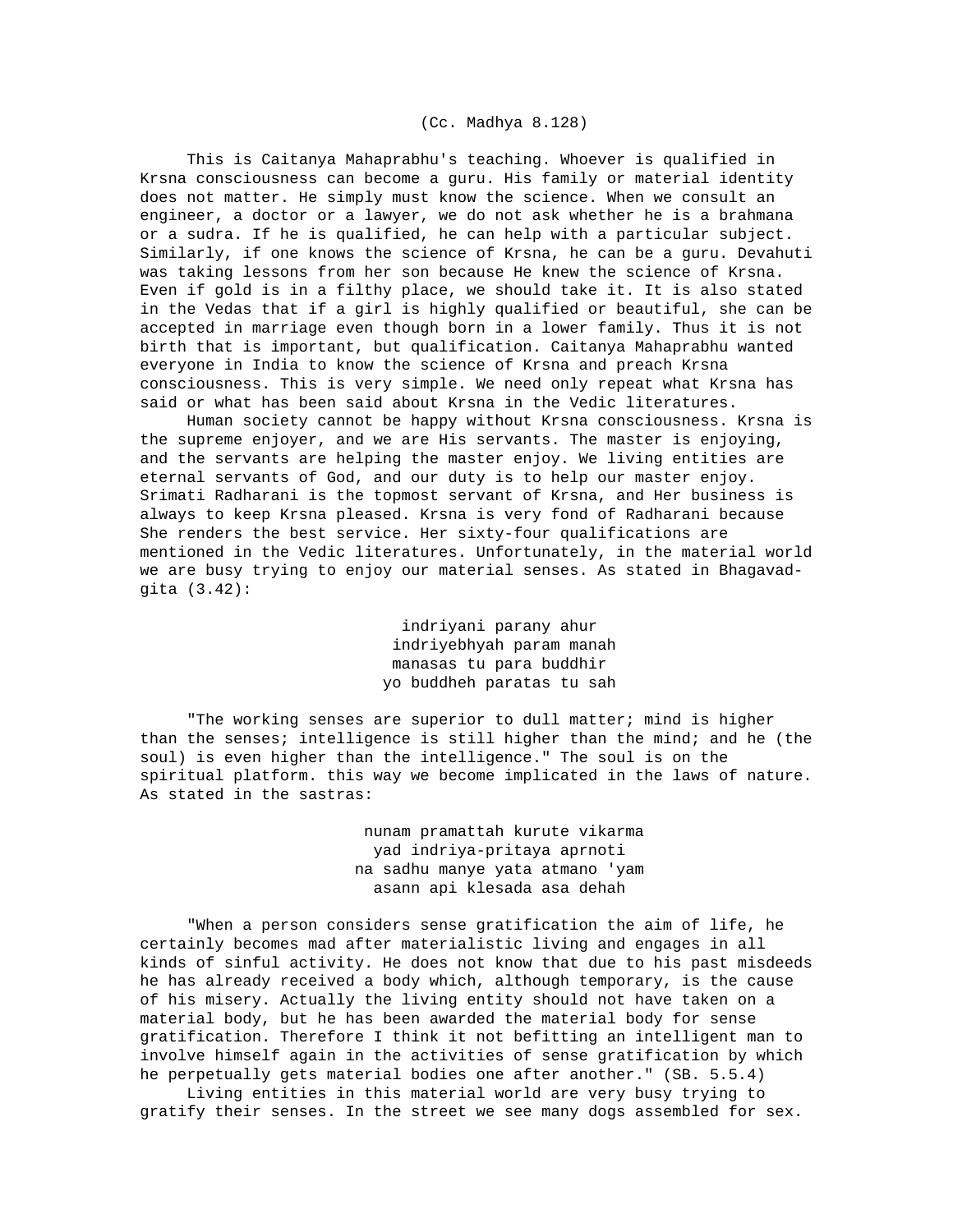#### (Cc. Madhya 8.128)

 This is Caitanya Mahaprabhu's teaching. Whoever is qualified in Krsna consciousness can become a guru. His family or material identity does not matter. He simply must know the science. When we consult an engineer, a doctor or a lawyer, we do not ask whether he is a brahmana or a sudra. If he is qualified, he can help with a particular subject. Similarly, if one knows the science of Krsna, he can be a guru. Devahuti was taking lessons from her son because He knew the science of Krsna. Even if gold is in a filthy place, we should take it. It is also stated in the Vedas that if a girl is highly qualified or beautiful, she can be accepted in marriage even though born in a lower family. Thus it is not birth that is important, but qualification. Caitanya Mahaprabhu wanted everyone in India to know the science of Krsna and preach Krsna consciousness. This is very simple. We need only repeat what Krsna has said or what has been said about Krsna in the Vedic literatures.

 Human society cannot be happy without Krsna consciousness. Krsna is the supreme enjoyer, and we are His servants. The master is enjoying, and the servants are helping the master enjoy. We living entities are eternal servants of God, and our duty is to help our master enjoy. Srimati Radharani is the topmost servant of Krsna, and Her business is always to keep Krsna pleased. Krsna is very fond of Radharani because She renders the best service. Her sixty-four qualifications are mentioned in the Vedic literatures. Unfortunately, in the material world we are busy trying to enjoy our material senses. As stated in Bhagavadgita (3.42):

> indriyani parany ahur indriyebhyah param manah manasas tu para buddhir yo buddheh paratas tu sah

 "The working senses are superior to dull matter; mind is higher than the senses; intelligence is still higher than the mind; and he (the soul) is even higher than the intelligence." The soul is on the spiritual platform. this way we become implicated in the laws of nature. As stated in the sastras:

> nunam pramattah kurute vikarma yad indriya-pritaya aprnoti na sadhu manye yata atmano 'yam asann api klesada asa dehah

 "When a person considers sense gratification the aim of life, he certainly becomes mad after materialistic living and engages in all kinds of sinful activity. He does not know that due to his past misdeeds he has already received a body which, although temporary, is the cause of his misery. Actually the living entity should not have taken on a material body, but he has been awarded the material body for sense gratification. Therefore I think it not befitting an intelligent man to involve himself again in the activities of sense gratification by which he perpetually gets material bodies one after another." (SB. 5.5.4)

 Living entities in this material world are very busy trying to gratify their senses. In the street we see many dogs assembled for sex.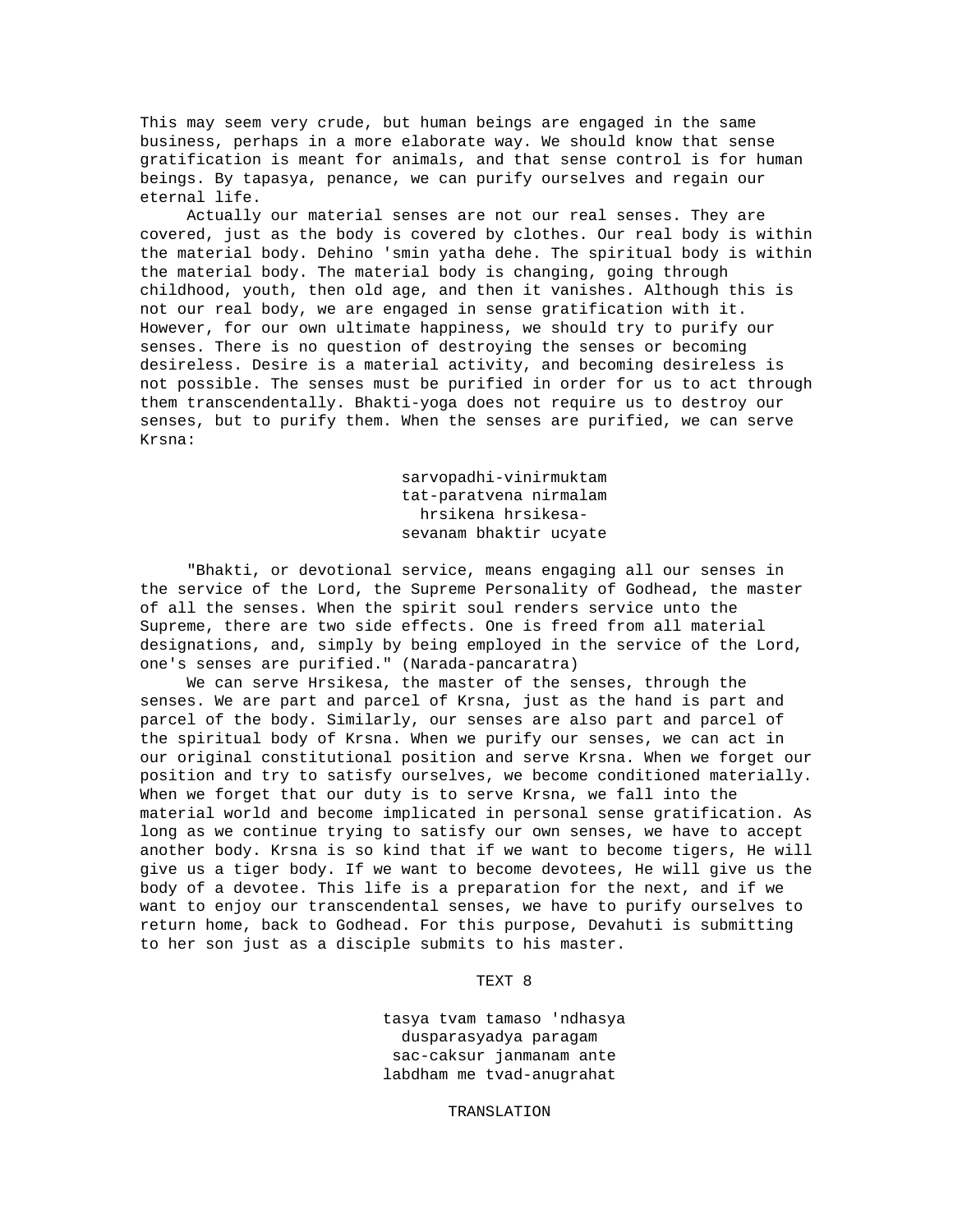This may seem very crude, but human beings are engaged in the same business, perhaps in a more elaborate way. We should know that sense gratification is meant for animals, and that sense control is for human beings. By tapasya, penance, we can purify ourselves and regain our eternal life.

 Actually our material senses are not our real senses. They are covered, just as the body is covered by clothes. Our real body is within the material body. Dehino 'smin yatha dehe. The spiritual body is within the material body. The material body is changing, going through childhood, youth, then old age, and then it vanishes. Although this is not our real body, we are engaged in sense gratification with it. However, for our own ultimate happiness, we should try to purify our senses. There is no question of destroying the senses or becoming desireless. Desire is a material activity, and becoming desireless is not possible. The senses must be purified in order for us to act through them transcendentally. Bhakti-yoga does not require us to destroy our senses, but to purify them. When the senses are purified, we can serve Krsna:

> sarvopadhi-vinirmuktam tat-paratvena nirmalam hrsikena hrsikesa sevanam bhaktir ucyate

 "Bhakti, or devotional service, means engaging all our senses in the service of the Lord, the Supreme Personality of Godhead, the master of all the senses. When the spirit soul renders service unto the Supreme, there are two side effects. One is freed from all material designations, and, simply by being employed in the service of the Lord, one's senses are purified." (Narada-pancaratra)

 We can serve Hrsikesa, the master of the senses, through the senses. We are part and parcel of Krsna, just as the hand is part and parcel of the body. Similarly, our senses are also part and parcel of the spiritual body of Krsna. When we purify our senses, we can act in our original constitutional position and serve Krsna. When we forget our position and try to satisfy ourselves, we become conditioned materially. When we forget that our duty is to serve Krsna, we fall into the material world and become implicated in personal sense gratification. As long as we continue trying to satisfy our own senses, we have to accept another body. Krsna is so kind that if we want to become tigers, He will give us a tiger body. If we want to become devotees, He will give us the body of a devotee. This life is a preparation for the next, and if we want to enjoy our transcendental senses, we have to purify ourselves to return home, back to Godhead. For this purpose, Devahuti is submitting to her son just as a disciple submits to his master.

TEXT 8

 tasya tvam tamaso 'ndhasya dusparasyadya paragam sac-caksur janmanam ante labdham me tvad-anugrahat

TRANSLATION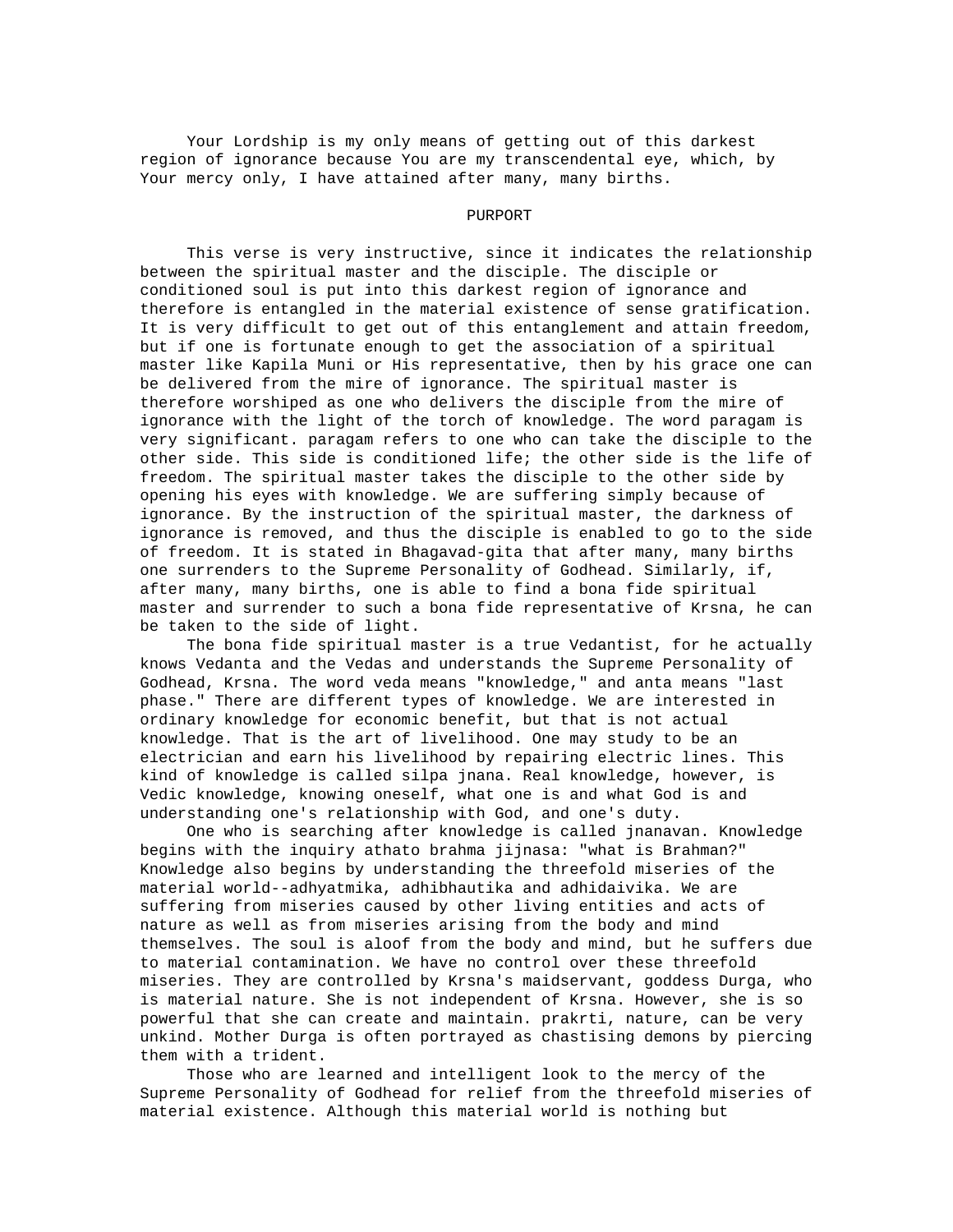Your Lordship is my only means of getting out of this darkest region of ignorance because You are my transcendental eye, which, by Your mercy only, I have attained after many, many births.

## PURPORT

 This verse is very instructive, since it indicates the relationship between the spiritual master and the disciple. The disciple or conditioned soul is put into this darkest region of ignorance and therefore is entangled in the material existence of sense gratification. It is very difficult to get out of this entanglement and attain freedom, but if one is fortunate enough to get the association of a spiritual master like Kapila Muni or His representative, then by his grace one can be delivered from the mire of ignorance. The spiritual master is therefore worshiped as one who delivers the disciple from the mire of ignorance with the light of the torch of knowledge. The word paragam is very significant. paragam refers to one who can take the disciple to the other side. This side is conditioned life; the other side is the life of freedom. The spiritual master takes the disciple to the other side by opening his eyes with knowledge. We are suffering simply because of ignorance. By the instruction of the spiritual master, the darkness of ignorance is removed, and thus the disciple is enabled to go to the side of freedom. It is stated in Bhagavad-gita that after many, many births one surrenders to the Supreme Personality of Godhead. Similarly, if, after many, many births, one is able to find a bona fide spiritual master and surrender to such a bona fide representative of Krsna, he can be taken to the side of light.

 The bona fide spiritual master is a true Vedantist, for he actually knows Vedanta and the Vedas and understands the Supreme Personality of Godhead, Krsna. The word veda means "knowledge," and anta means "last phase." There are different types of knowledge. We are interested in ordinary knowledge for economic benefit, but that is not actual knowledge. That is the art of livelihood. One may study to be an electrician and earn his livelihood by repairing electric lines. This kind of knowledge is called silpa jnana. Real knowledge, however, is Vedic knowledge, knowing oneself, what one is and what God is and understanding one's relationship with God, and one's duty.

 One who is searching after knowledge is called jnanavan. Knowledge begins with the inquiry athato brahma jijnasa: "what is Brahman?" Knowledge also begins by understanding the threefold miseries of the material world--adhyatmika, adhibhautika and adhidaivika. We are suffering from miseries caused by other living entities and acts of nature as well as from miseries arising from the body and mind themselves. The soul is aloof from the body and mind, but he suffers due to material contamination. We have no control over these threefold miseries. They are controlled by Krsna's maidservant, goddess Durga, who is material nature. She is not independent of Krsna. However, she is so powerful that she can create and maintain. prakrti, nature, can be very unkind. Mother Durga is often portrayed as chastising demons by piercing them with a trident.

 Those who are learned and intelligent look to the mercy of the Supreme Personality of Godhead for relief from the threefold miseries of material existence. Although this material world is nothing but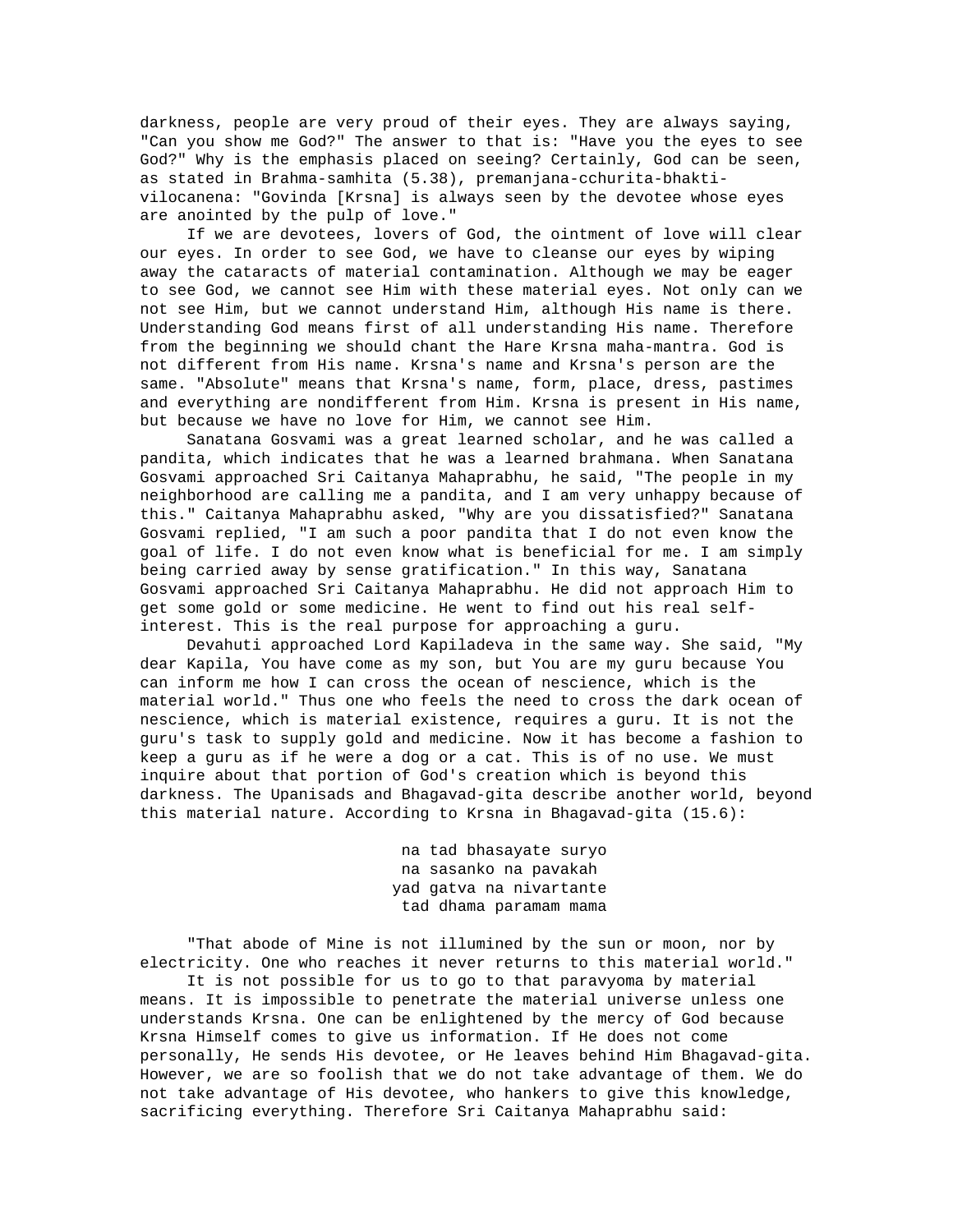darkness, people are very proud of their eyes. They are always saying, "Can you show me God?" The answer to that is: "Have you the eyes to see God?" Why is the emphasis placed on seeing? Certainly, God can be seen, as stated in Brahma-samhita (5.38), premanjana-cchurita-bhaktivilocanena: "Govinda [Krsna] is always seen by the devotee whose eyes are anointed by the pulp of love."

 If we are devotees, lovers of God, the ointment of love will clear our eyes. In order to see God, we have to cleanse our eyes by wiping away the cataracts of material contamination. Although we may be eager to see God, we cannot see Him with these material eyes. Not only can we not see Him, but we cannot understand Him, although His name is there. Understanding God means first of all understanding His name. Therefore from the beginning we should chant the Hare Krsna maha-mantra. God is not different from His name. Krsna's name and Krsna's person are the same. "Absolute" means that Krsna's name, form, place, dress, pastimes and everything are nondifferent from Him. Krsna is present in His name, but because we have no love for Him, we cannot see Him.

 Sanatana Gosvami was a great learned scholar, and he was called a pandita, which indicates that he was a learned brahmana. When Sanatana Gosvami approached Sri Caitanya Mahaprabhu, he said, "The people in my neighborhood are calling me a pandita, and I am very unhappy because of this." Caitanya Mahaprabhu asked, "Why are you dissatisfied?" Sanatana Gosvami replied, "I am such a poor pandita that I do not even know the goal of life. I do not even know what is beneficial for me. I am simply being carried away by sense gratification." In this way, Sanatana Gosvami approached Sri Caitanya Mahaprabhu. He did not approach Him to get some gold or some medicine. He went to find out his real selfinterest. This is the real purpose for approaching a guru.

 Devahuti approached Lord Kapiladeva in the same way. She said, "My dear Kapila, You have come as my son, but You are my guru because You can inform me how I can cross the ocean of nescience, which is the material world." Thus one who feels the need to cross the dark ocean of nescience, which is material existence, requires a guru. It is not the guru's task to supply gold and medicine. Now it has become a fashion to keep a guru as if he were a dog or a cat. This is of no use. We must inquire about that portion of God's creation which is beyond this darkness. The Upanisads and Bhagavad-gita describe another world, beyond this material nature. According to Krsna in Bhagavad-gita (15.6):

> na tad bhasayate suryo na sasanko na pavakah yad gatva na nivartante tad dhama paramam mama

 "That abode of Mine is not illumined by the sun or moon, nor by electricity. One who reaches it never returns to this material world."

 It is not possible for us to go to that paravyoma by material means. It is impossible to penetrate the material universe unless one understands Krsna. One can be enlightened by the mercy of God because Krsna Himself comes to give us information. If He does not come personally, He sends His devotee, or He leaves behind Him Bhagavad-gita. However, we are so foolish that we do not take advantage of them. We do not take advantage of His devotee, who hankers to give this knowledge, sacrificing everything. Therefore Sri Caitanya Mahaprabhu said: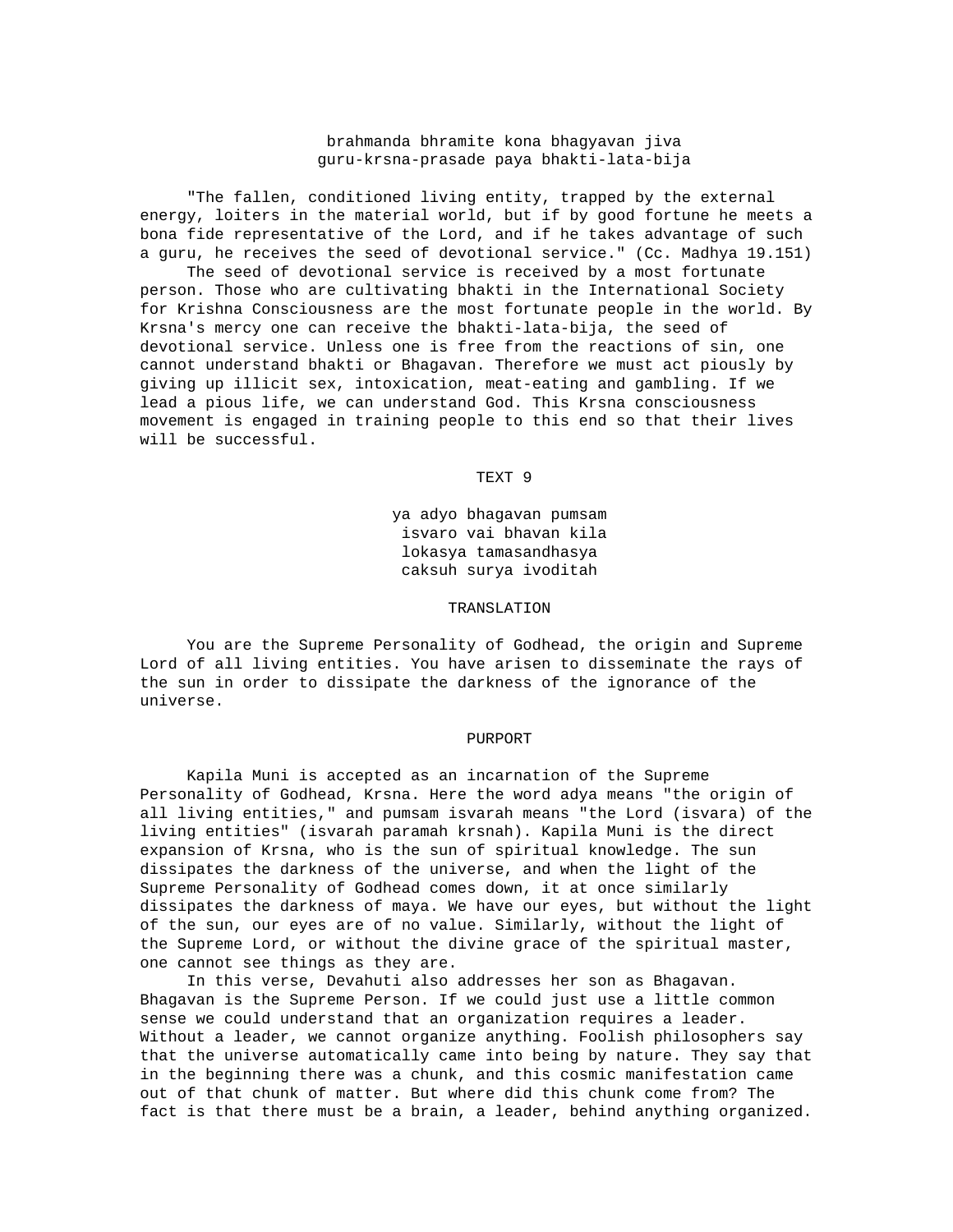brahmanda bhramite kona bhagyavan jiva guru-krsna-prasade paya bhakti-lata-bija

 "The fallen, conditioned living entity, trapped by the external energy, loiters in the material world, but if by good fortune he meets a bona fide representative of the Lord, and if he takes advantage of such a guru, he receives the seed of devotional service." (Cc. Madhya 19.151)

 The seed of devotional service is received by a most fortunate person. Those who are cultivating bhakti in the International Society for Krishna Consciousness are the most fortunate people in the world. By Krsna's mercy one can receive the bhakti-lata-bija, the seed of devotional service. Unless one is free from the reactions of sin, one cannot understand bhakti or Bhagavan. Therefore we must act piously by giving up illicit sex, intoxication, meat-eating and gambling. If we lead a pious life, we can understand God. This Krsna consciousness movement is engaged in training people to this end so that their lives will be successful.

TEXT 9

 ya adyo bhagavan pumsam isvaro vai bhavan kila lokasya tamasandhasya caksuh surya ivoditah

TRANSLATION

 You are the Supreme Personality of Godhead, the origin and Supreme Lord of all living entities. You have arisen to disseminate the rays of the sun in order to dissipate the darkness of the ignorance of the universe.

#### PURPORT

 Kapila Muni is accepted as an incarnation of the Supreme Personality of Godhead, Krsna. Here the word adya means "the origin of all living entities," and pumsam isvarah means "the Lord (isvara) of the living entities" (isvarah paramah krsnah). Kapila Muni is the direct expansion of Krsna, who is the sun of spiritual knowledge. The sun dissipates the darkness of the universe, and when the light of the Supreme Personality of Godhead comes down, it at once similarly dissipates the darkness of maya. We have our eyes, but without the light of the sun, our eyes are of no value. Similarly, without the light of the Supreme Lord, or without the divine grace of the spiritual master, one cannot see things as they are.

 In this verse, Devahuti also addresses her son as Bhagavan. Bhagavan is the Supreme Person. If we could just use a little common sense we could understand that an organization requires a leader. Without a leader, we cannot organize anything. Foolish philosophers say that the universe automatically came into being by nature. They say that in the beginning there was a chunk, and this cosmic manifestation came out of that chunk of matter. But where did this chunk come from? The fact is that there must be a brain, a leader, behind anything organized.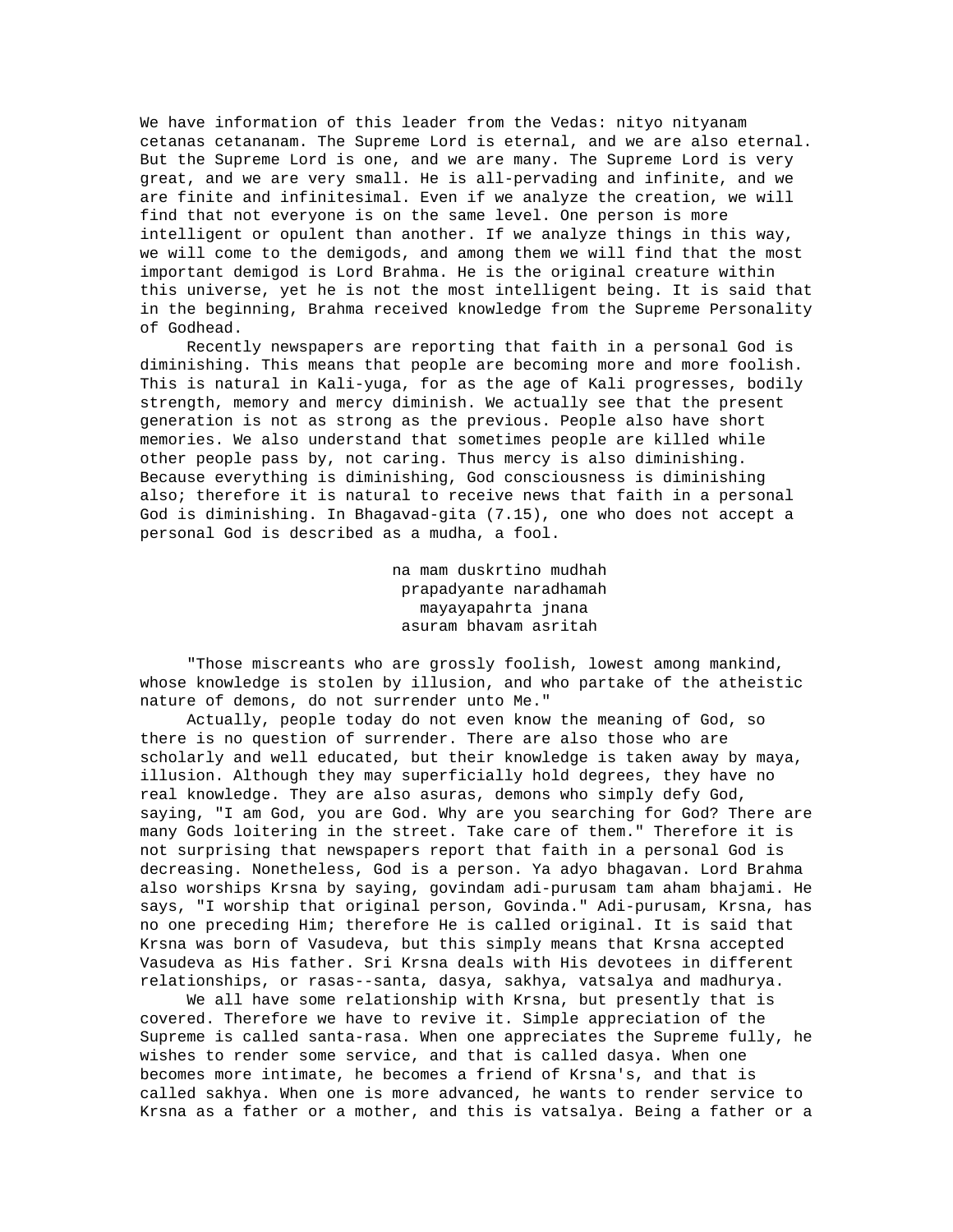We have information of this leader from the Vedas: nityo nityanam cetanas cetananam. The Supreme Lord is eternal, and we are also eternal. But the Supreme Lord is one, and we are many. The Supreme Lord is very great, and we are very small. He is all-pervading and infinite, and we are finite and infinitesimal. Even if we analyze the creation, we will find that not everyone is on the same level. One person is more intelligent or opulent than another. If we analyze things in this way, we will come to the demigods, and among them we will find that the most important demigod is Lord Brahma. He is the original creature within this universe, yet he is not the most intelligent being. It is said that in the beginning, Brahma received knowledge from the Supreme Personality of Godhead.

 Recently newspapers are reporting that faith in a personal God is diminishing. This means that people are becoming more and more foolish. This is natural in Kali-yuga, for as the age of Kali progresses, bodily strength, memory and mercy diminish. We actually see that the present generation is not as strong as the previous. People also have short memories. We also understand that sometimes people are killed while other people pass by, not caring. Thus mercy is also diminishing. Because everything is diminishing, God consciousness is diminishing also; therefore it is natural to receive news that faith in a personal God is diminishing. In Bhagavad-gita (7.15), one who does not accept a personal God is described as a mudha, a fool.

> na mam duskrtino mudhah prapadyante naradhamah mayayapahrta jnana asuram bhavam asritah

 "Those miscreants who are grossly foolish, lowest among mankind, whose knowledge is stolen by illusion, and who partake of the atheistic nature of demons, do not surrender unto Me."

 Actually, people today do not even know the meaning of God, so there is no question of surrender. There are also those who are scholarly and well educated, but their knowledge is taken away by maya, illusion. Although they may superficially hold degrees, they have no real knowledge. They are also asuras, demons who simply defy God, saying, "I am God, you are God. Why are you searching for God? There are many Gods loitering in the street. Take care of them." Therefore it is not surprising that newspapers report that faith in a personal God is decreasing. Nonetheless, God is a person. Ya adyo bhagavan. Lord Brahma also worships Krsna by saying, govindam adi-purusam tam aham bhajami. He says, "I worship that original person, Govinda." Adi-purusam, Krsna, has no one preceding Him; therefore He is called original. It is said that Krsna was born of Vasudeva, but this simply means that Krsna accepted Vasudeva as His father. Sri Krsna deals with His devotees in different relationships, or rasas--santa, dasya, sakhya, vatsalya and madhurya.

 We all have some relationship with Krsna, but presently that is covered. Therefore we have to revive it. Simple appreciation of the Supreme is called santa-rasa. When one appreciates the Supreme fully, he wishes to render some service, and that is called dasya. When one becomes more intimate, he becomes a friend of Krsna's, and that is called sakhya. When one is more advanced, he wants to render service to Krsna as a father or a mother, and this is vatsalya. Being a father or a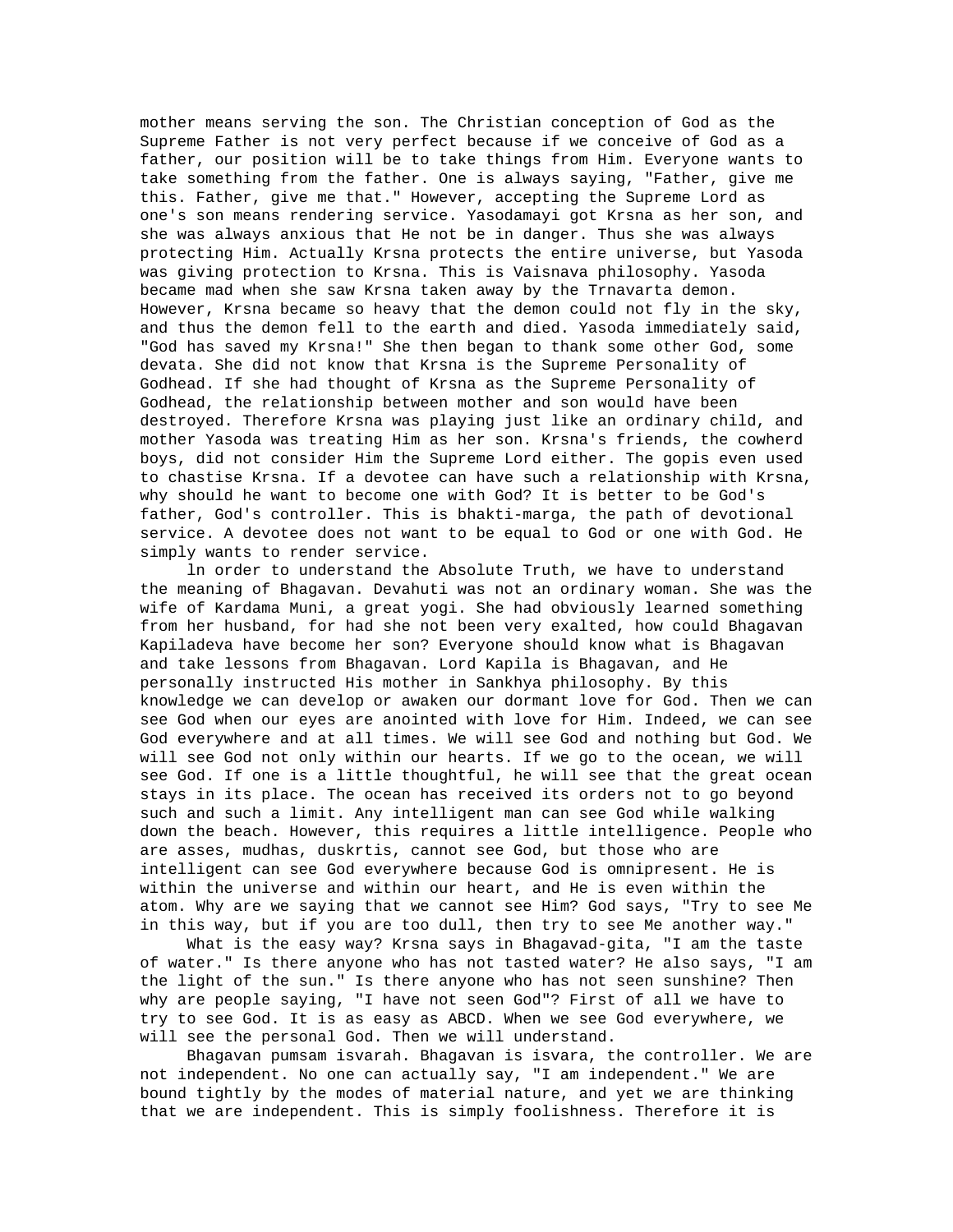mother means serving the son. The Christian conception of God as the Supreme Father is not very perfect because if we conceive of God as a father, our position will be to take things from Him. Everyone wants to take something from the father. One is always saying, "Father, give me this. Father, give me that." However, accepting the Supreme Lord as one's son means rendering service. Yasodamayi got Krsna as her son, and she was always anxious that He not be in danger. Thus she was always protecting Him. Actually Krsna protects the entire universe, but Yasoda was giving protection to Krsna. This is Vaisnava philosophy. Yasoda became mad when she saw Krsna taken away by the Trnavarta demon. However, Krsna became so heavy that the demon could not fly in the sky, and thus the demon fell to the earth and died. Yasoda immediately said, "God has saved my Krsna!" She then began to thank some other God, some devata. She did not know that Krsna is the Supreme Personality of Godhead. If she had thought of Krsna as the Supreme Personality of Godhead, the relationship between mother and son would have been destroyed. Therefore Krsna was playing just like an ordinary child, and mother Yasoda was treating Him as her son. Krsna's friends, the cowherd boys, did not consider Him the Supreme Lord either. The gopis even used to chastise Krsna. If a devotee can have such a relationship with Krsna, why should he want to become one with God? It is better to be God's father, God's controller. This is bhakti-marga, the path of devotional service. A devotee does not want to be equal to God or one with God. He simply wants to render service.

 ln order to understand the Absolute Truth, we have to understand the meaning of Bhagavan. Devahuti was not an ordinary woman. She was the wife of Kardama Muni, a great yogi. She had obviously learned something from her husband, for had she not been very exalted, how could Bhagavan Kapiladeva have become her son? Everyone should know what is Bhagavan and take lessons from Bhagavan. Lord Kapila is Bhagavan, and He personally instructed His mother in Sankhya philosophy. By this knowledge we can develop or awaken our dormant love for God. Then we can see God when our eyes are anointed with love for Him. Indeed, we can see God everywhere and at all times. We will see God and nothing but God. We will see God not only within our hearts. If we go to the ocean, we will see God. If one is a little thoughtful, he will see that the great ocean stays in its place. The ocean has received its orders not to go beyond such and such a limit. Any intelligent man can see God while walking down the beach. However, this requires a little intelligence. People who are asses, mudhas, duskrtis, cannot see God, but those who are intelligent can see God everywhere because God is omnipresent. He is within the universe and within our heart, and He is even within the atom. Why are we saying that we cannot see Him? God says, "Try to see Me in this way, but if you are too dull, then try to see Me another way."

 What is the easy way? Krsna says in Bhagavad-gita, "I am the taste of water." Is there anyone who has not tasted water? He also says, "I am the light of the sun." Is there anyone who has not seen sunshine? Then why are people saying, "I have not seen God"? First of all we have to try to see God. It is as easy as ABCD. When we see God everywhere, we will see the personal God. Then we will understand.

 Bhagavan pumsam isvarah. Bhagavan is isvara, the controller. We are not independent. No one can actually say, "I am independent." We are bound tightly by the modes of material nature, and yet we are thinking that we are independent. This is simply foolishness. Therefore it is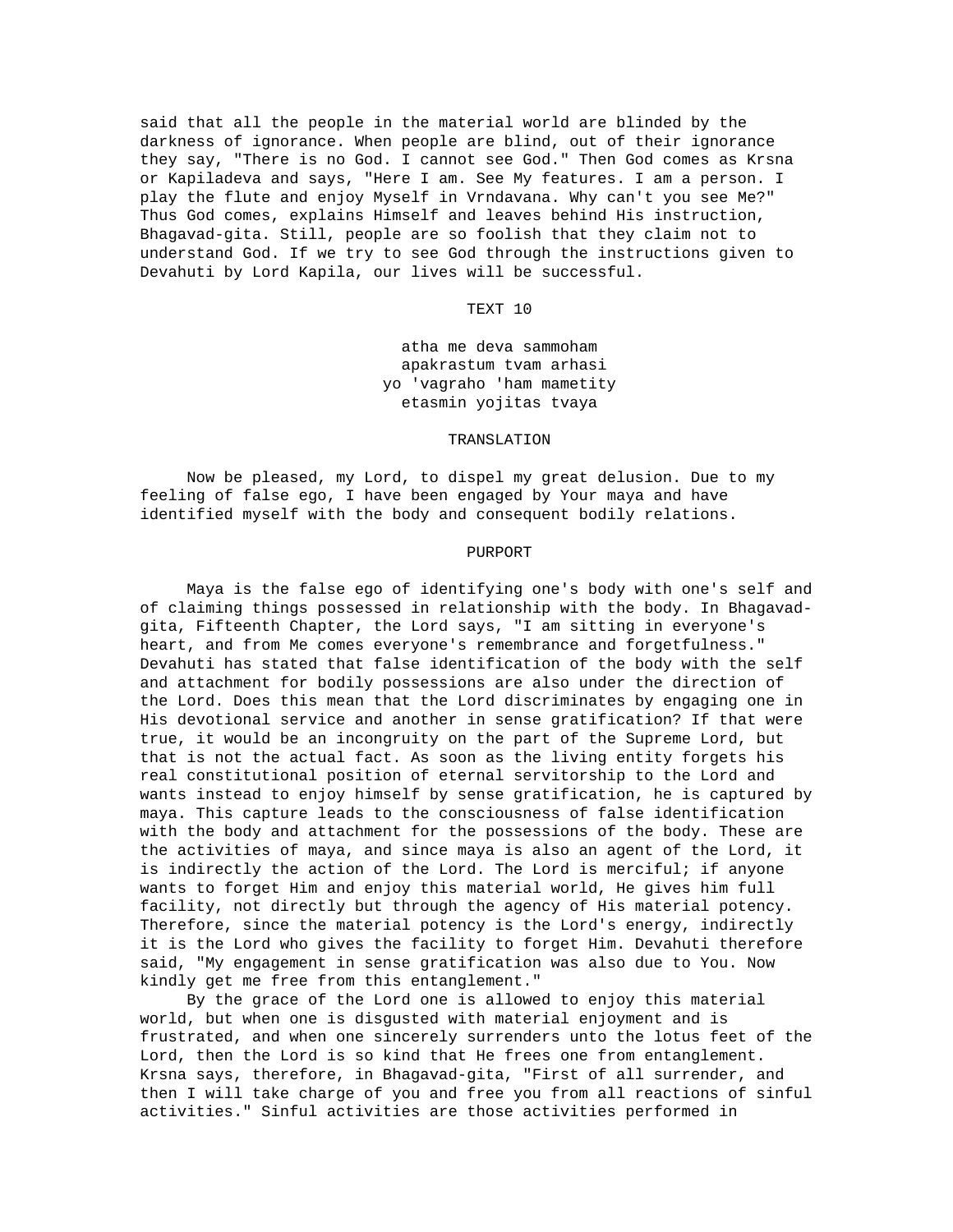said that all the people in the material world are blinded by the darkness of ignorance. When people are blind, out of their ignorance they say, "There is no God. I cannot see God." Then God comes as Krsna or Kapiladeva and says, "Here I am. See My features. I am a person. I play the flute and enjoy Myself in Vrndavana. Why can't you see Me?" Thus God comes, explains Himself and leaves behind His instruction, Bhagavad-gita. Still, people are so foolish that they claim not to understand God. If we try to see God through the instructions given to Devahuti by Lord Kapila, our lives will be successful.

TEXT 10

 atha me deva sammoham apakrastum tvam arhasi yo 'vagraho 'ham mametity etasmin yojitas tvaya

TRANSLATION

 Now be pleased, my Lord, to dispel my great delusion. Due to my feeling of false ego, I have been engaged by Your maya and have identified myself with the body and consequent bodily relations.

## PURPORT

 Maya is the false ego of identifying one's body with one's self and of claiming things possessed in relationship with the body. In Bhagavadgita, Fifteenth Chapter, the Lord says, "I am sitting in everyone's heart, and from Me comes everyone's remembrance and forgetfulness." Devahuti has stated that false identification of the body with the self and attachment for bodily possessions are also under the direction of the Lord. Does this mean that the Lord discriminates by engaging one in His devotional service and another in sense gratification? If that were true, it would be an incongruity on the part of the Supreme Lord, but that is not the actual fact. As soon as the living entity forgets his real constitutional position of eternal servitorship to the Lord and wants instead to enjoy himself by sense gratification, he is captured by maya. This capture leads to the consciousness of false identification with the body and attachment for the possessions of the body. These are the activities of maya, and since maya is also an agent of the Lord, it is indirectly the action of the Lord. The Lord is merciful; if anyone wants to forget Him and enjoy this material world, He gives him full facility, not directly but through the agency of His material potency. Therefore, since the material potency is the Lord's energy, indirectly it is the Lord who gives the facility to forget Him. Devahuti therefore said, "My engagement in sense gratification was also due to You. Now kindly get me free from this entanglement."

 By the grace of the Lord one is allowed to enjoy this material world, but when one is disgusted with material enjoyment and is frustrated, and when one sincerely surrenders unto the lotus feet of the Lord, then the Lord is so kind that He frees one from entanglement. Krsna says, therefore, in Bhagavad-gita, "First of all surrender, and then I will take charge of you and free you from all reactions of sinful activities." Sinful activities are those activities performed in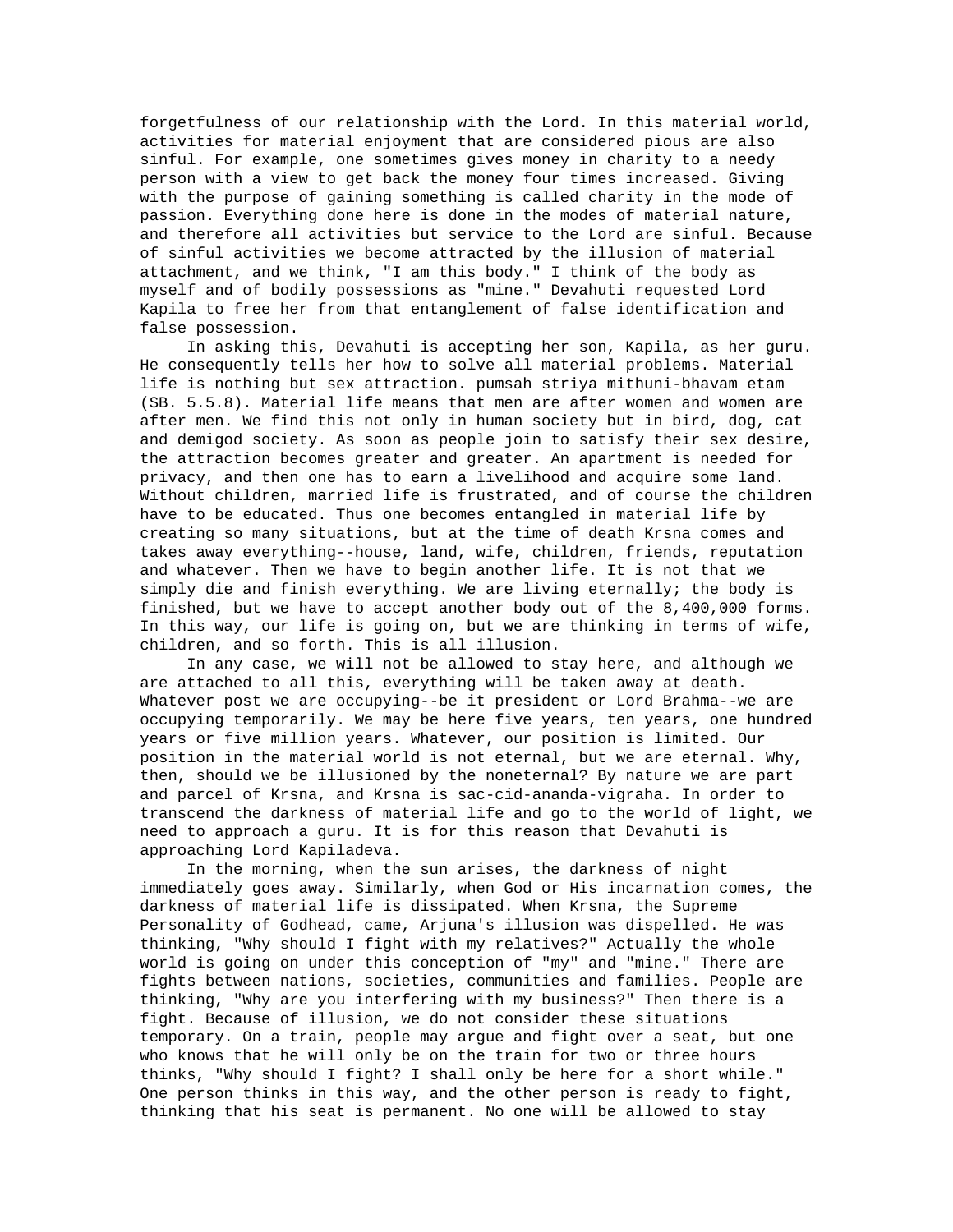forgetfulness of our relationship with the Lord. In this material world, activities for material enjoyment that are considered pious are also sinful. For example, one sometimes gives money in charity to a needy person with a view to get back the money four times increased. Giving with the purpose of gaining something is called charity in the mode of passion. Everything done here is done in the modes of material nature, and therefore all activities but service to the Lord are sinful. Because of sinful activities we become attracted by the illusion of material attachment, and we think, "I am this body." I think of the body as myself and of bodily possessions as "mine." Devahuti requested Lord Kapila to free her from that entanglement of false identification and false possession.

 In asking this, Devahuti is accepting her son, Kapila, as her guru. He consequently tells her how to solve all material problems. Material life is nothing but sex attraction. pumsah striya mithuni-bhavam etam (SB. 5.5.8). Material life means that men are after women and women are after men. We find this not only in human society but in bird, dog, cat and demigod society. As soon as people join to satisfy their sex desire, the attraction becomes greater and greater. An apartment is needed for privacy, and then one has to earn a livelihood and acquire some land. Without children, married life is frustrated, and of course the children have to be educated. Thus one becomes entangled in material life by creating so many situations, but at the time of death Krsna comes and takes away everything--house, land, wife, children, friends, reputation and whatever. Then we have to begin another life. It is not that we simply die and finish everything. We are living eternally; the body is finished, but we have to accept another body out of the 8,400,000 forms. In this way, our life is going on, but we are thinking in terms of wife, children, and so forth. This is all illusion.

 In any case, we will not be allowed to stay here, and although we are attached to all this, everything will be taken away at death. Whatever post we are occupying--be it president or Lord Brahma--we are occupying temporarily. We may be here five years, ten years, one hundred years or five million years. Whatever, our position is limited. Our position in the material world is not eternal, but we are eternal. Why, then, should we be illusioned by the noneternal? By nature we are part and parcel of Krsna, and Krsna is sac-cid-ananda-vigraha. In order to transcend the darkness of material life and go to the world of light, we need to approach a guru. It is for this reason that Devahuti is approaching Lord Kapiladeva.

 In the morning, when the sun arises, the darkness of night immediately goes away. Similarly, when God or His incarnation comes, the darkness of material life is dissipated. When Krsna, the Supreme Personality of Godhead, came, Arjuna's illusion was dispelled. He was thinking, "Why should I fight with my relatives?" Actually the whole world is going on under this conception of "my" and "mine." There are fights between nations, societies, communities and families. People are thinking, "Why are you interfering with my business?" Then there is a fight. Because of illusion, we do not consider these situations temporary. On a train, people may argue and fight over a seat, but one who knows that he will only be on the train for two or three hours thinks, "Why should I fight? I shall only be here for a short while." One person thinks in this way, and the other person is ready to fight, thinking that his seat is permanent. No one will be allowed to stay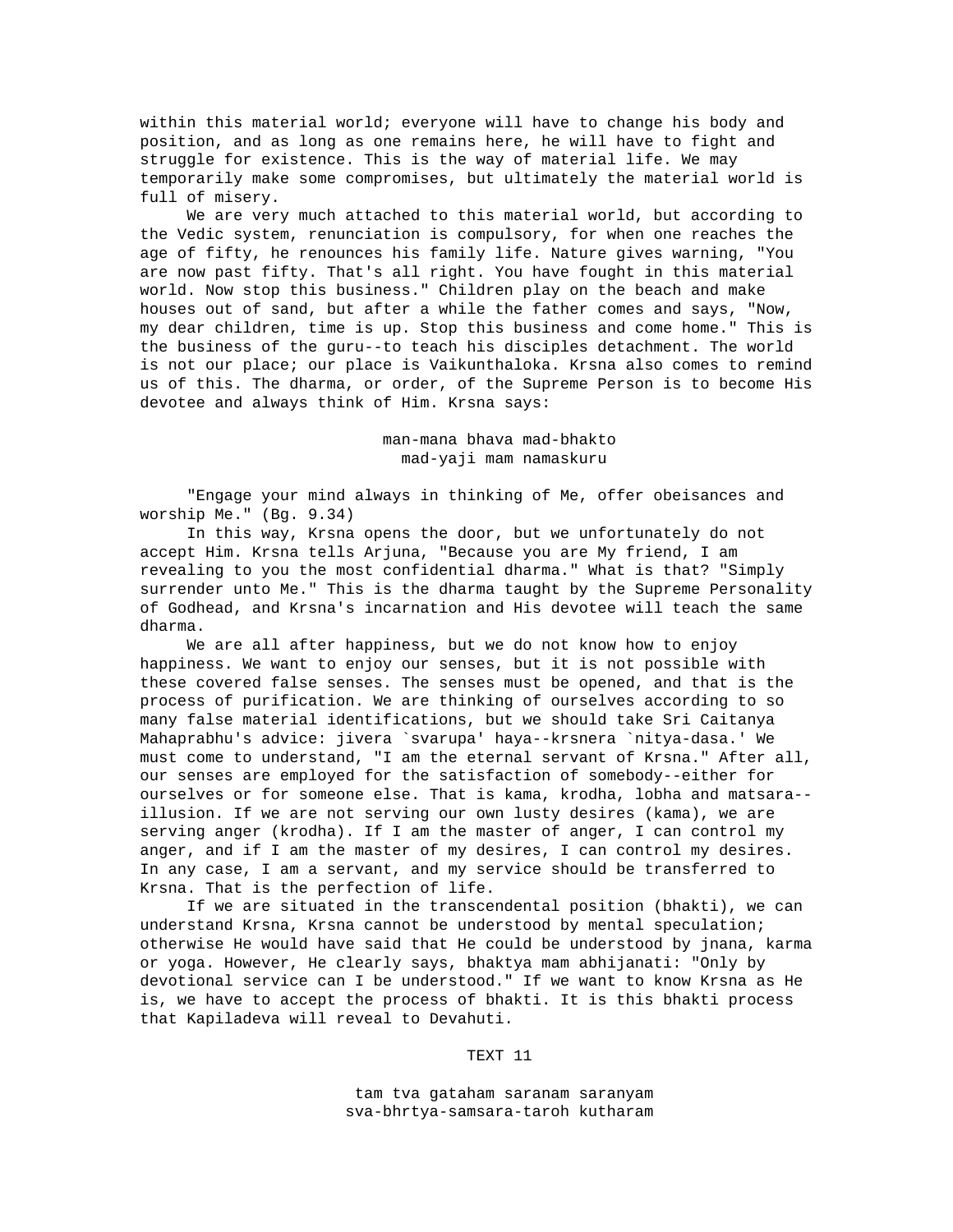within this material world; everyone will have to change his body and position, and as long as one remains here, he will have to fight and struggle for existence. This is the way of material life. We may temporarily make some compromises, but ultimately the material world is full of misery.

 We are very much attached to this material world, but according to the Vedic system, renunciation is compulsory, for when one reaches the age of fifty, he renounces his family life. Nature gives warning, "You are now past fifty. That's all right. You have fought in this material world. Now stop this business." Children play on the beach and make houses out of sand, but after a while the father comes and says, "Now, my dear children, time is up. Stop this business and come home." This is the business of the guru--to teach his disciples detachment. The world is not our place; our place is Vaikunthaloka. Krsna also comes to remind us of this. The dharma, or order, of the Supreme Person is to become His devotee and always think of Him. Krsna says:

> man-mana bhava mad-bhakto mad-yaji mam namaskuru

 "Engage your mind always in thinking of Me, offer obeisances and worship Me." (Bg. 9.34)

 In this way, Krsna opens the door, but we unfortunately do not accept Him. Krsna tells Arjuna, "Because you are My friend, I am revealing to you the most confidential dharma." What is that? "Simply surrender unto Me." This is the dharma taught by the Supreme Personality of Godhead, and Krsna's incarnation and His devotee will teach the same dharma.

 We are all after happiness, but we do not know how to enjoy happiness. We want to enjoy our senses, but it is not possible with these covered false senses. The senses must be opened, and that is the process of purification. We are thinking of ourselves according to so many false material identifications, but we should take Sri Caitanya Mahaprabhu's advice: jivera `svarupa' haya--krsnera `nitya-dasa.' We must come to understand, "I am the eternal servant of Krsna." After all, our senses are employed for the satisfaction of somebody--either for ourselves or for someone else. That is kama, krodha, lobha and matsara- illusion. If we are not serving our own lusty desires (kama), we are serving anger (krodha). If I am the master of anger, I can control my anger, and if I am the master of my desires, I can control my desires. In any case, I am a servant, and my service should be transferred to Krsna. That is the perfection of life.

 If we are situated in the transcendental position (bhakti), we can understand Krsna, Krsna cannot be understood by mental speculation; otherwise He would have said that He could be understood by jnana, karma or yoga. However, He clearly says, bhaktya mam abhijanati: "Only by devotional service can I be understood." If we want to know Krsna as He is, we have to accept the process of bhakti. It is this bhakti process that Kapiladeva will reveal to Devahuti.

TEXT 11

 tam tva gataham saranam saranyam sva-bhrtya-samsara-taroh kutharam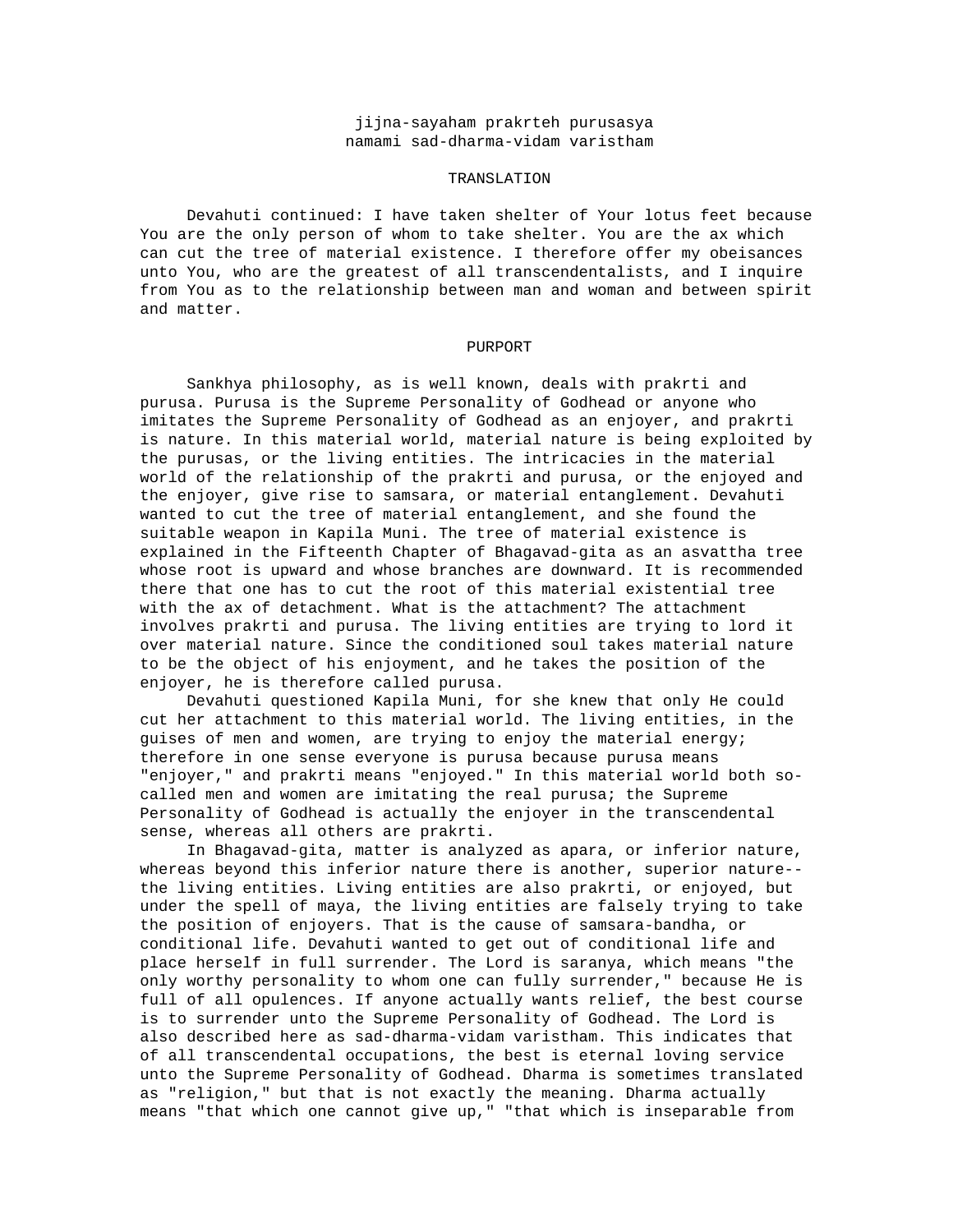# jijna-sayaham prakrteh purusasya namami sad-dharma-vidam varistham

## TRANSLATION

 Devahuti continued: I have taken shelter of Your lotus feet because You are the only person of whom to take shelter. You are the ax which can cut the tree of material existence. I therefore offer my obeisances unto You, who are the greatest of all transcendentalists, and I inquire from You as to the relationship between man and woman and between spirit and matter.

## PURPORT

 Sankhya philosophy, as is well known, deals with prakrti and purusa. Purusa is the Supreme Personality of Godhead or anyone who imitates the Supreme Personality of Godhead as an enjoyer, and prakrti is nature. In this material world, material nature is being exploited by the purusas, or the living entities. The intricacies in the material world of the relationship of the prakrti and purusa, or the enjoyed and the enjoyer, give rise to samsara, or material entanglement. Devahuti wanted to cut the tree of material entanglement, and she found the suitable weapon in Kapila Muni. The tree of material existence is explained in the Fifteenth Chapter of Bhagavad-gita as an asvattha tree whose root is upward and whose branches are downward. It is recommended there that one has to cut the root of this material existential tree with the ax of detachment. What is the attachment? The attachment involves prakrti and purusa. The living entities are trying to lord it over material nature. Since the conditioned soul takes material nature to be the object of his enjoyment, and he takes the position of the enjoyer, he is therefore called purusa.

 Devahuti questioned Kapila Muni, for she knew that only He could cut her attachment to this material world. The living entities, in the guises of men and women, are trying to enjoy the material energy; therefore in one sense everyone is purusa because purusa means "enjoyer," and prakrti means "enjoyed." In this material world both socalled men and women are imitating the real purusa; the Supreme Personality of Godhead is actually the enjoyer in the transcendental sense, whereas all others are prakrti.

 In Bhagavad-gita, matter is analyzed as apara, or inferior nature, whereas beyond this inferior nature there is another, superior nature- the living entities. Living entities are also prakrti, or enjoyed, but under the spell of maya, the living entities are falsely trying to take the position of enjoyers. That is the cause of samsara-bandha, or conditional life. Devahuti wanted to get out of conditional life and place herself in full surrender. The Lord is saranya, which means "the only worthy personality to whom one can fully surrender," because He is full of all opulences. If anyone actually wants relief, the best course is to surrender unto the Supreme Personality of Godhead. The Lord is also described here as sad-dharma-vidam varistham. This indicates that of all transcendental occupations, the best is eternal loving service unto the Supreme Personality of Godhead. Dharma is sometimes translated as "religion," but that is not exactly the meaning. Dharma actually means "that which one cannot give up," "that which is inseparable from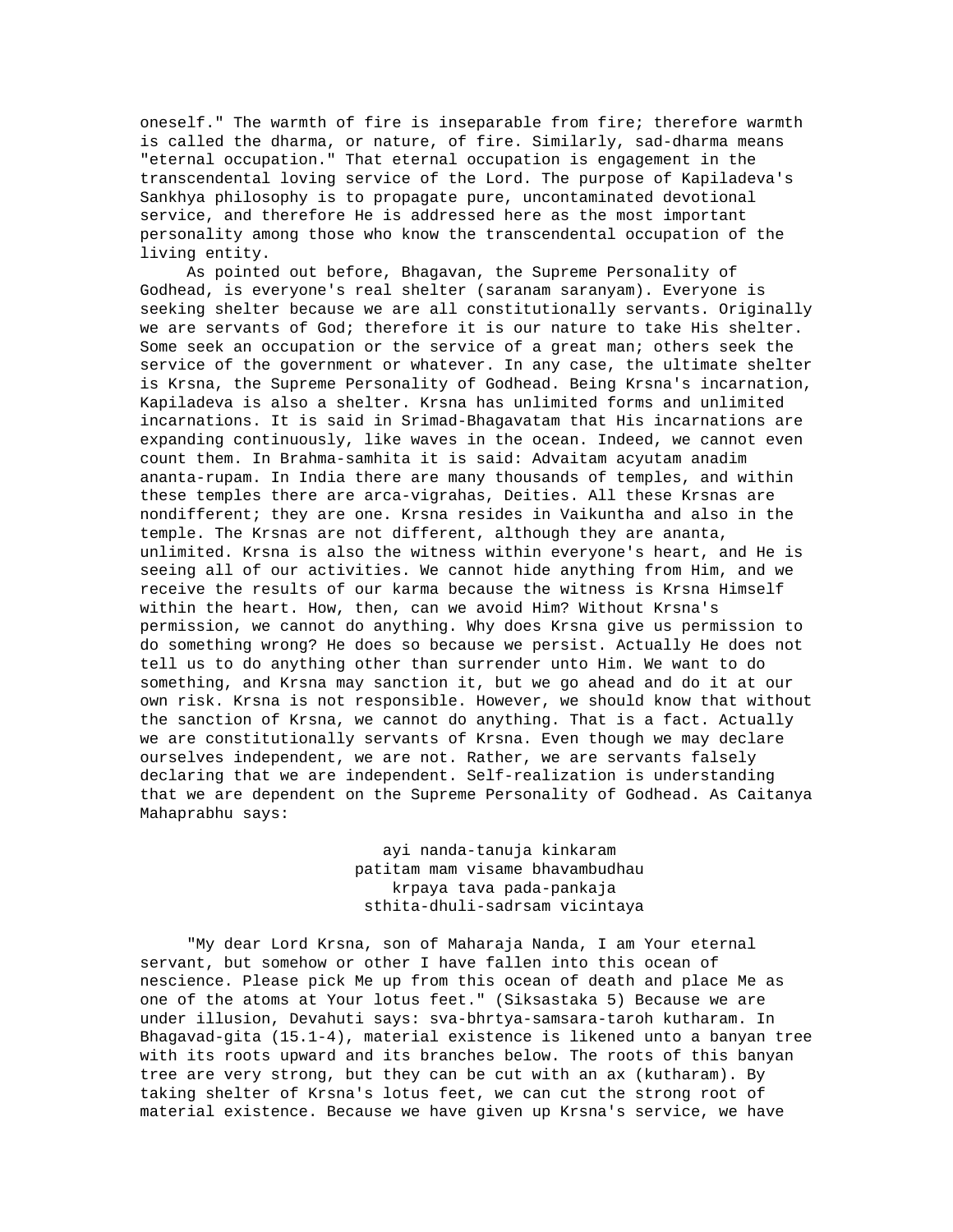oneself." The warmth of fire is inseparable from fire; therefore warmth is called the dharma, or nature, of fire. Similarly, sad-dharma means "eternal occupation." That eternal occupation is engagement in the transcendental loving service of the Lord. The purpose of Kapiladeva's Sankhya philosophy is to propagate pure, uncontaminated devotional service, and therefore He is addressed here as the most important personality among those who know the transcendental occupation of the living entity.

 As pointed out before, Bhagavan, the Supreme Personality of Godhead, is everyone's real shelter (saranam saranyam). Everyone is seeking shelter because we are all constitutionally servants. Originally we are servants of God; therefore it is our nature to take His shelter. Some seek an occupation or the service of a great man; others seek the service of the government or whatever. In any case, the ultimate shelter is Krsna, the Supreme Personality of Godhead. Being Krsna's incarnation, Kapiladeva is also a shelter. Krsna has unlimited forms and unlimited incarnations. It is said in Srimad-Bhagavatam that His incarnations are expanding continuously, like waves in the ocean. Indeed, we cannot even count them. In Brahma-samhita it is said: Advaitam acyutam anadim ananta-rupam. In India there are many thousands of temples, and within these temples there are arca-vigrahas, Deities. All these Krsnas are nondifferent; they are one. Krsna resides in Vaikuntha and also in the temple. The Krsnas are not different, although they are ananta, unlimited. Krsna is also the witness within everyone's heart, and He is seeing all of our activities. We cannot hide anything from Him, and we receive the results of our karma because the witness is Krsna Himself within the heart. How, then, can we avoid Him? Without Krsna's permission, we cannot do anything. Why does Krsna give us permission to do something wrong? He does so because we persist. Actually He does not tell us to do anything other than surrender unto Him. We want to do something, and Krsna may sanction it, but we go ahead and do it at our own risk. Krsna is not responsible. However, we should know that without the sanction of Krsna, we cannot do anything. That is a fact. Actually we are constitutionally servants of Krsna. Even though we may declare ourselves independent, we are not. Rather, we are servants falsely declaring that we are independent. Self-realization is understanding that we are dependent on the Supreme Personality of Godhead. As Caitanya Mahaprabhu says:

> ayi nanda-tanuja kinkaram patitam mam visame bhavambudhau krpaya tava pada-pankaja sthita-dhuli-sadrsam vicintaya

 "My dear Lord Krsna, son of Maharaja Nanda, I am Your eternal servant, but somehow or other I have fallen into this ocean of nescience. Please pick Me up from this ocean of death and place Me as one of the atoms at Your lotus feet." (Siksastaka 5) Because we are under illusion, Devahuti says: sva-bhrtya-samsara-taroh kutharam. In Bhagavad-gita (15.1-4), material existence is likened unto a banyan tree with its roots upward and its branches below. The roots of this banyan tree are very strong, but they can be cut with an ax (kutharam). By taking shelter of Krsna's lotus feet, we can cut the strong root of material existence. Because we have given up Krsna's service, we have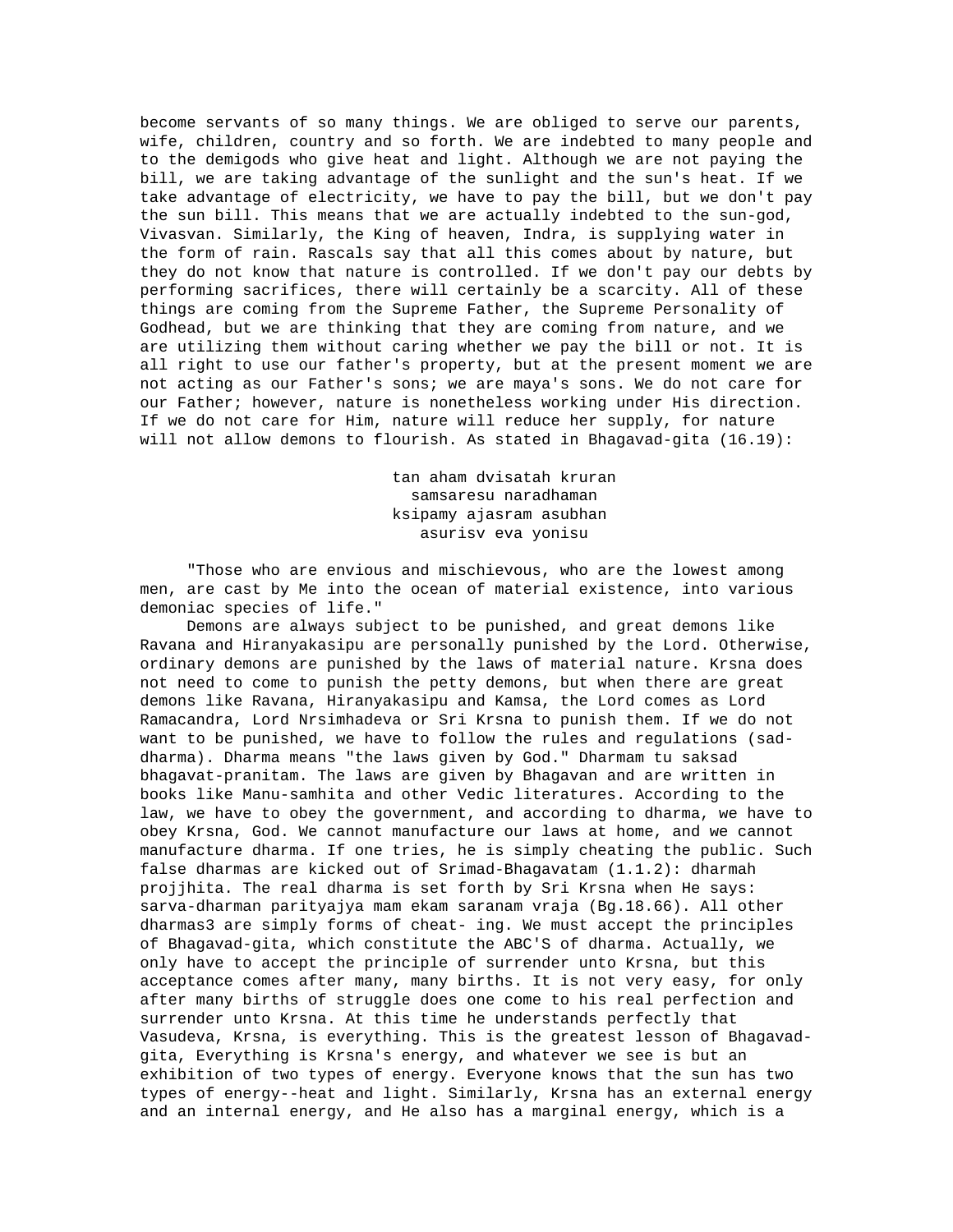become servants of so many things. We are obliged to serve our parents, wife, children, country and so forth. We are indebted to many people and to the demigods who give heat and light. Although we are not paying the bill, we are taking advantage of the sunlight and the sun's heat. If we take advantage of electricity, we have to pay the bill, but we don't pay the sun bill. This means that we are actually indebted to the sun-god, Vivasvan. Similarly, the King of heaven, Indra, is supplying water in the form of rain. Rascals say that all this comes about by nature, but they do not know that nature is controlled. If we don't pay our debts by performing sacrifices, there will certainly be a scarcity. All of these things are coming from the Supreme Father, the Supreme Personality of Godhead, but we are thinking that they are coming from nature, and we are utilizing them without caring whether we pay the bill or not. It is all right to use our father's property, but at the present moment we are not acting as our Father's sons; we are maya's sons. We do not care for our Father; however, nature is nonetheless working under His direction. If we do not care for Him, nature will reduce her supply, for nature will not allow demons to flourish. As stated in Bhagavad-gita (16.19):

> tan aham dvisatah kruran samsaresu naradhaman ksipamy ajasram asubhan asurisv eva yonisu

 "Those who are envious and mischievous, who are the lowest among men, are cast by Me into the ocean of material existence, into various demoniac species of life."

 Demons are always subject to be punished, and great demons like Ravana and Hiranyakasipu are personally punished by the Lord. Otherwise, ordinary demons are punished by the laws of material nature. Krsna does not need to come to punish the petty demons, but when there are great demons like Ravana, Hiranyakasipu and Kamsa, the Lord comes as Lord Ramacandra, Lord Nrsimhadeva or Sri Krsna to punish them. If we do not want to be punished, we have to follow the rules and regulations (saddharma). Dharma means "the laws given by God." Dharmam tu saksad bhagavat-pranitam. The laws are given by Bhagavan and are written in books like Manu-samhita and other Vedic literatures. According to the law, we have to obey the government, and according to dharma, we have to obey Krsna, God. We cannot manufacture our laws at home, and we cannot manufacture dharma. If one tries, he is simply cheating the public. Such false dharmas are kicked out of Srimad-Bhagavatam (1.1.2): dharmah projjhita. The real dharma is set forth by Sri Krsna when He says: sarva-dharman parityajya mam ekam saranam vraja (Bg.18.66). All other dharmas3 are simply forms of cheat- ing. We must accept the principles of Bhagavad-gita, which constitute the ABC'S of dharma. Actually, we only have to accept the principle of surrender unto Krsna, but this acceptance comes after many, many births. It is not very easy, for only after many births of struggle does one come to his real perfection and surrender unto Krsna. At this time he understands perfectly that Vasudeva, Krsna, is everything. This is the greatest lesson of Bhagavadgita, Everything is Krsna's energy, and whatever we see is but an exhibition of two types of energy. Everyone knows that the sun has two types of energy--heat and light. Similarly, Krsna has an external energy and an internal energy, and He also has a marginal energy, which is a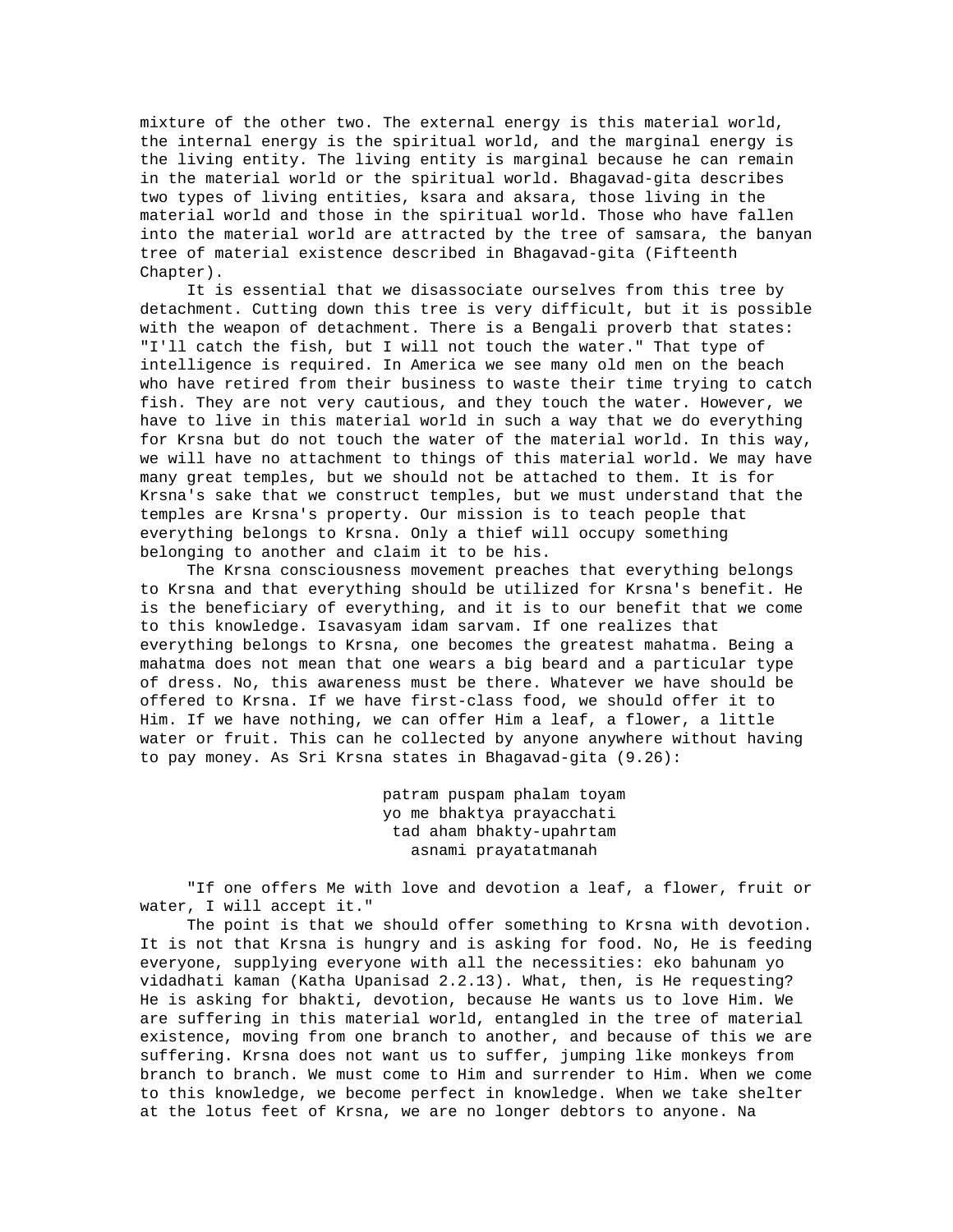mixture of the other two. The external energy is this material world, the internal energy is the spiritual world, and the marginal energy is the living entity. The living entity is marginal because he can remain in the material world or the spiritual world. Bhagavad-gita describes two types of living entities, ksara and aksara, those living in the material world and those in the spiritual world. Those who have fallen into the material world are attracted by the tree of samsara, the banyan tree of material existence described in Bhagavad-gita (Fifteenth Chapter).

 It is essential that we disassociate ourselves from this tree by detachment. Cutting down this tree is very difficult, but it is possible with the weapon of detachment. There is a Bengali proverb that states: "I'll catch the fish, but I will not touch the water." That type of intelligence is required. In America we see many old men on the beach who have retired from their business to waste their time trying to catch fish. They are not very cautious, and they touch the water. However, we have to live in this material world in such a way that we do everything for Krsna but do not touch the water of the material world. In this way, we will have no attachment to things of this material world. We may have many great temples, but we should not be attached to them. It is for Krsna's sake that we construct temples, but we must understand that the temples are Krsna's property. Our mission is to teach people that everything belongs to Krsna. Only a thief will occupy something belonging to another and claim it to be his.

 The Krsna consciousness movement preaches that everything belongs to Krsna and that everything should be utilized for Krsna's benefit. He is the beneficiary of everything, and it is to our benefit that we come to this knowledge. Isavasyam idam sarvam. If one realizes that everything belongs to Krsna, one becomes the greatest mahatma. Being a mahatma does not mean that one wears a big beard and a particular type of dress. No, this awareness must be there. Whatever we have should be offered to Krsna. If we have first-class food, we should offer it to Him. If we have nothing, we can offer Him a leaf, a flower, a little water or fruit. This can he collected by anyone anywhere without having to pay money. As Sri Krsna states in Bhagavad-gita (9.26):

> patram puspam phalam toyam yo me bhaktya prayacchati tad aham bhakty-upahrtam asnami prayatatmanah

 "If one offers Me with love and devotion a leaf, a flower, fruit or water, I will accept it."

 The point is that we should offer something to Krsna with devotion. It is not that Krsna is hungry and is asking for food. No, He is feeding everyone, supplying everyone with all the necessities: eko bahunam yo vidadhati kaman (Katha Upanisad 2.2.13). What, then, is He requesting? He is asking for bhakti, devotion, because He wants us to love Him. We are suffering in this material world, entangled in the tree of material existence, moving from one branch to another, and because of this we are suffering. Krsna does not want us to suffer, jumping like monkeys from branch to branch. We must come to Him and surrender to Him. When we come to this knowledge, we become perfect in knowledge. When we take shelter at the lotus feet of Krsna, we are no longer debtors to anyone. Na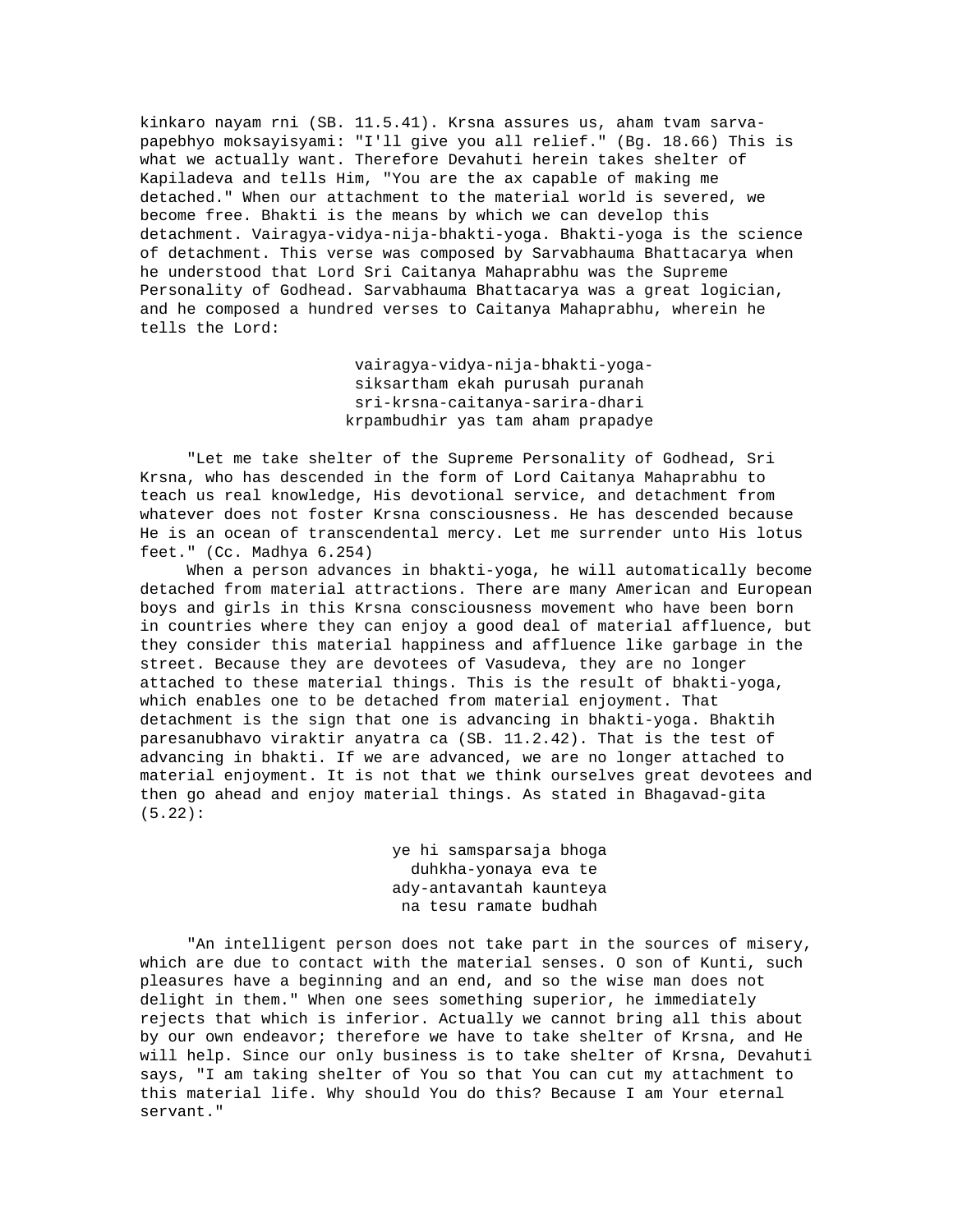kinkaro nayam rni (SB. 11.5.41). Krsna assures us, aham tvam sarvapapebhyo moksayisyami: "I'll give you all relief." (Bg. 18.66) This is what we actually want. Therefore Devahuti herein takes shelter of Kapiladeva and tells Him, "You are the ax capable of making me detached." When our attachment to the material world is severed, we become free. Bhakti is the means by which we can develop this detachment. Vairagya-vidya-nija-bhakti-yoga. Bhakti-yoga is the science of detachment. This verse was composed by Sarvabhauma Bhattacarya when he understood that Lord Sri Caitanya Mahaprabhu was the Supreme Personality of Godhead. Sarvabhauma Bhattacarya was a great logician, and he composed a hundred verses to Caitanya Mahaprabhu, wherein he tells the Lord:

> vairagya-vidya-nija-bhakti-yoga siksartham ekah purusah puranah sri-krsna-caitanya-sarira-dhari krpambudhir yas tam aham prapadye

 "Let me take shelter of the Supreme Personality of Godhead, Sri Krsna, who has descended in the form of Lord Caitanya Mahaprabhu to teach us real knowledge, His devotional service, and detachment from whatever does not foster Krsna consciousness. He has descended because He is an ocean of transcendental mercy. Let me surrender unto His lotus feet." (Cc. Madhya 6.254)

 When a person advances in bhakti-yoga, he will automatically become detached from material attractions. There are many American and European boys and girls in this Krsna consciousness movement who have been born in countries where they can enjoy a good deal of material affluence, but they consider this material happiness and affluence like garbage in the street. Because they are devotees of Vasudeva, they are no longer attached to these material things. This is the result of bhakti-yoga, which enables one to be detached from material enjoyment. That detachment is the sign that one is advancing in bhakti-yoga. Bhaktih paresanubhavo viraktir anyatra ca (SB. 11.2.42). That is the test of advancing in bhakti. If we are advanced, we are no longer attached to material enjoyment. It is not that we think ourselves great devotees and then go ahead and enjoy material things. As stated in Bhagavad-gita (5.22):

> ye hi samsparsaja bhoga duhkha-yonaya eva te ady-antavantah kaunteya na tesu ramate budhah

 "An intelligent person does not take part in the sources of misery, which are due to contact with the material senses. O son of Kunti, such pleasures have a beginning and an end, and so the wise man does not delight in them." When one sees something superior, he immediately rejects that which is inferior. Actually we cannot bring all this about by our own endeavor; therefore we have to take shelter of Krsna, and He will help. Since our only business is to take shelter of Krsna, Devahuti says, "I am taking shelter of You so that You can cut my attachment to this material life. Why should You do this? Because I am Your eternal servant."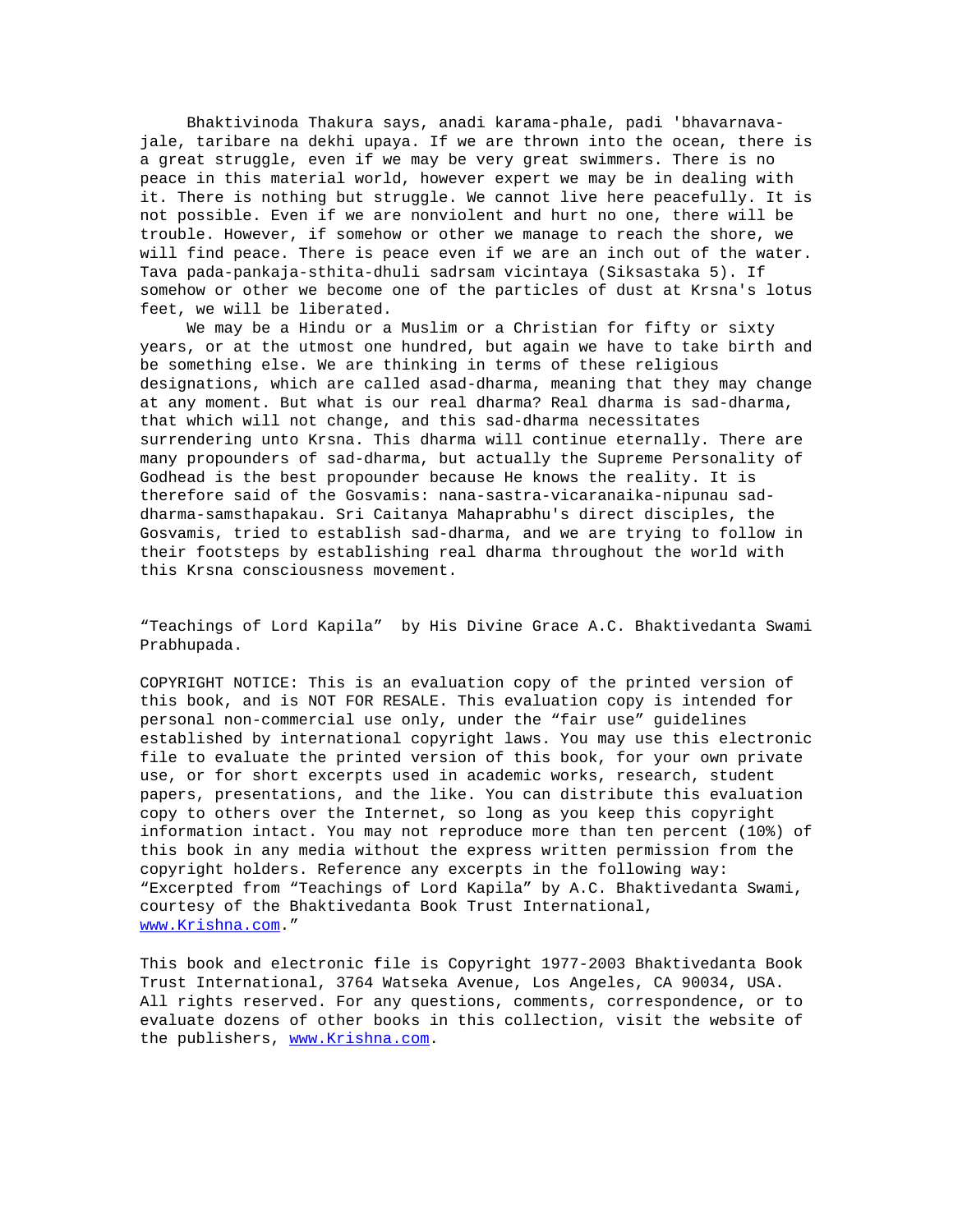Bhaktivinoda Thakura says, anadi karama-phale, padi 'bhavarnavajale, taribare na dekhi upaya. If we are thrown into the ocean, there is a great struggle, even if we may be very great swimmers. There is no peace in this material world, however expert we may be in dealing with it. There is nothing but struggle. We cannot live here peacefully. It is not possible. Even if we are nonviolent and hurt no one, there will be trouble. However, if somehow or other we manage to reach the shore, we will find peace. There is peace even if we are an inch out of the water. Tava pada-pankaja-sthita-dhuli sadrsam vicintaya (Siksastaka 5). If somehow or other we become one of the particles of dust at Krsna's lotus feet, we will be liberated.

 We may be a Hindu or a Muslim or a Christian for fifty or sixty years, or at the utmost one hundred, but again we have to take birth and be something else. We are thinking in terms of these religious designations, which are called asad-dharma, meaning that they may change at any moment. But what is our real dharma? Real dharma is sad-dharma, that which will not change, and this sad-dharma necessitates surrendering unto Krsna. This dharma will continue eternally. There are many propounders of sad-dharma, but actually the Supreme Personality of Godhead is the best propounder because He knows the reality. It is therefore said of the Gosvamis: nana-sastra-vicaranaika-nipunau saddharma-samsthapakau. Sri Caitanya Mahaprabhu's direct disciples, the Gosvamis, tried to establish sad-dharma, and we are trying to follow in their footsteps by establishing real dharma throughout the world with this Krsna consciousness movement.

"Teachings of Lord Kapila" by His Divine Grace A.C. Bhaktivedanta Swami Prabhupada.

COPYRIGHT NOTICE: This is an evaluation copy of the printed version of this book, and is NOT FOR RESALE. This evaluation copy is intended for personal non-commercial use only, under the "fair use" guidelines established by international copyright laws. You may use this electronic file to evaluate the printed version of this book, for your own private use, or for short excerpts used in academic works, research, student papers, presentations, and the like. You can distribute this evaluation copy to others over the Internet, so long as you keep this copyright information intact. You may not reproduce more than ten percent (10%) of this book in any media without the express written permission from the copyright holders. Reference any excerpts in the following way: "Excerpted from "Teachings of Lord Kapila" by A.C. Bhaktivedanta Swami, courtesy of the Bhaktivedanta Book Trust International, www.Krishna.com ."

This book and electronic file is Copyright 1977-2003 Bhaktivedanta Book Trust International, 3764 Watseka Avenue, Los Angeles, CA 90034, USA. All rights reserved. For any questions, comments, correspondence, or to evaluate dozens of other books in this collection, visit the website of the publishers, www.Krishna.com.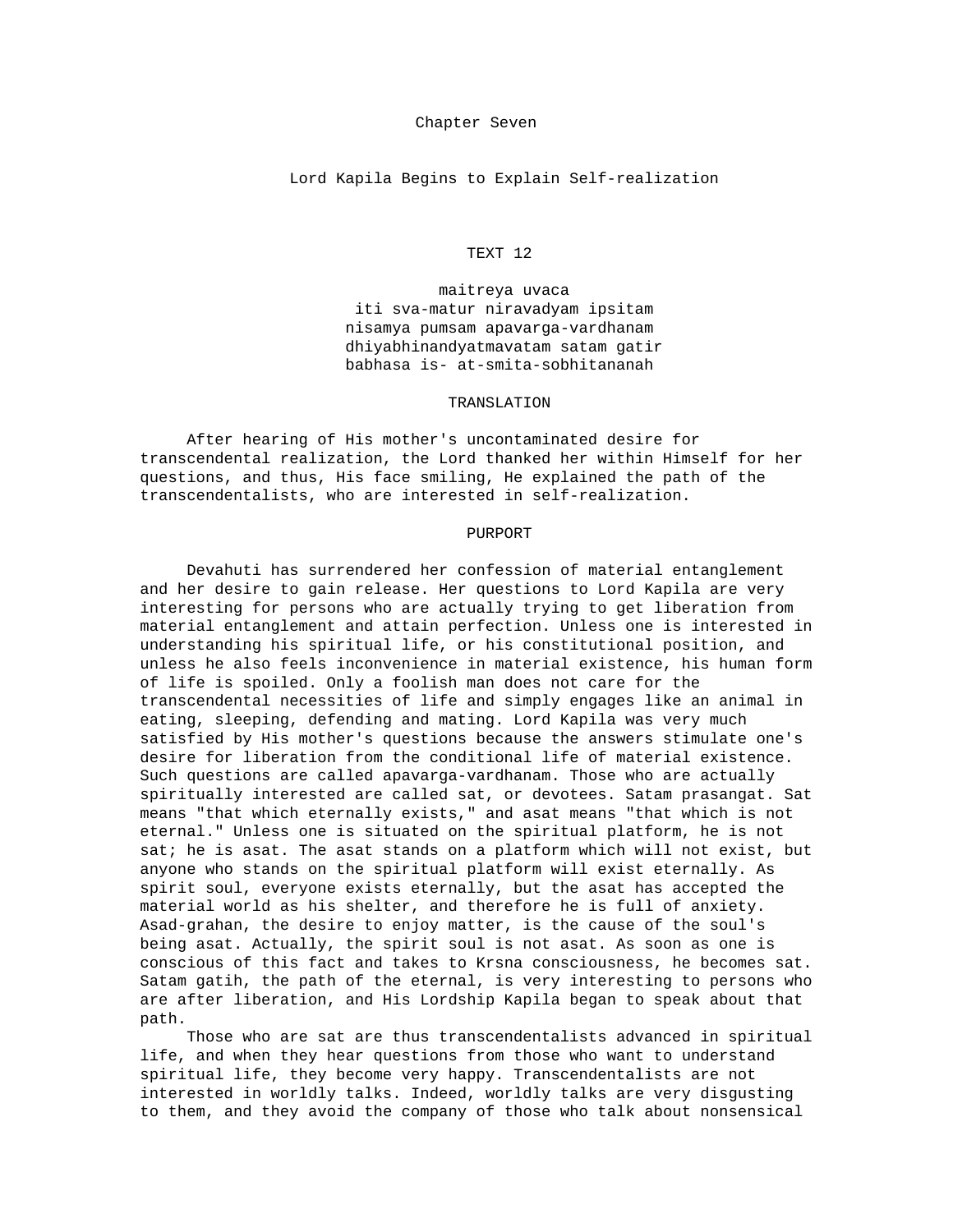### Chapter Seven

Lord Kapila Begins to Explain Self-realization

## TEXT 12

 maitreya uvaca iti sva-matur niravadyam ipsitam nisamya pumsam apavarga-vardhanam dhiyabhinandyatmavatam satam gatir babhasa is- at-smita-sobhitananah

## TRANSLATION

 After hearing of His mother's uncontaminated desire for transcendental realization, the Lord thanked her within Himself for her questions, and thus, His face smiling, He explained the path of the transcendentalists, who are interested in self-realization.

#### PURPORT

 Devahuti has surrendered her confession of material entanglement and her desire to gain release. Her questions to Lord Kapila are very interesting for persons who are actually trying to get liberation from material entanglement and attain perfection. Unless one is interested in understanding his spiritual life, or his constitutional position, and unless he also feels inconvenience in material existence, his human form of life is spoiled. Only a foolish man does not care for the transcendental necessities of life and simply engages like an animal in eating, sleeping, defending and mating. Lord Kapila was very much satisfied by His mother's questions because the answers stimulate one's desire for liberation from the conditional life of material existence. Such questions are called apavarga-vardhanam. Those who are actually spiritually interested are called sat, or devotees. Satam prasangat. Sat means "that which eternally exists," and asat means "that which is not eternal." Unless one is situated on the spiritual platform, he is not sat; he is asat. The asat stands on a platform which will not exist, but anyone who stands on the spiritual platform will exist eternally. As spirit soul, everyone exists eternally, but the asat has accepted the material world as his shelter, and therefore he is full of anxiety. Asad-grahan, the desire to enjoy matter, is the cause of the soul's being asat. Actually, the spirit soul is not asat. As soon as one is conscious of this fact and takes to Krsna consciousness, he becomes sat. Satam gatih, the path of the eternal, is very interesting to persons who are after liberation, and His Lordship Kapila began to speak about that path.

 Those who are sat are thus transcendentalists advanced in spiritual life, and when they hear questions from those who want to understand spiritual life, they become very happy. Transcendentalists are not interested in worldly talks. Indeed, worldly talks are very disgusting to them, and they avoid the company of those who talk about nonsensical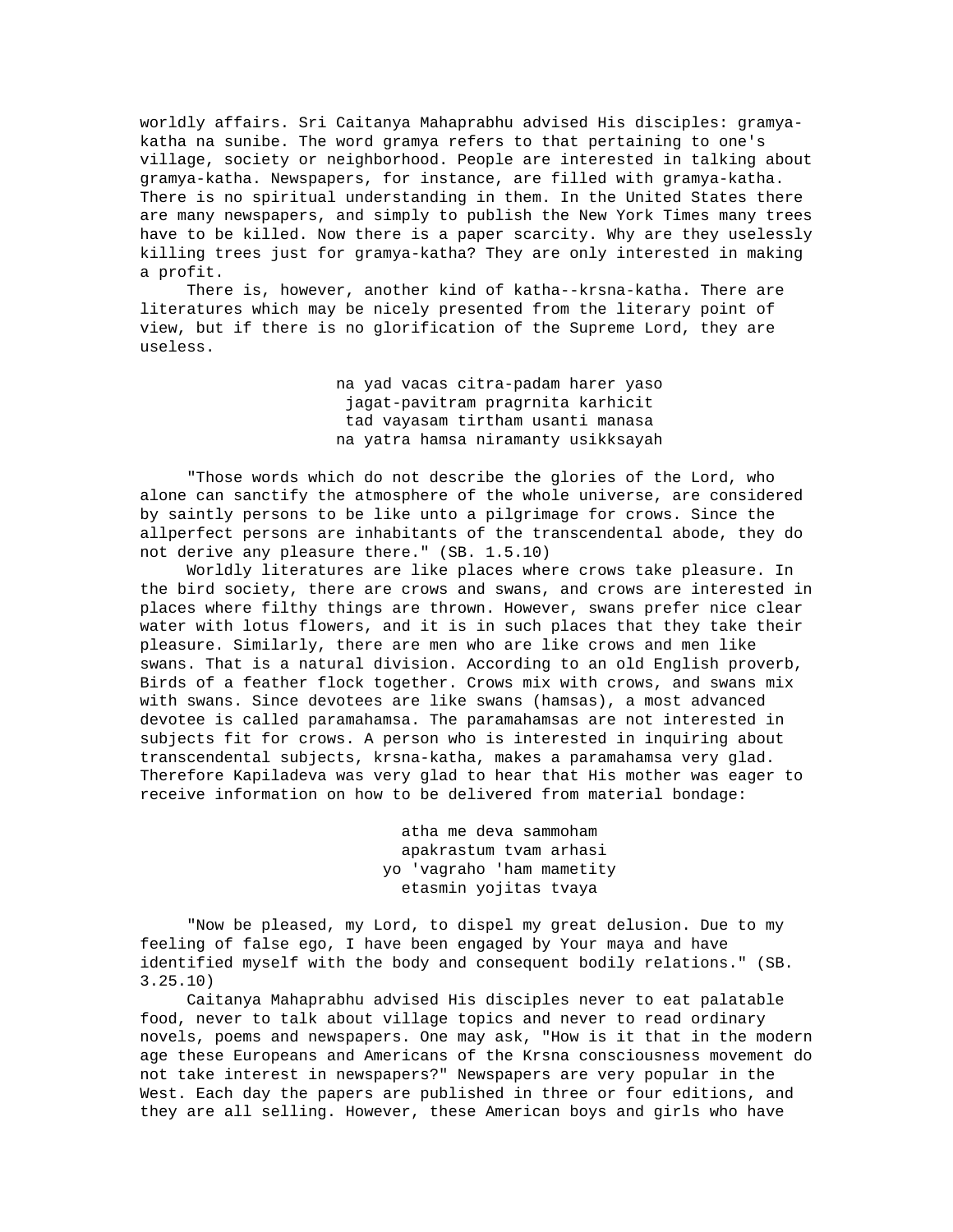worldly affairs. Sri Caitanya Mahaprabhu advised His disciples: gramyakatha na sunibe. The word gramya refers to that pertaining to one's village, society or neighborhood. People are interested in talking about gramya-katha. Newspapers, for instance, are filled with gramya-katha. There is no spiritual understanding in them. In the United States there are many newspapers, and simply to publish the New York Times many trees have to be killed. Now there is a paper scarcity. Why are they uselessly killing trees just for gramya-katha? They are only interested in making a profit.

 There is, however, another kind of katha--krsna-katha. There are literatures which may be nicely presented from the literary point of view, but if there is no glorification of the Supreme Lord, they are useless.

> na yad vacas citra-padam harer yaso jagat-pavitram pragrnita karhicit tad vayasam tirtham usanti manasa na yatra hamsa niramanty usikksayah

 "Those words which do not describe the glories of the Lord, who alone can sanctify the atmosphere of the whole universe, are considered by saintly persons to be like unto a pilgrimage for crows. Since the allperfect persons are inhabitants of the transcendental abode, they do not derive any pleasure there." (SB. 1.5.10)

 Worldly literatures are like places where crows take pleasure. In the bird society, there are crows and swans, and crows are interested in places where filthy things are thrown. However, swans prefer nice clear water with lotus flowers, and it is in such places that they take their pleasure. Similarly, there are men who are like crows and men like swans. That is a natural division. According to an old English proverb, Birds of a feather flock together. Crows mix with crows, and swans mix with swans. Since devotees are like swans (hamsas), a most advanced devotee is called paramahamsa. The paramahamsas are not interested in subjects fit for crows. A person who is interested in inquiring about transcendental subjects, krsna-katha, makes a paramahamsa very glad. Therefore Kapiladeva was very glad to hear that His mother was eager to receive information on how to be delivered from material bondage:

> atha me deva sammoham apakrastum tvam arhasi yo 'vagraho 'ham mametity etasmin yojitas tvaya

 "Now be pleased, my Lord, to dispel my great delusion. Due to my feeling of false ego, I have been engaged by Your maya and have identified myself with the body and consequent bodily relations." (SB. 3.25.10)

 Caitanya Mahaprabhu advised His disciples never to eat palatable food, never to talk about village topics and never to read ordinary novels, poems and newspapers. One may ask, "How is it that in the modern age these Europeans and Americans of the Krsna consciousness movement do not take interest in newspapers?" Newspapers are very popular in the West. Each day the papers are published in three or four editions, and they are all selling. However, these American boys and girls who have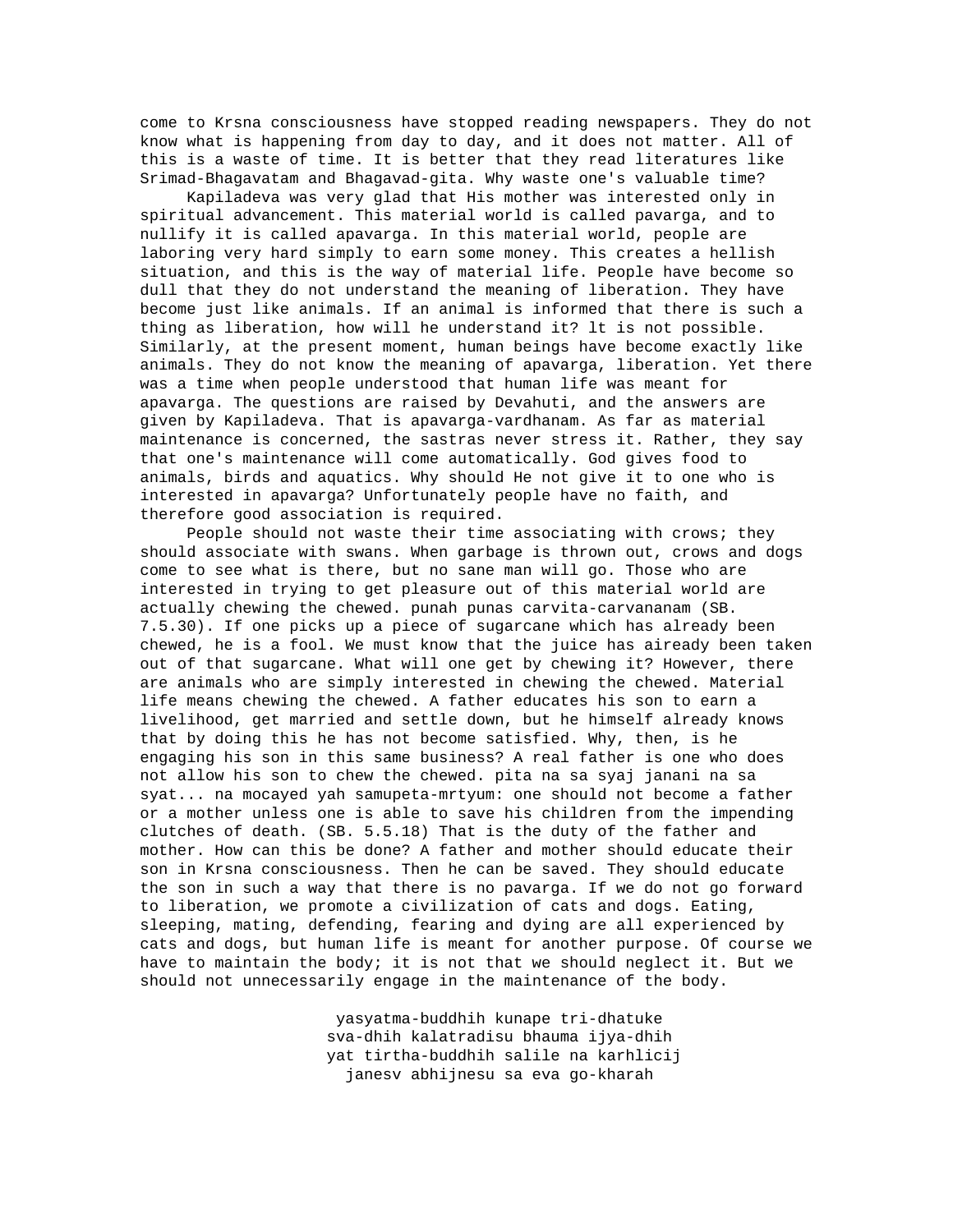come to Krsna consciousness have stopped reading newspapers. They do not know what is happening from day to day, and it does not matter. All of this is a waste of time. It is better that they read literatures like Srimad-Bhagavatam and Bhagavad-gita. Why waste one's valuable time?

 Kapiladeva was very glad that His mother was interested only in spiritual advancement. This material world is called pavarga, and to nullify it is called apavarga. In this material world, people are laboring very hard simply to earn some money. This creates a hellish situation, and this is the way of material life. People have become so dull that they do not understand the meaning of liberation. They have become just like animals. If an animal is informed that there is such a thing as liberation, how will he understand it? lt is not possible. Similarly, at the present moment, human beings have become exactly like animals. They do not know the meaning of apavarga, liberation. Yet there was a time when people understood that human life was meant for apavarga. The questions are raised by Devahuti, and the answers are given by Kapiladeva. That is apavarga-vardhanam. As far as material maintenance is concerned, the sastras never stress it. Rather, they say that one's maintenance will come automatically. God gives food to animals, birds and aquatics. Why should He not give it to one who is interested in apavarga? Unfortunately people have no faith, and therefore good association is required.

 People should not waste their time associating with crows; they should associate with swans. When garbage is thrown out, crows and dogs come to see what is there, but no sane man will go. Those who are interested in trying to get pleasure out of this material world are actually chewing the chewed. punah punas carvita-carvananam (SB. 7.5.30). If one picks up a piece of sugarcane which has already been chewed, he is a fool. We must know that the juice has aiready been taken out of that sugarcane. What will one get by chewing it? However, there are animals who are simply interested in chewing the chewed. Material life means chewing the chewed. A father educates his son to earn a livelihood, get married and settle down, but he himself already knows that by doing this he has not become satisfied. Why, then, is he engaging his son in this same business? A real father is one who does not allow his son to chew the chewed. pita na sa syaj janani na sa syat... na mocayed yah samupeta-mrtyum: one should not become a father or a mother unless one is able to save his children from the impending clutches of death. (SB. 5.5.18) That is the duty of the father and mother. How can this be done? A father and mother should educate their son in Krsna consciousness. Then he can be saved. They should educate the son in such a way that there is no pavarga. If we do not go forward to liberation, we promote a civilization of cats and dogs. Eating, sleeping, mating, defending, fearing and dying are all experienced by cats and dogs, but human life is meant for another purpose. Of course we have to maintain the body; it is not that we should neglect it. But we should not unnecessarily engage in the maintenance of the body.

> yasyatma-buddhih kunape tri-dhatuke sva-dhih kalatradisu bhauma ijya-dhih yat tirtha-buddhih salile na karhlicij janesv abhijnesu sa eva go-kharah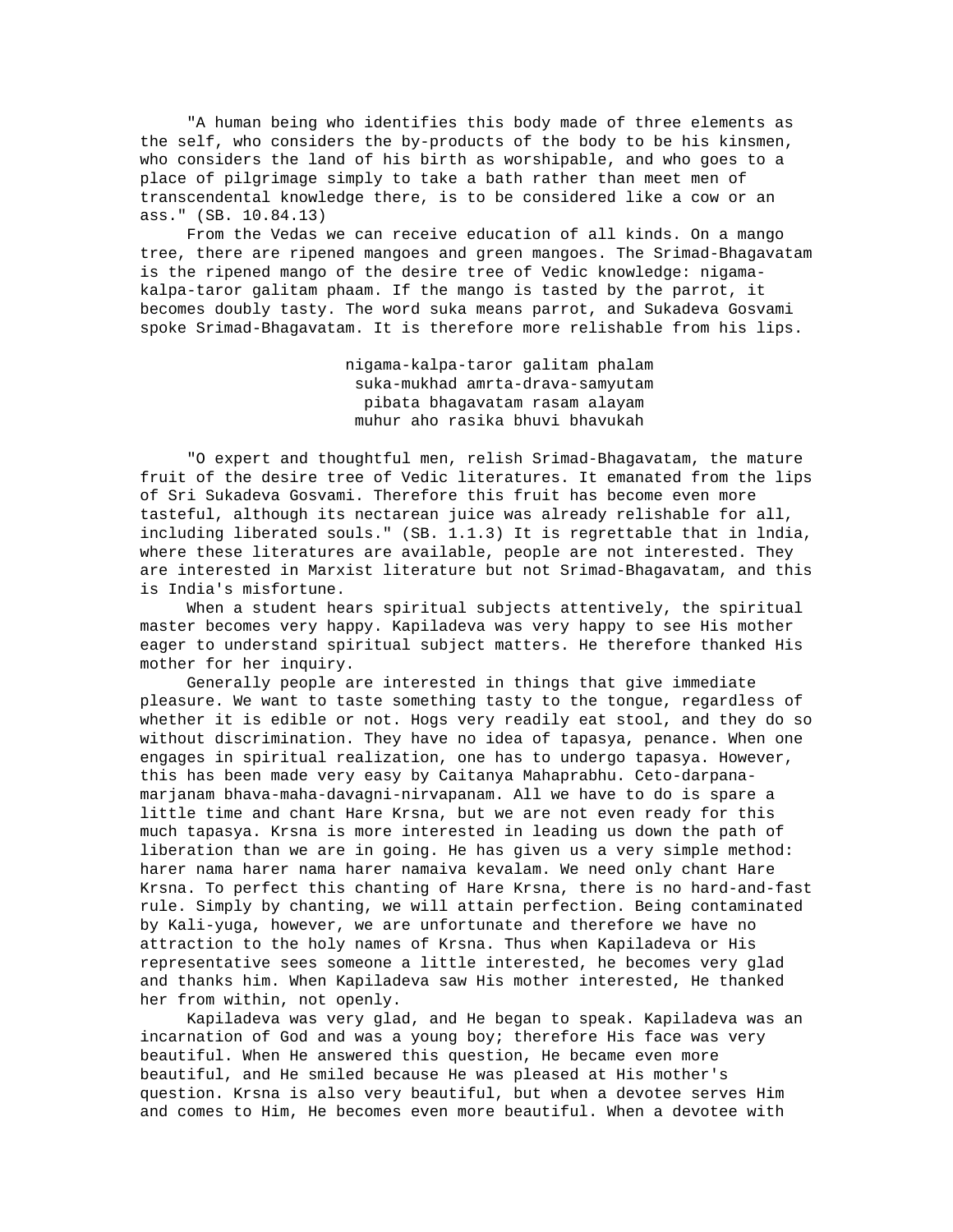"A human being who identifies this body made of three elements as the self, who considers the by-products of the body to be his kinsmen, who considers the land of his birth as worshipable, and who goes to a place of pilgrimage simply to take a bath rather than meet men of transcendental knowledge there, is to be considered like a cow or an ass." (SB. 10.84.13)

 From the Vedas we can receive education of all kinds. On a mango tree, there are ripened mangoes and green mangoes. The Srimad-Bhagavatam is the ripened mango of the desire tree of Vedic knowledge: nigamakalpa-taror galitam phaam. If the mango is tasted by the parrot, it becomes doubly tasty. The word suka means parrot, and Sukadeva Gosvami spoke Srimad-Bhagavatam. It is therefore more relishable from his lips.

> nigama-kalpa-taror galitam phalam suka-mukhad amrta-drava-samyutam pibata bhagavatam rasam alayam muhur aho rasika bhuvi bhavukah

 "O expert and thoughtful men, relish Srimad-Bhagavatam, the mature fruit of the desire tree of Vedic literatures. It emanated from the lips of Sri Sukadeva Gosvami. Therefore this fruit has become even more tasteful, although its nectarean juice was already relishable for all, including liberated souls." (SB. 1.1.3) It is regrettable that in lndia, where these literatures are available, people are not interested. They are interested in Marxist literature but not Srimad-Bhagavatam, and this is India's misfortune.

 When a student hears spiritual subjects attentively, the spiritual master becomes very happy. Kapiladeva was very happy to see His mother eager to understand spiritual subject matters. He therefore thanked His mother for her inquiry.

 Generally people are interested in things that give immediate pleasure. We want to taste something tasty to the tongue, regardless of whether it is edible or not. Hogs very readily eat stool, and they do so without discrimination. They have no idea of tapasya, penance. When one engages in spiritual realization, one has to undergo tapasya. However, this has been made very easy by Caitanya Mahaprabhu. Ceto-darpanamarjanam bhava-maha-davagni-nirvapanam. All we have to do is spare a little time and chant Hare Krsna, but we are not even ready for this much tapasya. Krsna is more interested in leading us down the path of liberation than we are in going. He has given us a very simple method: harer nama harer nama harer namaiva kevalam. We need only chant Hare Krsna. To perfect this chanting of Hare Krsna, there is no hard-and-fast rule. Simply by chanting, we will attain perfection. Being contaminated by Kali-yuga, however, we are unfortunate and therefore we have no attraction to the holy names of Krsna. Thus when Kapiladeva or His representative sees someone a little interested, he becomes very glad and thanks him. When Kapiladeva saw His mother interested, He thanked her from within, not openly.

 Kapiladeva was very glad, and He began to speak. Kapiladeva was an incarnation of God and was a young boy; therefore His face was very beautiful. When He answered this question, He became even more beautiful, and He smiled because He was pleased at His mother's question. Krsna is also very beautiful, but when a devotee serves Him and comes to Him, He becomes even more beautiful. When a devotee with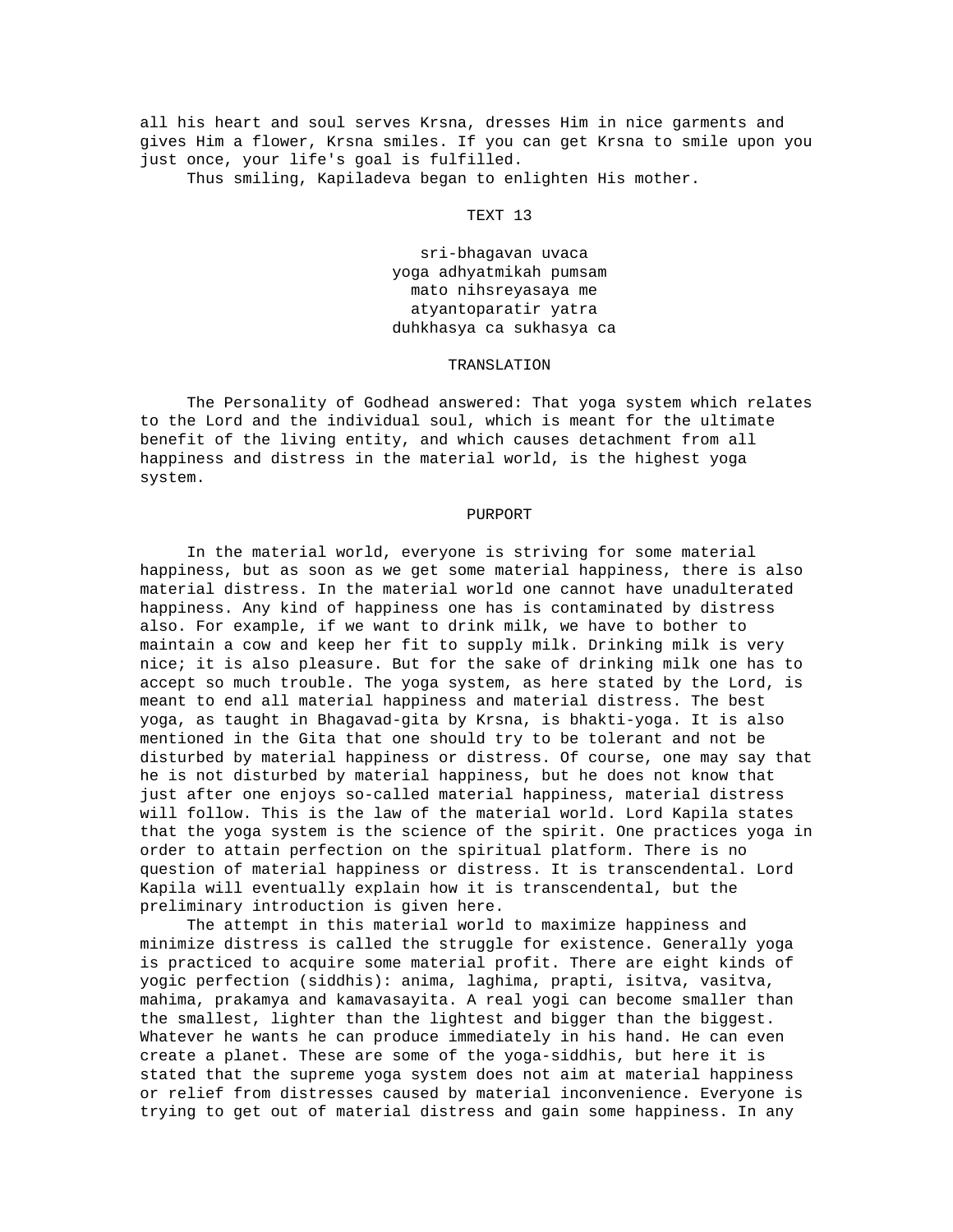all his heart and soul serves Krsna, dresses Him in nice garments and gives Him a flower, Krsna smiles. If you can get Krsna to smile upon you just once, your life's goal is fulfilled.

Thus smiling, Kapiladeva began to enlighten His mother.

## TEXT 13

 sri-bhagavan uvaca yoga adhyatmikah pumsam mato nihsreyasaya me atyantoparatir yatra duhkhasya ca sukhasya ca

### TRANSLATION

 The Personality of Godhead answered: That yoga system which relates to the Lord and the individual soul, which is meant for the ultimate benefit of the living entity, and which causes detachment from all happiness and distress in the material world, is the highest yoga system.

## PURPORT

 In the material world, everyone is striving for some material happiness, but as soon as we get some material happiness, there is also material distress. In the material world one cannot have unadulterated happiness. Any kind of happiness one has is contaminated by distress also. For example, if we want to drink milk, we have to bother to maintain a cow and keep her fit to supply milk. Drinking milk is very nice; it is also pleasure. But for the sake of drinking milk one has to accept so much trouble. The yoga system, as here stated by the Lord, is meant to end all material happiness and material distress. The best yoga, as taught in Bhagavad-gita by Krsna, is bhakti-yoga. It is also mentioned in the Gita that one should try to be tolerant and not be disturbed by material happiness or distress. Of course, one may say that he is not disturbed by material happiness, but he does not know that just after one enjoys so-called material happiness, material distress will follow. This is the law of the material world. Lord Kapila states that the yoga system is the science of the spirit. One practices yoga in order to attain perfection on the spiritual platform. There is no question of material happiness or distress. It is transcendental. Lord Kapila will eventually explain how it is transcendental, but the preliminary introduction is given here.

 The attempt in this material world to maximize happiness and minimize distress is called the struggle for existence. Generally yoga is practiced to acquire some material profit. There are eight kinds of yogic perfection (siddhis): anima, laghima, prapti, isitva, vasitva, mahima, prakamya and kamavasayita. A real yogi can become smaller than the smallest, lighter than the lightest and bigger than the biggest. Whatever he wants he can produce immediately in his hand. He can even create a planet. These are some of the yoga-siddhis, but here it is stated that the supreme yoga system does not aim at material happiness or relief from distresses caused by material inconvenience. Everyone is trying to get out of material distress and gain some happiness. In any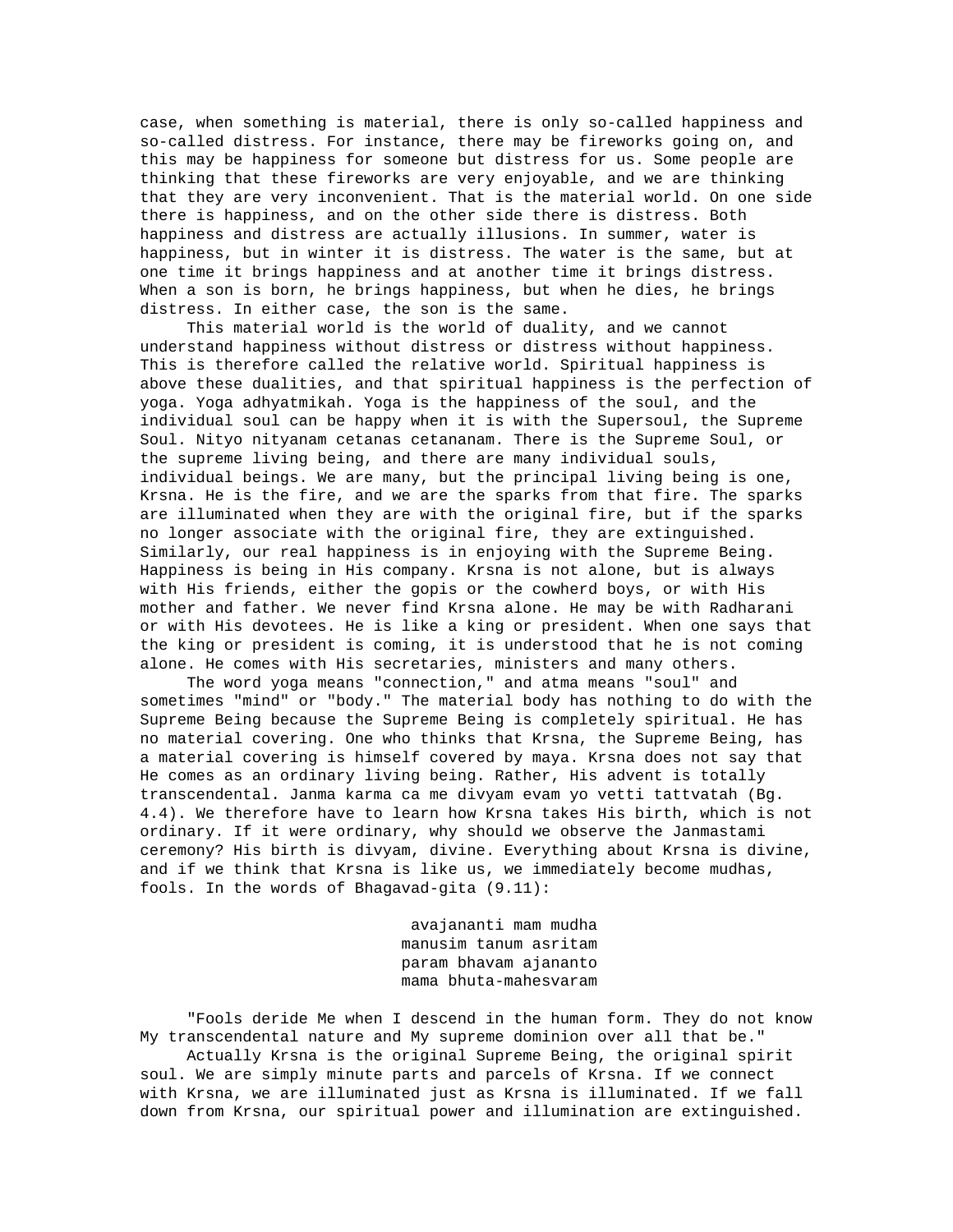case, when something is material, there is only so-called happiness and so-called distress. For instance, there may be fireworks going on, and this may be happiness for someone but distress for us. Some people are thinking that these fireworks are very enjoyable, and we are thinking that they are very inconvenient. That is the material world. On one side there is happiness, and on the other side there is distress. Both happiness and distress are actually illusions. In summer, water is happiness, but in winter it is distress. The water is the same, but at one time it brings happiness and at another time it brings distress. When a son is born, he brings happiness, but when he dies, he brings distress. In either case, the son is the same.

 This material world is the world of duality, and we cannot understand happiness without distress or distress without happiness. This is therefore called the relative world. Spiritual happiness is above these dualities, and that spiritual happiness is the perfection of yoga. Yoga adhyatmikah. Yoga is the happiness of the soul, and the individual soul can be happy when it is with the Supersoul, the Supreme Soul. Nityo nityanam cetanas cetananam. There is the Supreme Soul, or the supreme living being, and there are many individual souls, individual beings. We are many, but the principal living being is one, Krsna. He is the fire, and we are the sparks from that fire. The sparks are illuminated when they are with the original fire, but if the sparks no longer associate with the original fire, they are extinguished. Similarly, our real happiness is in enjoying with the Supreme Being. Happiness is being in His company. Krsna is not alone, but is always with His friends, either the gopis or the cowherd boys, or with His mother and father. We never find Krsna alone. He may be with Radharani or with His devotees. He is like a king or president. When one says that the king or president is coming, it is understood that he is not coming alone. He comes with His secretaries, ministers and many others.

 The word yoga means "connection," and atma means "soul" and sometimes "mind" or "body." The material body has nothing to do with the Supreme Being because the Supreme Being is completely spiritual. He has no material covering. One who thinks that Krsna, the Supreme Being, has a material covering is himself covered by maya. Krsna does not say that He comes as an ordinary living being. Rather, His advent is totally transcendental. Janma karma ca me divyam evam yo vetti tattvatah (Bg. 4.4). We therefore have to learn how Krsna takes His birth, which is not ordinary. If it were ordinary, why should we observe the Janmastami ceremony? His birth is divyam, divine. Everything about Krsna is divine, and if we think that Krsna is like us, we immediately become mudhas, fools. In the words of Bhagavad-gita (9.11):

> avajananti mam mudha manusim tanum asritam param bhavam ajananto mama bhuta-mahesvaram

 "Fools deride Me when I descend in the human form. They do not know My transcendental nature and My supreme dominion over all that be."

 Actually Krsna is the original Supreme Being, the original spirit soul. We are simply minute parts and parcels of Krsna. If we connect with Krsna, we are illuminated just as Krsna is illuminated. If we fall down from Krsna, our spiritual power and illumination are extinguished.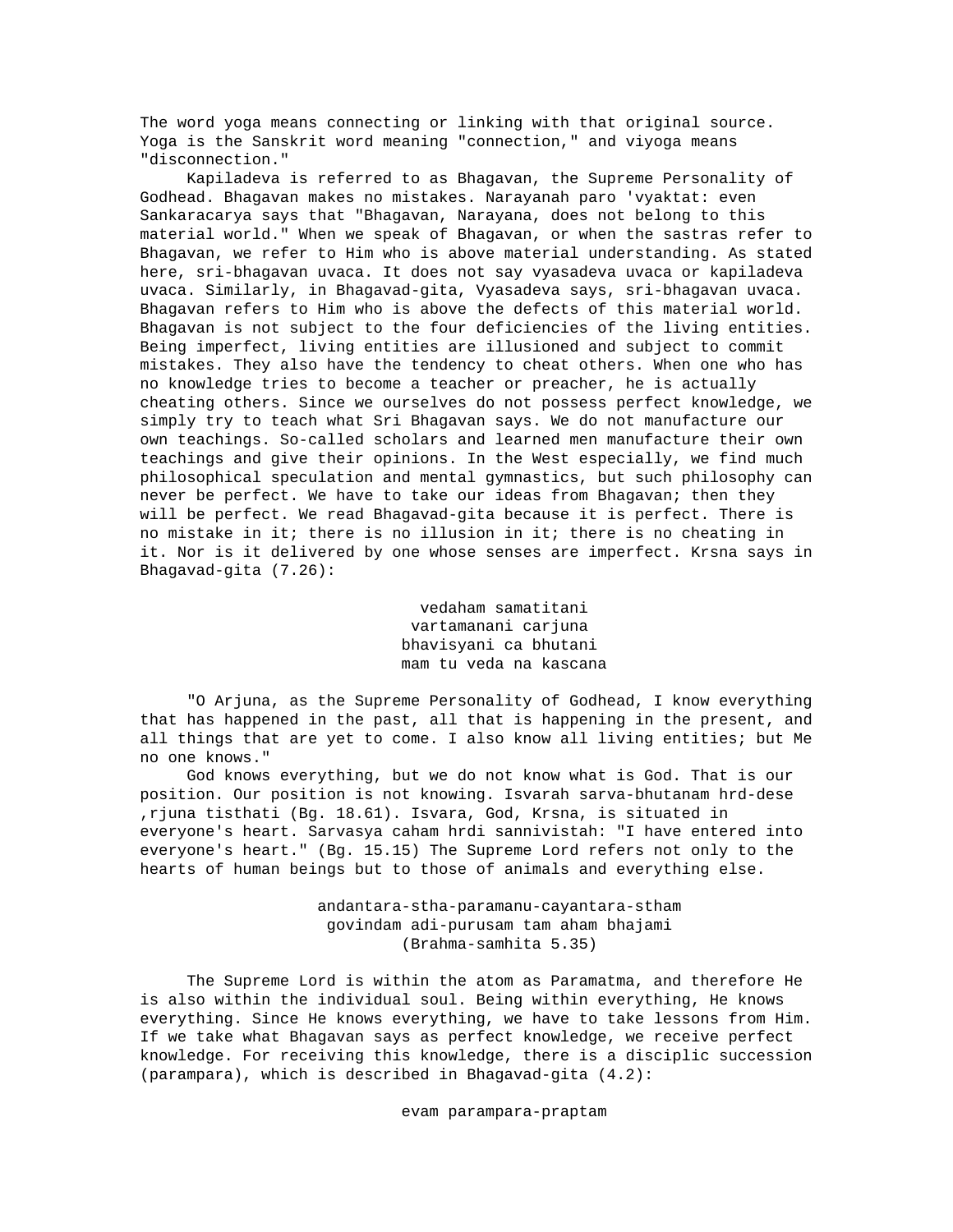The word yoga means connecting or linking with that original source. Yoga is the Sanskrit word meaning "connection," and viyoga means "disconnection."

 Kapiladeva is referred to as Bhagavan, the Supreme Personality of Godhead. Bhagavan makes no mistakes. Narayanah paro 'vyaktat: even Sankaracarya says that "Bhagavan, Narayana, does not belong to this material world." When we speak of Bhagavan, or when the sastras refer to Bhagavan, we refer to Him who is above material understanding. As stated here, sri-bhagavan uvaca. It does not say vyasadeva uvaca or kapiladeva uvaca. Similarly, in Bhagavad-gita, Vyasadeva says, sri-bhagavan uvaca. Bhagavan refers to Him who is above the defects of this material world. Bhagavan is not subject to the four deficiencies of the living entities. Being imperfect, living entities are illusioned and subject to commit mistakes. They also have the tendency to cheat others. When one who has no knowledge tries to become a teacher or preacher, he is actually cheating others. Since we ourselves do not possess perfect knowledge, we simply try to teach what Sri Bhagavan says. We do not manufacture our own teachings. So-called scholars and learned men manufacture their own teachings and give their opinions. In the West especially, we find much philosophical speculation and mental gymnastics, but such philosophy can never be perfect. We have to take our ideas from Bhagavan; then they will be perfect. We read Bhagavad-gita because it is perfect. There is no mistake in it; there is no illusion in it; there is no cheating in it. Nor is it delivered by one whose senses are imperfect. Krsna says in Bhagavad-gita (7.26):

> vedaham samatitani vartamanani carjuna bhavisyani ca bhutani mam tu veda na kascana

 "O Arjuna, as the Supreme Personality of Godhead, I know everything that has happened in the past, all that is happening in the present, and all things that are yet to come. I also know all living entities; but Me no one knows."

 God knows everything, but we do not know what is God. That is our position. Our position is not knowing. Isvarah sarva-bhutanam hrd-dese ,rjuna tisthati (Bg. 18.61). Isvara, God, Krsna, is situated in everyone's heart. Sarvasya caham hrdi sannivistah: "I have entered into everyone's heart." (Bg. 15.15) The Supreme Lord refers not only to the hearts of human beings but to those of animals and everything else.

> andantara-stha-paramanu-cayantara-stham govindam adi-purusam tam aham bhajami (Brahma-samhita 5.35)

 The Supreme Lord is within the atom as Paramatma, and therefore He is also within the individual soul. Being within everything, He knows everything. Since He knows everything, we have to take lessons from Him. If we take what Bhagavan says as perfect knowledge, we receive perfect knowledge. For receiving this knowledge, there is a disciplic succession (parampara), which is described in Bhagavad-gita (4.2):

evam parampara-praptam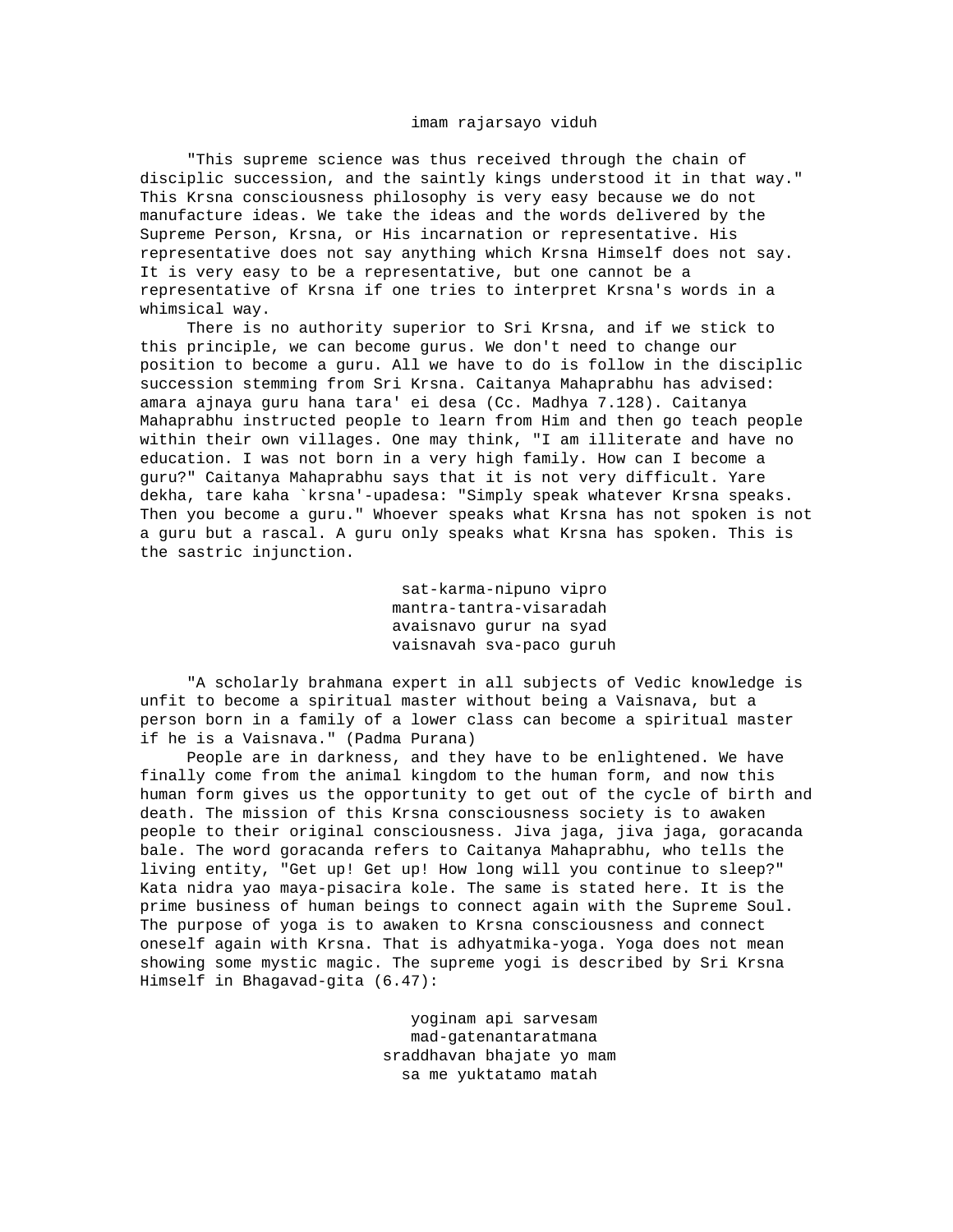### imam rajarsayo viduh

 "This supreme science was thus received through the chain of disciplic succession, and the saintly kings understood it in that way." This Krsna consciousness philosophy is very easy because we do not manufacture ideas. We take the ideas and the words delivered by the Supreme Person, Krsna, or His incarnation or representative. His representative does not say anything which Krsna Himself does not say. It is very easy to be a representative, but one cannot be a representative of Krsna if one tries to interpret Krsna's words in a whimsical way.

 There is no authority superior to Sri Krsna, and if we stick to this principle, we can become gurus. We don't need to change our position to become a guru. All we have to do is follow in the disciplic succession stemming from Sri Krsna. Caitanya Mahaprabhu has advised: amara ajnaya guru hana tara' ei desa (Cc. Madhya 7.128). Caitanya Mahaprabhu instructed people to learn from Him and then go teach people within their own villages. One may think, "I am illiterate and have no education. I was not born in a very high family. How can I become a guru?" Caitanya Mahaprabhu says that it is not very difficult. Yare dekha, tare kaha `krsna'-upadesa: "Simply speak whatever Krsna speaks. Then you become a guru." Whoever speaks what Krsna has not spoken is not a guru but a rascal. A guru only speaks what Krsna has spoken. This is the sastric injunction.

> sat-karma-nipuno vipro mantra-tantra-visaradah avaisnavo gurur na syad vaisnavah sva-paco guruh

 "A scholarly brahmana expert in all subjects of Vedic knowledge is unfit to become a spiritual master without being a Vaisnava, but a person born in a family of a lower class can become a spiritual master if he is a Vaisnava." (Padma Purana)

 People are in darkness, and they have to be enlightened. We have finally come from the animal kingdom to the human form, and now this human form gives us the opportunity to get out of the cycle of birth and death. The mission of this Krsna consciousness society is to awaken people to their original consciousness. Jiva jaga, jiva jaga, goracanda bale. The word goracanda refers to Caitanya Mahaprabhu, who tells the living entity, "Get up! Get up! How long will you continue to sleep?" Kata nidra yao maya-pisacira kole. The same is stated here. It is the prime business of human beings to connect again with the Supreme Soul. The purpose of yoga is to awaken to Krsna consciousness and connect oneself again with Krsna. That is adhyatmika-yoga. Yoga does not mean showing some mystic magic. The supreme yogi is described by Sri Krsna Himself in Bhagavad-gita (6.47):

> yoginam api sarvesam mad-gatenantaratmana sraddhavan bhajate yo mam sa me yuktatamo matah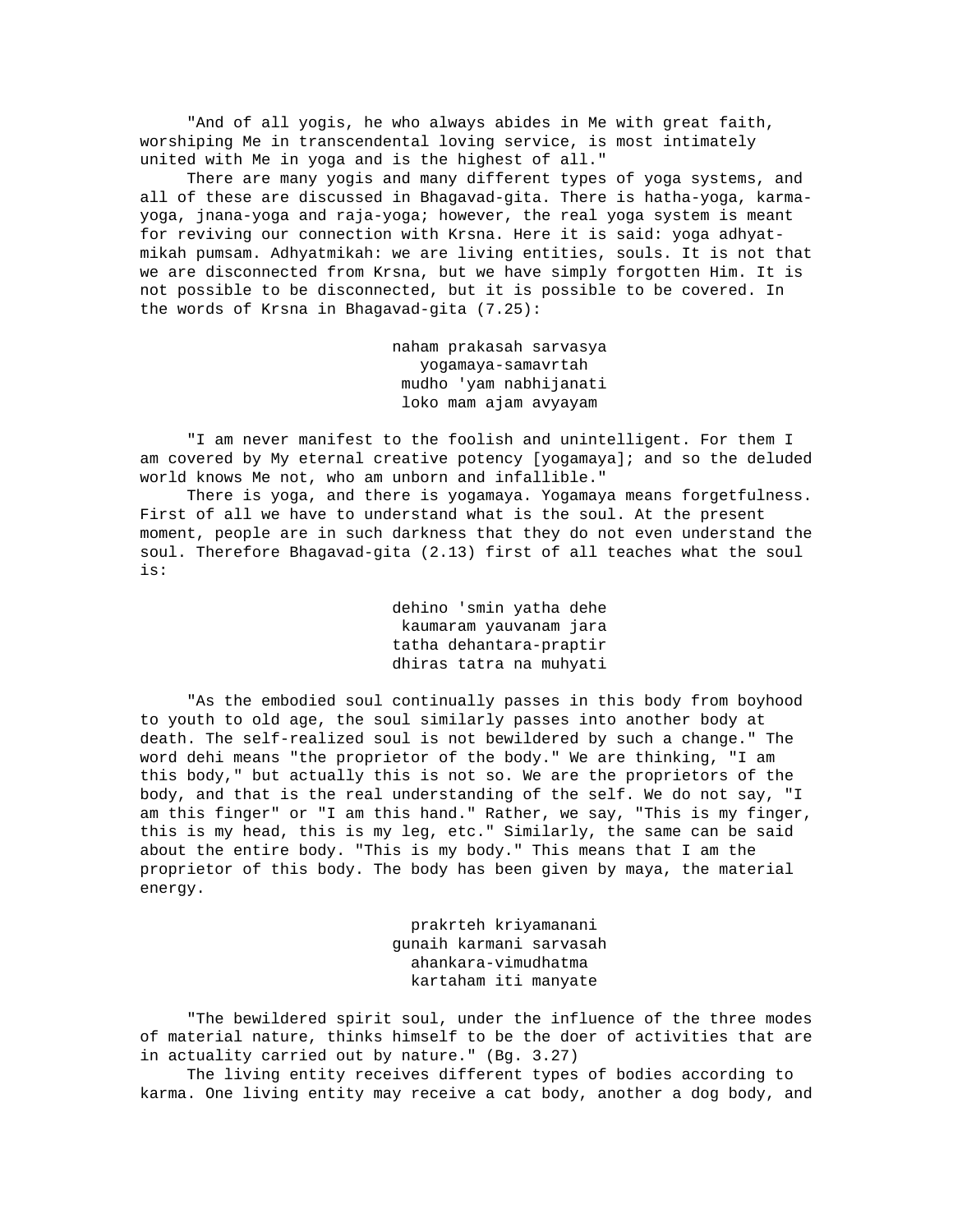"And of all yogis, he who always abides in Me with great faith, worshiping Me in transcendental loving service, is most intimately united with Me in yoga and is the highest of all."

 There are many yogis and many different types of yoga systems, and all of these are discussed in Bhagavad-gita. There is hatha-yoga, karmayoga, jnana-yoga and raja-yoga; however, the real yoga system is meant for reviving our connection with Krsna. Here it is said: yoga adhyatmikah pumsam. Adhyatmikah: we are living entities, souls. It is not that we are disconnected from Krsna, but we have simply forgotten Him. It is not possible to be disconnected, but it is possible to be covered. In the words of Krsna in Bhagavad-gita (7.25):

> naham prakasah sarvasya yogamaya-samavrtah mudho 'yam nabhijanati loko mam ajam avyayam

 "I am never manifest to the foolish and unintelligent. For them I am covered by My eternal creative potency [yogamaya]; and so the deluded world knows Me not, who am unborn and infallible."

 There is yoga, and there is yogamaya. Yogamaya means forgetfulness. First of all we have to understand what is the soul. At the present moment, people are in such darkness that they do not even understand the soul. Therefore Bhagavad-gita (2.13) first of all teaches what the soul is:

> dehino 'smin yatha dehe kaumaram yauvanam jara tatha dehantara-praptir dhiras tatra na muhyati

 "As the embodied soul continually passes in this body from boyhood to youth to old age, the soul similarly passes into another body at death. The self-realized soul is not bewildered by such a change." The word dehi means "the proprietor of the body." We are thinking, "I am this body," but actually this is not so. We are the proprietors of the body, and that is the real understanding of the self. We do not say, "I am this finger" or "I am this hand." Rather, we say, "This is my finger, this is my head, this is my leg, etc." Similarly, the same can be said about the entire body. "This is my body." This means that I am the proprietor of this body. The body has been given by maya, the material energy.

> prakrteh kriyamanani gunaih karmani sarvasah ahankara-vimudhatma kartaham iti manyate

 "The bewildered spirit soul, under the influence of the three modes of material nature, thinks himself to be the doer of activities that are in actuality carried out by nature." (Bg. 3.27)

 The living entity receives different types of bodies according to karma. One living entity may receive a cat body, another a dog body, and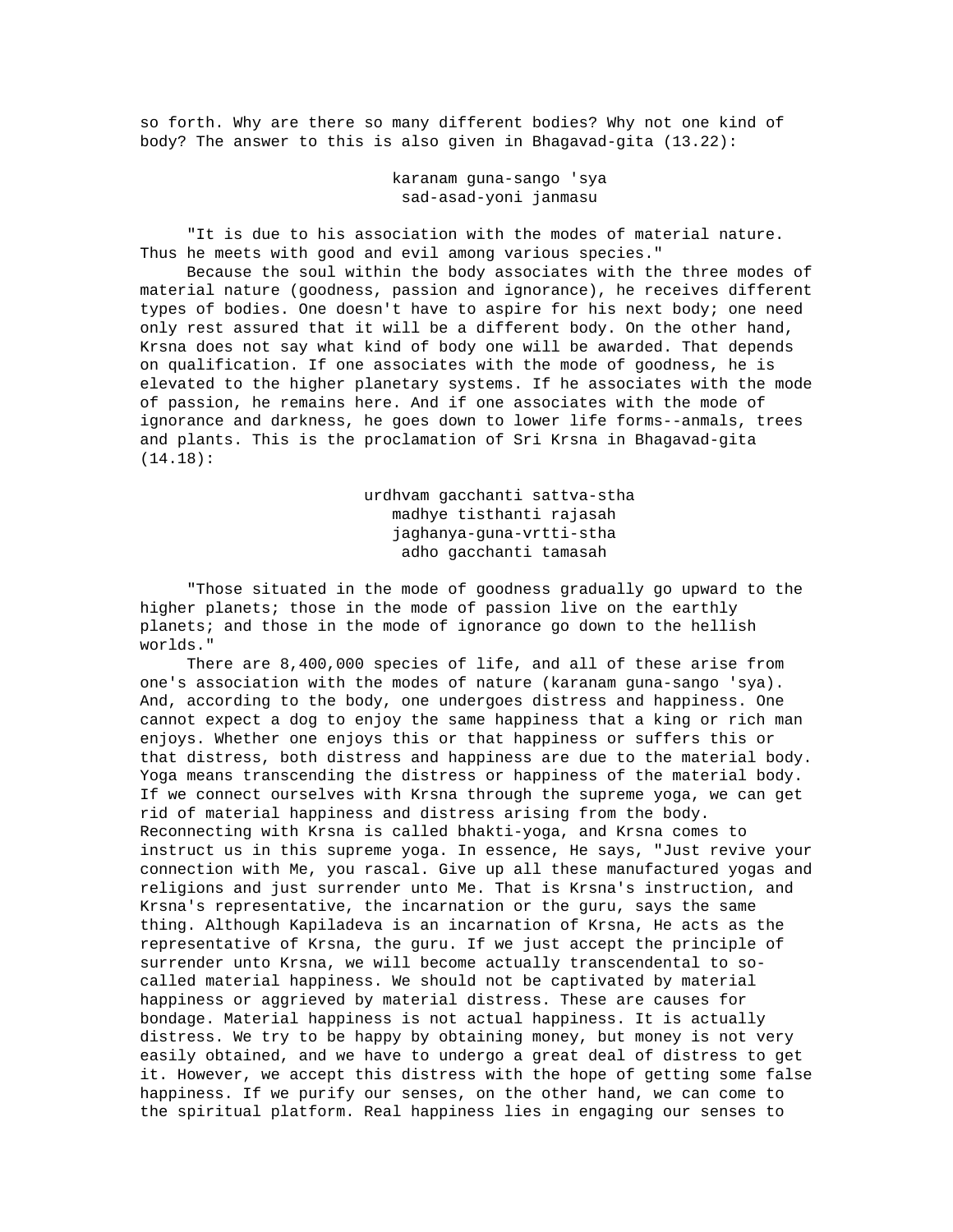so forth. Why are there so many different bodies? Why not one kind of body? The answer to this is also given in Bhagavad-gita (13.22):

> karanam guna-sango 'sya sad-asad-yoni janmasu

 "It is due to his association with the modes of material nature. Thus he meets with good and evil among various species."

 Because the soul within the body associates with the three modes of material nature (goodness, passion and ignorance), he receives different types of bodies. One doesn't have to aspire for his next body; one need only rest assured that it will be a different body. On the other hand, Krsna does not say what kind of body one will be awarded. That depends on qualification. If one associates with the mode of goodness, he is elevated to the higher planetary systems. If he associates with the mode of passion, he remains here. And if one associates with the mode of ignorance and darkness, he goes down to lower life forms--anmals, trees and plants. This is the proclamation of Sri Krsna in Bhagavad-gita (14.18):

> urdhvam gacchanti sattva-stha madhye tisthanti rajasah jaghanya-guna-vrtti-stha adho gacchanti tamasah

 "Those situated in the mode of goodness gradually go upward to the higher planets; those in the mode of passion live on the earthly planets; and those in the mode of ignorance go down to the hellish worlds."

 There are 8,400,000 species of life, and all of these arise from one's association with the modes of nature (karanam guna-sango 'sya). And, according to the body, one undergoes distress and happiness. One cannot expect a dog to enjoy the same happiness that a king or rich man enjoys. Whether one enjoys this or that happiness or suffers this or that distress, both distress and happiness are due to the material body. Yoga means transcending the distress or happiness of the material body. If we connect ourselves with Krsna through the supreme yoga, we can get rid of material happiness and distress arising from the body. Reconnecting with Krsna is called bhakti-yoga, and Krsna comes to instruct us in this supreme yoga. In essence, He says, "Just revive your connection with Me, you rascal. Give up all these manufactured yogas and religions and just surrender unto Me. That is Krsna's instruction, and Krsna's representative, the incarnation or the guru, says the same thing. Although Kapiladeva is an incarnation of Krsna, He acts as the representative of Krsna, the guru. If we just accept the principle of surrender unto Krsna, we will become actually transcendental to socalled material happiness. We should not be captivated by material happiness or aggrieved by material distress. These are causes for bondage. Material happiness is not actual happiness. It is actually distress. We try to be happy by obtaining money, but money is not very easily obtained, and we have to undergo a great deal of distress to get it. However, we accept this distress with the hope of getting some false happiness. If we purify our senses, on the other hand, we can come to the spiritual platform. Real happiness lies in engaging our senses to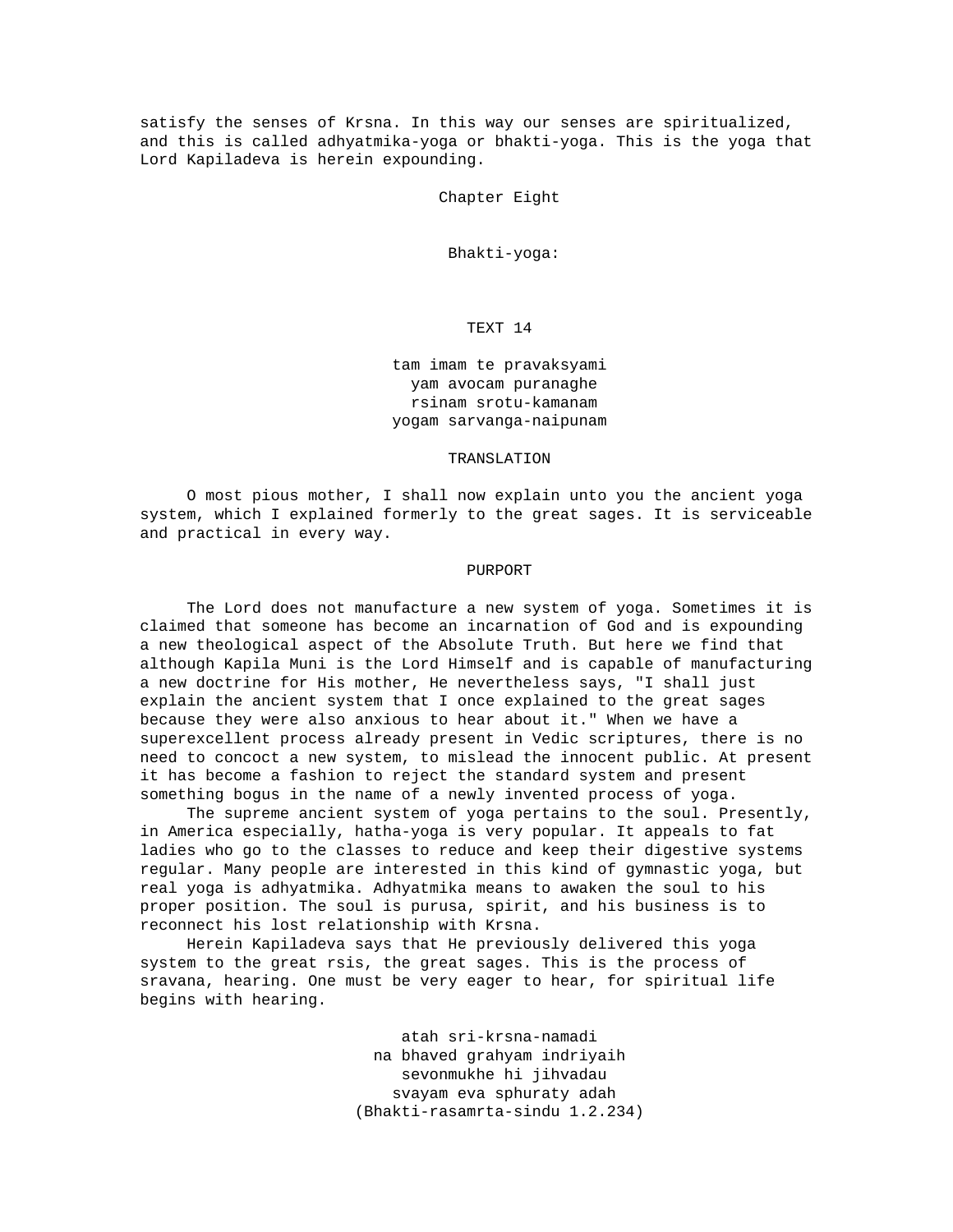satisfy the senses of Krsna. In this way our senses are spiritualized, and this is called adhyatmika-yoga or bhakti-yoga. This is the yoga that Lord Kapiladeva is herein expounding.

Chapter Eight

Bhakti-yoga:

TEXT 14

# tam imam te pravaksyami yam avocam puranaghe rsinam srotu-kamanam yogam sarvanga-naipunam

#### TRANSLATION

 O most pious mother, I shall now explain unto you the ancient yoga system, which I explained formerly to the great sages. It is serviceable and practical in every way.

### PURPORT

 The Lord does not manufacture a new system of yoga. Sometimes it is claimed that someone has become an incarnation of God and is expounding a new theological aspect of the Absolute Truth. But here we find that although Kapila Muni is the Lord Himself and is capable of manufacturing a new doctrine for His mother, He nevertheless says, "I shall just explain the ancient system that I once explained to the great sages because they were also anxious to hear about it." When we have a superexcellent process already present in Vedic scriptures, there is no need to concoct a new system, to mislead the innocent public. At present it has become a fashion to reject the standard system and present something bogus in the name of a newly invented process of yoga.

 The supreme ancient system of yoga pertains to the soul. Presently, in America especially, hatha-yoga is very popular. It appeals to fat ladies who go to the classes to reduce and keep their digestive systems regular. Many people are interested in this kind of gymnastic yoga, but real yoga is adhyatmika. Adhyatmika means to awaken the soul to his proper position. The soul is purusa, spirit, and his business is to reconnect his lost relationship with Krsna.

 Herein Kapiladeva says that He previously delivered this yoga system to the great rsis, the great sages. This is the process of sravana, hearing. One must be very eager to hear, for spiritual life begins with hearing.

> atah sri-krsna-namadi na bhaved grahyam indriyaih sevonmukhe hi jihvadau svayam eva sphuraty adah (Bhakti-rasamrta-sindu 1.2.234)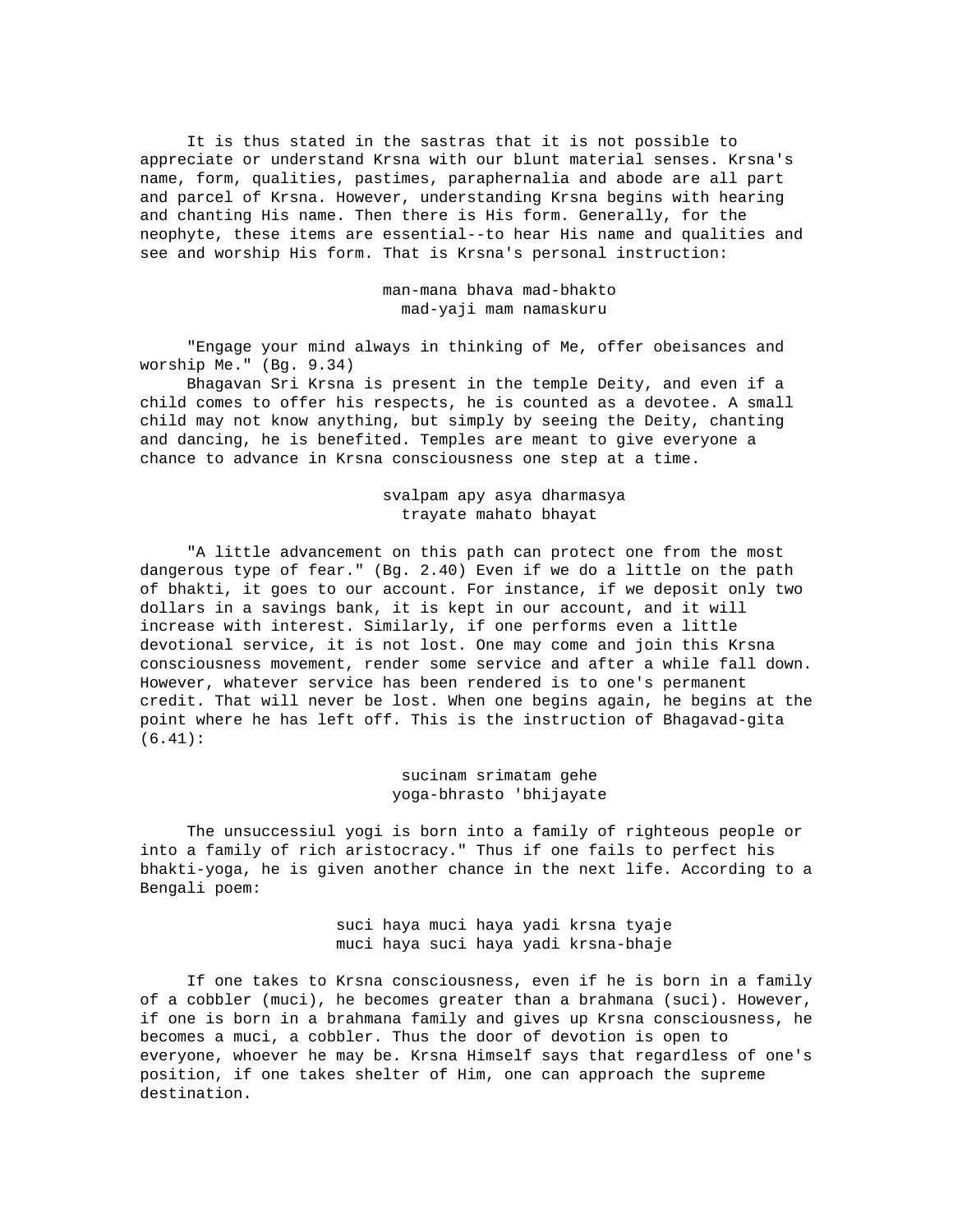It is thus stated in the sastras that it is not possible to appreciate or understand Krsna with our blunt material senses. Krsna's name, form, qualities, pastimes, paraphernalia and abode are all part and parcel of Krsna. However, understanding Krsna begins with hearing and chanting His name. Then there is His form. Generally, for the neophyte, these items are essential--to hear His name and qualities and see and worship His form. That is Krsna's personal instruction:

> man-mana bhava mad-bhakto mad-yaji mam namaskuru

 "Engage your mind always in thinking of Me, offer obeisances and worship Me." (Bg. 9.34)

 Bhagavan Sri Krsna is present in the temple Deity, and even if a child comes to offer his respects, he is counted as a devotee. A small child may not know anything, but simply by seeing the Deity, chanting and dancing, he is benefited. Temples are meant to give everyone a chance to advance in Krsna consciousness one step at a time.

# svalpam apy asya dharmasya trayate mahato bhayat

 "A little advancement on this path can protect one from the most dangerous type of fear." (Bg. 2.40) Even if we do a little on the path of bhakti, it goes to our account. For instance, if we deposit only two dollars in a savings bank, it is kept in our account, and it will increase with interest. Similarly, if one performs even a little devotional service, it is not lost. One may come and join this Krsna consciousness movement, render some service and after a while fall down. However, whatever service has been rendered is to one's permanent credit. That will never be lost. When one begins again, he begins at the point where he has left off. This is the instruction of Bhagavad-gita (6.41):

> sucinam srimatam gehe yoga-bhrasto 'bhijayate

 The unsuccessiul yogi is born into a family of righteous people or into a family of rich aristocracy." Thus if one fails to perfect his bhakti-yoga, he is given another chance in the next life. According to a Bengali poem:

> suci haya muci haya yadi krsna tyaje muci haya suci haya yadi krsna-bhaje

 If one takes to Krsna consciousness, even if he is born in a family of a cobbler (muci), he becomes greater than a brahmana (suci). However, if one is born in a brahmana family and gives up Krsna consciousness, he becomes a muci, a cobbler. Thus the door of devotion is open to everyone, whoever he may be. Krsna Himself says that regardless of one's position, if one takes shelter of Him, one can approach the supreme destination.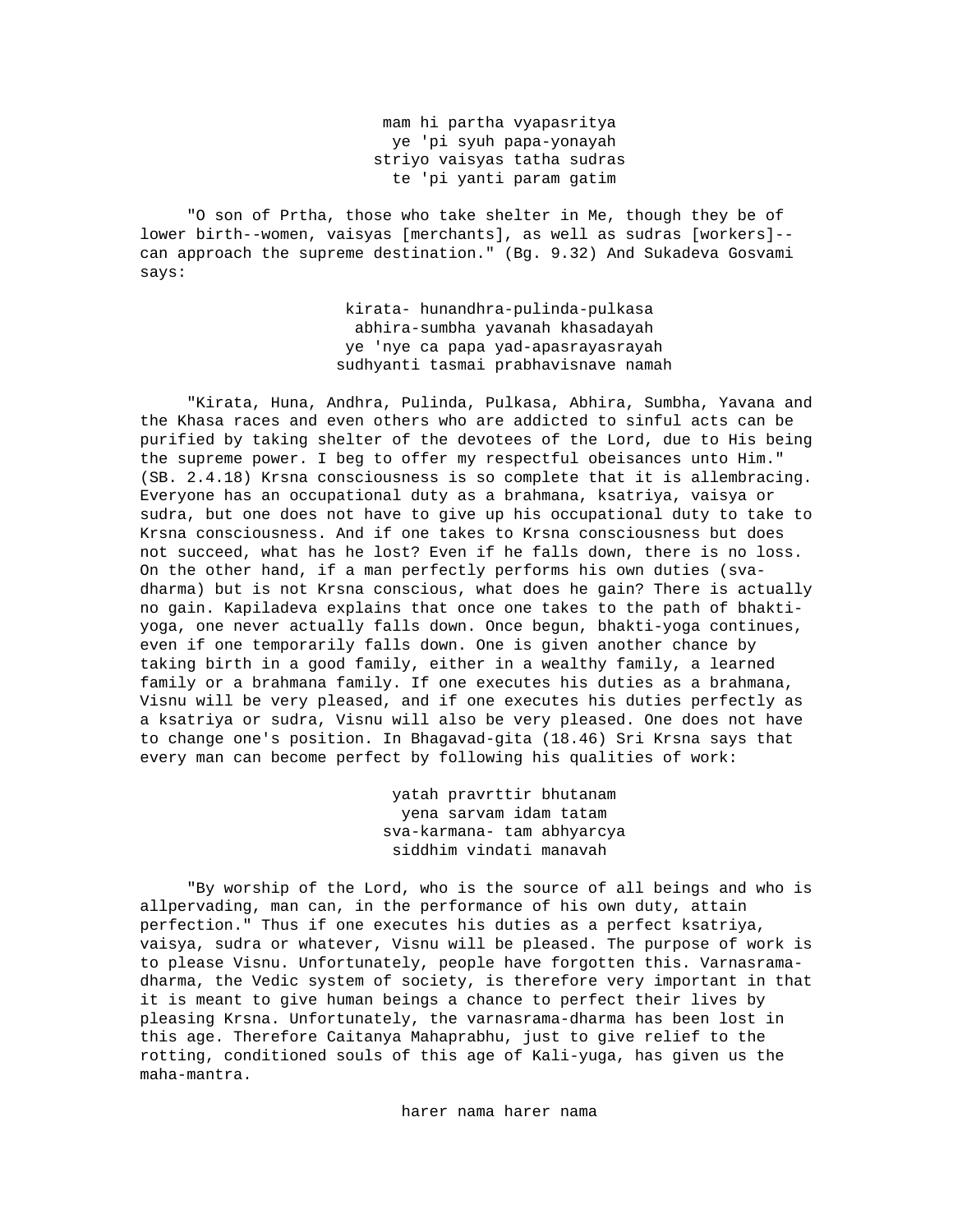mam hi partha vyapasritya ye 'pi syuh papa-yonayah striyo vaisyas tatha sudras te 'pi yanti param gatim

 "O son of Prtha, those who take shelter in Me, though they be of lower birth--women, vaisyas [merchants], as well as sudras [workers]- can approach the supreme destination." (Bg. 9.32) And Sukadeva Gosvami says:

> kirata- hunandhra-pulinda-pulkasa abhira-sumbha yavanah khasadayah ye 'nye ca papa yad-apasrayasrayah sudhyanti tasmai prabhavisnave namah

 "Kirata, Huna, Andhra, Pulinda, Pulkasa, Abhira, Sumbha, Yavana and the Khasa races and even others who are addicted to sinful acts can be purified by taking shelter of the devotees of the Lord, due to His being the supreme power. I beg to offer my respectful obeisances unto Him." (SB. 2.4.18) Krsna consciousness is so complete that it is allembracing. Everyone has an occupational duty as a brahmana, ksatriya, vaisya or sudra, but one does not have to give up his occupational duty to take to Krsna consciousness. And if one takes to Krsna consciousness but does not succeed, what has he lost? Even if he falls down, there is no loss. On the other hand, if a man perfectly performs his own duties (svadharma) but is not Krsna conscious, what does he gain? There is actually no gain. Kapiladeva explains that once one takes to the path of bhaktiyoga, one never actually falls down. Once begun, bhakti-yoga continues, even if one temporarily falls down. One is given another chance by taking birth in a good family, either in a wealthy family, a learned family or a brahmana family. If one executes his duties as a brahmana, Visnu will be very pleased, and if one executes his duties perfectly as a ksatriya or sudra, Visnu will also be very pleased. One does not have to change one's position. In Bhagavad-gita (18.46) Sri Krsna says that every man can become perfect by following his qualities of work:

> yatah pravrttir bhutanam yena sarvam idam tatam sva-karmana- tam abhyarcya siddhim vindati manavah

 "By worship of the Lord, who is the source of all beings and who is allpervading, man can, in the performance of his own duty, attain perfection." Thus if one executes his duties as a perfect ksatriya, vaisya, sudra or whatever, Visnu will be pleased. The purpose of work is to please Visnu. Unfortunately, people have forgotten this. Varnasramadharma, the Vedic system of society, is therefore very important in that it is meant to give human beings a chance to perfect their lives by pleasing Krsna. Unfortunately, the varnasrama-dharma has been lost in this age. Therefore Caitanya Mahaprabhu, just to give relief to the rotting, conditioned souls of this age of Kali-yuga, has given us the maha-mantra.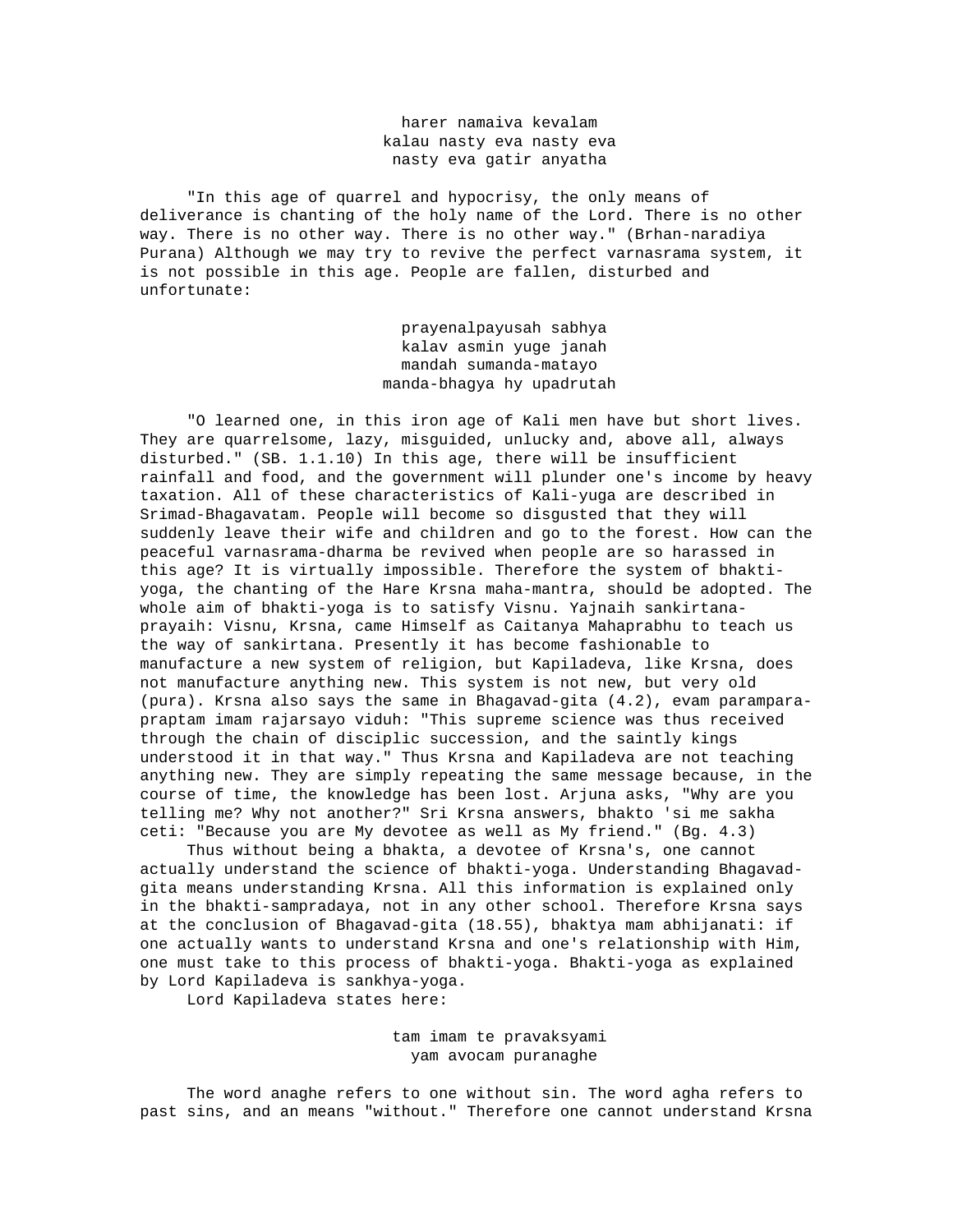harer namaiva kevalam kalau nasty eva nasty eva nasty eva gatir anyatha

 "In this age of quarrel and hypocrisy, the only means of deliverance is chanting of the holy name of the Lord. There is no other way. There is no other way. There is no other way." (Brhan-naradiya Purana) Although we may try to revive the perfect varnasrama system, it is not possible in this age. People are fallen, disturbed and unfortunate:

> prayenalpayusah sabhya kalav asmin yuge janah mandah sumanda-matayo manda-bhagya hy upadrutah

 "O learned one, in this iron age of Kali men have but short lives. They are quarrelsome, lazy, misguided, unlucky and, above all, always disturbed." (SB. 1.1.10) In this age, there will be insufficient rainfall and food, and the government will plunder one's income by heavy taxation. All of these characteristics of Kali-yuga are described in Srimad-Bhagavatam. People will become so disgusted that they will suddenly leave their wife and children and go to the forest. How can the peaceful varnasrama-dharma be revived when people are so harassed in this age? It is virtually impossible. Therefore the system of bhaktiyoga, the chanting of the Hare Krsna maha-mantra, should be adopted. The whole aim of bhakti-yoga is to satisfy Visnu. Yajnaih sankirtanaprayaih: Visnu, Krsna, came Himself as Caitanya Mahaprabhu to teach us the way of sankirtana. Presently it has become fashionable to manufacture a new system of religion, but Kapiladeva, like Krsna, does not manufacture anything new. This system is not new, but very old (pura). Krsna also says the same in Bhagavad-gita (4.2), evam paramparapraptam imam rajarsayo viduh: "This supreme science was thus received through the chain of disciplic succession, and the saintly kings understood it in that way." Thus Krsna and Kapiladeva are not teaching anything new. They are simply repeating the same message because, in the course of time, the knowledge has been lost. Arjuna asks, "Why are you telling me? Why not another?" Sri Krsna answers, bhakto 'si me sakha ceti: "Because you are My devotee as well as My friend." (Bg. 4.3)

 Thus without being a bhakta, a devotee of Krsna's, one cannot actually understand the science of bhakti-yoga. Understanding Bhagavadgita means understanding Krsna. All this information is explained only in the bhakti-sampradaya, not in any other school. Therefore Krsna says at the conclusion of Bhagavad-gita (18.55), bhaktya mam abhijanati: if one actually wants to understand Krsna and one's relationship with Him, one must take to this process of bhakti-yoga. Bhakti-yoga as explained by Lord Kapiladeva is sankhya-yoga.

Lord Kapiladeva states here:

 tam imam te pravaksyami yam avocam puranaghe

 The word anaghe refers to one without sin. The word agha refers to past sins, and an means "without." Therefore one cannot understand Krsna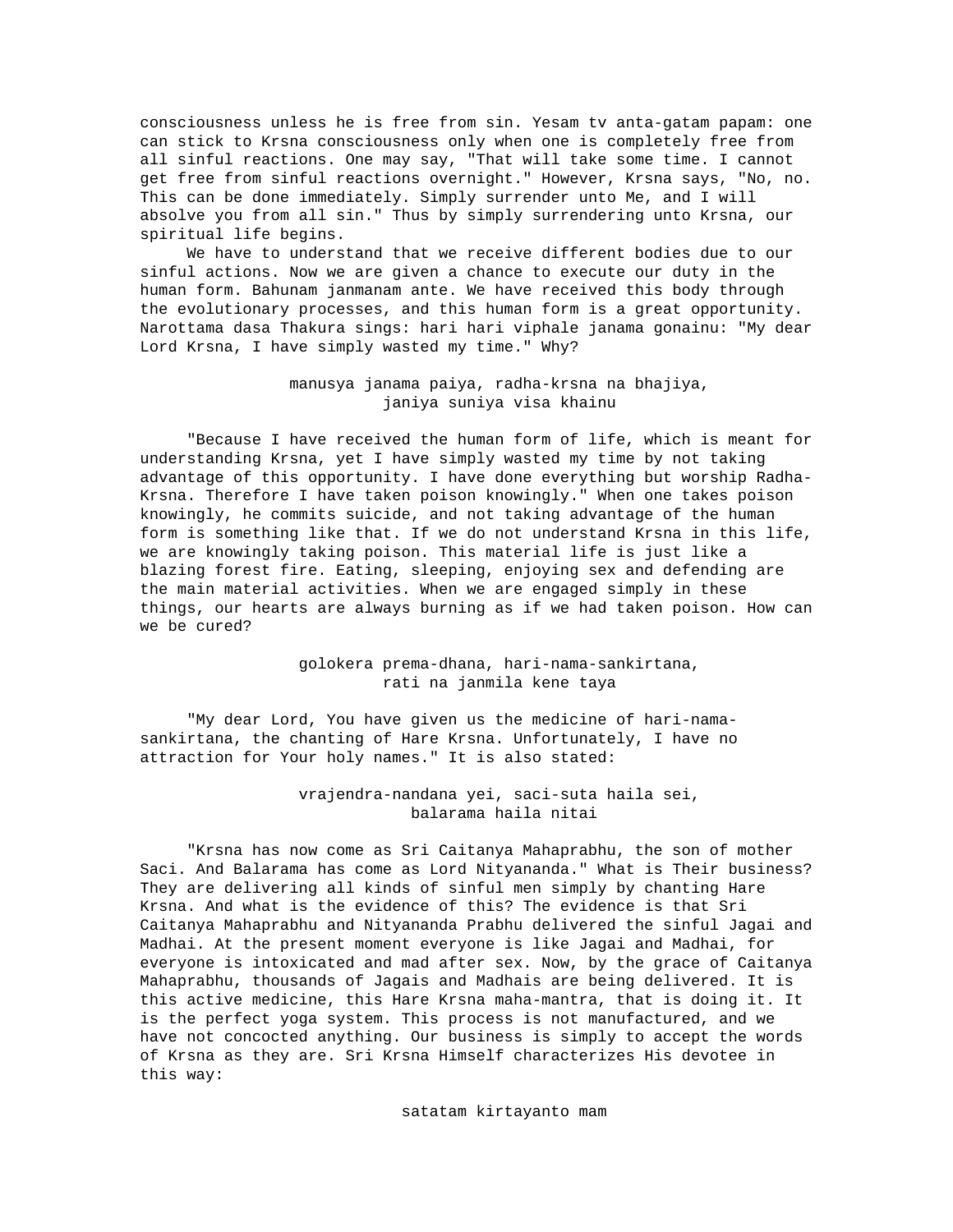consciousness unless he is free from sin. Yesam tv anta-gatam papam: one can stick to Krsna consciousness only when one is completely free from all sinful reactions. One may say, "That will take some time. I cannot get free from sinful reactions overnight." However, Krsna says, "No, no. This can be done immediately. Simply surrender unto Me, and I will absolve you from all sin." Thus by simply surrendering unto Krsna, our spiritual life begins.

 We have to understand that we receive different bodies due to our sinful actions. Now we are given a chance to execute our duty in the human form. Bahunam janmanam ante. We have received this body through the evolutionary processes, and this human form is a great opportunity. Narottama dasa Thakura sings: hari hari viphale janama gonainu: "My dear Lord Krsna, I have simply wasted my time." Why?

# manusya janama paiya, radha-krsna na bhajiya, janiya suniya visa khainu

 "Because I have received the human form of life, which is meant for understanding Krsna, yet I have simply wasted my time by not taking advantage of this opportunity. I have done everything but worship Radha-Krsna. Therefore I have taken poison knowingly." When one takes poison knowingly, he commits suicide, and not taking advantage of the human form is something like that. If we do not understand Krsna in this life, we are knowingly taking poison. This material life is just like a blazing forest fire. Eating, sleeping, enjoying sex and defending are the main material activities. When we are engaged simply in these things, our hearts are always burning as if we had taken poison. How can we be cured?

> golokera prema-dhana, hari-nama-sankirtana, rati na janmila kene taya

 "My dear Lord, You have given us the medicine of hari-namasankirtana, the chanting of Hare Krsna. Unfortunately, I have no attraction for Your holy names." It is also stated:

> vrajendra-nandana yei, saci-suta haila sei, balarama haila nitai

 "Krsna has now come as Sri Caitanya Mahaprabhu, the son of mother Saci. And Balarama has come as Lord Nityananda." What is Their business? They are delivering all kinds of sinful men simply by chanting Hare Krsna. And what is the evidence of this? The evidence is that Sri Caitanya Mahaprabhu and Nityananda Prabhu delivered the sinful Jagai and Madhai. At the present moment everyone is like Jagai and Madhai, for everyone is intoxicated and mad after sex. Now, by the grace of Caitanya Mahaprabhu, thousands of Jagais and Madhais are being delivered. It is this active medicine, this Hare Krsna maha-mantra, that is doing it. It is the perfect yoga system. This process is not manufactured, and we have not concocted anything. Our business is simply to accept the words of Krsna as they are. Sri Krsna Himself characterizes His devotee in this way: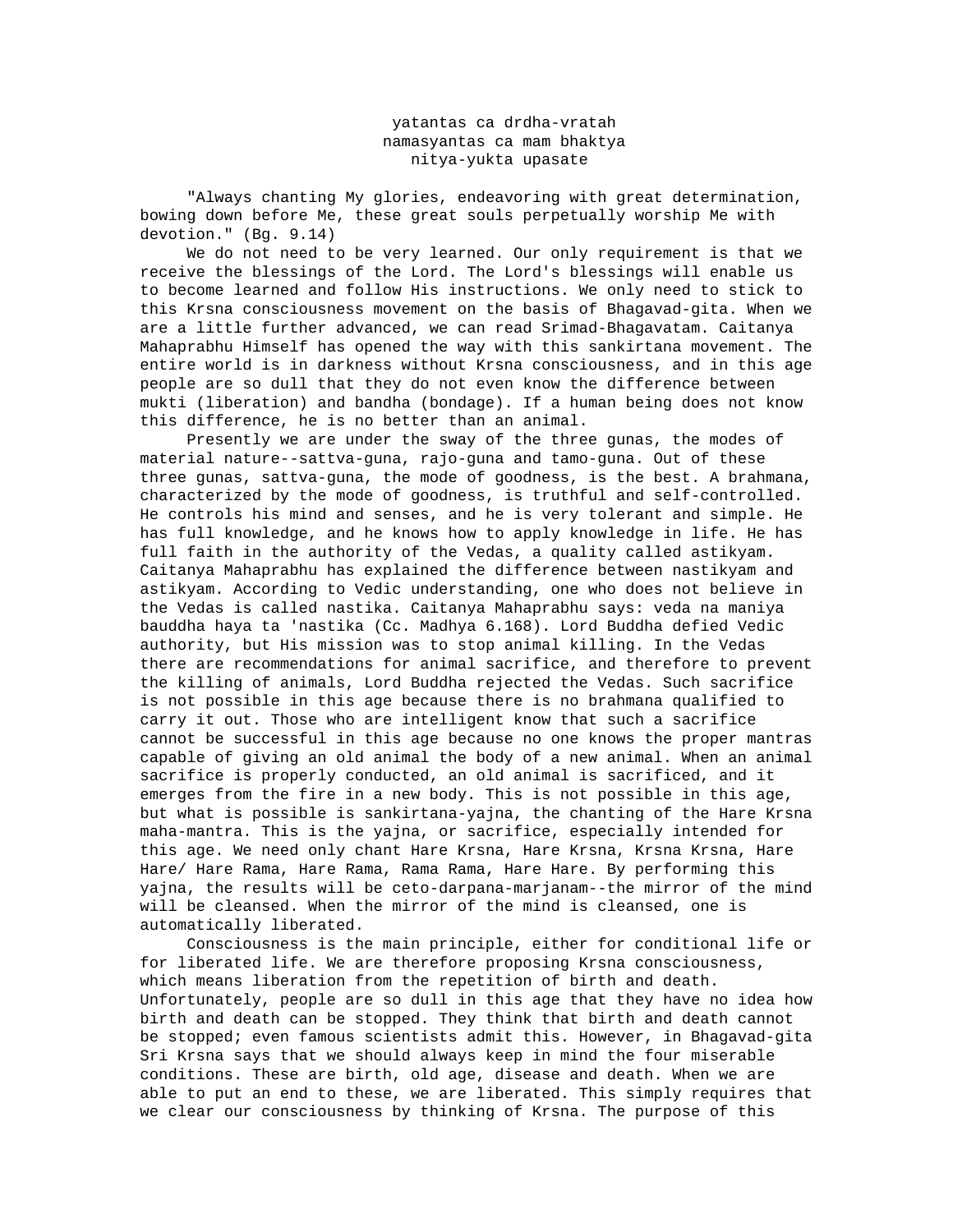yatantas ca drdha-vratah namasyantas ca mam bhaktya nitya-yukta upasate

 "Always chanting My glories, endeavoring with great determination, bowing down before Me, these great souls perpetually worship Me with devotion." (Bg. 9.14)

 We do not need to be very learned. Our only requirement is that we receive the blessings of the Lord. The Lord's blessings will enable us to become learned and follow His instructions. We only need to stick to this Krsna consciousness movement on the basis of Bhagavad-gita. When we are a little further advanced, we can read Srimad-Bhagavatam. Caitanya Mahaprabhu Himself has opened the way with this sankirtana movement. The entire world is in darkness without Krsna consciousness, and in this age people are so dull that they do not even know the difference between mukti (liberation) and bandha (bondage). If a human being does not know this difference, he is no better than an animal.

 Presently we are under the sway of the three gunas, the modes of material nature--sattva-guna, rajo-guna and tamo-guna. Out of these three gunas, sattva-guna, the mode of goodness, is the best. A brahmana, characterized by the mode of goodness, is truthful and self-controlled. He controls his mind and senses, and he is very tolerant and simple. He has full knowledge, and he knows how to apply knowledge in life. He has full faith in the authority of the Vedas, a quality called astikyam. Caitanya Mahaprabhu has explained the difference between nastikyam and astikyam. According to Vedic understanding, one who does not believe in the Vedas is called nastika. Caitanya Mahaprabhu says: veda na maniya bauddha haya ta 'nastika (Cc. Madhya 6.168). Lord Buddha defied Vedic authority, but His mission was to stop animal killing. In the Vedas there are recommendations for animal sacrifice, and therefore to prevent the killing of animals, Lord Buddha rejected the Vedas. Such sacrifice is not possible in this age because there is no brahmana qualified to carry it out. Those who are intelligent know that such a sacrifice cannot be successful in this age because no one knows the proper mantras capable of giving an old animal the body of a new animal. When an animal sacrifice is properly conducted, an old animal is sacrificed, and it emerges from the fire in a new body. This is not possible in this age, but what is possible is sankirtana-yajna, the chanting of the Hare Krsna maha-mantra. This is the yajna, or sacrifice, especially intended for this age. We need only chant Hare Krsna, Hare Krsna, Krsna Krsna, Hare Hare/ Hare Rama, Hare Rama, Rama Rama, Hare Hare. By performing this yajna, the results will be ceto-darpana-marjanam--the mirror of the mind will be cleansed. When the mirror of the mind is cleansed, one is automatically liberated.

 Consciousness is the main principle, either for conditional life or for liberated life. We are therefore proposing Krsna consciousness, which means liberation from the repetition of birth and death. Unfortunately, people are so dull in this age that they have no idea how birth and death can be stopped. They think that birth and death cannot be stopped; even famous scientists admit this. However, in Bhagavad-gita Sri Krsna says that we should always keep in mind the four miserable conditions. These are birth, old age, disease and death. When we are able to put an end to these, we are liberated. This simply requires that we clear our consciousness by thinking of Krsna. The purpose of this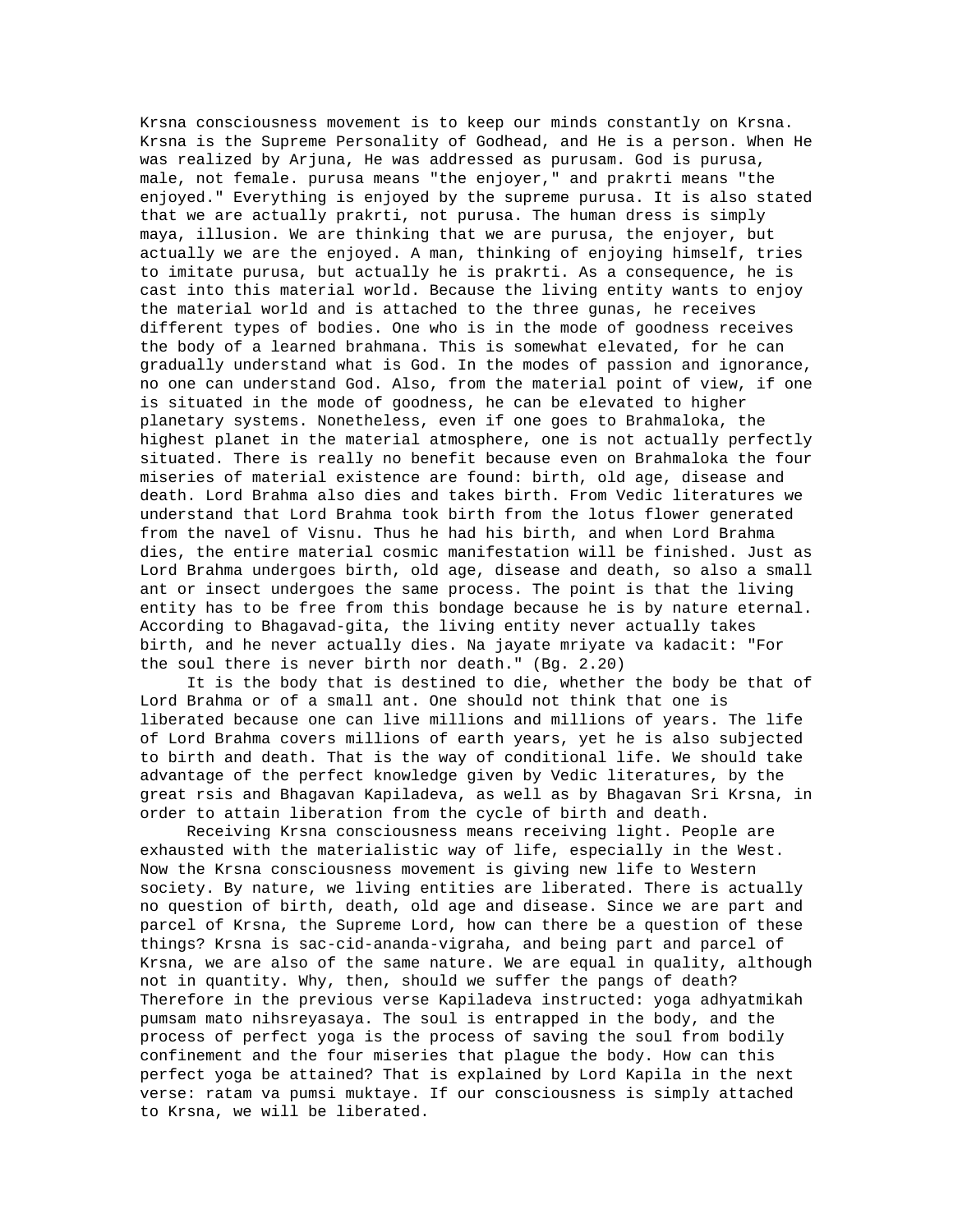Krsna consciousness movement is to keep our minds constantly on Krsna. Krsna is the Supreme Personality of Godhead, and He is a person. When He was realized by Arjuna, He was addressed as purusam. God is purusa, male, not female. purusa means "the enjoyer," and prakrti means "the enjoyed." Everything is enjoyed by the supreme purusa. It is also stated that we are actually prakrti, not purusa. The human dress is simply maya, illusion. We are thinking that we are purusa, the enjoyer, but actually we are the enjoyed. A man, thinking of enjoying himself, tries to imitate purusa, but actually he is prakrti. As a consequence, he is cast into this material world. Because the living entity wants to enjoy the material world and is attached to the three gunas, he receives different types of bodies. One who is in the mode of goodness receives the body of a learned brahmana. This is somewhat elevated, for he can gradually understand what is God. In the modes of passion and ignorance, no one can understand God. Also, from the material point of view, if one is situated in the mode of goodness, he can be elevated to higher planetary systems. Nonetheless, even if one goes to Brahmaloka, the highest planet in the material atmosphere, one is not actually perfectly situated. There is really no benefit because even on Brahmaloka the four miseries of material existence are found: birth, old age, disease and death. Lord Brahma also dies and takes birth. From Vedic literatures we understand that Lord Brahma took birth from the lotus flower generated from the navel of Visnu. Thus he had his birth, and when Lord Brahma dies, the entire material cosmic manifestation will be finished. Just as Lord Brahma undergoes birth, old age, disease and death, so also a small ant or insect undergoes the same process. The point is that the living entity has to be free from this bondage because he is by nature eternal. According to Bhagavad-gita, the living entity never actually takes birth, and he never actually dies. Na jayate mriyate va kadacit: "For the soul there is never birth nor death." (Bg. 2.20)

 It is the body that is destined to die, whether the body be that of Lord Brahma or of a small ant. One should not think that one is liberated because one can live millions and millions of years. The life of Lord Brahma covers millions of earth years, yet he is also subjected to birth and death. That is the way of conditional life. We should take advantage of the perfect knowledge given by Vedic literatures, by the great rsis and Bhagavan Kapiladeva, as well as by Bhagavan Sri Krsna, in order to attain liberation from the cycle of birth and death.

 Receiving Krsna consciousness means receiving light. People are exhausted with the materialistic way of life, especially in the West. Now the Krsna consciousness movement is giving new life to Western society. By nature, we living entities are liberated. There is actually no question of birth, death, old age and disease. Since we are part and parcel of Krsna, the Supreme Lord, how can there be a question of these things? Krsna is sac-cid-ananda-vigraha, and being part and parcel of Krsna, we are also of the same nature. We are equal in quality, although not in quantity. Why, then, should we suffer the pangs of death? Therefore in the previous verse Kapiladeva instructed: yoga adhyatmikah pumsam mato nihsreyasaya. The soul is entrapped in the body, and the process of perfect yoga is the process of saving the soul from bodily confinement and the four miseries that plague the body. How can this perfect yoga be attained? That is explained by Lord Kapila in the next verse: ratam va pumsi muktaye. If our consciousness is simply attached to Krsna, we will be liberated.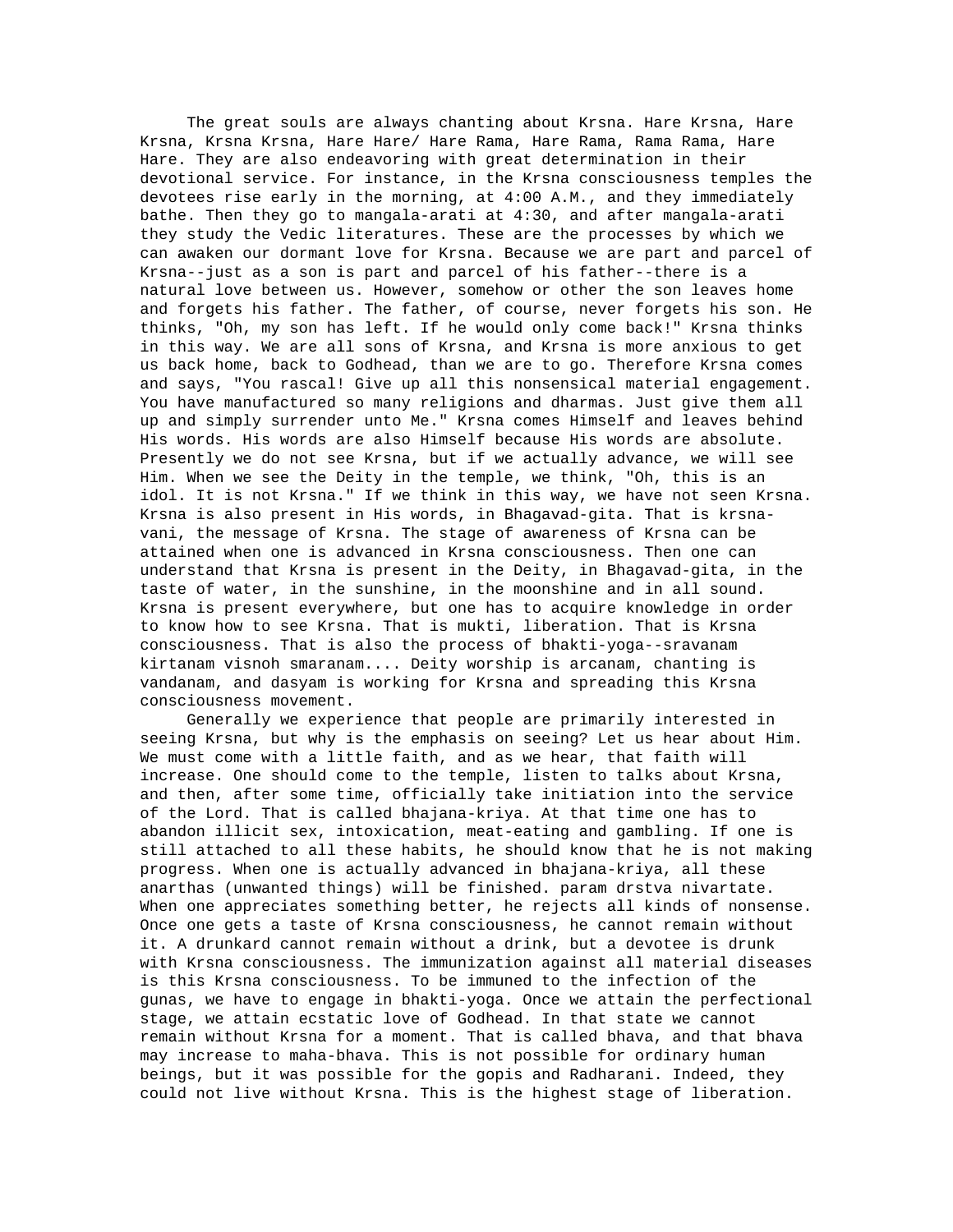The great souls are always chanting about Krsna. Hare Krsna, Hare Krsna, Krsna Krsna, Hare Hare/ Hare Rama, Hare Rama, Rama Rama, Hare Hare. They are also endeavoring with great determination in their devotional service. For instance, in the Krsna consciousness temples the devotees rise early in the morning, at 4:00 A.M., and they immediately bathe. Then they go to mangala-arati at 4:30, and after mangala-arati they study the Vedic literatures. These are the processes by which we can awaken our dormant love for Krsna. Because we are part and parcel of Krsna--just as a son is part and parcel of his father--there is a natural love between us. However, somehow or other the son leaves home and forgets his father. The father, of course, never forgets his son. He thinks, "Oh, my son has left. If he would only come back!" Krsna thinks in this way. We are all sons of Krsna, and Krsna is more anxious to get us back home, back to Godhead, than we are to go. Therefore Krsna comes and says, "You rascal! Give up all this nonsensical material engagement. You have manufactured so many religions and dharmas. Just give them all up and simply surrender unto Me." Krsna comes Himself and leaves behind His words. His words are also Himself because His words are absolute. Presently we do not see Krsna, but if we actually advance, we will see Him. When we see the Deity in the temple, we think, "Oh, this is an idol. It is not Krsna." If we think in this way, we have not seen Krsna. Krsna is also present in His words, in Bhagavad-gita. That is krsnavani, the message of Krsna. The stage of awareness of Krsna can be attained when one is advanced in Krsna consciousness. Then one can understand that Krsna is present in the Deity, in Bhagavad-gita, in the taste of water, in the sunshine, in the moonshine and in all sound. Krsna is present everywhere, but one has to acquire knowledge in order to know how to see Krsna. That is mukti, liberation. That is Krsna consciousness. That is also the process of bhakti-yoga--sravanam kirtanam visnoh smaranam.... Deity worship is arcanam, chanting is vandanam, and dasyam is working for Krsna and spreading this Krsna consciousness movement.

 Generally we experience that people are primarily interested in seeing Krsna, but why is the emphasis on seeing? Let us hear about Him. We must come with a little faith, and as we hear, that faith will increase. One should come to the temple, listen to talks about Krsna, and then, after some time, officially take initiation into the service of the Lord. That is called bhajana-kriya. At that time one has to abandon illicit sex, intoxication, meat-eating and gambling. If one is still attached to all these habits, he should know that he is not making progress. When one is actually advanced in bhajana-kriya, all these anarthas (unwanted things) will be finished. param drstva nivartate. When one appreciates something better, he rejects all kinds of nonsense. Once one gets a taste of Krsna consciousness, he cannot remain without it. A drunkard cannot remain without a drink, but a devotee is drunk with Krsna consciousness. The immunization against all material diseases is this Krsna consciousness. To be immuned to the infection of the gunas, we have to engage in bhakti-yoga. Once we attain the perfectional stage, we attain ecstatic love of Godhead. In that state we cannot remain without Krsna for a moment. That is called bhava, and that bhava may increase to maha-bhava. This is not possible for ordinary human beings, but it was possible for the gopis and Radharani. Indeed, they could not live without Krsna. This is the highest stage of liberation.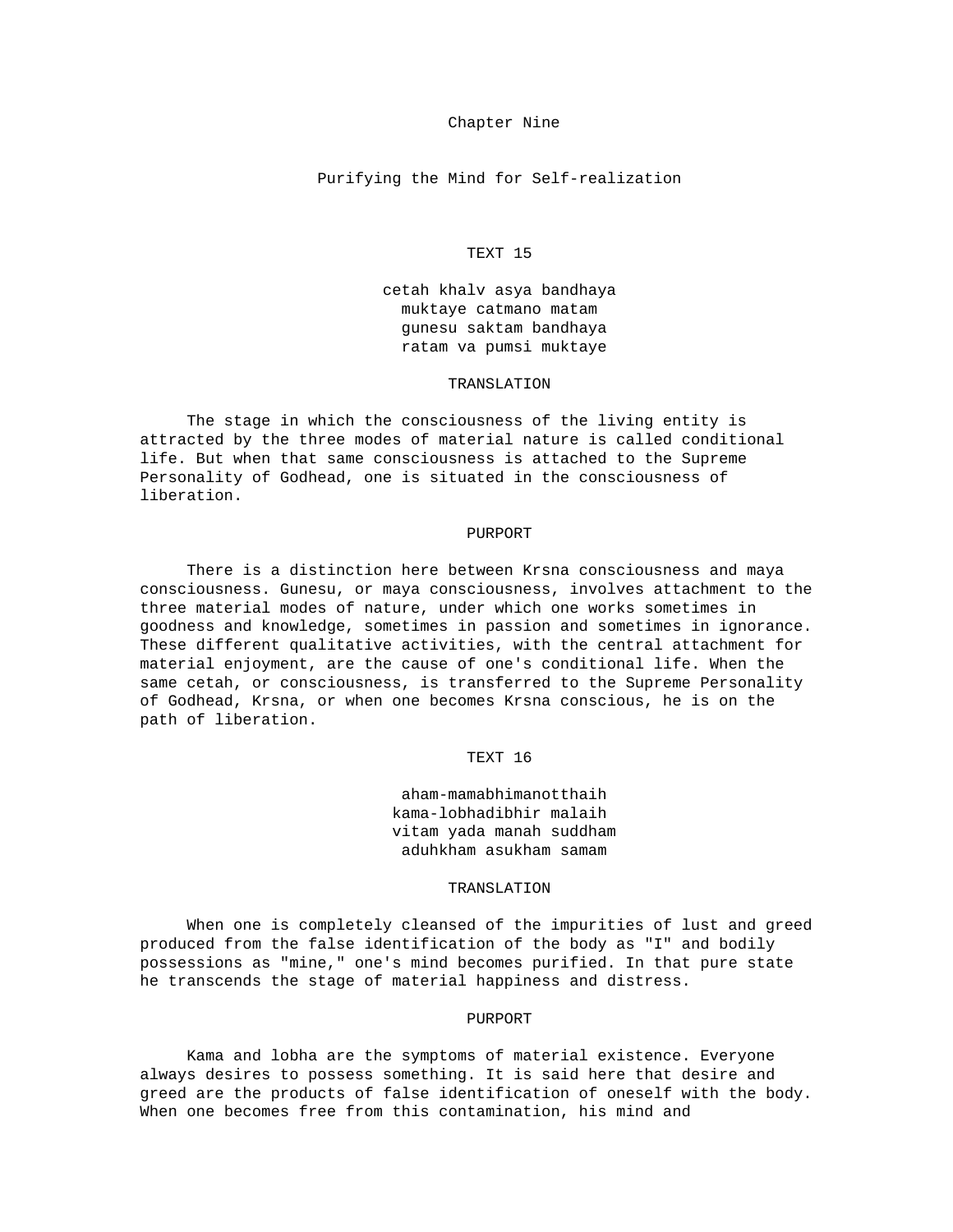### Chapter Nine

Purifying the Mind for Self-realization

## TEXT 15

 cetah khalv asya bandhaya muktaye catmano matam gunesu saktam bandhaya ratam va pumsi muktaye

# TRANSLATION

 The stage in which the consciousness of the living entity is attracted by the three modes of material nature is called conditional life. But when that same consciousness is attached to the Supreme Personality of Godhead, one is situated in the consciousness of liberation.

### PURPORT

 There is a distinction here between Krsna consciousness and maya consciousness. Gunesu, or maya consciousness, involves attachment to the three material modes of nature, under which one works sometimes in goodness and knowledge, sometimes in passion and sometimes in ignorance. These different qualitative activities, with the central attachment for material enjoyment, are the cause of one's conditional life. When the same cetah, or consciousness, is transferred to the Supreme Personality of Godhead, Krsna, or when one becomes Krsna conscious, he is on the path of liberation.

## TEXT 16

 aham-mamabhimanotthaih kama-lobhadibhir malaih vitam yada manah suddham aduhkham asukham samam

## TRANSLATION

 When one is completely cleansed of the impurities of lust and greed produced from the false identification of the body as "I" and bodily possessions as "mine," one's mind becomes purified. In that pure state he transcends the stage of material happiness and distress.

## PURPORT

 Kama and lobha are the symptoms of material existence. Everyone always desires to possess something. It is said here that desire and greed are the products of false identification of oneself with the body. When one becomes free from this contamination, his mind and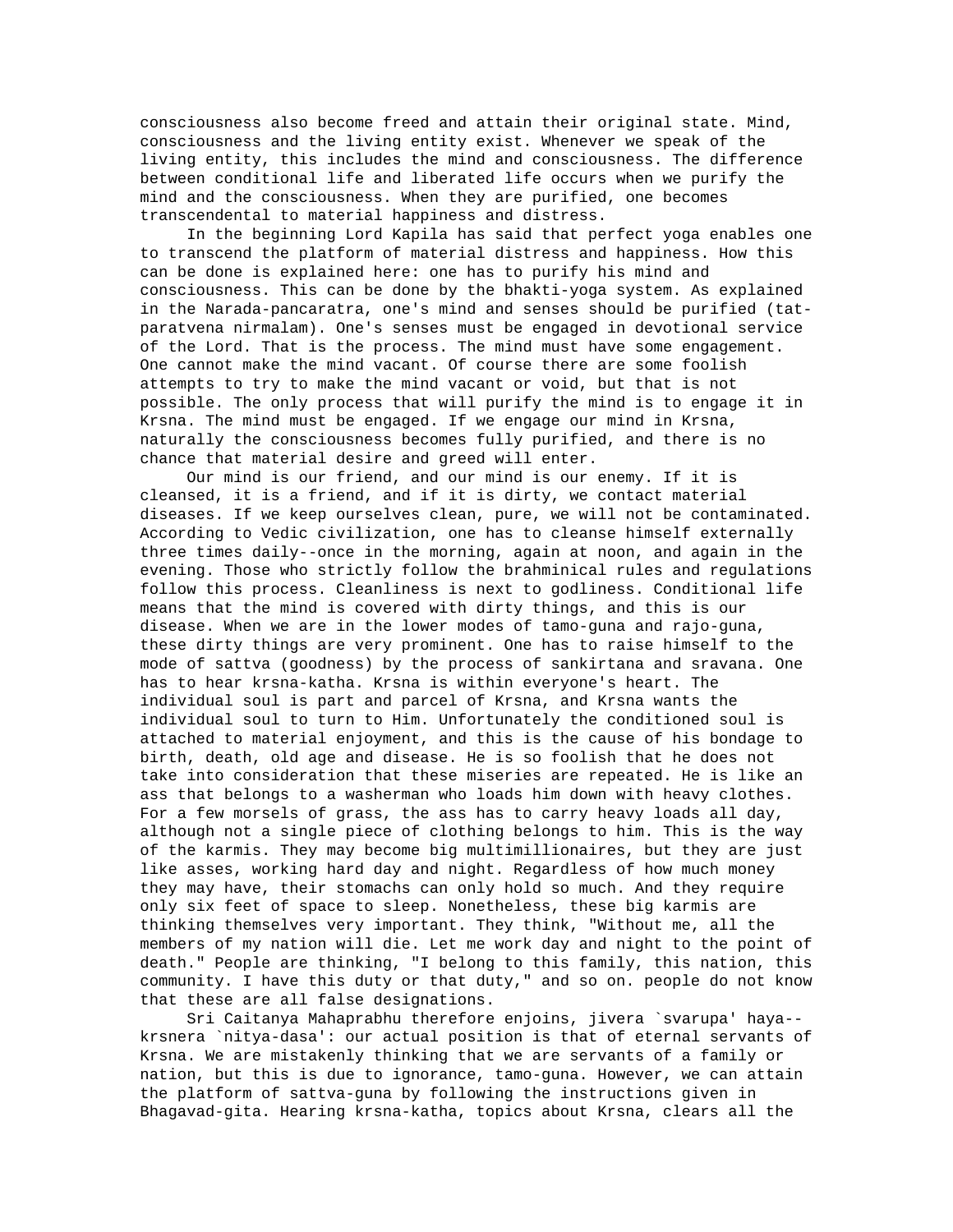consciousness also become freed and attain their original state. Mind, consciousness and the living entity exist. Whenever we speak of the living entity, this includes the mind and consciousness. The difference between conditional life and liberated life occurs when we purify the mind and the consciousness. When they are purified, one becomes transcendental to material happiness and distress.

 In the beginning Lord Kapila has said that perfect yoga enables one to transcend the platform of material distress and happiness. How this can be done is explained here: one has to purify his mind and consciousness. This can be done by the bhakti-yoga system. As explained in the Narada-pancaratra, one's mind and senses should be purified (tatparatvena nirmalam). One's senses must be engaged in devotional service of the Lord. That is the process. The mind must have some engagement. One cannot make the mind vacant. Of course there are some foolish attempts to try to make the mind vacant or void, but that is not possible. The only process that will purify the mind is to engage it in Krsna. The mind must be engaged. If we engage our mind in Krsna, naturally the consciousness becomes fully purified, and there is no chance that material desire and greed will enter.

 Our mind is our friend, and our mind is our enemy. If it is cleansed, it is a friend, and if it is dirty, we contact material diseases. If we keep ourselves clean, pure, we will not be contaminated. According to Vedic civilization, one has to cleanse himself externally three times daily--once in the morning, again at noon, and again in the evening. Those who strictly follow the brahminical rules and regulations follow this process. Cleanliness is next to godliness. Conditional life means that the mind is covered with dirty things, and this is our disease. When we are in the lower modes of tamo-guna and rajo-guna, these dirty things are very prominent. One has to raise himself to the mode of sattva (goodness) by the process of sankirtana and sravana. One has to hear krsna-katha. Krsna is within everyone's heart. The individual soul is part and parcel of Krsna, and Krsna wants the individual soul to turn to Him. Unfortunately the conditioned soul is attached to material enjoyment, and this is the cause of his bondage to birth, death, old age and disease. He is so foolish that he does not take into consideration that these miseries are repeated. He is like an ass that belongs to a washerman who loads him down with heavy clothes. For a few morsels of grass, the ass has to carry heavy loads all day, although not a single piece of clothing belongs to him. This is the way of the karmis. They may become big multimillionaires, but they are just like asses, working hard day and night. Regardless of how much money they may have, their stomachs can only hold so much. And they require only six feet of space to sleep. Nonetheless, these big karmis are thinking themselves very important. They think, "Without me, all the members of my nation will die. Let me work day and night to the point of death." People are thinking, "I belong to this family, this nation, this community. I have this duty or that duty," and so on. people do not know that these are all false designations.

 Sri Caitanya Mahaprabhu therefore enjoins, jivera `svarupa' haya- krsnera `nitya-dasa': our actual position is that of eternal servants of Krsna. We are mistakenly thinking that we are servants of a family or nation, but this is due to ignorance, tamo-guna. However, we can attain the platform of sattva-guna by following the instructions given in Bhagavad-gita. Hearing krsna-katha, topics about Krsna, clears all the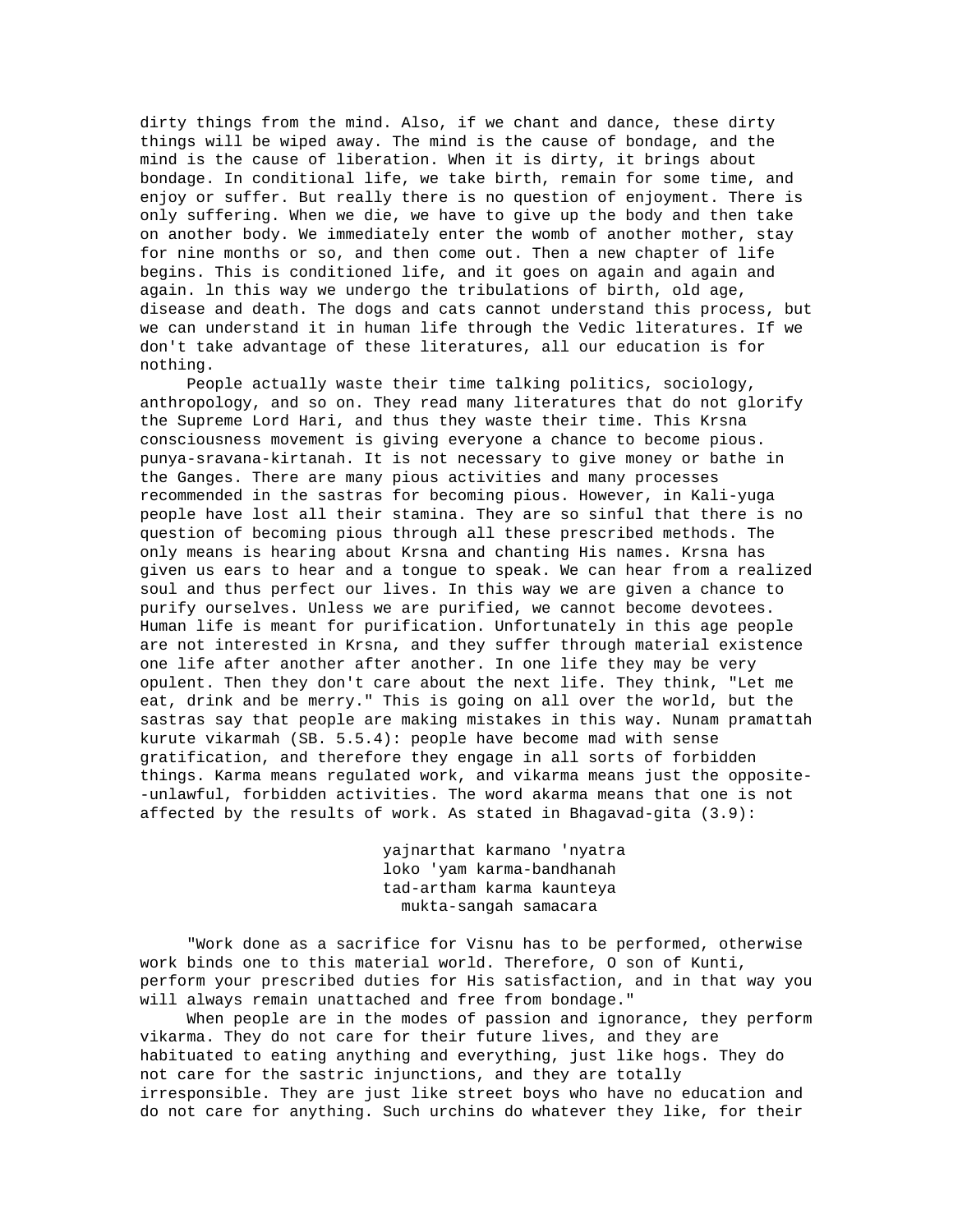dirty things from the mind. Also, if we chant and dance, these dirty things will be wiped away. The mind is the cause of bondage, and the mind is the cause of liberation. When it is dirty, it brings about bondage. In conditional life, we take birth, remain for some time, and enjoy or suffer. But really there is no question of enjoyment. There is only suffering. When we die, we have to give up the body and then take on another body. We immediately enter the womb of another mother, stay for nine months or so, and then come out. Then a new chapter of life begins. This is conditioned life, and it goes on again and again and again. ln this way we undergo the tribulations of birth, old age, disease and death. The dogs and cats cannot understand this process, but we can understand it in human life through the Vedic literatures. If we don't take advantage of these literatures, all our education is for nothing.

 People actually waste their time talking politics, sociology, anthropology, and so on. They read many literatures that do not glorify the Supreme Lord Hari, and thus they waste their time. This Krsna consciousness movement is giving everyone a chance to become pious. punya-sravana-kirtanah. It is not necessary to give money or bathe in the Ganges. There are many pious activities and many processes recommended in the sastras for becoming pious. However, in Kali-yuga people have lost all their stamina. They are so sinful that there is no question of becoming pious through all these prescribed methods. The only means is hearing about Krsna and chanting His names. Krsna has given us ears to hear and a tongue to speak. We can hear from a realized soul and thus perfect our lives. In this way we are given a chance to purify ourselves. Unless we are purified, we cannot become devotees. Human life is meant for purification. Unfortunately in this age people are not interested in Krsna, and they suffer through material existence one life after another after another. In one life they may be very opulent. Then they don't care about the next life. They think, "Let me eat, drink and be merry." This is going on all over the world, but the sastras say that people are making mistakes in this way. Nunam pramattah kurute vikarmah (SB. 5.5.4): people have become mad with sense gratification, and therefore they engage in all sorts of forbidden things. Karma means regulated work, and vikarma means just the opposite- -unlawful, forbidden activities. The word akarma means that one is not affected by the results of work. As stated in Bhagavad-gita (3.9):

> yajnarthat karmano 'nyatra loko 'yam karma-bandhanah tad-artham karma kaunteya mukta-sangah samacara

 "Work done as a sacrifice for Visnu has to be performed, otherwise work binds one to this material world. Therefore, O son of Kunti, perform your prescribed duties for His satisfaction, and in that way you will always remain unattached and free from bondage."

 When people are in the modes of passion and ignorance, they perform vikarma. They do not care for their future lives, and they are habituated to eating anything and everything, just like hogs. They do not care for the sastric injunctions, and they are totally irresponsible. They are just like street boys who have no education and do not care for anything. Such urchins do whatever they like, for their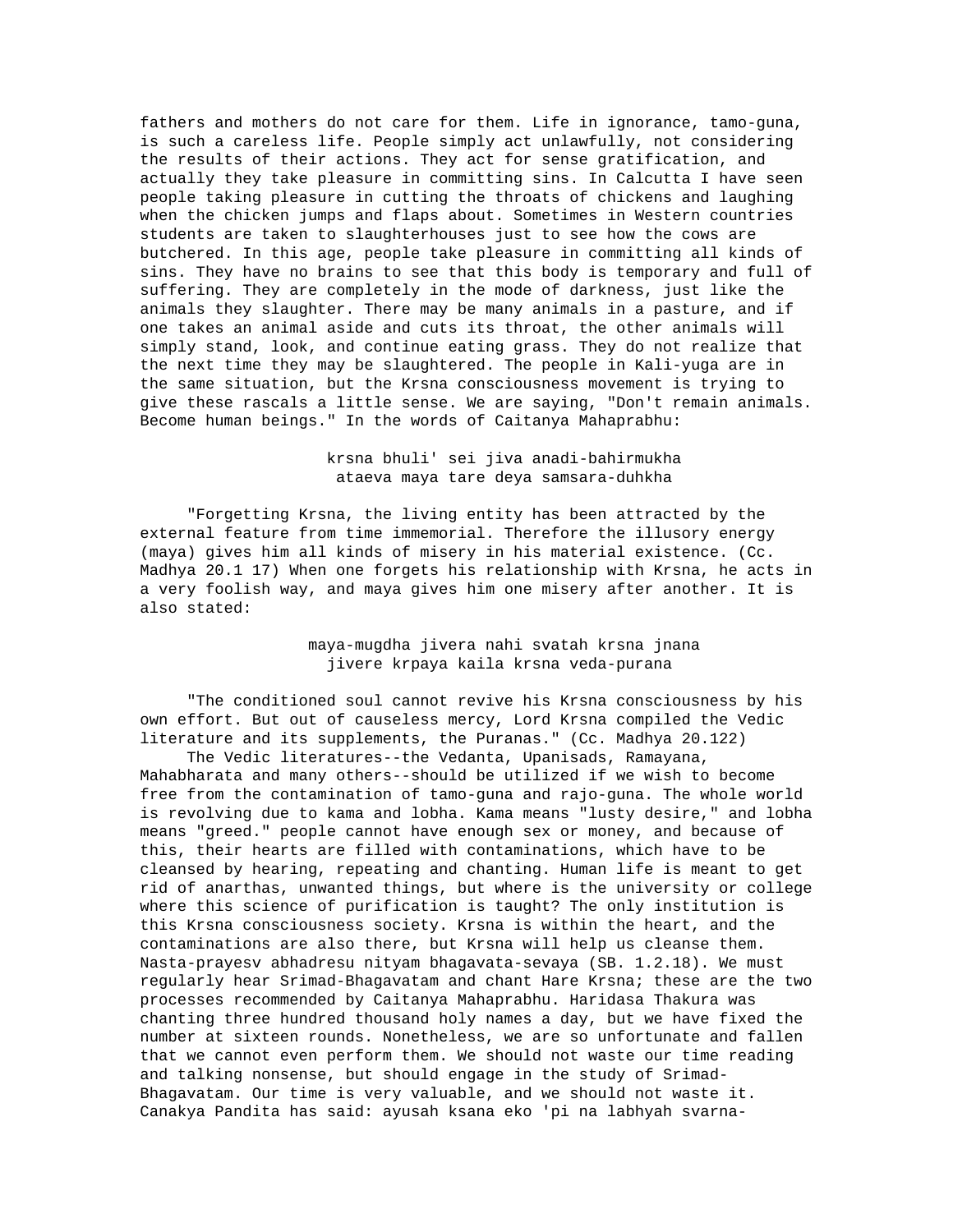fathers and mothers do not care for them. Life in ignorance, tamo-guna, is such a careless life. People simply act unlawfully, not considering the results of their actions. They act for sense gratification, and actually they take pleasure in committing sins. In Calcutta I have seen people taking pleasure in cutting the throats of chickens and laughing when the chicken jumps and flaps about. Sometimes in Western countries students are taken to slaughterhouses just to see how the cows are butchered. In this age, people take pleasure in committing all kinds of sins. They have no brains to see that this body is temporary and full of suffering. They are completely in the mode of darkness, just like the animals they slaughter. There may be many animals in a pasture, and if one takes an animal aside and cuts its throat, the other animals will simply stand, look, and continue eating grass. They do not realize that the next time they may be slaughtered. The people in Kali-yuga are in the same situation, but the Krsna consciousness movement is trying to give these rascals a little sense. We are saying, "Don't remain animals. Become human beings." In the words of Caitanya Mahaprabhu:

> krsna bhuli' sei jiva anadi-bahirmukha ataeva maya tare deya samsara-duhkha

 "Forgetting Krsna, the living entity has been attracted by the external feature from time immemorial. Therefore the illusory energy (maya) gives him all kinds of misery in his material existence. (Cc. Madhya 20.1 17) When one forgets his relationship with Krsna, he acts in a very foolish way, and maya gives him one misery after another. It is also stated:

> maya-mugdha jivera nahi svatah krsna jnana jivere krpaya kaila krsna veda-purana

 "The conditioned soul cannot revive his Krsna consciousness by his own effort. But out of causeless mercy, Lord Krsna compiled the Vedic literature and its supplements, the Puranas." (Cc. Madhya 20.122)

 The Vedic literatures--the Vedanta, Upanisads, Ramayana, Mahabharata and many others--should be utilized if we wish to become free from the contamination of tamo-guna and rajo-guna. The whole world is revolving due to kama and lobha. Kama means "lusty desire," and lobha means "greed." people cannot have enough sex or money, and because of this, their hearts are filled with contaminations, which have to be cleansed by hearing, repeating and chanting. Human life is meant to get rid of anarthas, unwanted things, but where is the university or college where this science of purification is taught? The only institution is this Krsna consciousness society. Krsna is within the heart, and the contaminations are also there, but Krsna will help us cleanse them. Nasta-prayesv abhadresu nityam bhagavata-sevaya (SB. 1.2.18). We must regularly hear Srimad-Bhagavatam and chant Hare Krsna; these are the two processes recommended by Caitanya Mahaprabhu. Haridasa Thakura was chanting three hundred thousand holy names a day, but we have fixed the number at sixteen rounds. Nonetheless, we are so unfortunate and fallen that we cannot even perform them. We should not waste our time reading and talking nonsense, but should engage in the study of Srimad-Bhagavatam. Our time is very valuable, and we should not waste it. Canakya Pandita has said: ayusah ksana eko 'pi na labhyah svarna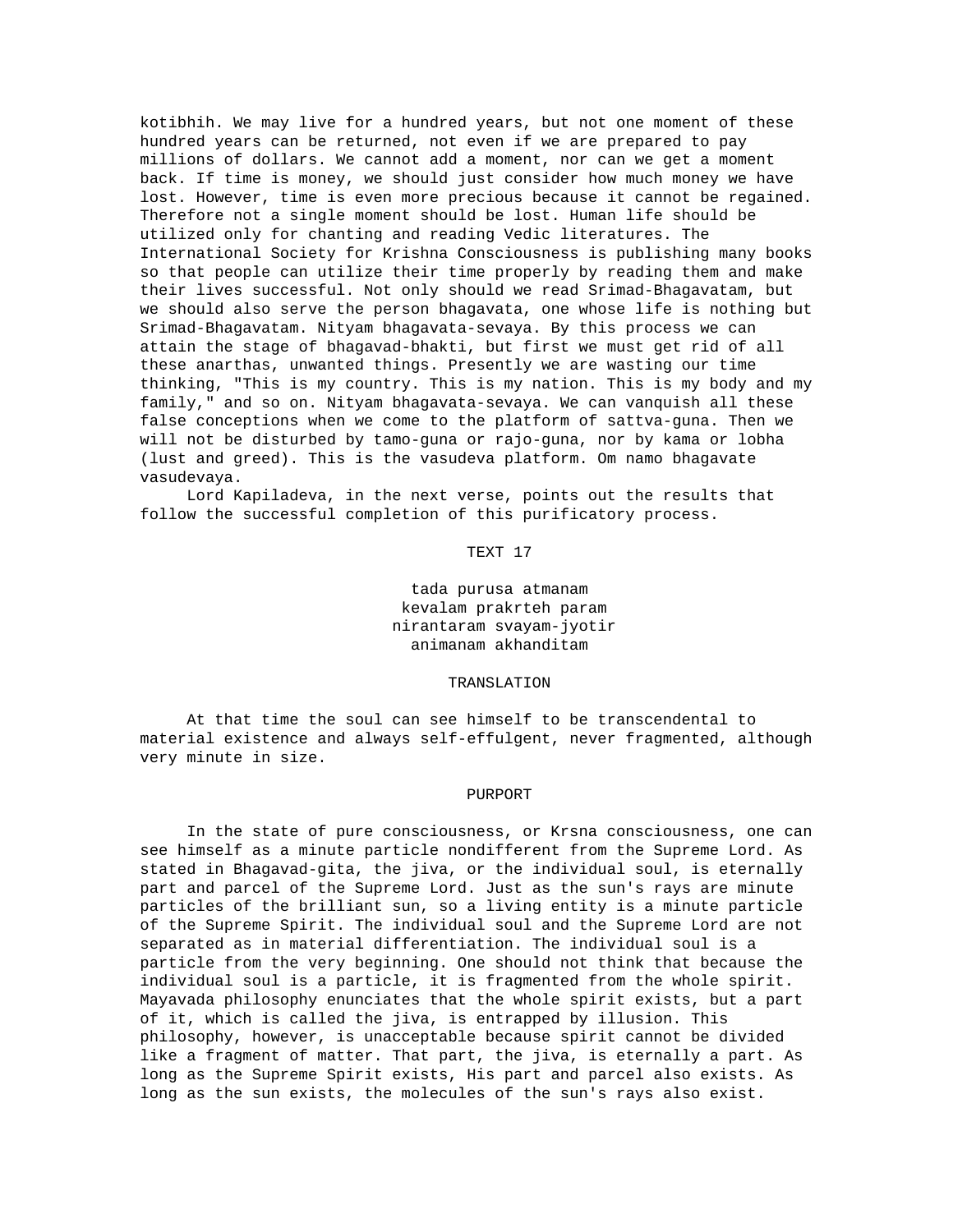kotibhih. We may live for a hundred years, but not one moment of these hundred years can be returned, not even if we are prepared to pay millions of dollars. We cannot add a moment, nor can we get a moment back. If time is money, we should just consider how much money we have lost. However, time is even more precious because it cannot be regained. Therefore not a single moment should be lost. Human life should be utilized only for chanting and reading Vedic literatures. The International Society for Krishna Consciousness is publishing many books so that people can utilize their time properly by reading them and make their lives successful. Not only should we read Srimad-Bhagavatam, but we should also serve the person bhagavata, one whose life is nothing but Srimad-Bhagavatam. Nityam bhagavata-sevaya. By this process we can attain the stage of bhagavad-bhakti, but first we must get rid of all these anarthas, unwanted things. Presently we are wasting our time thinking, "This is my country. This is my nation. This is my body and my family," and so on. Nityam bhagavata-sevaya. We can vanquish all these false conceptions when we come to the platform of sattva-guna. Then we will not be disturbed by tamo-guna or rajo-guna, nor by kama or lobha (lust and greed). This is the vasudeva platform. Om namo bhagavate vasudevaya.

 Lord Kapiladeva, in the next verse, points out the results that follow the successful completion of this purificatory process.

TEXT 17

# tada purusa atmanam kevalam prakrteh param nirantaram svayam-jyotir animanam akhanditam

### TRANSLATION

 At that time the soul can see himself to be transcendental to material existence and always self-effulgent, never fragmented, although very minute in size.

#### PURPORT

 In the state of pure consciousness, or Krsna consciousness, one can see himself as a minute particle nondifferent from the Supreme Lord. As stated in Bhagavad-gita, the jiva, or the individual soul, is eternally part and parcel of the Supreme Lord. Just as the sun's rays are minute particles of the brilliant sun, so a living entity is a minute particle of the Supreme Spirit. The individual soul and the Supreme Lord are not separated as in material differentiation. The individual soul is a particle from the very beginning. One should not think that because the individual soul is a particle, it is fragmented from the whole spirit. Mayavada philosophy enunciates that the whole spirit exists, but a part of it, which is called the jiva, is entrapped by illusion. This philosophy, however, is unacceptable because spirit cannot be divided like a fragment of matter. That part, the jiva, is eternally a part. As long as the Supreme Spirit exists, His part and parcel also exists. As long as the sun exists, the molecules of the sun's rays also exist.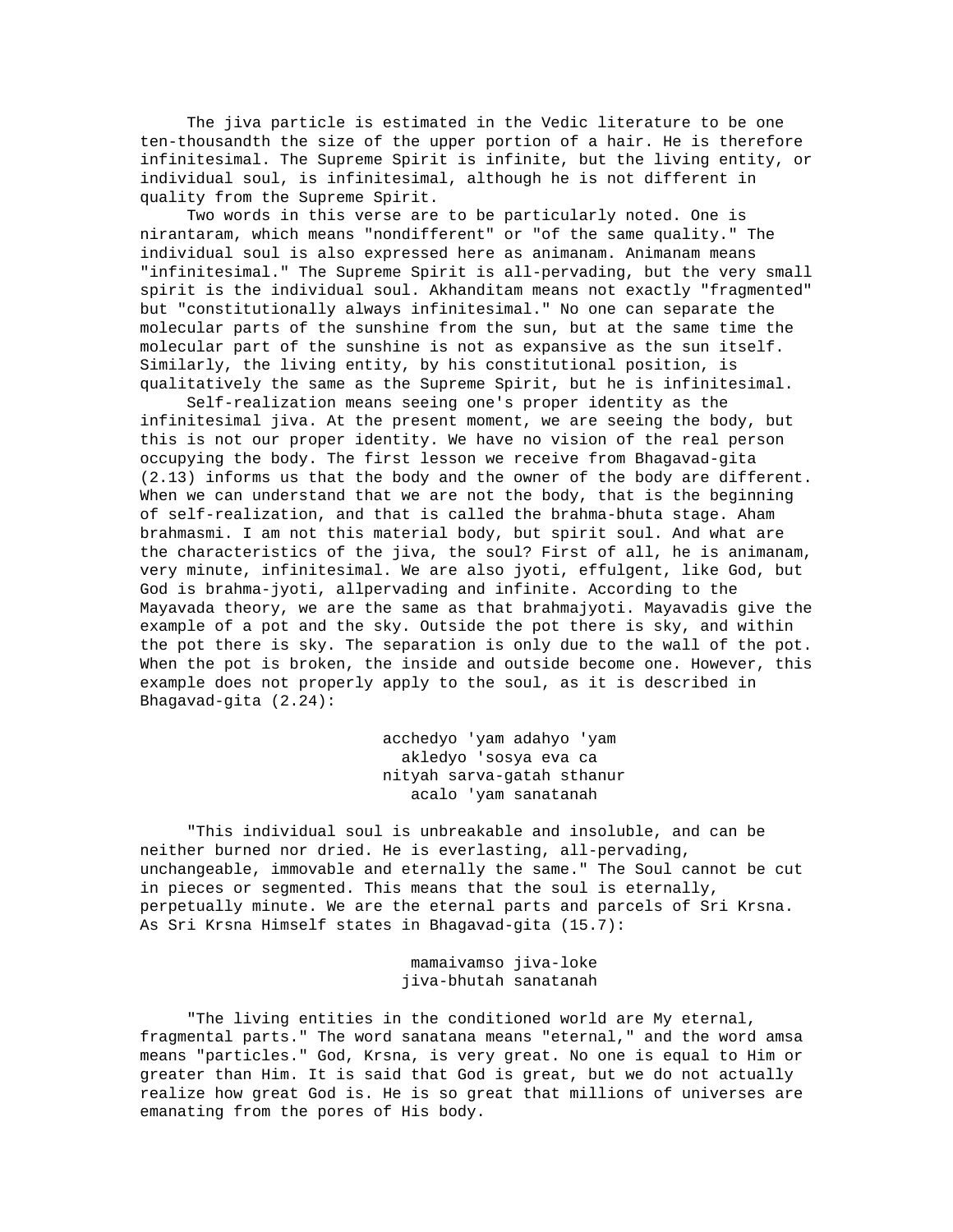The jiva particle is estimated in the Vedic literature to be one ten-thousandth the size of the upper portion of a hair. He is therefore infinitesimal. The Supreme Spirit is infinite, but the living entity, or individual soul, is infinitesimal, although he is not different in quality from the Supreme Spirit.

 Two words in this verse are to be particularly noted. One is nirantaram, which means "nondifferent" or "of the same quality." The individual soul is also expressed here as animanam. Animanam means "infinitesimal." The Supreme Spirit is all-pervading, but the very small spirit is the individual soul. Akhanditam means not exactly "fragmented" but "constitutionally always infinitesimal." No one can separate the molecular parts of the sunshine from the sun, but at the same time the molecular part of the sunshine is not as expansive as the sun itself. Similarly, the living entity, by his constitutional position, is qualitatively the same as the Supreme Spirit, but he is infinitesimal.

 Self-realization means seeing one's proper identity as the infinitesimal jiva. At the present moment, we are seeing the body, but this is not our proper identity. We have no vision of the real person occupying the body. The first lesson we receive from Bhagavad-gita (2.13) informs us that the body and the owner of the body are different. When we can understand that we are not the body, that is the beginning of self-realization, and that is called the brahma-bhuta stage. Aham brahmasmi. I am not this material body, but spirit soul. And what are the characteristics of the jiva, the soul? First of all, he is animanam, very minute, infinitesimal. We are also jyoti, effulgent, like God, but God is brahma-jyoti, allpervading and infinite. According to the Mayavada theory, we are the same as that brahmajyoti. Mayavadis give the example of a pot and the sky. Outside the pot there is sky, and within the pot there is sky. The separation is only due to the wall of the pot. When the pot is broken, the inside and outside become one. However, this example does not properly apply to the soul, as it is described in Bhagavad-gita (2.24):

> acchedyo 'yam adahyo 'yam akledyo 'sosya eva ca nityah sarva-gatah sthanur acalo 'yam sanatanah

 "This individual soul is unbreakable and insoluble, and can be neither burned nor dried. He is everlasting, all-pervading, unchangeable, immovable and eternally the same." The Soul cannot be cut in pieces or segmented. This means that the soul is eternally, perpetually minute. We are the eternal parts and parcels of Sri Krsna. As Sri Krsna Himself states in Bhagavad-gita (15.7):

> mamaivamso jiva-loke jiva-bhutah sanatanah

 "The living entities in the conditioned world are My eternal, fragmental parts." The word sanatana means "eternal," and the word amsa means "particles." God, Krsna, is very great. No one is equal to Him or greater than Him. It is said that God is great, but we do not actually realize how great God is. He is so great that millions of universes are emanating from the pores of His body.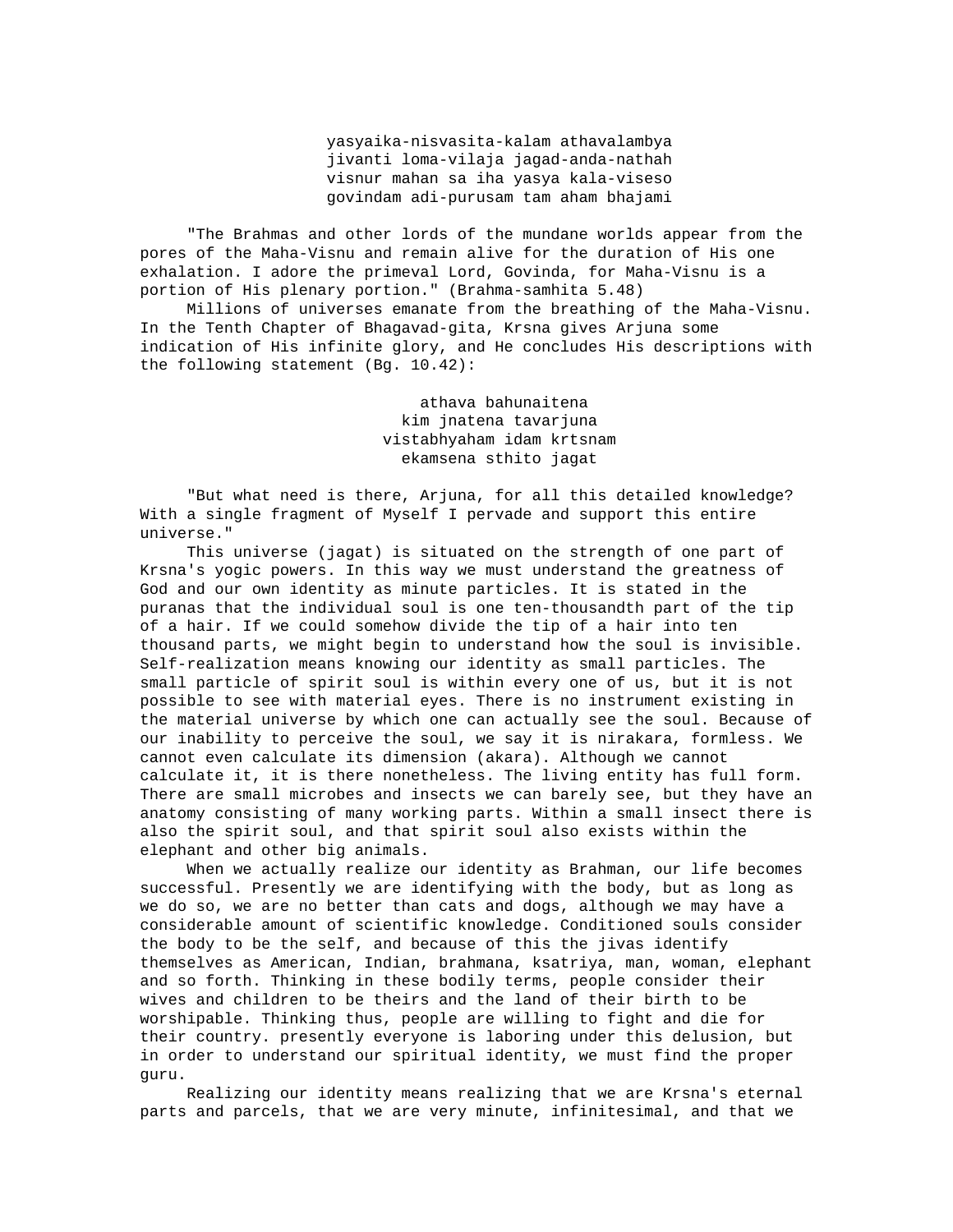yasyaika-nisvasita-kalam athavalambya jivanti loma-vilaja jagad-anda-nathah visnur mahan sa iha yasya kala-viseso govindam adi-purusam tam aham bhajami

 "The Brahmas and other lords of the mundane worlds appear from the pores of the Maha-Visnu and remain alive for the duration of His one exhalation. I adore the primeval Lord, Govinda, for Maha-Visnu is a portion of His plenary portion." (Brahma-samhita 5.48)

 Millions of universes emanate from the breathing of the Maha-Visnu. In the Tenth Chapter of Bhagavad-gita, Krsna gives Arjuna some indication of His infinite glory, and He concludes His descriptions with the following statement (Bg. 10.42):

> athava bahunaitena kim jnatena tavarjuna vistabhyaham idam krtsnam ekamsena sthito jagat

 "But what need is there, Arjuna, for all this detailed knowledge? With a single fragment of Myself I pervade and support this entire universe."

 This universe (jagat) is situated on the strength of one part of Krsna's yogic powers. In this way we must understand the greatness of God and our own identity as minute particles. It is stated in the puranas that the individual soul is one ten-thousandth part of the tip of a hair. If we could somehow divide the tip of a hair into ten thousand parts, we might begin to understand how the soul is invisible. Self-realization means knowing our identity as small particles. The small particle of spirit soul is within every one of us, but it is not possible to see with material eyes. There is no instrument existing in the material universe by which one can actually see the soul. Because of our inability to perceive the soul, we say it is nirakara, formless. We cannot even calculate its dimension (akara). Although we cannot calculate it, it is there nonetheless. The living entity has full form. There are small microbes and insects we can barely see, but they have an anatomy consisting of many working parts. Within a small insect there is also the spirit soul, and that spirit soul also exists within the elephant and other big animals.

 When we actually realize our identity as Brahman, our life becomes successful. Presently we are identifying with the body, but as long as we do so, we are no better than cats and dogs, although we may have a considerable amount of scientific knowledge. Conditioned souls consider the body to be the self, and because of this the jivas identify themselves as American, Indian, brahmana, ksatriya, man, woman, elephant and so forth. Thinking in these bodily terms, people consider their wives and children to be theirs and the land of their birth to be worshipable. Thinking thus, people are willing to fight and die for their country. presently everyone is laboring under this delusion, but in order to understand our spiritual identity, we must find the proper guru.

 Realizing our identity means realizing that we are Krsna's eternal parts and parcels, that we are very minute, infinitesimal, and that we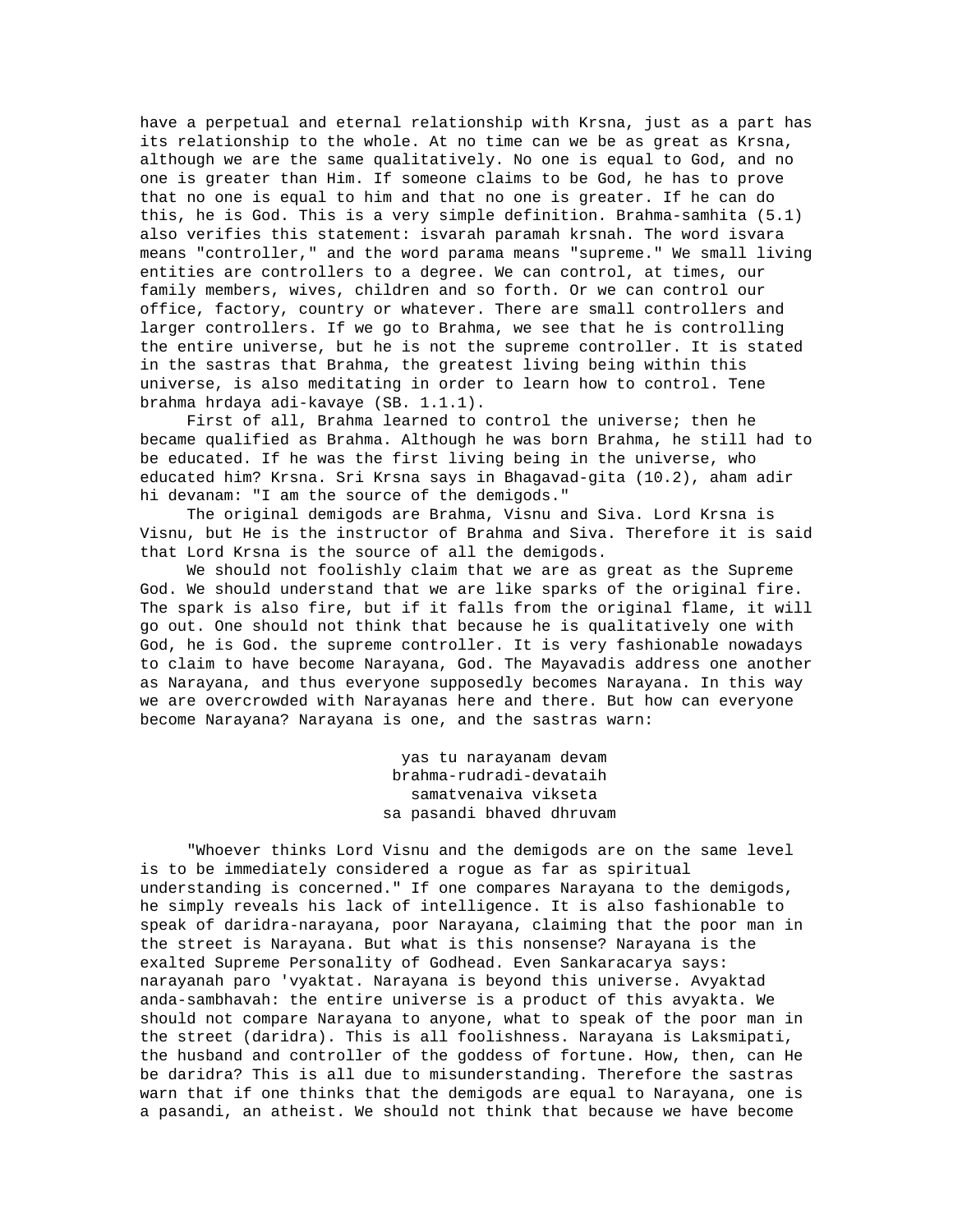have a perpetual and eternal relationship with Krsna, just as a part has its relationship to the whole. At no time can we be as great as Krsna, although we are the same qualitatively. No one is equal to God, and no one is greater than Him. If someone claims to be God, he has to prove that no one is equal to him and that no one is greater. If he can do this, he is God. This is a very simple definition. Brahma-samhita (5.1) also verifies this statement: isvarah paramah krsnah. The word isvara means "controller," and the word parama means "supreme." We small living entities are controllers to a degree. We can control, at times, our family members, wives, children and so forth. Or we can control our office, factory, country or whatever. There are small controllers and larger controllers. If we go to Brahma, we see that he is controlling the entire universe, but he is not the supreme controller. It is stated in the sastras that Brahma, the greatest living being within this universe, is also meditating in order to learn how to control. Tene brahma hrdaya adi-kavaye (SB. 1.1.1).

 First of all, Brahma learned to control the universe; then he became qualified as Brahma. Although he was born Brahma, he still had to be educated. If he was the first living being in the universe, who educated him? Krsna. Sri Krsna says in Bhagavad-gita (10.2), aham adir hi devanam: "I am the source of the demigods."

 The original demigods are Brahma, Visnu and Siva. Lord Krsna is Visnu, but He is the instructor of Brahma and Siva. Therefore it is said that Lord Krsna is the source of all the demigods.

 We should not foolishly claim that we are as great as the Supreme God. We should understand that we are like sparks of the original fire. The spark is also fire, but if it falls from the original flame, it will go out. One should not think that because he is qualitatively one with God, he is God. the supreme controller. It is very fashionable nowadays to claim to have become Narayana, God. The Mayavadis address one another as Narayana, and thus everyone supposedly becomes Narayana. In this way we are overcrowded with Narayanas here and there. But how can everyone become Narayana? Narayana is one, and the sastras warn:

> yas tu narayanam devam brahma-rudradi-devataih samatvenaiva vikseta sa pasandi bhaved dhruvam

 "Whoever thinks Lord Visnu and the demigods are on the same level is to be immediately considered a rogue as far as spiritual understanding is concerned." If one compares Narayana to the demigods, he simply reveals his lack of intelligence. It is also fashionable to speak of daridra-narayana, poor Narayana, claiming that the poor man in the street is Narayana. But what is this nonsense? Narayana is the exalted Supreme Personality of Godhead. Even Sankaracarya says: narayanah paro 'vyaktat. Narayana is beyond this universe. Avyaktad anda-sambhavah: the entire universe is a product of this avyakta. We should not compare Narayana to anyone, what to speak of the poor man in the street (daridra). This is all foolishness. Narayana is Laksmipati, the husband and controller of the goddess of fortune. How, then, can He be daridra? This is all due to misunderstanding. Therefore the sastras warn that if one thinks that the demigods are equal to Narayana, one is a pasandi, an atheist. We should not think that because we have become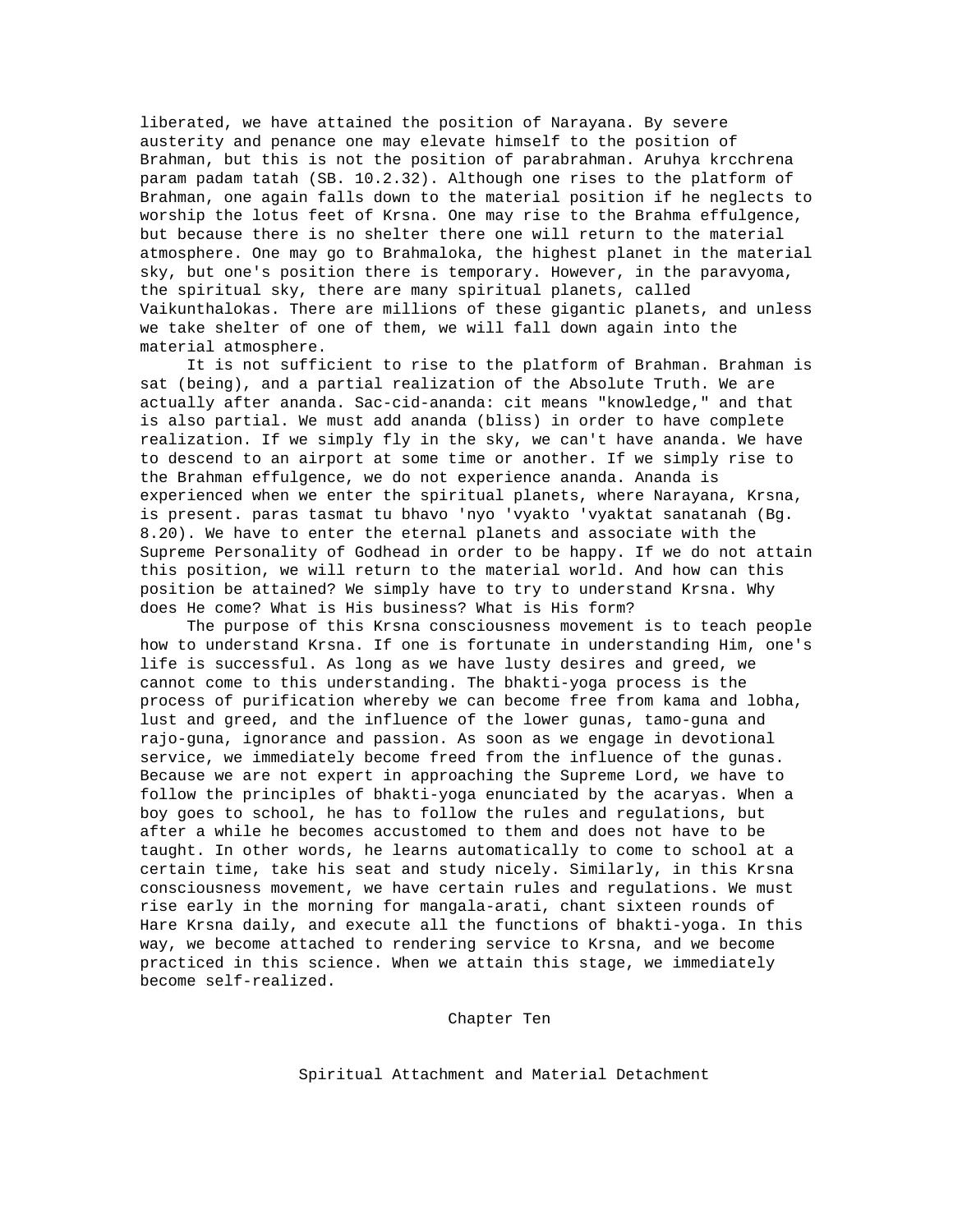liberated, we have attained the position of Narayana. By severe austerity and penance one may elevate himself to the position of Brahman, but this is not the position of parabrahman. Aruhya krcchrena param padam tatah (SB. 10.2.32). Although one rises to the platform of Brahman, one again falls down to the material position if he neglects to worship the lotus feet of Krsna. One may rise to the Brahma effulgence, but because there is no shelter there one will return to the material atmosphere. One may go to Brahmaloka, the highest planet in the material sky, but one's position there is temporary. However, in the paravyoma, the spiritual sky, there are many spiritual planets, called Vaikunthalokas. There are millions of these gigantic planets, and unless we take shelter of one of them, we will fall down again into the material atmosphere.

 It is not sufficient to rise to the platform of Brahman. Brahman is sat (being), and a partial realization of the Absolute Truth. We are actually after ananda. Sac-cid-ananda: cit means "knowledge," and that is also partial. We must add ananda (bliss) in order to have complete realization. If we simply fly in the sky, we can't have ananda. We have to descend to an airport at some time or another. If we simply rise to the Brahman effulgence, we do not experience ananda. Ananda is experienced when we enter the spiritual planets, where Narayana, Krsna, is present. paras tasmat tu bhavo 'nyo 'vyakto 'vyaktat sanatanah (Bg. 8.20). We have to enter the eternal planets and associate with the Supreme Personality of Godhead in order to be happy. If we do not attain this position, we will return to the material world. And how can this position be attained? We simply have to try to understand Krsna. Why does He come? What is His business? What is His form?

 The purpose of this Krsna consciousness movement is to teach people how to understand Krsna. If one is fortunate in understanding Him, one's life is successful. As long as we have lusty desires and greed, we cannot come to this understanding. The bhakti-yoga process is the process of purification whereby we can become free from kama and lobha, lust and greed, and the influence of the lower gunas, tamo-guna and rajo-guna, ignorance and passion. As soon as we engage in devotional service, we immediately become freed from the influence of the gunas. Because we are not expert in approaching the Supreme Lord, we have to follow the principles of bhakti-yoga enunciated by the acaryas. When a boy goes to school, he has to follow the rules and regulations, but after a while he becomes accustomed to them and does not have to be taught. In other words, he learns automatically to come to school at a certain time, take his seat and study nicely. Similarly, in this Krsna consciousness movement, we have certain rules and regulations. We must rise early in the morning for mangala-arati, chant sixteen rounds of Hare Krsna daily, and execute all the functions of bhakti-yoga. In this way, we become attached to rendering service to Krsna, and we become practiced in this science. When we attain this stage, we immediately become self-realized.

Chapter Ten

Spiritual Attachment and Material Detachment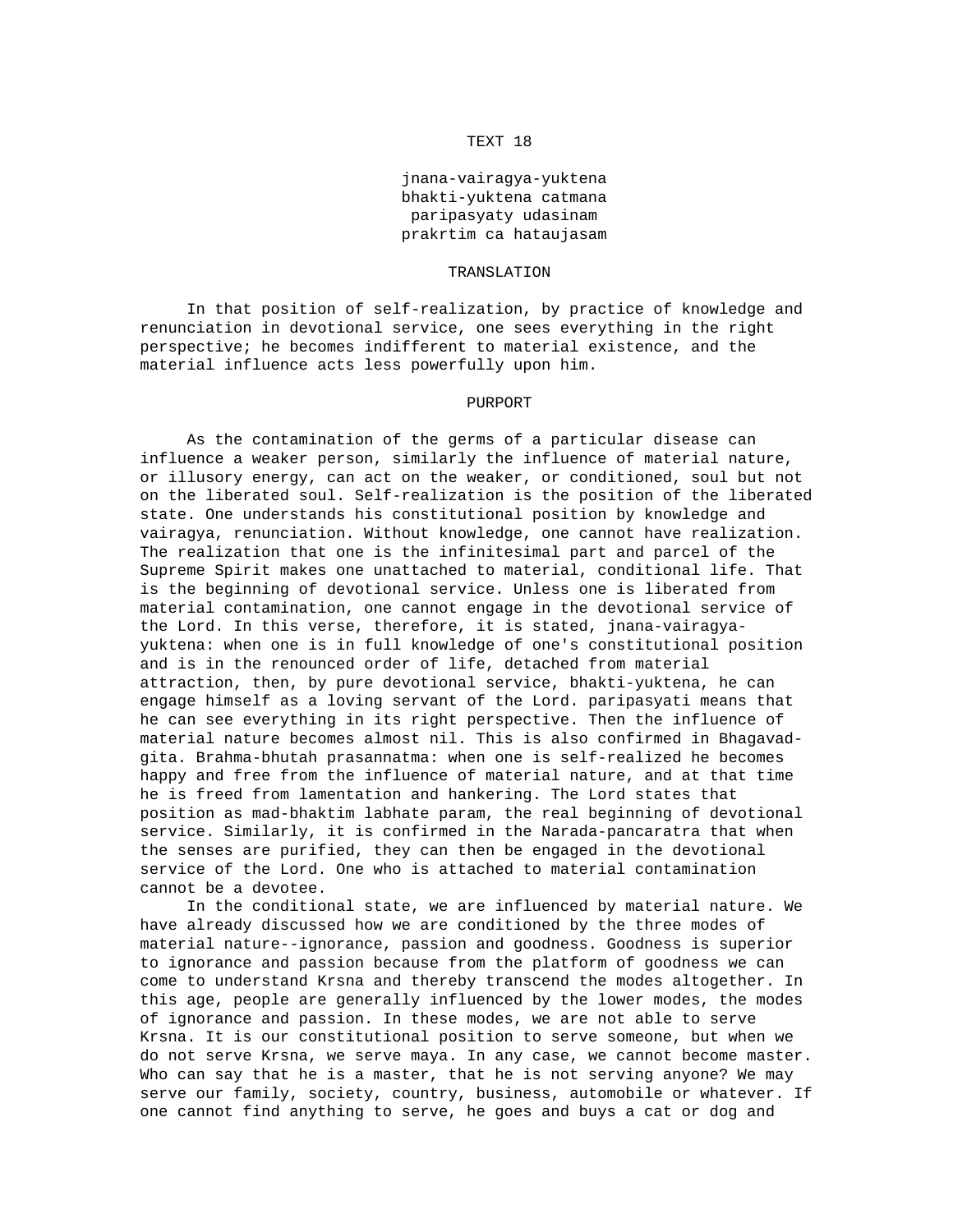# TEXT 18

 jnana-vairagya-yuktena bhakti-yuktena catmana paripasyaty udasinam prakrtim ca hataujasam

# TRANSLATION

 In that position of self-realization, by practice of knowledge and renunciation in devotional service, one sees everything in the right perspective; he becomes indifferent to material existence, and the material influence acts less powerfully upon him.

# PURPORT

 As the contamination of the germs of a particular disease can influence a weaker person, similarly the influence of material nature, or illusory energy, can act on the weaker, or conditioned, soul but not on the liberated soul. Self-realization is the position of the liberated state. One understands his constitutional position by knowledge and vairagya, renunciation. Without knowledge, one cannot have realization. The realization that one is the infinitesimal part and parcel of the Supreme Spirit makes one unattached to material, conditional life. That is the beginning of devotional service. Unless one is liberated from material contamination, one cannot engage in the devotional service of the Lord. In this verse, therefore, it is stated, jnana-vairagyayuktena: when one is in full knowledge of one's constitutional position and is in the renounced order of life, detached from material attraction, then, by pure devotional service, bhakti-yuktena, he can engage himself as a loving servant of the Lord. paripasyati means that he can see everything in its right perspective. Then the influence of material nature becomes almost nil. This is also confirmed in Bhagavadgita. Brahma-bhutah prasannatma: when one is self-realized he becomes happy and free from the influence of material nature, and at that time he is freed from lamentation and hankering. The Lord states that position as mad-bhaktim labhate param, the real beginning of devotional service. Similarly, it is confirmed in the Narada-pancaratra that when the senses are purified, they can then be engaged in the devotional service of the Lord. One who is attached to material contamination cannot be a devotee.

 In the conditional state, we are influenced by material nature. We have already discussed how we are conditioned by the three modes of material nature--ignorance, passion and goodness. Goodness is superior to ignorance and passion because from the platform of goodness we can come to understand Krsna and thereby transcend the modes altogether. In this age, people are generally influenced by the lower modes, the modes of ignorance and passion. In these modes, we are not able to serve Krsna. It is our constitutional position to serve someone, but when we do not serve Krsna, we serve maya. In any case, we cannot become master. Who can say that he is a master, that he is not serving anyone? We may serve our family, society, country, business, automobile or whatever. If one cannot find anything to serve, he goes and buys a cat or dog and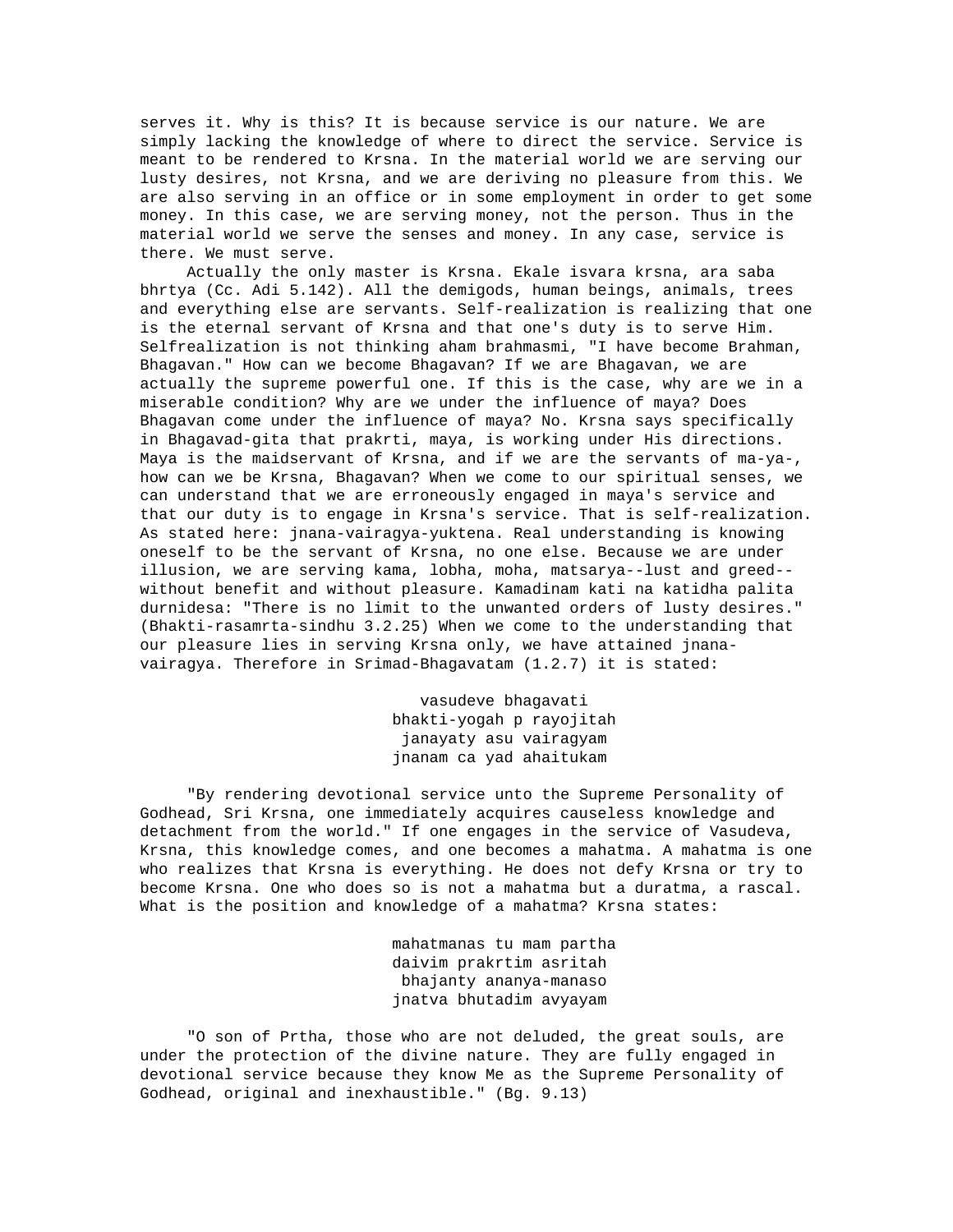serves it. Why is this? It is because service is our nature. We are simply lacking the knowledge of where to direct the service. Service is meant to be rendered to Krsna. In the material world we are serving our lusty desires, not Krsna, and we are deriving no pleasure from this. We are also serving in an office or in some employment in order to get some money. In this case, we are serving money, not the person. Thus in the material world we serve the senses and money. In any case, service is there. We must serve.

 Actually the only master is Krsna. Ekale isvara krsna, ara saba bhrtya (Cc. Adi 5.142). All the demigods, human beings, animals, trees and everything else are servants. Self-realization is realizing that one is the eternal servant of Krsna and that one's duty is to serve Him. Selfrealization is not thinking aham brahmasmi, "I have become Brahman, Bhagavan." How can we become Bhagavan? If we are Bhagavan, we are actually the supreme powerful one. If this is the case, why are we in a miserable condition? Why are we under the influence of maya? Does Bhagavan come under the influence of maya? No. Krsna says specifically in Bhagavad-gita that prakrti, maya, is working under His directions. Maya is the maidservant of Krsna, and if we are the servants of ma-ya-, how can we be Krsna, Bhagavan? When we come to our spiritual senses, we can understand that we are erroneously engaged in maya's service and that our duty is to engage in Krsna's service. That is self-realization. As stated here: jnana-vairagya-yuktena. Real understanding is knowing oneself to be the servant of Krsna, no one else. Because we are under illusion, we are serving kama, lobha, moha, matsarya--lust and greed- without benefit and without pleasure. Kamadinam kati na katidha palita durnidesa: "There is no limit to the unwanted orders of lusty desires." (Bhakti-rasamrta-sindhu 3.2.25) When we come to the understanding that our pleasure lies in serving Krsna only, we have attained jnanavairagya. Therefore in Srimad-Bhagavatam (1.2.7) it is stated:

> vasudeve bhagavati bhakti-yogah p rayojitah janayaty asu vairagyam jnanam ca yad ahaitukam

 "By rendering devotional service unto the Supreme Personality of Godhead, Sri Krsna, one immediately acquires causeless knowledge and detachment from the world." If one engages in the service of Vasudeva, Krsna, this knowledge comes, and one becomes a mahatma. A mahatma is one who realizes that Krsna is everything. He does not defy Krsna or try to become Krsna. One who does so is not a mahatma but a duratma, a rascal. What is the position and knowledge of a mahatma? Krsna states:

> mahatmanas tu mam partha daivim prakrtim asritah bhajanty ananya-manaso jnatva bhutadim avyayam

 "O son of Prtha, those who are not deluded, the great souls, are under the protection of the divine nature. They are fully engaged in devotional service because they know Me as the Supreme Personality of Godhead, original and inexhaustible." (Bg. 9.13)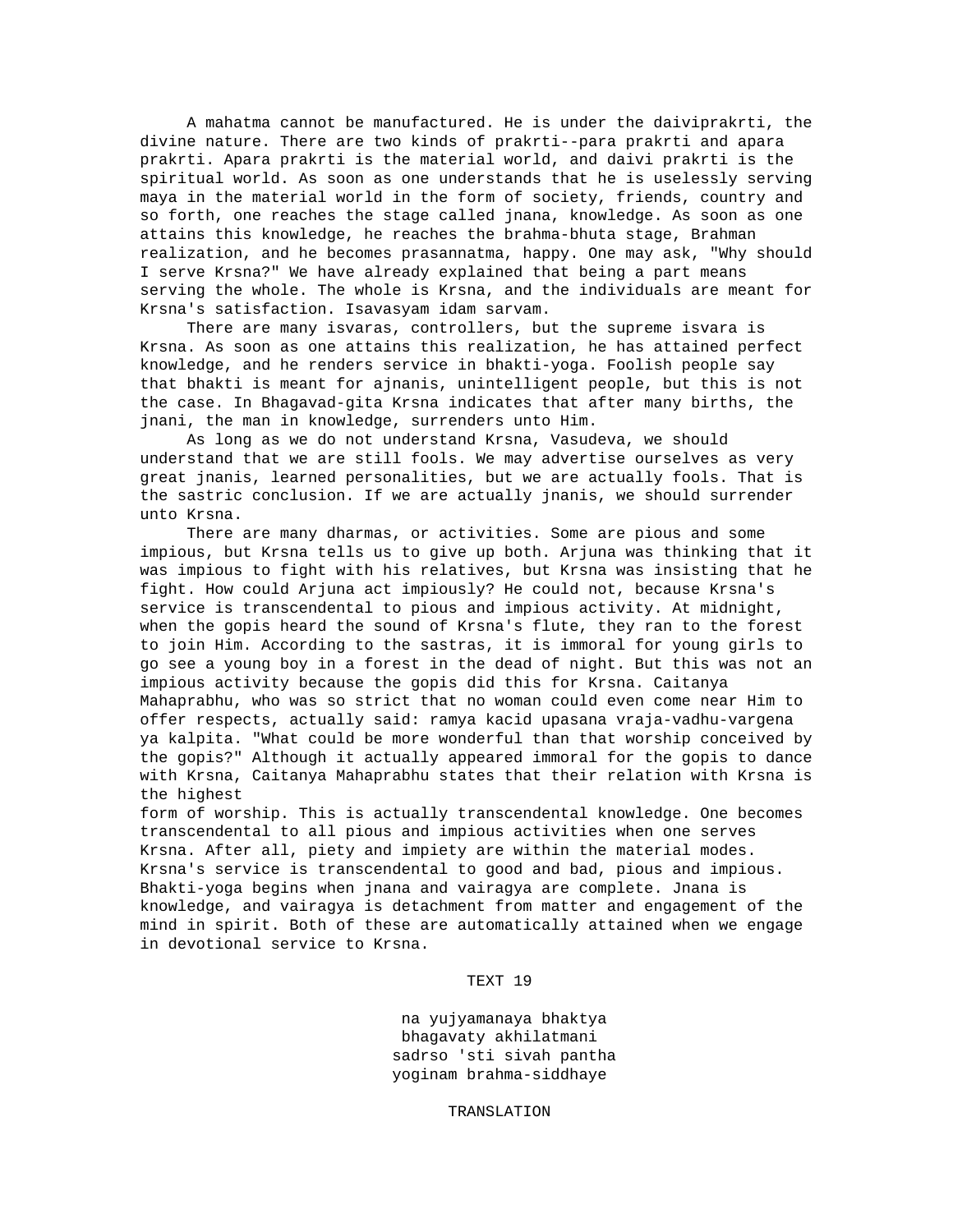A mahatma cannot be manufactured. He is under the daiviprakrti, the divine nature. There are two kinds of prakrti--para prakrti and apara prakrti. Apara prakrti is the material world, and daivi prakrti is the spiritual world. As soon as one understands that he is uselessly serving maya in the material world in the form of society, friends, country and so forth, one reaches the stage called jnana, knowledge. As soon as one attains this knowledge, he reaches the brahma-bhuta stage, Brahman realization, and he becomes prasannatma, happy. One may ask, "Why should I serve Krsna?" We have already explained that being a part means serving the whole. The whole is Krsna, and the individuals are meant for Krsna's satisfaction. Isavasyam idam sarvam.

 There are many isvaras, controllers, but the supreme isvara is Krsna. As soon as one attains this realization, he has attained perfect knowledge, and he renders service in bhakti-yoga. Foolish people say that bhakti is meant for ajnanis, unintelligent people, but this is not the case. In Bhagavad-gita Krsna indicates that after many births, the jnani, the man in knowledge, surrenders unto Him.

 As long as we do not understand Krsna, Vasudeva, we should understand that we are still fools. We may advertise ourselves as very great jnanis, learned personalities, but we are actually fools. That is the sastric conclusion. If we are actually jnanis, we should surrender unto Krsna.

 There are many dharmas, or activities. Some are pious and some impious, but Krsna tells us to give up both. Arjuna was thinking that it was impious to fight with his relatives, but Krsna was insisting that he fight. How could Arjuna act impiously? He could not, because Krsna's service is transcendental to pious and impious activity. At midnight, when the gopis heard the sound of Krsna's flute, they ran to the forest to join Him. According to the sastras, it is immoral for young girls to go see a young boy in a forest in the dead of night. But this was not an impious activity because the gopis did this for Krsna. Caitanya Mahaprabhu, who was so strict that no woman could even come near Him to offer respects, actually said: ramya kacid upasana vraja-vadhu-vargena ya kalpita. "What could be more wonderful than that worship conceived by the gopis?" Although it actually appeared immoral for the gopis to dance with Krsna, Caitanya Mahaprabhu states that their relation with Krsna is the highest

form of worship. This is actually transcendental knowledge. One becomes transcendental to all pious and impious activities when one serves Krsna. After all, piety and impiety are within the material modes. Krsna's service is transcendental to good and bad, pious and impious. Bhakti-yoga begins when jnana and vairagya are complete. Jnana is knowledge, and vairagya is detachment from matter and engagement of the mind in spirit. Both of these are automatically attained when we engage in devotional service to Krsna.

TEXT 19

 na yujyamanaya bhaktya bhagavaty akhilatmani sadrso 'sti sivah pantha yoginam brahma-siddhaye

TRANSLATION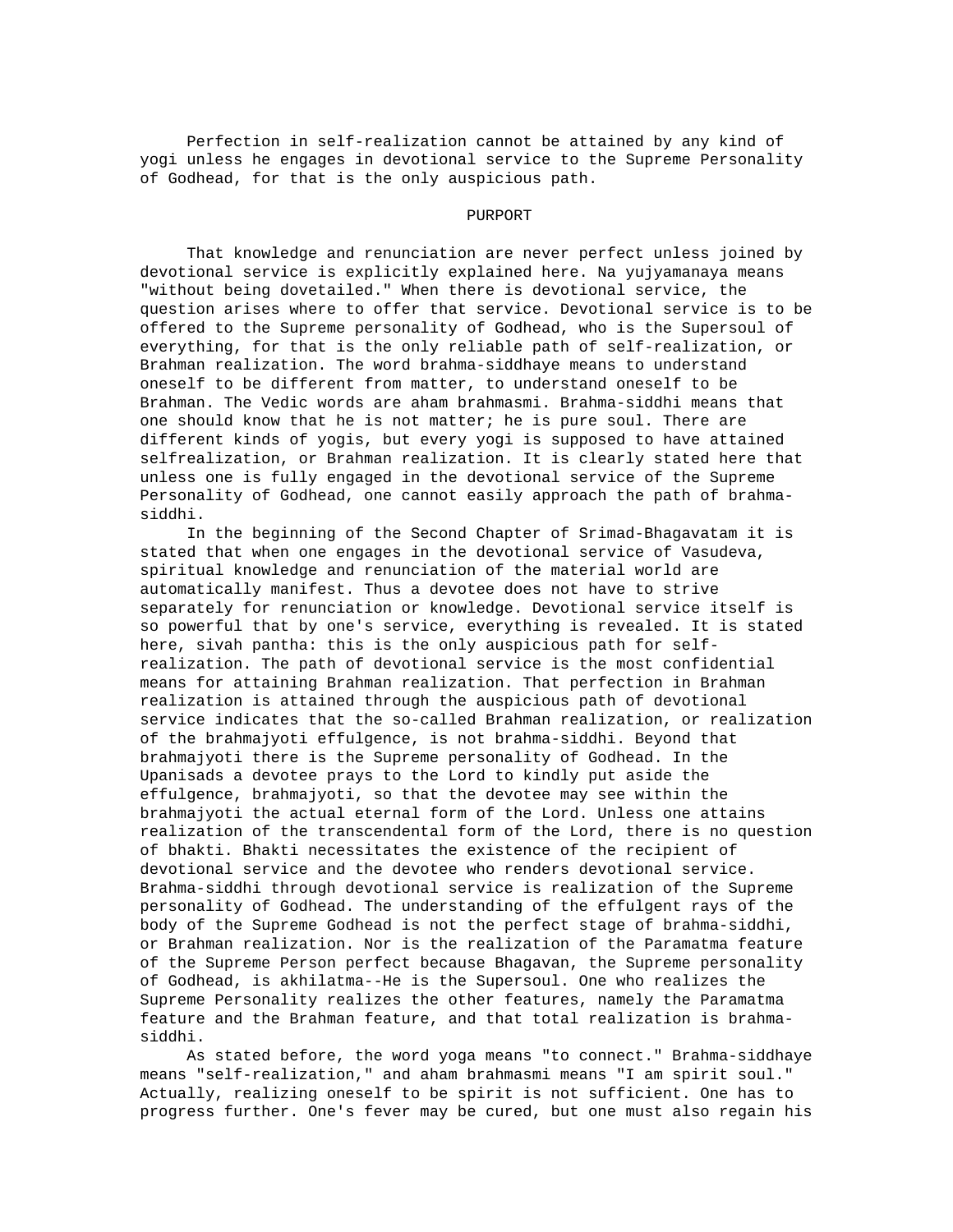Perfection in self-realization cannot be attained by any kind of yogi unless he engages in devotional service to the Supreme Personality of Godhead, for that is the only auspicious path.

# PURPORT

 That knowledge and renunciation are never perfect unless joined by devotional service is explicitly explained here. Na yujyamanaya means "without being dovetailed." When there is devotional service, the question arises where to offer that service. Devotional service is to be offered to the Supreme personality of Godhead, who is the Supersoul of everything, for that is the only reliable path of self-realization, or Brahman realization. The word brahma-siddhaye means to understand oneself to be different from matter, to understand oneself to be Brahman. The Vedic words are aham brahmasmi. Brahma-siddhi means that one should know that he is not matter; he is pure soul. There are different kinds of yogis, but every yogi is supposed to have attained selfrealization, or Brahman realization. It is clearly stated here that unless one is fully engaged in the devotional service of the Supreme Personality of Godhead, one cannot easily approach the path of brahmasiddhi.

 In the beginning of the Second Chapter of Srimad-Bhagavatam it is stated that when one engages in the devotional service of Vasudeva, spiritual knowledge and renunciation of the material world are automatically manifest. Thus a devotee does not have to strive separately for renunciation or knowledge. Devotional service itself is so powerful that by one's service, everything is revealed. It is stated here, sivah pantha: this is the only auspicious path for selfrealization. The path of devotional service is the most confidential means for attaining Brahman realization. That perfection in Brahman realization is attained through the auspicious path of devotional service indicates that the so-called Brahman realization, or realization of the brahmajyoti effulgence, is not brahma-siddhi. Beyond that brahmajyoti there is the Supreme personality of Godhead. In the Upanisads a devotee prays to the Lord to kindly put aside the effulgence, brahmajyoti, so that the devotee may see within the brahmajyoti the actual eternal form of the Lord. Unless one attains realization of the transcendental form of the Lord, there is no question of bhakti. Bhakti necessitates the existence of the recipient of devotional service and the devotee who renders devotional service. Brahma-siddhi through devotional service is realization of the Supreme personality of Godhead. The understanding of the effulgent rays of the body of the Supreme Godhead is not the perfect stage of brahma-siddhi, or Brahman realization. Nor is the realization of the Paramatma feature of the Supreme Person perfect because Bhagavan, the Supreme personality of Godhead, is akhilatma--He is the Supersoul. One who realizes the Supreme Personality realizes the other features, namely the Paramatma feature and the Brahman feature, and that total realization is brahmasiddhi.

 As stated before, the word yoga means "to connect." Brahma-siddhaye means "self-realization," and aham brahmasmi means "I am spirit soul." Actually, realizing oneself to be spirit is not sufficient. One has to progress further. One's fever may be cured, but one must also regain his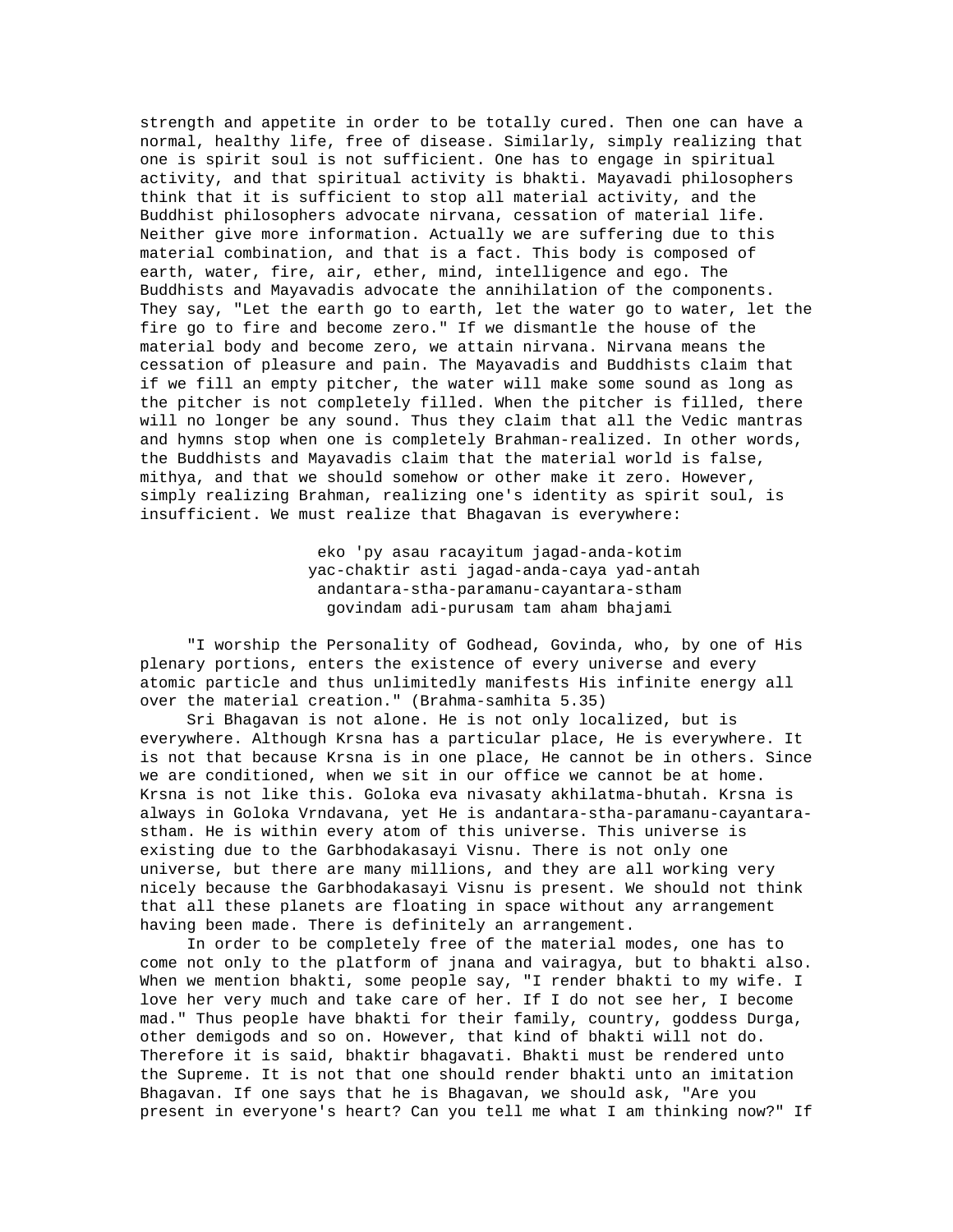strength and appetite in order to be totally cured. Then one can have a normal, healthy life, free of disease. Similarly, simply realizing that one is spirit soul is not sufficient. One has to engage in spiritual activity, and that spiritual activity is bhakti. Mayavadi philosophers think that it is sufficient to stop all material activity, and the Buddhist philosophers advocate nirvana, cessation of material life. Neither give more information. Actually we are suffering due to this material combination, and that is a fact. This body is composed of earth, water, fire, air, ether, mind, intelligence and ego. The Buddhists and Mayavadis advocate the annihilation of the components. They say, "Let the earth go to earth, let the water go to water, let the fire go to fire and become zero." If we dismantle the house of the material body and become zero, we attain nirvana. Nirvana means the cessation of pleasure and pain. The Mayavadis and Buddhists claim that if we fill an empty pitcher, the water will make some sound as long as the pitcher is not completely filled. When the pitcher is filled, there will no longer be any sound. Thus they claim that all the Vedic mantras and hymns stop when one is completely Brahman-realized. In other words, the Buddhists and Mayavadis claim that the material world is false, mithya, and that we should somehow or other make it zero. However, simply realizing Brahman, realizing one's identity as spirit soul, is insufficient. We must realize that Bhagavan is everywhere:

> eko 'py asau racayitum jagad-anda-kotim yac-chaktir asti jagad-anda-caya yad-antah andantara-stha-paramanu-cayantara-stham govindam adi-purusam tam aham bhajami

 "I worship the Personality of Godhead, Govinda, who, by one of His plenary portions, enters the existence of every universe and every atomic particle and thus unlimitedly manifests His infinite energy all over the material creation." (Brahma-samhita 5.35)

 Sri Bhagavan is not alone. He is not only localized, but is everywhere. Although Krsna has a particular place, He is everywhere. It is not that because Krsna is in one place, He cannot be in others. Since we are conditioned, when we sit in our office we cannot be at home. Krsna is not like this. Goloka eva nivasaty akhilatma-bhutah. Krsna is always in Goloka Vrndavana, yet He is andantara-stha-paramanu-cayantarastham. He is within every atom of this universe. This universe is existing due to the Garbhodakasayi Visnu. There is not only one universe, but there are many millions, and they are all working very nicely because the Garbhodakasayi Visnu is present. We should not think that all these planets are floating in space without any arrangement having been made. There is definitely an arrangement.

 In order to be completely free of the material modes, one has to come not only to the platform of jnana and vairagya, but to bhakti also. When we mention bhakti, some people say, "I render bhakti to my wife. I love her very much and take care of her. If I do not see her, I become mad." Thus people have bhakti for their family, country, goddess Durga, other demigods and so on. However, that kind of bhakti will not do. Therefore it is said, bhaktir bhagavati. Bhakti must be rendered unto the Supreme. It is not that one should render bhakti unto an imitation Bhagavan. If one says that he is Bhagavan, we should ask, "Are you present in everyone's heart? Can you tell me what I am thinking now?" If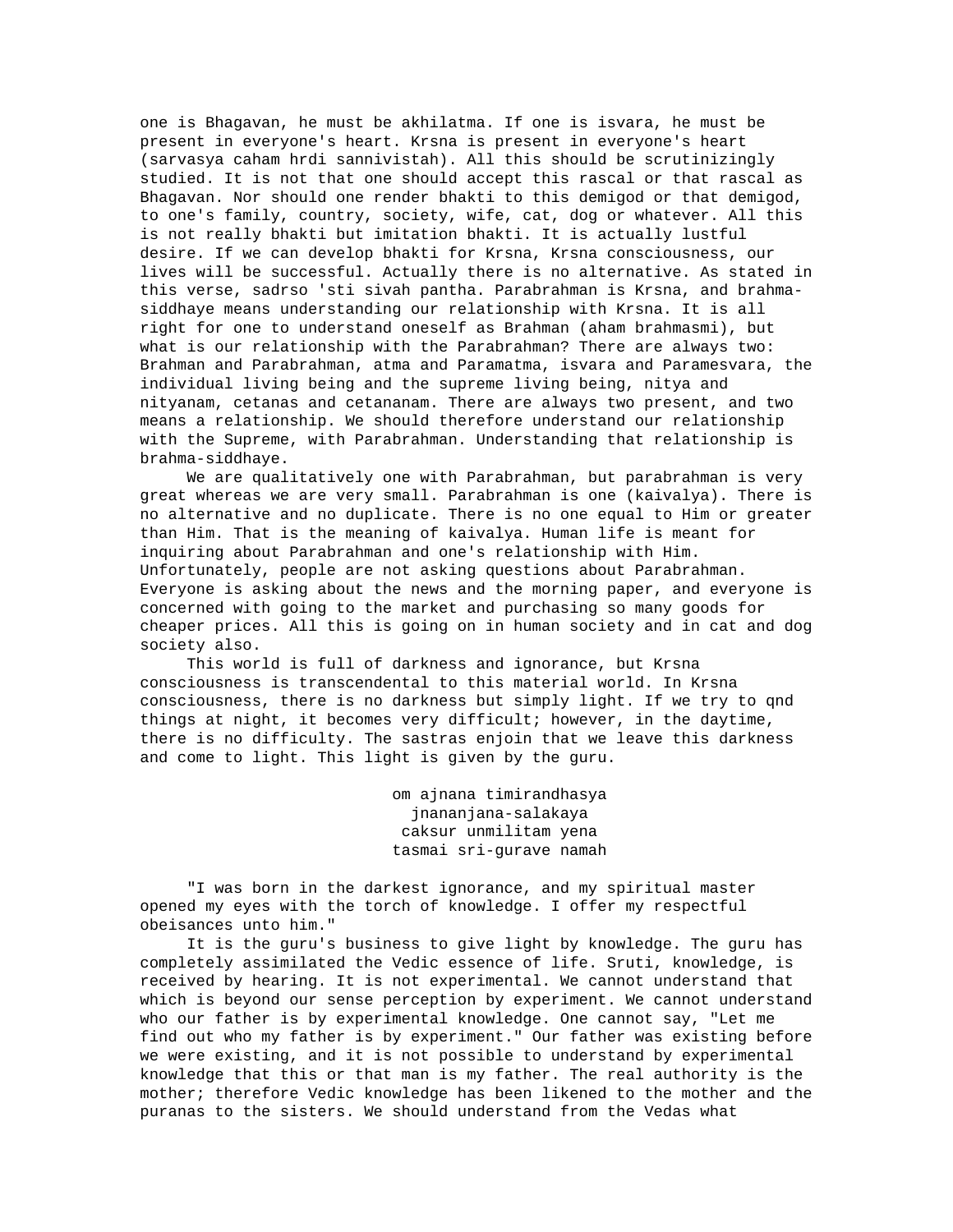one is Bhagavan, he must be akhilatma. If one is isvara, he must be present in everyone's heart. Krsna is present in everyone's heart (sarvasya caham hrdi sannivistah). All this should be scrutinizingly studied. It is not that one should accept this rascal or that rascal as Bhagavan. Nor should one render bhakti to this demigod or that demigod, to one's family, country, society, wife, cat, dog or whatever. All this is not really bhakti but imitation bhakti. It is actually lustful desire. If we can develop bhakti for Krsna, Krsna consciousness, our lives will be successful. Actually there is no alternative. As stated in this verse, sadrso 'sti sivah pantha. Parabrahman is Krsna, and brahmasiddhaye means understanding our relationship with Krsna. It is all right for one to understand oneself as Brahman (aham brahmasmi), but what is our relationship with the Parabrahman? There are always two: Brahman and Parabrahman, atma and Paramatma, isvara and Paramesvara, the individual living being and the supreme living being, nitya and nityanam, cetanas and cetananam. There are always two present, and two means a relationship. We should therefore understand our relationship with the Supreme, with Parabrahman. Understanding that relationship is brahma-siddhaye.

 We are qualitatively one with Parabrahman, but parabrahman is very great whereas we are very small. Parabrahman is one (kaivalya). There is no alternative and no duplicate. There is no one equal to Him or greater than Him. That is the meaning of kaivalya. Human life is meant for inquiring about Parabrahman and one's relationship with Him. Unfortunately, people are not asking questions about Parabrahman. Everyone is asking about the news and the morning paper, and everyone is concerned with going to the market and purchasing so many goods for cheaper prices. All this is going on in human society and in cat and dog society also.

 This world is full of darkness and ignorance, but Krsna consciousness is transcendental to this material world. In Krsna consciousness, there is no darkness but simply light. If we try to qnd things at night, it becomes very difficult; however, in the daytime, there is no difficulty. The sastras enjoin that we leave this darkness and come to light. This light is given by the guru.

> om ajnana timirandhasya jnananjana-salakaya caksur unmilitam yena tasmai sri-gurave namah

 "I was born in the darkest ignorance, and my spiritual master opened my eyes with the torch of knowledge. I offer my respectful obeisances unto him."

 It is the guru's business to give light by knowledge. The guru has completely assimilated the Vedic essence of life. Sruti, knowledge, is received by hearing. It is not experimental. We cannot understand that which is beyond our sense perception by experiment. We cannot understand who our father is by experimental knowledge. One cannot say, "Let me find out who my father is by experiment." Our father was existing before we were existing, and it is not possible to understand by experimental knowledge that this or that man is my father. The real authority is the mother; therefore Vedic knowledge has been likened to the mother and the puranas to the sisters. We should understand from the Vedas what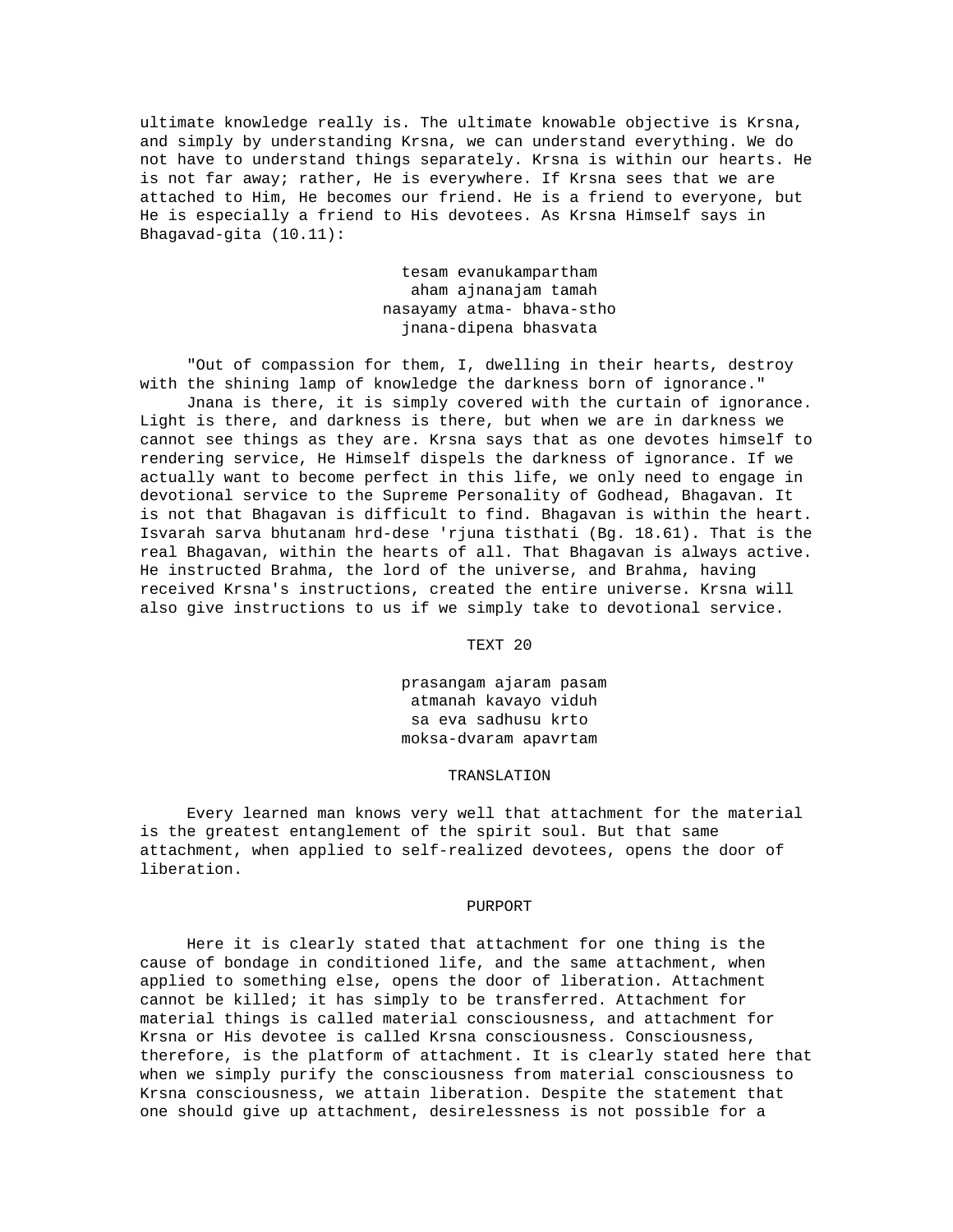ultimate knowledge really is. The ultimate knowable objective is Krsna, and simply by understanding Krsna, we can understand everything. We do not have to understand things separately. Krsna is within our hearts. He is not far away; rather, He is everywhere. If Krsna sees that we are attached to Him, He becomes our friend. He is a friend to everyone, but He is especially a friend to His devotees. As Krsna Himself says in Bhagavad-gita (10.11):

> tesam evanukampartham aham ajnanajam tamah nasayamy atma- bhava-stho jnana-dipena bhasvata

 "Out of compassion for them, I, dwelling in their hearts, destroy with the shining lamp of knowledge the darkness born of ignorance."

 Jnana is there, it is simply covered with the curtain of ignorance. Light is there, and darkness is there, but when we are in darkness we cannot see things as they are. Krsna says that as one devotes himself to rendering service, He Himself dispels the darkness of ignorance. If we actually want to become perfect in this life, we only need to engage in devotional service to the Supreme Personality of Godhead, Bhagavan. It is not that Bhagavan is difficult to find. Bhagavan is within the heart. Isvarah sarva bhutanam hrd-dese 'rjuna tisthati (Bg. 18.61). That is the real Bhagavan, within the hearts of all. That Bhagavan is always active. He instructed Brahma, the lord of the universe, and Brahma, having received Krsna's instructions, created the entire universe. Krsna will also give instructions to us if we simply take to devotional service.

TEXT 20

 prasangam ajaram pasam atmanah kavayo viduh sa eva sadhusu krto moksa-dvaram apavrtam

# TRANSLATION

 Every learned man knows very well that attachment for the material is the greatest entanglement of the spirit soul. But that same attachment, when applied to self-realized devotees, opens the door of liberation.

#### PURPORT

 Here it is clearly stated that attachment for one thing is the cause of bondage in conditioned life, and the same attachment, when applied to something else, opens the door of liberation. Attachment cannot be killed; it has simply to be transferred. Attachment for material things is called material consciousness, and attachment for Krsna or His devotee is called Krsna consciousness. Consciousness, therefore, is the platform of attachment. It is clearly stated here that when we simply purify the consciousness from material consciousness to Krsna consciousness, we attain liberation. Despite the statement that one should give up attachment, desirelessness is not possible for a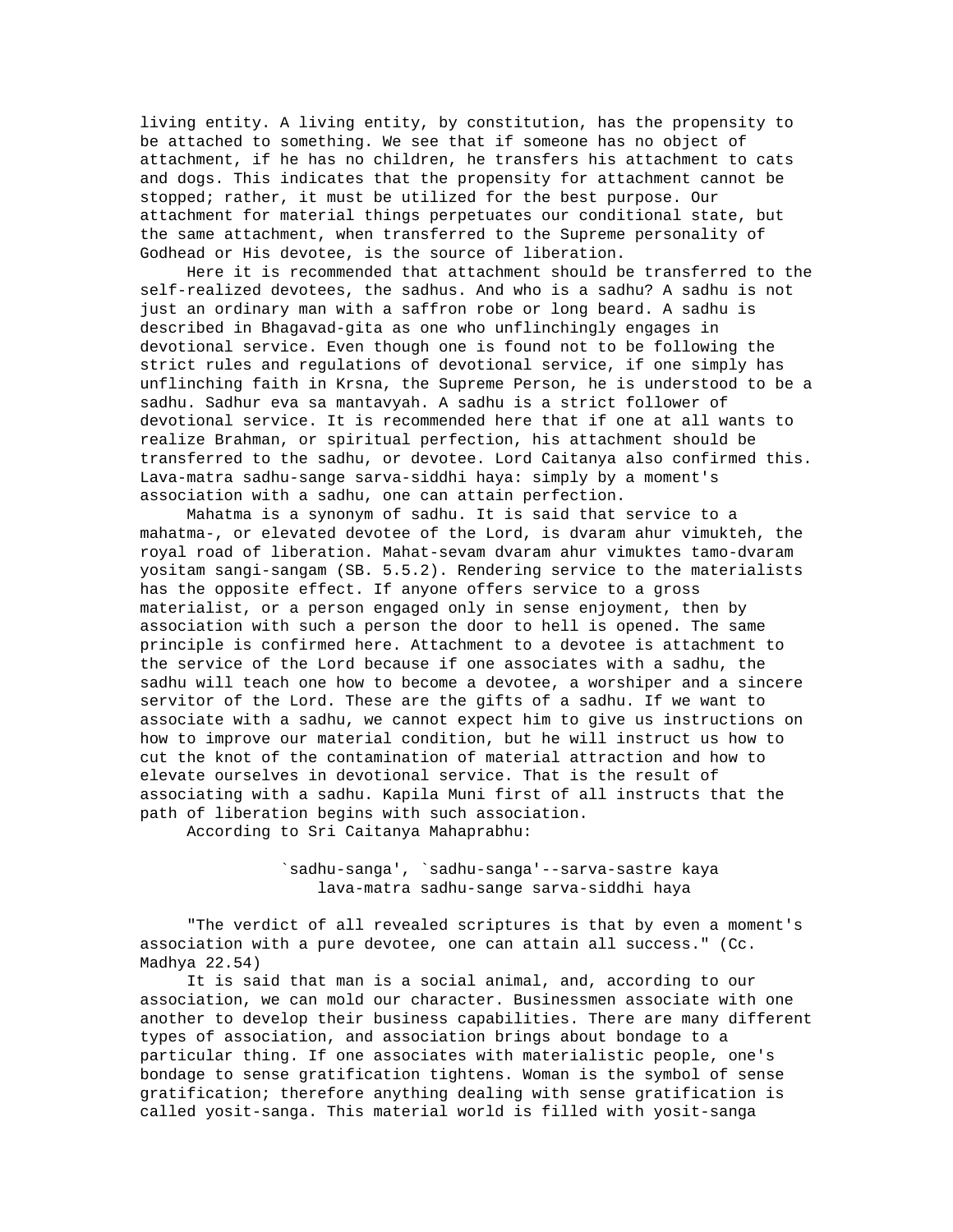living entity. A living entity, by constitution, has the propensity to be attached to something. We see that if someone has no object of attachment, if he has no children, he transfers his attachment to cats and dogs. This indicates that the propensity for attachment cannot be stopped; rather, it must be utilized for the best purpose. Our attachment for material things perpetuates our conditional state, but the same attachment, when transferred to the Supreme personality of Godhead or His devotee, is the source of liberation.

 Here it is recommended that attachment should be transferred to the self-realized devotees, the sadhus. And who is a sadhu? A sadhu is not just an ordinary man with a saffron robe or long beard. A sadhu is described in Bhagavad-gita as one who unflinchingly engages in devotional service. Even though one is found not to be following the strict rules and regulations of devotional service, if one simply has unflinching faith in Krsna, the Supreme Person, he is understood to be a sadhu. Sadhur eva sa mantavyah. A sadhu is a strict follower of devotional service. It is recommended here that if one at all wants to realize Brahman, or spiritual perfection, his attachment should be transferred to the sadhu, or devotee. Lord Caitanya also confirmed this. Lava-matra sadhu-sange sarva-siddhi haya: simply by a moment's association with a sadhu, one can attain perfection.

 Mahatma is a synonym of sadhu. It is said that service to a mahatma-, or elevated devotee of the Lord, is dvaram ahur vimukteh, the royal road of liberation. Mahat-sevam dvaram ahur vimuktes tamo-dvaram yositam sangi-sangam (SB. 5.5.2). Rendering service to the materialists has the opposite effect. If anyone offers service to a gross materialist, or a person engaged only in sense enjoyment, then by association with such a person the door to hell is opened. The same principle is confirmed here. Attachment to a devotee is attachment to the service of the Lord because if one associates with a sadhu, the sadhu will teach one how to become a devotee, a worshiper and a sincere servitor of the Lord. These are the gifts of a sadhu. If we want to associate with a sadhu, we cannot expect him to give us instructions on how to improve our material condition, but he will instruct us how to cut the knot of the contamination of material attraction and how to elevate ourselves in devotional service. That is the result of associating with a sadhu. Kapila Muni first of all instructs that the path of liberation begins with such association.

According to Sri Caitanya Mahaprabhu:

 `sadhu-sanga', `sadhu-sanga'--sarva-sastre kaya lava-matra sadhu-sange sarva-siddhi haya

 "The verdict of all revealed scriptures is that by even a moment's association with a pure devotee, one can attain all success." (Cc. Madhya 22.54)

 It is said that man is a social animal, and, according to our association, we can mold our character. Businessmen associate with one another to develop their business capabilities. There are many different types of association, and association brings about bondage to a particular thing. If one associates with materialistic people, one's bondage to sense gratification tightens. Woman is the symbol of sense gratification; therefore anything dealing with sense gratification is called yosit-sanga. This material world is filled with yosit-sanga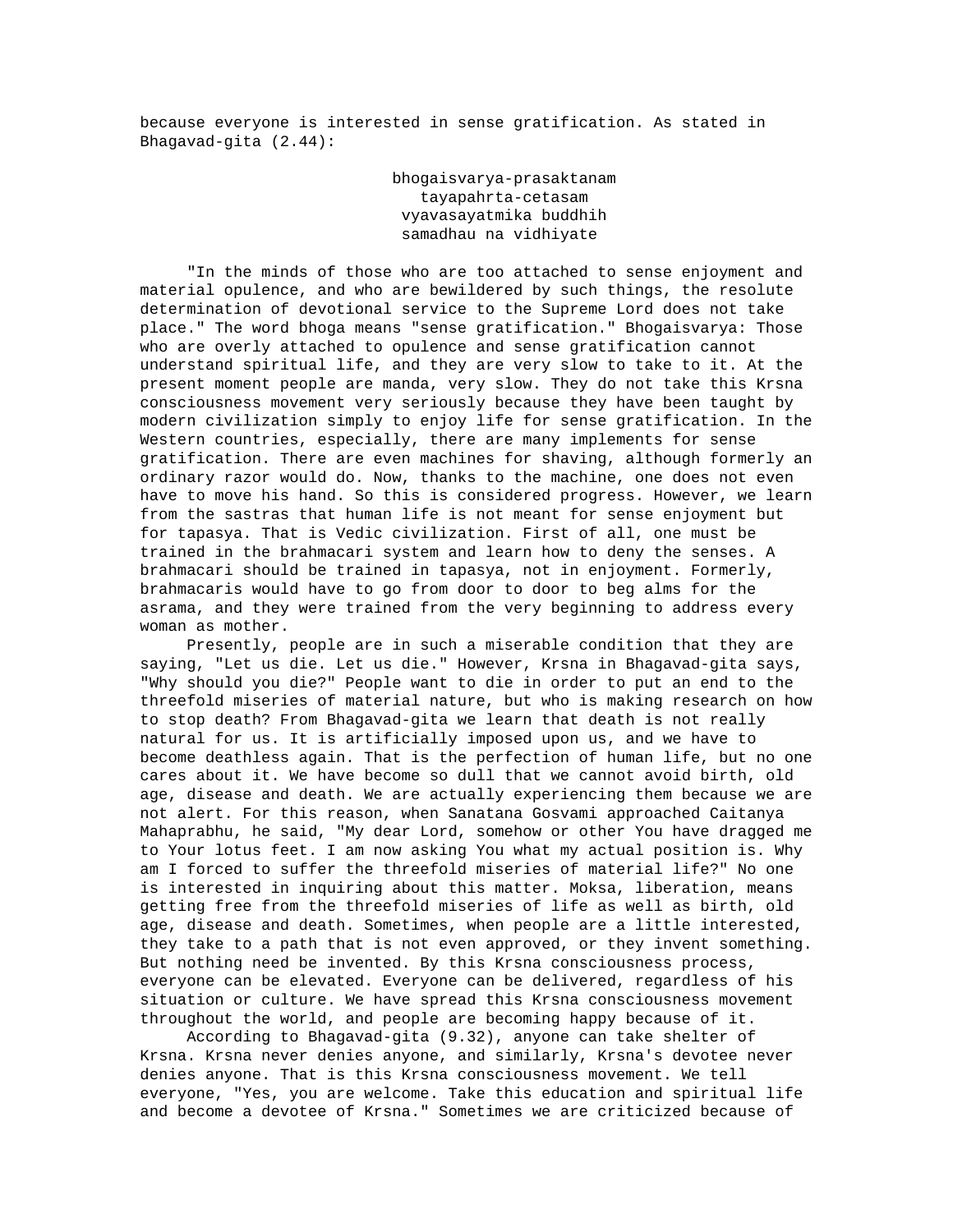because everyone is interested in sense gratification. As stated in Bhagavad-gita (2.44):

> bhogaisvarya-prasaktanam tayapahrta-cetasam vyavasayatmika buddhih samadhau na vidhiyate

 "In the minds of those who are too attached to sense enjoyment and material opulence, and who are bewildered by such things, the resolute determination of devotional service to the Supreme Lord does not take place." The word bhoga means "sense gratification." Bhogaisvarya: Those who are overly attached to opulence and sense gratification cannot understand spiritual life, and they are very slow to take to it. At the present moment people are manda, very slow. They do not take this Krsna consciousness movement very seriously because they have been taught by modern civilization simply to enjoy life for sense gratification. In the Western countries, especially, there are many implements for sense gratification. There are even machines for shaving, although formerly an ordinary razor would do. Now, thanks to the machine, one does not even have to move his hand. So this is considered progress. However, we learn from the sastras that human life is not meant for sense enjoyment but for tapasya. That is Vedic civilization. First of all, one must be trained in the brahmacari system and learn how to deny the senses. A brahmacari should be trained in tapasya, not in enjoyment. Formerly, brahmacaris would have to go from door to door to beg alms for the asrama, and they were trained from the very beginning to address every woman as mother.

 Presently, people are in such a miserable condition that they are saying, "Let us die. Let us die." However, Krsna in Bhagavad-gita says, "Why should you die?" People want to die in order to put an end to the threefold miseries of material nature, but who is making research on how to stop death? From Bhagavad-gita we learn that death is not really natural for us. It is artificially imposed upon us, and we have to become deathless again. That is the perfection of human life, but no one cares about it. We have become so dull that we cannot avoid birth, old age, disease and death. We are actually experiencing them because we are not alert. For this reason, when Sanatana Gosvami approached Caitanya Mahaprabhu, he said, "My dear Lord, somehow or other You have dragged me to Your lotus feet. I am now asking You what my actual position is. Why am I forced to suffer the threefold miseries of material life?" No one is interested in inquiring about this matter. Moksa, liberation, means getting free from the threefold miseries of life as well as birth, old age, disease and death. Sometimes, when people are a little interested, they take to a path that is not even approved, or they invent something. But nothing need be invented. By this Krsna consciousness process, everyone can be elevated. Everyone can be delivered, regardless of his situation or culture. We have spread this Krsna consciousness movement throughout the world, and people are becoming happy because of it.

 According to Bhagavad-gita (9.32), anyone can take shelter of Krsna. Krsna never denies anyone, and similarly, Krsna's devotee never denies anyone. That is this Krsna consciousness movement. We tell everyone, "Yes, you are welcome. Take this education and spiritual life and become a devotee of Krsna." Sometimes we are criticized because of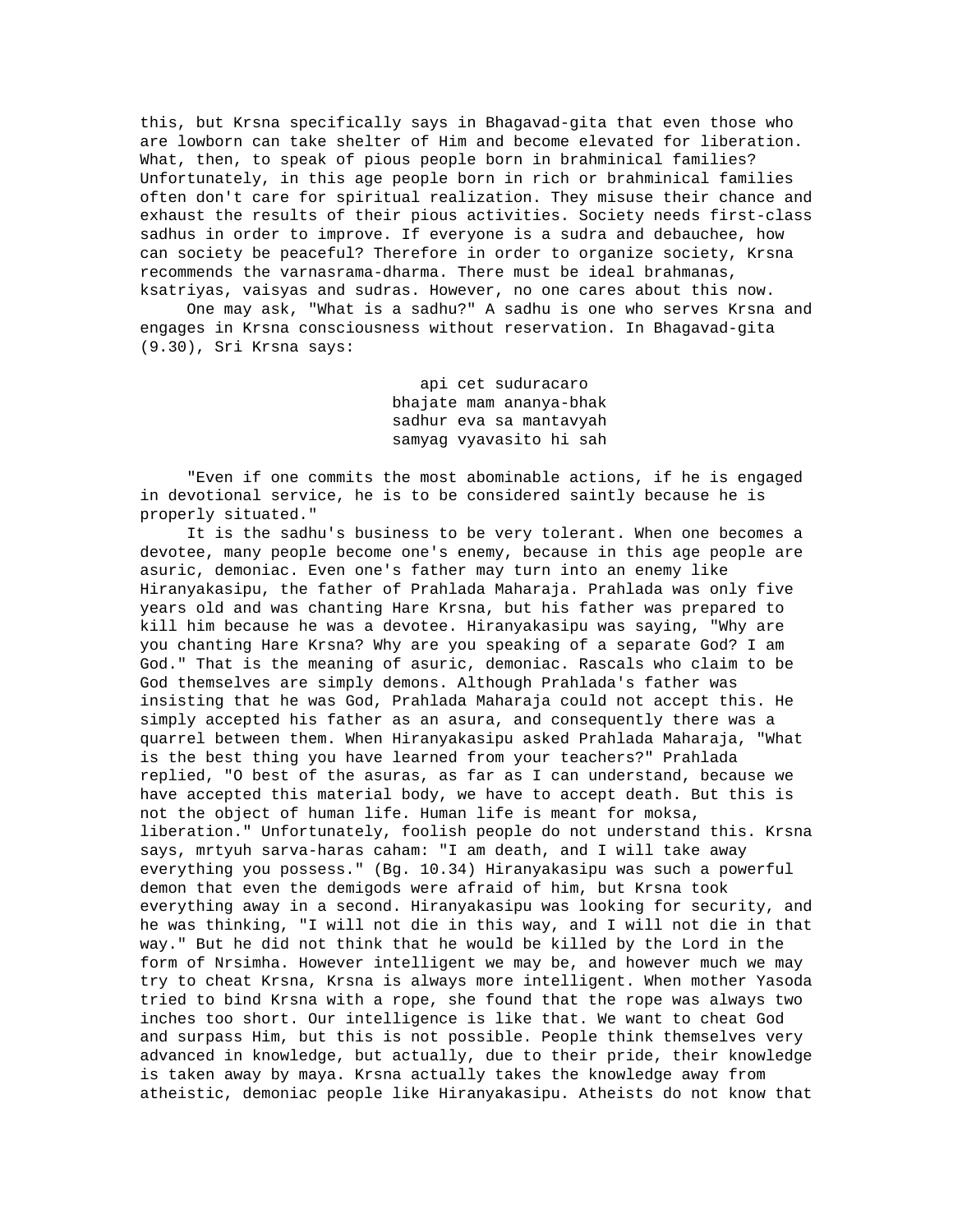this, but Krsna specifically says in Bhagavad-gita that even those who are lowborn can take shelter of Him and become elevated for liberation. What, then, to speak of pious people born in brahminical families? Unfortunately, in this age people born in rich or brahminical families often don't care for spiritual realization. They misuse their chance and exhaust the results of their pious activities. Society needs first-class sadhus in order to improve. If everyone is a sudra and debauchee, how can society be peaceful? Therefore in order to organize society, Krsna recommends the varnasrama-dharma. There must be ideal brahmanas, ksatriyas, vaisyas and sudras. However, no one cares about this now.

 One may ask, "What is a sadhu?" A sadhu is one who serves Krsna and engages in Krsna consciousness without reservation. In Bhagavad-gita (9.30), Sri Krsna says:

> api cet suduracaro bhajate mam ananya-bhak sadhur eva sa mantavyah samyag vyavasito hi sah

 "Even if one commits the most abominable actions, if he is engaged in devotional service, he is to be considered saintly because he is properly situated."

 It is the sadhu's business to be very tolerant. When one becomes a devotee, many people become one's enemy, because in this age people are asuric, demoniac. Even one's father may turn into an enemy like Hiranyakasipu, the father of Prahlada Maharaja. Prahlada was only five years old and was chanting Hare Krsna, but his father was prepared to kill him because he was a devotee. Hiranyakasipu was saying, "Why are you chanting Hare Krsna? Why are you speaking of a separate God? I am God." That is the meaning of asuric, demoniac. Rascals who claim to be God themselves are simply demons. Although Prahlada's father was insisting that he was God, Prahlada Maharaja could not accept this. He simply accepted his father as an asura, and consequently there was a quarrel between them. When Hiranyakasipu asked Prahlada Maharaja, "What is the best thing you have learned from your teachers?" Prahlada replied, "O best of the asuras, as far as I can understand, because we have accepted this material body, we have to accept death. But this is not the object of human life. Human life is meant for moksa, liberation." Unfortunately, foolish people do not understand this. Krsna says, mrtyuh sarva-haras caham: "I am death, and I will take away everything you possess." (Bg. 10.34) Hiranyakasipu was such a powerful demon that even the demigods were afraid of him, but Krsna took everything away in a second. Hiranyakasipu was looking for security, and he was thinking, "I will not die in this way, and I will not die in that way." But he did not think that he would be killed by the Lord in the form of Nrsimha. However intelligent we may be, and however much we may try to cheat Krsna, Krsna is always more intelligent. When mother Yasoda tried to bind Krsna with a rope, she found that the rope was always two inches too short. Our intelligence is like that. We want to cheat God and surpass Him, but this is not possible. People think themselves very advanced in knowledge, but actually, due to their pride, their knowledge is taken away by maya. Krsna actually takes the knowledge away from atheistic, demoniac people like Hiranyakasipu. Atheists do not know that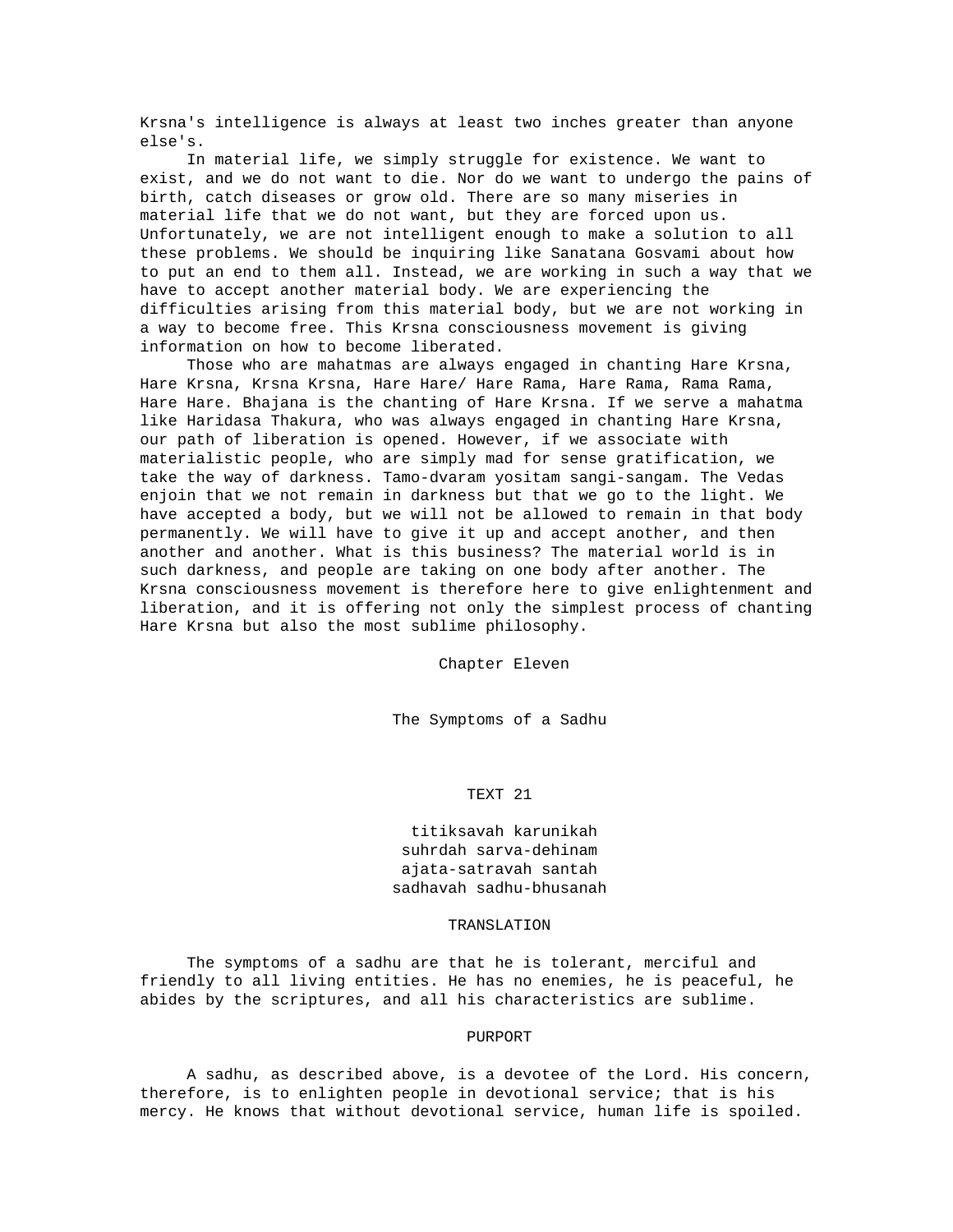Krsna's intelligence is always at least two inches greater than anyone else's.

 In material life, we simply struggle for existence. We want to exist, and we do not want to die. Nor do we want to undergo the pains of birth, catch diseases or grow old. There are so many miseries in material life that we do not want, but they are forced upon us. Unfortunately, we are not intelligent enough to make a solution to all these problems. We should be inquiring like Sanatana Gosvami about how to put an end to them all. Instead, we are working in such a way that we have to accept another material body. We are experiencing the difficulties arising from this material body, but we are not working in a way to become free. This Krsna consciousness movement is giving information on how to become liberated.

 Those who are mahatmas are always engaged in chanting Hare Krsna, Hare Krsna, Krsna Krsna, Hare Hare/ Hare Rama, Hare Rama, Rama Rama, Hare Hare. Bhajana is the chanting of Hare Krsna. If we serve a mahatma like Haridasa Thakura, who was always engaged in chanting Hare Krsna, our path of liberation is opened. However, if we associate with materialistic people, who are simply mad for sense gratification, we take the way of darkness. Tamo-dvaram yositam sangi-sangam. The Vedas enjoin that we not remain in darkness but that we go to the light. We have accepted a body, but we will not be allowed to remain in that body permanently. We will have to give it up and accept another, and then another and another. What is this business? The material world is in such darkness, and people are taking on one body after another. The Krsna consciousness movement is therefore here to give enlightenment and liberation, and it is offering not only the simplest process of chanting Hare Krsna but also the most sublime philosophy.

Chapter Eleven

The Symptoms of a Sadhu

# TEXT 21

 titiksavah karunikah suhrdah sarva-dehinam ajata-satravah santah sadhavah sadhu-bhusanah

# TRANSLATION

 The symptoms of a sadhu are that he is tolerant, merciful and friendly to all living entities. He has no enemies, he is peaceful, he abides by the scriptures, and all his characteristics are sublime.

# PURPORT

 A sadhu, as described above, is a devotee of the Lord. His concern, therefore, is to enlighten people in devotional service; that is his mercy. He knows that without devotional service, human life is spoiled.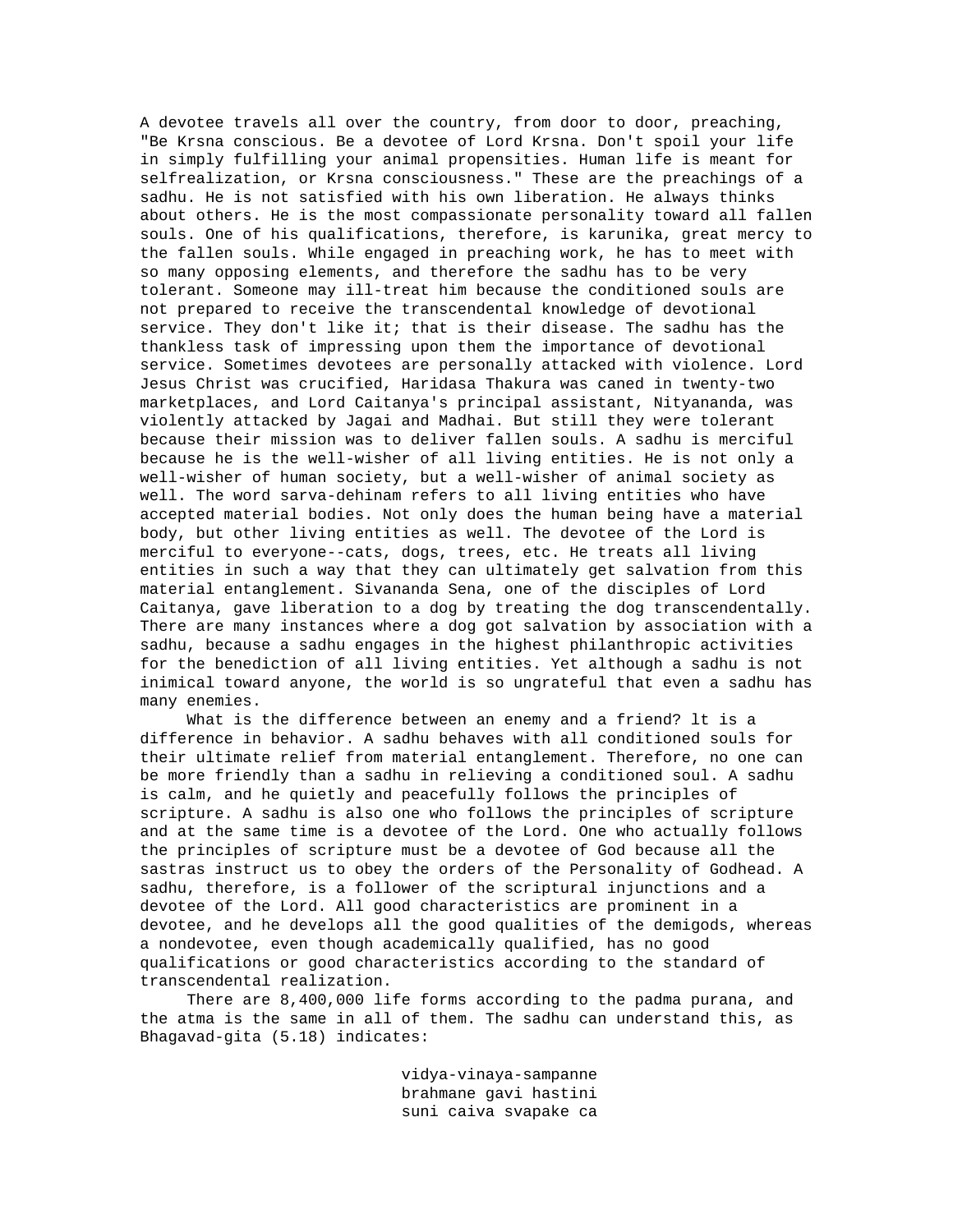A devotee travels all over the country, from door to door, preaching, "Be Krsna conscious. Be a devotee of Lord Krsna. Don't spoil your life in simply fulfilling your animal propensities. Human life is meant for selfrealization, or Krsna consciousness." These are the preachings of a sadhu. He is not satisfied with his own liberation. He always thinks about others. He is the most compassionate personality toward all fallen souls. One of his qualifications, therefore, is karunika, great mercy to the fallen souls. While engaged in preaching work, he has to meet with so many opposing elements, and therefore the sadhu has to be very tolerant. Someone may ill-treat him because the conditioned souls are not prepared to receive the transcendental knowledge of devotional service. They don't like it; that is their disease. The sadhu has the thankless task of impressing upon them the importance of devotional service. Sometimes devotees are personally attacked with violence. Lord Jesus Christ was crucified, Haridasa Thakura was caned in twenty-two marketplaces, and Lord Caitanya's principal assistant, Nityananda, was violently attacked by Jagai and Madhai. But still they were tolerant because their mission was to deliver fallen souls. A sadhu is merciful because he is the well-wisher of all living entities. He is not only a well-wisher of human society, but a well-wisher of animal society as well. The word sarva-dehinam refers to all living entities who have accepted material bodies. Not only does the human being have a material body, but other living entities as well. The devotee of the Lord is merciful to everyone--cats, dogs, trees, etc. He treats all living entities in such a way that they can ultimately get salvation from this material entanglement. Sivananda Sena, one of the disciples of Lord Caitanya, gave liberation to a dog by treating the dog transcendentally. There are many instances where a dog got salvation by association with a sadhu, because a sadhu engages in the highest philanthropic activities for the benediction of all living entities. Yet although a sadhu is not inimical toward anyone, the world is so ungrateful that even a sadhu has many enemies.

 What is the difference between an enemy and a friend? lt is a difference in behavior. A sadhu behaves with all conditioned souls for their ultimate relief from material entanglement. Therefore, no one can be more friendly than a sadhu in relieving a conditioned soul. A sadhu is calm, and he quietly and peacefully follows the principles of scripture. A sadhu is also one who follows the principles of scripture and at the same time is a devotee of the Lord. One who actually follows the principles of scripture must be a devotee of God because all the sastras instruct us to obey the orders of the Personality of Godhead. A sadhu, therefore, is a follower of the scriptural injunctions and a devotee of the Lord. All good characteristics are prominent in a devotee, and he develops all the good qualities of the demigods, whereas a nondevotee, even though academically qualified, has no good qualifications or good characteristics according to the standard of transcendental realization.

 There are 8,400,000 life forms according to the padma purana, and the atma is the same in all of them. The sadhu can understand this, as Bhagavad-gita (5.18) indicates:

> vidya-vinaya-sampanne brahmane gavi hastini suni caiva svapake ca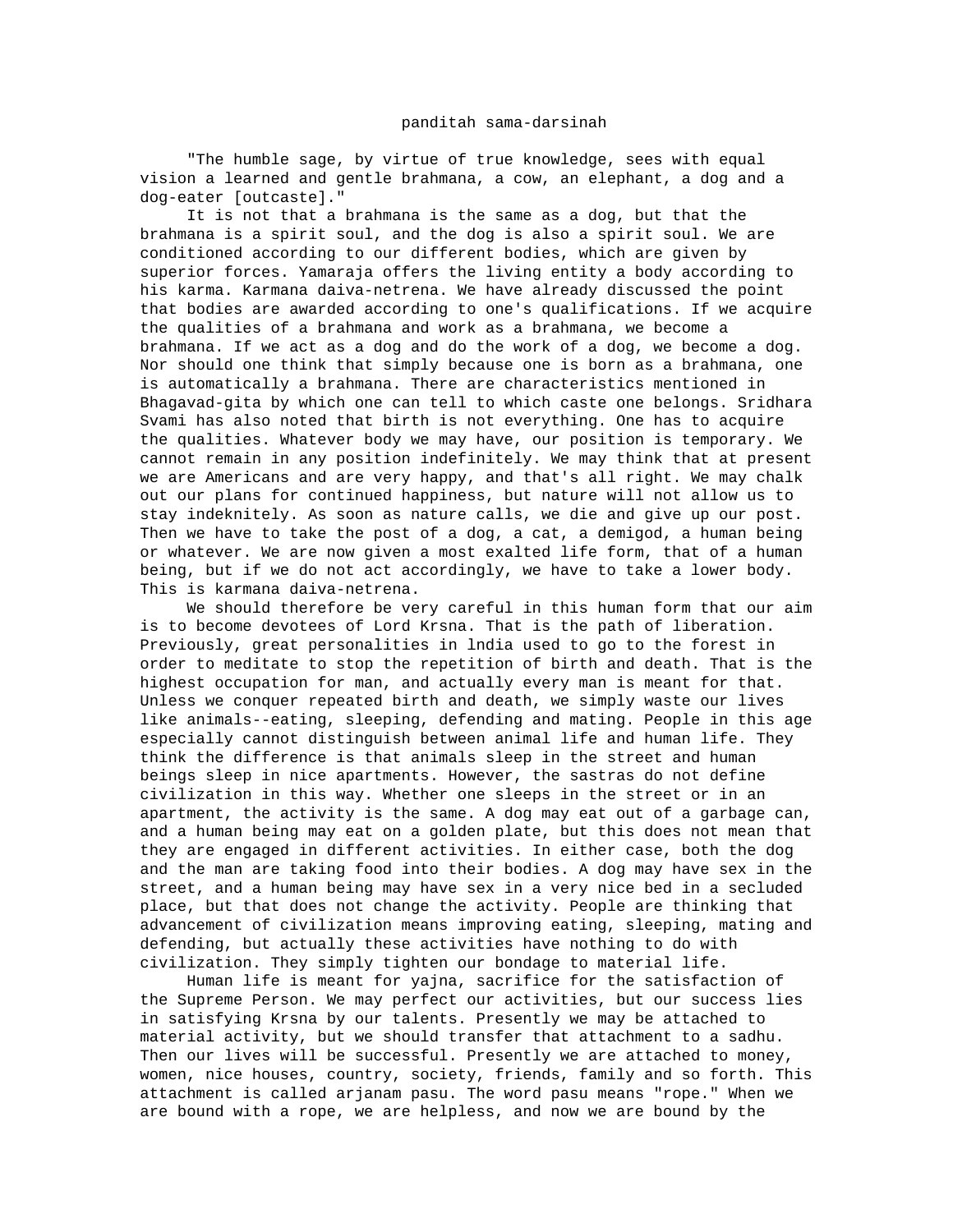"The humble sage, by virtue of true knowledge, sees with equal vision a learned and gentle brahmana, a cow, an elephant, a dog and a dog-eater [outcaste]."

 It is not that a brahmana is the same as a dog, but that the brahmana is a spirit soul, and the dog is also a spirit soul. We are conditioned according to our different bodies, which are given by superior forces. Yamaraja offers the living entity a body according to his karma. Karmana daiva-netrena. We have already discussed the point that bodies are awarded according to one's qualifications. If we acquire the qualities of a brahmana and work as a brahmana, we become a brahmana. If we act as a dog and do the work of a dog, we become a dog. Nor should one think that simply because one is born as a brahmana, one is automatically a brahmana. There are characteristics mentioned in Bhagavad-gita by which one can tell to which caste one belongs. Sridhara Svami has also noted that birth is not everything. One has to acquire the qualities. Whatever body we may have, our position is temporary. We cannot remain in any position indefinitely. We may think that at present we are Americans and are very happy, and that's all right. We may chalk out our plans for continued happiness, but nature will not allow us to stay indeknitely. As soon as nature calls, we die and give up our post. Then we have to take the post of a dog, a cat, a demigod, a human being or whatever. We are now given a most exalted life form, that of a human being, but if we do not act accordingly, we have to take a lower body. This is karmana daiva-netrena.

 We should therefore be very careful in this human form that our aim is to become devotees of Lord Krsna. That is the path of liberation. Previously, great personalities in lndia used to go to the forest in order to meditate to stop the repetition of birth and death. That is the highest occupation for man, and actually every man is meant for that. Unless we conquer repeated birth and death, we simply waste our lives like animals--eating, sleeping, defending and mating. People in this age especially cannot distinguish between animal life and human life. They think the difference is that animals sleep in the street and human beings sleep in nice apartments. However, the sastras do not define civilization in this way. Whether one sleeps in the street or in an apartment, the activity is the same. A dog may eat out of a garbage can, and a human being may eat on a golden plate, but this does not mean that they are engaged in different activities. In either case, both the dog and the man are taking food into their bodies. A dog may have sex in the street, and a human being may have sex in a very nice bed in a secluded place, but that does not change the activity. People are thinking that advancement of civilization means improving eating, sleeping, mating and defending, but actually these activities have nothing to do with civilization. They simply tighten our bondage to material life.

 Human life is meant for yajna, sacrifice for the satisfaction of the Supreme Person. We may perfect our activities, but our success lies in satisfying Krsna by our talents. Presently we may be attached to material activity, but we should transfer that attachment to a sadhu. Then our lives will be successful. Presently we are attached to money, women, nice houses, country, society, friends, family and so forth. This attachment is called arjanam pasu. The word pasu means "rope." When we are bound with a rope, we are helpless, and now we are bound by the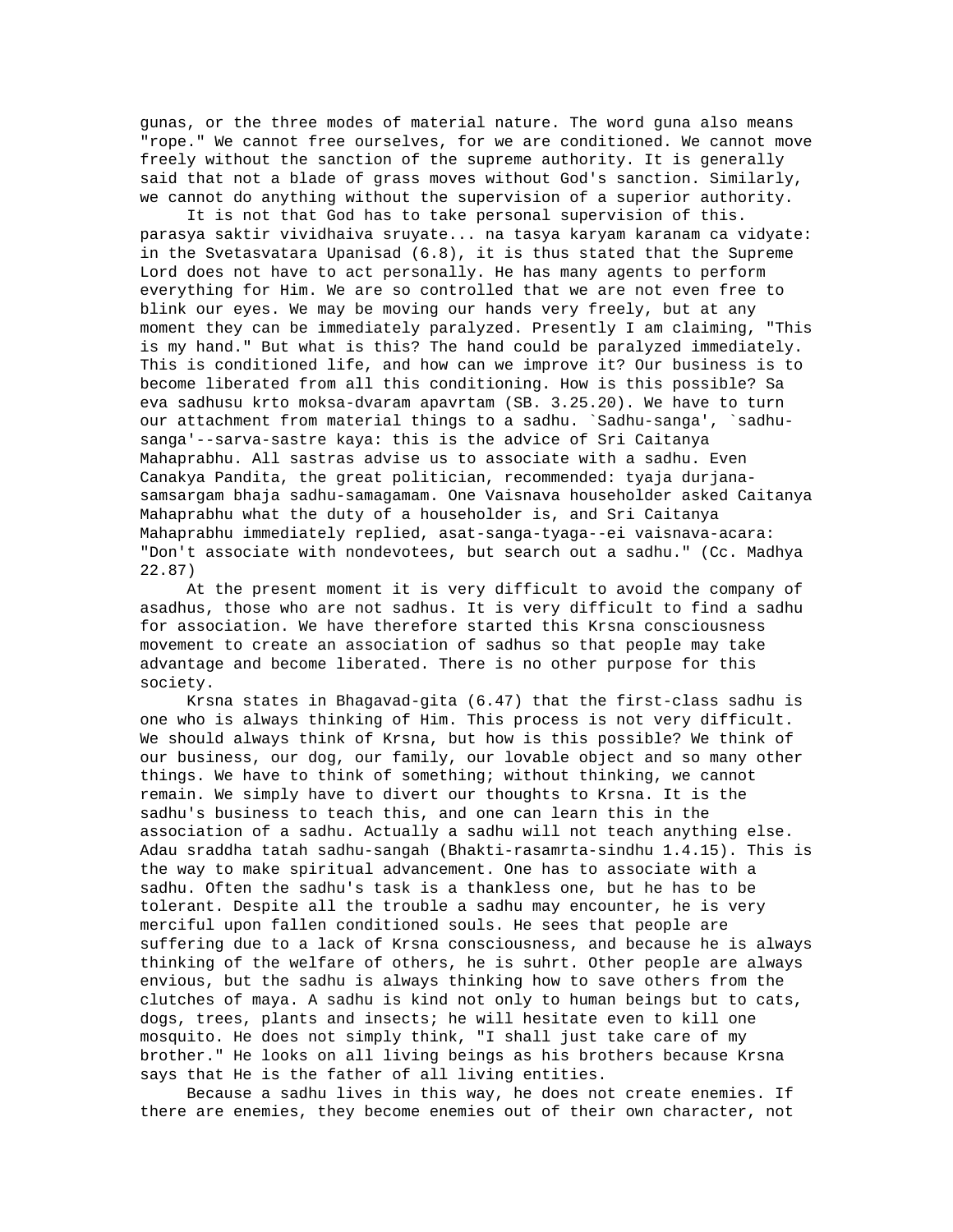gunas, or the three modes of material nature. The word guna also means "rope." We cannot free ourselves, for we are conditioned. We cannot move freely without the sanction of the supreme authority. It is generally said that not a blade of grass moves without God's sanction. Similarly, we cannot do anything without the supervision of a superior authority.

 It is not that God has to take personal supervision of this. parasya saktir vividhaiva sruyate... na tasya karyam karanam ca vidyate: in the Svetasvatara Upanisad (6.8), it is thus stated that the Supreme Lord does not have to act personally. He has many agents to perform everything for Him. We are so controlled that we are not even free to blink our eyes. We may be moving our hands very freely, but at any moment they can be immediately paralyzed. Presently I am claiming, "This is my hand." But what is this? The hand could be paralyzed immediately. This is conditioned life, and how can we improve it? Our business is to become liberated from all this conditioning. How is this possible? Sa eva sadhusu krto moksa-dvaram apavrtam (SB. 3.25.20). We have to turn our attachment from material things to a sadhu. `Sadhu-sanga', `sadhusanga'--sarva-sastre kaya: this is the advice of Sri Caitanya Mahaprabhu. All sastras advise us to associate with a sadhu. Even Canakya Pandita, the great politician, recommended: tyaja durjanasamsargam bhaja sadhu-samagamam. One Vaisnava householder asked Caitanya Mahaprabhu what the duty of a householder is, and Sri Caitanya Mahaprabhu immediately replied, asat-sanga-tyaga--ei vaisnava-acara: "Don't associate with nondevotees, but search out a sadhu." (Cc. Madhya 22.87)

 At the present moment it is very difficult to avoid the company of asadhus, those who are not sadhus. It is very difficult to find a sadhu for association. We have therefore started this Krsna consciousness movement to create an association of sadhus so that people may take advantage and become liberated. There is no other purpose for this society.

 Krsna states in Bhagavad-gita (6.47) that the first-class sadhu is one who is always thinking of Him. This process is not very difficult. We should always think of Krsna, but how is this possible? We think of our business, our dog, our family, our lovable object and so many other things. We have to think of something; without thinking, we cannot remain. We simply have to divert our thoughts to Krsna. It is the sadhu's business to teach this, and one can learn this in the association of a sadhu. Actually a sadhu will not teach anything else. Adau sraddha tatah sadhu-sangah (Bhakti-rasamrta-sindhu 1.4.15). This is the way to make spiritual advancement. One has to associate with a sadhu. Often the sadhu's task is a thankless one, but he has to be tolerant. Despite all the trouble a sadhu may encounter, he is very merciful upon fallen conditioned souls. He sees that people are suffering due to a lack of Krsna consciousness, and because he is always thinking of the welfare of others, he is suhrt. Other people are always envious, but the sadhu is always thinking how to save others from the clutches of maya. A sadhu is kind not only to human beings but to cats, dogs, trees, plants and insects; he will hesitate even to kill one mosquito. He does not simply think, "I shall just take care of my brother." He looks on all living beings as his brothers because Krsna says that He is the father of all living entities.

 Because a sadhu lives in this way, he does not create enemies. If there are enemies, they become enemies out of their own character, not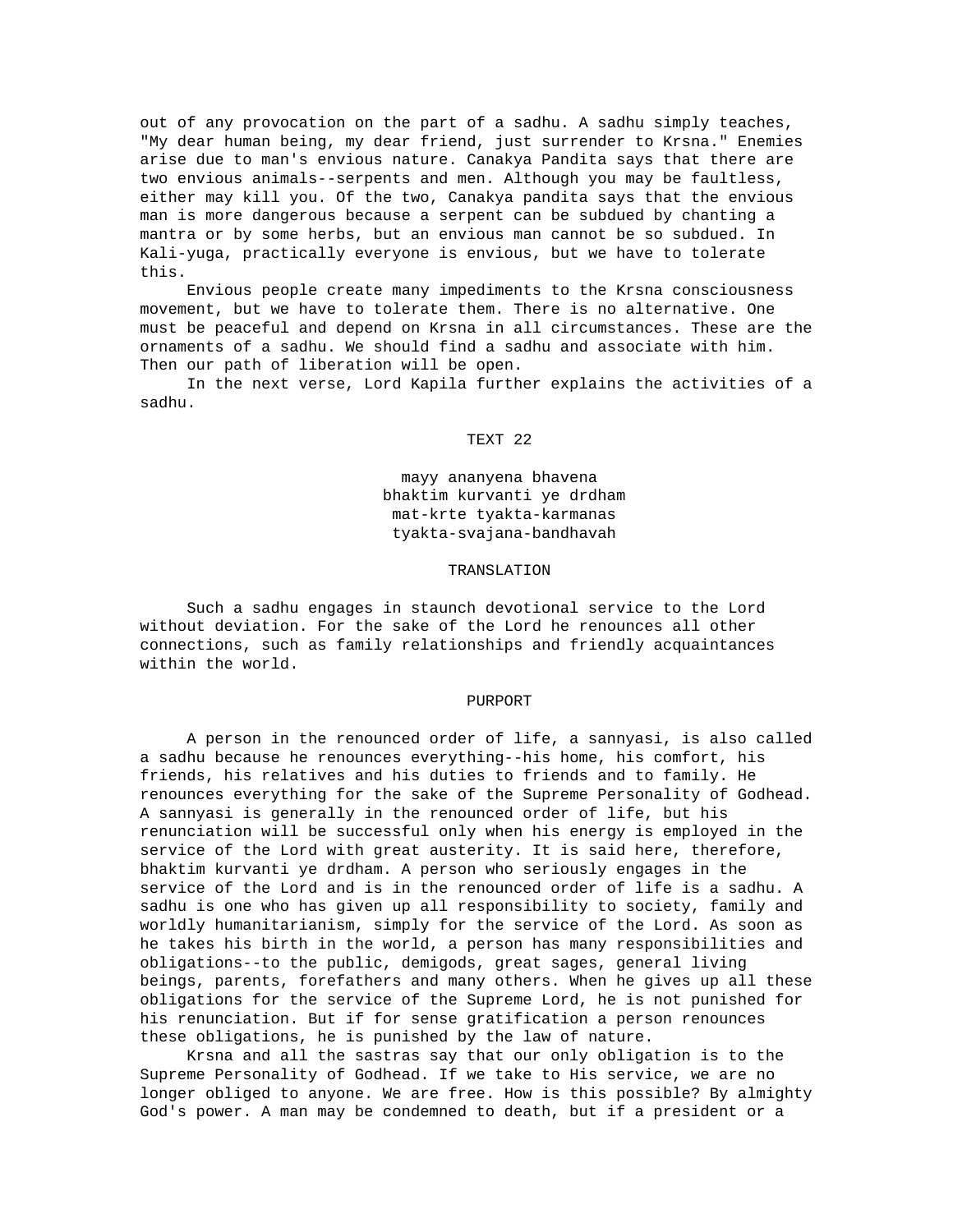out of any provocation on the part of a sadhu. A sadhu simply teaches, "My dear human being, my dear friend, just surrender to Krsna." Enemies arise due to man's envious nature. Canakya Pandita says that there are two envious animals--serpents and men. Although you may be faultless, either may kill you. Of the two, Canakya pandita says that the envious man is more dangerous because a serpent can be subdued by chanting a mantra or by some herbs, but an envious man cannot be so subdued. In Kali-yuga, practically everyone is envious, but we have to tolerate this.

 Envious people create many impediments to the Krsna consciousness movement, but we have to tolerate them. There is no alternative. One must be peaceful and depend on Krsna in all circumstances. These are the ornaments of a sadhu. We should find a sadhu and associate with him. Then our path of liberation will be open.

 In the next verse, Lord Kapila further explains the activities of a sadhu.

#### TEXT 22

 mayy ananyena bhavena bhaktim kurvanti ye drdham mat-krte tyakta-karmanas tyakta-svajana-bandhavah

#### TRANSLATION

 Such a sadhu engages in staunch devotional service to the Lord without deviation. For the sake of the Lord he renounces all other connections, such as family relationships and friendly acquaintances within the world.

#### PURPORT

 A person in the renounced order of life, a sannyasi, is also called a sadhu because he renounces everything--his home, his comfort, his friends, his relatives and his duties to friends and to family. He renounces everything for the sake of the Supreme Personality of Godhead. A sannyasi is generally in the renounced order of life, but his renunciation will be successful only when his energy is employed in the service of the Lord with great austerity. It is said here, therefore, bhaktim kurvanti ye drdham. A person who seriously engages in the service of the Lord and is in the renounced order of life is a sadhu. A sadhu is one who has given up all responsibility to society, family and worldly humanitarianism, simply for the service of the Lord. As soon as he takes his birth in the world, a person has many responsibilities and obligations--to the public, demigods, great sages, general living beings, parents, forefathers and many others. When he gives up all these obligations for the service of the Supreme Lord, he is not punished for his renunciation. But if for sense gratification a person renounces these obligations, he is punished by the law of nature.

 Krsna and all the sastras say that our only obligation is to the Supreme Personality of Godhead. If we take to His service, we are no longer obliged to anyone. We are free. How is this possible? By almighty God's power. A man may be condemned to death, but if a president or a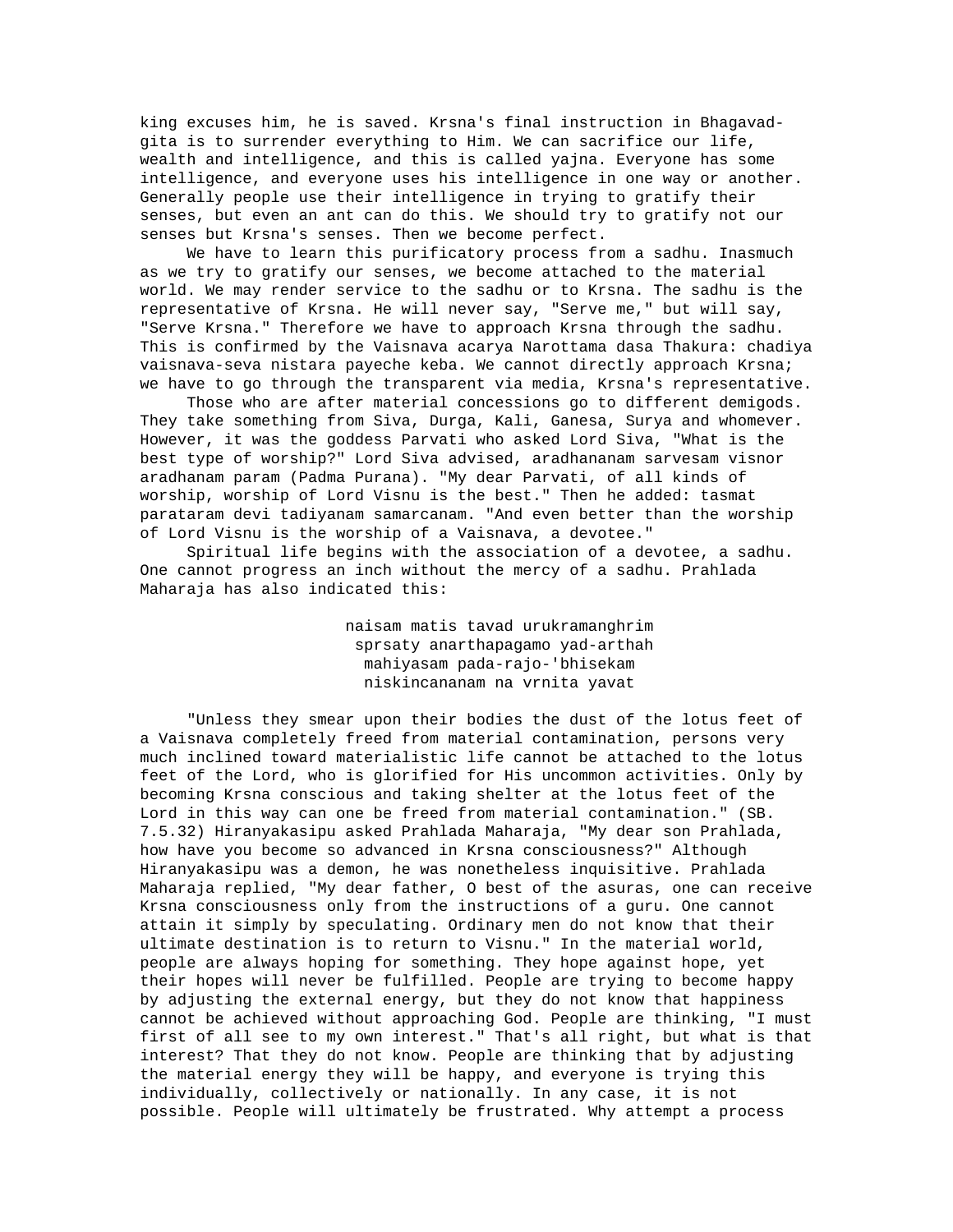king excuses him, he is saved. Krsna's final instruction in Bhagavadgita is to surrender everything to Him. We can sacrifice our life, wealth and intelligence, and this is called yajna. Everyone has some intelligence, and everyone uses his intelligence in one way or another. Generally people use their intelligence in trying to gratify their senses, but even an ant can do this. We should try to gratify not our senses but Krsna's senses. Then we become perfect.

 We have to learn this purificatory process from a sadhu. Inasmuch as we try to gratify our senses, we become attached to the material world. We may render service to the sadhu or to Krsna. The sadhu is the representative of Krsna. He will never say, "Serve me," but will say, "Serve Krsna." Therefore we have to approach Krsna through the sadhu. This is confirmed by the Vaisnava acarya Narottama dasa Thakura: chadiya vaisnava-seva nistara payeche keba. We cannot directly approach Krsna; we have to go through the transparent via media, Krsna's representative.

 Those who are after material concessions go to different demigods. They take something from Siva, Durga, Kali, Ganesa, Surya and whomever. However, it was the goddess Parvati who asked Lord Siva, "What is the best type of worship?" Lord Siva advised, aradhananam sarvesam visnor aradhanam param (Padma Purana). "My dear Parvati, of all kinds of worship, worship of Lord Visnu is the best." Then he added: tasmat parataram devi tadiyanam samarcanam. "And even better than the worship of Lord Visnu is the worship of a Vaisnava, a devotee."

 Spiritual life begins with the association of a devotee, a sadhu. One cannot progress an inch without the mercy of a sadhu. Prahlada Maharaja has also indicated this:

> naisam matis tavad urukramanghrim sprsaty anarthapagamo yad-arthah mahiyasam pada-rajo-'bhisekam niskincananam na vrnita yavat

 "Unless they smear upon their bodies the dust of the lotus feet of a Vaisnava completely freed from material contamination, persons very much inclined toward materialistic life cannot be attached to the lotus feet of the Lord, who is glorified for His uncommon activities. Only by becoming Krsna conscious and taking shelter at the lotus feet of the Lord in this way can one be freed from material contamination." (SB. 7.5.32) Hiranyakasipu asked Prahlada Maharaja, "My dear son Prahlada, how have you become so advanced in Krsna consciousness?" Although Hiranyakasipu was a demon, he was nonetheless inquisitive. Prahlada Maharaja replied, "My dear father, O best of the asuras, one can receive Krsna consciousness only from the instructions of a guru. One cannot attain it simply by speculating. Ordinary men do not know that their ultimate destination is to return to Visnu." In the material world, people are always hoping for something. They hope against hope, yet their hopes will never be fulfilled. People are trying to become happy by adjusting the external energy, but they do not know that happiness cannot be achieved without approaching God. People are thinking, "I must first of all see to my own interest." That's all right, but what is that interest? That they do not know. People are thinking that by adjusting the material energy they will be happy, and everyone is trying this individually, collectively or nationally. In any case, it is not possible. People will ultimately be frustrated. Why attempt a process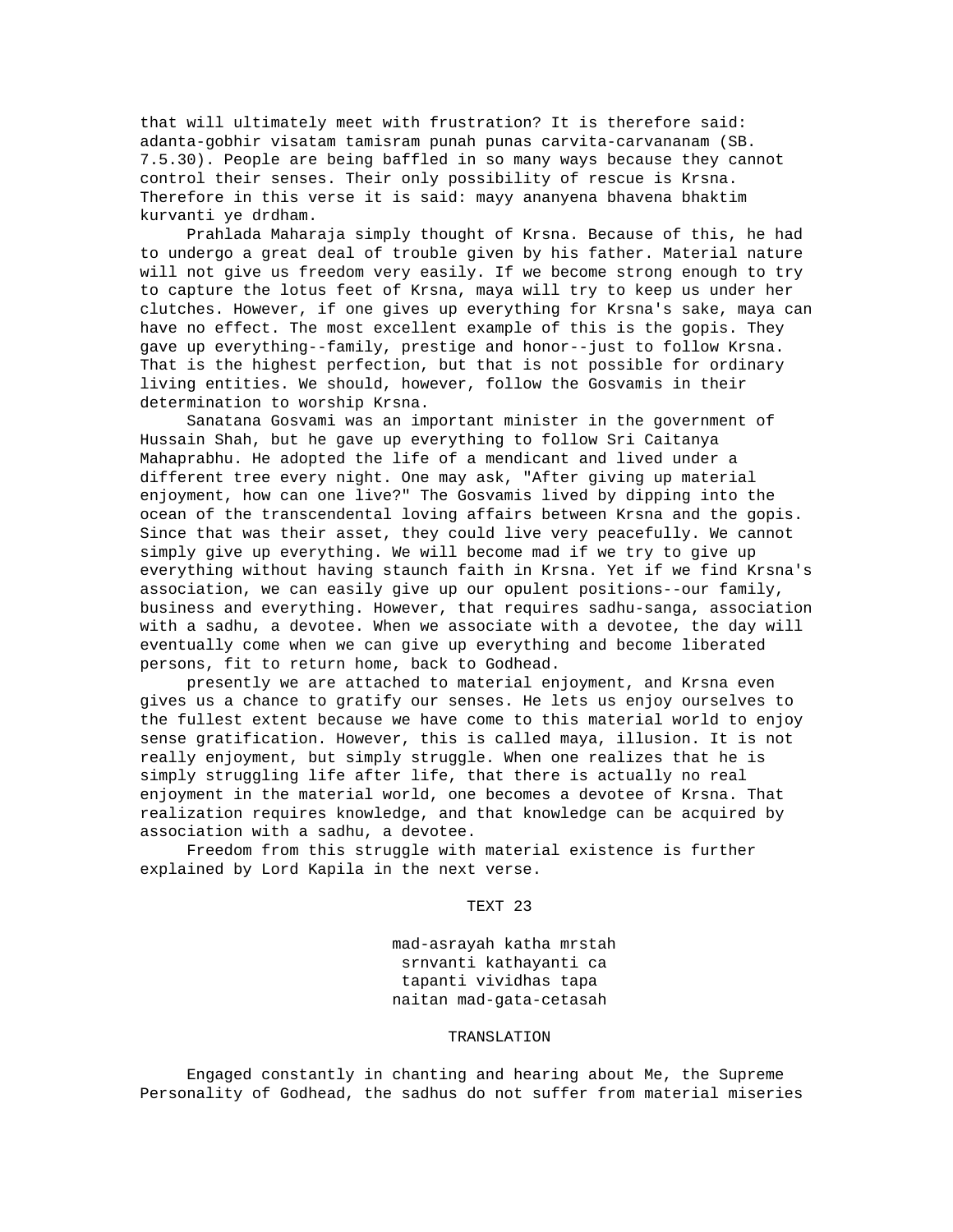that will ultimately meet with frustration? It is therefore said: adanta-gobhir visatam tamisram punah punas carvita-carvananam (SB. 7.5.30). People are being baffled in so many ways because they cannot control their senses. Their only possibility of rescue is Krsna. Therefore in this verse it is said: mayy ananyena bhavena bhaktim kurvanti ye drdham.

 Prahlada Maharaja simply thought of Krsna. Because of this, he had to undergo a great deal of trouble given by his father. Material nature will not give us freedom very easily. If we become strong enough to try to capture the lotus feet of Krsna, maya will try to keep us under her clutches. However, if one gives up everything for Krsna's sake, maya can have no effect. The most excellent example of this is the gopis. They gave up everything--family, prestige and honor--just to follow Krsna. That is the highest perfection, but that is not possible for ordinary living entities. We should, however, follow the Gosvamis in their determination to worship Krsna.

 Sanatana Gosvami was an important minister in the government of Hussain Shah, but he gave up everything to follow Sri Caitanya Mahaprabhu. He adopted the life of a mendicant and lived under a different tree every night. One may ask, "After giving up material enjoyment, how can one live?" The Gosvamis lived by dipping into the ocean of the transcendental loving affairs between Krsna and the gopis. Since that was their asset, they could live very peacefully. We cannot simply give up everything. We will become mad if we try to give up everything without having staunch faith in Krsna. Yet if we find Krsna's association, we can easily give up our opulent positions--our family, business and everything. However, that requires sadhu-sanga, association with a sadhu, a devotee. When we associate with a devotee, the day will eventually come when we can give up everything and become liberated persons, fit to return home, back to Godhead.

 presently we are attached to material enjoyment, and Krsna even gives us a chance to gratify our senses. He lets us enjoy ourselves to the fullest extent because we have come to this material world to enjoy sense gratification. However, this is called maya, illusion. It is not really enjoyment, but simply struggle. When one realizes that he is simply struggling life after life, that there is actually no real enjoyment in the material world, one becomes a devotee of Krsna. That realization requires knowledge, and that knowledge can be acquired by association with a sadhu, a devotee.

 Freedom from this struggle with material existence is further explained by Lord Kapila in the next verse.

TEXT 23

 mad-asrayah katha mrstah srnvanti kathayanti ca tapanti vividhas tapa naitan mad-gata-cetasah

# TRANSLATION

 Engaged constantly in chanting and hearing about Me, the Supreme Personality of Godhead, the sadhus do not suffer from material miseries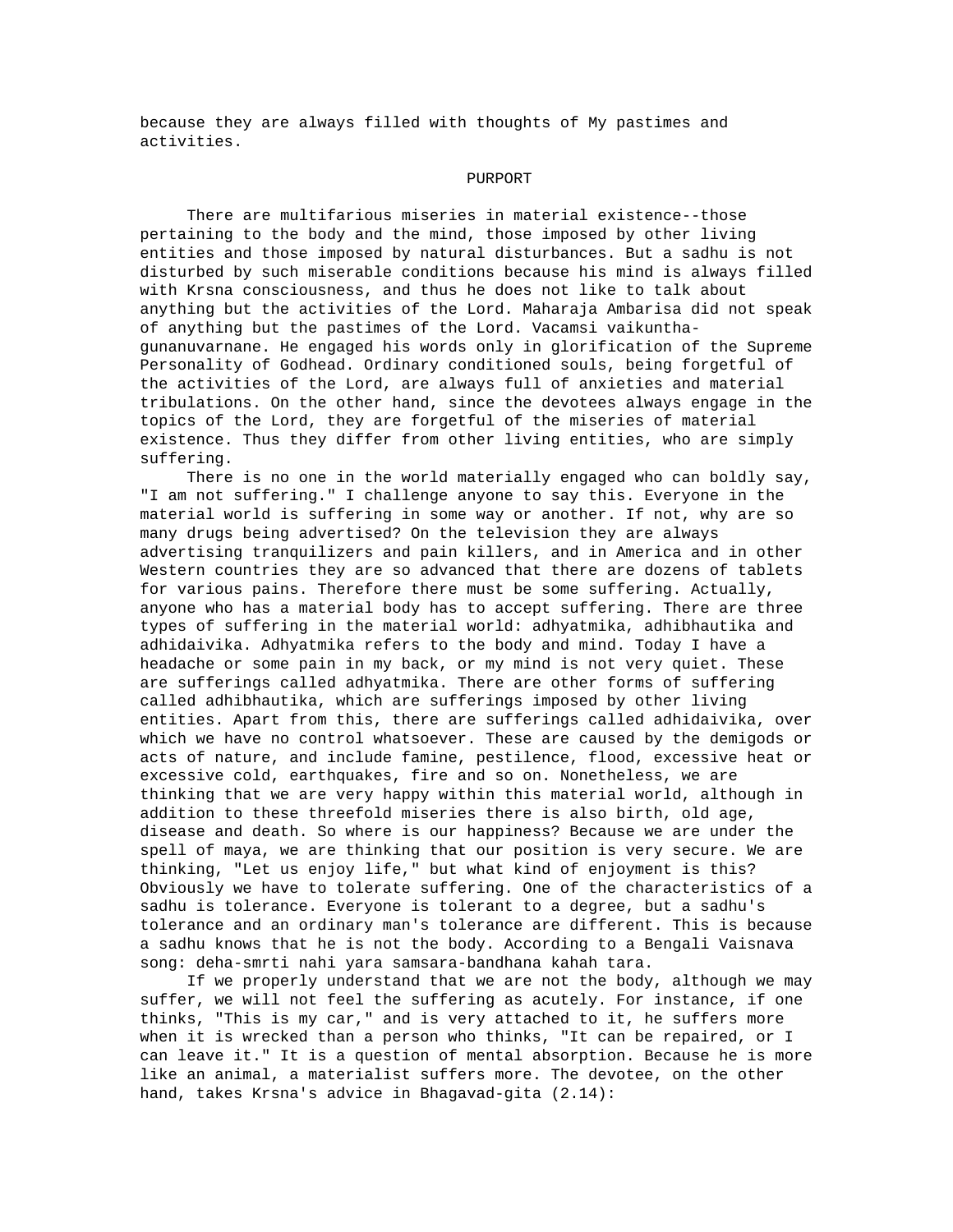because they are always filled with thoughts of My pastimes and activities.

# PURPORT

 There are multifarious miseries in material existence--those pertaining to the body and the mind, those imposed by other living entities and those imposed by natural disturbances. But a sadhu is not disturbed by such miserable conditions because his mind is always filled with Krsna consciousness, and thus he does not like to talk about anything but the activities of the Lord. Maharaja Ambarisa did not speak of anything but the pastimes of the Lord. Vacamsi vaikunthagunanuvarnane. He engaged his words only in glorification of the Supreme Personality of Godhead. Ordinary conditioned souls, being forgetful of the activities of the Lord, are always full of anxieties and material tribulations. On the other hand, since the devotees always engage in the topics of the Lord, they are forgetful of the miseries of material existence. Thus they differ from other living entities, who are simply suffering.

 There is no one in the world materially engaged who can boldly say, "I am not suffering." I challenge anyone to say this. Everyone in the material world is suffering in some way or another. If not, why are so many drugs being advertised? On the television they are always advertising tranquilizers and pain killers, and in America and in other Western countries they are so advanced that there are dozens of tablets for various pains. Therefore there must be some suffering. Actually, anyone who has a material body has to accept suffering. There are three types of suffering in the material world: adhyatmika, adhibhautika and adhidaivika. Adhyatmika refers to the body and mind. Today I have a headache or some pain in my back, or my mind is not very quiet. These are sufferings called adhyatmika. There are other forms of suffering called adhibhautika, which are sufferings imposed by other living entities. Apart from this, there are sufferings called adhidaivika, over which we have no control whatsoever. These are caused by the demigods or acts of nature, and include famine, pestilence, flood, excessive heat or excessive cold, earthquakes, fire and so on. Nonetheless, we are thinking that we are very happy within this material world, although in addition to these threefold miseries there is also birth, old age, disease and death. So where is our happiness? Because we are under the spell of maya, we are thinking that our position is very secure. We are thinking, "Let us enjoy life," but what kind of enjoyment is this? Obviously we have to tolerate suffering. One of the characteristics of a sadhu is tolerance. Everyone is tolerant to a degree, but a sadhu's tolerance and an ordinary man's tolerance are different. This is because a sadhu knows that he is not the body. According to a Bengali Vaisnava song: deha-smrti nahi yara samsara-bandhana kahah tara.

 If we properly understand that we are not the body, although we may suffer, we will not feel the suffering as acutely. For instance, if one thinks, "This is my car," and is very attached to it, he suffers more when it is wrecked than a person who thinks, "It can be repaired, or I can leave it." It is a question of mental absorption. Because he is more like an animal, a materialist suffers more. The devotee, on the other hand, takes Krsna's advice in Bhagavad-gita (2.14):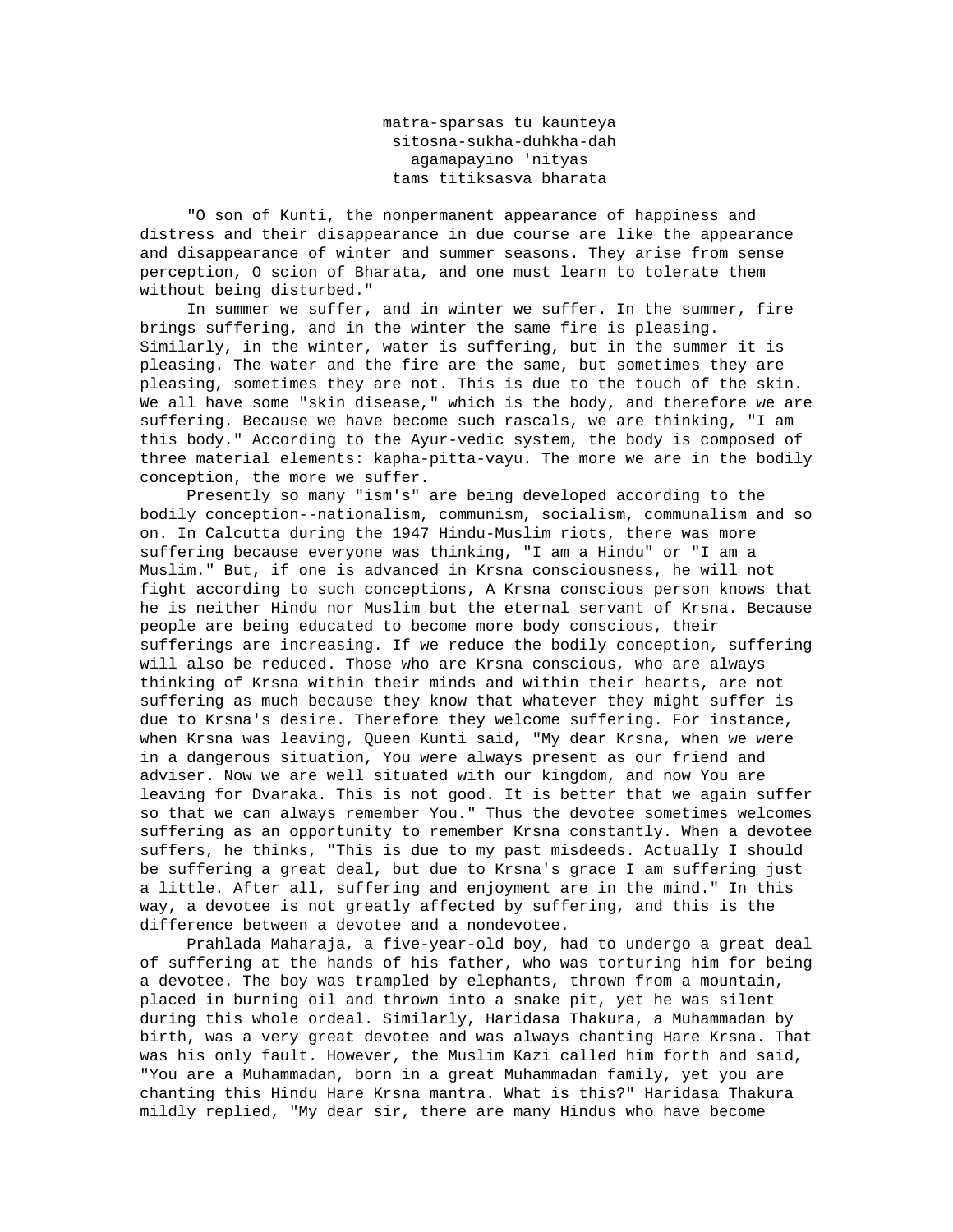matra-sparsas tu kaunteya sitosna-sukha-duhkha-dah agamapayino 'nityas tams titiksasva bharata

 "O son of Kunti, the nonpermanent appearance of happiness and distress and their disappearance in due course are like the appearance and disappearance of winter and summer seasons. They arise from sense perception, O scion of Bharata, and one must learn to tolerate them without being disturbed."

 In summer we suffer, and in winter we suffer. In the summer, fire brings suffering, and in the winter the same fire is pleasing. Similarly, in the winter, water is suffering, but in the summer it is pleasing. The water and the fire are the same, but sometimes they are pleasing, sometimes they are not. This is due to the touch of the skin. We all have some "skin disease," which is the body, and therefore we are suffering. Because we have become such rascals, we are thinking, "I am this body." According to the Ayur-vedic system, the body is composed of three material elements: kapha-pitta-vayu. The more we are in the bodily conception, the more we suffer.

 Presently so many "ism's" are being developed according to the bodily conception--nationalism, communism, socialism, communalism and so on. In Calcutta during the 1947 Hindu-Muslim riots, there was more suffering because everyone was thinking, "I am a Hindu" or "I am a Muslim." But, if one is advanced in Krsna consciousness, he will not fight according to such conceptions, A Krsna conscious person knows that he is neither Hindu nor Muslim but the eternal servant of Krsna. Because people are being educated to become more body conscious, their sufferings are increasing. If we reduce the bodily conception, suffering will also be reduced. Those who are Krsna conscious, who are always thinking of Krsna within their minds and within their hearts, are not suffering as much because they know that whatever they might suffer is due to Krsna's desire. Therefore they welcome suffering. For instance, when Krsna was leaving, Queen Kunti said, "My dear Krsna, when we were in a dangerous situation, You were always present as our friend and adviser. Now we are well situated with our kingdom, and now You are leaving for Dvaraka. This is not good. It is better that we again suffer so that we can always remember You." Thus the devotee sometimes welcomes suffering as an opportunity to remember Krsna constantly. When a devotee suffers, he thinks, "This is due to my past misdeeds. Actually I should be suffering a great deal, but due to Krsna's grace I am suffering just a little. After all, suffering and enjoyment are in the mind." In this way, a devotee is not greatly affected by suffering, and this is the difference between a devotee and a nondevotee.

 Prahlada Maharaja, a five-year-old boy, had to undergo a great deal of suffering at the hands of his father, who was torturing him for being a devotee. The boy was trampled by elephants, thrown from a mountain, placed in burning oil and thrown into a snake pit, yet he was silent during this whole ordeal. Similarly, Haridasa Thakura, a Muhammadan by birth, was a very great devotee and was always chanting Hare Krsna. That was his only fault. However, the Muslim Kazi called him forth and said, "You are a Muhammadan, born in a great Muhammadan family, yet you are chanting this Hindu Hare Krsna mantra. What is this?" Haridasa Thakura mildly replied, "My dear sir, there are many Hindus who have become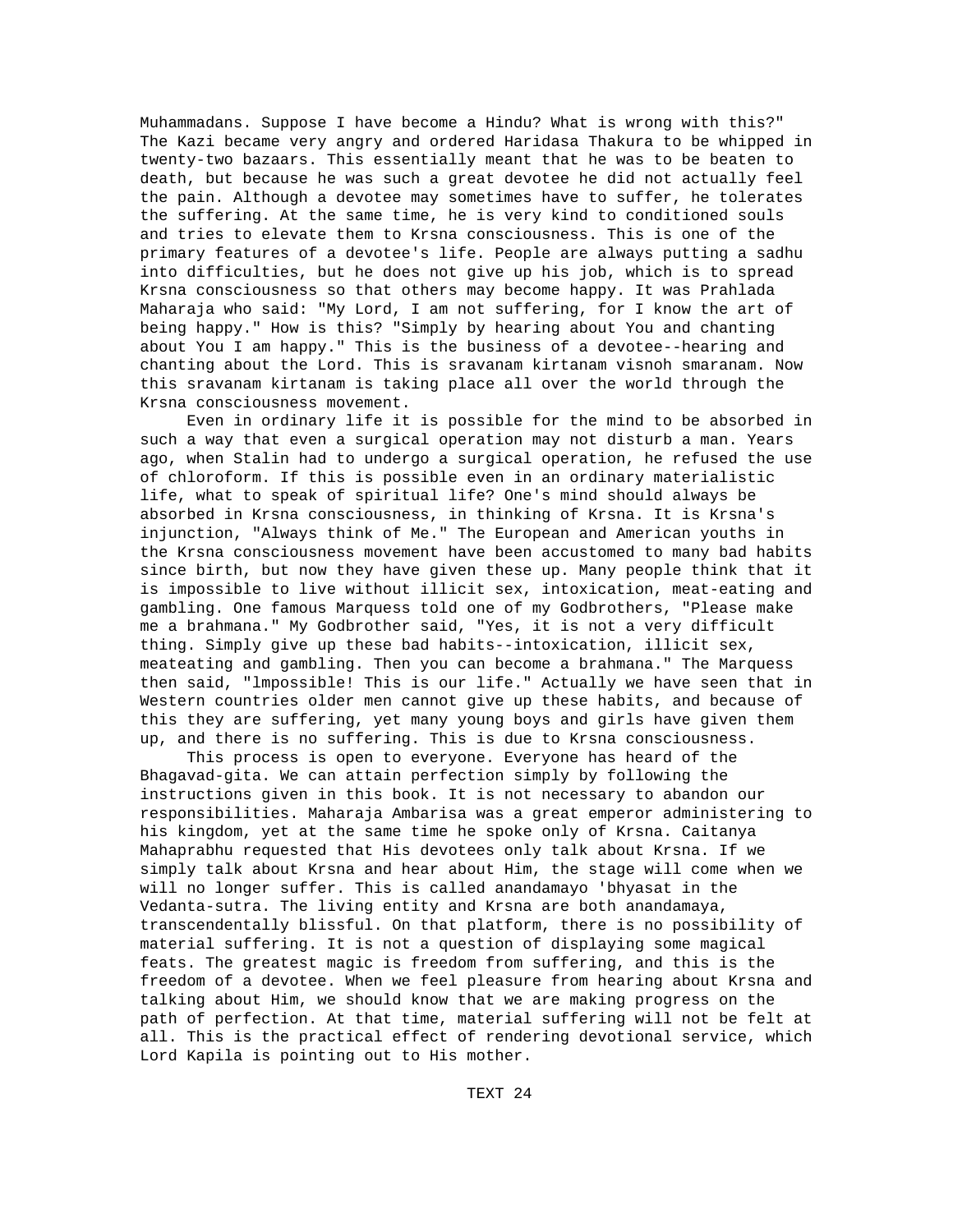Muhammadans. Suppose I have become a Hindu? What is wrong with this?" The Kazi became very angry and ordered Haridasa Thakura to be whipped in twenty-two bazaars. This essentially meant that he was to be beaten to death, but because he was such a great devotee he did not actually feel the pain. Although a devotee may sometimes have to suffer, he tolerates the suffering. At the same time, he is very kind to conditioned souls and tries to elevate them to Krsna consciousness. This is one of the primary features of a devotee's life. People are always putting a sadhu into difficulties, but he does not give up his job, which is to spread Krsna consciousness so that others may become happy. It was Prahlada Maharaja who said: "My Lord, I am not suffering, for I know the art of being happy." How is this? "Simply by hearing about You and chanting about You I am happy." This is the business of a devotee--hearing and chanting about the Lord. This is sravanam kirtanam visnoh smaranam. Now this sravanam kirtanam is taking place all over the world through the Krsna consciousness movement.

 Even in ordinary life it is possible for the mind to be absorbed in such a way that even a surgical operation may not disturb a man. Years ago, when Stalin had to undergo a surgical operation, he refused the use of chloroform. If this is possible even in an ordinary materialistic life, what to speak of spiritual life? One's mind should always be absorbed in Krsna consciousness, in thinking of Krsna. It is Krsna's injunction, "Always think of Me." The European and American youths in the Krsna consciousness movement have been accustomed to many bad habits since birth, but now they have given these up. Many people think that it is impossible to live without illicit sex, intoxication, meat-eating and gambling. One famous Marquess told one of my Godbrothers, "Please make me a brahmana." My Godbrother said, "Yes, it is not a very difficult thing. Simply give up these bad habits--intoxication, illicit sex, meateating and gambling. Then you can become a brahmana." The Marquess then said, "lmpossible! This is our life." Actually we have seen that in Western countries older men cannot give up these habits, and because of this they are suffering, yet many young boys and girls have given them up, and there is no suffering. This is due to Krsna consciousness.

 This process is open to everyone. Everyone has heard of the Bhagavad-gita. We can attain perfection simply by following the instructions given in this book. It is not necessary to abandon our responsibilities. Maharaja Ambarisa was a great emperor administering to his kingdom, yet at the same time he spoke only of Krsna. Caitanya Mahaprabhu requested that His devotees only talk about Krsna. If we simply talk about Krsna and hear about Him, the stage will come when we will no longer suffer. This is called anandamayo 'bhyasat in the Vedanta-sutra. The living entity and Krsna are both anandamaya, transcendentally blissful. On that platform, there is no possibility of material suffering. It is not a question of displaying some magical feats. The greatest magic is freedom from suffering, and this is the freedom of a devotee. When we feel pleasure from hearing about Krsna and talking about Him, we should know that we are making progress on the path of perfection. At that time, material suffering will not be felt at all. This is the practical effect of rendering devotional service, which Lord Kapila is pointing out to His mother.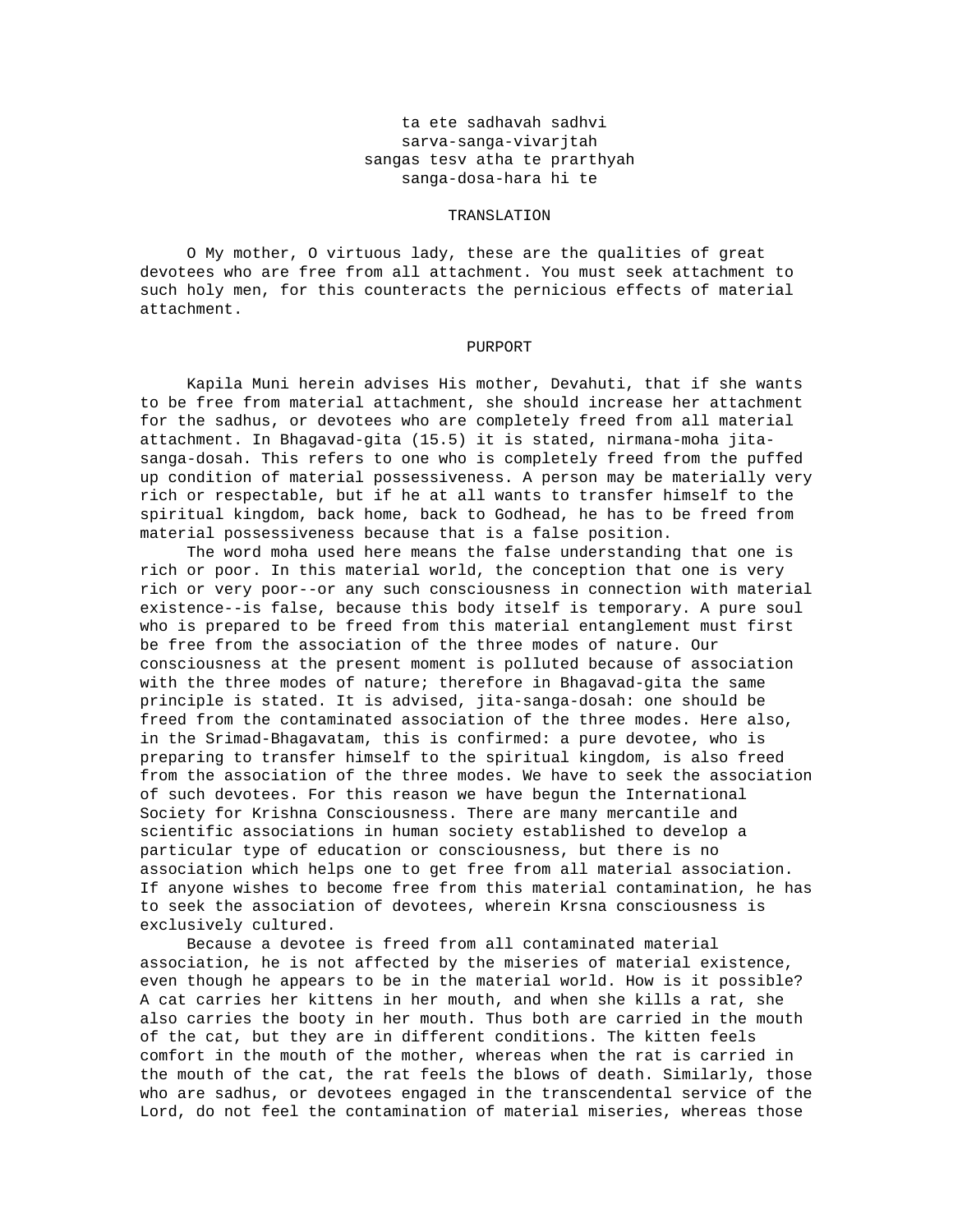# ta ete sadhavah sadhvi sarva-sanga-vivarjtah sangas tesv atha te prarthyah sanga-dosa-hara hi te

# TRANSLATION

 O My mother, O virtuous lady, these are the qualities of great devotees who are free from all attachment. You must seek attachment to such holy men, for this counteracts the pernicious effects of material attachment.

### PURPORT

 Kapila Muni herein advises His mother, Devahuti, that if she wants to be free from material attachment, she should increase her attachment for the sadhus, or devotees who are completely freed from all material attachment. In Bhagavad-gita (15.5) it is stated, nirmana-moha jitasanga-dosah. This refers to one who is completely freed from the puffed up condition of material possessiveness. A person may be materially very rich or respectable, but if he at all wants to transfer himself to the spiritual kingdom, back home, back to Godhead, he has to be freed from material possessiveness because that is a false position.

 The word moha used here means the false understanding that one is rich or poor. In this material world, the conception that one is very rich or very poor--or any such consciousness in connection with material existence--is false, because this body itself is temporary. A pure soul who is prepared to be freed from this material entanglement must first be free from the association of the three modes of nature. Our consciousness at the present moment is polluted because of association with the three modes of nature; therefore in Bhagavad-gita the same principle is stated. It is advised, jita-sanga-dosah: one should be freed from the contaminated association of the three modes. Here also, in the Srimad-Bhagavatam, this is confirmed: a pure devotee, who is preparing to transfer himself to the spiritual kingdom, is also freed from the association of the three modes. We have to seek the association of such devotees. For this reason we have begun the International Society for Krishna Consciousness. There are many mercantile and scientific associations in human society established to develop a particular type of education or consciousness, but there is no association which helps one to get free from all material association. If anyone wishes to become free from this material contamination, he has to seek the association of devotees, wherein Krsna consciousness is exclusively cultured.

 Because a devotee is freed from all contaminated material association, he is not affected by the miseries of material existence, even though he appears to be in the material world. How is it possible? A cat carries her kittens in her mouth, and when she kills a rat, she also carries the booty in her mouth. Thus both are carried in the mouth of the cat, but they are in different conditions. The kitten feels comfort in the mouth of the mother, whereas when the rat is carried in the mouth of the cat, the rat feels the blows of death. Similarly, those who are sadhus, or devotees engaged in the transcendental service of the Lord, do not feel the contamination of material miseries, whereas those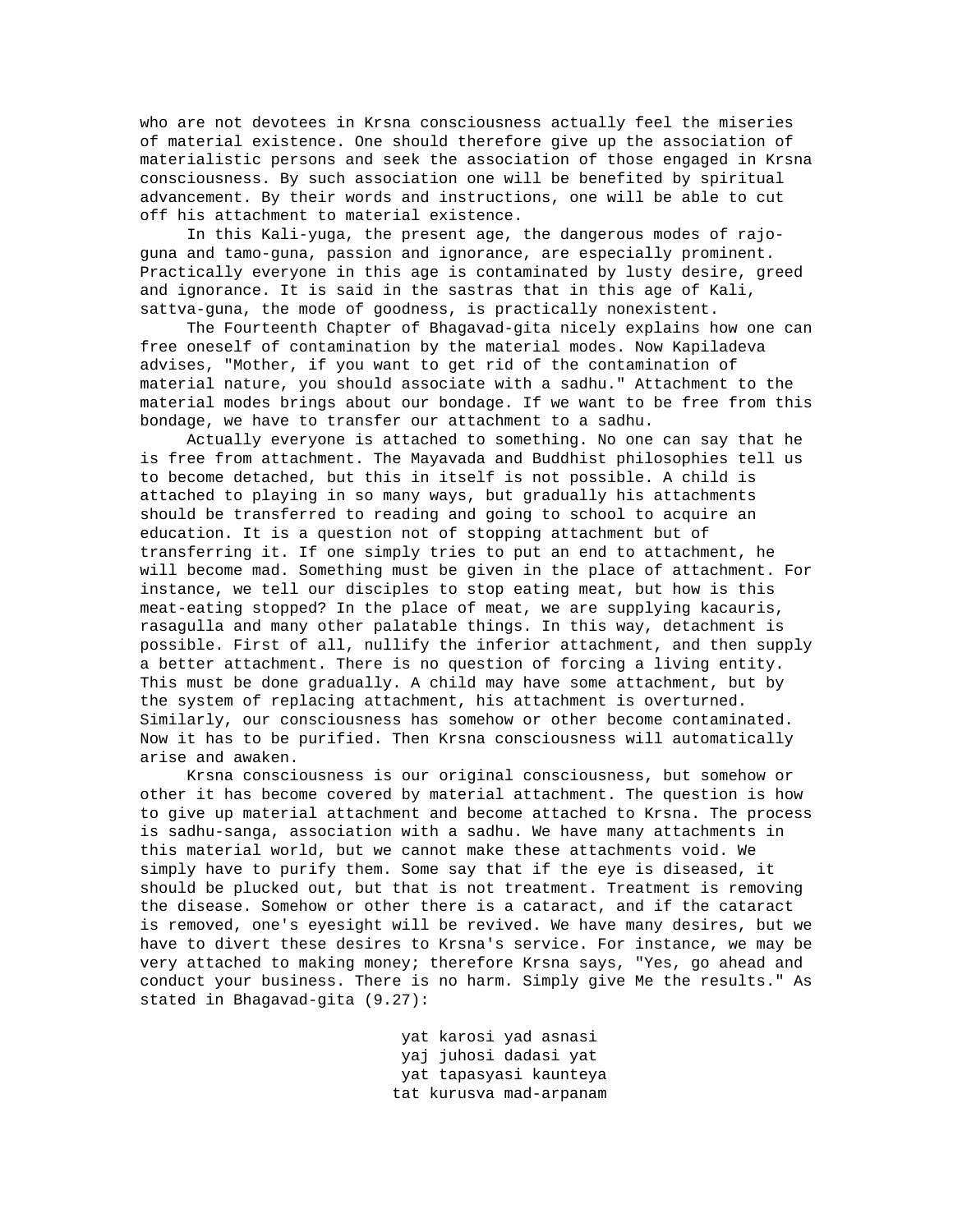who are not devotees in Krsna consciousness actually feel the miseries of material existence. One should therefore give up the association of materialistic persons and seek the association of those engaged in Krsna consciousness. By such association one will be benefited by spiritual advancement. By their words and instructions, one will be able to cut off his attachment to material existence.

 In this Kali-yuga, the present age, the dangerous modes of rajoguna and tamo-guna, passion and ignorance, are especially prominent. Practically everyone in this age is contaminated by lusty desire, greed and ignorance. It is said in the sastras that in this age of Kali, sattva-guna, the mode of goodness, is practically nonexistent.

 The Fourteenth Chapter of Bhagavad-gita nicely explains how one can free oneself of contamination by the material modes. Now Kapiladeva advises, "Mother, if you want to get rid of the contamination of material nature, you should associate with a sadhu." Attachment to the material modes brings about our bondage. If we want to be free from this bondage, we have to transfer our attachment to a sadhu.

 Actually everyone is attached to something. No one can say that he is free from attachment. The Mayavada and Buddhist philosophies tell us to become detached, but this in itself is not possible. A child is attached to playing in so many ways, but gradually his attachments should be transferred to reading and going to school to acquire an education. It is a question not of stopping attachment but of transferring it. If one simply tries to put an end to attachment, he will become mad. Something must be given in the place of attachment. For instance, we tell our disciples to stop eating meat, but how is this meat-eating stopped? In the place of meat, we are supplying kacauris, rasagulla and many other palatable things. In this way, detachment is possible. First of all, nullify the inferior attachment, and then supply a better attachment. There is no question of forcing a living entity. This must be done gradually. A child may have some attachment, but by the system of replacing attachment, his attachment is overturned. Similarly, our consciousness has somehow or other become contaminated. Now it has to be purified. Then Krsna consciousness will automatically arise and awaken.

 Krsna consciousness is our original consciousness, but somehow or other it has become covered by material attachment. The question is how to give up material attachment and become attached to Krsna. The process is sadhu-sanga, association with a sadhu. We have many attachments in this material world, but we cannot make these attachments void. We simply have to purify them. Some say that if the eye is diseased, it should be plucked out, but that is not treatment. Treatment is removing the disease. Somehow or other there is a cataract, and if the cataract is removed, one's eyesight will be revived. We have many desires, but we have to divert these desires to Krsna's service. For instance, we may be very attached to making money; therefore Krsna says, "Yes, go ahead and conduct your business. There is no harm. Simply give Me the results." As stated in Bhagavad-gita (9.27):

> yat karosi yad asnasi yaj juhosi dadasi yat yat tapasyasi kaunteya tat kurusva mad-arpanam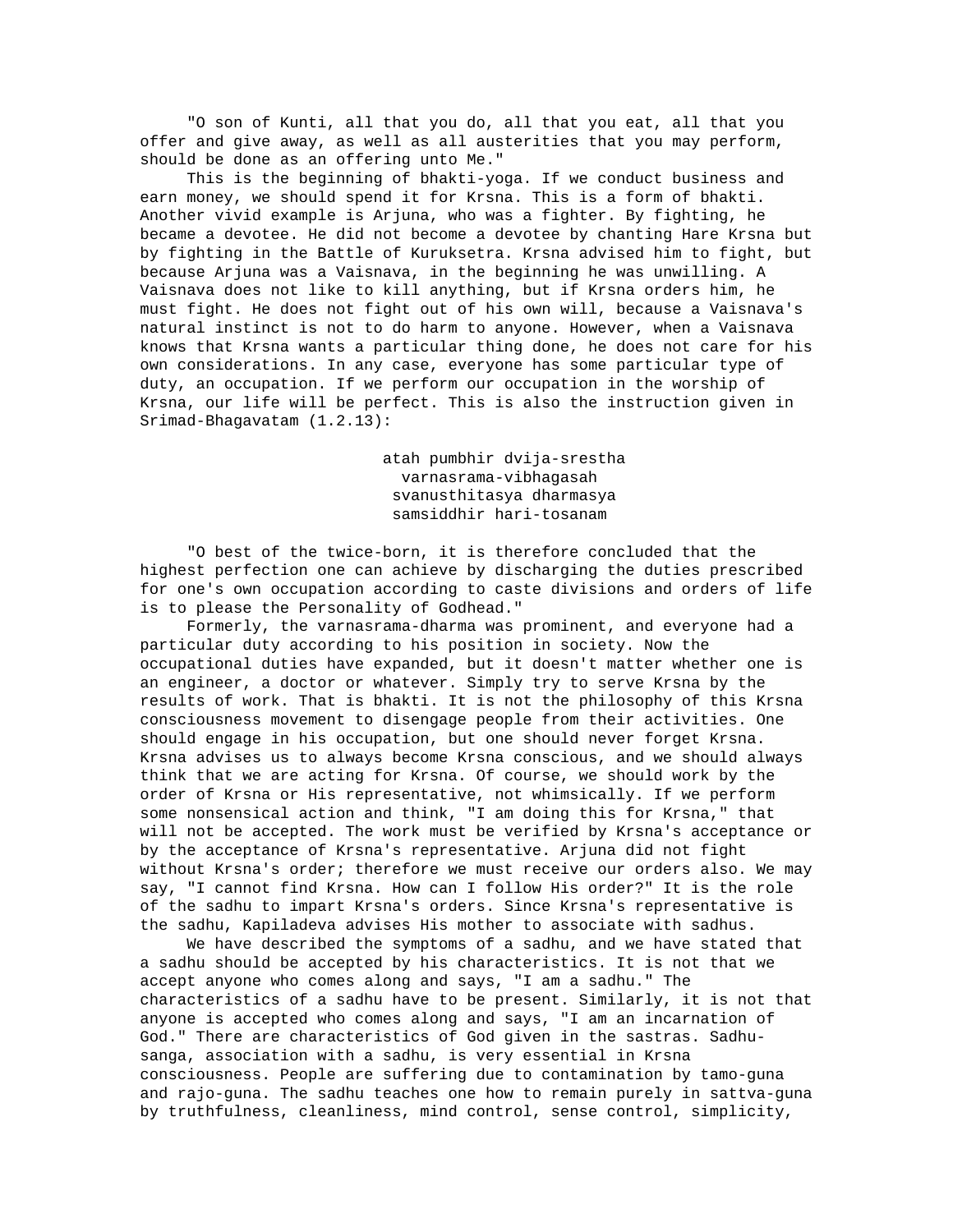"O son of Kunti, all that you do, all that you eat, all that you offer and give away, as well as all austerities that you may perform, should be done as an offering unto Me."

 This is the beginning of bhakti-yoga. If we conduct business and earn money, we should spend it for Krsna. This is a form of bhakti. Another vivid example is Arjuna, who was a fighter. By fighting, he became a devotee. He did not become a devotee by chanting Hare Krsna but by fighting in the Battle of Kuruksetra. Krsna advised him to fight, but because Arjuna was a Vaisnava, in the beginning he was unwilling. A Vaisnava does not like to kill anything, but if Krsna orders him, he must fight. He does not fight out of his own will, because a Vaisnava's natural instinct is not to do harm to anyone. However, when a Vaisnava knows that Krsna wants a particular thing done, he does not care for his own considerations. In any case, everyone has some particular type of duty, an occupation. If we perform our occupation in the worship of Krsna, our life will be perfect. This is also the instruction given in Srimad-Bhagavatam (1.2.13):

> atah pumbhir dvija-srestha varnasrama-vibhagasah svanusthitasya dharmasya samsiddhir hari-tosanam

 "O best of the twice-born, it is therefore concluded that the highest perfection one can achieve by discharging the duties prescribed for one's own occupation according to caste divisions and orders of life is to please the Personality of Godhead."

 Formerly, the varnasrama-dharma was prominent, and everyone had a particular duty according to his position in society. Now the occupational duties have expanded, but it doesn't matter whether one is an engineer, a doctor or whatever. Simply try to serve Krsna by the results of work. That is bhakti. It is not the philosophy of this Krsna consciousness movement to disengage people from their activities. One should engage in his occupation, but one should never forget Krsna. Krsna advises us to always become Krsna conscious, and we should always think that we are acting for Krsna. Of course, we should work by the order of Krsna or His representative, not whimsically. If we perform some nonsensical action and think, "I am doing this for Krsna," that will not be accepted. The work must be verified by Krsna's acceptance or by the acceptance of Krsna's representative. Arjuna did not fight without Krsna's order; therefore we must receive our orders also. We may say, "I cannot find Krsna. How can I follow His order?" It is the role of the sadhu to impart Krsna's orders. Since Krsna's representative is the sadhu, Kapiladeva advises His mother to associate with sadhus.

 We have described the symptoms of a sadhu, and we have stated that a sadhu should be accepted by his characteristics. It is not that we accept anyone who comes along and says, "I am a sadhu." The characteristics of a sadhu have to be present. Similarly, it is not that anyone is accepted who comes along and says, "I am an incarnation of God." There are characteristics of God given in the sastras. Sadhusanga, association with a sadhu, is very essential in Krsna consciousness. People are suffering due to contamination by tamo-guna and rajo-guna. The sadhu teaches one how to remain purely in sattva-guna by truthfulness, cleanliness, mind control, sense control, simplicity,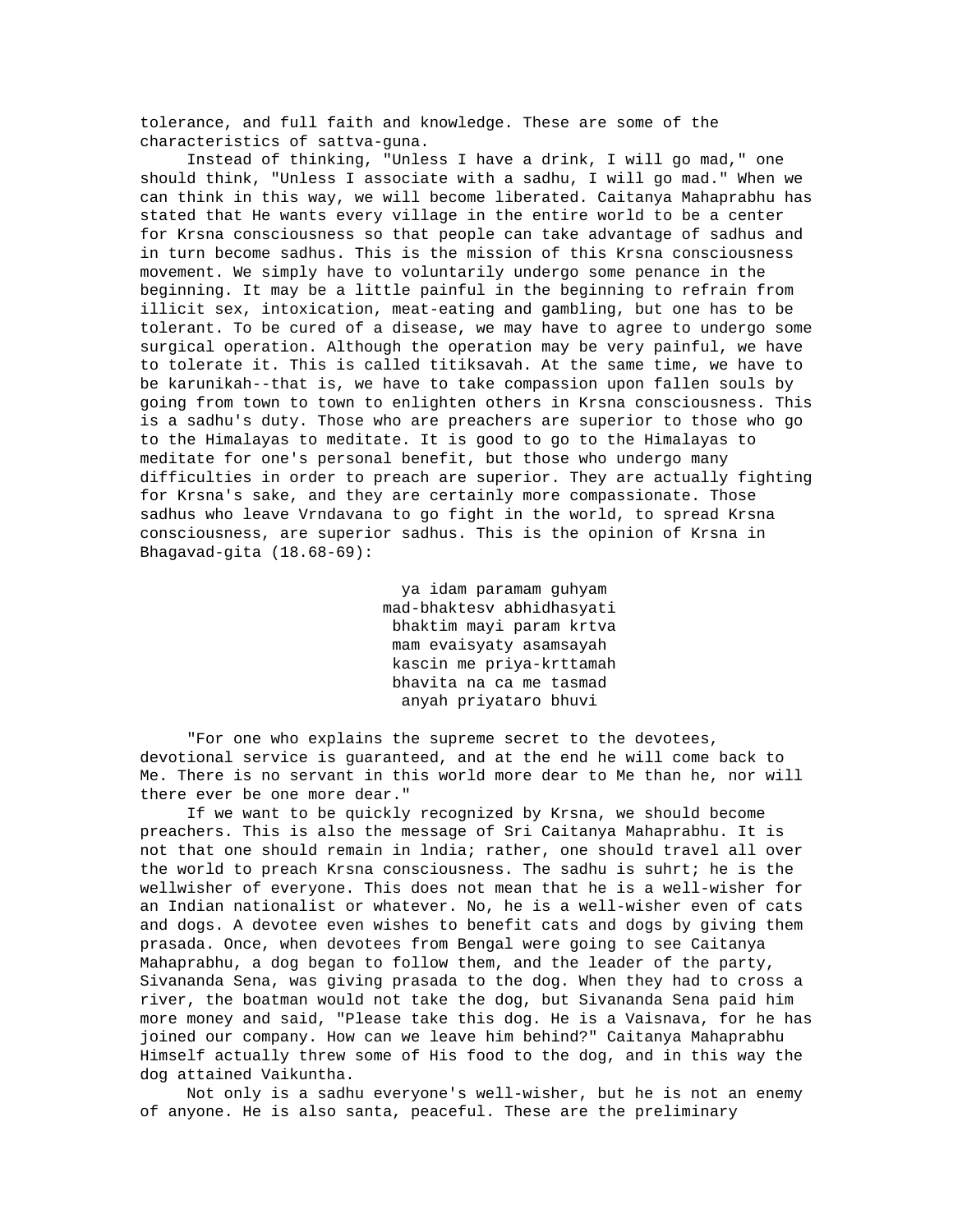tolerance, and full faith and knowledge. These are some of the characteristics of sattva-guna.

 Instead of thinking, "Unless I have a drink, I will go mad," one should think, "Unless I associate with a sadhu, I will go mad." When we can think in this way, we will become liberated. Caitanya Mahaprabhu has stated that He wants every village in the entire world to be a center for Krsna consciousness so that people can take advantage of sadhus and in turn become sadhus. This is the mission of this Krsna consciousness movement. We simply have to voluntarily undergo some penance in the beginning. It may be a little painful in the beginning to refrain from illicit sex, intoxication, meat-eating and gambling, but one has to be tolerant. To be cured of a disease, we may have to agree to undergo some surgical operation. Although the operation may be very painful, we have to tolerate it. This is called titiksavah. At the same time, we have to be karunikah--that is, we have to take compassion upon fallen souls by going from town to town to enlighten others in Krsna consciousness. This is a sadhu's duty. Those who are preachers are superior to those who go to the Himalayas to meditate. It is good to go to the Himalayas to meditate for one's personal benefit, but those who undergo many difficulties in order to preach are superior. They are actually fighting for Krsna's sake, and they are certainly more compassionate. Those sadhus who leave Vrndavana to go fight in the world, to spread Krsna consciousness, are superior sadhus. This is the opinion of Krsna in Bhagavad-gita (18.68-69):

> ya idam paramam guhyam mad-bhaktesv abhidhasyati bhaktim mayi param krtva mam evaisyaty asamsayah kascin me priya-krttamah bhavita na ca me tasmad anyah priyataro bhuvi

 "For one who explains the supreme secret to the devotees, devotional service is guaranteed, and at the end he will come back to Me. There is no servant in this world more dear to Me than he, nor will there ever be one more dear."

 If we want to be quickly recognized by Krsna, we should become preachers. This is also the message of Sri Caitanya Mahaprabhu. It is not that one should remain in lndia; rather, one should travel all over the world to preach Krsna consciousness. The sadhu is suhrt; he is the wellwisher of everyone. This does not mean that he is a well-wisher for an Indian nationalist or whatever. No, he is a well-wisher even of cats and dogs. A devotee even wishes to benefit cats and dogs by giving them prasada. Once, when devotees from Bengal were going to see Caitanya Mahaprabhu, a dog began to follow them, and the leader of the party, Sivananda Sena, was giving prasada to the dog. When they had to cross a river, the boatman would not take the dog, but Sivananda Sena paid him more money and said, "Please take this dog. He is a Vaisnava, for he has joined our company. How can we leave him behind?" Caitanya Mahaprabhu Himself actually threw some of His food to the dog, and in this way the dog attained Vaikuntha.

 Not only is a sadhu everyone's well-wisher, but he is not an enemy of anyone. He is also santa, peaceful. These are the preliminary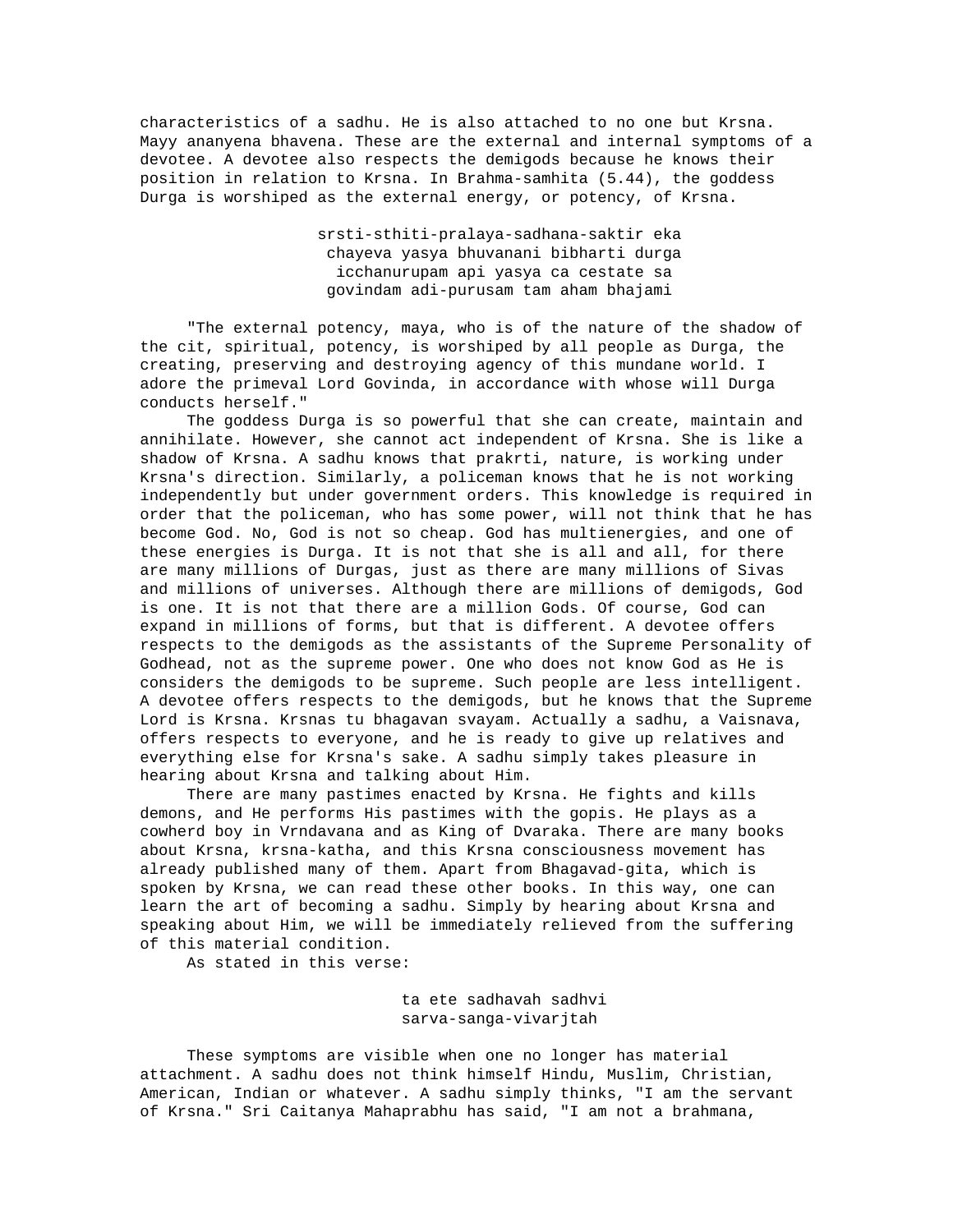characteristics of a sadhu. He is also attached to no one but Krsna. Mayy ananyena bhavena. These are the external and internal symptoms of a devotee. A devotee also respects the demigods because he knows their position in relation to Krsna. In Brahma-samhita (5.44), the goddess Durga is worshiped as the external energy, or potency, of Krsna.

> srsti-sthiti-pralaya-sadhana-saktir eka chayeva yasya bhuvanani bibharti durga icchanurupam api yasya ca cestate sa govindam adi-purusam tam aham bhajami

 "The external potency, maya, who is of the nature of the shadow of the cit, spiritual, potency, is worshiped by all people as Durga, the creating, preserving and destroying agency of this mundane world. I adore the primeval Lord Govinda, in accordance with whose will Durga conducts herself."

 The goddess Durga is so powerful that she can create, maintain and annihilate. However, she cannot act independent of Krsna. She is like a shadow of Krsna. A sadhu knows that prakrti, nature, is working under Krsna's direction. Similarly, a policeman knows that he is not working independently but under government orders. This knowledge is required in order that the policeman, who has some power, will not think that he has become God. No, God is not so cheap. God has multienergies, and one of these energies is Durga. It is not that she is all and all, for there are many millions of Durgas, just as there are many millions of Sivas and millions of universes. Although there are millions of demigods, God is one. It is not that there are a million Gods. Of course, God can expand in millions of forms, but that is different. A devotee offers respects to the demigods as the assistants of the Supreme Personality of Godhead, not as the supreme power. One who does not know God as He is considers the demigods to be supreme. Such people are less intelligent. A devotee offers respects to the demigods, but he knows that the Supreme Lord is Krsna. Krsnas tu bhagavan svayam. Actually a sadhu, a Vaisnava, offers respects to everyone, and he is ready to give up relatives and everything else for Krsna's sake. A sadhu simply takes pleasure in hearing about Krsna and talking about Him.

 There are many pastimes enacted by Krsna. He fights and kills demons, and He performs His pastimes with the gopis. He plays as a cowherd boy in Vrndavana and as King of Dvaraka. There are many books about Krsna, krsna-katha, and this Krsna consciousness movement has already published many of them. Apart from Bhagavad-gita, which is spoken by Krsna, we can read these other books. In this way, one can learn the art of becoming a sadhu. Simply by hearing about Krsna and speaking about Him, we will be immediately relieved from the suffering of this material condition.

As stated in this verse:

 ta ete sadhavah sadhvi sarva-sanga-vivarjtah

 These symptoms are visible when one no longer has material attachment. A sadhu does not think himself Hindu, Muslim, Christian, American, Indian or whatever. A sadhu simply thinks, "I am the servant of Krsna." Sri Caitanya Mahaprabhu has said, "I am not a brahmana,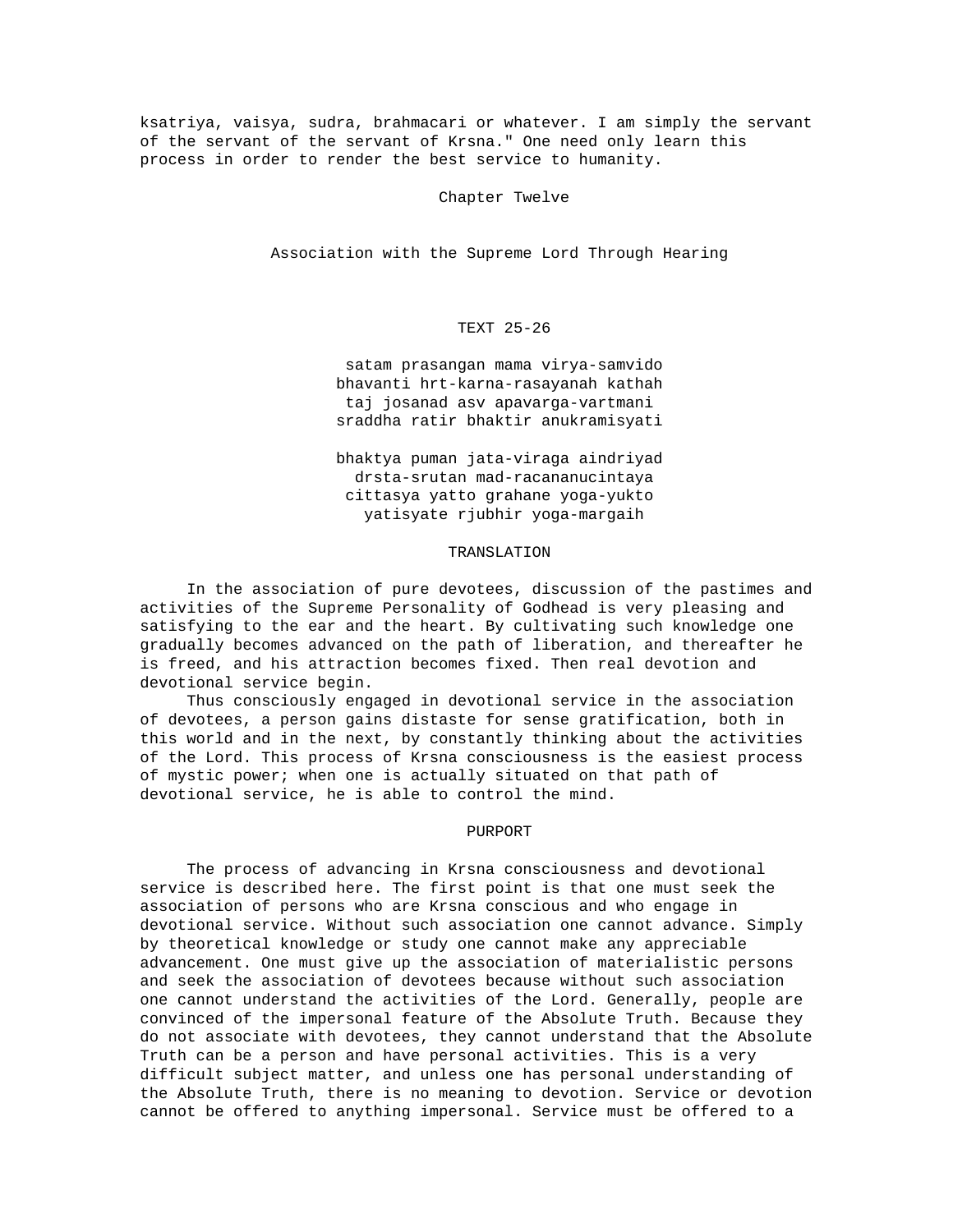ksatriya, vaisya, sudra, brahmacari or whatever. I am simply the servant of the servant of the servant of Krsna." One need only learn this process in order to render the best service to humanity.

Chapter Twelve

Association with the Supreme Lord Through Hearing

# TEXT 25-26

 satam prasangan mama virya-samvido bhavanti hrt-karna-rasayanah kathah taj josanad asv apavarga-vartmani sraddha ratir bhaktir anukramisyati

 bhaktya puman jata-viraga aindriyad drsta-srutan mad-racananucintaya cittasya yatto grahane yoga-yukto yatisyate rjubhir yoga-margaih

# TRANSLATION

 In the association of pure devotees, discussion of the pastimes and activities of the Supreme Personality of Godhead is very pleasing and satisfying to the ear and the heart. By cultivating such knowledge one gradually becomes advanced on the path of liberation, and thereafter he is freed, and his attraction becomes fixed. Then real devotion and devotional service begin.

 Thus consciously engaged in devotional service in the association of devotees, a person gains distaste for sense gratification, both in this world and in the next, by constantly thinking about the activities of the Lord. This process of Krsna consciousness is the easiest process of mystic power; when one is actually situated on that path of devotional service, he is able to control the mind.

# PURPORT

 The process of advancing in Krsna consciousness and devotional service is described here. The first point is that one must seek the association of persons who are Krsna conscious and who engage in devotional service. Without such association one cannot advance. Simply by theoretical knowledge or study one cannot make any appreciable advancement. One must give up the association of materialistic persons and seek the association of devotees because without such association one cannot understand the activities of the Lord. Generally, people are convinced of the impersonal feature of the Absolute Truth. Because they do not associate with devotees, they cannot understand that the Absolute Truth can be a person and have personal activities. This is a very difficult subject matter, and unless one has personal understanding of the Absolute Truth, there is no meaning to devotion. Service or devotion cannot be offered to anything impersonal. Service must be offered to a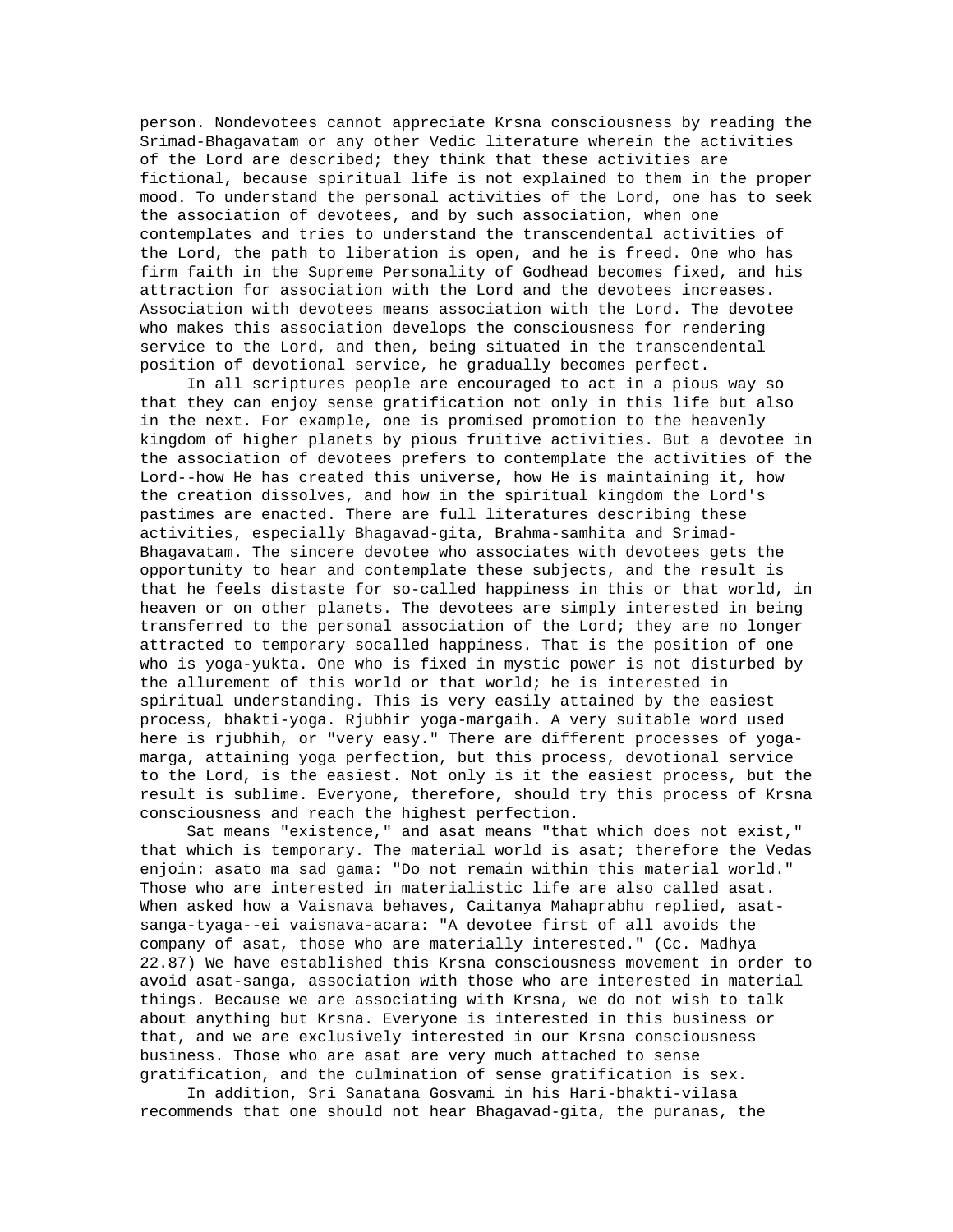person. Nondevotees cannot appreciate Krsna consciousness by reading the Srimad-Bhagavatam or any other Vedic literature wherein the activities of the Lord are described; they think that these activities are fictional, because spiritual life is not explained to them in the proper mood. To understand the personal activities of the Lord, one has to seek the association of devotees, and by such association, when one contemplates and tries to understand the transcendental activities of the Lord, the path to liberation is open, and he is freed. One who has firm faith in the Supreme Personality of Godhead becomes fixed, and his attraction for association with the Lord and the devotees increases. Association with devotees means association with the Lord. The devotee who makes this association develops the consciousness for rendering service to the Lord, and then, being situated in the transcendental position of devotional service, he gradually becomes perfect.

 In all scriptures people are encouraged to act in a pious way so that they can enjoy sense gratification not only in this life but also in the next. For example, one is promised promotion to the heavenly kingdom of higher planets by pious fruitive activities. But a devotee in the association of devotees prefers to contemplate the activities of the Lord--how He has created this universe, how He is maintaining it, how the creation dissolves, and how in the spiritual kingdom the Lord's pastimes are enacted. There are full literatures describing these activities, especially Bhagavad-gita, Brahma-samhita and Srimad-Bhagavatam. The sincere devotee who associates with devotees gets the opportunity to hear and contemplate these subjects, and the result is that he feels distaste for so-called happiness in this or that world, in heaven or on other planets. The devotees are simply interested in being transferred to the personal association of the Lord; they are no longer attracted to temporary socalled happiness. That is the position of one who is yoga-yukta. One who is fixed in mystic power is not disturbed by the allurement of this world or that world; he is interested in spiritual understanding. This is very easily attained by the easiest process, bhakti-yoga. Rjubhir yoga-margaih. A very suitable word used here is rjubhih, or "very easy." There are different processes of yogamarga, attaining yoga perfection, but this process, devotional service to the Lord, is the easiest. Not only is it the easiest process, but the result is sublime. Everyone, therefore, should try this process of Krsna consciousness and reach the highest perfection.

 Sat means "existence," and asat means "that which does not exist," that which is temporary. The material world is asat; therefore the Vedas enjoin: asato ma sad gama: "Do not remain within this material world." Those who are interested in materialistic life are also called asat. When asked how a Vaisnava behaves, Caitanya Mahaprabhu replied, asatsanga-tyaga--ei vaisnava-acara: "A devotee first of all avoids the company of asat, those who are materially interested." (Cc. Madhya 22.87) We have established this Krsna consciousness movement in order to avoid asat-sanga, association with those who are interested in material things. Because we are associating with Krsna, we do not wish to talk about anything but Krsna. Everyone is interested in this business or that, and we are exclusively interested in our Krsna consciousness business. Those who are asat are very much attached to sense gratification, and the culmination of sense gratification is sex.

 In addition, Sri Sanatana Gosvami in his Hari-bhakti-vilasa recommends that one should not hear Bhagavad-gita, the puranas, the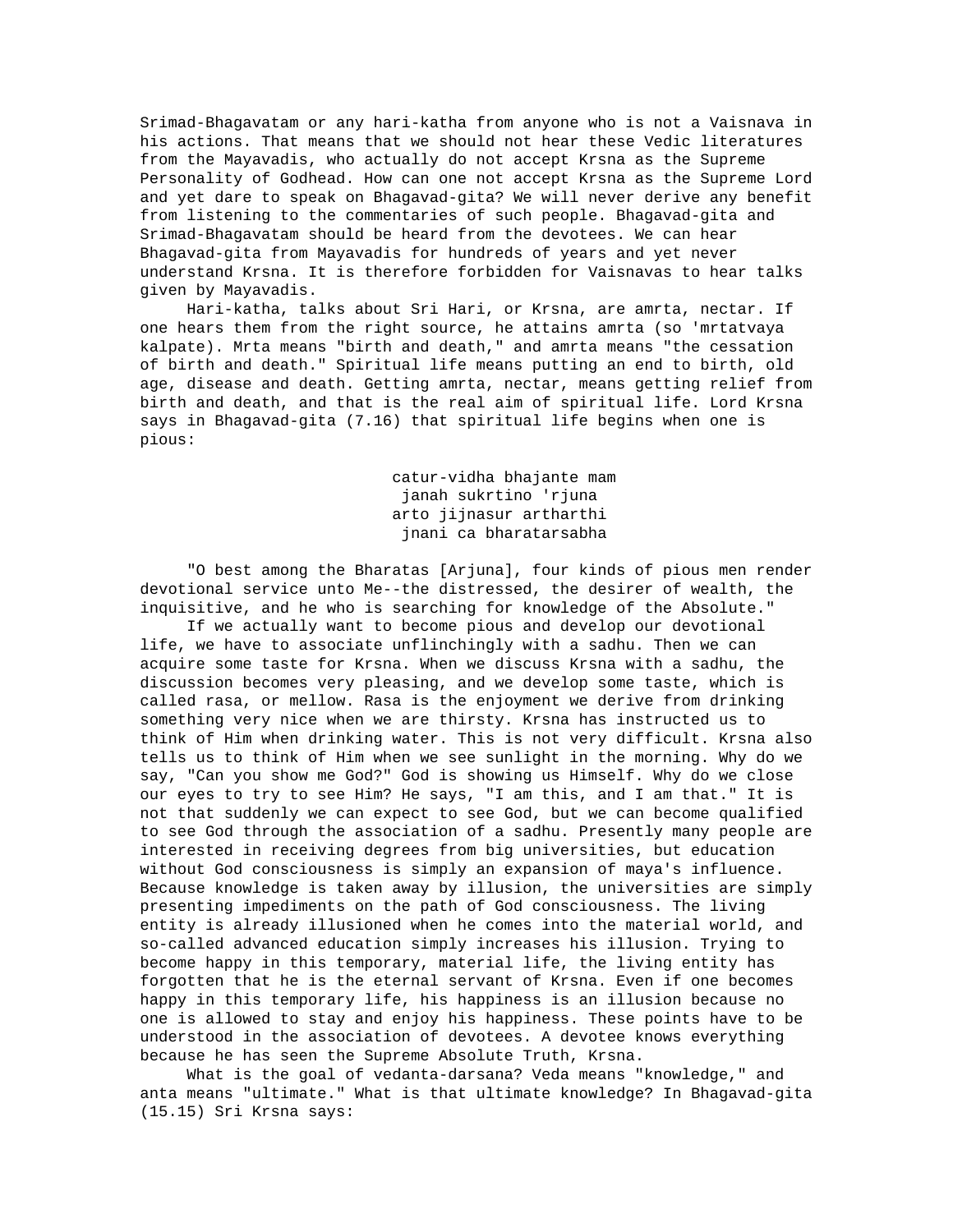Srimad-Bhagavatam or any hari-katha from anyone who is not a Vaisnava in his actions. That means that we should not hear these Vedic literatures from the Mayavadis, who actually do not accept Krsna as the Supreme Personality of Godhead. How can one not accept Krsna as the Supreme Lord and yet dare to speak on Bhagavad-gita? We will never derive any benefit from listening to the commentaries of such people. Bhagavad-gita and Srimad-Bhagavatam should be heard from the devotees. We can hear Bhagavad-gita from Mayavadis for hundreds of years and yet never understand Krsna. It is therefore forbidden for Vaisnavas to hear talks given by Mayavadis.

 Hari-katha, talks about Sri Hari, or Krsna, are amrta, nectar. If one hears them from the right source, he attains amrta (so 'mrtatvaya kalpate). Mrta means "birth and death," and amrta means "the cessation of birth and death." Spiritual life means putting an end to birth, old age, disease and death. Getting amrta, nectar, means getting relief from birth and death, and that is the real aim of spiritual life. Lord Krsna says in Bhagavad-gita (7.16) that spiritual life begins when one is pious:

> catur-vidha bhajante mam janah sukrtino 'rjuna arto jijnasur artharthi jnani ca bharatarsabha

 "O best among the Bharatas [Arjuna], four kinds of pious men render devotional service unto Me--the distressed, the desirer of wealth, the inquisitive, and he who is searching for knowledge of the Absolute."

 If we actually want to become pious and develop our devotional life, we have to associate unflinchingly with a sadhu. Then we can acquire some taste for Krsna. When we discuss Krsna with a sadhu, the discussion becomes very pleasing, and we develop some taste, which is called rasa, or mellow. Rasa is the enjoyment we derive from drinking something very nice when we are thirsty. Krsna has instructed us to think of Him when drinking water. This is not very difficult. Krsna also tells us to think of Him when we see sunlight in the morning. Why do we say, "Can you show me God?" God is showing us Himself. Why do we close our eyes to try to see Him? He says, "I am this, and I am that." It is not that suddenly we can expect to see God, but we can become qualified to see God through the association of a sadhu. Presently many people are interested in receiving degrees from big universities, but education without God consciousness is simply an expansion of maya's influence. Because knowledge is taken away by illusion, the universities are simply presenting impediments on the path of God consciousness. The living entity is already illusioned when he comes into the material world, and so-called advanced education simply increases his illusion. Trying to become happy in this temporary, material life, the living entity has forgotten that he is the eternal servant of Krsna. Even if one becomes happy in this temporary life, his happiness is an illusion because no one is allowed to stay and enjoy his happiness. These points have to be understood in the association of devotees. A devotee knows everything because he has seen the Supreme Absolute Truth, Krsna.

 What is the goal of vedanta-darsana? Veda means "knowledge," and anta means "ultimate." What is that ultimate knowledge? In Bhagavad-gita (15.15) Sri Krsna says: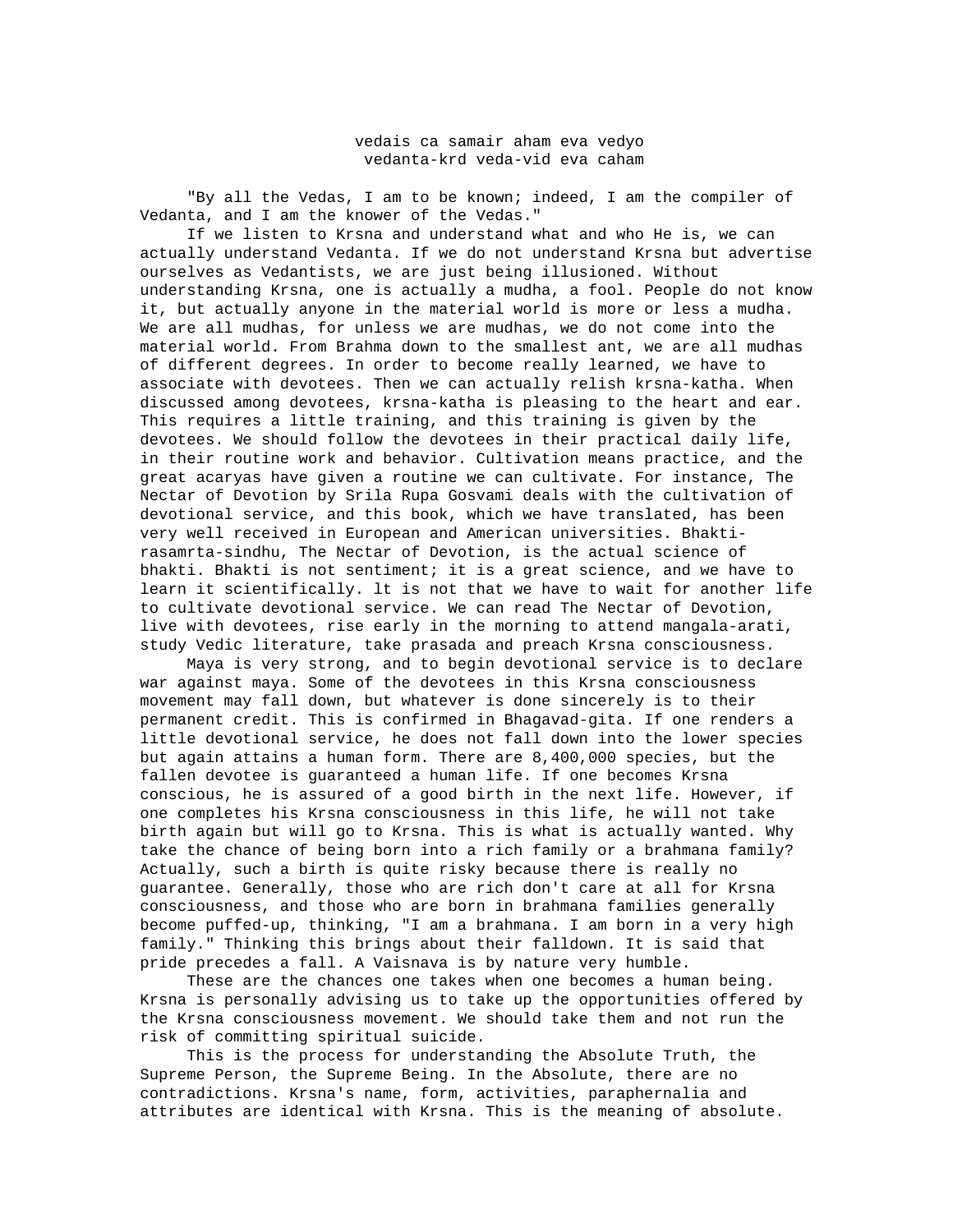vedais ca samair aham eva vedyo vedanta-krd veda-vid eva caham

 "By all the Vedas, I am to be known; indeed, I am the compiler of Vedanta, and I am the knower of the Vedas."

 If we listen to Krsna and understand what and who He is, we can actually understand Vedanta. If we do not understand Krsna but advertise ourselves as Vedantists, we are just being illusioned. Without understanding Krsna, one is actually a mudha, a fool. People do not know it, but actually anyone in the material world is more or less a mudha. We are all mudhas, for unless we are mudhas, we do not come into the material world. From Brahma down to the smallest ant, we are all mudhas of different degrees. In order to become really learned, we have to associate with devotees. Then we can actually relish krsna-katha. When discussed among devotees, krsna-katha is pleasing to the heart and ear. This requires a little training, and this training is given by the devotees. We should follow the devotees in their practical daily life, in their routine work and behavior. Cultivation means practice, and the great acaryas have given a routine we can cultivate. For instance, The Nectar of Devotion by Srila Rupa Gosvami deals with the cultivation of devotional service, and this book, which we have translated, has been very well received in European and American universities. Bhaktirasamrta-sindhu, The Nectar of Devotion, is the actual science of bhakti. Bhakti is not sentiment; it is a great science, and we have to learn it scientifically. lt is not that we have to wait for another life to cultivate devotional service. We can read The Nectar of Devotion, live with devotees, rise early in the morning to attend mangala-arati, study Vedic literature, take prasada and preach Krsna consciousness.

 Maya is very strong, and to begin devotional service is to declare war against maya. Some of the devotees in this Krsna consciousness movement may fall down, but whatever is done sincerely is to their permanent credit. This is confirmed in Bhagavad-gita. If one renders a little devotional service, he does not fall down into the lower species but again attains a human form. There are 8,400,000 species, but the fallen devotee is guaranteed a human life. If one becomes Krsna conscious, he is assured of a good birth in the next life. However, if one completes his Krsna consciousness in this life, he will not take birth again but will go to Krsna. This is what is actually wanted. Why take the chance of being born into a rich family or a brahmana family? Actually, such a birth is quite risky because there is really no guarantee. Generally, those who are rich don't care at all for Krsna consciousness, and those who are born in brahmana families generally become puffed-up, thinking, "I am a brahmana. I am born in a very high family." Thinking this brings about their falldown. It is said that pride precedes a fall. A Vaisnava is by nature very humble.

 These are the chances one takes when one becomes a human being. Krsna is personally advising us to take up the opportunities offered by the Krsna consciousness movement. We should take them and not run the risk of committing spiritual suicide.

 This is the process for understanding the Absolute Truth, the Supreme Person, the Supreme Being. In the Absolute, there are no contradictions. Krsna's name, form, activities, paraphernalia and attributes are identical with Krsna. This is the meaning of absolute.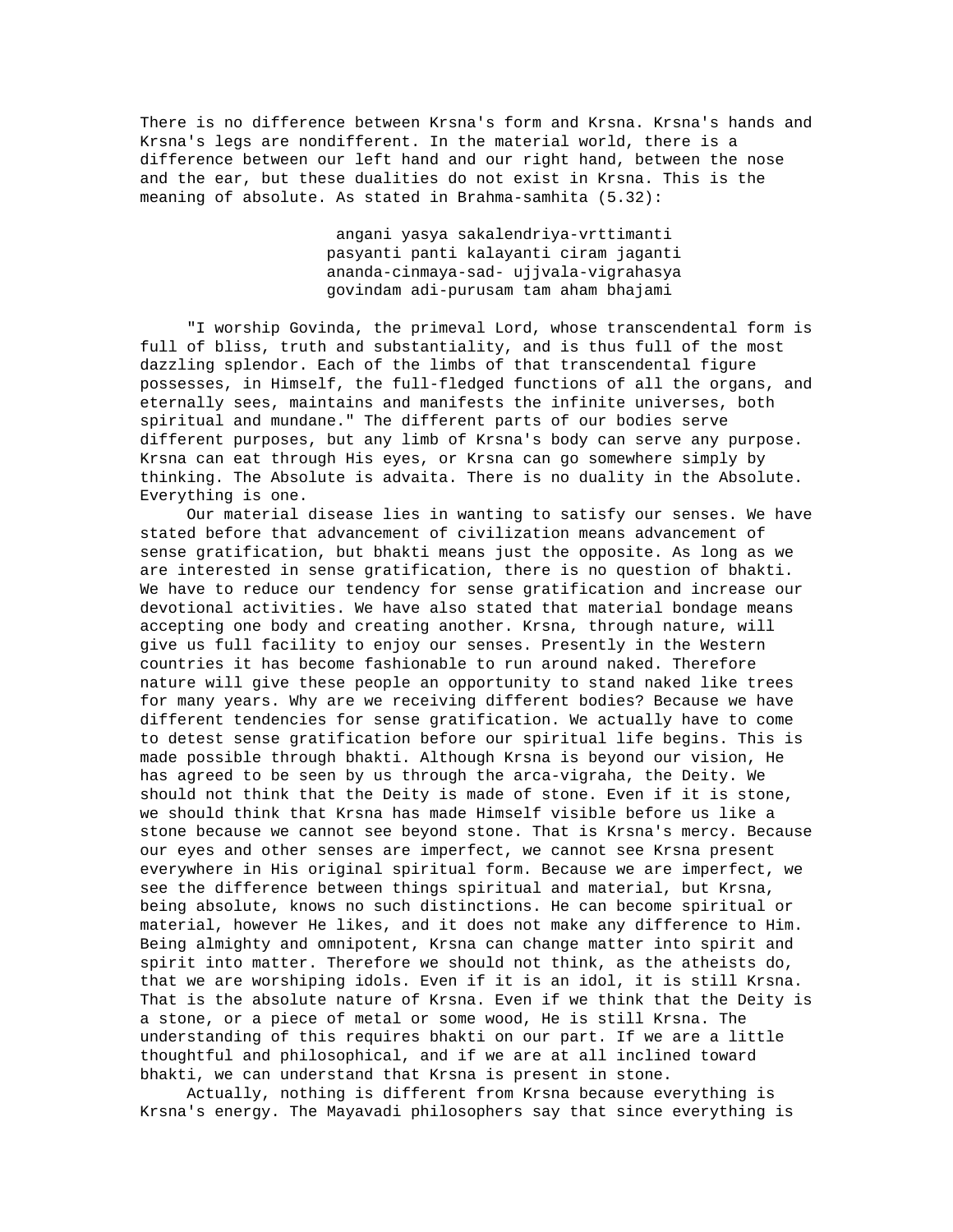There is no difference between Krsna's form and Krsna. Krsna's hands and Krsna's legs are nondifferent. In the material world, there is a difference between our left hand and our right hand, between the nose and the ear, but these dualities do not exist in Krsna. This is the meaning of absolute. As stated in Brahma-samhita (5.32):

> angani yasya sakalendriya-vrttimanti pasyanti panti kalayanti ciram jaganti ananda-cinmaya-sad- ujjvala-vigrahasya govindam adi-purusam tam aham bhajami

 "I worship Govinda, the primeval Lord, whose transcendental form is full of bliss, truth and substantiality, and is thus full of the most dazzling splendor. Each of the limbs of that transcendental figure possesses, in Himself, the full-fledged functions of all the organs, and eternally sees, maintains and manifests the infinite universes, both spiritual and mundane." The different parts of our bodies serve different purposes, but any limb of Krsna's body can serve any purpose. Krsna can eat through His eyes, or Krsna can go somewhere simply by thinking. The Absolute is advaita. There is no duality in the Absolute. Everything is one.

 Our material disease lies in wanting to satisfy our senses. We have stated before that advancement of civilization means advancement of sense gratification, but bhakti means just the opposite. As long as we are interested in sense gratification, there is no question of bhakti. We have to reduce our tendency for sense gratification and increase our devotional activities. We have also stated that material bondage means accepting one body and creating another. Krsna, through nature, will give us full facility to enjoy our senses. Presently in the Western countries it has become fashionable to run around naked. Therefore nature will give these people an opportunity to stand naked like trees for many years. Why are we receiving different bodies? Because we have different tendencies for sense gratification. We actually have to come to detest sense gratification before our spiritual life begins. This is made possible through bhakti. Although Krsna is beyond our vision, He has agreed to be seen by us through the arca-vigraha, the Deity. We should not think that the Deity is made of stone. Even if it is stone, we should think that Krsna has made Himself visible before us like a stone because we cannot see beyond stone. That is Krsna's mercy. Because our eyes and other senses are imperfect, we cannot see Krsna present everywhere in His original spiritual form. Because we are imperfect, we see the difference between things spiritual and material, but Krsna, being absolute, knows no such distinctions. He can become spiritual or material, however He likes, and it does not make any difference to Him. Being almighty and omnipotent, Krsna can change matter into spirit and spirit into matter. Therefore we should not think, as the atheists do, that we are worshiping idols. Even if it is an idol, it is still Krsna. That is the absolute nature of Krsna. Even if we think that the Deity is a stone, or a piece of metal or some wood, He is still Krsna. The understanding of this requires bhakti on our part. If we are a little thoughtful and philosophical, and if we are at all inclined toward bhakti, we can understand that Krsna is present in stone.

 Actually, nothing is different from Krsna because everything is Krsna's energy. The Mayavadi philosophers say that since everything is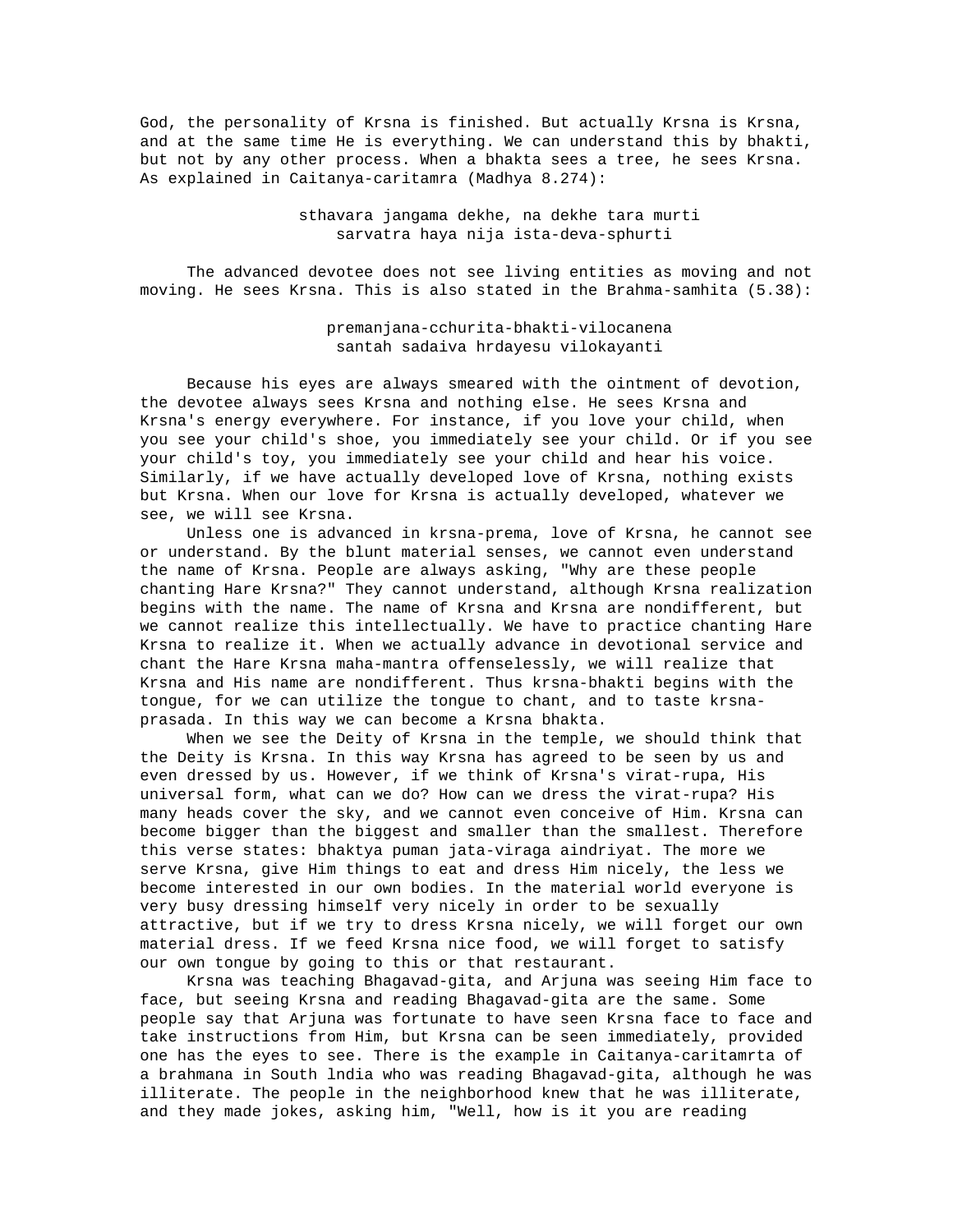God, the personality of Krsna is finished. But actually Krsna is Krsna, and at the same time He is everything. We can understand this by bhakti, but not by any other process. When a bhakta sees a tree, he sees Krsna. As explained in Caitanya-caritamra (Madhya 8.274):

> sthavara jangama dekhe, na dekhe tara murti sarvatra haya nija ista-deva-sphurti

 The advanced devotee does not see living entities as moving and not moving. He sees Krsna. This is also stated in the Brahma-samhita (5.38):

> premanjana-cchurita-bhakti-vilocanena santah sadaiva hrdayesu vilokayanti

 Because his eyes are always smeared with the ointment of devotion, the devotee always sees Krsna and nothing else. He sees Krsna and Krsna's energy everywhere. For instance, if you love your child, when you see your child's shoe, you immediately see your child. Or if you see your child's toy, you immediately see your child and hear his voice. Similarly, if we have actually developed love of Krsna, nothing exists but Krsna. When our love for Krsna is actually developed, whatever we see, we will see Krsna.

 Unless one is advanced in krsna-prema, love of Krsna, he cannot see or understand. By the blunt material senses, we cannot even understand the name of Krsna. People are always asking, "Why are these people chanting Hare Krsna?" They cannot understand, although Krsna realization begins with the name. The name of Krsna and Krsna are nondifferent, but we cannot realize this intellectually. We have to practice chanting Hare Krsna to realize it. When we actually advance in devotional service and chant the Hare Krsna maha-mantra offenselessly, we will realize that Krsna and His name are nondifferent. Thus krsna-bhakti begins with the tongue, for we can utilize the tongue to chant, and to taste krsnaprasada. In this way we can become a Krsna bhakta.

 When we see the Deity of Krsna in the temple, we should think that the Deity is Krsna. In this way Krsna has agreed to be seen by us and even dressed by us. However, if we think of Krsna's virat-rupa, His universal form, what can we do? How can we dress the virat-rupa? His many heads cover the sky, and we cannot even conceive of Him. Krsna can become bigger than the biggest and smaller than the smallest. Therefore this verse states: bhaktya puman jata-viraga aindriyat. The more we serve Krsna, give Him things to eat and dress Him nicely, the less we become interested in our own bodies. In the material world everyone is very busy dressing himself very nicely in order to be sexually attractive, but if we try to dress Krsna nicely, we will forget our own material dress. If we feed Krsna nice food, we will forget to satisfy our own tongue by going to this or that restaurant.

 Krsna was teaching Bhagavad-gita, and Arjuna was seeing Him face to face, but seeing Krsna and reading Bhagavad-gita are the same. Some people say that Arjuna was fortunate to have seen Krsna face to face and take instructions from Him, but Krsna can be seen immediately, provided one has the eyes to see. There is the example in Caitanya-caritamrta of a brahmana in South lndia who was reading Bhagavad-gita, although he was illiterate. The people in the neighborhood knew that he was illiterate, and they made jokes, asking him, "Well, how is it you are reading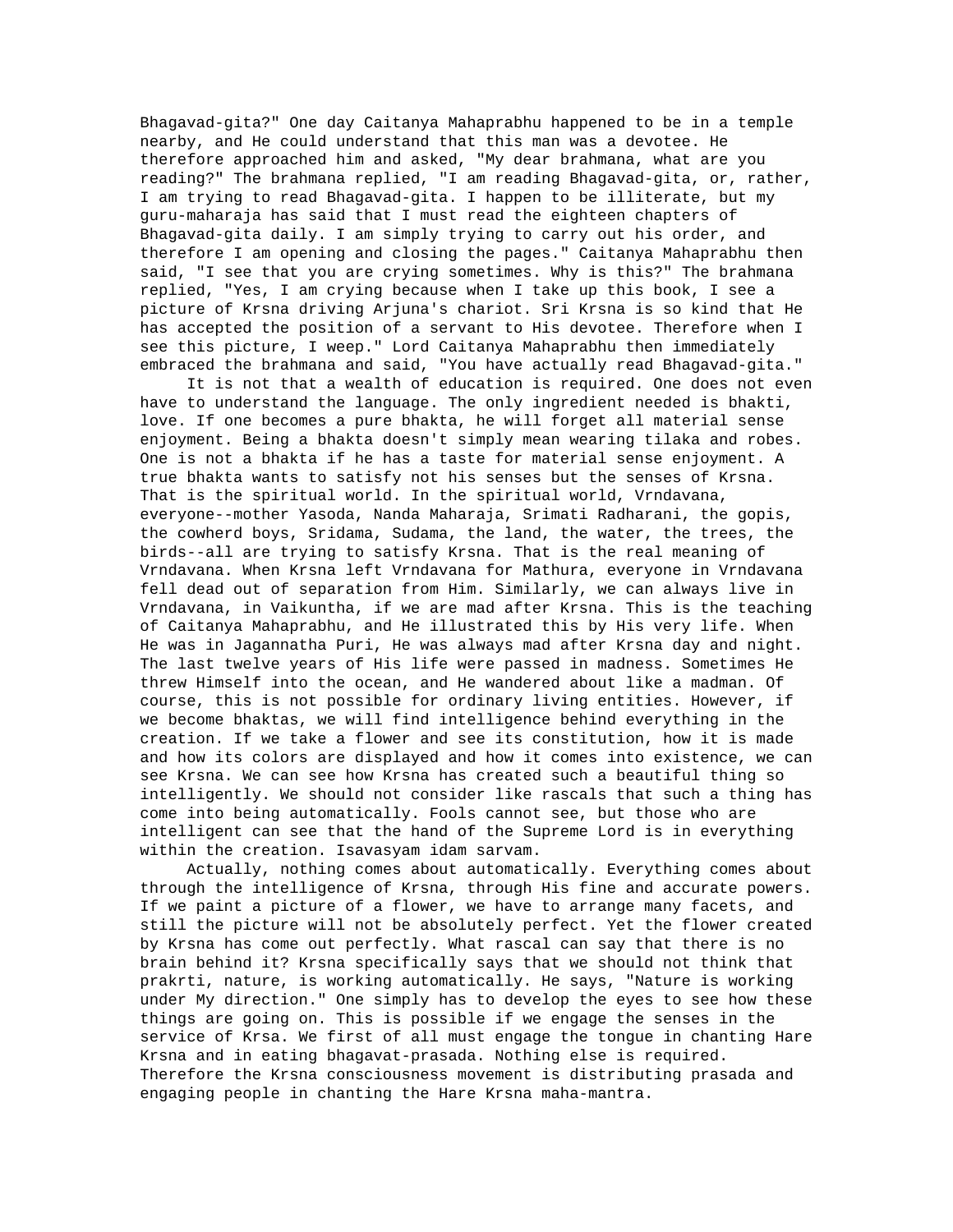Bhagavad-gita?" One day Caitanya Mahaprabhu happened to be in a temple nearby, and He could understand that this man was a devotee. He therefore approached him and asked, "My dear brahmana, what are you reading?" The brahmana replied, "I am reading Bhagavad-gita, or, rather, I am trying to read Bhagavad-gita. I happen to be illiterate, but my guru-maharaja has said that I must read the eighteen chapters of Bhagavad-gita daily. I am simply trying to carry out his order, and therefore I am opening and closing the pages." Caitanya Mahaprabhu then said, "I see that you are crying sometimes. Why is this?" The brahmana replied, "Yes, I am crying because when I take up this book, I see a picture of Krsna driving Arjuna's chariot. Sri Krsna is so kind that He has accepted the position of a servant to His devotee. Therefore when I see this picture, I weep." Lord Caitanya Mahaprabhu then immediately embraced the brahmana and said, "You have actually read Bhagavad-gita."

 It is not that a wealth of education is required. One does not even have to understand the language. The only ingredient needed is bhakti, love. If one becomes a pure bhakta, he will forget all material sense enjoyment. Being a bhakta doesn't simply mean wearing tilaka and robes. One is not a bhakta if he has a taste for material sense enjoyment. A true bhakta wants to satisfy not his senses but the senses of Krsna. That is the spiritual world. In the spiritual world, Vrndavana, everyone--mother Yasoda, Nanda Maharaja, Srimati Radharani, the gopis, the cowherd boys, Sridama, Sudama, the land, the water, the trees, the birds--all are trying to satisfy Krsna. That is the real meaning of Vrndavana. When Krsna left Vrndavana for Mathura, everyone in Vrndavana fell dead out of separation from Him. Similarly, we can always live in Vrndavana, in Vaikuntha, if we are mad after Krsna. This is the teaching of Caitanya Mahaprabhu, and He illustrated this by His very life. When He was in Jagannatha Puri, He was always mad after Krsna day and night. The last twelve years of His life were passed in madness. Sometimes He threw Himself into the ocean, and He wandered about like a madman. Of course, this is not possible for ordinary living entities. However, if we become bhaktas, we will find intelligence behind everything in the creation. If we take a flower and see its constitution, how it is made and how its colors are displayed and how it comes into existence, we can see Krsna. We can see how Krsna has created such a beautiful thing so intelligently. We should not consider like rascals that such a thing has come into being automatically. Fools cannot see, but those who are intelligent can see that the hand of the Supreme Lord is in everything within the creation. Isavasyam idam sarvam.

 Actually, nothing comes about automatically. Everything comes about through the intelligence of Krsna, through His fine and accurate powers. If we paint a picture of a flower, we have to arrange many facets, and still the picture will not be absolutely perfect. Yet the flower created by Krsna has come out perfectly. What rascal can say that there is no brain behind it? Krsna specifically says that we should not think that prakrti, nature, is working automatically. He says, "Nature is working under My direction." One simply has to develop the eyes to see how these things are going on. This is possible if we engage the senses in the service of Krsa. We first of all must engage the tongue in chanting Hare Krsna and in eating bhagavat-prasada. Nothing else is required. Therefore the Krsna consciousness movement is distributing prasada and engaging people in chanting the Hare Krsna maha-mantra.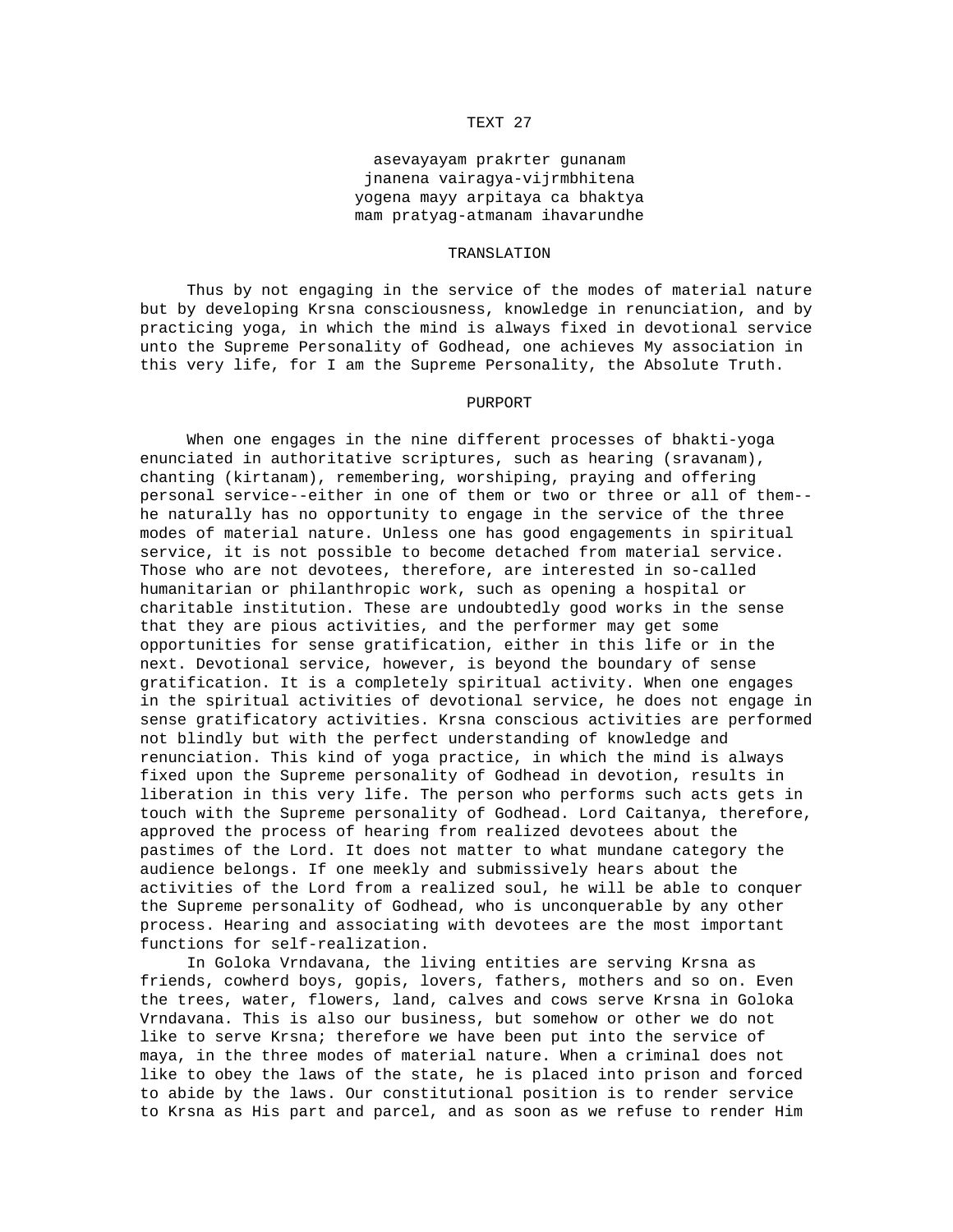### TEXT 27

# asevayayam prakrter gunanam jnanena vairagya-vijrmbhitena yogena mayy arpitaya ca bhaktya mam pratyag-atmanam ihavarundhe

#### TRANSLATION

 Thus by not engaging in the service of the modes of material nature but by developing Krsna consciousness, knowledge in renunciation, and by practicing yoga, in which the mind is always fixed in devotional service unto the Supreme Personality of Godhead, one achieves My association in this very life, for I am the Supreme Personality, the Absolute Truth.

## PURPORT

 When one engages in the nine different processes of bhakti-yoga enunciated in authoritative scriptures, such as hearing (sravanam), chanting (kirtanam), remembering, worshiping, praying and offering personal service--either in one of them or two or three or all of them- he naturally has no opportunity to engage in the service of the three modes of material nature. Unless one has good engagements in spiritual service, it is not possible to become detached from material service. Those who are not devotees, therefore, are interested in so-called humanitarian or philanthropic work, such as opening a hospital or charitable institution. These are undoubtedly good works in the sense that they are pious activities, and the performer may get some opportunities for sense gratification, either in this life or in the next. Devotional service, however, is beyond the boundary of sense gratification. It is a completely spiritual activity. When one engages in the spiritual activities of devotional service, he does not engage in sense gratificatory activities. Krsna conscious activities are performed not blindly but with the perfect understanding of knowledge and renunciation. This kind of yoga practice, in which the mind is always fixed upon the Supreme personality of Godhead in devotion, results in liberation in this very life. The person who performs such acts gets in touch with the Supreme personality of Godhead. Lord Caitanya, therefore, approved the process of hearing from realized devotees about the pastimes of the Lord. It does not matter to what mundane category the audience belongs. If one meekly and submissively hears about the activities of the Lord from a realized soul, he will be able to conquer the Supreme personality of Godhead, who is unconquerable by any other process. Hearing and associating with devotees are the most important functions for self-realization.

 In Goloka Vrndavana, the living entities are serving Krsna as friends, cowherd boys, gopis, lovers, fathers, mothers and so on. Even the trees, water, flowers, land, calves and cows serve Krsna in Goloka Vrndavana. This is also our business, but somehow or other we do not like to serve Krsna; therefore we have been put into the service of maya, in the three modes of material nature. When a criminal does not like to obey the laws of the state, he is placed into prison and forced to abide by the laws. Our constitutional position is to render service to Krsna as His part and parcel, and as soon as we refuse to render Him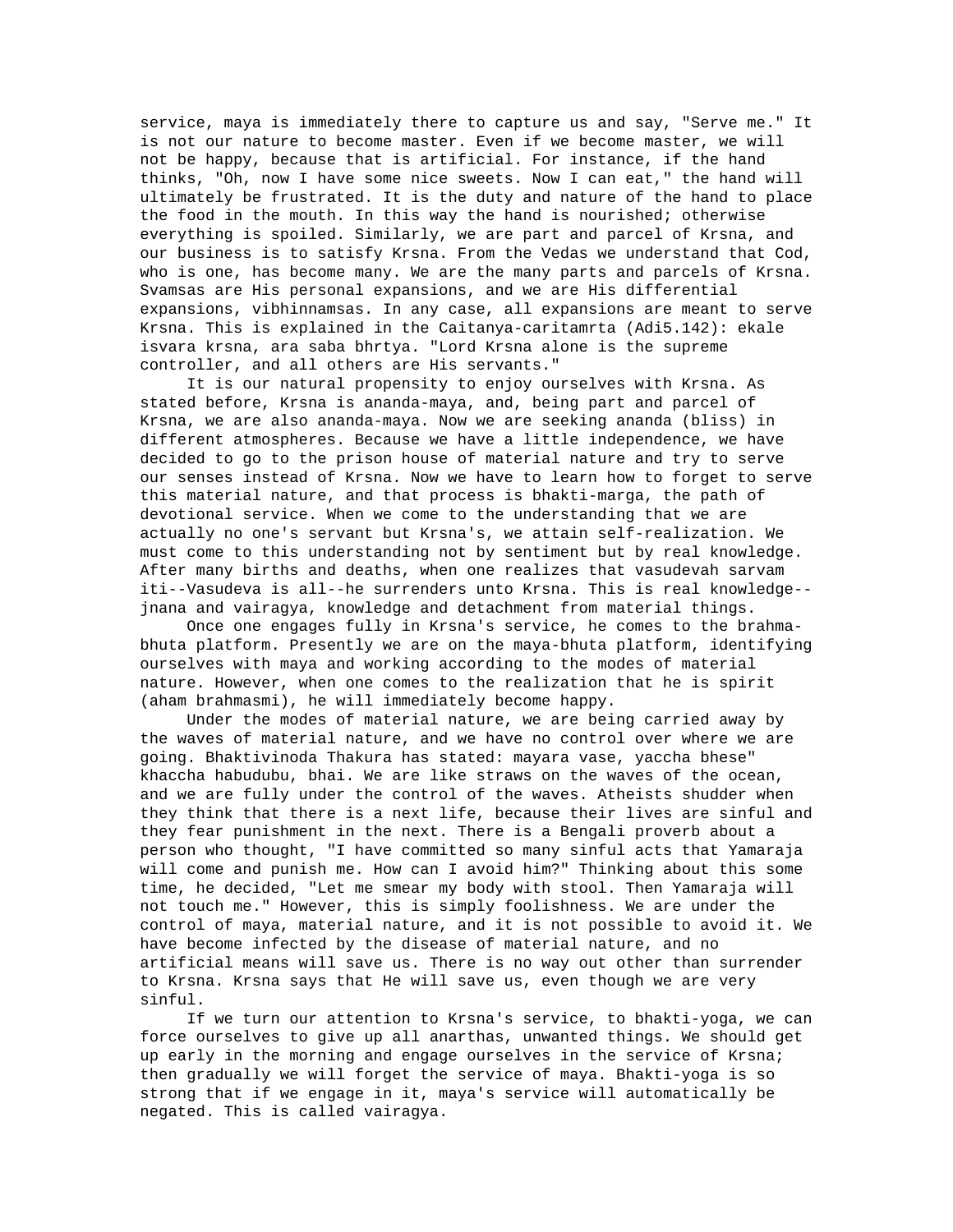service, maya is immediately there to capture us and say, "Serve me." It is not our nature to become master. Even if we become master, we will not be happy, because that is artificial. For instance, if the hand thinks, "Oh, now I have some nice sweets. Now I can eat," the hand will ultimately be frustrated. It is the duty and nature of the hand to place the food in the mouth. In this way the hand is nourished; otherwise everything is spoiled. Similarly, we are part and parcel of Krsna, and our business is to satisfy Krsna. From the Vedas we understand that Cod, who is one, has become many. We are the many parts and parcels of Krsna. Svamsas are His personal expansions, and we are His differential expansions, vibhinnamsas. In any case, all expansions are meant to serve Krsna. This is explained in the Caitanya-caritamrta (Adi5.142): ekale isvara krsna, ara saba bhrtya. "Lord Krsna alone is the supreme controller, and all others are His servants."

 It is our natural propensity to enjoy ourselves with Krsna. As stated before, Krsna is ananda-maya, and, being part and parcel of Krsna, we are also ananda-maya. Now we are seeking ananda (bliss) in different atmospheres. Because we have a little independence, we have decided to go to the prison house of material nature and try to serve our senses instead of Krsna. Now we have to learn how to forget to serve this material nature, and that process is bhakti-marga, the path of devotional service. When we come to the understanding that we are actually no one's servant but Krsna's, we attain self-realization. We must come to this understanding not by sentiment but by real knowledge. After many births and deaths, when one realizes that vasudevah sarvam iti--Vasudeva is all--he surrenders unto Krsna. This is real knowledge- jnana and vairagya, knowledge and detachment from material things.

 Once one engages fully in Krsna's service, he comes to the brahmabhuta platform. Presently we are on the maya-bhuta platform, identifying ourselves with maya and working according to the modes of material nature. However, when one comes to the realization that he is spirit (aham brahmasmi), he will immediately become happy.

 Under the modes of material nature, we are being carried away by the waves of material nature, and we have no control over where we are going. Bhaktivinoda Thakura has stated: mayara vase, yaccha bhese" khaccha habudubu, bhai. We are like straws on the waves of the ocean, and we are fully under the control of the waves. Atheists shudder when they think that there is a next life, because their lives are sinful and they fear punishment in the next. There is a Bengali proverb about a person who thought, "I have committed so many sinful acts that Yamaraja will come and punish me. How can I avoid him?" Thinking about this some time, he decided, "Let me smear my body with stool. Then Yamaraja will not touch me." However, this is simply foolishness. We are under the control of maya, material nature, and it is not possible to avoid it. We have become infected by the disease of material nature, and no artificial means will save us. There is no way out other than surrender to Krsna. Krsna says that He will save us, even though we are very sinful.

 If we turn our attention to Krsna's service, to bhakti-yoga, we can force ourselves to give up all anarthas, unwanted things. We should get up early in the morning and engage ourselves in the service of Krsna; then gradually we will forget the service of maya. Bhakti-yoga is so strong that if we engage in it, maya's service will automatically be negated. This is called vairagya.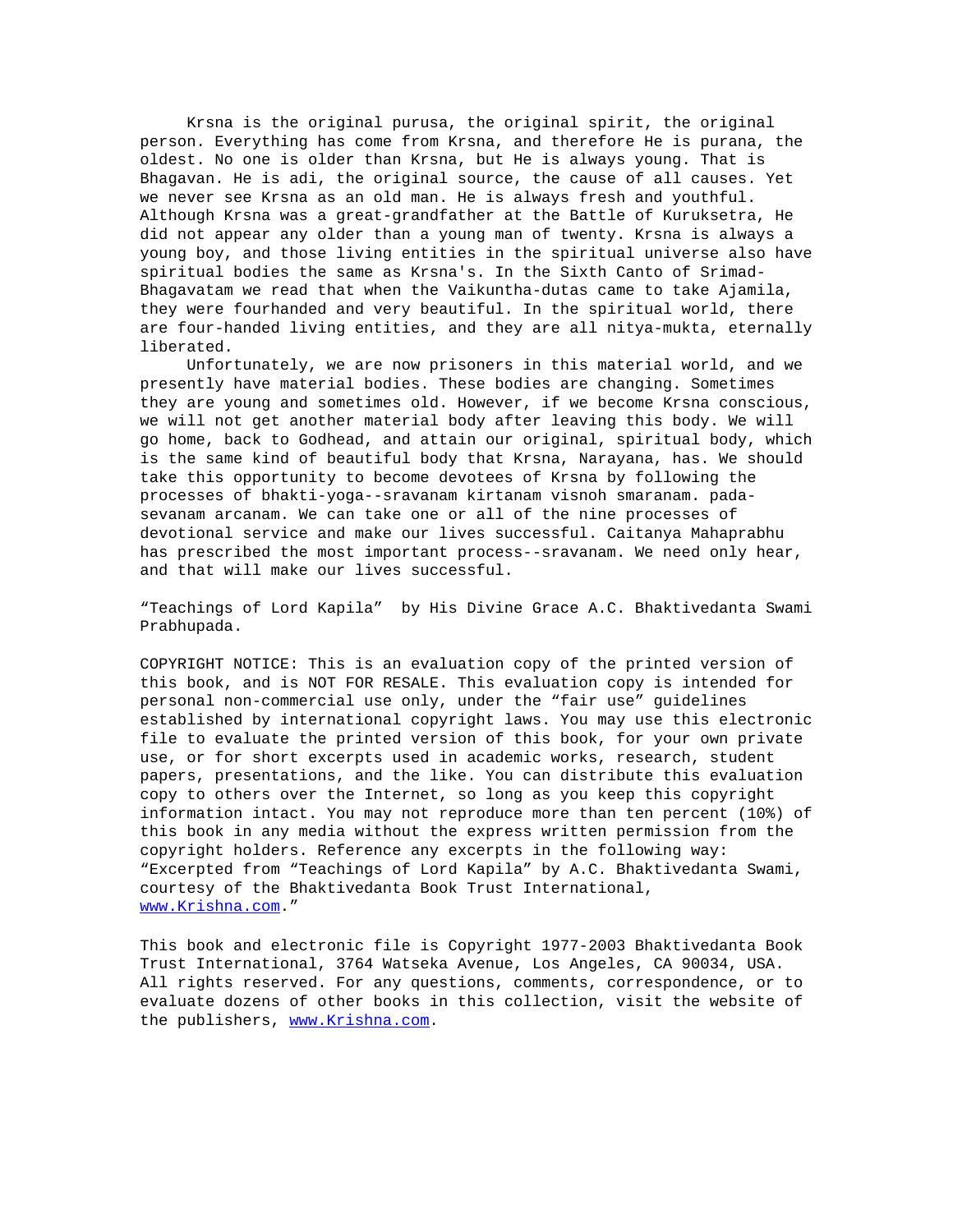Krsna is the original purusa, the original spirit, the original person. Everything has come from Krsna, and therefore He is purana, the oldest. No one is older than Krsna, but He is always young. That is Bhagavan. He is adi, the original source, the cause of all causes. Yet we never see Krsna as an old man. He is always fresh and youthful. Although Krsna was a great-grandfather at the Battle of Kuruksetra, He did not appear any older than a young man of twenty. Krsna is always a young boy, and those living entities in the spiritual universe also have spiritual bodies the same as Krsna's. In the Sixth Canto of Srimad-Bhagavatam we read that when the Vaikuntha-dutas came to take Ajamila, they were fourhanded and very beautiful. In the spiritual world, there are four-handed living entities, and they are all nitya-mukta, eternally liberated.

 Unfortunately, we are now prisoners in this material world, and we presently have material bodies. These bodies are changing. Sometimes they are young and sometimes old. However, if we become Krsna conscious, we will not get another material body after leaving this body. We will go home, back to Godhead, and attain our original, spiritual body, which is the same kind of beautiful body that Krsna, Narayana, has. We should take this opportunity to become devotees of Krsna by following the processes of bhakti-yoga--sravanam kirtanam visnoh smaranam. padasevanam arcanam. We can take one or all of the nine processes of devotional service and make our lives successful. Caitanya Mahaprabhu has prescribed the most important process--sravanam. We need only hear, and that will make our lives successful.

"Teachings of Lord Kapila" by His Divine Grace A.C. Bhaktivedanta Swami Prabhupada.

COPYRIGHT NOTICE: This is an evaluation copy of the printed version of this book, and is NOT FOR RESALE. This evaluation copy is intended for personal non-commercial use only, under the "fair use" guidelines established by international copyright laws. You may use this electronic file to evaluate the printed version of this book, for your own private use, or for short excerpts used in academic works, research, student papers, presentations, and the like. You can distribute this evaluation copy to others over the Internet, so long as you keep this copyright information intact. You may not reproduce more than ten percent (10%) of this book in any media without the express written permission from the copyright holders. Reference any excerpts in the following way: "Excerpted from "Teachings of Lord Kapila" by A.C. Bhaktivedanta Swami, courtesy of the Bhaktivedanta Book Trust International, www.Krishna.com ."

This book and electronic file is Copyright 1977-2003 Bhaktivedanta Book Trust International, 3764 Watseka Avenue, Los Angeles, CA 90034, USA. All rights reserved. For any questions, comments, correspondence, or to evaluate dozens of other books in this collection, visit the website of the publishers, www.Krishna.com.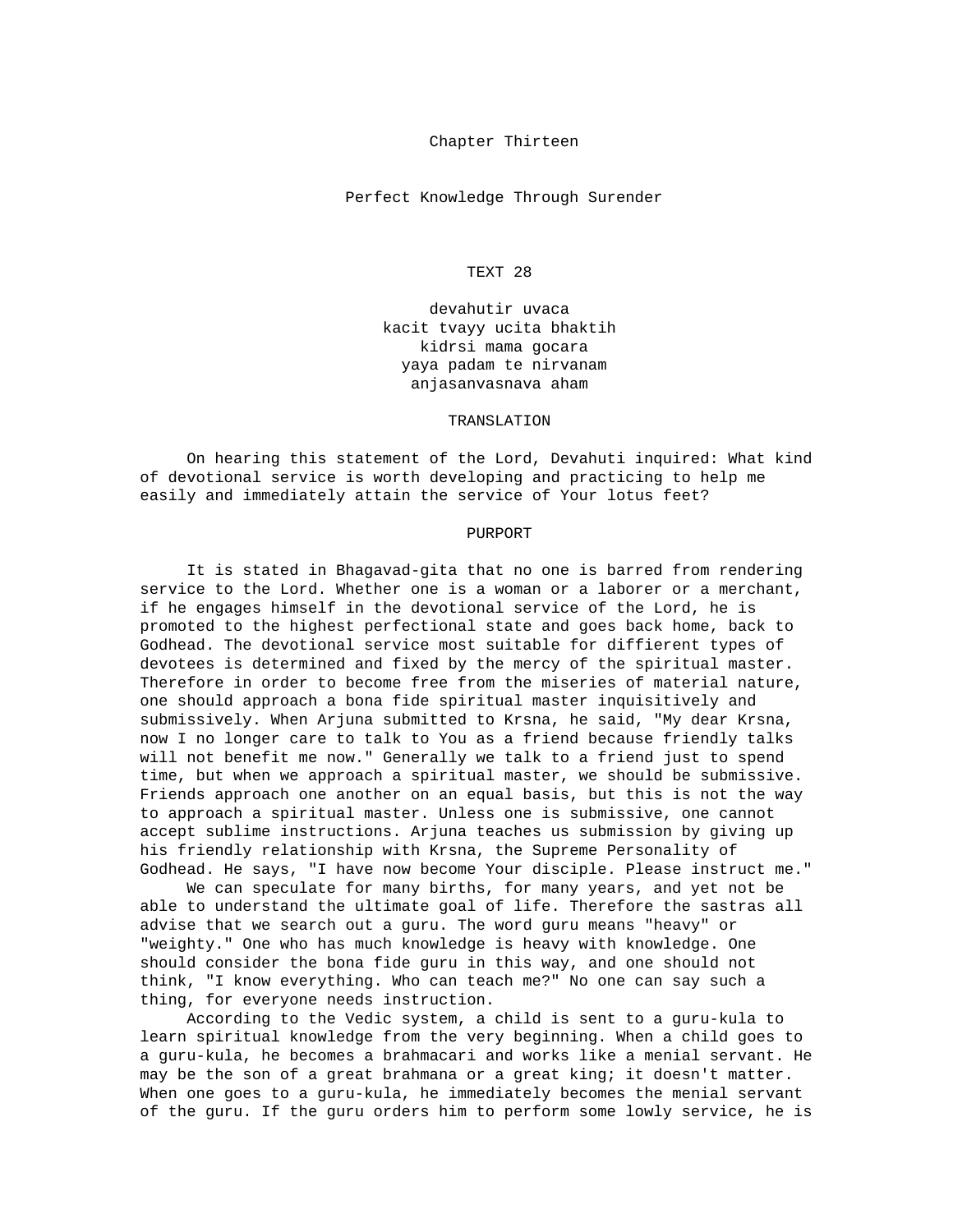## Chapter Thirteen

Perfect Knowledge Through Surender

TEXT 28

 devahutir uvaca kacit tvayy ucita bhaktih kidrsi mama gocara yaya padam te nirvanam anjasanvasnava aham

TRANSLATION

 On hearing this statement of the Lord, Devahuti inquired: What kind of devotional service is worth developing and practicing to help me easily and immediately attain the service of Your lotus feet?

#### PURPORT

 It is stated in Bhagavad-gita that no one is barred from rendering service to the Lord. Whether one is a woman or a laborer or a merchant, if he engages himself in the devotional service of the Lord, he is promoted to the highest perfectional state and goes back home, back to Godhead. The devotional service most suitable for diffierent types of devotees is determined and fixed by the mercy of the spiritual master. Therefore in order to become free from the miseries of material nature, one should approach a bona fide spiritual master inquisitively and submissively. When Arjuna submitted to Krsna, he said, "My dear Krsna, now I no longer care to talk to You as a friend because friendly talks will not benefit me now." Generally we talk to a friend just to spend time, but when we approach a spiritual master, we should be submissive. Friends approach one another on an equal basis, but this is not the way to approach a spiritual master. Unless one is submissive, one cannot accept sublime instructions. Arjuna teaches us submission by giving up his friendly relationship with Krsna, the Supreme Personality of Godhead. He says, "I have now become Your disciple. Please instruct me."

 We can speculate for many births, for many years, and yet not be able to understand the ultimate goal of life. Therefore the sastras all advise that we search out a guru. The word guru means "heavy" or "weighty." One who has much knowledge is heavy with knowledge. One should consider the bona fide guru in this way, and one should not think, "I know everything. Who can teach me?" No one can say such a thing, for everyone needs instruction.

 According to the Vedic system, a child is sent to a guru-kula to learn spiritual knowledge from the very beginning. When a child goes to a guru-kula, he becomes a brahmacari and works like a menial servant. He may be the son of a great brahmana or a great king; it doesn't matter. When one goes to a guru-kula, he immediately becomes the menial servant of the guru. If the guru orders him to perform some lowly service, he is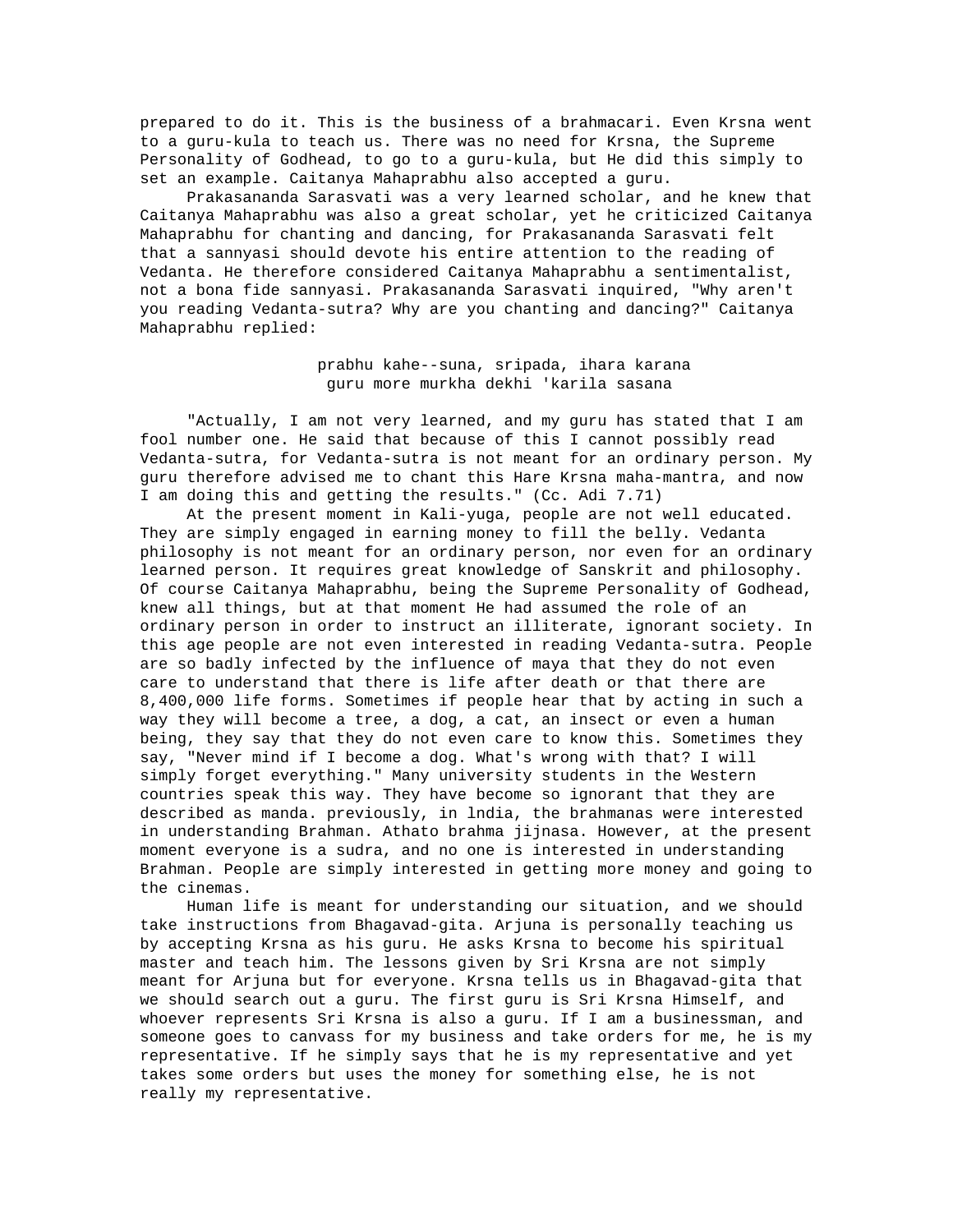prepared to do it. This is the business of a brahmacari. Even Krsna went to a guru-kula to teach us. There was no need for Krsna, the Supreme Personality of Godhead, to go to a guru-kula, but He did this simply to set an example. Caitanya Mahaprabhu also accepted a guru.

 Prakasananda Sarasvati was a very learned scholar, and he knew that Caitanya Mahaprabhu was also a great scholar, yet he criticized Caitanya Mahaprabhu for chanting and dancing, for Prakasananda Sarasvati felt that a sannyasi should devote his entire attention to the reading of Vedanta. He therefore considered Caitanya Mahaprabhu a sentimentalist, not a bona fide sannyasi. Prakasananda Sarasvati inquired, "Why aren't you reading Vedanta-sutra? Why are you chanting and dancing?" Caitanya Mahaprabhu replied:

> prabhu kahe--suna, sripada, ihara karana guru more murkha dekhi 'karila sasana

 "Actually, I am not very learned, and my guru has stated that I am fool number one. He said that because of this I cannot possibly read Vedanta-sutra, for Vedanta-sutra is not meant for an ordinary person. My guru therefore advised me to chant this Hare Krsna maha-mantra, and now I am doing this and getting the results." (Cc. Adi 7.71)

 At the present moment in Kali-yuga, people are not well educated. They are simply engaged in earning money to fill the belly. Vedanta philosophy is not meant for an ordinary person, nor even for an ordinary learned person. It requires great knowledge of Sanskrit and philosophy. Of course Caitanya Mahaprabhu, being the Supreme Personality of Godhead, knew all things, but at that moment He had assumed the role of an ordinary person in order to instruct an illiterate, ignorant society. In this age people are not even interested in reading Vedanta-sutra. People are so badly infected by the influence of maya that they do not even care to understand that there is life after death or that there are 8,400,000 life forms. Sometimes if people hear that by acting in such a way they will become a tree, a dog, a cat, an insect or even a human being, they say that they do not even care to know this. Sometimes they say, "Never mind if I become a dog. What's wrong with that? I will simply forget everything." Many university students in the Western countries speak this way. They have become so ignorant that they are described as manda. previously, in lndia, the brahmanas were interested in understanding Brahman. Athato brahma jijnasa. However, at the present moment everyone is a sudra, and no one is interested in understanding Brahman. People are simply interested in getting more money and going to the cinemas.

 Human life is meant for understanding our situation, and we should take instructions from Bhagavad-gita. Arjuna is personally teaching us by accepting Krsna as his guru. He asks Krsna to become his spiritual master and teach him. The lessons given by Sri Krsna are not simply meant for Arjuna but for everyone. Krsna tells us in Bhagavad-gita that we should search out a guru. The first guru is Sri Krsna Himself, and whoever represents Sri Krsna is also a guru. If I am a businessman, and someone goes to canvass for my business and take orders for me, he is my representative. If he simply says that he is my representative and yet takes some orders but uses the money for something else, he is not really my representative.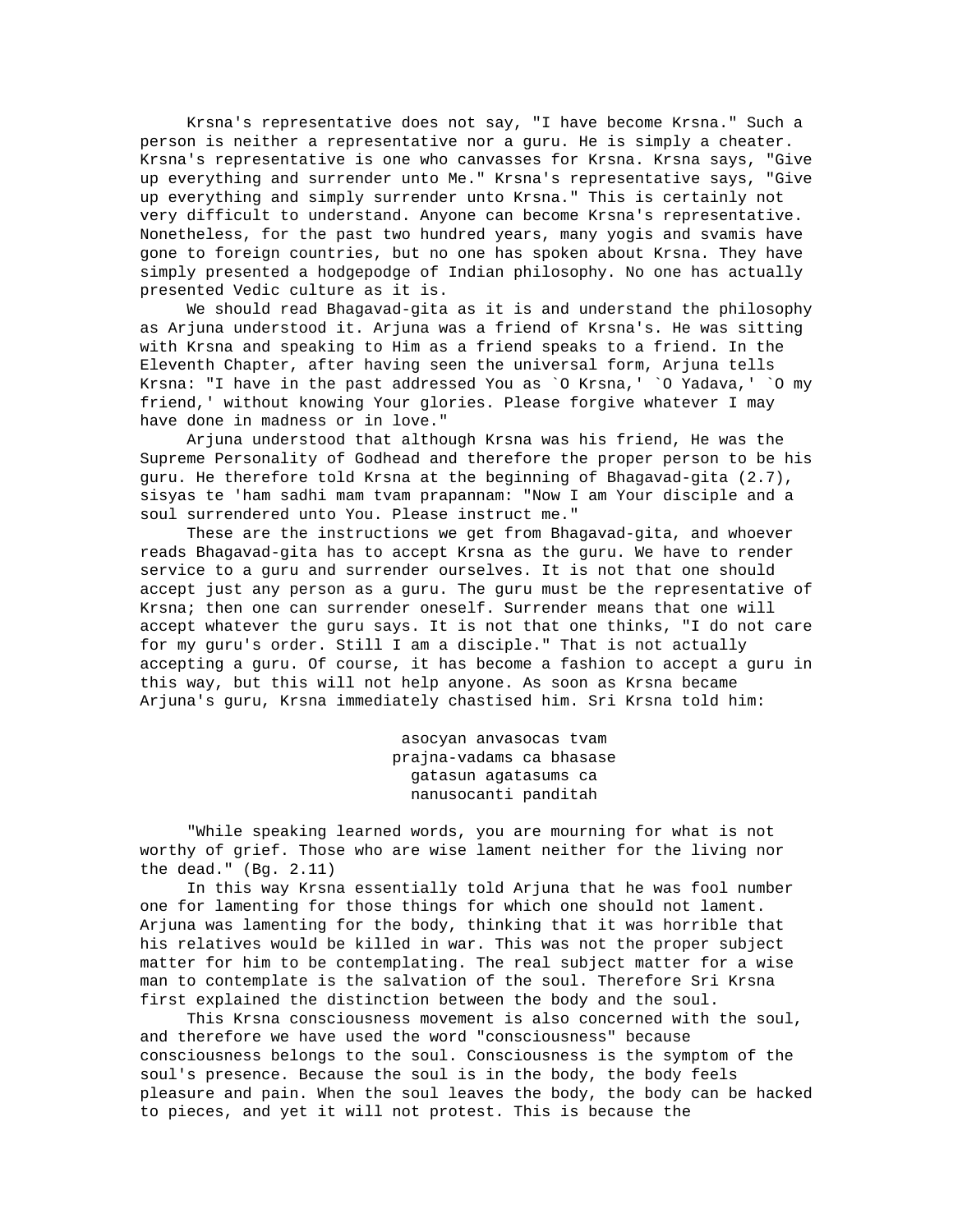Krsna's representative does not say, "I have become Krsna." Such a person is neither a representative nor a guru. He is simply a cheater. Krsna's representative is one who canvasses for Krsna. Krsna says, "Give up everything and surrender unto Me." Krsna's representative says, "Give up everything and simply surrender unto Krsna." This is certainly not very difficult to understand. Anyone can become Krsna's representative. Nonetheless, for the past two hundred years, many yogis and svamis have gone to foreign countries, but no one has spoken about Krsna. They have simply presented a hodgepodge of Indian philosophy. No one has actually presented Vedic culture as it is.

 We should read Bhagavad-gita as it is and understand the philosophy as Arjuna understood it. Arjuna was a friend of Krsna's. He was sitting with Krsna and speaking to Him as a friend speaks to a friend. In the Eleventh Chapter, after having seen the universal form, Arjuna tells Krsna: "I have in the past addressed You as `O Krsna,' `O Yadava,' `O my friend,' without knowing Your glories. Please forgive whatever I may have done in madness or in love."

 Arjuna understood that although Krsna was his friend, He was the Supreme Personality of Godhead and therefore the proper person to be his guru. He therefore told Krsna at the beginning of Bhagavad-gita (2.7), sisyas te 'ham sadhi mam tvam prapannam: "Now I am Your disciple and a soul surrendered unto You. Please instruct me."

 These are the instructions we get from Bhagavad-gita, and whoever reads Bhagavad-gita has to accept Krsna as the guru. We have to render service to a guru and surrender ourselves. It is not that one should accept just any person as a guru. The guru must be the representative of Krsna; then one can surrender oneself. Surrender means that one will accept whatever the guru says. It is not that one thinks, "I do not care for my guru's order. Still I am a disciple." That is not actually accepting a guru. Of course, it has become a fashion to accept a guru in this way, but this will not help anyone. As soon as Krsna became Arjuna's guru, Krsna immediately chastised him. Sri Krsna told him:

> asocyan anvasocas tvam prajna-vadams ca bhasase gatasun agatasums ca nanusocanti panditah

 "While speaking learned words, you are mourning for what is not worthy of grief. Those who are wise lament neither for the living nor the dead." (Bg. 2.11)

 In this way Krsna essentially told Arjuna that he was fool number one for lamenting for those things for which one should not lament. Arjuna was lamenting for the body, thinking that it was horrible that his relatives would be killed in war. This was not the proper subject matter for him to be contemplating. The real subject matter for a wise man to contemplate is the salvation of the soul. Therefore Sri Krsna first explained the distinction between the body and the soul.

 This Krsna consciousness movement is also concerned with the soul, and therefore we have used the word "consciousness" because consciousness belongs to the soul. Consciousness is the symptom of the soul's presence. Because the soul is in the body, the body feels pleasure and pain. When the soul leaves the body, the body can be hacked to pieces, and yet it will not protest. This is because the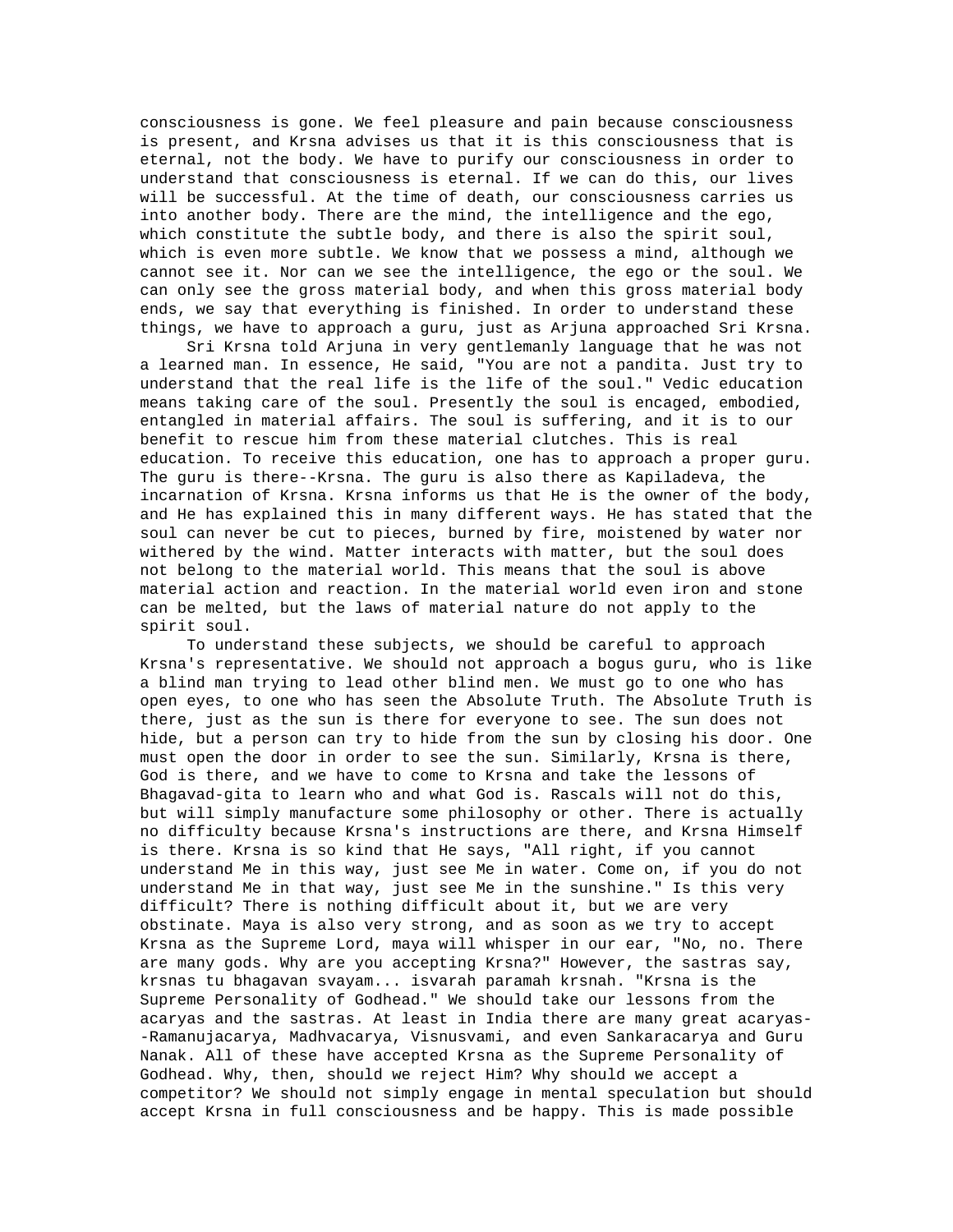consciousness is gone. We feel pleasure and pain because consciousness is present, and Krsna advises us that it is this consciousness that is eternal, not the body. We have to purify our consciousness in order to understand that consciousness is eternal. If we can do this, our lives will be successful. At the time of death, our consciousness carries us into another body. There are the mind, the intelligence and the ego, which constitute the subtle body, and there is also the spirit soul, which is even more subtle. We know that we possess a mind, although we cannot see it. Nor can we see the intelligence, the ego or the soul. We can only see the gross material body, and when this gross material body ends, we say that everything is finished. In order to understand these things, we have to approach a guru, just as Arjuna approached Sri Krsna.

 Sri Krsna told Arjuna in very gentlemanly language that he was not a learned man. In essence, He said, "You are not a pandita. Just try to understand that the real life is the life of the soul." Vedic education means taking care of the soul. Presently the soul is encaged, embodied, entangled in material affairs. The soul is suffering, and it is to our benefit to rescue him from these material clutches. This is real education. To receive this education, one has to approach a proper guru. The guru is there--Krsna. The guru is also there as Kapiladeva, the incarnation of Krsna. Krsna informs us that He is the owner of the body, and He has explained this in many different ways. He has stated that the soul can never be cut to pieces, burned by fire, moistened by water nor withered by the wind. Matter interacts with matter, but the soul does not belong to the material world. This means that the soul is above material action and reaction. In the material world even iron and stone can be melted, but the laws of material nature do not apply to the spirit soul.

 To understand these subjects, we should be careful to approach Krsna's representative. We should not approach a bogus guru, who is like a blind man trying to lead other blind men. We must go to one who has open eyes, to one who has seen the Absolute Truth. The Absolute Truth is there, just as the sun is there for everyone to see. The sun does not hide, but a person can try to hide from the sun by closing his door. One must open the door in order to see the sun. Similarly, Krsna is there, God is there, and we have to come to Krsna and take the lessons of Bhagavad-gita to learn who and what God is. Rascals will not do this, but will simply manufacture some philosophy or other. There is actually no difficulty because Krsna's instructions are there, and Krsna Himself is there. Krsna is so kind that He says, "All right, if you cannot understand Me in this way, just see Me in water. Come on, if you do not understand Me in that way, just see Me in the sunshine." Is this very difficult? There is nothing difficult about it, but we are very obstinate. Maya is also very strong, and as soon as we try to accept Krsna as the Supreme Lord, maya will whisper in our ear, "No, no. There are many gods. Why are you accepting Krsna?" However, the sastras say, krsnas tu bhagavan svayam... isvarah paramah krsnah. "Krsna is the Supreme Personality of Godhead." We should take our lessons from the acaryas and the sastras. At least in India there are many great acaryas- -Ramanujacarya, Madhvacarya, Visnusvami, and even Sankaracarya and Guru Nanak. All of these have accepted Krsna as the Supreme Personality of Godhead. Why, then, should we reject Him? Why should we accept a competitor? We should not simply engage in mental speculation but should accept Krsna in full consciousness and be happy. This is made possible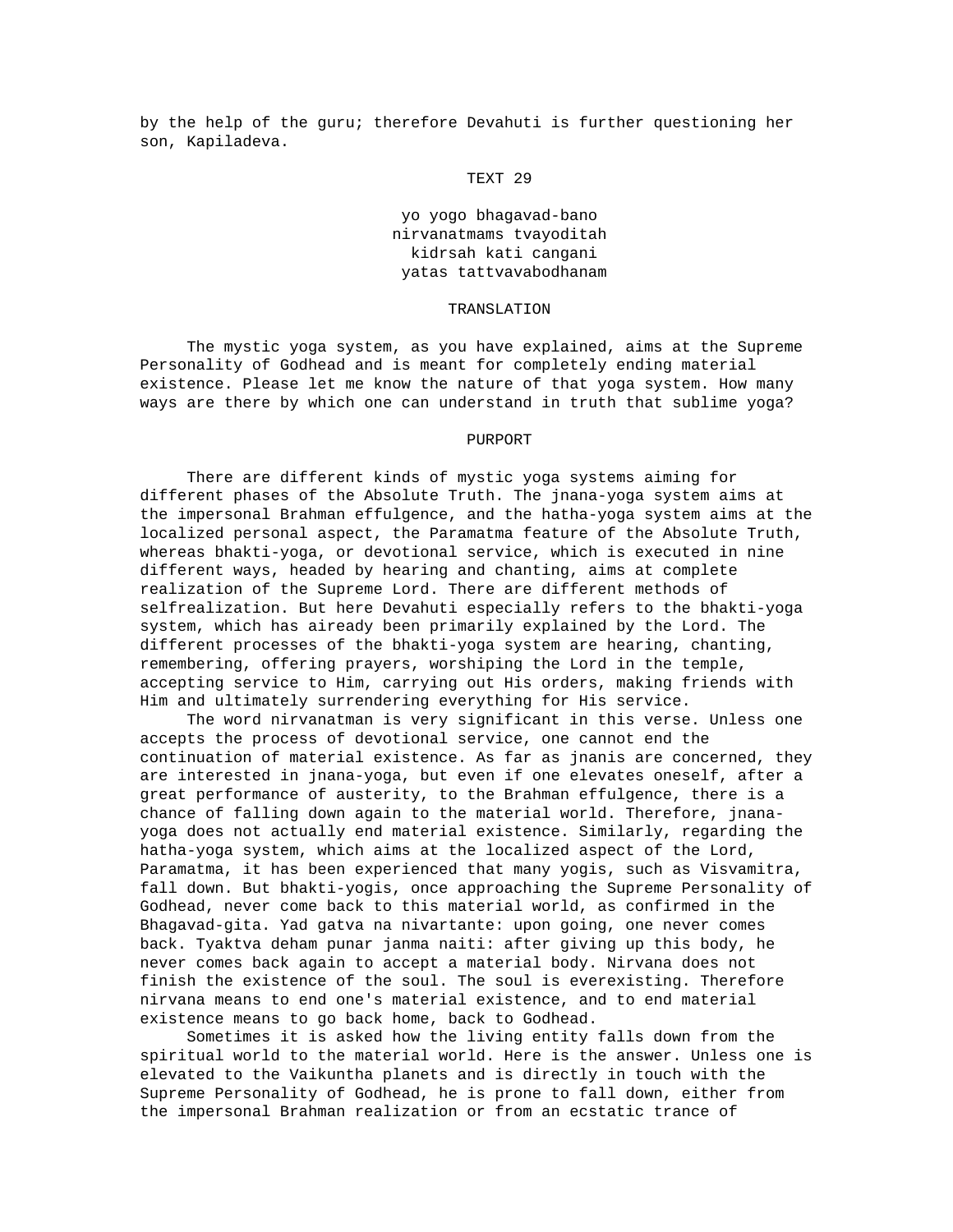by the help of the guru; therefore Devahuti is further questioning her son, Kapiladeva.

## TEXT 29

# yo yogo bhagavad-bano nirvanatmams tvayoditah kidrsah kati cangani yatas tattvavabodhanam

## TRANSLATION

 The mystic yoga system, as you have explained, aims at the Supreme Personality of Godhead and is meant for completely ending material existence. Please let me know the nature of that yoga system. How many ways are there by which one can understand in truth that sublime yoga?

## PURPORT

 There are different kinds of mystic yoga systems aiming for different phases of the Absolute Truth. The jnana-yoga system aims at the impersonal Brahman effulgence, and the hatha-yoga system aims at the localized personal aspect, the Paramatma feature of the Absolute Truth, whereas bhakti-yoga, or devotional service, which is executed in nine different ways, headed by hearing and chanting, aims at complete realization of the Supreme Lord. There are different methods of selfrealization. But here Devahuti especially refers to the bhakti-yoga system, which has aiready been primarily explained by the Lord. The different processes of the bhakti-yoga system are hearing, chanting, remembering, offering prayers, worshiping the Lord in the temple, accepting service to Him, carrying out His orders, making friends with Him and ultimately surrendering everything for His service.

 The word nirvanatman is very significant in this verse. Unless one accepts the process of devotional service, one cannot end the continuation of material existence. As far as jnanis are concerned, they are interested in jnana-yoga, but even if one elevates oneself, after a great performance of austerity, to the Brahman effulgence, there is a chance of falling down again to the material world. Therefore, jnanayoga does not actually end material existence. Similarly, regarding the hatha-yoga system, which aims at the localized aspect of the Lord, Paramatma, it has been experienced that many yogis, such as Visvamitra, fall down. But bhakti-yogis, once approaching the Supreme Personality of Godhead, never come back to this material world, as confirmed in the Bhagavad-gita. Yad gatva na nivartante: upon going, one never comes back. Tyaktva deham punar janma naiti: after giving up this body, he never comes back again to accept a material body. Nirvana does not finish the existence of the soul. The soul is everexisting. Therefore nirvana means to end one's material existence, and to end material existence means to go back home, back to Godhead.

 Sometimes it is asked how the living entity falls down from the spiritual world to the material world. Here is the answer. Unless one is elevated to the Vaikuntha planets and is directly in touch with the Supreme Personality of Godhead, he is prone to fall down, either from the impersonal Brahman realization or from an ecstatic trance of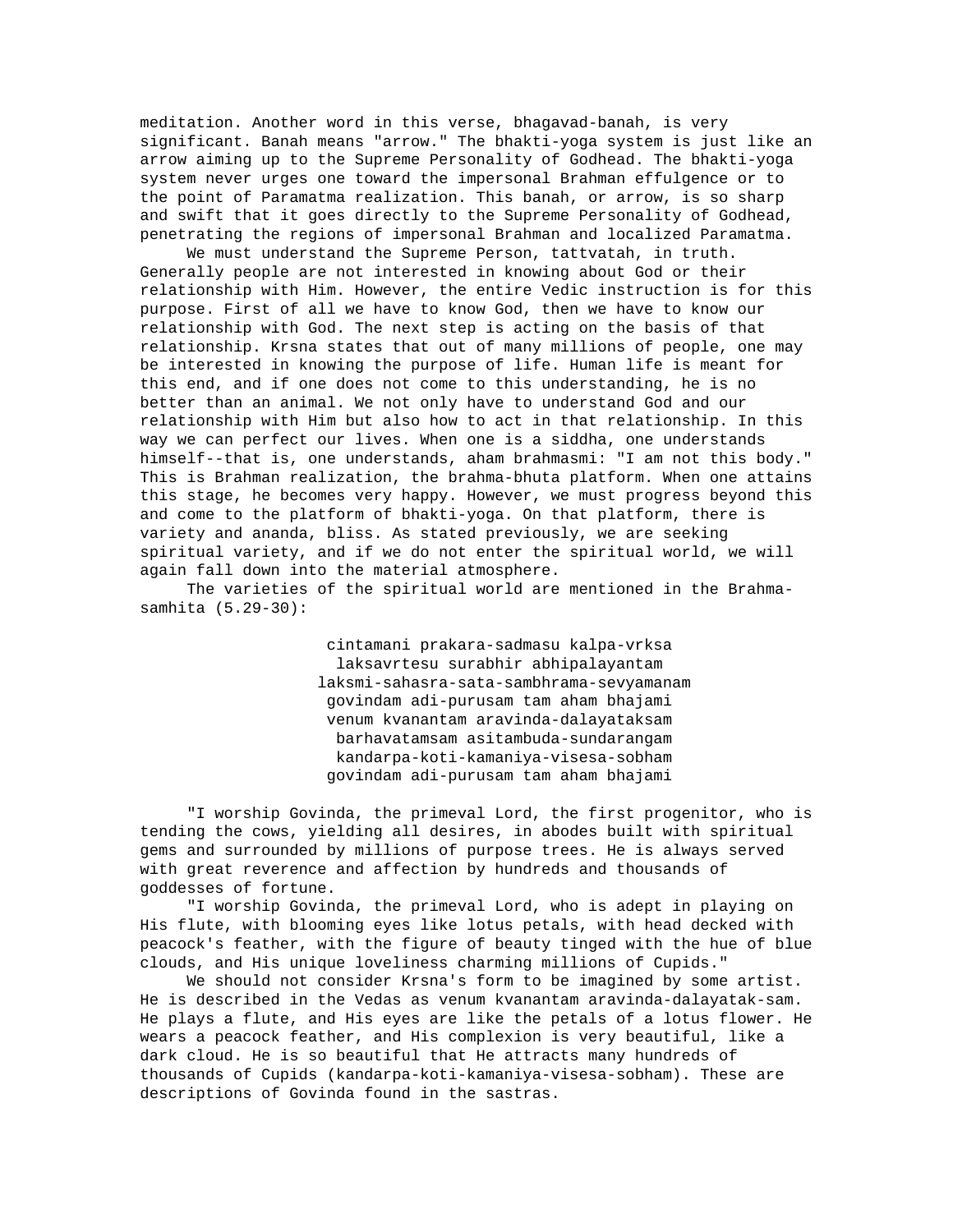meditation. Another word in this verse, bhagavad-banah, is very significant. Banah means "arrow." The bhakti-yoga system is just like an arrow aiming up to the Supreme Personality of Godhead. The bhakti-yoga system never urges one toward the impersonal Brahman effulgence or to the point of Paramatma realization. This banah, or arrow, is so sharp and swift that it goes directly to the Supreme Personality of Godhead, penetrating the regions of impersonal Brahman and localized Paramatma.

 We must understand the Supreme Person, tattvatah, in truth. Generally people are not interested in knowing about God or their relationship with Him. However, the entire Vedic instruction is for this purpose. First of all we have to know God, then we have to know our relationship with God. The next step is acting on the basis of that relationship. Krsna states that out of many millions of people, one may be interested in knowing the purpose of life. Human life is meant for this end, and if one does not come to this understanding, he is no better than an animal. We not only have to understand God and our relationship with Him but also how to act in that relationship. In this way we can perfect our lives. When one is a siddha, one understands himself--that is, one understands, aham brahmasmi: "I am not this body." This is Brahman realization, the brahma-bhuta platform. When one attains this stage, he becomes very happy. However, we must progress beyond this and come to the platform of bhakti-yoga. On that platform, there is variety and ananda, bliss. As stated previously, we are seeking spiritual variety, and if we do not enter the spiritual world, we will again fall down into the material atmosphere.

 The varieties of the spiritual world are mentioned in the Brahmasamhita (5.29-30):

> cintamani prakara-sadmasu kalpa-vrksa laksavrtesu surabhir abhipalayantam laksmi-sahasra-sata-sambhrama-sevyamanam govindam adi-purusam tam aham bhajami venum kvanantam aravinda-dalayataksam barhavatamsam asitambuda-sundarangam kandarpa-koti-kamaniya-visesa-sobham govindam adi-purusam tam aham bhajami

 "I worship Govinda, the primeval Lord, the first progenitor, who is tending the cows, yielding all desires, in abodes built with spiritual gems and surrounded by millions of purpose trees. He is always served with great reverence and affection by hundreds and thousands of goddesses of fortune.

 "I worship Govinda, the primeval Lord, who is adept in playing on His flute, with blooming eyes like lotus petals, with head decked with peacock's feather, with the figure of beauty tinged with the hue of blue clouds, and His unique loveliness charming millions of Cupids."

 We should not consider Krsna's form to be imagined by some artist. He is described in the Vedas as venum kvanantam aravinda-dalayatak-sam. He plays a flute, and His eyes are like the petals of a lotus flower. He wears a peacock feather, and His complexion is very beautiful, like a dark cloud. He is so beautiful that He attracts many hundreds of thousands of Cupids (kandarpa-koti-kamaniya-visesa-sobham). These are descriptions of Govinda found in the sastras.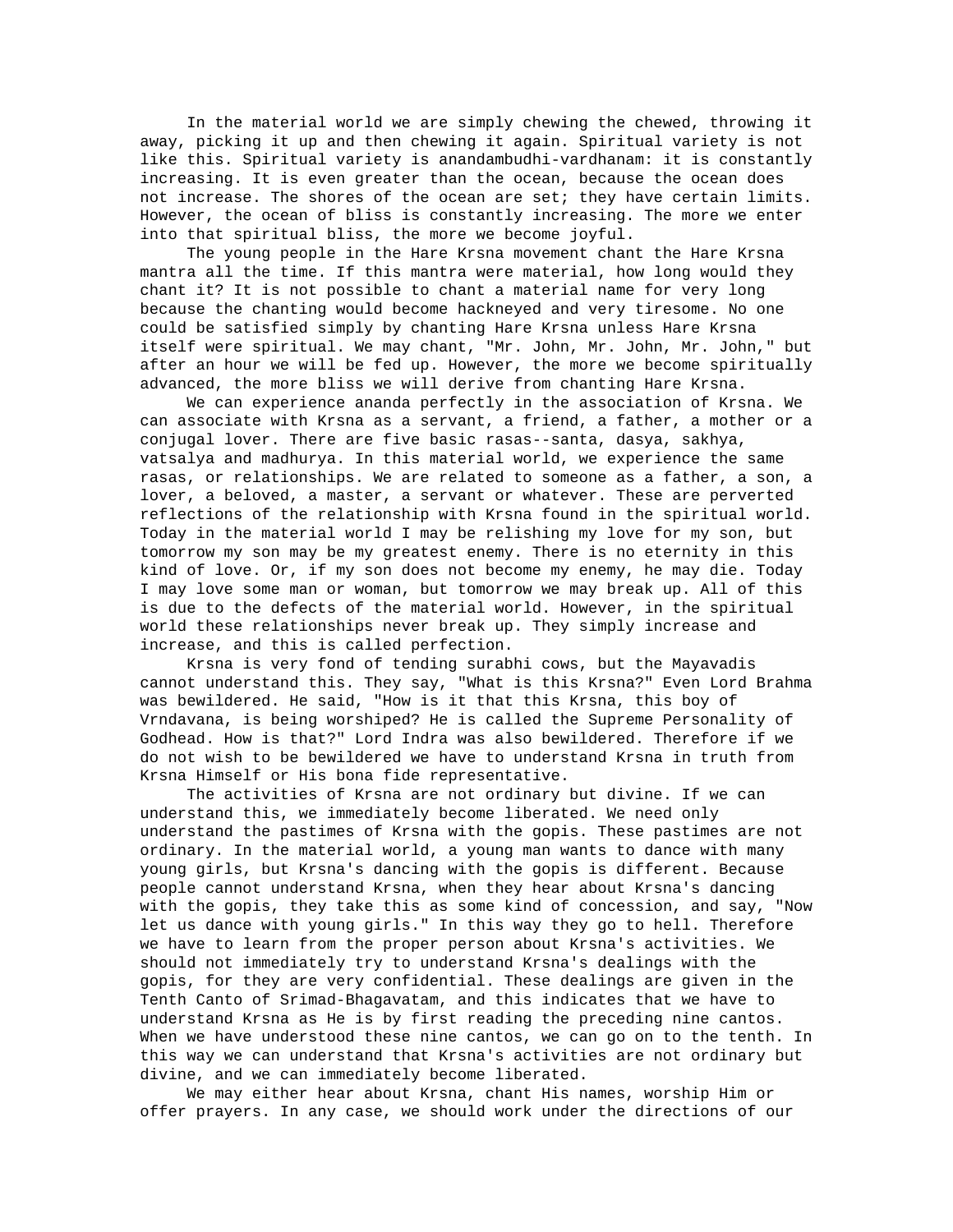In the material world we are simply chewing the chewed, throwing it away, picking it up and then chewing it again. Spiritual variety is not like this. Spiritual variety is anandambudhi-vardhanam: it is constantly increasing. It is even greater than the ocean, because the ocean does not increase. The shores of the ocean are set; they have certain limits. However, the ocean of bliss is constantly increasing. The more we enter into that spiritual bliss, the more we become joyful.

 The young people in the Hare Krsna movement chant the Hare Krsna mantra all the time. If this mantra were material, how long would they chant it? It is not possible to chant a material name for very long because the chanting would become hackneyed and very tiresome. No one could be satisfied simply by chanting Hare Krsna unless Hare Krsna itself were spiritual. We may chant, "Mr. John, Mr. John, Mr. John," but after an hour we will be fed up. However, the more we become spiritually advanced, the more bliss we will derive from chanting Hare Krsna.

 We can experience ananda perfectly in the association of Krsna. We can associate with Krsna as a servant, a friend, a father, a mother or a conjugal lover. There are five basic rasas--santa, dasya, sakhya, vatsalya and madhurya. In this material world, we experience the same rasas, or relationships. We are related to someone as a father, a son, a lover, a beloved, a master, a servant or whatever. These are perverted reflections of the relationship with Krsna found in the spiritual world. Today in the material world I may be relishing my love for my son, but tomorrow my son may be my greatest enemy. There is no eternity in this kind of love. Or, if my son does not become my enemy, he may die. Today I may love some man or woman, but tomorrow we may break up. All of this is due to the defects of the material world. However, in the spiritual world these relationships never break up. They simply increase and increase, and this is called perfection.

 Krsna is very fond of tending surabhi cows, but the Mayavadis cannot understand this. They say, "What is this Krsna?" Even Lord Brahma was bewildered. He said, "How is it that this Krsna, this boy of Vrndavana, is being worshiped? He is called the Supreme Personality of Godhead. How is that?" Lord Indra was also bewildered. Therefore if we do not wish to be bewildered we have to understand Krsna in truth from Krsna Himself or His bona fide representative.

 The activities of Krsna are not ordinary but divine. If we can understand this, we immediately become liberated. We need only understand the pastimes of Krsna with the gopis. These pastimes are not ordinary. In the material world, a young man wants to dance with many young girls, but Krsna's dancing with the gopis is different. Because people cannot understand Krsna, when they hear about Krsna's dancing with the gopis, they take this as some kind of concession, and say, "Now let us dance with young girls." In this way they go to hell. Therefore we have to learn from the proper person about Krsna's activities. We should not immediately try to understand Krsna's dealings with the gopis, for they are very confidential. These dealings are given in the Tenth Canto of Srimad-Bhagavatam, and this indicates that we have to understand Krsna as He is by first reading the preceding nine cantos. When we have understood these nine cantos, we can go on to the tenth. In this way we can understand that Krsna's activities are not ordinary but divine, and we can immediately become liberated.

 We may either hear about Krsna, chant His names, worship Him or offer prayers. In any case, we should work under the directions of our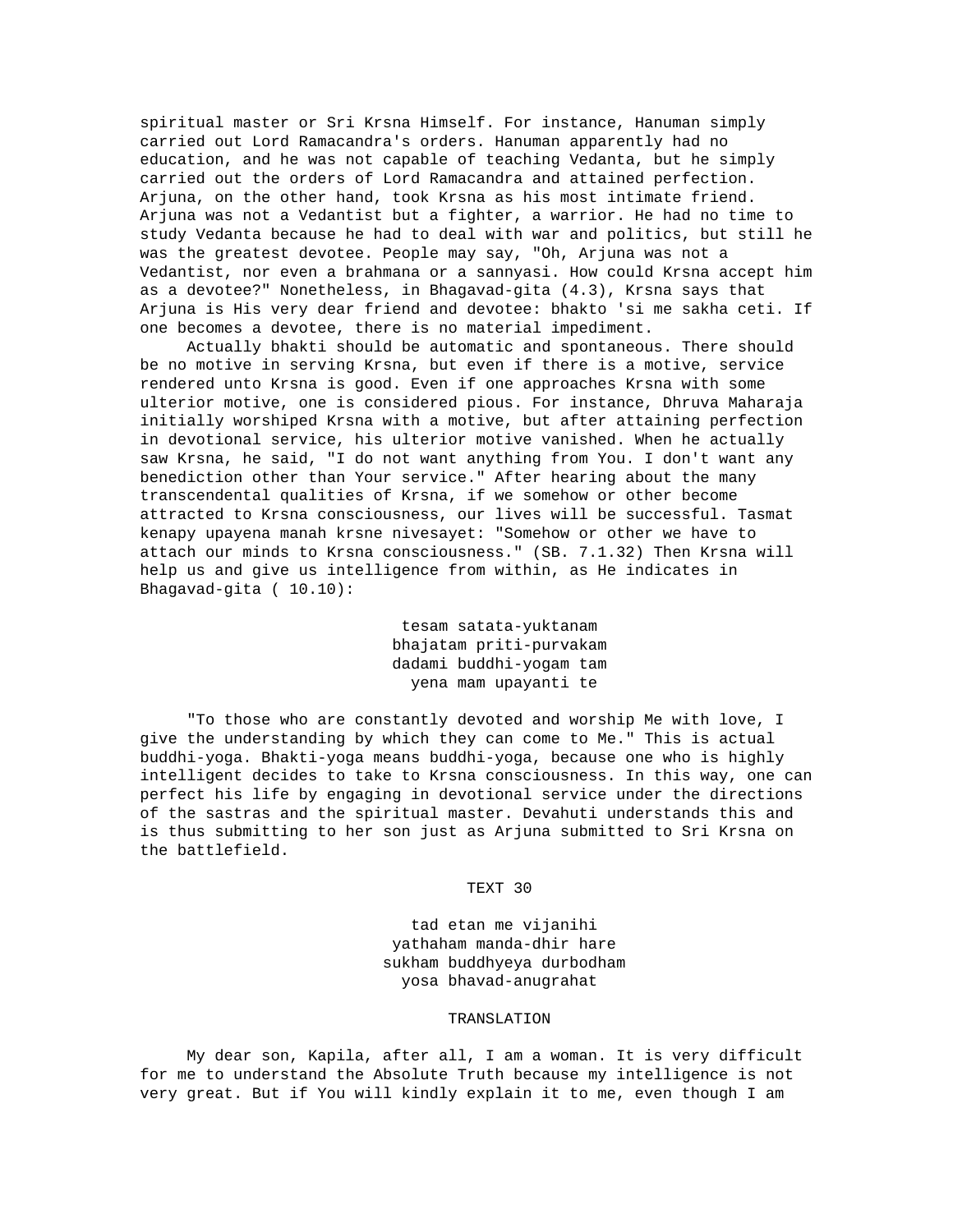spiritual master or Sri Krsna Himself. For instance, Hanuman simply carried out Lord Ramacandra's orders. Hanuman apparently had no education, and he was not capable of teaching Vedanta, but he simply carried out the orders of Lord Ramacandra and attained perfection. Arjuna, on the other hand, took Krsna as his most intimate friend. Arjuna was not a Vedantist but a fighter, a warrior. He had no time to study Vedanta because he had to deal with war and politics, but still he was the greatest devotee. People may say, "Oh, Arjuna was not a Vedantist, nor even a brahmana or a sannyasi. How could Krsna accept him as a devotee?" Nonetheless, in Bhagavad-gita (4.3), Krsna says that Arjuna is His very dear friend and devotee: bhakto 'si me sakha ceti. If one becomes a devotee, there is no material impediment.

 Actually bhakti should be automatic and spontaneous. There should be no motive in serving Krsna, but even if there is a motive, service rendered unto Krsna is good. Even if one approaches Krsna with some ulterior motive, one is considered pious. For instance, Dhruva Maharaja initially worshiped Krsna with a motive, but after attaining perfection in devotional service, his ulterior motive vanished. When he actually saw Krsna, he said, "I do not want anything from You. I don't want any benediction other than Your service." After hearing about the many transcendental qualities of Krsna, if we somehow or other become attracted to Krsna consciousness, our lives will be successful. Tasmat kenapy upayena manah krsne nivesayet: "Somehow or other we have to attach our minds to Krsna consciousness." (SB. 7.1.32) Then Krsna will help us and give us intelligence from within, as He indicates in Bhagavad-gita ( 10.10):

> tesam satata-yuktanam bhajatam priti-purvakam dadami buddhi-yogam tam yena mam upayanti te

 "To those who are constantly devoted and worship Me with love, I give the understanding by which they can come to Me." This is actual buddhi-yoga. Bhakti-yoga means buddhi-yoga, because one who is highly intelligent decides to take to Krsna consciousness. In this way, one can perfect his life by engaging in devotional service under the directions of the sastras and the spiritual master. Devahuti understands this and is thus submitting to her son just as Arjuna submitted to Sri Krsna on the battlefield.

TEXT 30

 tad etan me vijanihi yathaham manda-dhir hare sukham buddhyeya durbodham yosa bhavad-anugrahat

## TRANSLATION

 My dear son, Kapila, after all, I am a woman. It is very difficult for me to understand the Absolute Truth because my intelligence is not very great. But if You will kindly explain it to me, even though I am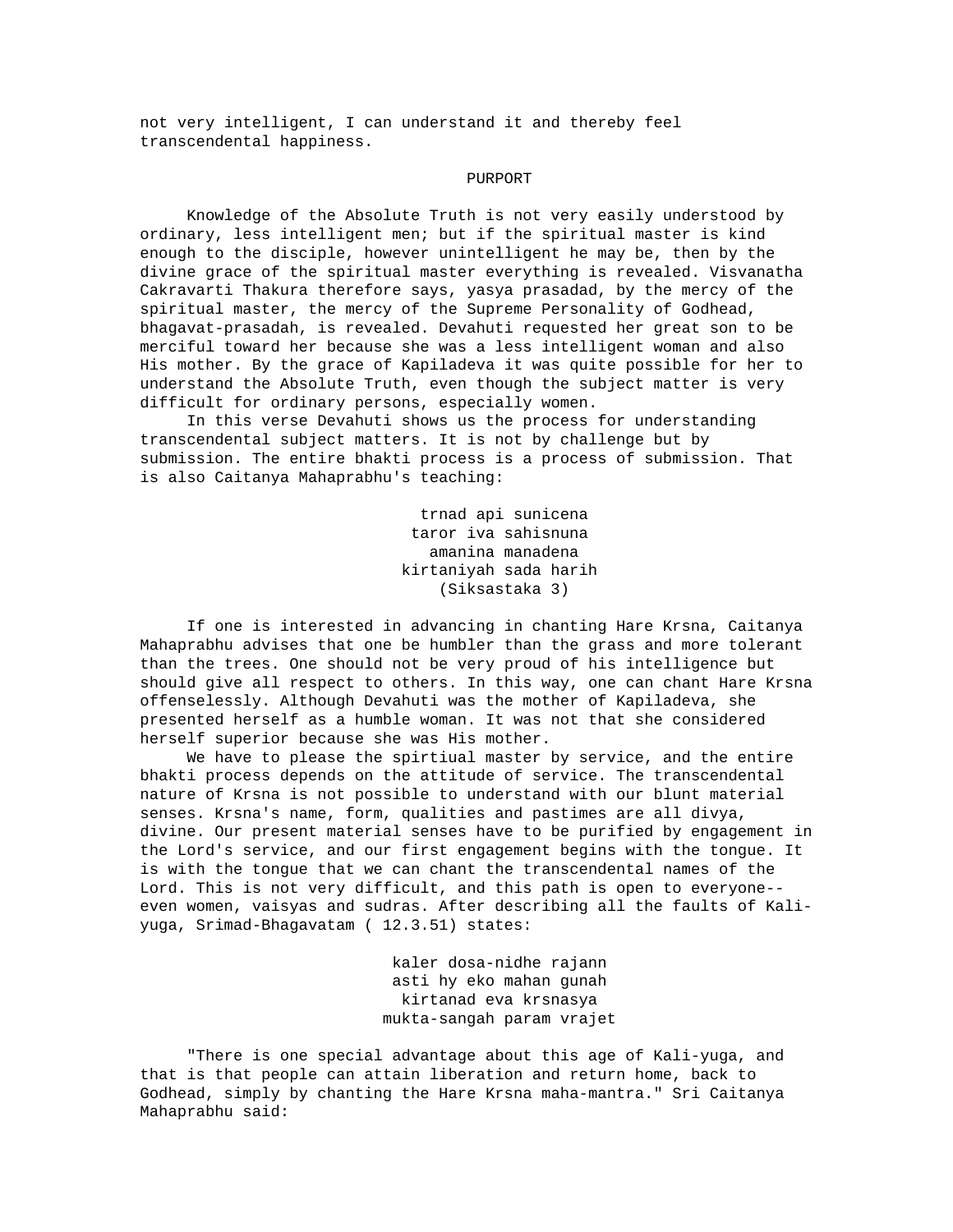not very intelligent, I can understand it and thereby feel transcendental happiness.

## PURPORT

 Knowledge of the Absolute Truth is not very easily understood by ordinary, less intelligent men; but if the spiritual master is kind enough to the disciple, however unintelligent he may be, then by the divine grace of the spiritual master everything is revealed. Visvanatha Cakravarti Thakura therefore says, yasya prasadad, by the mercy of the spiritual master, the mercy of the Supreme Personality of Godhead, bhagavat-prasadah, is revealed. Devahuti requested her great son to be merciful toward her because she was a less intelligent woman and also His mother. By the grace of Kapiladeva it was quite possible for her to understand the Absolute Truth, even though the subject matter is very difficult for ordinary persons, especially women.

 In this verse Devahuti shows us the process for understanding transcendental subject matters. It is not by challenge but by submission. The entire bhakti process is a process of submission. That is also Caitanya Mahaprabhu's teaching:

> trnad api sunicena taror iva sahisnuna amanina manadena kirtaniyah sada harih (Siksastaka 3)

 If one is interested in advancing in chanting Hare Krsna, Caitanya Mahaprabhu advises that one be humbler than the grass and more tolerant than the trees. One should not be very proud of his intelligence but should give all respect to others. In this way, one can chant Hare Krsna offenselessly. Although Devahuti was the mother of Kapiladeva, she presented herself as a humble woman. It was not that she considered herself superior because she was His mother.

 We have to please the spirtiual master by service, and the entire bhakti process depends on the attitude of service. The transcendental nature of Krsna is not possible to understand with our blunt material senses. Krsna's name, form, qualities and pastimes are all divya, divine. Our present material senses have to be purified by engagement in the Lord's service, and our first engagement begins with the tongue. It is with the tongue that we can chant the transcendental names of the Lord. This is not very difficult, and this path is open to everyone- even women, vaisyas and sudras. After describing all the faults of Kaliyuga, Srimad-Bhagavatam ( 12.3.51) states:

> kaler dosa-nidhe rajann asti hy eko mahan gunah kirtanad eva krsnasya mukta-sangah param vrajet

 "There is one special advantage about this age of Kali-yuga, and that is that people can attain liberation and return home, back to Godhead, simply by chanting the Hare Krsna maha-mantra." Sri Caitanya Mahaprabhu said: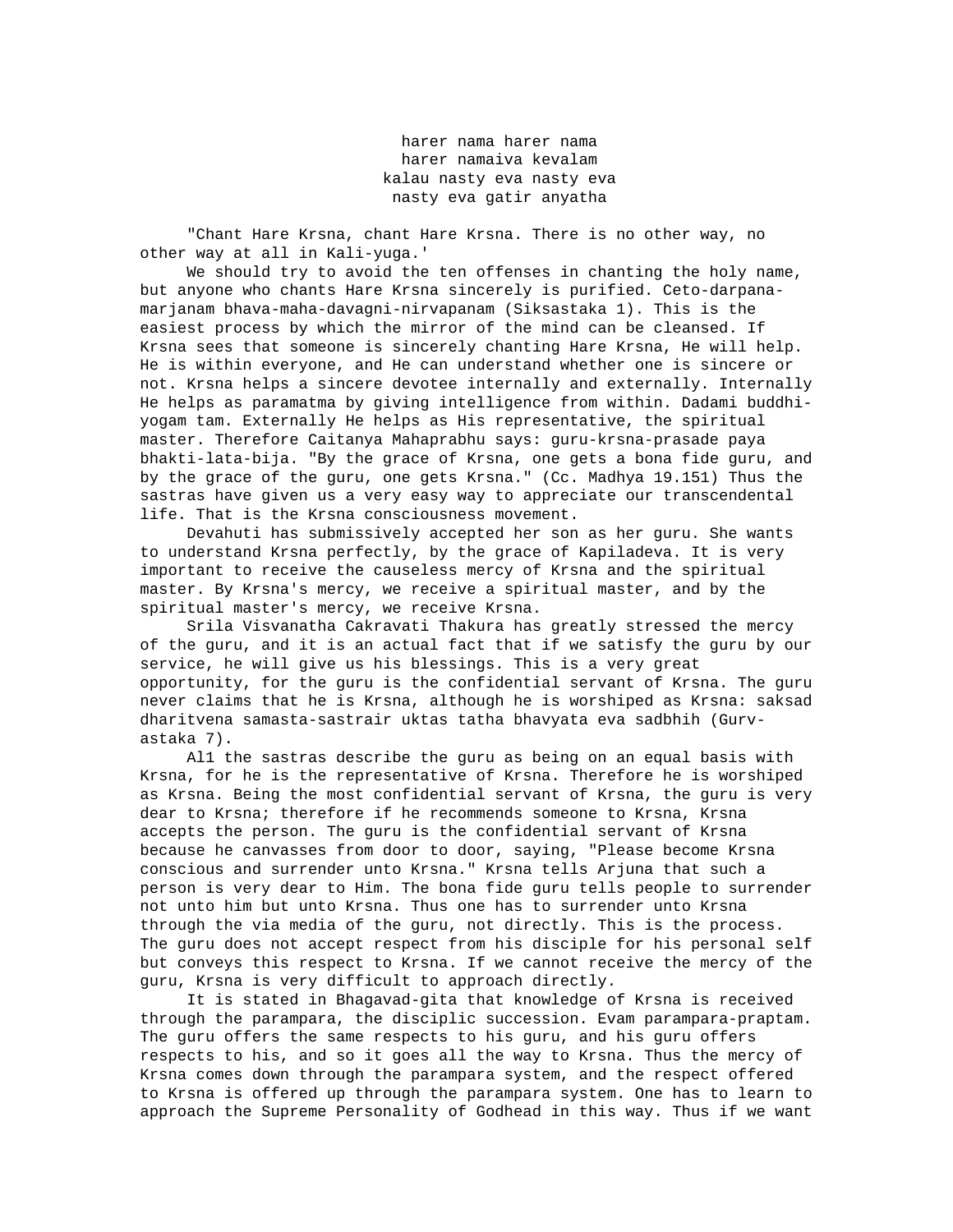harer nama harer nama harer namaiva kevalam kalau nasty eva nasty eva nasty eva gatir anyatha

 "Chant Hare Krsna, chant Hare Krsna. There is no other way, no other way at all in Kali-yuga.'

 We should try to avoid the ten offenses in chanting the holy name, but anyone who chants Hare Krsna sincerely is purified. Ceto-darpanamarjanam bhava-maha-davagni-nirvapanam (Siksastaka 1). This is the easiest process by which the mirror of the mind can be cleansed. If Krsna sees that someone is sincerely chanting Hare Krsna, He will help. He is within everyone, and He can understand whether one is sincere or not. Krsna helps a sincere devotee internally and externally. Internally He helps as paramatma by giving intelligence from within. Dadami buddhiyogam tam. Externally He helps as His representative, the spiritual master. Therefore Caitanya Mahaprabhu says: guru-krsna-prasade paya bhakti-lata-bija. "By the grace of Krsna, one gets a bona fide guru, and by the grace of the guru, one gets Krsna." (Cc. Madhya 19.151) Thus the sastras have given us a very easy way to appreciate our transcendental life. That is the Krsna consciousness movement.

 Devahuti has submissively accepted her son as her guru. She wants to understand Krsna perfectly, by the grace of Kapiladeva. It is very important to receive the causeless mercy of Krsna and the spiritual master. By Krsna's mercy, we receive a spiritual master, and by the spiritual master's mercy, we receive Krsna.

 Srila Visvanatha Cakravati Thakura has greatly stressed the mercy of the guru, and it is an actual fact that if we satisfy the guru by our service, he will give us his blessings. This is a very great opportunity, for the guru is the confidential servant of Krsna. The guru never claims that he is Krsna, although he is worshiped as Krsna: saksad dharitvena samasta-sastrair uktas tatha bhavyata eva sadbhih (Gurvastaka 7).

 Al1 the sastras describe the guru as being on an equal basis with Krsna, for he is the representative of Krsna. Therefore he is worshiped as Krsna. Being the most confidential servant of Krsna, the guru is very dear to Krsna; therefore if he recommends someone to Krsna, Krsna accepts the person. The guru is the confidential servant of Krsna because he canvasses from door to door, saying, "Please become Krsna conscious and surrender unto Krsna." Krsna tells Arjuna that such a person is very dear to Him. The bona fide guru tells people to surrender not unto him but unto Krsna. Thus one has to surrender unto Krsna through the via media of the guru, not directly. This is the process. The guru does not accept respect from his disciple for his personal self but conveys this respect to Krsna. If we cannot receive the mercy of the guru, Krsna is very difficult to approach directly.

 It is stated in Bhagavad-gita that knowledge of Krsna is received through the parampara, the disciplic succession. Evam parampara-praptam. The guru offers the same respects to his guru, and his guru offers respects to his, and so it goes all the way to Krsna. Thus the mercy of Krsna comes down through the parampara system, and the respect offered to Krsna is offered up through the parampara system. One has to learn to approach the Supreme Personality of Godhead in this way. Thus if we want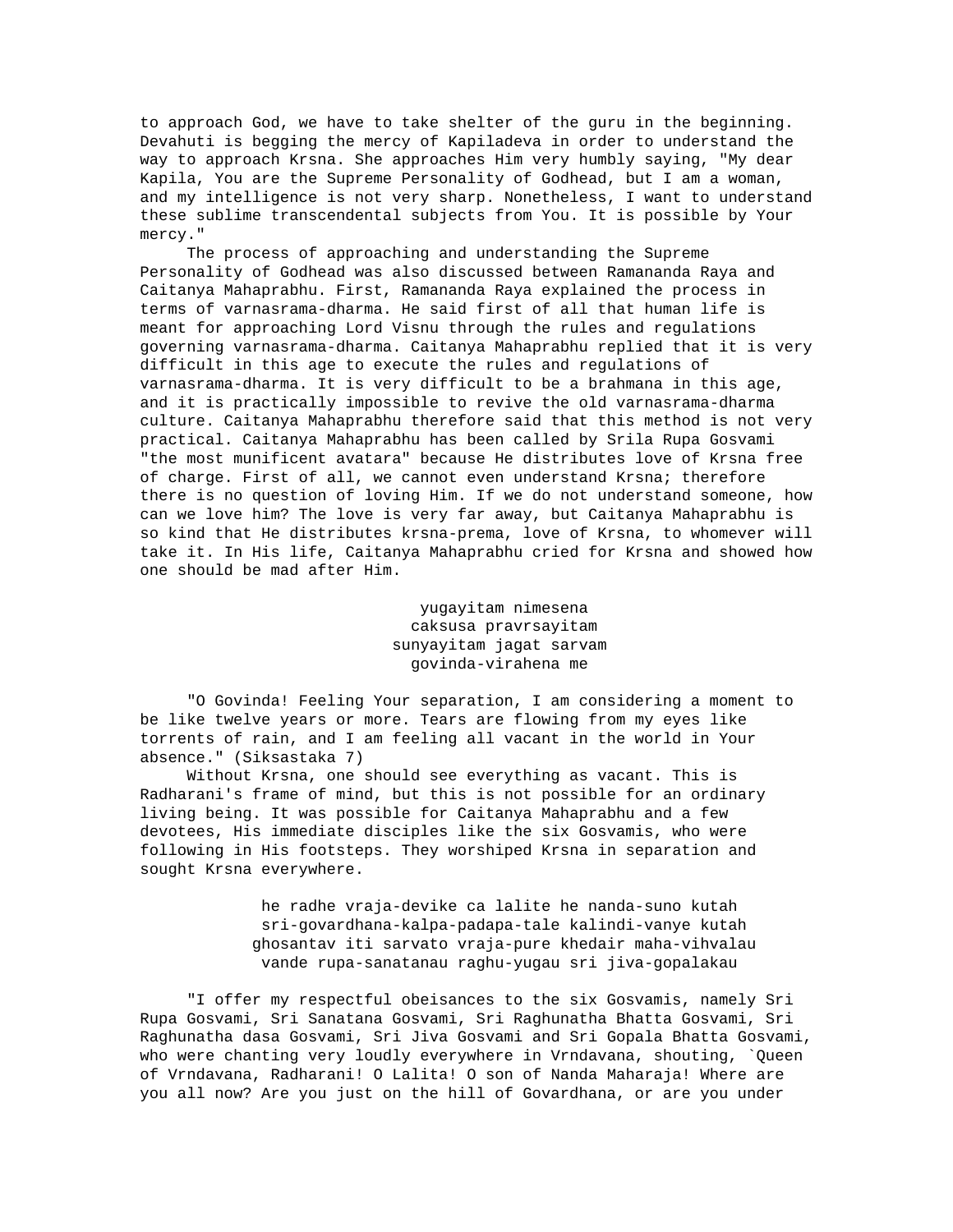to approach God, we have to take shelter of the guru in the beginning. Devahuti is begging the mercy of Kapiladeva in order to understand the way to approach Krsna. She approaches Him very humbly saying, "My dear Kapila, You are the Supreme Personality of Godhead, but I am a woman, and my intelligence is not very sharp. Nonetheless, I want to understand these sublime transcendental subjects from You. It is possible by Your mercy."

 The process of approaching and understanding the Supreme Personality of Godhead was also discussed between Ramananda Raya and Caitanya Mahaprabhu. First, Ramananda Raya explained the process in terms of varnasrama-dharma. He said first of all that human life is meant for approaching Lord Visnu through the rules and regulations governing varnasrama-dharma. Caitanya Mahaprabhu replied that it is very difficult in this age to execute the rules and regulations of varnasrama-dharma. It is very difficult to be a brahmana in this age, and it is practically impossible to revive the old varnasrama-dharma culture. Caitanya Mahaprabhu therefore said that this method is not very practical. Caitanya Mahaprabhu has been called by Srila Rupa Gosvami "the most munificent avatara" because He distributes love of Krsna free of charge. First of all, we cannot even understand Krsna; therefore there is no question of loving Him. If we do not understand someone, how can we love him? The love is very far away, but Caitanya Mahaprabhu is so kind that He distributes krsna-prema, love of Krsna, to whomever will take it. In His life, Caitanya Mahaprabhu cried for Krsna and showed how one should be mad after Him.

> yugayitam nimesena caksusa pravrsayitam sunyayitam jagat sarvam govinda-virahena me

 "O Govinda! Feeling Your separation, I am considering a moment to be like twelve years or more. Tears are flowing from my eyes like torrents of rain, and I am feeling all vacant in the world in Your absence." (Siksastaka 7)

 Without Krsna, one should see everything as vacant. This is Radharani's frame of mind, but this is not possible for an ordinary living being. It was possible for Caitanya Mahaprabhu and a few devotees, His immediate disciples like the six Gosvamis, who were following in His footsteps. They worshiped Krsna in separation and sought Krsna everywhere.

> he radhe vraja-devike ca lalite he nanda-suno kutah sri-govardhana-kalpa-padapa-tale kalindi-vanye kutah ghosantav iti sarvato vraja-pure khedair maha-vihvalau vande rupa-sanatanau raghu-yugau sri jiva-gopalakau

 "I offer my respectful obeisances to the six Gosvamis, namely Sri Rupa Gosvami, Sri Sanatana Gosvami, Sri Raghunatha Bhatta Gosvami, Sri Raghunatha dasa Gosvami, Sri Jiva Gosvami and Sri Gopala Bhatta Gosvami, who were chanting very loudly everywhere in Vrndavana, shouting, `Oueen of Vrndavana, Radharani! O Lalita! O son of Nanda Maharaja! Where are you all now? Are you just on the hill of Govardhana, or are you under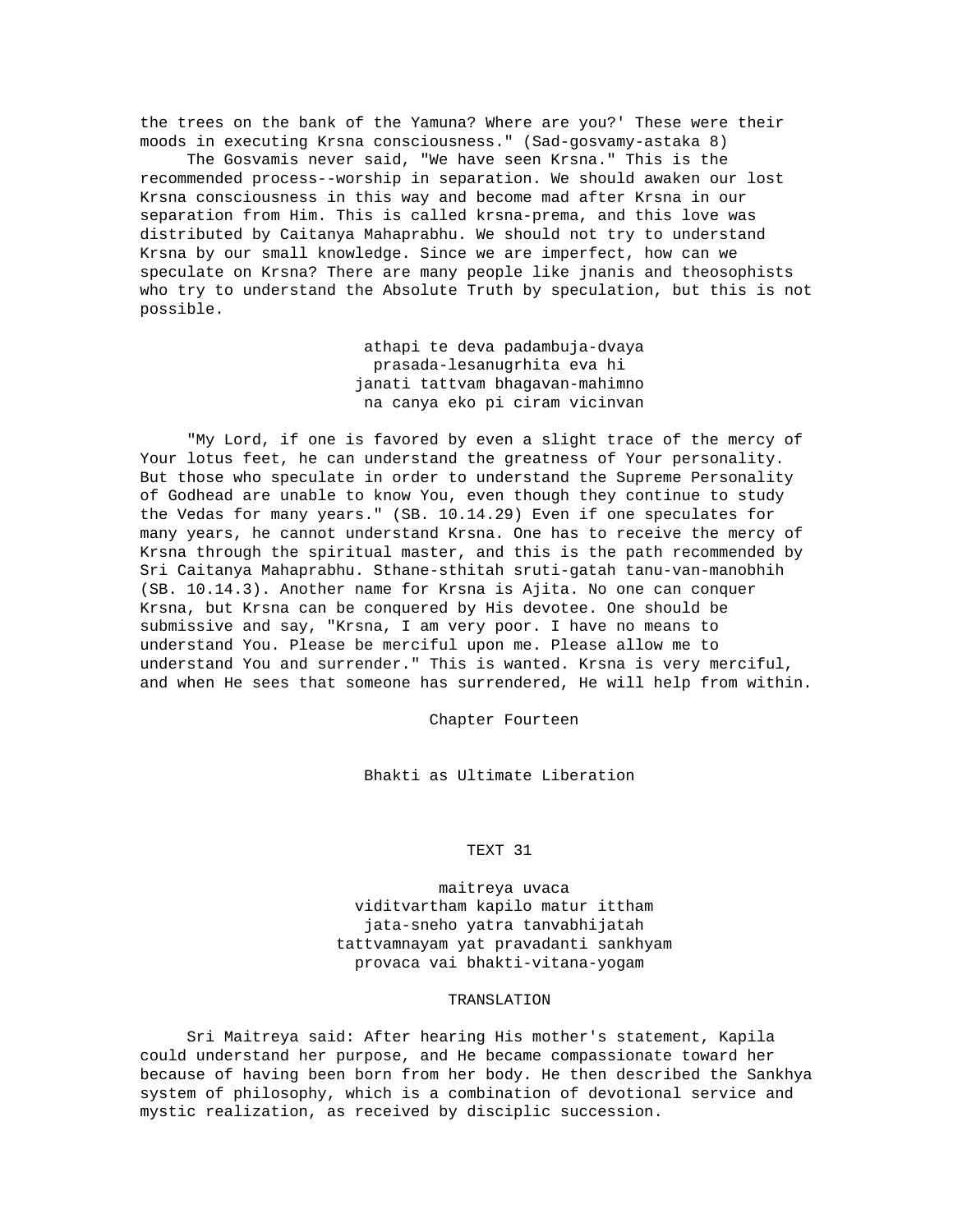the trees on the bank of the Yamuna? Where are you?' These were their moods in executing Krsna consciousness." (Sad-gosvamy-astaka 8)

 The Gosvamis never said, "We have seen Krsna." This is the recommended process--worship in separation. We should awaken our lost Krsna consciousness in this way and become mad after Krsna in our separation from Him. This is called krsna-prema, and this love was distributed by Caitanya Mahaprabhu. We should not try to understand Krsna by our small knowledge. Since we are imperfect, how can we speculate on Krsna? There are many people like jnanis and theosophists who try to understand the Absolute Truth by speculation, but this is not possible.

> athapi te deva padambuja-dvaya prasada-lesanugrhita eva hi janati tattvam bhagavan-mahimno na canya eko pi ciram vicinvan

 "My Lord, if one is favored by even a slight trace of the mercy of Your lotus feet, he can understand the greatness of Your personality. But those who speculate in order to understand the Supreme Personality of Godhead are unable to know You, even though they continue to study the Vedas for many years." (SB. 10.14.29) Even if one speculates for many years, he cannot understand Krsna. One has to receive the mercy of Krsna through the spiritual master, and this is the path recommended by Sri Caitanya Mahaprabhu. Sthane-sthitah sruti-gatah tanu-van-manobhih (SB. 10.14.3). Another name for Krsna is Ajita. No one can conquer Krsna, but Krsna can be conquered by His devotee. One should be submissive and say, "Krsna, I am very poor. I have no means to understand You. Please be merciful upon me. Please allow me to understand You and surrender." This is wanted. Krsna is very merciful, and when He sees that someone has surrendered, He will help from within.

Chapter Fourteen

Bhakti as Ultimate Liberation

#### TEXT 31

 maitreya uvaca viditvartham kapilo matur ittham jata-sneho yatra tanvabhijatah tattvamnayam yat pravadanti sankhyam provaca vai bhakti-vitana-yogam

## TRANSLATION

 Sri Maitreya said: After hearing His mother's statement, Kapila could understand her purpose, and He became compassionate toward her because of having been born from her body. He then described the Sankhya system of philosophy, which is a combination of devotional service and mystic realization, as received by disciplic succession.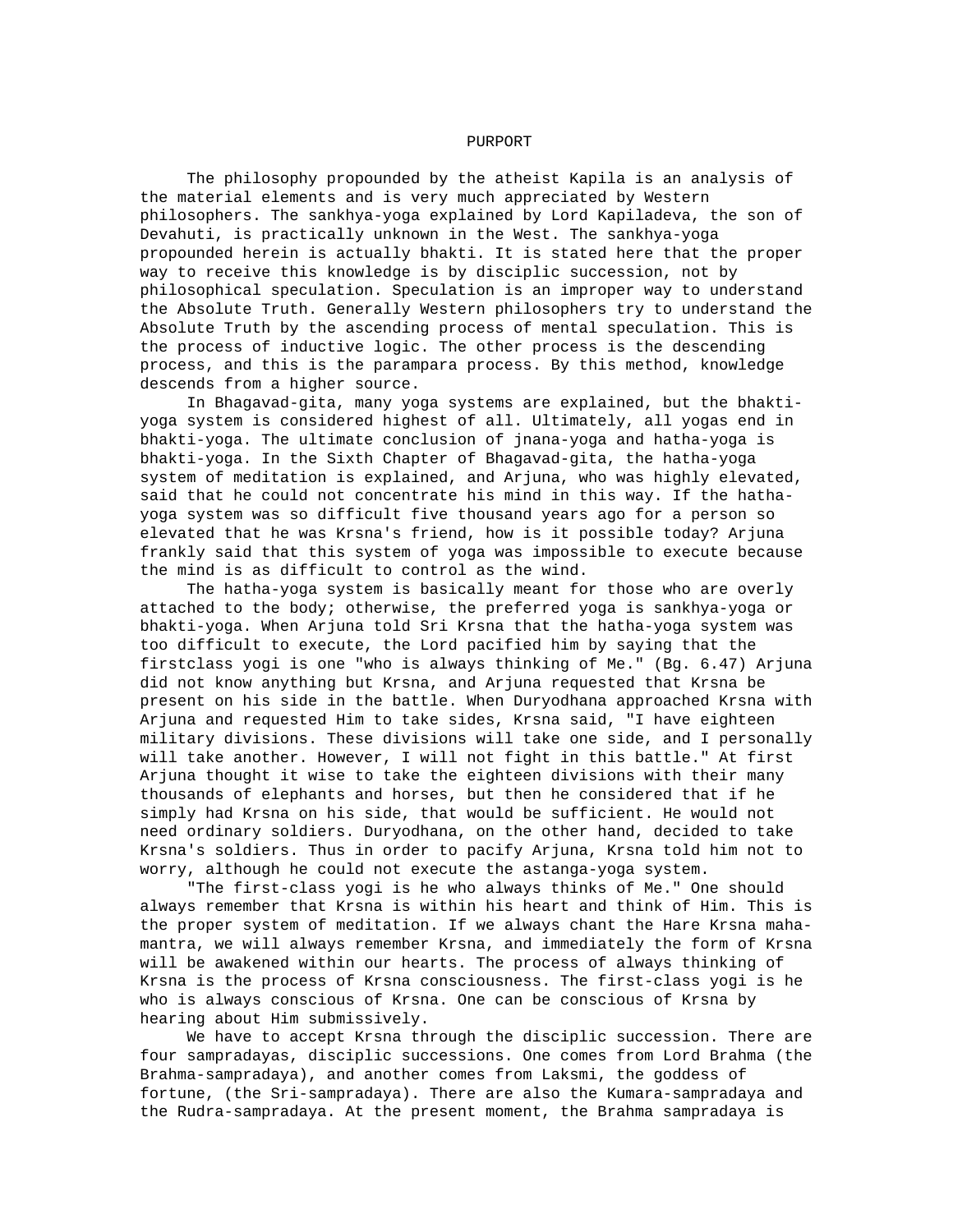## PURPORT

 The philosophy propounded by the atheist Kapila is an analysis of the material elements and is very much appreciated by Western philosophers. The sankhya-yoga explained by Lord Kapiladeva, the son of Devahuti, is practically unknown in the West. The sankhya-yoga propounded herein is actually bhakti. It is stated here that the proper way to receive this knowledge is by disciplic succession, not by philosophical speculation. Speculation is an improper way to understand the Absolute Truth. Generally Western philosophers try to understand the Absolute Truth by the ascending process of mental speculation. This is the process of inductive logic. The other process is the descending process, and this is the parampara process. By this method, knowledge descends from a higher source.

 In Bhagavad-gita, many yoga systems are explained, but the bhaktiyoga system is considered highest of all. Ultimately, all yogas end in bhakti-yoga. The ultimate conclusion of jnana-yoga and hatha-yoga is bhakti-yoga. In the Sixth Chapter of Bhagavad-gita, the hatha-yoga system of meditation is explained, and Arjuna, who was highly elevated, said that he could not concentrate his mind in this way. If the hathayoga system was so difficult five thousand years ago for a person so elevated that he was Krsna's friend, how is it possible today? Arjuna frankly said that this system of yoga was impossible to execute because the mind is as difficult to control as the wind.

 The hatha-yoga system is basically meant for those who are overly attached to the body; otherwise, the preferred yoga is sankhya-yoga or bhakti-yoga. When Arjuna told Sri Krsna that the hatha-yoga system was too difficult to execute, the Lord pacified him by saying that the firstclass yogi is one "who is always thinking of Me." (Bg. 6.47) Arjuna did not know anything but Krsna, and Arjuna requested that Krsna be present on his side in the battle. When Duryodhana approached Krsna with Arjuna and requested Him to take sides, Krsna said, "I have eighteen military divisions. These divisions will take one side, and I personally will take another. However, I will not fight in this battle." At first Arjuna thought it wise to take the eighteen divisions with their many thousands of elephants and horses, but then he considered that if he simply had Krsna on his side, that would be sufficient. He would not need ordinary soldiers. Duryodhana, on the other hand, decided to take Krsna's soldiers. Thus in order to pacify Arjuna, Krsna told him not to worry, although he could not execute the astanga-yoga system.

 "The first-class yogi is he who always thinks of Me." One should always remember that Krsna is within his heart and think of Him. This is the proper system of meditation. If we always chant the Hare Krsna mahamantra, we will always remember Krsna, and immediately the form of Krsna will be awakened within our hearts. The process of always thinking of Krsna is the process of Krsna consciousness. The first-class yogi is he who is always conscious of Krsna. One can be conscious of Krsna by hearing about Him submissively.

 We have to accept Krsna through the disciplic succession. There are four sampradayas, disciplic successions. One comes from Lord Brahma (the Brahma-sampradaya), and another comes from Laksmi, the goddess of fortune, (the Sri-sampradaya). There are also the Kumara-sampradaya and the Rudra-sampradaya. At the present moment, the Brahma sampradaya is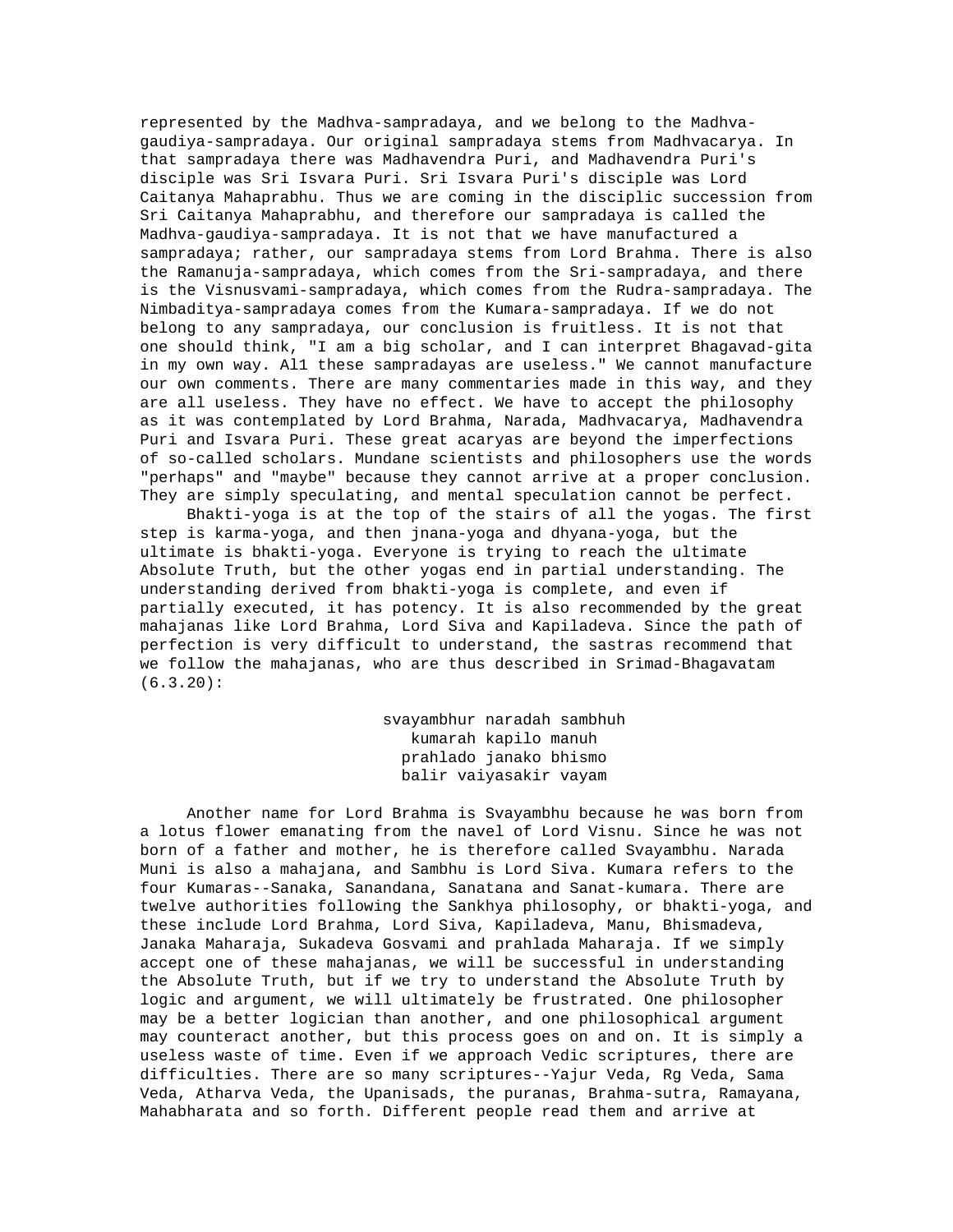represented by the Madhva-sampradaya, and we belong to the Madhvagaudiya-sampradaya. Our original sampradaya stems from Madhvacarya. In that sampradaya there was Madhavendra Puri, and Madhavendra Puri's disciple was Sri Isvara Puri. Sri Isvara Puri's disciple was Lord Caitanya Mahaprabhu. Thus we are coming in the disciplic succession from Sri Caitanya Mahaprabhu, and therefore our sampradaya is called the Madhva-gaudiya-sampradaya. It is not that we have manufactured a sampradaya; rather, our sampradaya stems from Lord Brahma. There is also the Ramanuja-sampradaya, which comes from the Sri-sampradaya, and there is the Visnusvami-sampradaya, which comes from the Rudra-sampradaya. The Nimbaditya-sampradaya comes from the Kumara-sampradaya. If we do not belong to any sampradaya, our conclusion is fruitless. It is not that one should think, "I am a big scholar, and I can interpret Bhagavad-gita in my own way. Al1 these sampradayas are useless." We cannot manufacture our own comments. There are many commentaries made in this way, and they are all useless. They have no effect. We have to accept the philosophy as it was contemplated by Lord Brahma, Narada, Madhvacarya, Madhavendra Puri and Isvara Puri. These great acaryas are beyond the imperfections of so-called scholars. Mundane scientists and philosophers use the words "perhaps" and "maybe" because they cannot arrive at a proper conclusion. They are simply speculating, and mental speculation cannot be perfect.

 Bhakti-yoga is at the top of the stairs of all the yogas. The first step is karma-yoga, and then jnana-yoga and dhyana-yoga, but the ultimate is bhakti-yoga. Everyone is trying to reach the ultimate Absolute Truth, but the other yogas end in partial understanding. The understanding derived from bhakti-yoga is complete, and even if partially executed, it has potency. It is also recommended by the great mahajanas like Lord Brahma, Lord Siva and Kapiladeva. Since the path of perfection is very difficult to understand, the sastras recommend that we follow the mahajanas, who are thus described in Srimad-Bhagavatam (6.3.20):

> svayambhur naradah sambhuh kumarah kapilo manuh prahlado janako bhismo balir vaiyasakir vayam

 Another name for Lord Brahma is Svayambhu because he was born from a lotus flower emanating from the navel of Lord Visnu. Since he was not born of a father and mother, he is therefore called Svayambhu. Narada Muni is also a mahajana, and Sambhu is Lord Siva. Kumara refers to the four Kumaras--Sanaka, Sanandana, Sanatana and Sanat-kumara. There are twelve authorities following the Sankhya philosophy, or bhakti-yoga, and these include Lord Brahma, Lord Siva, Kapiladeva, Manu, Bhismadeva, Janaka Maharaja, Sukadeva Gosvami and prahlada Maharaja. If we simply accept one of these mahajanas, we will be successful in understanding the Absolute Truth, but if we try to understand the Absolute Truth by logic and argument, we will ultimately be frustrated. One philosopher may be a better logician than another, and one philosophical argument may counteract another, but this process goes on and on. It is simply a useless waste of time. Even if we approach Vedic scriptures, there are difficulties. There are so many scriptures--Yajur Veda, Rg Veda, Sama Veda, Atharva Veda, the Upanisads, the puranas, Brahma-sutra, Ramayana, Mahabharata and so forth. Different people read them and arrive at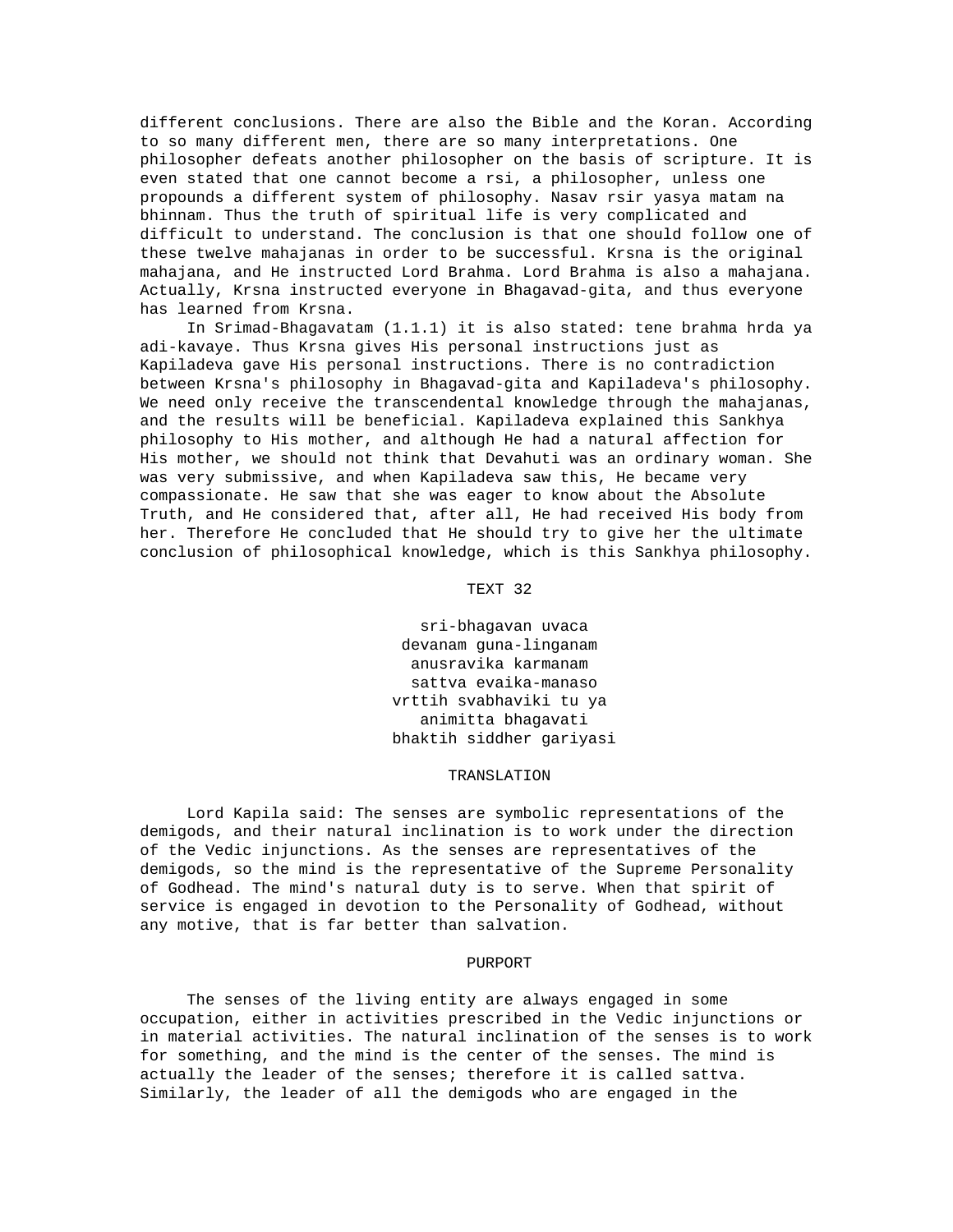different conclusions. There are also the Bible and the Koran. According to so many different men, there are so many interpretations. One philosopher defeats another philosopher on the basis of scripture. It is even stated that one cannot become a rsi, a philosopher, unless one propounds a different system of philosophy. Nasav rsir yasya matam na bhinnam. Thus the truth of spiritual life is very complicated and difficult to understand. The conclusion is that one should follow one of these twelve mahajanas in order to be successful. Krsna is the original mahajana, and He instructed Lord Brahma. Lord Brahma is also a mahajana. Actually, Krsna instructed everyone in Bhagavad-gita, and thus everyone has learned from Krsna.

 In Srimad-Bhagavatam (1.1.1) it is also stated: tene brahma hrda ya adi-kavaye. Thus Krsna gives His personal instructions just as Kapiladeva gave His personal instructions. There is no contradiction between Krsna's philosophy in Bhagavad-gita and Kapiladeva's philosophy. We need only receive the transcendental knowledge through the mahajanas, and the results will be beneficial. Kapiladeva explained this Sankhya philosophy to His mother, and although He had a natural affection for His mother, we should not think that Devahuti was an ordinary woman. She was very submissive, and when Kapiladeva saw this, He became very compassionate. He saw that she was eager to know about the Absolute Truth, and He considered that, after all, He had received His body from her. Therefore He concluded that He should try to give her the ultimate conclusion of philosophical knowledge, which is this Sankhya philosophy.

TEXT 32

 sri-bhagavan uvaca devanam guna-linganam anusravika karmanam sattva evaika-manaso vrttih svabhaviki tu ya animitta bhagavati bhaktih siddher gariyasi

## TRANSLATION

 Lord Kapila said: The senses are symbolic representations of the demigods, and their natural inclination is to work under the direction of the Vedic injunctions. As the senses are representatives of the demigods, so the mind is the representative of the Supreme Personality of Godhead. The mind's natural duty is to serve. When that spirit of service is engaged in devotion to the Personality of Godhead, without any motive, that is far better than salvation.

## PURPORT

 The senses of the living entity are always engaged in some occupation, either in activities prescribed in the Vedic injunctions or in material activities. The natural inclination of the senses is to work for something, and the mind is the center of the senses. The mind is actually the leader of the senses; therefore it is called sattva. Similarly, the leader of all the demigods who are engaged in the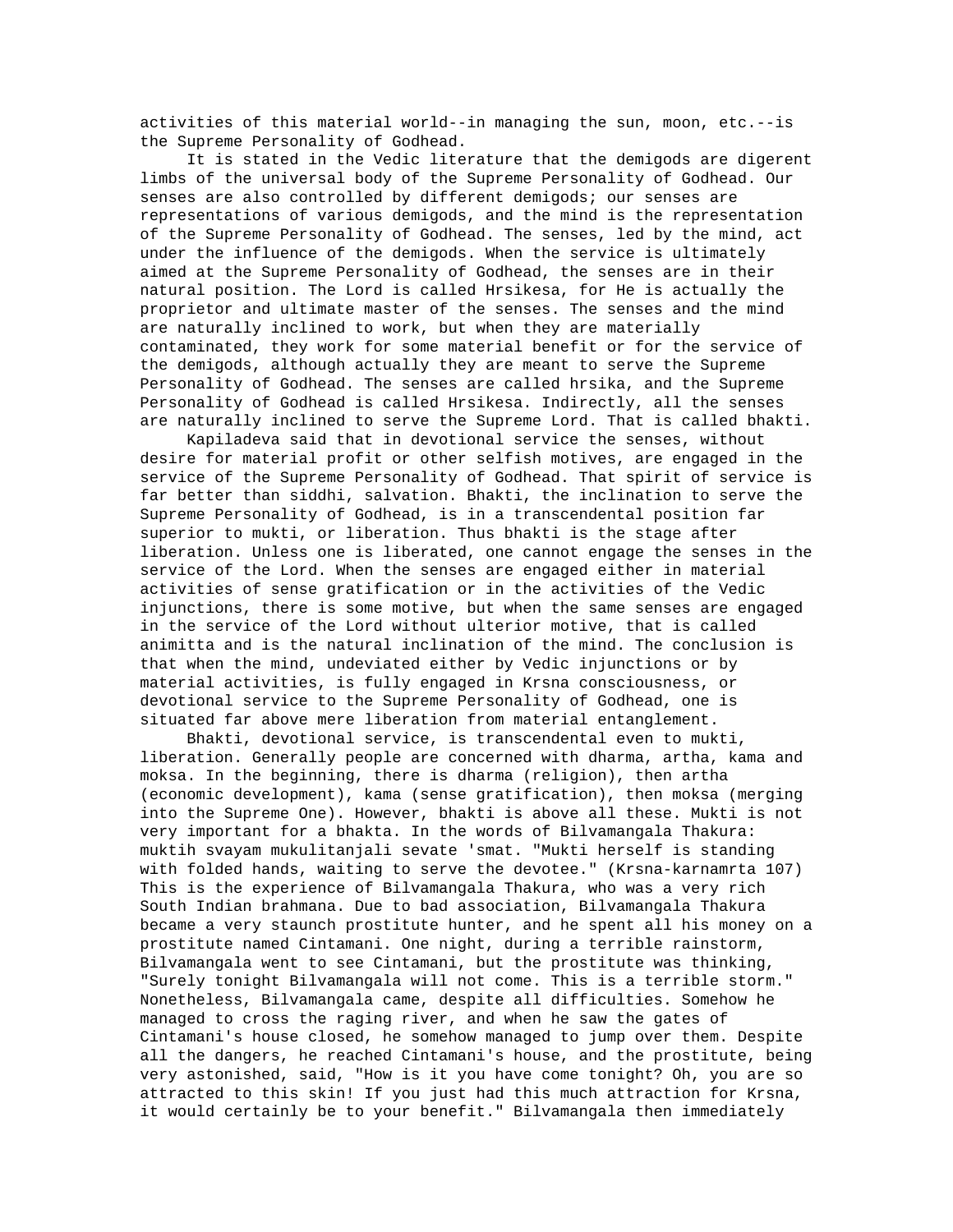activities of this material world--in managing the sun, moon, etc.--is the Supreme Personality of Godhead.

 It is stated in the Vedic literature that the demigods are digerent limbs of the universal body of the Supreme Personality of Godhead. Our senses are also controlled by different demigods; our senses are representations of various demigods, and the mind is the representation of the Supreme Personality of Godhead. The senses, led by the mind, act under the influence of the demigods. When the service is ultimately aimed at the Supreme Personality of Godhead, the senses are in their natural position. The Lord is called Hrsikesa, for He is actually the proprietor and ultimate master of the senses. The senses and the mind are naturally inclined to work, but when they are materially contaminated, they work for some material benefit or for the service of the demigods, although actually they are meant to serve the Supreme Personality of Godhead. The senses are called hrsika, and the Supreme Personality of Godhead is called Hrsikesa. Indirectly, all the senses are naturally inclined to serve the Supreme Lord. That is called bhakti.

 Kapiladeva said that in devotional service the senses, without desire for material profit or other selfish motives, are engaged in the service of the Supreme Personality of Godhead. That spirit of service is far better than siddhi, salvation. Bhakti, the inclination to serve the Supreme Personality of Godhead, is in a transcendental position far superior to mukti, or liberation. Thus bhakti is the stage after liberation. Unless one is liberated, one cannot engage the senses in the service of the Lord. When the senses are engaged either in material activities of sense gratification or in the activities of the Vedic injunctions, there is some motive, but when the same senses are engaged in the service of the Lord without ulterior motive, that is called animitta and is the natural inclination of the mind. The conclusion is that when the mind, undeviated either by Vedic injunctions or by material activities, is fully engaged in Krsna consciousness, or devotional service to the Supreme Personality of Godhead, one is situated far above mere liberation from material entanglement.

 Bhakti, devotional service, is transcendental even to mukti, liberation. Generally people are concerned with dharma, artha, kama and moksa. In the beginning, there is dharma (religion), then artha (economic development), kama (sense gratification), then moksa (merging into the Supreme One). However, bhakti is above all these. Mukti is not very important for a bhakta. In the words of Bilvamangala Thakura: muktih svayam mukulitanjali sevate 'smat. "Mukti herself is standing with folded hands, waiting to serve the devotee." (Krsna-karnamrta 107) This is the experience of Bilvamangala Thakura, who was a very rich South Indian brahmana. Due to bad association, Bilvamangala Thakura became a very staunch prostitute hunter, and he spent all his money on a prostitute named Cintamani. One night, during a terrible rainstorm, Bilvamangala went to see Cintamani, but the prostitute was thinking, "Surely tonight Bilvamangala will not come. This is a terrible storm." Nonetheless, Bilvamangala came, despite all difficulties. Somehow he managed to cross the raging river, and when he saw the gates of Cintamani's house closed, he somehow managed to jump over them. Despite all the dangers, he reached Cintamani's house, and the prostitute, being very astonished, said, "How is it you have come tonight? Oh, you are so attracted to this skin! If you just had this much attraction for Krsna, it would certainly be to your benefit." Bilvamangala then immediately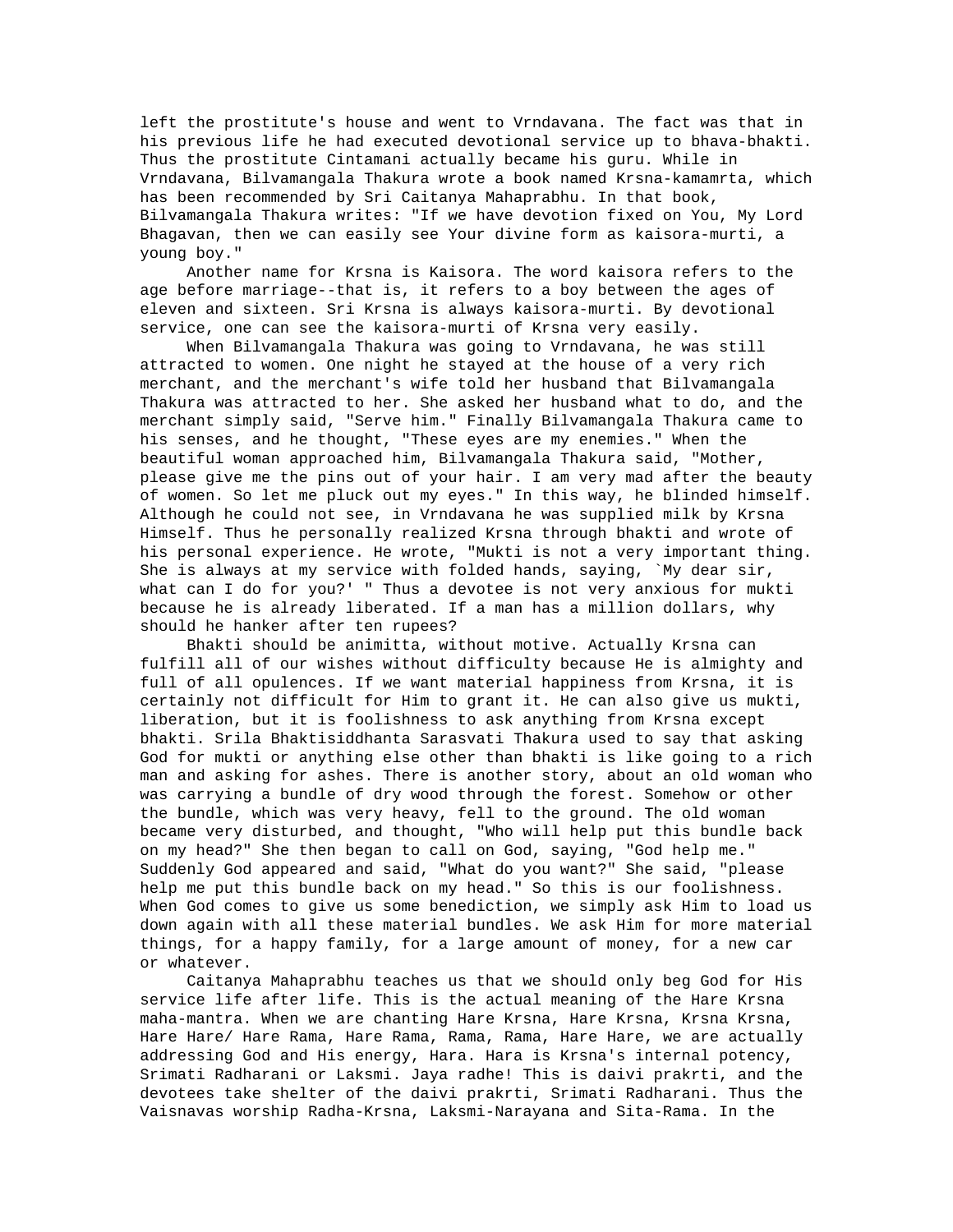left the prostitute's house and went to Vrndavana. The fact was that in his previous life he had executed devotional service up to bhava-bhakti. Thus the prostitute Cintamani actually became his guru. While in Vrndavana, Bilvamangala Thakura wrote a book named Krsna-kamamrta, which has been recommended by Sri Caitanya Mahaprabhu. In that book, Bilvamangala Thakura writes: "If we have devotion fixed on You, My Lord Bhagavan, then we can easily see Your divine form as kaisora-murti, a young boy."

 Another name for Krsna is Kaisora. The word kaisora refers to the age before marriage--that is, it refers to a boy between the ages of eleven and sixteen. Sri Krsna is always kaisora-murti. By devotional service, one can see the kaisora-murti of Krsna very easily.

 When Bilvamangala Thakura was going to Vrndavana, he was still attracted to women. One night he stayed at the house of a very rich merchant, and the merchant's wife told her husband that Bilvamangala Thakura was attracted to her. She asked her husband what to do, and the merchant simply said, "Serve him." Finally Bilvamangala Thakura came to his senses, and he thought, "These eyes are my enemies." When the beautiful woman approached him, Bilvamangala Thakura said, "Mother, please give me the pins out of your hair. I am very mad after the beauty of women. So let me pluck out my eyes." In this way, he blinded himself. Although he could not see, in Vrndavana he was supplied milk by Krsna Himself. Thus he personally realized Krsna through bhakti and wrote of his personal experience. He wrote, "Mukti is not a very important thing. She is always at my service with folded hands, saying, `My dear sir, what can I do for you?' " Thus a devotee is not very anxious for mukti because he is already liberated. If a man has a million dollars, why should he hanker after ten rupees?

 Bhakti should be animitta, without motive. Actually Krsna can fulfill all of our wishes without difficulty because He is almighty and full of all opulences. If we want material happiness from Krsna, it is certainly not difficult for Him to grant it. He can also give us mukti, liberation, but it is foolishness to ask anything from Krsna except bhakti. Srila Bhaktisiddhanta Sarasvati Thakura used to say that asking God for mukti or anything else other than bhakti is like going to a rich man and asking for ashes. There is another story, about an old woman who was carrying a bundle of dry wood through the forest. Somehow or other the bundle, which was very heavy, fell to the ground. The old woman became very disturbed, and thought, "Who will help put this bundle back on my head?" She then began to call on God, saying, "God help me." Suddenly God appeared and said, "What do you want?" She said, "please help me put this bundle back on my head." So this is our foolishness. When God comes to give us some benediction, we simply ask Him to load us down again with all these material bundles. We ask Him for more material things, for a happy family, for a large amount of money, for a new car or whatever.

 Caitanya Mahaprabhu teaches us that we should only beg God for His service life after life. This is the actual meaning of the Hare Krsna maha-mantra. When we are chanting Hare Krsna, Hare Krsna, Krsna Krsna, Hare Hare/ Hare Rama, Hare Rama, Rama, Rama, Hare Hare, we are actually addressing God and His energy, Hara. Hara is Krsna's internal potency, Srimati Radharani or Laksmi. Jaya radhe! This is daivi prakrti, and the devotees take shelter of the daivi prakrti, Srimati Radharani. Thus the Vaisnavas worship Radha-Krsna, Laksmi-Narayana and Sita-Rama. In the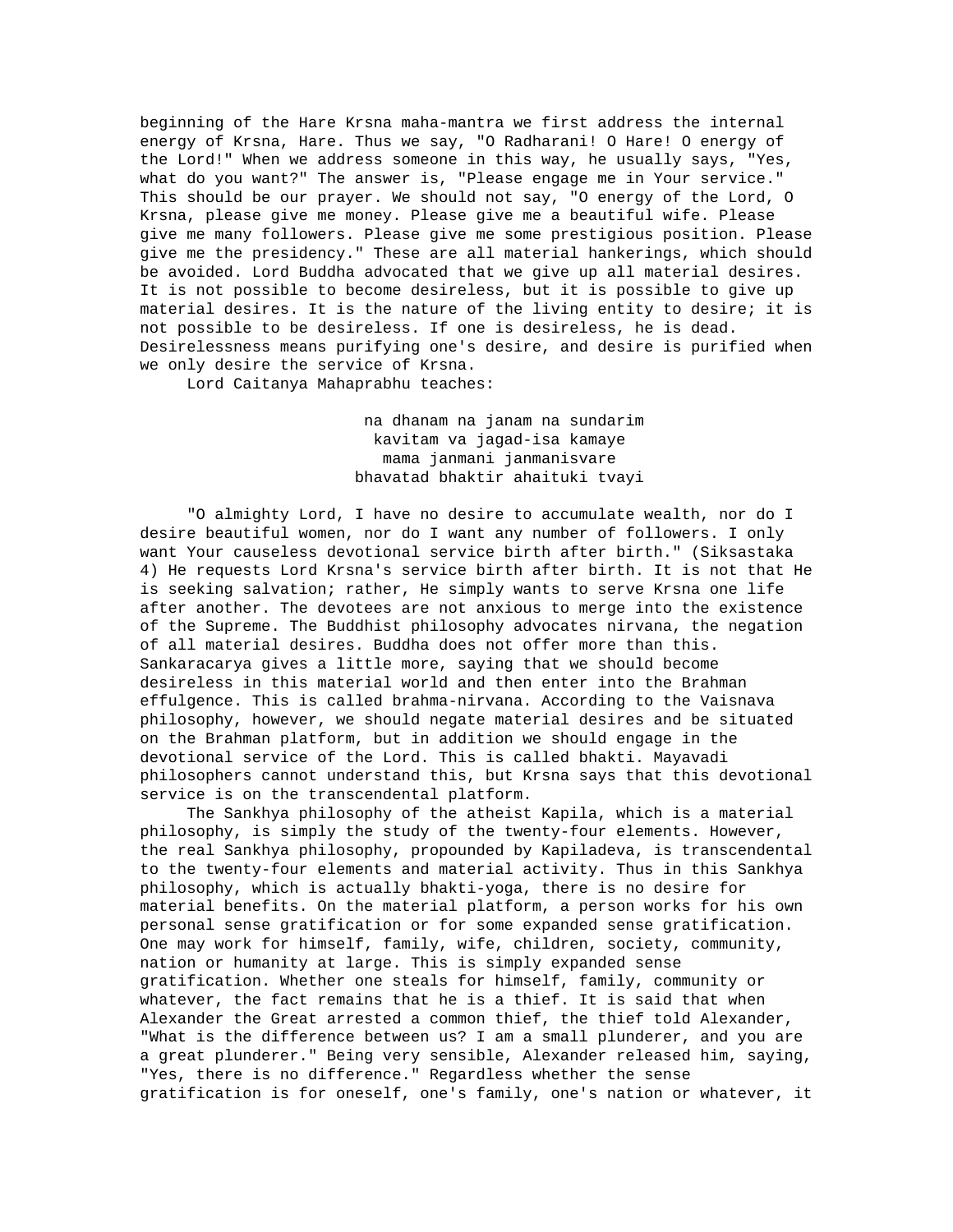beginning of the Hare Krsna maha-mantra we first address the internal energy of Krsna, Hare. Thus we say, "O Radharani! O Hare! O energy of the Lord!" When we address someone in this way, he usually says, "Yes, what do you want?" The answer is, "Please engage me in Your service." This should be our prayer. We should not say, "O energy of the Lord, O Krsna, please give me money. Please give me a beautiful wife. Please give me many followers. Please give me some prestigious position. Please give me the presidency." These are all material hankerings, which should be avoided. Lord Buddha advocated that we give up all material desires. It is not possible to become desireless, but it is possible to give up material desires. It is the nature of the living entity to desire; it is not possible to be desireless. If one is desireless, he is dead. Desirelessness means purifying one's desire, and desire is purified when we only desire the service of Krsna.

Lord Caitanya Mahaprabhu teaches:

 na dhanam na janam na sundarim kavitam va jagad-isa kamaye mama janmani janmanisvare bhavatad bhaktir ahaituki tvayi

 "O almighty Lord, I have no desire to accumulate wealth, nor do I desire beautiful women, nor do I want any number of followers. I only want Your causeless devotional service birth after birth." (Siksastaka 4) He requests Lord Krsna's service birth after birth. It is not that He is seeking salvation; rather, He simply wants to serve Krsna one life after another. The devotees are not anxious to merge into the existence of the Supreme. The Buddhist philosophy advocates nirvana, the negation of all material desires. Buddha does not offer more than this. Sankaracarya gives a little more, saying that we should become desireless in this material world and then enter into the Brahman effulgence. This is called brahma-nirvana. According to the Vaisnava philosophy, however, we should negate material desires and be situated on the Brahman platform, but in addition we should engage in the devotional service of the Lord. This is called bhakti. Mayavadi philosophers cannot understand this, but Krsna says that this devotional service is on the transcendental platform.

 The Sankhya philosophy of the atheist Kapila, which is a material philosophy, is simply the study of the twenty-four elements. However, the real Sankhya philosophy, propounded by Kapiladeva, is transcendental to the twenty-four elements and material activity. Thus in this Sankhya philosophy, which is actually bhakti-yoga, there is no desire for material benefits. On the material platform, a person works for his own personal sense gratification or for some expanded sense gratification. One may work for himself, family, wife, children, society, community, nation or humanity at large. This is simply expanded sense gratification. Whether one steals for himself, family, community or whatever, the fact remains that he is a thief. It is said that when Alexander the Great arrested a common thief, the thief told Alexander, "What is the difference between us? I am a small plunderer, and you are a great plunderer." Being very sensible, Alexander released him, saying, "Yes, there is no difference." Regardless whether the sense gratification is for oneself, one's family, one's nation or whatever, it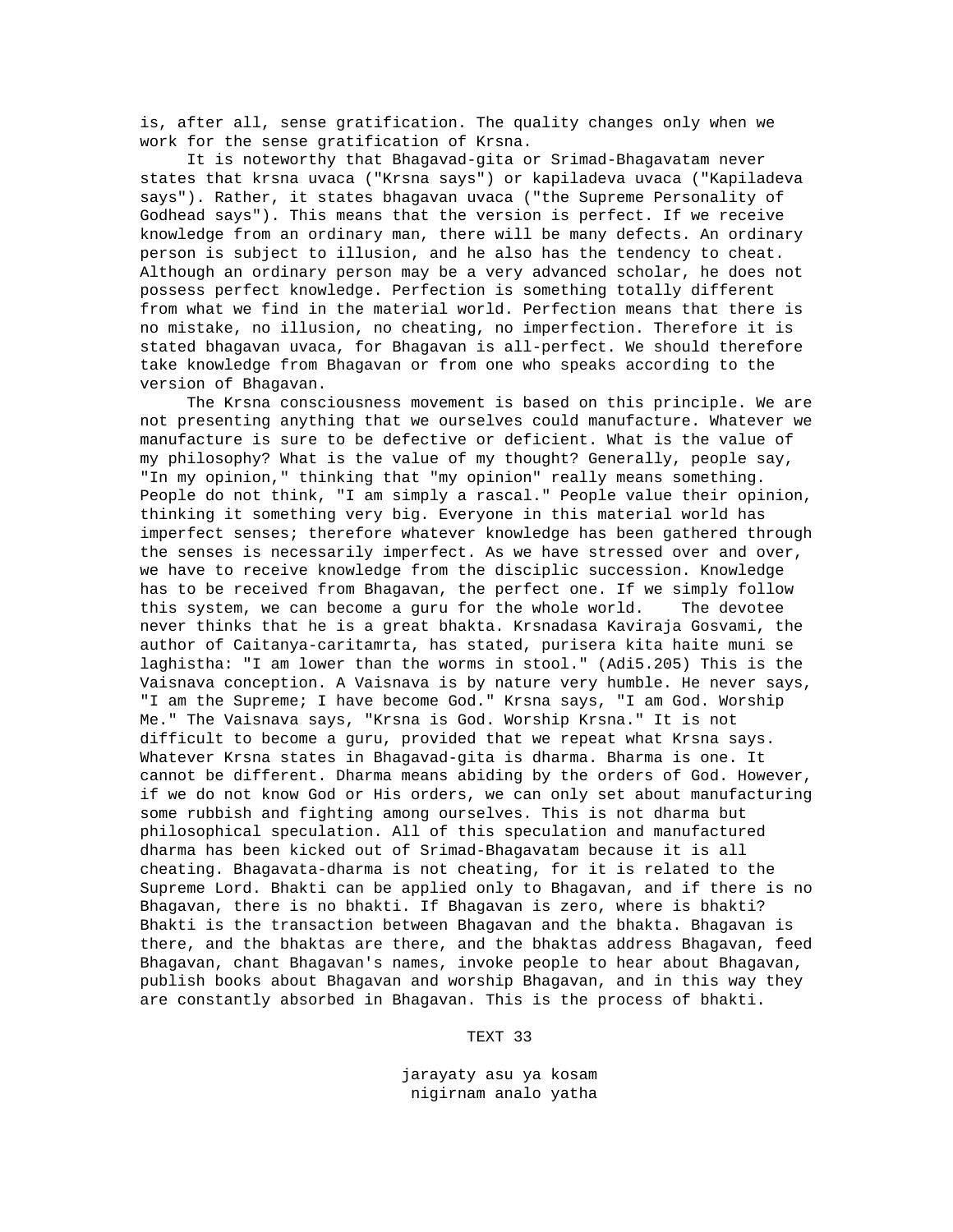is, after all, sense gratification. The quality changes only when we work for the sense gratification of Krsna.

 It is noteworthy that Bhagavad-gita or Srimad-Bhagavatam never states that krsna uvaca ("Krsna says") or kapiladeva uvaca ("Kapiladeva says"). Rather, it states bhagavan uvaca ("the Supreme Personality of Godhead says"). This means that the version is perfect. If we receive knowledge from an ordinary man, there will be many defects. An ordinary person is subject to illusion, and he also has the tendency to cheat. Although an ordinary person may be a very advanced scholar, he does not possess perfect knowledge. Perfection is something totally different from what we find in the material world. Perfection means that there is no mistake, no illusion, no cheating, no imperfection. Therefore it is stated bhagavan uvaca, for Bhagavan is all-perfect. We should therefore take knowledge from Bhagavan or from one who speaks according to the version of Bhagavan.

 The Krsna consciousness movement is based on this principle. We are not presenting anything that we ourselves could manufacture. Whatever we manufacture is sure to be defective or deficient. What is the value of my philosophy? What is the value of my thought? Generally, people say, "In my opinion," thinking that "my opinion" really means something. People do not think, "I am simply a rascal." People value their opinion, thinking it something very big. Everyone in this material world has imperfect senses; therefore whatever knowledge has been gathered through the senses is necessarily imperfect. As we have stressed over and over, we have to receive knowledge from the disciplic succession. Knowledge has to be received from Bhagavan, the perfect one. If we simply follow this system, we can become a guru for the whole world. The devotee never thinks that he is a great bhakta. Krsnadasa Kaviraja Gosvami, the author of Caitanya-caritamrta, has stated, purisera kita haite muni se laghistha: "I am lower than the worms in stool." (Adi5.205) This is the Vaisnava conception. A Vaisnava is by nature very humble. He never says, "I am the Supreme; I have become God." Krsna says, "I am God. Worship Me." The Vaisnava says, "Krsna is God. Worship Krsna." It is not difficult to become a guru, provided that we repeat what Krsna says. Whatever Krsna states in Bhagavad-gita is dharma. Bharma is one. It cannot be different. Dharma means abiding by the orders of God. However, if we do not know God or His orders, we can only set about manufacturing some rubbish and fighting among ourselves. This is not dharma but philosophical speculation. All of this speculation and manufactured dharma has been kicked out of Srimad-Bhagavatam because it is all cheating. Bhagavata-dharma is not cheating, for it is related to the Supreme Lord. Bhakti can be applied only to Bhagavan, and if there is no Bhagavan, there is no bhakti. If Bhagavan is zero, where is bhakti? Bhakti is the transaction between Bhagavan and the bhakta. Bhagavan is there, and the bhaktas are there, and the bhaktas address Bhagavan, feed Bhagavan, chant Bhagavan's names, invoke people to hear about Bhagavan, publish books about Bhagavan and worship Bhagavan, and in this way they are constantly absorbed in Bhagavan. This is the process of bhakti.

TEXT 33

 jarayaty asu ya kosam nigirnam analo yatha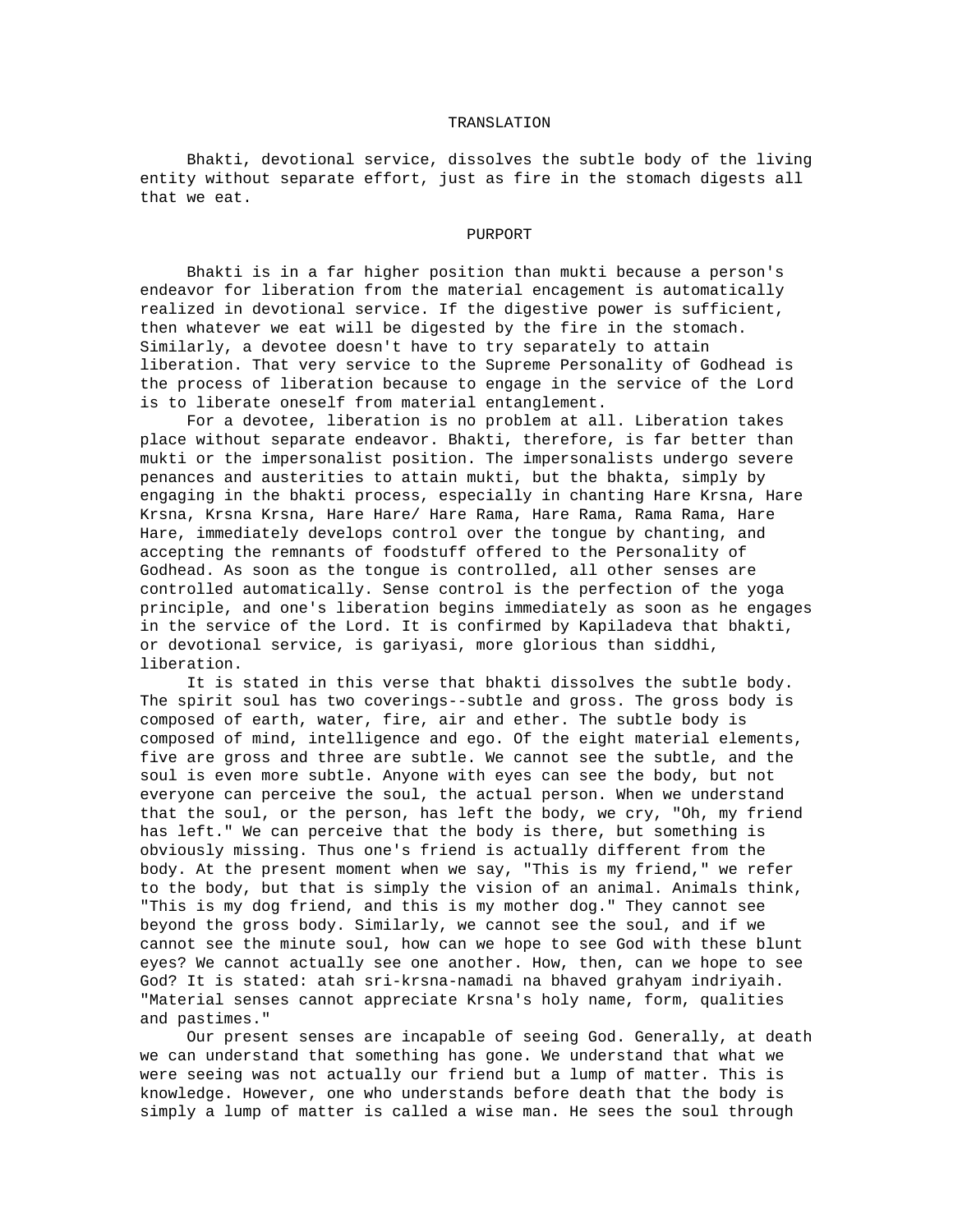#### TRANSLATION

 Bhakti, devotional service, dissolves the subtle body of the living entity without separate effort, just as fire in the stomach digests all that we eat.

## PURPORT

 Bhakti is in a far higher position than mukti because a person's endeavor for liberation from the material encagement is automatically realized in devotional service. If the digestive power is sufficient, then whatever we eat will be digested by the fire in the stomach. Similarly, a devotee doesn't have to try separately to attain liberation. That very service to the Supreme Personality of Godhead is the process of liberation because to engage in the service of the Lord is to liberate oneself from material entanglement.

 For a devotee, liberation is no problem at all. Liberation takes place without separate endeavor. Bhakti, therefore, is far better than mukti or the impersonalist position. The impersonalists undergo severe penances and austerities to attain mukti, but the bhakta, simply by engaging in the bhakti process, especially in chanting Hare Krsna, Hare Krsna, Krsna Krsna, Hare Hare/ Hare Rama, Hare Rama, Rama Rama, Hare Hare, immediately develops control over the tongue by chanting, and accepting the remnants of foodstuff offered to the Personality of Godhead. As soon as the tongue is controlled, all other senses are controlled automatically. Sense control is the perfection of the yoga principle, and one's liberation begins immediately as soon as he engages in the service of the Lord. It is confirmed by Kapiladeva that bhakti, or devotional service, is gariyasi, more glorious than siddhi, liberation.

 It is stated in this verse that bhakti dissolves the subtle body. The spirit soul has two coverings--subtle and gross. The gross body is composed of earth, water, fire, air and ether. The subtle body is composed of mind, intelligence and ego. Of the eight material elements, five are gross and three are subtle. We cannot see the subtle, and the soul is even more subtle. Anyone with eyes can see the body, but not everyone can perceive the soul, the actual person. When we understand that the soul, or the person, has left the body, we cry, "Oh, my friend has left." We can perceive that the body is there, but something is obviously missing. Thus one's friend is actually different from the body. At the present moment when we say, "This is my friend," we refer to the body, but that is simply the vision of an animal. Animals think, "This is my dog friend, and this is my mother dog." They cannot see beyond the gross body. Similarly, we cannot see the soul, and if we cannot see the minute soul, how can we hope to see God with these blunt eyes? We cannot actually see one another. How, then, can we hope to see God? It is stated: atah sri-krsna-namadi na bhaved grahyam indriyaih. "Material senses cannot appreciate Krsna's holy name, form, qualities and pastimes."

 Our present senses are incapable of seeing God. Generally, at death we can understand that something has gone. We understand that what we were seeing was not actually our friend but a lump of matter. This is knowledge. However, one who understands before death that the body is simply a lump of matter is called a wise man. He sees the soul through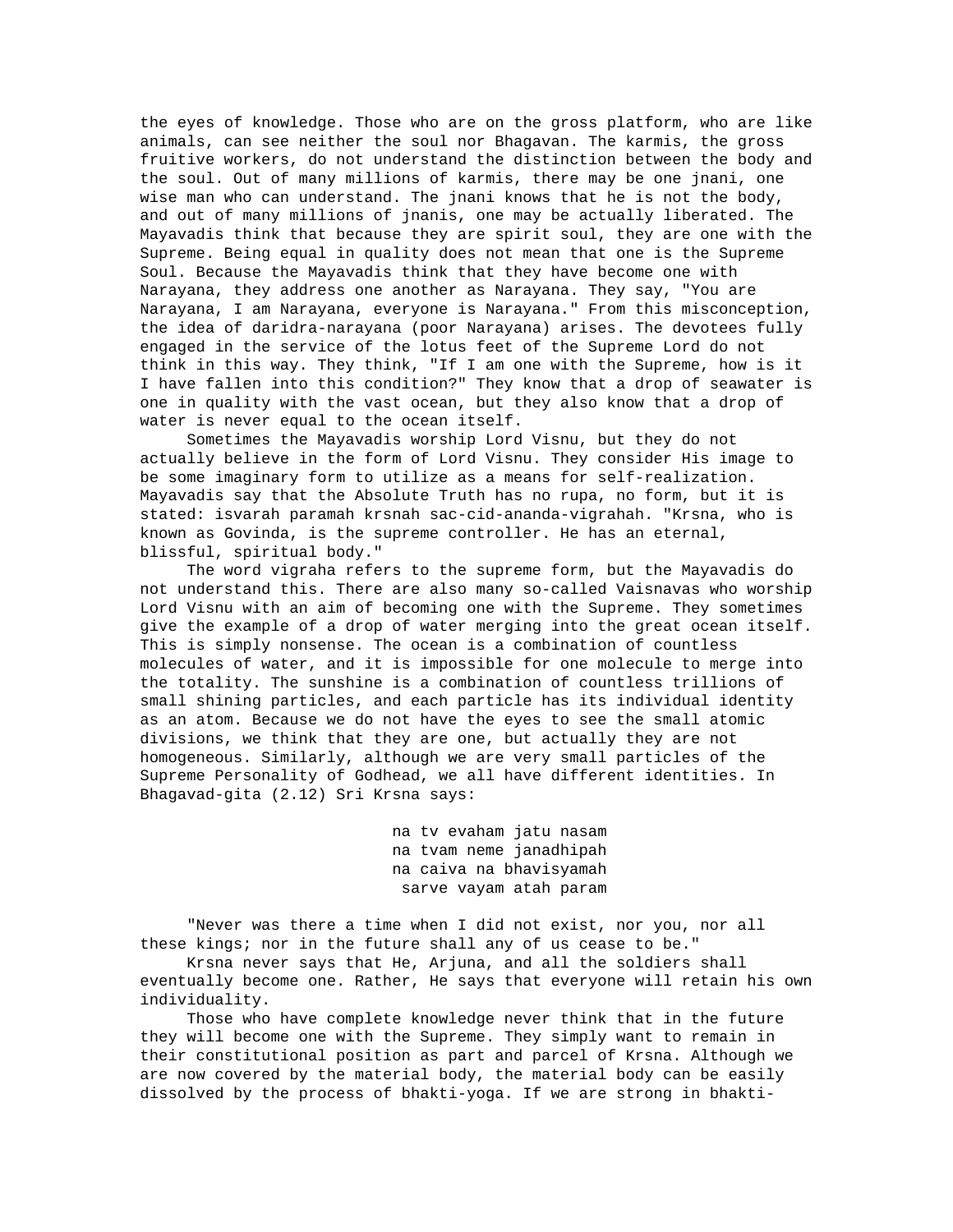the eyes of knowledge. Those who are on the gross platform, who are like animals, can see neither the soul nor Bhagavan. The karmis, the gross fruitive workers, do not understand the distinction between the body and the soul. Out of many millions of karmis, there may be one jnani, one wise man who can understand. The jnani knows that he is not the body, and out of many millions of jnanis, one may be actually liberated. The Mayavadis think that because they are spirit soul, they are one with the Supreme. Being equal in quality does not mean that one is the Supreme Soul. Because the Mayavadis think that they have become one with Narayana, they address one another as Narayana. They say, "You are Narayana, I am Narayana, everyone is Narayana." From this misconception, the idea of daridra-narayana (poor Narayana) arises. The devotees fully engaged in the service of the lotus feet of the Supreme Lord do not think in this way. They think, "If I am one with the Supreme, how is it I have fallen into this condition?" They know that a drop of seawater is one in quality with the vast ocean, but they also know that a drop of water is never equal to the ocean itself.

 Sometimes the Mayavadis worship Lord Visnu, but they do not actually believe in the form of Lord Visnu. They consider His image to be some imaginary form to utilize as a means for self-realization. Mayavadis say that the Absolute Truth has no rupa, no form, but it is stated: isvarah paramah krsnah sac-cid-ananda-vigrahah. "Krsna, who is known as Govinda, is the supreme controller. He has an eternal, blissful, spiritual body."

 The word vigraha refers to the supreme form, but the Mayavadis do not understand this. There are also many so-called Vaisnavas who worship Lord Visnu with an aim of becoming one with the Supreme. They sometimes give the example of a drop of water merging into the great ocean itself. This is simply nonsense. The ocean is a combination of countless molecules of water, and it is impossible for one molecule to merge into the totality. The sunshine is a combination of countless trillions of small shining particles, and each particle has its individual identity as an atom. Because we do not have the eyes to see the small atomic divisions, we think that they are one, but actually they are not homogeneous. Similarly, although we are very small particles of the Supreme Personality of Godhead, we all have different identities. In Bhagavad-gita (2.12) Sri Krsna says:

> na tv evaham jatu nasam na tvam neme janadhipah na caiva na bhavisyamah sarve vayam atah param

 "Never was there a time when I did not exist, nor you, nor all these kings; nor in the future shall any of us cease to be."

 Krsna never says that He, Arjuna, and all the soldiers shall eventually become one. Rather, He says that everyone will retain his own individuality.

 Those who have complete knowledge never think that in the future they will become one with the Supreme. They simply want to remain in their constitutional position as part and parcel of Krsna. Although we are now covered by the material body, the material body can be easily dissolved by the process of bhakti-yoga. If we are strong in bhakti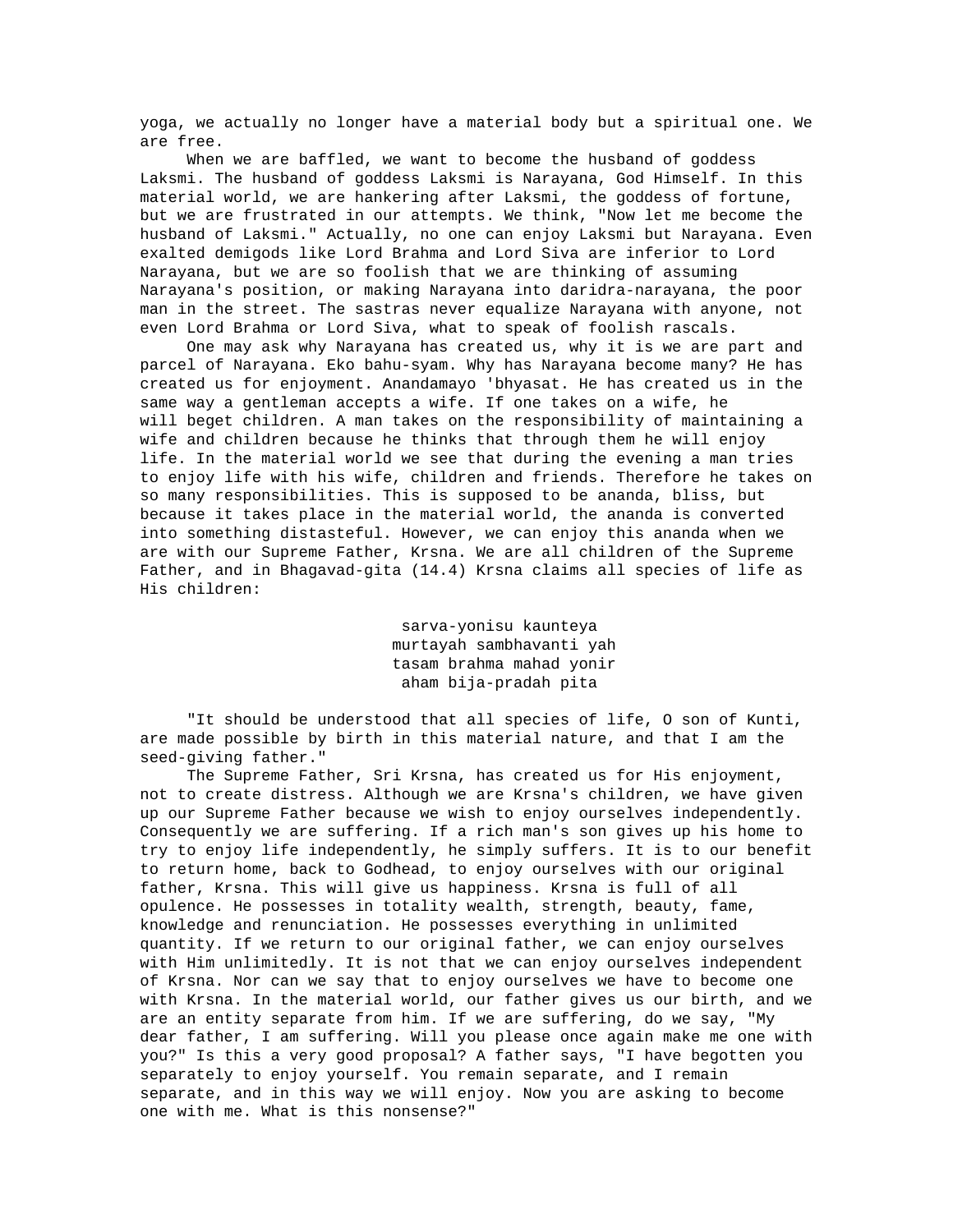yoga, we actually no longer have a material body but a spiritual one. We are free.

 When we are baffled, we want to become the husband of goddess Laksmi. The husband of goddess Laksmi is Narayana, God Himself. In this material world, we are hankering after Laksmi, the goddess of fortune, but we are frustrated in our attempts. We think, "Now let me become the husband of Laksmi." Actually, no one can enjoy Laksmi but Narayana. Even exalted demigods like Lord Brahma and Lord Siva are inferior to Lord Narayana, but we are so foolish that we are thinking of assuming Narayana's position, or making Narayana into daridra-narayana, the poor man in the street. The sastras never equalize Narayana with anyone, not even Lord Brahma or Lord Siva, what to speak of foolish rascals.

 One may ask why Narayana has created us, why it is we are part and parcel of Narayana. Eko bahu-syam. Why has Narayana become many? He has created us for enjoyment. Anandamayo 'bhyasat. He has created us in the same way a gentleman accepts a wife. If one takes on a wife, he will beget children. A man takes on the responsibility of maintaining a wife and children because he thinks that through them he will enjoy life. In the material world we see that during the evening a man tries to enjoy life with his wife, children and friends. Therefore he takes on so many responsibilities. This is supposed to be ananda, bliss, but because it takes place in the material world, the ananda is converted into something distasteful. However, we can enjoy this ananda when we are with our Supreme Father, Krsna. We are all children of the Supreme Father, and in Bhagavad-gita (14.4) Krsna claims all species of life as His children:

> sarva-yonisu kaunteya murtayah sambhavanti yah tasam brahma mahad yonir aham bija-pradah pita

 "It should be understood that all species of life, O son of Kunti, are made possible by birth in this material nature, and that I am the seed-giving father."

 The Supreme Father, Sri Krsna, has created us for His enjoyment, not to create distress. Although we are Krsna's children, we have given up our Supreme Father because we wish to enjoy ourselves independently. Consequently we are suffering. If a rich man's son gives up his home to try to enjoy life independently, he simply suffers. It is to our benefit to return home, back to Godhead, to enjoy ourselves with our original father, Krsna. This will give us happiness. Krsna is full of all opulence. He possesses in totality wealth, strength, beauty, fame, knowledge and renunciation. He possesses everything in unlimited quantity. If we return to our original father, we can enjoy ourselves with Him unlimitedly. It is not that we can enjoy ourselves independent of Krsna. Nor can we say that to enjoy ourselves we have to become one with Krsna. In the material world, our father gives us our birth, and we are an entity separate from him. If we are suffering, do we say, "My dear father, I am suffering. Will you please once again make me one with you?" Is this a very good proposal? A father says, "I have begotten you separately to enjoy yourself. You remain separate, and I remain separate, and in this way we will enjoy. Now you are asking to become one with me. What is this nonsense?"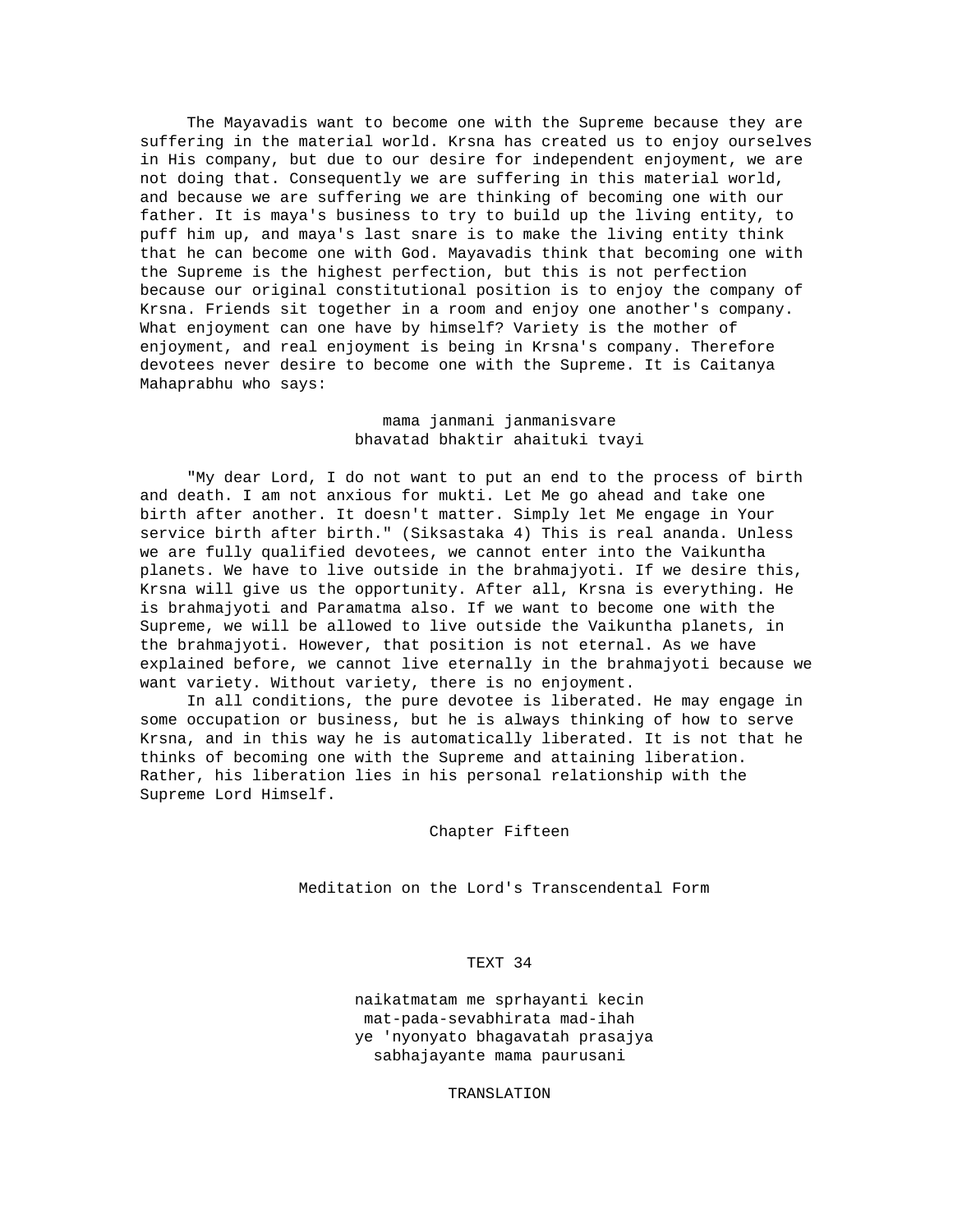The Mayavadis want to become one with the Supreme because they are suffering in the material world. Krsna has created us to enjoy ourselves in His company, but due to our desire for independent enjoyment, we are not doing that. Consequently we are suffering in this material world, and because we are suffering we are thinking of becoming one with our father. It is maya's business to try to build up the living entity, to puff him up, and maya's last snare is to make the living entity think that he can become one with God. Mayavadis think that becoming one with the Supreme is the highest perfection, but this is not perfection because our original constitutional position is to enjoy the company of Krsna. Friends sit together in a room and enjoy one another's company. What enjoyment can one have by himself? Variety is the mother of enjoyment, and real enjoyment is being in Krsna's company. Therefore devotees never desire to become one with the Supreme. It is Caitanya Mahaprabhu who says:

> mama janmani janmanisvare bhavatad bhaktir ahaituki tvayi

 "My dear Lord, I do not want to put an end to the process of birth and death. I am not anxious for mukti. Let Me go ahead and take one birth after another. It doesn't matter. Simply let Me engage in Your service birth after birth." (Siksastaka 4) This is real ananda. Unless we are fully qualified devotees, we cannot enter into the Vaikuntha planets. We have to live outside in the brahmajyoti. If we desire this, Krsna will give us the opportunity. After all, Krsna is everything. He is brahmajyoti and Paramatma also. If we want to become one with the Supreme, we will be allowed to live outside the Vaikuntha planets, in the brahmajyoti. However, that position is not eternal. As we have explained before, we cannot live eternally in the brahmajyoti because we want variety. Without variety, there is no enjoyment.

 In all conditions, the pure devotee is liberated. He may engage in some occupation or business, but he is always thinking of how to serve Krsna, and in this way he is automatically liberated. It is not that he thinks of becoming one with the Supreme and attaining liberation. Rather, his liberation lies in his personal relationship with the Supreme Lord Himself.

Chapter Fifteen

Meditation on the Lord's Transcendental Form

TEXT 34

 naikatmatam me sprhayanti kecin mat-pada-sevabhirata mad-ihah ye 'nyonyato bhagavatah prasajya sabhajayante mama paurusani

TRANSLATION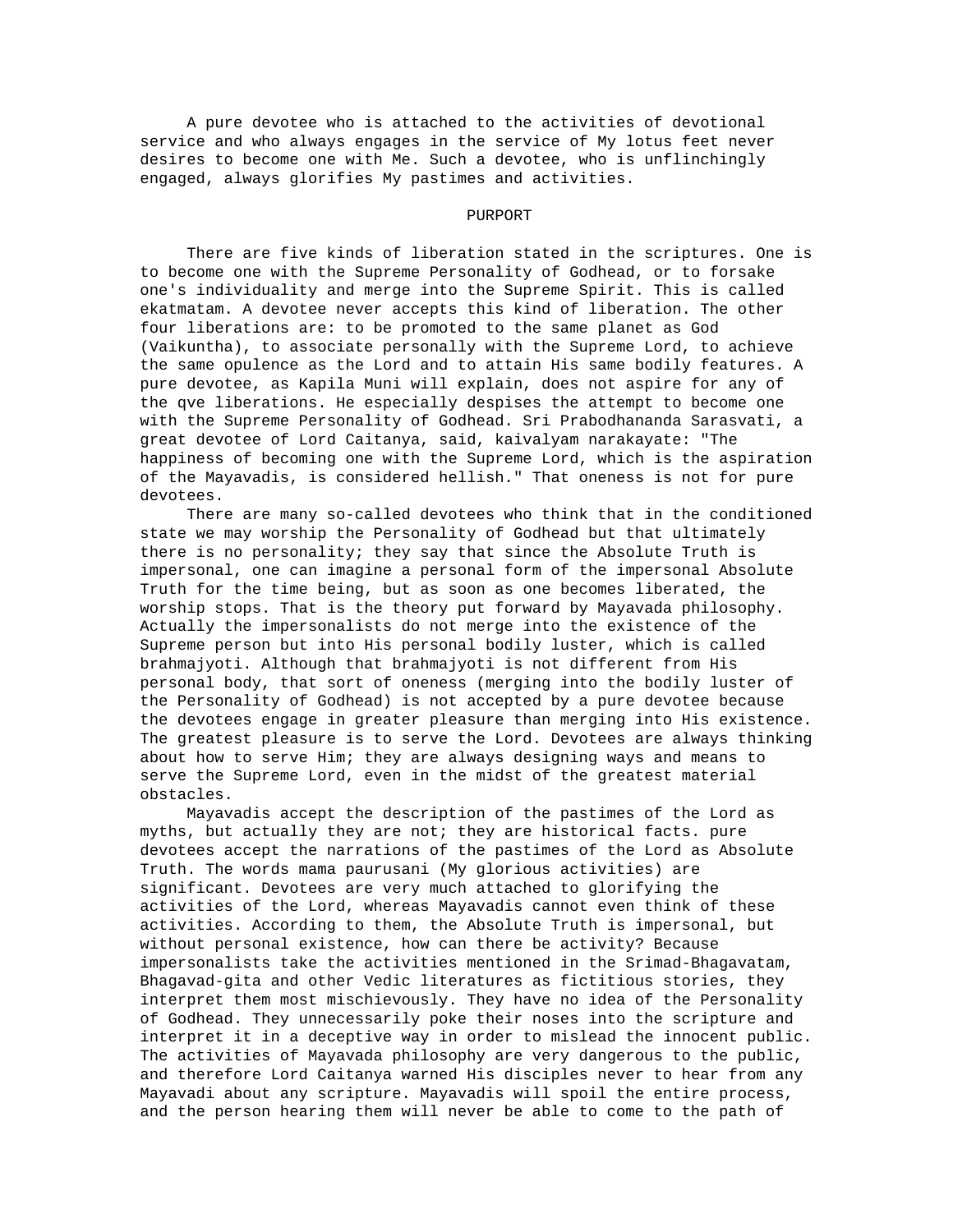A pure devotee who is attached to the activities of devotional service and who always engages in the service of My lotus feet never desires to become one with Me. Such a devotee, who is unflinchingly engaged, always glorifies My pastimes and activities.

## PURPORT

 There are five kinds of liberation stated in the scriptures. One is to become one with the Supreme Personality of Godhead, or to forsake one's individuality and merge into the Supreme Spirit. This is called ekatmatam. A devotee never accepts this kind of liberation. The other four liberations are: to be promoted to the same planet as God (Vaikuntha), to associate personally with the Supreme Lord, to achieve the same opulence as the Lord and to attain His same bodily features. A pure devotee, as Kapila Muni will explain, does not aspire for any of the qve liberations. He especially despises the attempt to become one with the Supreme Personality of Godhead. Sri Prabodhananda Sarasvati, a great devotee of Lord Caitanya, said, kaivalyam narakayate: "The happiness of becoming one with the Supreme Lord, which is the aspiration of the Mayavadis, is considered hellish." That oneness is not for pure devotees.

 There are many so-called devotees who think that in the conditioned state we may worship the Personality of Godhead but that ultimately there is no personality; they say that since the Absolute Truth is impersonal, one can imagine a personal form of the impersonal Absolute Truth for the time being, but as soon as one becomes liberated, the worship stops. That is the theory put forward by Mayavada philosophy. Actually the impersonalists do not merge into the existence of the Supreme person but into His personal bodily luster, which is called brahmajyoti. Although that brahmajyoti is not different from His personal body, that sort of oneness (merging into the bodily luster of the Personality of Godhead) is not accepted by a pure devotee because the devotees engage in greater pleasure than merging into His existence. The greatest pleasure is to serve the Lord. Devotees are always thinking about how to serve Him; they are always designing ways and means to serve the Supreme Lord, even in the midst of the greatest material obstacles.

 Mayavadis accept the description of the pastimes of the Lord as myths, but actually they are not; they are historical facts. pure devotees accept the narrations of the pastimes of the Lord as Absolute Truth. The words mama paurusani (My glorious activities) are significant. Devotees are very much attached to glorifying the activities of the Lord, whereas Mayavadis cannot even think of these activities. According to them, the Absolute Truth is impersonal, but without personal existence, how can there be activity? Because impersonalists take the activities mentioned in the Srimad-Bhagavatam, Bhagavad-gita and other Vedic literatures as fictitious stories, they interpret them most mischievously. They have no idea of the Personality of Godhead. They unnecessarily poke their noses into the scripture and interpret it in a deceptive way in order to mislead the innocent public. The activities of Mayavada philosophy are very dangerous to the public, and therefore Lord Caitanya warned His disciples never to hear from any Mayavadi about any scripture. Mayavadis will spoil the entire process, and the person hearing them will never be able to come to the path of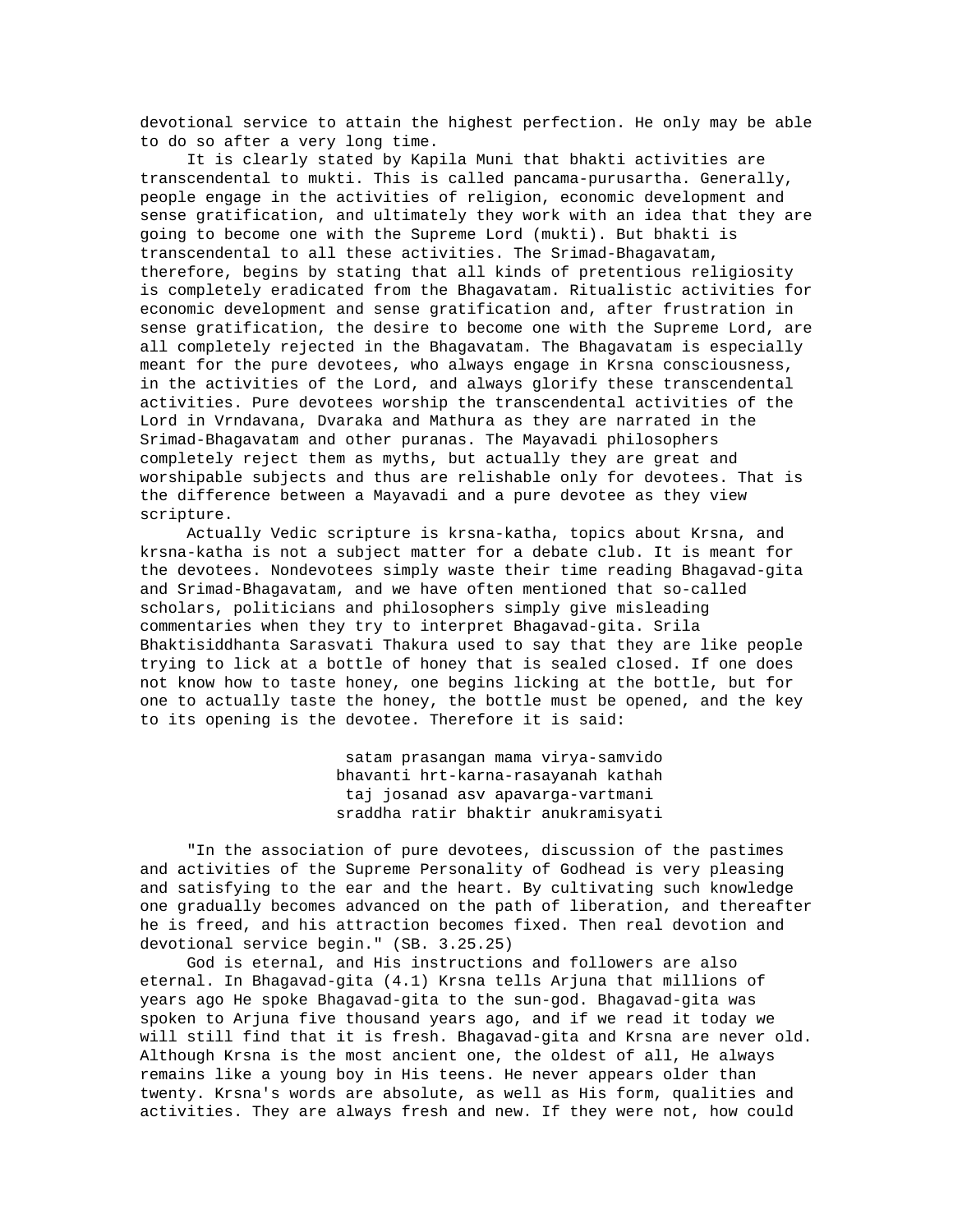devotional service to attain the highest perfection. He only may be able to do so after a very long time.

 It is clearly stated by Kapila Muni that bhakti activities are transcendental to mukti. This is called pancama-purusartha. Generally, people engage in the activities of religion, economic development and sense gratification, and ultimately they work with an idea that they are going to become one with the Supreme Lord (mukti). But bhakti is transcendental to all these activities. The Srimad-Bhagavatam, therefore, begins by stating that all kinds of pretentious religiosity is completely eradicated from the Bhagavatam. Ritualistic activities for economic development and sense gratification and, after frustration in sense gratification, the desire to become one with the Supreme Lord, are all completely rejected in the Bhagavatam. The Bhagavatam is especially meant for the pure devotees, who always engage in Krsna consciousness, in the activities of the Lord, and always glorify these transcendental activities. Pure devotees worship the transcendental activities of the Lord in Vrndavana, Dvaraka and Mathura as they are narrated in the Srimad-Bhagavatam and other puranas. The Mayavadi philosophers completely reject them as myths, but actually they are great and worshipable subjects and thus are relishable only for devotees. That is the difference between a Mayavadi and a pure devotee as they view scripture.

 Actually Vedic scripture is krsna-katha, topics about Krsna, and krsna-katha is not a subject matter for a debate club. It is meant for the devotees. Nondevotees simply waste their time reading Bhagavad-gita and Srimad-Bhagavatam, and we have often mentioned that so-called scholars, politicians and philosophers simply give misleading commentaries when they try to interpret Bhagavad-gita. Srila Bhaktisiddhanta Sarasvati Thakura used to say that they are like people trying to lick at a bottle of honey that is sealed closed. If one does not know how to taste honey, one begins licking at the bottle, but for one to actually taste the honey, the bottle must be opened, and the key to its opening is the devotee. Therefore it is said:

> satam prasangan mama virya-samvido bhavanti hrt-karna-rasayanah kathah taj josanad asv apavarga-vartmani sraddha ratir bhaktir anukramisyati

 "In the association of pure devotees, discussion of the pastimes and activities of the Supreme Personality of Godhead is very pleasing and satisfying to the ear and the heart. By cultivating such knowledge one gradually becomes advanced on the path of liberation, and thereafter he is freed, and his attraction becomes fixed. Then real devotion and devotional service begin." (SB. 3.25.25)

 God is eternal, and His instructions and followers are also eternal. In Bhagavad-gita (4.1) Krsna tells Arjuna that millions of years ago He spoke Bhagavad-gita to the sun-god. Bhagavad-gita was spoken to Arjuna five thousand years ago, and if we read it today we will still find that it is fresh. Bhagavad-gita and Krsna are never old. Although Krsna is the most ancient one, the oldest of all, He always remains like a young boy in His teens. He never appears older than twenty. Krsna's words are absolute, as well as His form, qualities and activities. They are always fresh and new. If they were not, how could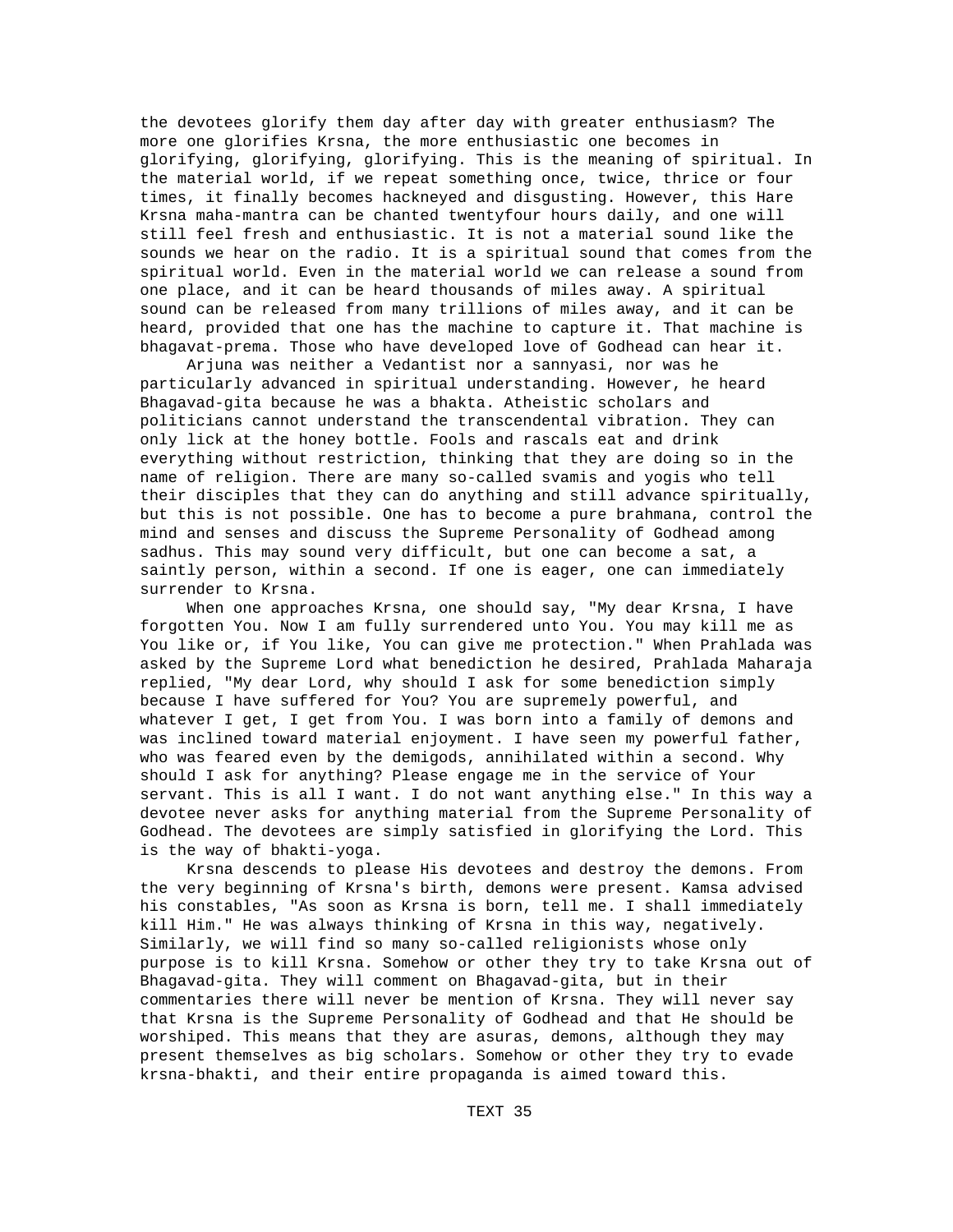the devotees glorify them day after day with greater enthusiasm? The more one glorifies Krsna, the more enthusiastic one becomes in glorifying, glorifying, glorifying. This is the meaning of spiritual. In the material world, if we repeat something once, twice, thrice or four times, it finally becomes hackneyed and disgusting. However, this Hare Krsna maha-mantra can be chanted twentyfour hours daily, and one will still feel fresh and enthusiastic. It is not a material sound like the sounds we hear on the radio. It is a spiritual sound that comes from the spiritual world. Even in the material world we can release a sound from one place, and it can be heard thousands of miles away. A spiritual sound can be released from many trillions of miles away, and it can be heard, provided that one has the machine to capture it. That machine is bhagavat-prema. Those who have developed love of Godhead can hear it.

 Arjuna was neither a Vedantist nor a sannyasi, nor was he particularly advanced in spiritual understanding. However, he heard Bhagavad-gita because he was a bhakta. Atheistic scholars and politicians cannot understand the transcendental vibration. They can only lick at the honey bottle. Fools and rascals eat and drink everything without restriction, thinking that they are doing so in the name of religion. There are many so-called svamis and yogis who tell their disciples that they can do anything and still advance spiritually, but this is not possible. One has to become a pure brahmana, control the mind and senses and discuss the Supreme Personality of Godhead among sadhus. This may sound very difficult, but one can become a sat, a saintly person, within a second. If one is eager, one can immediately surrender to Krsna.

 When one approaches Krsna, one should say, "My dear Krsna, I have forgotten You. Now I am fully surrendered unto You. You may kill me as You like or, if You like, You can give me protection." When Prahlada was asked by the Supreme Lord what benediction he desired, Prahlada Maharaja replied, "My dear Lord, why should I ask for some benediction simply because I have suffered for You? You are supremely powerful, and whatever I get, I get from You. I was born into a family of demons and was inclined toward material enjoyment. I have seen my powerful father, who was feared even by the demigods, annihilated within a second. Why should I ask for anything? Please engage me in the service of Your servant. This is all I want. I do not want anything else." In this way a devotee never asks for anything material from the Supreme Personality of Godhead. The devotees are simply satisfied in glorifying the Lord. This is the way of bhakti-yoga.

 Krsna descends to please His devotees and destroy the demons. From the very beginning of Krsna's birth, demons were present. Kamsa advised his constables, "As soon as Krsna is born, tell me. I shall immediately kill Him." He was always thinking of Krsna in this way, negatively. Similarly, we will find so many so-called religionists whose only purpose is to kill Krsna. Somehow or other they try to take Krsna out of Bhagavad-gita. They will comment on Bhagavad-gita, but in their commentaries there will never be mention of Krsna. They will never say that Krsna is the Supreme Personality of Godhead and that He should be worshiped. This means that they are asuras, demons, although they may present themselves as big scholars. Somehow or other they try to evade krsna-bhakti, and their entire propaganda is aimed toward this.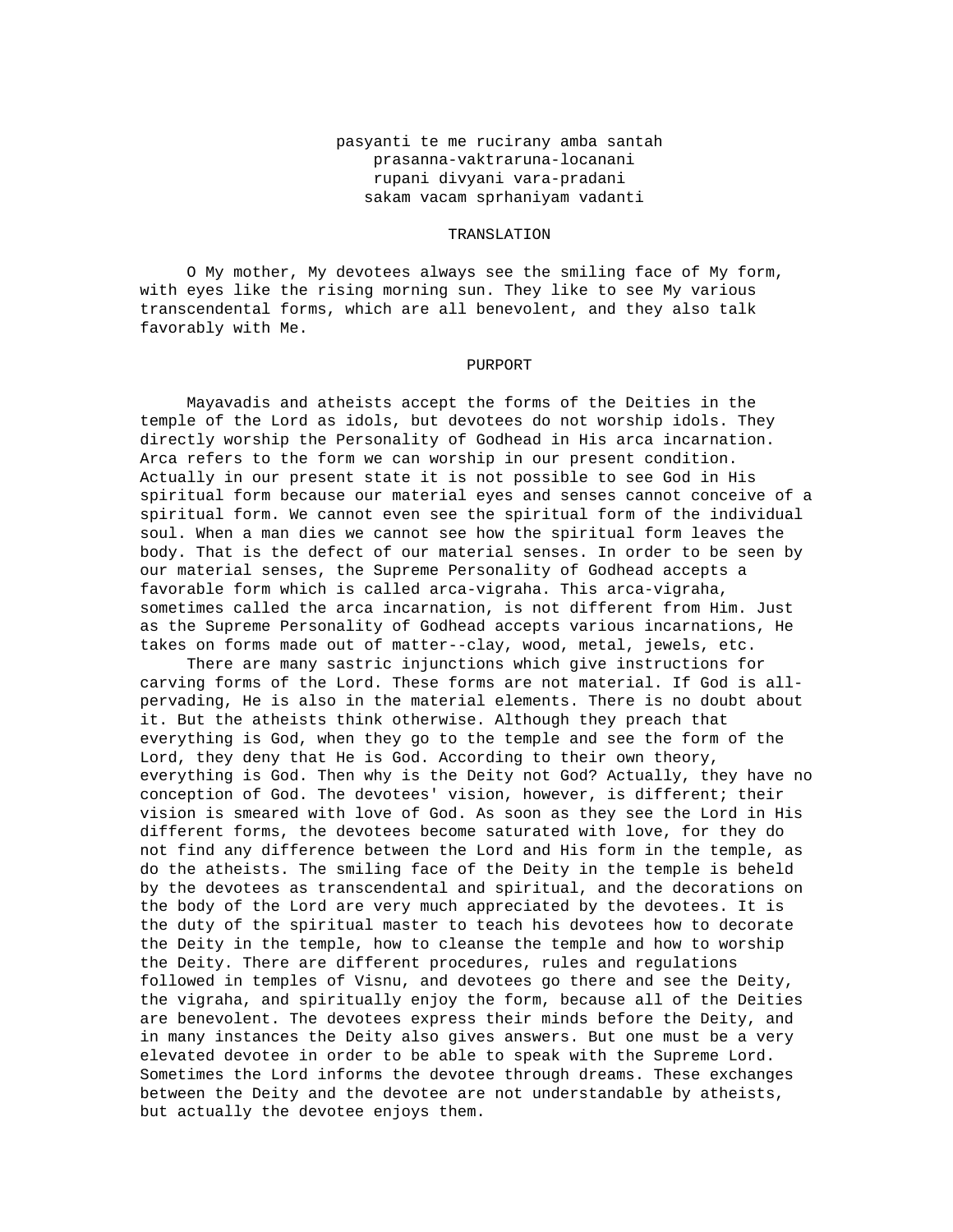# pasyanti te me rucirany amba santah prasanna-vaktraruna-locanani rupani divyani vara-pradani sakam vacam sprhaniyam vadanti

## TRANSLATION

 O My mother, My devotees always see the smiling face of My form, with eyes like the rising morning sun. They like to see My various transcendental forms, which are all benevolent, and they also talk favorably with Me.

#### PURPORT

 Mayavadis and atheists accept the forms of the Deities in the temple of the Lord as idols, but devotees do not worship idols. They directly worship the Personality of Godhead in His arca incarnation. Arca refers to the form we can worship in our present condition. Actually in our present state it is not possible to see God in His spiritual form because our material eyes and senses cannot conceive of a spiritual form. We cannot even see the spiritual form of the individual soul. When a man dies we cannot see how the spiritual form leaves the body. That is the defect of our material senses. In order to be seen by our material senses, the Supreme Personality of Godhead accepts a favorable form which is called arca-vigraha. This arca-vigraha, sometimes called the arca incarnation, is not different from Him. Just as the Supreme Personality of Godhead accepts various incarnations, He takes on forms made out of matter--clay, wood, metal, jewels, etc.

 There are many sastric injunctions which give instructions for carving forms of the Lord. These forms are not material. If God is allpervading, He is also in the material elements. There is no doubt about it. But the atheists think otherwise. Although they preach that everything is God, when they go to the temple and see the form of the Lord, they deny that He is God. According to their own theory, everything is God. Then why is the Deity not God? Actually, they have no conception of God. The devotees' vision, however, is different; their vision is smeared with love of God. As soon as they see the Lord in His different forms, the devotees become saturated with love, for they do not find any difference between the Lord and His form in the temple, as do the atheists. The smiling face of the Deity in the temple is beheld by the devotees as transcendental and spiritual, and the decorations on the body of the Lord are very much appreciated by the devotees. It is the duty of the spiritual master to teach his devotees how to decorate the Deity in the temple, how to cleanse the temple and how to worship the Deity. There are different procedures, rules and regulations followed in temples of Visnu, and devotees go there and see the Deity, the vigraha, and spiritually enjoy the form, because all of the Deities are benevolent. The devotees express their minds before the Deity, and in many instances the Deity also gives answers. But one must be a very elevated devotee in order to be able to speak with the Supreme Lord. Sometimes the Lord informs the devotee through dreams. These exchanges between the Deity and the devotee are not understandable by atheists, but actually the devotee enjoys them.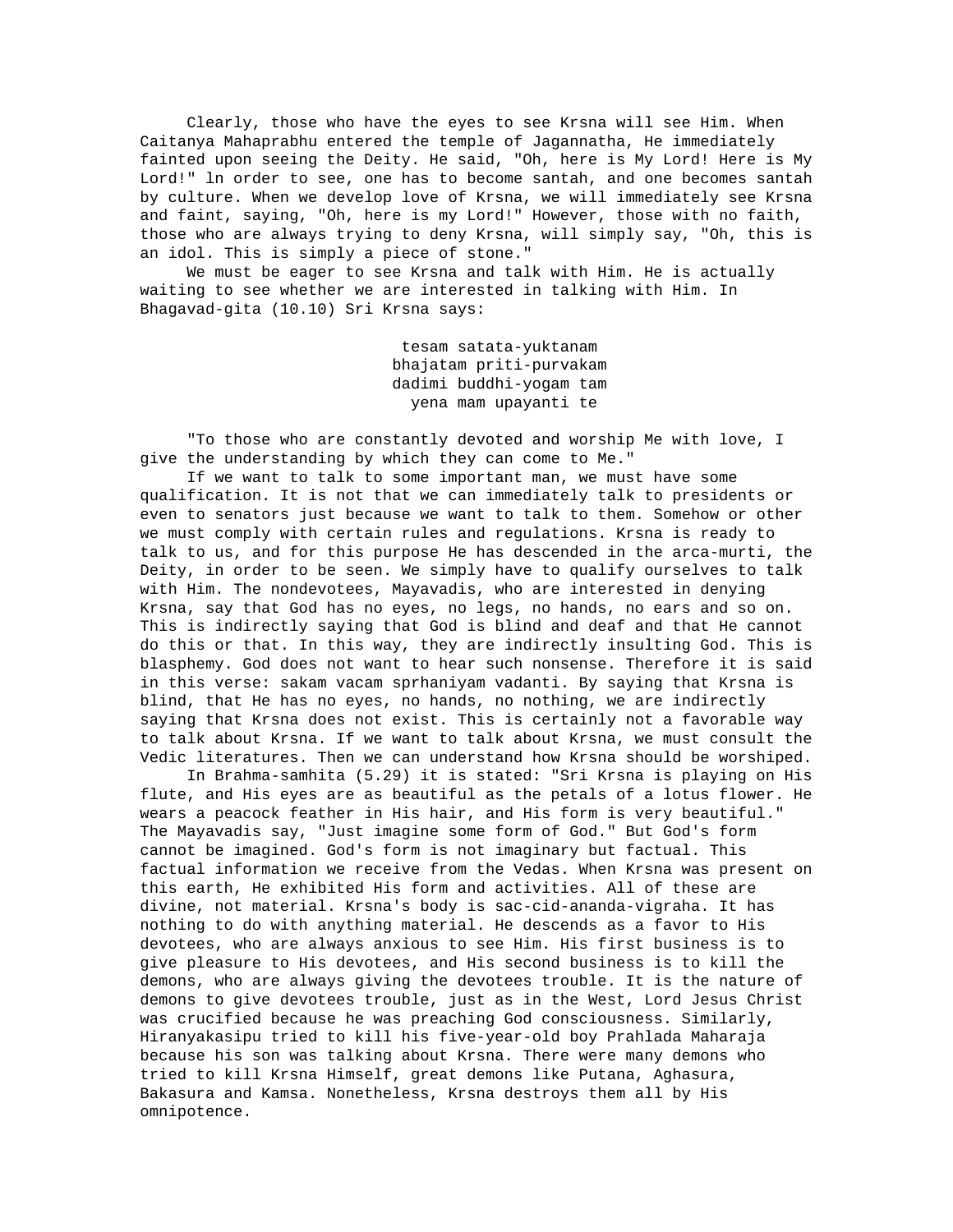Clearly, those who have the eyes to see Krsna will see Him. When Caitanya Mahaprabhu entered the temple of Jagannatha, He immediately fainted upon seeing the Deity. He said, "Oh, here is My Lord! Here is My Lord!" ln order to see, one has to become santah, and one becomes santah by culture. When we develop love of Krsna, we will immediately see Krsna and faint, saying, "Oh, here is my Lord!" However, those with no faith, those who are always trying to deny Krsna, will simply say, "Oh, this is an idol. This is simply a piece of stone."

 We must be eager to see Krsna and talk with Him. He is actually waiting to see whether we are interested in talking with Him. In Bhagavad-gita (10.10) Sri Krsna says:

> tesam satata-yuktanam bhajatam priti-purvakam dadimi buddhi-yogam tam yena mam upayanti te

 "To those who are constantly devoted and worship Me with love, I give the understanding by which they can come to Me."

 If we want to talk to some important man, we must have some qualification. It is not that we can immediately talk to presidents or even to senators just because we want to talk to them. Somehow or other we must comply with certain rules and regulations. Krsna is ready to talk to us, and for this purpose He has descended in the arca-murti, the Deity, in order to be seen. We simply have to qualify ourselves to talk with Him. The nondevotees, Mayavadis, who are interested in denying Krsna, say that God has no eyes, no legs, no hands, no ears and so on. This is indirectly saying that God is blind and deaf and that He cannot do this or that. In this way, they are indirectly insulting God. This is blasphemy. God does not want to hear such nonsense. Therefore it is said in this verse: sakam vacam sprhaniyam vadanti. By saying that Krsna is blind, that He has no eyes, no hands, no nothing, we are indirectly saying that Krsna does not exist. This is certainly not a favorable way to talk about Krsna. If we want to talk about Krsna, we must consult the Vedic literatures. Then we can understand how Krsna should be worshiped.

 In Brahma-samhita (5.29) it is stated: "Sri Krsna is playing on His flute, and His eyes are as beautiful as the petals of a lotus flower. He wears a peacock feather in His hair, and His form is very beautiful." The Mayavadis say, "Just imagine some form of God." But God's form cannot be imagined. God's form is not imaginary but factual. This factual information we receive from the Vedas. When Krsna was present on this earth, He exhibited His form and activities. All of these are divine, not material. Krsna's body is sac-cid-ananda-vigraha. It has nothing to do with anything material. He descends as a favor to His devotees, who are always anxious to see Him. His first business is to give pleasure to His devotees, and His second business is to kill the demons, who are always giving the devotees trouble. It is the nature of demons to give devotees trouble, just as in the West, Lord Jesus Christ was crucified because he was preaching God consciousness. Similarly, Hiranyakasipu tried to kill his five-year-old boy Prahlada Maharaja because his son was talking about Krsna. There were many demons who tried to kill Krsna Himself, great demons like Putana, Aghasura, Bakasura and Kamsa. Nonetheless, Krsna destroys them all by His omnipotence.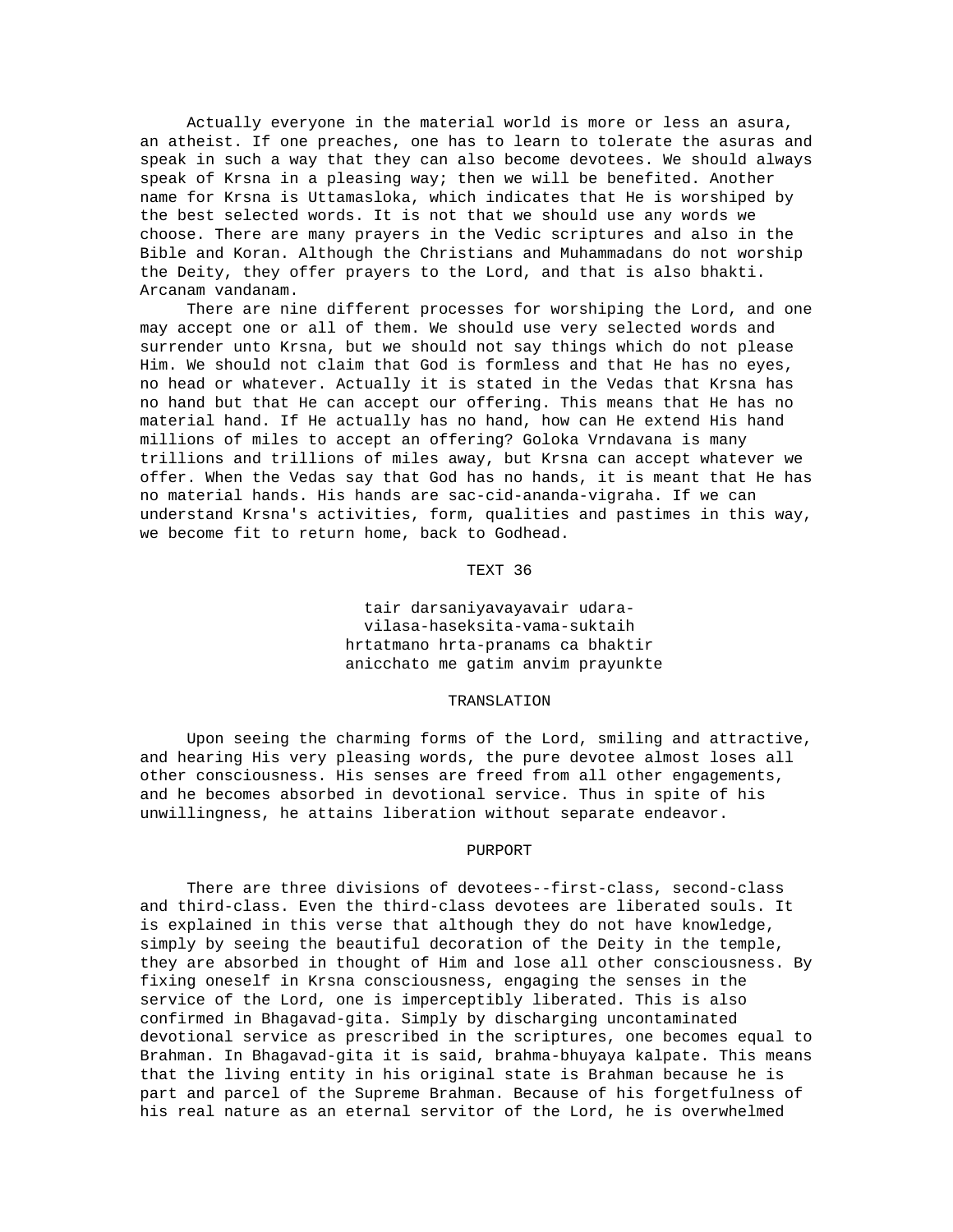Actually everyone in the material world is more or less an asura, an atheist. If one preaches, one has to learn to tolerate the asuras and speak in such a way that they can also become devotees. We should always speak of Krsna in a pleasing way; then we will be benefited. Another name for Krsna is Uttamasloka, which indicates that He is worshiped by the best selected words. It is not that we should use any words we choose. There are many prayers in the Vedic scriptures and also in the Bible and Koran. Although the Christians and Muhammadans do not worship the Deity, they offer prayers to the Lord, and that is also bhakti. Arcanam vandanam.

 There are nine different processes for worshiping the Lord, and one may accept one or all of them. We should use very selected words and surrender unto Krsna, but we should not say things which do not please Him. We should not claim that God is formless and that He has no eyes, no head or whatever. Actually it is stated in the Vedas that Krsna has no hand but that He can accept our offering. This means that He has no material hand. If He actually has no hand, how can He extend His hand millions of miles to accept an offering? Goloka Vrndavana is many trillions and trillions of miles away, but Krsna can accept whatever we offer. When the Vedas say that God has no hands, it is meant that He has no material hands. His hands are sac-cid-ananda-vigraha. If we can understand Krsna's activities, form, qualities and pastimes in this way, we become fit to return home, back to Godhead.

TEXT 36

# tair darsaniyavayavair udara vilasa-haseksita-vama-suktaih hrtatmano hrta-pranams ca bhaktir anicchato me gatim anvim prayunkte

#### TRANSLATION

 Upon seeing the charming forms of the Lord, smiling and attractive, and hearing His very pleasing words, the pure devotee almost loses all other consciousness. His senses are freed from all other engagements, and he becomes absorbed in devotional service. Thus in spite of his unwillingness, he attains liberation without separate endeavor.

## PURPORT

 There are three divisions of devotees--first-class, second-class and third-class. Even the third-class devotees are liberated souls. It is explained in this verse that although they do not have knowledge, simply by seeing the beautiful decoration of the Deity in the temple, they are absorbed in thought of Him and lose all other consciousness. By fixing oneself in Krsna consciousness, engaging the senses in the service of the Lord, one is imperceptibly liberated. This is also confirmed in Bhagavad-gita. Simply by discharging uncontaminated devotional service as prescribed in the scriptures, one becomes equal to Brahman. In Bhagavad-gita it is said, brahma-bhuyaya kalpate. This means that the living entity in his original state is Brahman because he is part and parcel of the Supreme Brahman. Because of his forgetfulness of his real nature as an eternal servitor of the Lord, he is overwhelmed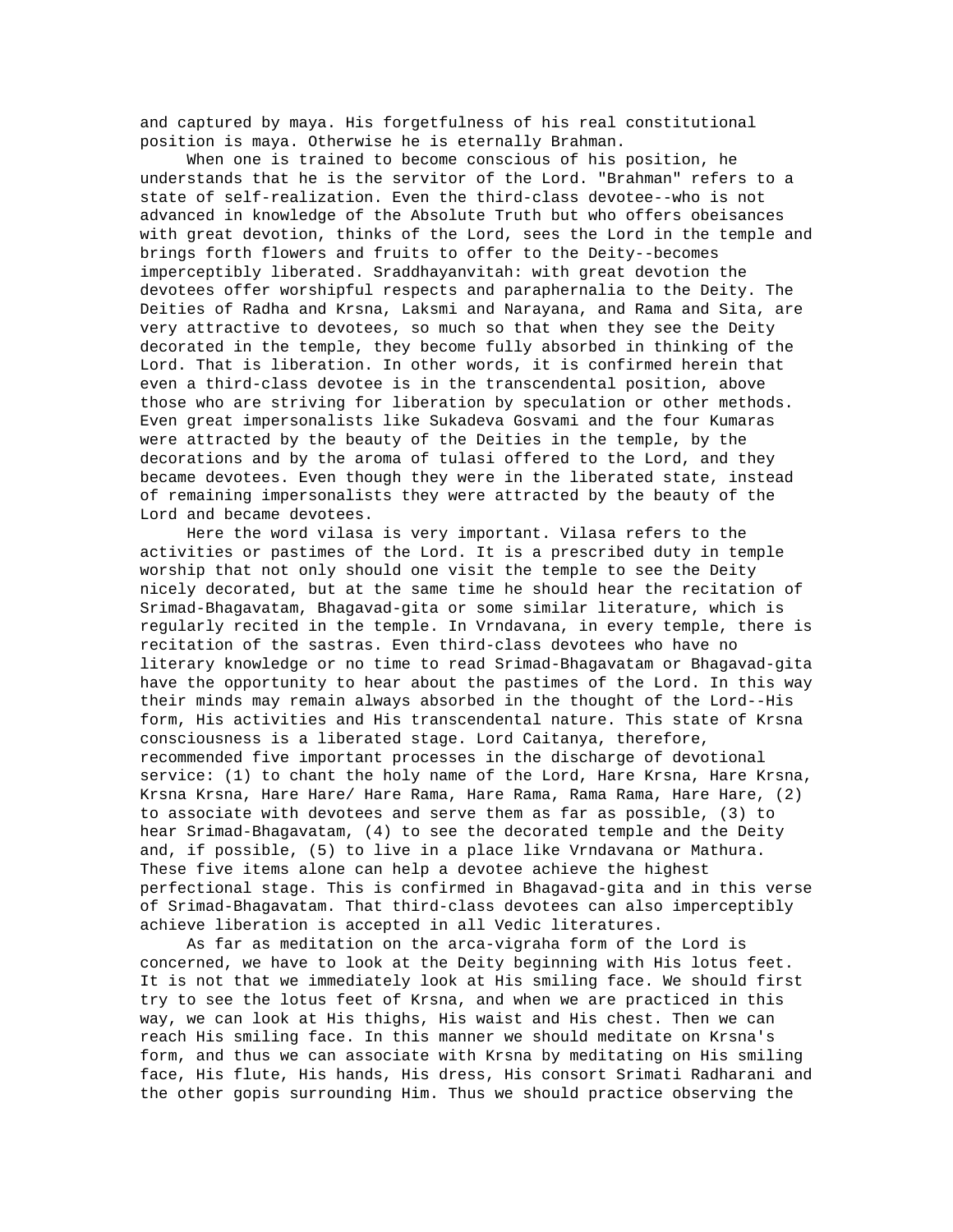and captured by maya. His forgetfulness of his real constitutional position is maya. Otherwise he is eternally Brahman.

 When one is trained to become conscious of his position, he understands that he is the servitor of the Lord. "Brahman" refers to a state of self-realization. Even the third-class devotee--who is not advanced in knowledge of the Absolute Truth but who offers obeisances with great devotion, thinks of the Lord, sees the Lord in the temple and brings forth flowers and fruits to offer to the Deity--becomes imperceptibly liberated. Sraddhayanvitah: with great devotion the devotees offer worshipful respects and paraphernalia to the Deity. The Deities of Radha and Krsna, Laksmi and Narayana, and Rama and Sita, are very attractive to devotees, so much so that when they see the Deity decorated in the temple, they become fully absorbed in thinking of the Lord. That is liberation. In other words, it is confirmed herein that even a third-class devotee is in the transcendental position, above those who are striving for liberation by speculation or other methods. Even great impersonalists like Sukadeva Gosvami and the four Kumaras were attracted by the beauty of the Deities in the temple, by the decorations and by the aroma of tulasi offered to the Lord, and they became devotees. Even though they were in the liberated state, instead of remaining impersonalists they were attracted by the beauty of the Lord and became devotees.

 Here the word vilasa is very important. Vilasa refers to the activities or pastimes of the Lord. It is a prescribed duty in temple worship that not only should one visit the temple to see the Deity nicely decorated, but at the same time he should hear the recitation of Srimad-Bhagavatam, Bhagavad-gita or some similar literature, which is regularly recited in the temple. In Vrndavana, in every temple, there is recitation of the sastras. Even third-class devotees who have no literary knowledge or no time to read Srimad-Bhagavatam or Bhagavad-gita have the opportunity to hear about the pastimes of the Lord. In this way their minds may remain always absorbed in the thought of the Lord--His form, His activities and His transcendental nature. This state of Krsna consciousness is a liberated stage. Lord Caitanya, therefore, recommended five important processes in the discharge of devotional service: (1) to chant the holy name of the Lord, Hare Krsna, Hare Krsna, Krsna Krsna, Hare Hare/ Hare Rama, Hare Rama, Rama Rama, Hare Hare, (2) to associate with devotees and serve them as far as possible, (3) to hear Srimad-Bhagavatam, (4) to see the decorated temple and the Deity and, if possible, (5) to live in a place like Vrndavana or Mathura. These five items alone can help a devotee achieve the highest perfectional stage. This is confirmed in Bhagavad-gita and in this verse of Srimad-Bhagavatam. That third-class devotees can also imperceptibly achieve liberation is accepted in all Vedic literatures.

 As far as meditation on the arca-vigraha form of the Lord is concerned, we have to look at the Deity beginning with His lotus feet. It is not that we immediately look at His smiling face. We should first try to see the lotus feet of Krsna, and when we are practiced in this way, we can look at His thighs, His waist and His chest. Then we can reach His smiling face. In this manner we should meditate on Krsna's form, and thus we can associate with Krsna by meditating on His smiling face, His flute, His hands, His dress, His consort Srimati Radharani and the other gopis surrounding Him. Thus we should practice observing the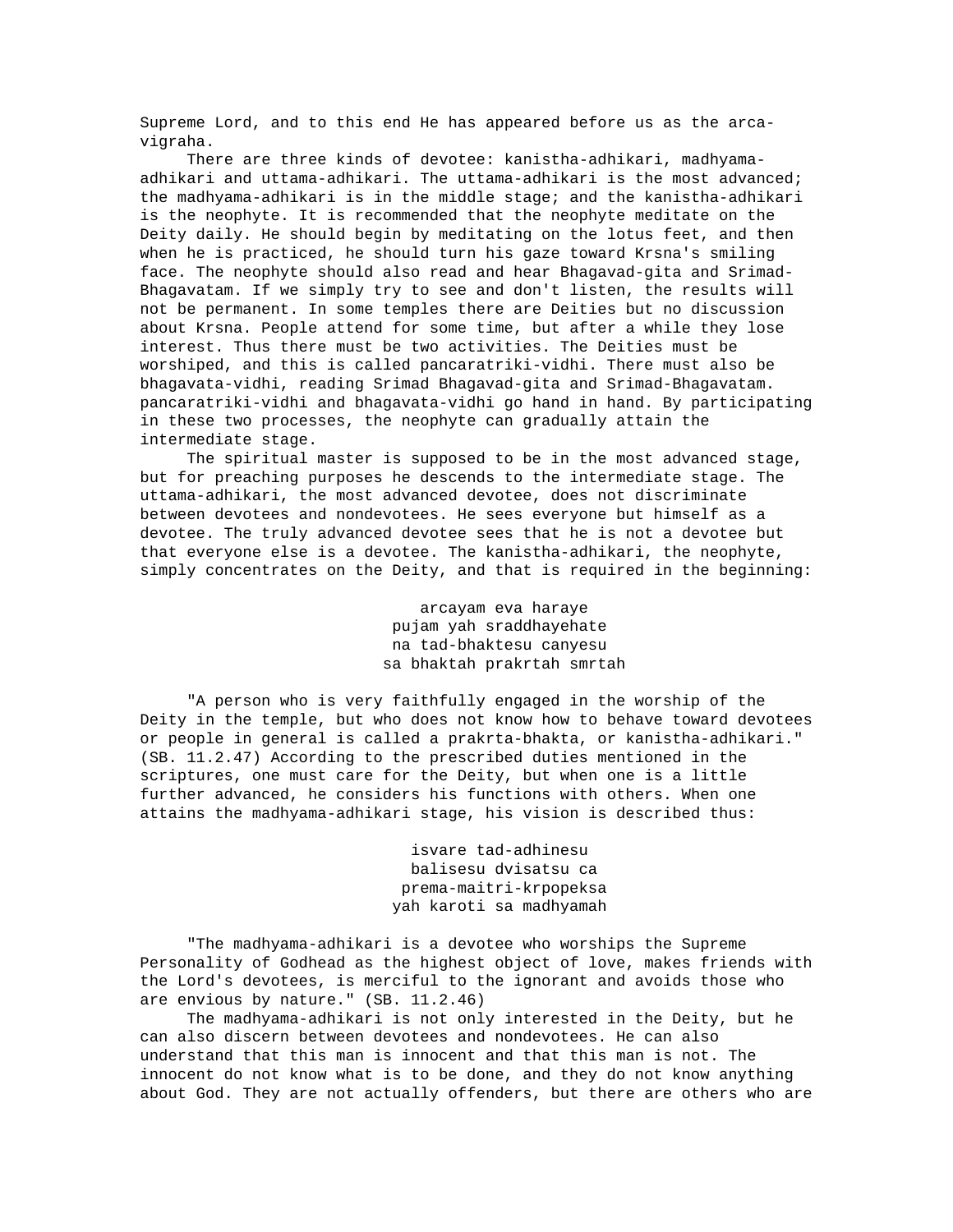Supreme Lord, and to this end He has appeared before us as the arcavigraha.

 There are three kinds of devotee: kanistha-adhikari, madhyamaadhikari and uttama-adhikari. The uttama-adhikari is the most advanced; the madhyama-adhikari is in the middle stage; and the kanistha-adhikari is the neophyte. It is recommended that the neophyte meditate on the Deity daily. He should begin by meditating on the lotus feet, and then when he is practiced, he should turn his gaze toward Krsna's smiling face. The neophyte should also read and hear Bhagavad-gita and Srimad-Bhagavatam. If we simply try to see and don't listen, the results will not be permanent. In some temples there are Deities but no discussion about Krsna. People attend for some time, but after a while they lose interest. Thus there must be two activities. The Deities must be worshiped, and this is called pancaratriki-vidhi. There must also be bhagavata-vidhi, reading Srimad Bhagavad-gita and Srimad-Bhagavatam. pancaratriki-vidhi and bhagavata-vidhi go hand in hand. By participating in these two processes, the neophyte can gradually attain the intermediate stage.

 The spiritual master is supposed to be in the most advanced stage, but for preaching purposes he descends to the intermediate stage. The uttama-adhikari, the most advanced devotee, does not discriminate between devotees and nondevotees. He sees everyone but himself as a devotee. The truly advanced devotee sees that he is not a devotee but that everyone else is a devotee. The kanistha-adhikari, the neophyte, simply concentrates on the Deity, and that is required in the beginning:

> arcayam eva haraye pujam yah sraddhayehate na tad-bhaktesu canyesu sa bhaktah prakrtah smrtah

 "A person who is very faithfully engaged in the worship of the Deity in the temple, but who does not know how to behave toward devotees or people in general is called a prakrta-bhakta, or kanistha-adhikari." (SB. 11.2.47) According to the prescribed duties mentioned in the scriptures, one must care for the Deity, but when one is a little further advanced, he considers his functions with others. When one attains the madhyama-adhikari stage, his vision is described thus:

> isvare tad-adhinesu balisesu dvisatsu ca prema-maitri-krpopeksa yah karoti sa madhyamah

 "The madhyama-adhikari is a devotee who worships the Supreme Personality of Godhead as the highest object of love, makes friends with the Lord's devotees, is merciful to the ignorant and avoids those who are envious by nature." (SB. 11.2.46)

 The madhyama-adhikari is not only interested in the Deity, but he can also discern between devotees and nondevotees. He can also understand that this man is innocent and that this man is not. The innocent do not know what is to be done, and they do not know anything about God. They are not actually offenders, but there are others who are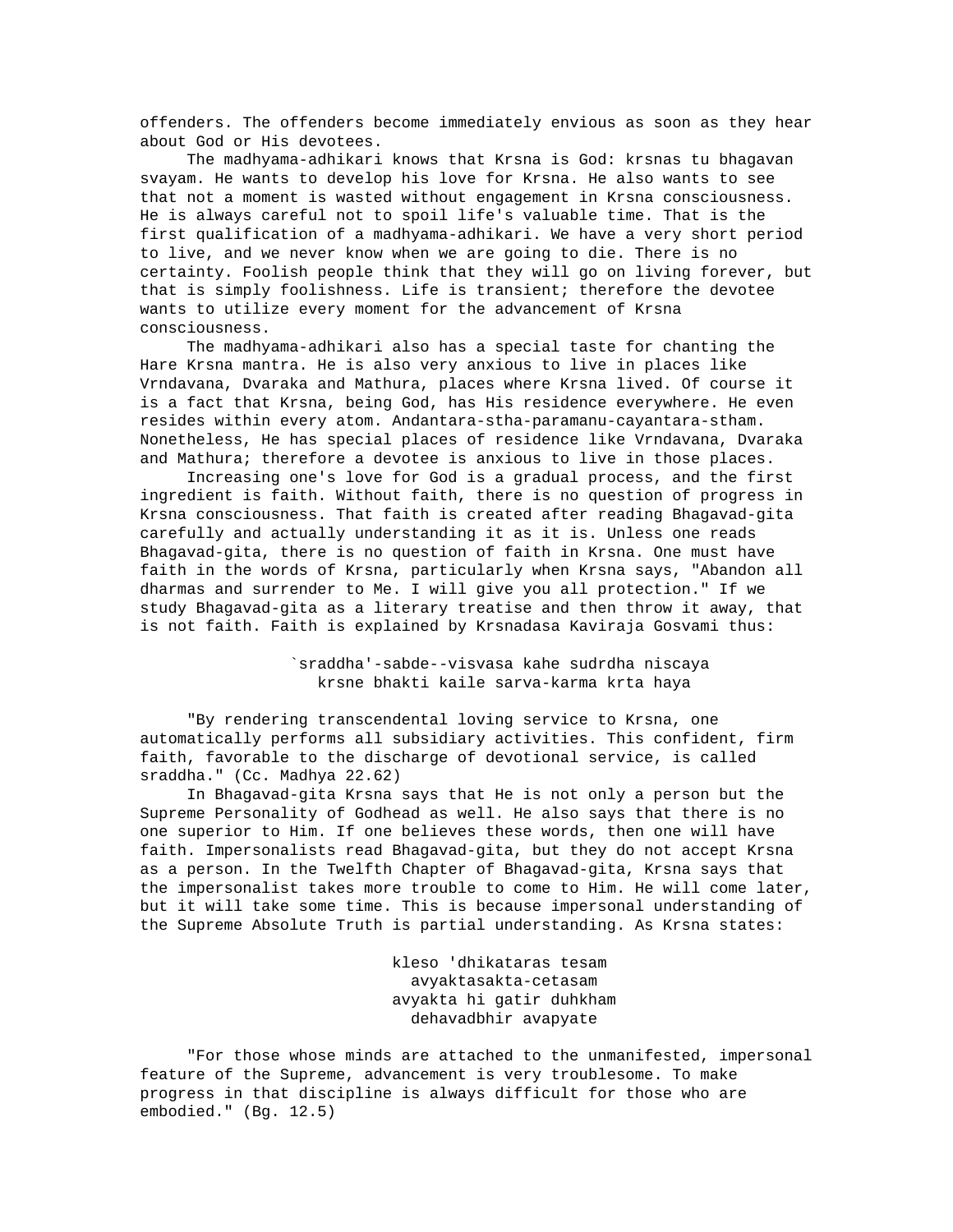offenders. The offenders become immediately envious as soon as they hear about God or His devotees.

 The madhyama-adhikari knows that Krsna is God: krsnas tu bhagavan svayam. He wants to develop his love for Krsna. He also wants to see that not a moment is wasted without engagement in Krsna consciousness. He is always careful not to spoil life's valuable time. That is the first qualification of a madhyama-adhikari. We have a very short period to live, and we never know when we are going to die. There is no certainty. Foolish people think that they will go on living forever, but that is simply foolishness. Life is transient; therefore the devotee wants to utilize every moment for the advancement of Krsna consciousness.

 The madhyama-adhikari also has a special taste for chanting the Hare Krsna mantra. He is also very anxious to live in places like Vrndavana, Dvaraka and Mathura, places where Krsna lived. Of course it is a fact that Krsna, being God, has His residence everywhere. He even resides within every atom. Andantara-stha-paramanu-cayantara-stham. Nonetheless, He has special places of residence like Vrndavana, Dvaraka and Mathura; therefore a devotee is anxious to live in those places.

 Increasing one's love for God is a gradual process, and the first ingredient is faith. Without faith, there is no question of progress in Krsna consciousness. That faith is created after reading Bhagavad-gita carefully and actually understanding it as it is. Unless one reads Bhagavad-gita, there is no question of faith in Krsna. One must have faith in the words of Krsna, particularly when Krsna says, "Abandon all dharmas and surrender to Me. I will give you all protection." If we study Bhagavad-gita as a literary treatise and then throw it away, that is not faith. Faith is explained by Krsnadasa Kaviraja Gosvami thus:

> `sraddha'-sabde--visvasa kahe sudrdha niscaya krsne bhakti kaile sarva-karma krta haya

 "By rendering transcendental loving service to Krsna, one automatically performs all subsidiary activities. This confident, firm faith, favorable to the discharge of devotional service, is called sraddha." (Cc. Madhya 22.62)

 In Bhagavad-gita Krsna says that He is not only a person but the Supreme Personality of Godhead as well. He also says that there is no one superior to Him. If one believes these words, then one will have faith. Impersonalists read Bhagavad-gita, but they do not accept Krsna as a person. In the Twelfth Chapter of Bhagavad-gita, Krsna says that the impersonalist takes more trouble to come to Him. He will come later, but it will take some time. This is because impersonal understanding of the Supreme Absolute Truth is partial understanding. As Krsna states:

> kleso 'dhikataras tesam avyaktasakta-cetasam avyakta hi gatir duhkham dehavadbhir avapyate

 "For those whose minds are attached to the unmanifested, impersonal feature of the Supreme, advancement is very troublesome. To make progress in that discipline is always difficult for those who are embodied." (Bg. 12.5)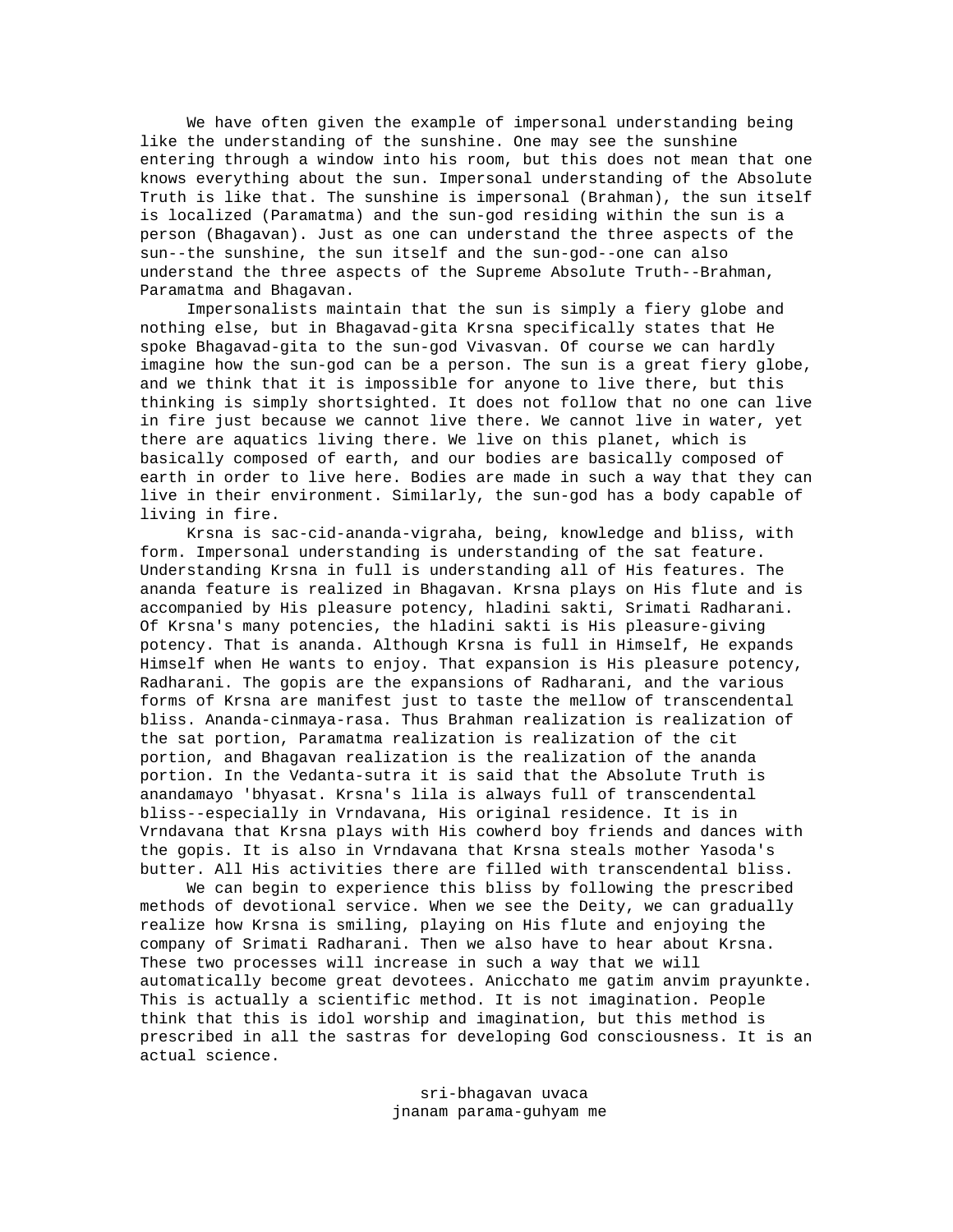We have often given the example of impersonal understanding being like the understanding of the sunshine. One may see the sunshine entering through a window into his room, but this does not mean that one knows everything about the sun. Impersonal understanding of the Absolute Truth is like that. The sunshine is impersonal (Brahman), the sun itself is localized (Paramatma) and the sun-god residing within the sun is a person (Bhagavan). Just as one can understand the three aspects of the sun--the sunshine, the sun itself and the sun-god--one can also understand the three aspects of the Supreme Absolute Truth--Brahman, Paramatma and Bhagavan.

 Impersonalists maintain that the sun is simply a fiery globe and nothing else, but in Bhagavad-gita Krsna specifically states that He spoke Bhagavad-gita to the sun-god Vivasvan. Of course we can hardly imagine how the sun-god can be a person. The sun is a great fiery globe, and we think that it is impossible for anyone to live there, but this thinking is simply shortsighted. It does not follow that no one can live in fire just because we cannot live there. We cannot live in water, yet there are aquatics living there. We live on this planet, which is basically composed of earth, and our bodies are basically composed of earth in order to live here. Bodies are made in such a way that they can live in their environment. Similarly, the sun-god has a body capable of living in fire.

 Krsna is sac-cid-ananda-vigraha, being, knowledge and bliss, with form. Impersonal understanding is understanding of the sat feature. Understanding Krsna in full is understanding all of His features. The ananda feature is realized in Bhagavan. Krsna plays on His flute and is accompanied by His pleasure potency, hladini sakti, Srimati Radharani. Of Krsna's many potencies, the hladini sakti is His pleasure-giving potency. That is ananda. Although Krsna is full in Himself, He expands Himself when He wants to enjoy. That expansion is His pleasure potency, Radharani. The gopis are the expansions of Radharani, and the various forms of Krsna are manifest just to taste the mellow of transcendental bliss. Ananda-cinmaya-rasa. Thus Brahman realization is realization of the sat portion, Paramatma realization is realization of the cit portion, and Bhagavan realization is the realization of the ananda portion. In the Vedanta-sutra it is said that the Absolute Truth is anandamayo 'bhyasat. Krsna's lila is always full of transcendental bliss--especially in Vrndavana, His original residence. It is in Vrndavana that Krsna plays with His cowherd boy friends and dances with the gopis. It is also in Vrndavana that Krsna steals mother Yasoda's butter. All His activities there are filled with transcendental bliss.

 We can begin to experience this bliss by following the prescribed methods of devotional service. When we see the Deity, we can gradually realize how Krsna is smiling, playing on His flute and enjoying the company of Srimati Radharani. Then we also have to hear about Krsna. These two processes will increase in such a way that we will automatically become great devotees. Anicchato me gatim anvim prayunkte. This is actually a scientific method. It is not imagination. People think that this is idol worship and imagination, but this method is prescribed in all the sastras for developing God consciousness. It is an actual science.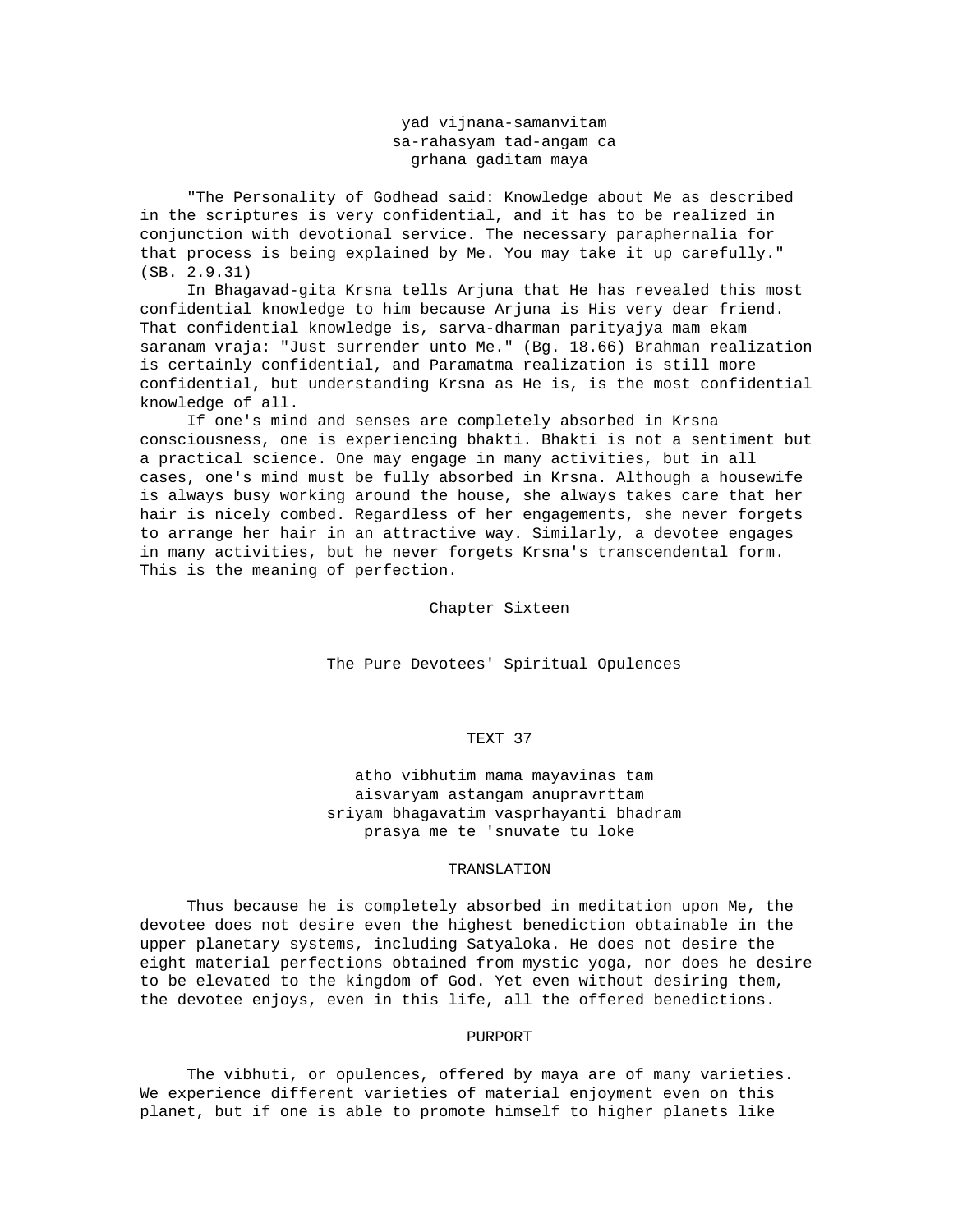yad vijnana-samanvitam sa-rahasyam tad-angam ca grhana gaditam maya

 "The Personality of Godhead said: Knowledge about Me as described in the scriptures is very confidential, and it has to be realized in conjunction with devotional service. The necessary paraphernalia for that process is being explained by Me. You may take it up carefully." (SB. 2.9.31)

 In Bhagavad-gita Krsna tells Arjuna that He has revealed this most confidential knowledge to him because Arjuna is His very dear friend. That confidential knowledge is, sarva-dharman parityajya mam ekam saranam vraja: "Just surrender unto Me." (Bg. 18.66) Brahman realization is certainly confidential, and Paramatma realization is still more confidential, but understanding Krsna as He is, is the most confidential knowledge of all.

 If one's mind and senses are completely absorbed in Krsna consciousness, one is experiencing bhakti. Bhakti is not a sentiment but a practical science. One may engage in many activities, but in all cases, one's mind must be fully absorbed in Krsna. Although a housewife is always busy working around the house, she always takes care that her hair is nicely combed. Regardless of her engagements, she never forgets to arrange her hair in an attractive way. Similarly, a devotee engages in many activities, but he never forgets Krsna's transcendental form. This is the meaning of perfection.

Chapter Sixteen

The Pure Devotees' Spiritual Opulences

### TEXT 37

 atho vibhutim mama mayavinas tam aisvaryam astangam anupravrttam sriyam bhagavatim vasprhayanti bhadram prasya me te 'snuvate tu loke

#### TRANSLATION

 Thus because he is completely absorbed in meditation upon Me, the devotee does not desire even the highest benediction obtainable in the upper planetary systems, including Satyaloka. He does not desire the eight material perfections obtained from mystic yoga, nor does he desire to be elevated to the kingdom of God. Yet even without desiring them, the devotee enjoys, even in this life, all the offered benedictions.

## PURPORT

 The vibhuti, or opulences, offered by maya are of many varieties. We experience different varieties of material enjoyment even on this planet, but if one is able to promote himself to higher planets like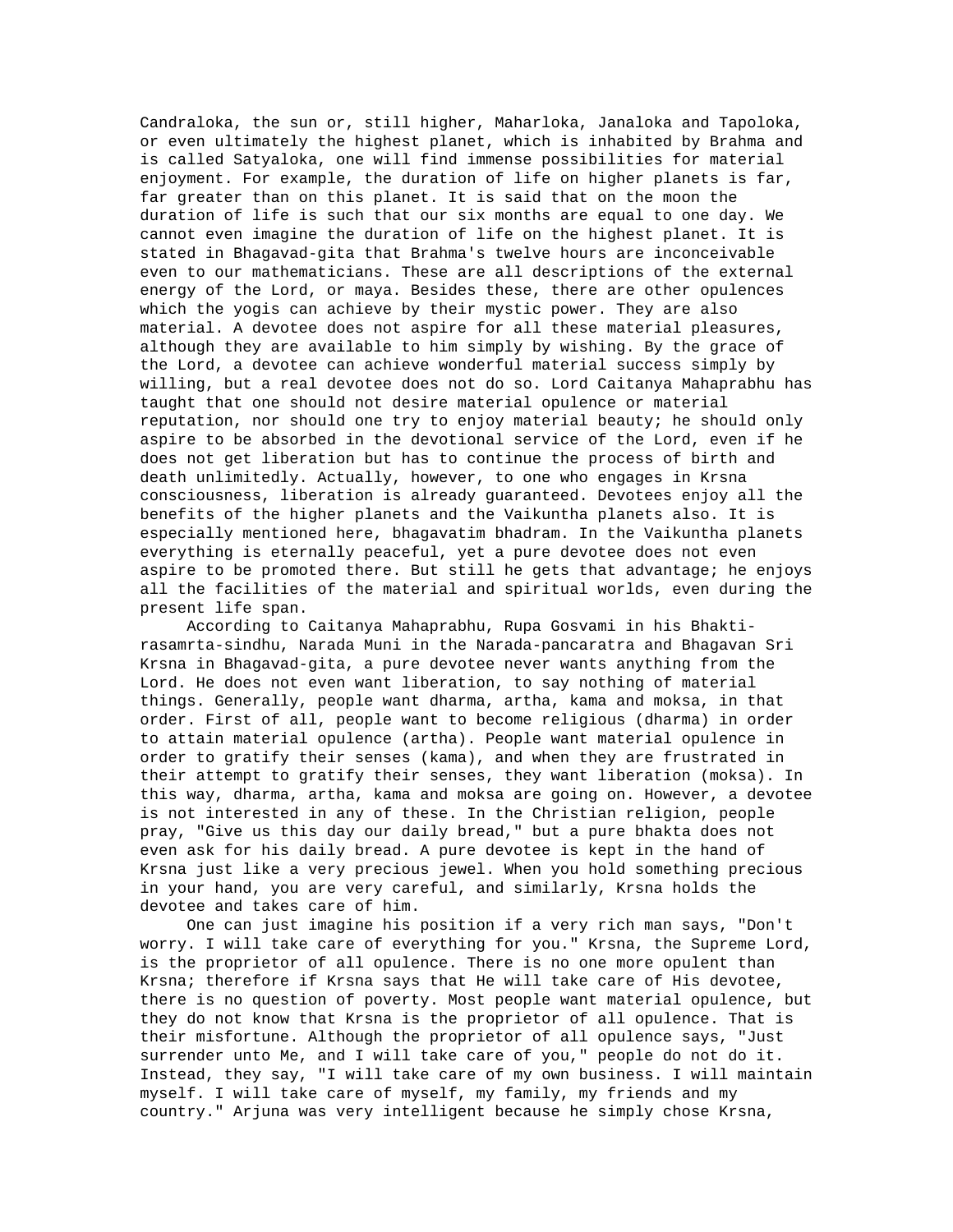Candraloka, the sun or, still higher, Maharloka, Janaloka and Tapoloka, or even ultimately the highest planet, which is inhabited by Brahma and is called Satyaloka, one will find immense possibilities for material enjoyment. For example, the duration of life on higher planets is far, far greater than on this planet. It is said that on the moon the duration of life is such that our six months are equal to one day. We cannot even imagine the duration of life on the highest planet. It is stated in Bhagavad-gita that Brahma's twelve hours are inconceivable even to our mathematicians. These are all descriptions of the external energy of the Lord, or maya. Besides these, there are other opulences which the yogis can achieve by their mystic power. They are also material. A devotee does not aspire for all these material pleasures, although they are available to him simply by wishing. By the grace of the Lord, a devotee can achieve wonderful material success simply by willing, but a real devotee does not do so. Lord Caitanya Mahaprabhu has taught that one should not desire material opulence or material reputation, nor should one try to enjoy material beauty; he should only aspire to be absorbed in the devotional service of the Lord, even if he does not get liberation but has to continue the process of birth and death unlimitedly. Actually, however, to one who engages in Krsna consciousness, liberation is already guaranteed. Devotees enjoy all the benefits of the higher planets and the Vaikuntha planets also. It is especially mentioned here, bhagavatim bhadram. In the Vaikuntha planets everything is eternally peaceful, yet a pure devotee does not even aspire to be promoted there. But still he gets that advantage; he enjoys all the facilities of the material and spiritual worlds, even during the present life span.

 According to Caitanya Mahaprabhu, Rupa Gosvami in his Bhaktirasamrta-sindhu, Narada Muni in the Narada-pancaratra and Bhagavan Sri Krsna in Bhagavad-gita, a pure devotee never wants anything from the Lord. He does not even want liberation, to say nothing of material things. Generally, people want dharma, artha, kama and moksa, in that order. First of all, people want to become religious (dharma) in order to attain material opulence (artha). People want material opulence in order to gratify their senses (kama), and when they are frustrated in their attempt to gratify their senses, they want liberation (moksa). In this way, dharma, artha, kama and moksa are going on. However, a devotee is not interested in any of these. In the Christian religion, people pray, "Give us this day our daily bread," but a pure bhakta does not even ask for his daily bread. A pure devotee is kept in the hand of Krsna just like a very precious jewel. When you hold something precious in your hand, you are very careful, and similarly, Krsna holds the devotee and takes care of him.

 One can just imagine his position if a very rich man says, "Don't worry. I will take care of everything for you." Krsna, the Supreme Lord, is the proprietor of all opulence. There is no one more opulent than Krsna; therefore if Krsna says that He will take care of His devotee, there is no question of poverty. Most people want material opulence, but they do not know that Krsna is the proprietor of all opulence. That is their misfortune. Although the proprietor of all opulence says, "Just surrender unto Me, and I will take care of you," people do not do it. Instead, they say, "I will take care of my own business. I will maintain myself. I will take care of myself, my family, my friends and my country." Arjuna was very intelligent because he simply chose Krsna,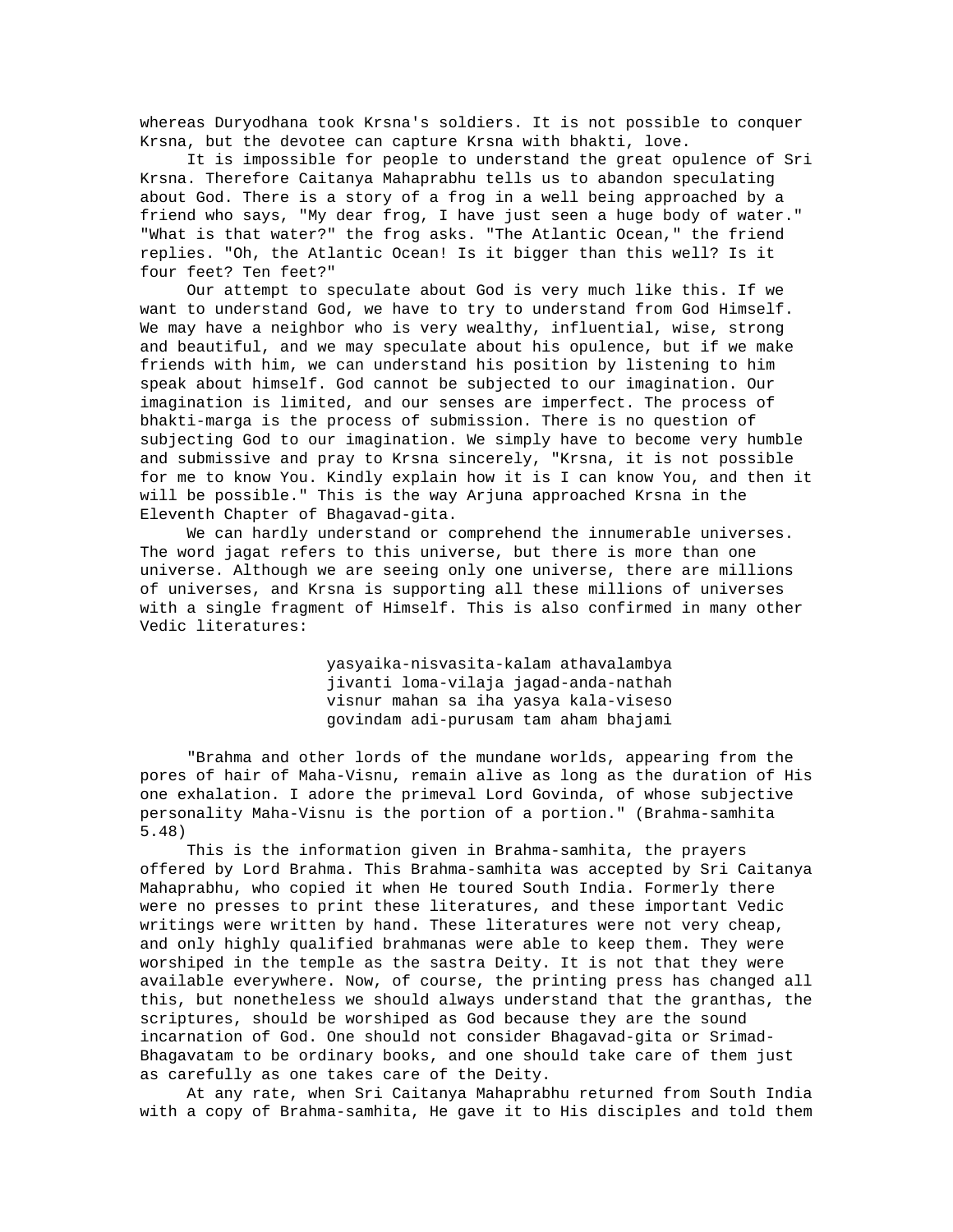whereas Duryodhana took Krsna's soldiers. It is not possible to conquer Krsna, but the devotee can capture Krsna with bhakti, love.

 It is impossible for people to understand the great opulence of Sri Krsna. Therefore Caitanya Mahaprabhu tells us to abandon speculating about God. There is a story of a frog in a well being approached by a friend who says, "My dear frog, I have just seen a huge body of water." "What is that water?" the frog asks. "The Atlantic Ocean," the friend replies. "Oh, the Atlantic Ocean! Is it bigger than this well? Is it four feet? Ten feet?"

 Our attempt to speculate about God is very much like this. If we want to understand God, we have to try to understand from God Himself. We may have a neighbor who is very wealthy, influential, wise, strong and beautiful, and we may speculate about his opulence, but if we make friends with him, we can understand his position by listening to him speak about himself. God cannot be subjected to our imagination. Our imagination is limited, and our senses are imperfect. The process of bhakti-marga is the process of submission. There is no question of subjecting God to our imagination. We simply have to become very humble and submissive and pray to Krsna sincerely, "Krsna, it is not possible for me to know You. Kindly explain how it is I can know You, and then it will be possible." This is the way Arjuna approached Krsna in the Eleventh Chapter of Bhagavad-gita.

 We can hardly understand or comprehend the innumerable universes. The word jagat refers to this universe, but there is more than one universe. Although we are seeing only one universe, there are millions of universes, and Krsna is supporting all these millions of universes with a single fragment of Himself. This is also confirmed in many other Vedic literatures:

> yasyaika-nisvasita-kalam athavalambya jivanti loma-vilaja jagad-anda-nathah visnur mahan sa iha yasya kala-viseso govindam adi-purusam tam aham bhajami

 "Brahma and other lords of the mundane worlds, appearing from the pores of hair of Maha-Visnu, remain alive as long as the duration of His one exhalation. I adore the primeval Lord Govinda, of whose subjective personality Maha-Visnu is the portion of a portion." (Brahma-samhita 5.48)

 This is the information given in Brahma-samhita, the prayers offered by Lord Brahma. This Brahma-samhita was accepted by Sri Caitanya Mahaprabhu, who copied it when He toured South India. Formerly there were no presses to print these literatures, and these important Vedic writings were written by hand. These literatures were not very cheap, and only highly qualified brahmanas were able to keep them. They were worshiped in the temple as the sastra Deity. It is not that they were available everywhere. Now, of course, the printing press has changed all this, but nonetheless we should always understand that the granthas, the scriptures, should be worshiped as God because they are the sound incarnation of God. One should not consider Bhagavad-gita or Srimad-Bhagavatam to be ordinary books, and one should take care of them just as carefully as one takes care of the Deity.

 At any rate, when Sri Caitanya Mahaprabhu returned from South India with a copy of Brahma-samhita, He gave it to His disciples and told them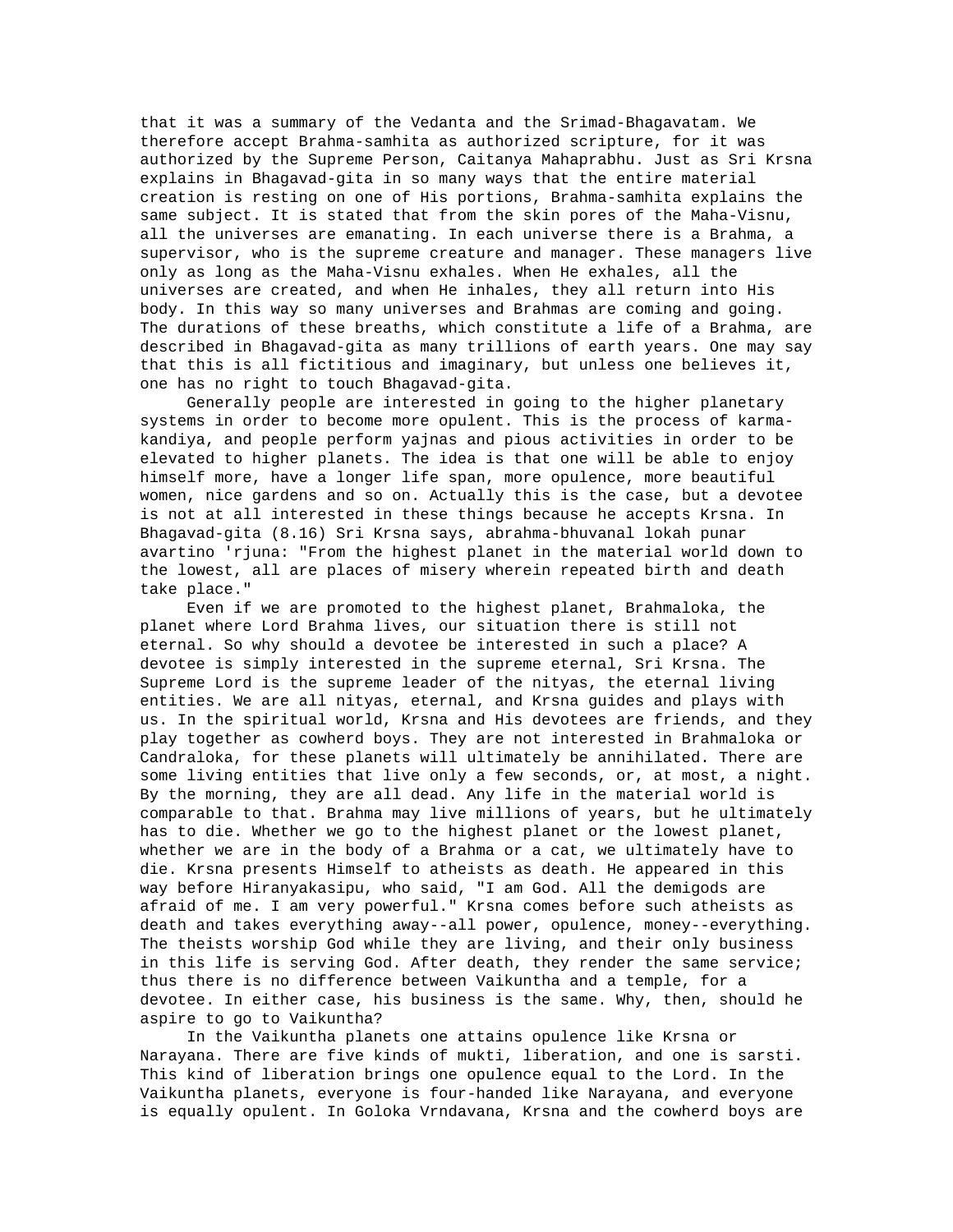that it was a summary of the Vedanta and the Srimad-Bhagavatam. We therefore accept Brahma-samhita as authorized scripture, for it was authorized by the Supreme Person, Caitanya Mahaprabhu. Just as Sri Krsna explains in Bhagavad-gita in so many ways that the entire material creation is resting on one of His portions, Brahma-samhita explains the same subject. It is stated that from the skin pores of the Maha-Visnu, all the universes are emanating. In each universe there is a Brahma, a supervisor, who is the supreme creature and manager. These managers live only as long as the Maha-Visnu exhales. When He exhales, all the universes are created, and when He inhales, they all return into His body. In this way so many universes and Brahmas are coming and going. The durations of these breaths, which constitute a life of a Brahma, are described in Bhagavad-gita as many trillions of earth years. One may say that this is all fictitious and imaginary, but unless one believes it, one has no right to touch Bhagavad-gita.

 Generally people are interested in going to the higher planetary systems in order to become more opulent. This is the process of karmakandiya, and people perform yajnas and pious activities in order to be elevated to higher planets. The idea is that one will be able to enjoy himself more, have a longer life span, more opulence, more beautiful women, nice gardens and so on. Actually this is the case, but a devotee is not at all interested in these things because he accepts Krsna. In Bhagavad-gita (8.16) Sri Krsna says, abrahma-bhuvanal lokah punar avartino 'rjuna: "From the highest planet in the material world down to the lowest, all are places of misery wherein repeated birth and death take place."

 Even if we are promoted to the highest planet, Brahmaloka, the planet where Lord Brahma lives, our situation there is still not eternal. So why should a devotee be interested in such a place? A devotee is simply interested in the supreme eternal, Sri Krsna. The Supreme Lord is the supreme leader of the nityas, the eternal living entities. We are all nityas, eternal, and Krsna guides and plays with us. In the spiritual world, Krsna and His devotees are friends, and they play together as cowherd boys. They are not interested in Brahmaloka or Candraloka, for these planets will ultimately be annihilated. There are some living entities that live only a few seconds, or, at most, a night. By the morning, they are all dead. Any life in the material world is comparable to that. Brahma may live millions of years, but he ultimately has to die. Whether we go to the highest planet or the lowest planet, whether we are in the body of a Brahma or a cat, we ultimately have to die. Krsna presents Himself to atheists as death. He appeared in this way before Hiranyakasipu, who said, "I am God. All the demigods are afraid of me. I am very powerful." Krsna comes before such atheists as death and takes everything away--all power, opulence, money--everything. The theists worship God while they are living, and their only business in this life is serving God. After death, they render the same service; thus there is no difference between Vaikuntha and a temple, for a devotee. In either case, his business is the same. Why, then, should he aspire to go to Vaikuntha?

 In the Vaikuntha planets one attains opulence like Krsna or Narayana. There are five kinds of mukti, liberation, and one is sarsti. This kind of liberation brings one opulence equal to the Lord. In the Vaikuntha planets, everyone is four-handed like Narayana, and everyone is equally opulent. In Goloka Vrndavana, Krsna and the cowherd boys are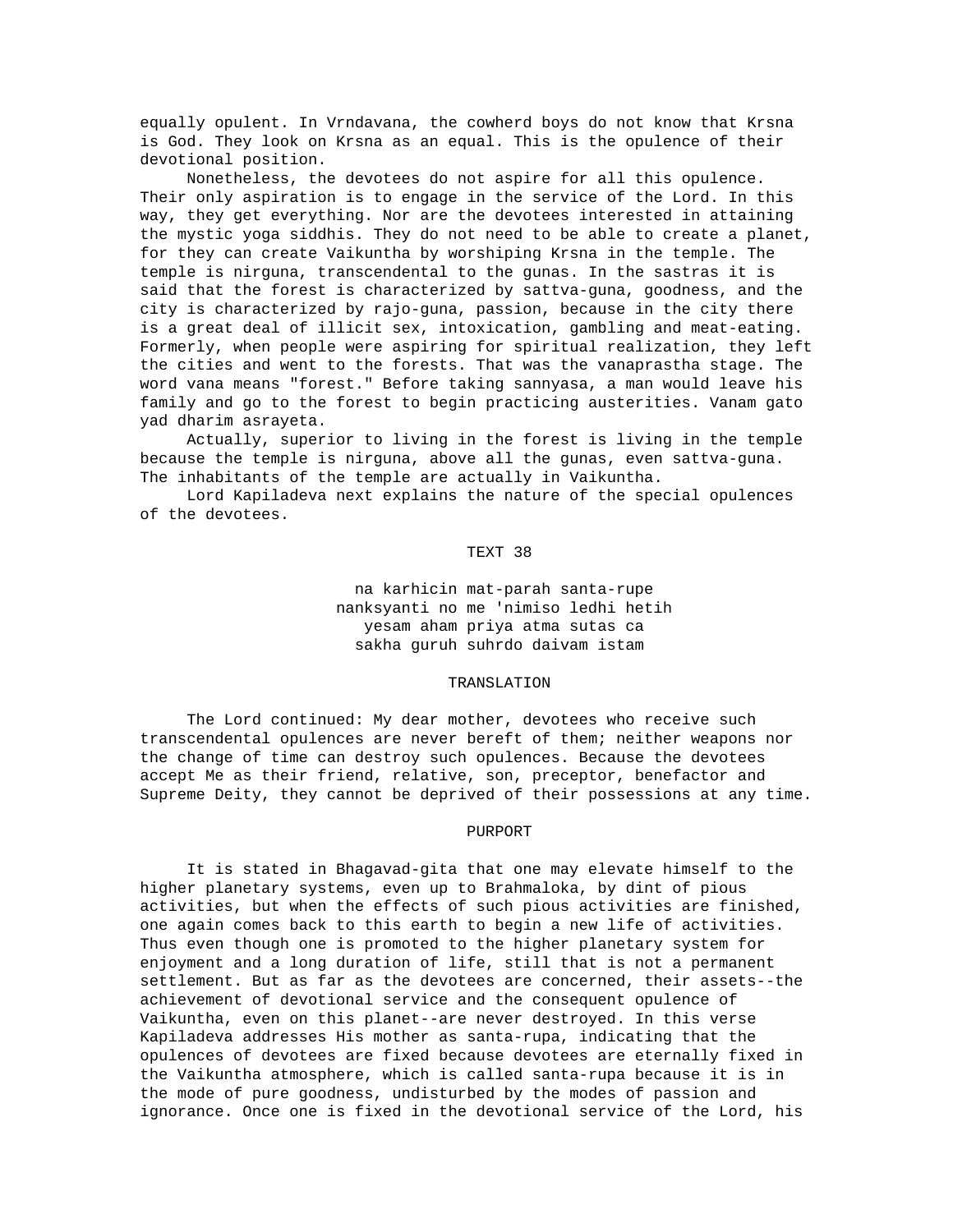equally opulent. In Vrndavana, the cowherd boys do not know that Krsna is God. They look on Krsna as an equal. This is the opulence of their devotional position.

 Nonetheless, the devotees do not aspire for all this opulence. Their only aspiration is to engage in the service of the Lord. In this way, they get everything. Nor are the devotees interested in attaining the mystic yoga siddhis. They do not need to be able to create a planet, for they can create Vaikuntha by worshiping Krsna in the temple. The temple is nirguna, transcendental to the gunas. In the sastras it is said that the forest is characterized by sattva-guna, goodness, and the city is characterized by rajo-guna, passion, because in the city there is a great deal of illicit sex, intoxication, gambling and meat-eating. Formerly, when people were aspiring for spiritual realization, they left the cities and went to the forests. That was the vanaprastha stage. The word vana means "forest." Before taking sannyasa, a man would leave his family and go to the forest to begin practicing austerities. Vanam gato yad dharim asrayeta.

 Actually, superior to living in the forest is living in the temple because the temple is nirguna, above all the gunas, even sattva-guna. The inhabitants of the temple are actually in Vaikuntha.

 Lord Kapiladeva next explains the nature of the special opulences of the devotees.

### TEXT 38

 na karhicin mat-parah santa-rupe nanksyanti no me 'nimiso ledhi hetih yesam aham priya atma sutas ca sakha guruh suhrdo daivam istam

## TRANSLATION

 The Lord continued: My dear mother, devotees who receive such transcendental opulences are never bereft of them; neither weapons nor the change of time can destroy such opulences. Because the devotees accept Me as their friend, relative, son, preceptor, benefactor and Supreme Deity, they cannot be deprived of their possessions at any time.

### PURPORT

 It is stated in Bhagavad-gita that one may elevate himself to the higher planetary systems, even up to Brahmaloka, by dint of pious activities, but when the effects of such pious activities are finished, one again comes back to this earth to begin a new life of activities. Thus even though one is promoted to the higher planetary system for enjoyment and a long duration of life, still that is not a permanent settlement. But as far as the devotees are concerned, their assets--the achievement of devotional service and the consequent opulence of Vaikuntha, even on this planet--are never destroyed. In this verse Kapiladeva addresses His mother as santa-rupa, indicating that the opulences of devotees are fixed because devotees are eternally fixed in the Vaikuntha atmosphere, which is called santa-rupa because it is in the mode of pure goodness, undisturbed by the modes of passion and ignorance. Once one is fixed in the devotional service of the Lord, his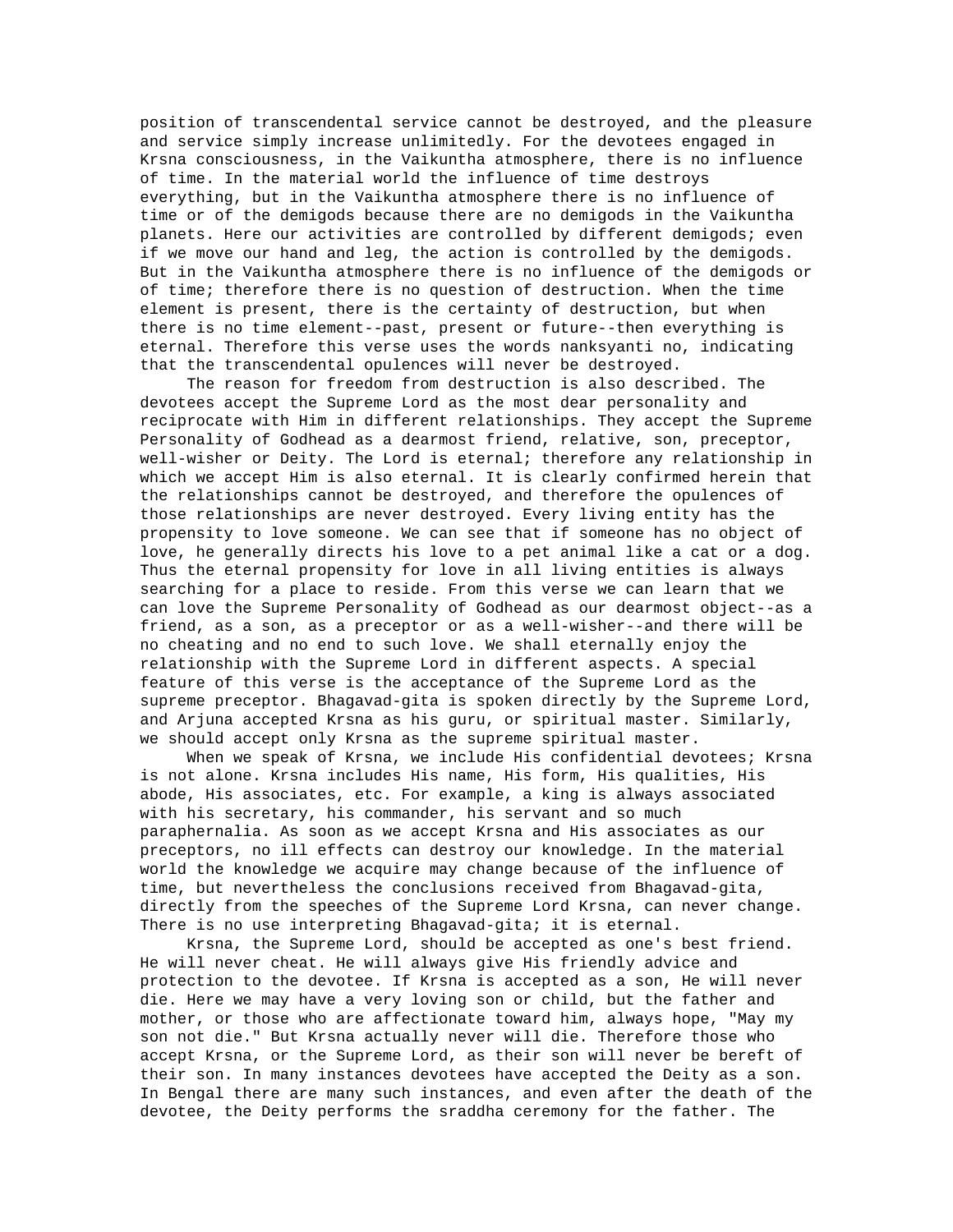position of transcendental service cannot be destroyed, and the pleasure and service simply increase unlimitedly. For the devotees engaged in Krsna consciousness, in the Vaikuntha atmosphere, there is no influence of time. In the material world the influence of time destroys everything, but in the Vaikuntha atmosphere there is no influence of time or of the demigods because there are no demigods in the Vaikuntha planets. Here our activities are controlled by different demigods; even if we move our hand and leg, the action is controlled by the demigods. But in the Vaikuntha atmosphere there is no influence of the demigods or of time; therefore there is no question of destruction. When the time element is present, there is the certainty of destruction, but when there is no time element--past, present or future--then everything is eternal. Therefore this verse uses the words nanksyanti no, indicating that the transcendental opulences will never be destroyed.

 The reason for freedom from destruction is also described. The devotees accept the Supreme Lord as the most dear personality and reciprocate with Him in different relationships. They accept the Supreme Personality of Godhead as a dearmost friend, relative, son, preceptor, well-wisher or Deity. The Lord is eternal; therefore any relationship in which we accept Him is also eternal. It is clearly confirmed herein that the relationships cannot be destroyed, and therefore the opulences of those relationships are never destroyed. Every living entity has the propensity to love someone. We can see that if someone has no object of love, he generally directs his love to a pet animal like a cat or a dog. Thus the eternal propensity for love in all living entities is always searching for a place to reside. From this verse we can learn that we can love the Supreme Personality of Godhead as our dearmost object--as a friend, as a son, as a preceptor or as a well-wisher--and there will be no cheating and no end to such love. We shall eternally enjoy the relationship with the Supreme Lord in different aspects. A special feature of this verse is the acceptance of the Supreme Lord as the supreme preceptor. Bhagavad-gita is spoken directly by the Supreme Lord, and Arjuna accepted Krsna as his guru, or spiritual master. Similarly, we should accept only Krsna as the supreme spiritual master.

When we speak of Krsna, we include His confidential devotees; Krsna is not alone. Krsna includes His name, His form, His qualities, His abode, His associates, etc. For example, a king is always associated with his secretary, his commander, his servant and so much paraphernalia. As soon as we accept Krsna and His associates as our preceptors, no ill effects can destroy our knowledge. In the material world the knowledge we acquire may change because of the influence of time, but nevertheless the conclusions received from Bhagavad-gita, directly from the speeches of the Supreme Lord Krsna, can never change. There is no use interpreting Bhagavad-gita; it is eternal.

 Krsna, the Supreme Lord, should be accepted as one's best friend. He will never cheat. He will always give His friendly advice and protection to the devotee. If Krsna is accepted as a son, He will never die. Here we may have a very loving son or child, but the father and mother, or those who are affectionate toward him, always hope, "May my son not die." But Krsna actually never will die. Therefore those who accept Krsna, or the Supreme Lord, as their son will never be bereft of their son. In many instances devotees have accepted the Deity as a son. In Bengal there are many such instances, and even after the death of the devotee, the Deity performs the sraddha ceremony for the father. The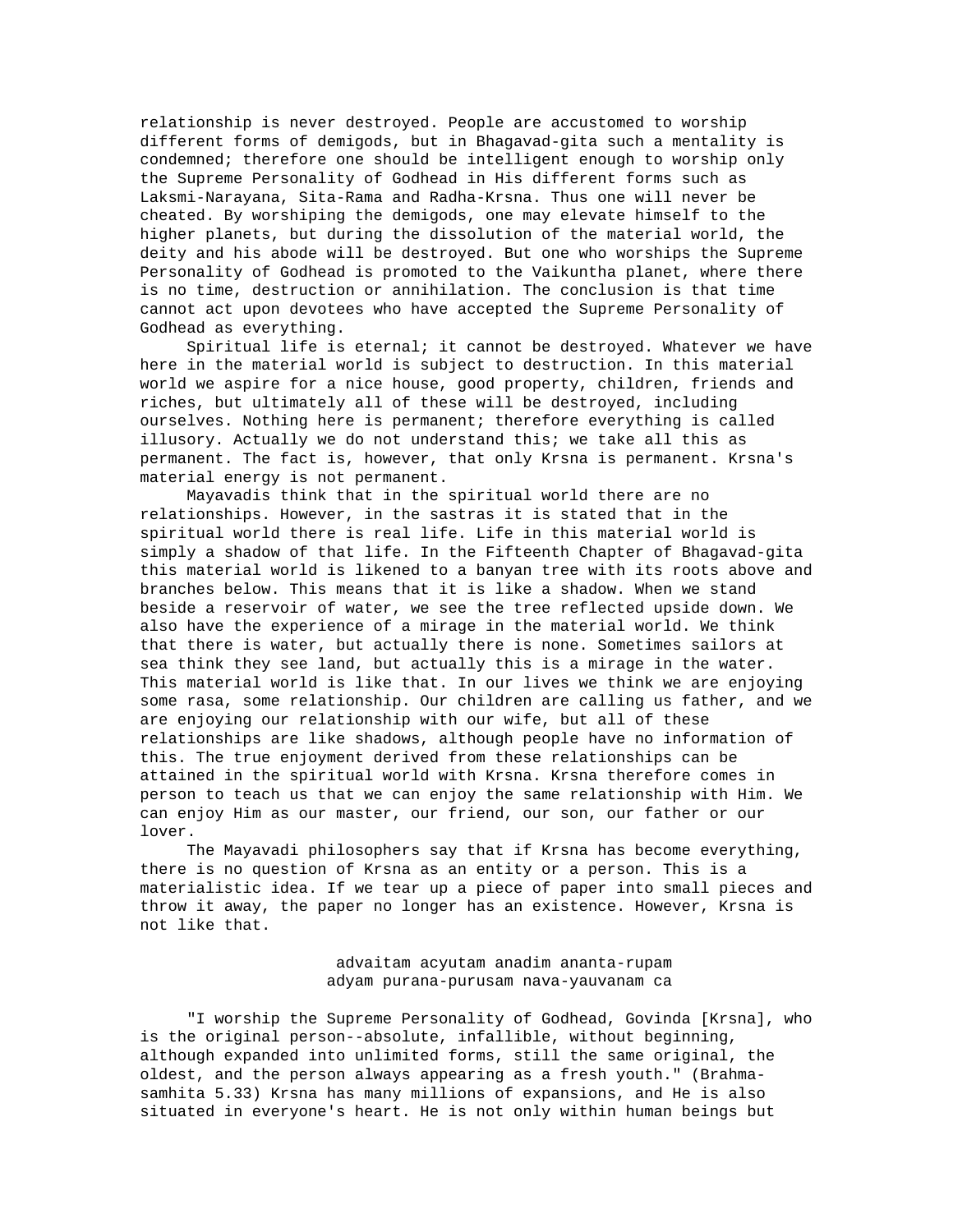relationship is never destroyed. People are accustomed to worship different forms of demigods, but in Bhagavad-gita such a mentality is condemned; therefore one should be intelligent enough to worship only the Supreme Personality of Godhead in His different forms such as Laksmi-Narayana, Sita-Rama and Radha-Krsna. Thus one will never be cheated. By worshiping the demigods, one may elevate himself to the higher planets, but during the dissolution of the material world, the deity and his abode will be destroyed. But one who worships the Supreme Personality of Godhead is promoted to the Vaikuntha planet, where there is no time, destruction or annihilation. The conclusion is that time cannot act upon devotees who have accepted the Supreme Personality of Godhead as everything.

 Spiritual life is eternal; it cannot be destroyed. Whatever we have here in the material world is subject to destruction. In this material world we aspire for a nice house, good property, children, friends and riches, but ultimately all of these will be destroyed, including ourselves. Nothing here is permanent; therefore everything is called illusory. Actually we do not understand this; we take all this as permanent. The fact is, however, that only Krsna is permanent. Krsna's material energy is not permanent.

 Mayavadis think that in the spiritual world there are no relationships. However, in the sastras it is stated that in the spiritual world there is real life. Life in this material world is simply a shadow of that life. In the Fifteenth Chapter of Bhagavad-gita this material world is likened to a banyan tree with its roots above and branches below. This means that it is like a shadow. When we stand beside a reservoir of water, we see the tree reflected upside down. We also have the experience of a mirage in the material world. We think that there is water, but actually there is none. Sometimes sailors at sea think they see land, but actually this is a mirage in the water. This material world is like that. In our lives we think we are enjoying some rasa, some relationship. Our children are calling us father, and we are enjoying our relationship with our wife, but all of these relationships are like shadows, although people have no information of this. The true enjoyment derived from these relationships can be attained in the spiritual world with Krsna. Krsna therefore comes in person to teach us that we can enjoy the same relationship with Him. We can enjoy Him as our master, our friend, our son, our father or our lover.

 The Mayavadi philosophers say that if Krsna has become everything, there is no question of Krsna as an entity or a person. This is a materialistic idea. If we tear up a piece of paper into small pieces and throw it away, the paper no longer has an existence. However, Krsna is not like that.

> advaitam acyutam anadim ananta-rupam adyam purana-purusam nava-yauvanam ca

 "I worship the Supreme Personality of Godhead, Govinda [Krsna], who is the original person--absolute, infallible, without beginning, although expanded into unlimited forms, still the same original, the oldest, and the person always appearing as a fresh youth." (Brahmasamhita 5.33) Krsna has many millions of expansions, and He is also situated in everyone's heart. He is not only within human beings but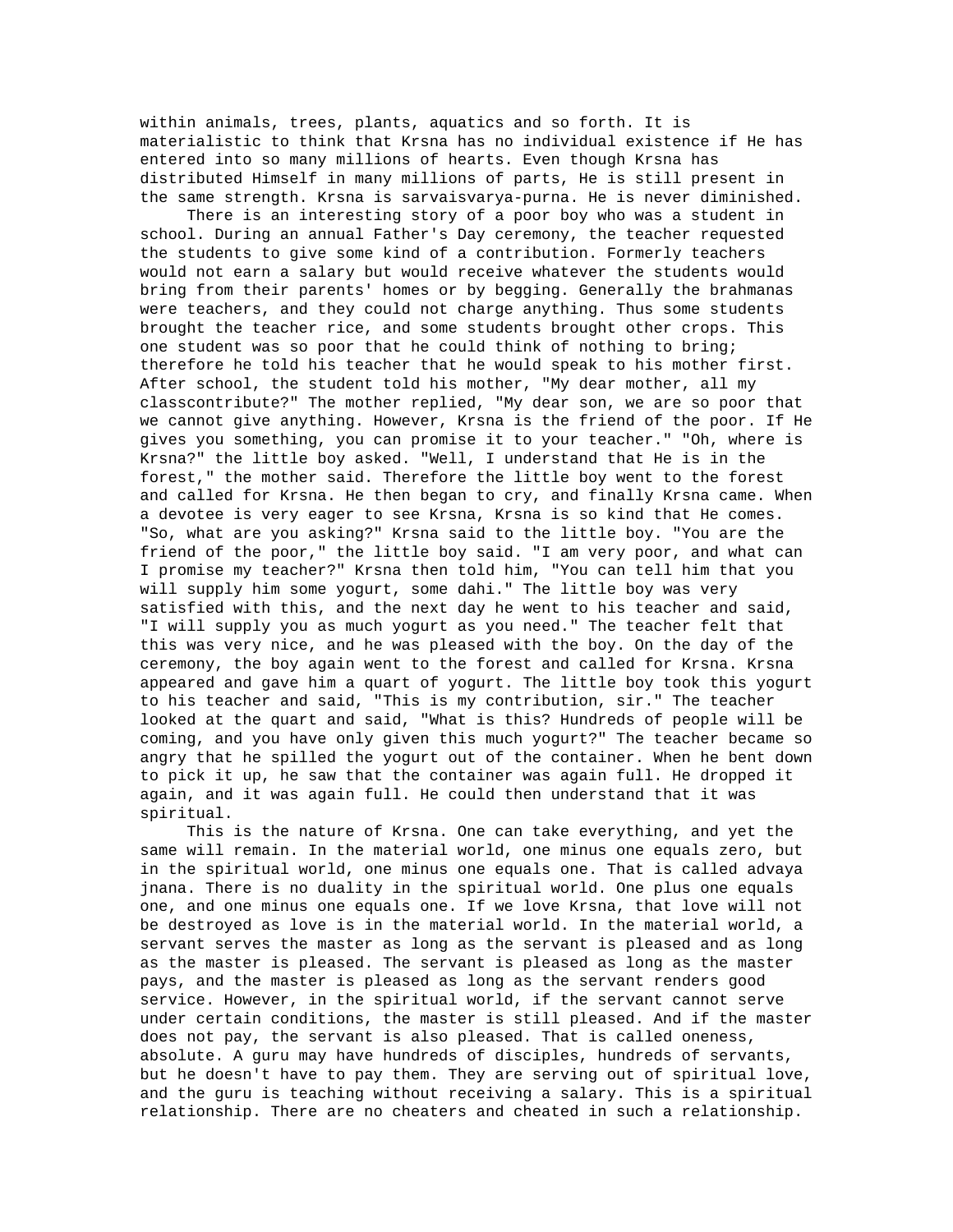within animals, trees, plants, aquatics and so forth. It is materialistic to think that Krsna has no individual existence if He has entered into so many millions of hearts. Even though Krsna has distributed Himself in many millions of parts, He is still present in the same strength. Krsna is sarvaisvarya-purna. He is never diminished.

 There is an interesting story of a poor boy who was a student in school. During an annual Father's Day ceremony, the teacher requested the students to give some kind of a contribution. Formerly teachers would not earn a salary but would receive whatever the students would bring from their parents' homes or by begging. Generally the brahmanas were teachers, and they could not charge anything. Thus some students brought the teacher rice, and some students brought other crops. This one student was so poor that he could think of nothing to bring; therefore he told his teacher that he would speak to his mother first. After school, the student told his mother, "My dear mother, all my classcontribute?" The mother replied, "My dear son, we are so poor that we cannot give anything. However, Krsna is the friend of the poor. If He gives you something, you can promise it to your teacher." "Oh, where is Krsna?" the little boy asked. "Well, I understand that He is in the forest," the mother said. Therefore the little boy went to the forest and called for Krsna. He then began to cry, and finally Krsna came. When a devotee is very eager to see Krsna, Krsna is so kind that He comes. "So, what are you asking?" Krsna said to the little boy. "You are the friend of the poor," the little boy said. "I am very poor, and what can I promise my teacher?" Krsna then told him, "You can tell him that you will supply him some yogurt, some dahi." The little boy was very satisfied with this, and the next day he went to his teacher and said, "I will supply you as much yogurt as you need." The teacher felt that this was very nice, and he was pleased with the boy. On the day of the ceremony, the boy again went to the forest and called for Krsna. Krsna appeared and gave him a quart of yogurt. The little boy took this yogurt to his teacher and said, "This is my contribution, sir." The teacher looked at the quart and said, "What is this? Hundreds of people will be coming, and you have only given this much yogurt?" The teacher became so angry that he spilled the yogurt out of the container. When he bent down to pick it up, he saw that the container was again full. He dropped it again, and it was again full. He could then understand that it was spiritual.

 This is the nature of Krsna. One can take everything, and yet the same will remain. In the material world, one minus one equals zero, but in the spiritual world, one minus one equals one. That is called advaya jnana. There is no duality in the spiritual world. One plus one equals one, and one minus one equals one. If we love Krsna, that love will not be destroyed as love is in the material world. In the material world, a servant serves the master as long as the servant is pleased and as long as the master is pleased. The servant is pleased as long as the master pays, and the master is pleased as long as the servant renders good service. However, in the spiritual world, if the servant cannot serve under certain conditions, the master is still pleased. And if the master does not pay, the servant is also pleased. That is called oneness, absolute. A guru may have hundreds of disciples, hundreds of servants, but he doesn't have to pay them. They are serving out of spiritual love, and the guru is teaching without receiving a salary. This is a spiritual relationship. There are no cheaters and cheated in such a relationship.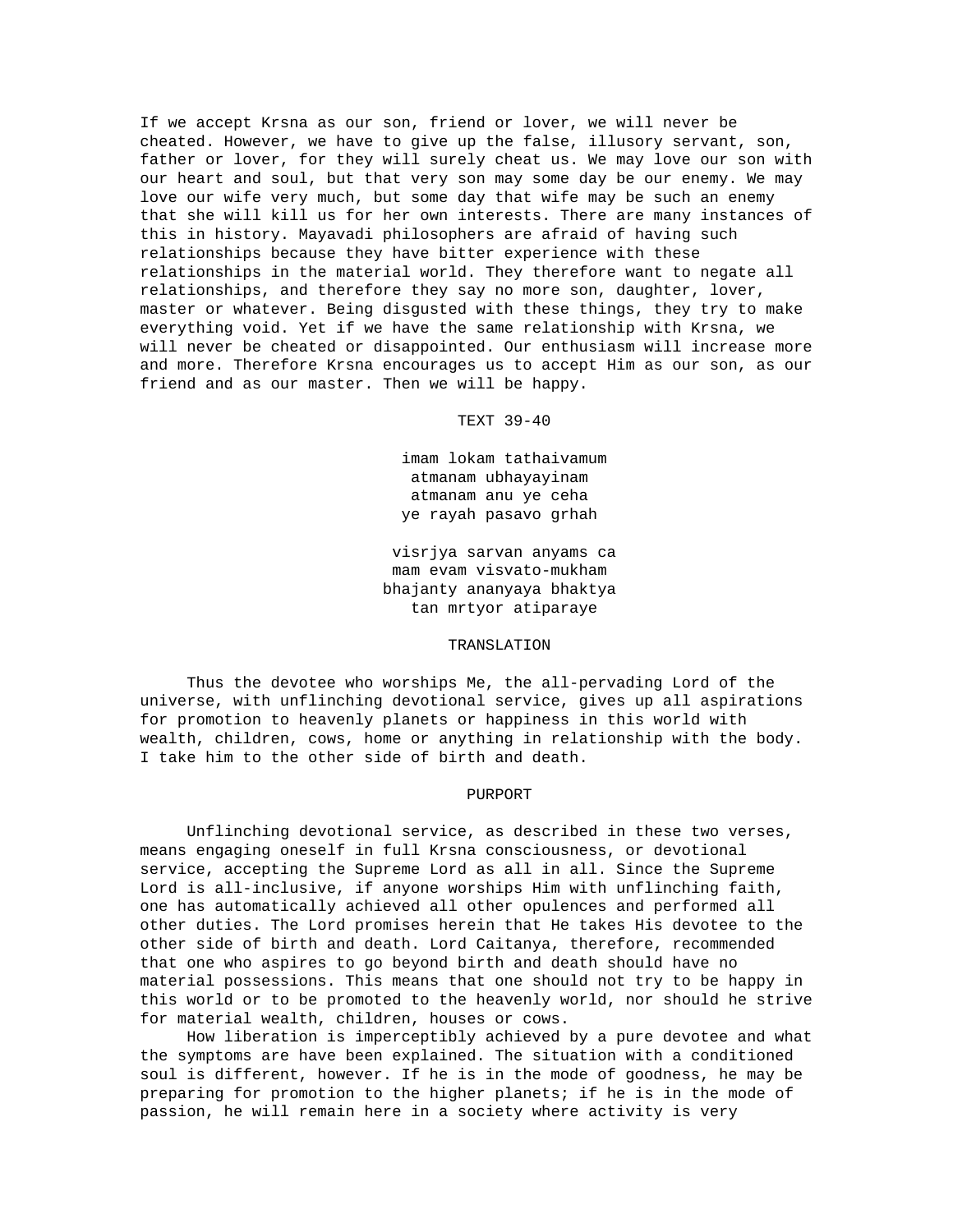If we accept Krsna as our son, friend or lover, we will never be cheated. However, we have to give up the false, illusory servant, son, father or lover, for they will surely cheat us. We may love our son with our heart and soul, but that very son may some day be our enemy. We may love our wife very much, but some day that wife may be such an enemy that she will kill us for her own interests. There are many instances of this in history. Mayavadi philosophers are afraid of having such relationships because they have bitter experience with these relationships in the material world. They therefore want to negate all relationships, and therefore they say no more son, daughter, lover, master or whatever. Being disgusted with these things, they try to make everything void. Yet if we have the same relationship with Krsna, we will never be cheated or disappointed. Our enthusiasm will increase more and more. Therefore Krsna encourages us to accept Him as our son, as our friend and as our master. Then we will be happy.

TEXT 39-40

 imam lokam tathaivamum atmanam ubhayayinam atmanam anu ye ceha ye rayah pasavo grhah

 visrjya sarvan anyams ca mam evam visvato-mukham bhajanty ananyaya bhaktya tan mrtyor atiparaye

TRANSLATION

 Thus the devotee who worships Me, the all-pervading Lord of the universe, with unflinching devotional service, gives up all aspirations for promotion to heavenly planets or happiness in this world with wealth, children, cows, home or anything in relationship with the body. I take him to the other side of birth and death.

## PURPORT

 Unflinching devotional service, as described in these two verses, means engaging oneself in full Krsna consciousness, or devotional service, accepting the Supreme Lord as all in all. Since the Supreme Lord is all-inclusive, if anyone worships Him with unflinching faith, one has automatically achieved all other opulences and performed all other duties. The Lord promises herein that He takes His devotee to the other side of birth and death. Lord Caitanya, therefore, recommended that one who aspires to go beyond birth and death should have no material possessions. This means that one should not try to be happy in this world or to be promoted to the heavenly world, nor should he strive for material wealth, children, houses or cows.

 How liberation is imperceptibly achieved by a pure devotee and what the symptoms are have been explained. The situation with a conditioned soul is different, however. If he is in the mode of goodness, he may be preparing for promotion to the higher planets; if he is in the mode of passion, he will remain here in a society where activity is very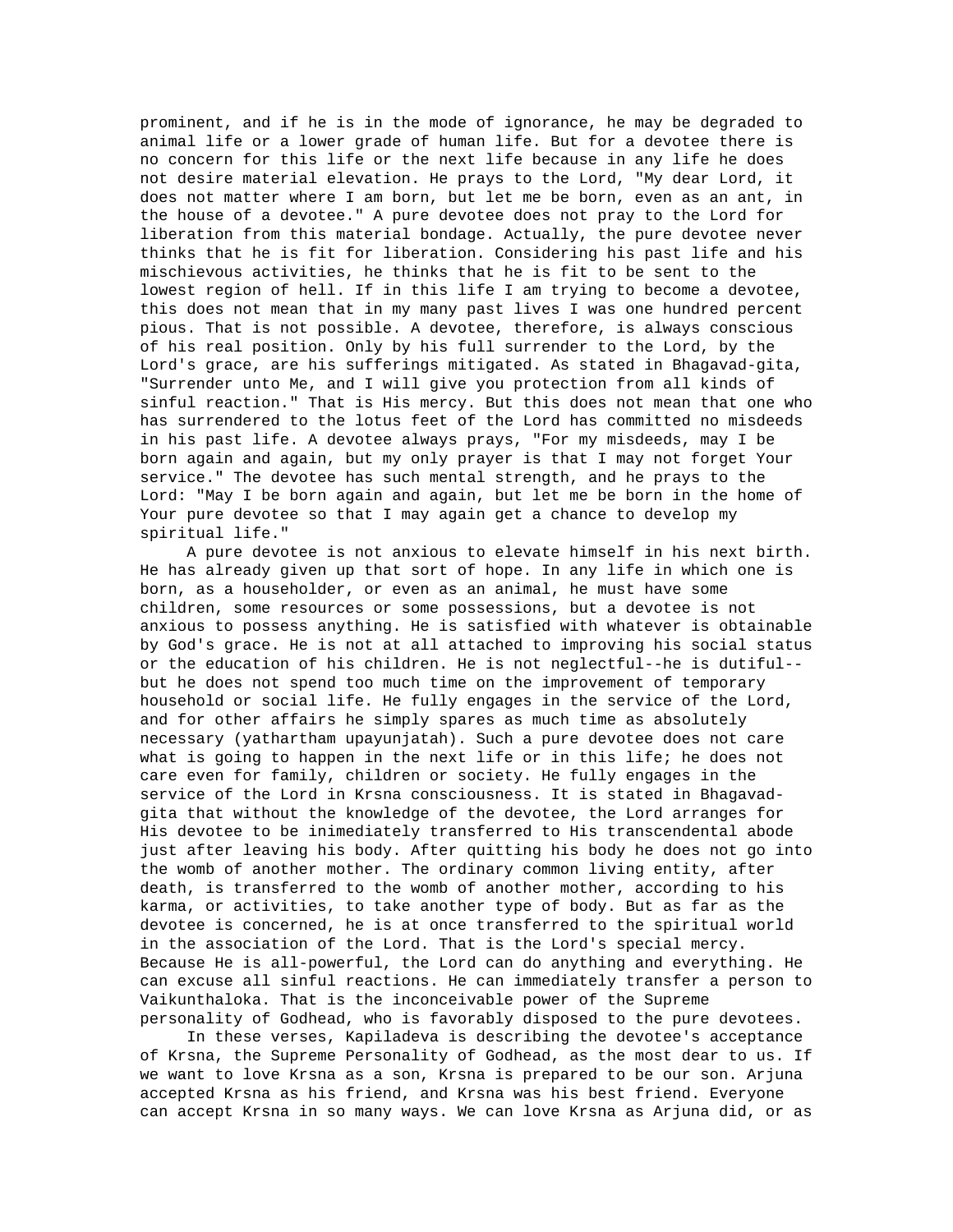prominent, and if he is in the mode of ignorance, he may be degraded to animal life or a lower grade of human life. But for a devotee there is no concern for this life or the next life because in any life he does not desire material elevation. He prays to the Lord, "My dear Lord, it does not matter where I am born, but let me be born, even as an ant, in the house of a devotee." A pure devotee does not pray to the Lord for liberation from this material bondage. Actually, the pure devotee never thinks that he is fit for liberation. Considering his past life and his mischievous activities, he thinks that he is fit to be sent to the lowest region of hell. If in this life I am trying to become a devotee, this does not mean that in my many past lives I was one hundred percent pious. That is not possible. A devotee, therefore, is always conscious of his real position. Only by his full surrender to the Lord, by the Lord's grace, are his sufferings mitigated. As stated in Bhagavad-gita, "Surrender unto Me, and I will give you protection from all kinds of sinful reaction." That is His mercy. But this does not mean that one who has surrendered to the lotus feet of the Lord has committed no misdeeds in his past life. A devotee always prays, "For my misdeeds, may I be born again and again, but my only prayer is that I may not forget Your service." The devotee has such mental strength, and he prays to the Lord: "May I be born again and again, but let me be born in the home of Your pure devotee so that I may again get a chance to develop my spiritual life."

 A pure devotee is not anxious to elevate himself in his next birth. He has already given up that sort of hope. In any life in which one is born, as a householder, or even as an animal, he must have some children, some resources or some possessions, but a devotee is not anxious to possess anything. He is satisfied with whatever is obtainable by God's grace. He is not at all attached to improving his social status or the education of his children. He is not neglectful--he is dutiful- but he does not spend too much time on the improvement of temporary household or social life. He fully engages in the service of the Lord, and for other affairs he simply spares as much time as absolutely necessary (yathartham upayunjatah). Such a pure devotee does not care what is going to happen in the next life or in this life; he does not care even for family, children or society. He fully engages in the service of the Lord in Krsna consciousness. It is stated in Bhagavadgita that without the knowledge of the devotee, the Lord arranges for His devotee to be inimediately transferred to His transcendental abode just after leaving his body. After quitting his body he does not go into the womb of another mother. The ordinary common living entity, after death, is transferred to the womb of another mother, according to his karma, or activities, to take another type of body. But as far as the devotee is concerned, he is at once transferred to the spiritual world in the association of the Lord. That is the Lord's special mercy. Because He is all-powerful, the Lord can do anything and everything. He can excuse all sinful reactions. He can immediately transfer a person to Vaikunthaloka. That is the inconceivable power of the Supreme personality of Godhead, who is favorably disposed to the pure devotees.

 In these verses, Kapiladeva is describing the devotee's acceptance of Krsna, the Supreme Personality of Godhead, as the most dear to us. If we want to love Krsna as a son, Krsna is prepared to be our son. Arjuna accepted Krsna as his friend, and Krsna was his best friend. Everyone can accept Krsna in so many ways. We can love Krsna as Arjuna did, or as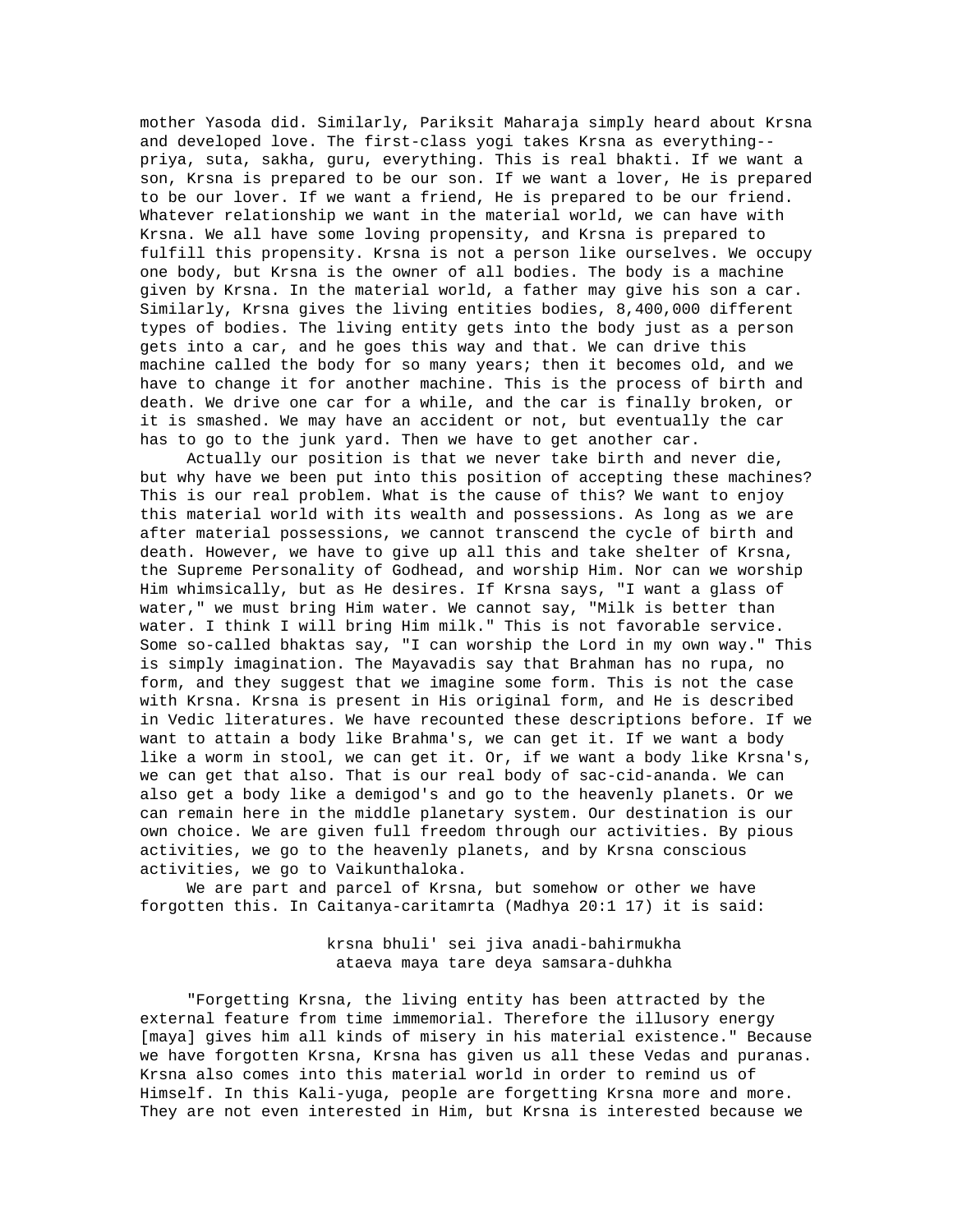mother Yasoda did. Similarly, Pariksit Maharaja simply heard about Krsna and developed love. The first-class yogi takes Krsna as everything- priya, suta, sakha, guru, everything. This is real bhakti. If we want a son, Krsna is prepared to be our son. If we want a lover, He is prepared to be our lover. If we want a friend, He is prepared to be our friend. Whatever relationship we want in the material world, we can have with Krsna. We all have some loving propensity, and Krsna is prepared to fulfill this propensity. Krsna is not a person like ourselves. We occupy one body, but Krsna is the owner of all bodies. The body is a machine given by Krsna. In the material world, a father may give his son a car. Similarly, Krsna gives the living entities bodies, 8,400,000 different types of bodies. The living entity gets into the body just as a person gets into a car, and he goes this way and that. We can drive this machine called the body for so many years; then it becomes old, and we have to change it for another machine. This is the process of birth and death. We drive one car for a while, and the car is finally broken, or it is smashed. We may have an accident or not, but eventually the car has to go to the junk yard. Then we have to get another car.

 Actually our position is that we never take birth and never die, but why have we been put into this position of accepting these machines? This is our real problem. What is the cause of this? We want to enjoy this material world with its wealth and possessions. As long as we are after material possessions, we cannot transcend the cycle of birth and death. However, we have to give up all this and take shelter of Krsna, the Supreme Personality of Godhead, and worship Him. Nor can we worship Him whimsically, but as He desires. If Krsna says, "I want a glass of water," we must bring Him water. We cannot say, "Milk is better than water. I think I will bring Him milk." This is not favorable service. Some so-called bhaktas say, "I can worship the Lord in my own way." This is simply imagination. The Mayavadis say that Brahman has no rupa, no form, and they suggest that we imagine some form. This is not the case with Krsna. Krsna is present in His original form, and He is described in Vedic literatures. We have recounted these descriptions before. If we want to attain a body like Brahma's, we can get it. If we want a body like a worm in stool, we can get it. Or, if we want a body like Krsna's, we can get that also. That is our real body of sac-cid-ananda. We can also get a body like a demigod's and go to the heavenly planets. Or we can remain here in the middle planetary system. Our destination is our own choice. We are given full freedom through our activities. By pious activities, we go to the heavenly planets, and by Krsna conscious activities, we go to Vaikunthaloka.

 We are part and parcel of Krsna, but somehow or other we have forgotten this. In Caitanya-caritamrta (Madhya 20:1 17) it is said:

> krsna bhuli' sei jiva anadi-bahirmukha ataeva maya tare deya samsara-duhkha

 "Forgetting Krsna, the living entity has been attracted by the external feature from time immemorial. Therefore the illusory energy [maya] gives him all kinds of misery in his material existence." Because we have forgotten Krsna, Krsna has given us all these Vedas and puranas. Krsna also comes into this material world in order to remind us of Himself. In this Kali-yuga, people are forgetting Krsna more and more. They are not even interested in Him, but Krsna is interested because we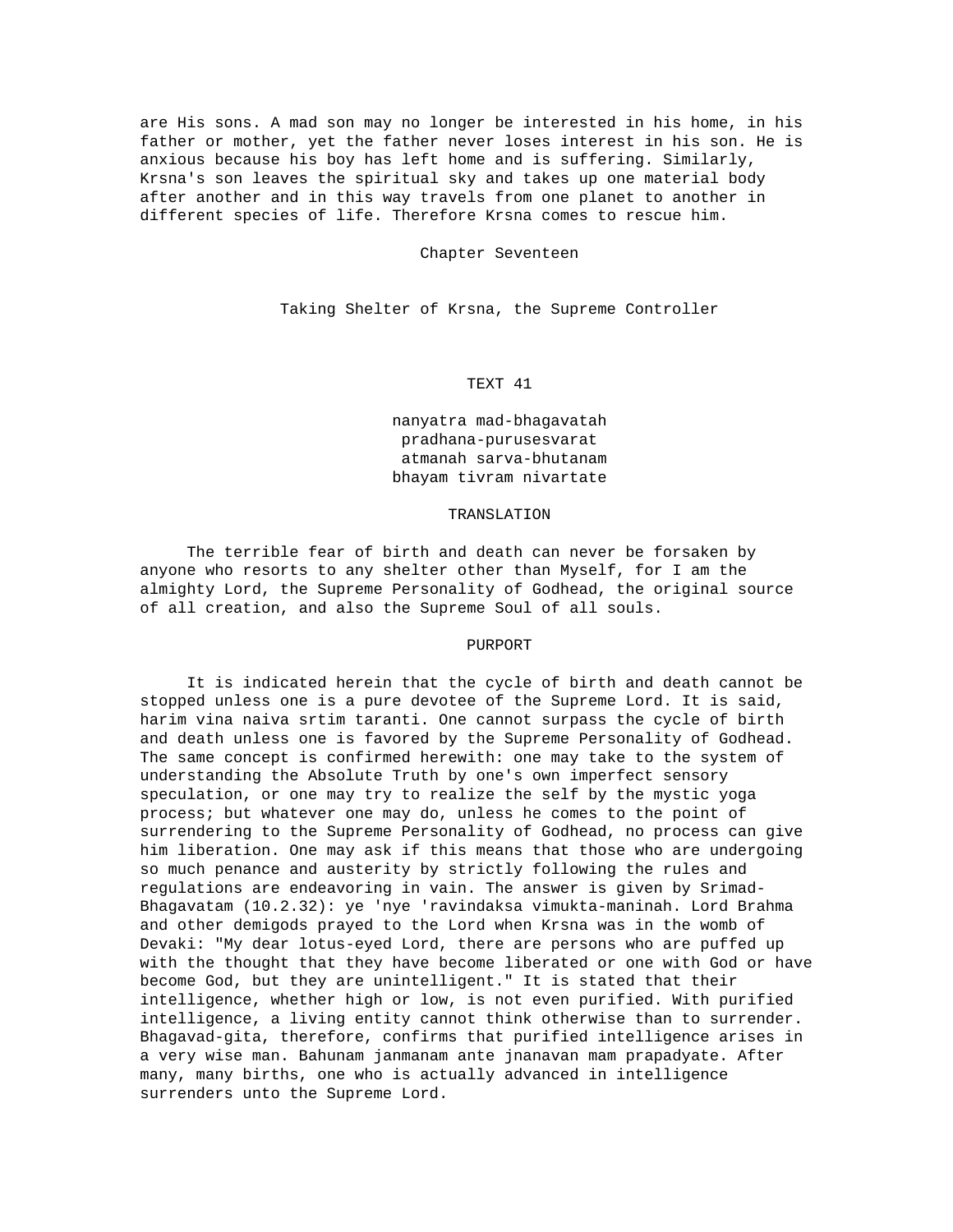are His sons. A mad son may no longer be interested in his home, in his father or mother, yet the father never loses interest in his son. He is anxious because his boy has left home and is suffering. Similarly, Krsna's son leaves the spiritual sky and takes up one material body after another and in this way travels from one planet to another in different species of life. Therefore Krsna comes to rescue him.

Chapter Seventeen

Taking Shelter of Krsna, the Supreme Controller

## TEXT 41

# nanyatra mad-bhagavatah pradhana-purusesvarat atmanah sarva-bhutanam bhayam tivram nivartate

### TRANSLATION

 The terrible fear of birth and death can never be forsaken by anyone who resorts to any shelter other than Myself, for I am the almighty Lord, the Supreme Personality of Godhead, the original source of all creation, and also the Supreme Soul of all souls.

#### PURPORT

 It is indicated herein that the cycle of birth and death cannot be stopped unless one is a pure devotee of the Supreme Lord. It is said, harim vina naiva srtim taranti. One cannot surpass the cycle of birth and death unless one is favored by the Supreme Personality of Godhead. The same concept is confirmed herewith: one may take to the system of understanding the Absolute Truth by one's own imperfect sensory speculation, or one may try to realize the self by the mystic yoga process; but whatever one may do, unless he comes to the point of surrendering to the Supreme Personality of Godhead, no process can give him liberation. One may ask if this means that those who are undergoing so much penance and austerity by strictly following the rules and regulations are endeavoring in vain. The answer is given by Srimad-Bhagavatam (10.2.32): ye 'nye 'ravindaksa vimukta-maninah. Lord Brahma and other demigods prayed to the Lord when Krsna was in the womb of Devaki: "My dear lotus-eyed Lord, there are persons who are puffed up with the thought that they have become liberated or one with God or have become God, but they are unintelligent." It is stated that their intelligence, whether high or low, is not even purified. With purified intelligence, a living entity cannot think otherwise than to surrender. Bhagavad-gita, therefore, confirms that purified intelligence arises in a very wise man. Bahunam janmanam ante jnanavan mam prapadyate. After many, many births, one who is actually advanced in intelligence surrenders unto the Supreme Lord.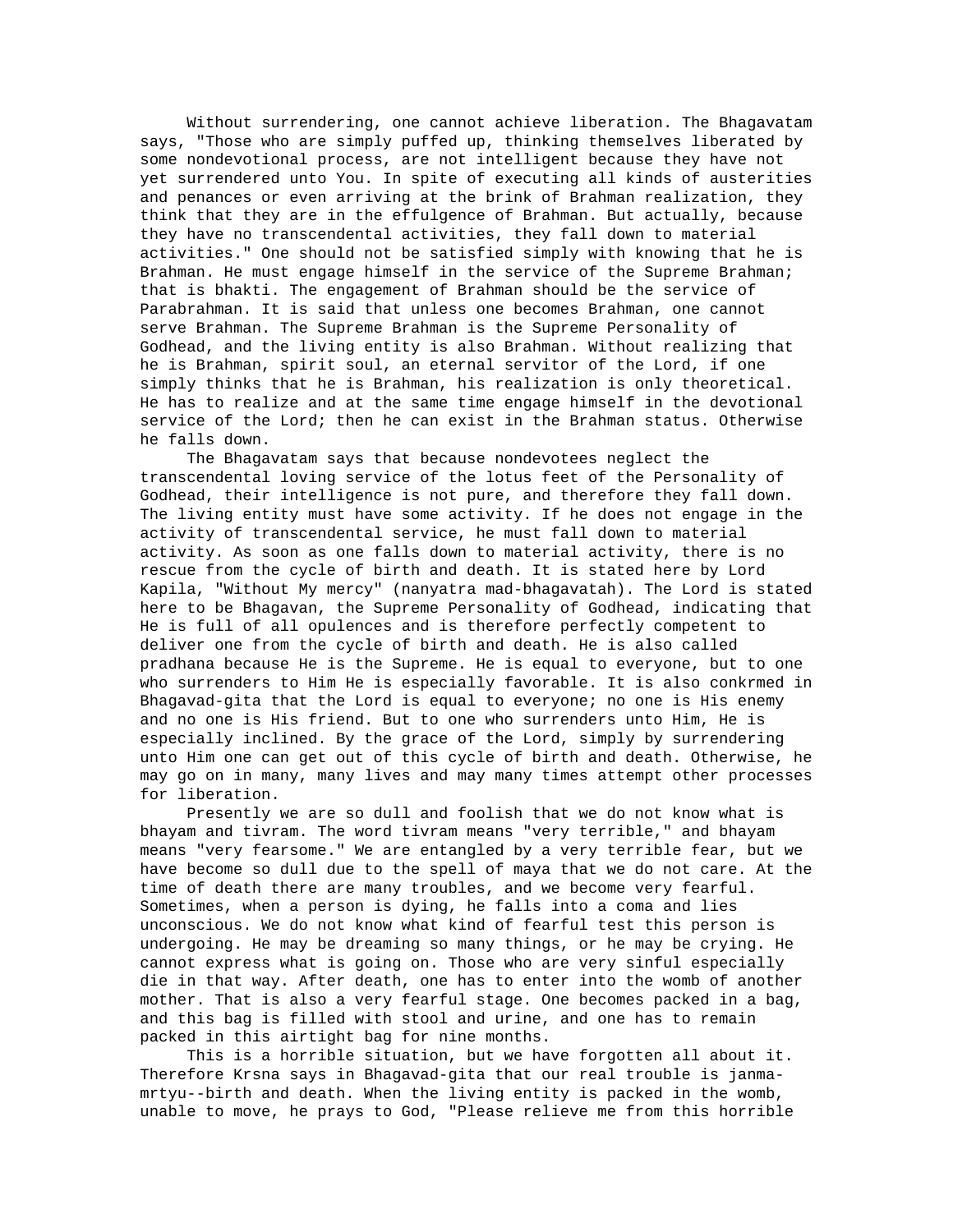Without surrendering, one cannot achieve liberation. The Bhagavatam says, "Those who are simply puffed up, thinking themselves liberated by some nondevotional process, are not intelligent because they have not yet surrendered unto You. In spite of executing all kinds of austerities and penances or even arriving at the brink of Brahman realization, they think that they are in the effulgence of Brahman. But actually, because they have no transcendental activities, they fall down to material activities." One should not be satisfied simply with knowing that he is Brahman. He must engage himself in the service of the Supreme Brahman; that is bhakti. The engagement of Brahman should be the service of Parabrahman. It is said that unless one becomes Brahman, one cannot serve Brahman. The Supreme Brahman is the Supreme Personality of Godhead, and the living entity is also Brahman. Without realizing that he is Brahman, spirit soul, an eternal servitor of the Lord, if one simply thinks that he is Brahman, his realization is only theoretical. He has to realize and at the same time engage himself in the devotional service of the Lord; then he can exist in the Brahman status. Otherwise he falls down.

 The Bhagavatam says that because nondevotees neglect the transcendental loving service of the lotus feet of the Personality of Godhead, their intelligence is not pure, and therefore they fall down. The living entity must have some activity. If he does not engage in the activity of transcendental service, he must fall down to material activity. As soon as one falls down to material activity, there is no rescue from the cycle of birth and death. It is stated here by Lord Kapila, "Without My mercy" (nanyatra mad-bhagavatah). The Lord is stated here to be Bhagavan, the Supreme Personality of Godhead, indicating that He is full of all opulences and is therefore perfectly competent to deliver one from the cycle of birth and death. He is also called pradhana because He is the Supreme. He is equal to everyone, but to one who surrenders to Him He is especially favorable. It is also conkrmed in Bhagavad-gita that the Lord is equal to everyone; no one is His enemy and no one is His friend. But to one who surrenders unto Him, He is especially inclined. By the grace of the Lord, simply by surrendering unto Him one can get out of this cycle of birth and death. Otherwise, he may go on in many, many lives and may many times attempt other processes for liberation.

 Presently we are so dull and foolish that we do not know what is bhayam and tivram. The word tivram means "very terrible," and bhayam means "very fearsome." We are entangled by a very terrible fear, but we have become so dull due to the spell of maya that we do not care. At the time of death there are many troubles, and we become very fearful. Sometimes, when a person is dying, he falls into a coma and lies unconscious. We do not know what kind of fearful test this person is undergoing. He may be dreaming so many things, or he may be crying. He cannot express what is going on. Those who are very sinful especially die in that way. After death, one has to enter into the womb of another mother. That is also a very fearful stage. One becomes packed in a bag, and this bag is filled with stool and urine, and one has to remain packed in this airtight bag for nine months.

 This is a horrible situation, but we have forgotten all about it. Therefore Krsna says in Bhagavad-gita that our real trouble is janmamrtyu--birth and death. When the living entity is packed in the womb, unable to move, he prays to God, "Please relieve me from this horrible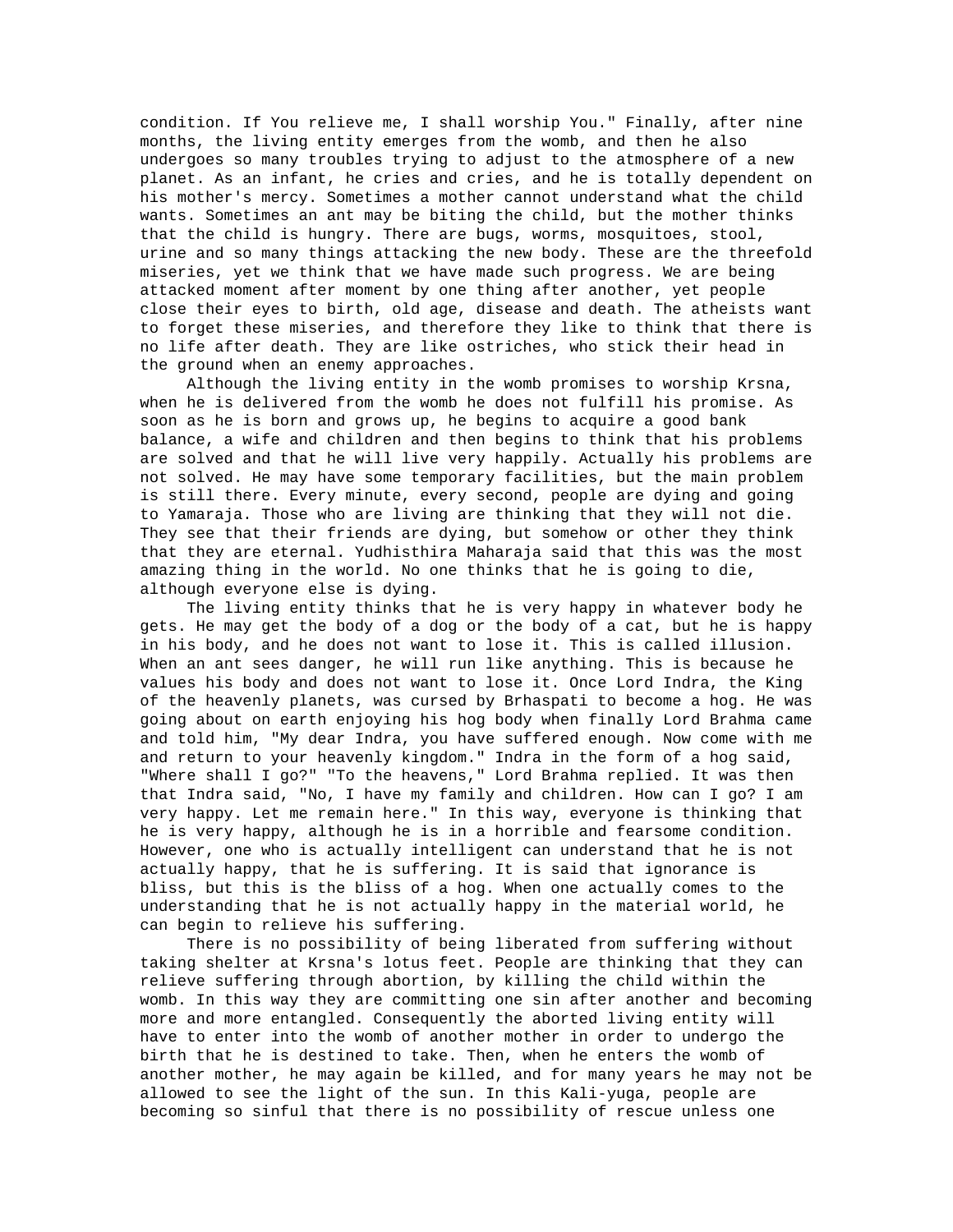condition. If You relieve me, I shall worship You." Finally, after nine months, the living entity emerges from the womb, and then he also undergoes so many troubles trying to adjust to the atmosphere of a new planet. As an infant, he cries and cries, and he is totally dependent on his mother's mercy. Sometimes a mother cannot understand what the child wants. Sometimes an ant may be biting the child, but the mother thinks that the child is hungry. There are bugs, worms, mosquitoes, stool, urine and so many things attacking the new body. These are the threefold miseries, yet we think that we have made such progress. We are being attacked moment after moment by one thing after another, yet people close their eyes to birth, old age, disease and death. The atheists want to forget these miseries, and therefore they like to think that there is no life after death. They are like ostriches, who stick their head in the ground when an enemy approaches.

 Although the living entity in the womb promises to worship Krsna, when he is delivered from the womb he does not fulfill his promise. As soon as he is born and grows up, he begins to acquire a good bank balance, a wife and children and then begins to think that his problems are solved and that he will live very happily. Actually his problems are not solved. He may have some temporary facilities, but the main problem is still there. Every minute, every second, people are dying and going to Yamaraja. Those who are living are thinking that they will not die. They see that their friends are dying, but somehow or other they think that they are eternal. Yudhisthira Maharaja said that this was the most amazing thing in the world. No one thinks that he is going to die, although everyone else is dying.

 The living entity thinks that he is very happy in whatever body he gets. He may get the body of a dog or the body of a cat, but he is happy in his body, and he does not want to lose it. This is called illusion. When an ant sees danger, he will run like anything. This is because he values his body and does not want to lose it. Once Lord Indra, the King of the heavenly planets, was cursed by Brhaspati to become a hog. He was going about on earth enjoying his hog body when finally Lord Brahma came and told him, "My dear Indra, you have suffered enough. Now come with me and return to your heavenly kingdom." Indra in the form of a hog said, "Where shall I go?" "To the heavens," Lord Brahma replied. It was then that Indra said, "No, I have my family and children. How can I go? I am very happy. Let me remain here." In this way, everyone is thinking that he is very happy, although he is in a horrible and fearsome condition. However, one who is actually intelligent can understand that he is not actually happy, that he is suffering. It is said that ignorance is bliss, but this is the bliss of a hog. When one actually comes to the understanding that he is not actually happy in the material world, he can begin to relieve his suffering.

 There is no possibility of being liberated from suffering without taking shelter at Krsna's lotus feet. People are thinking that they can relieve suffering through abortion, by killing the child within the womb. In this way they are committing one sin after another and becoming more and more entangled. Consequently the aborted living entity will have to enter into the womb of another mother in order to undergo the birth that he is destined to take. Then, when he enters the womb of another mother, he may again be killed, and for many years he may not be allowed to see the light of the sun. In this Kali-yuga, people are becoming so sinful that there is no possibility of rescue unless one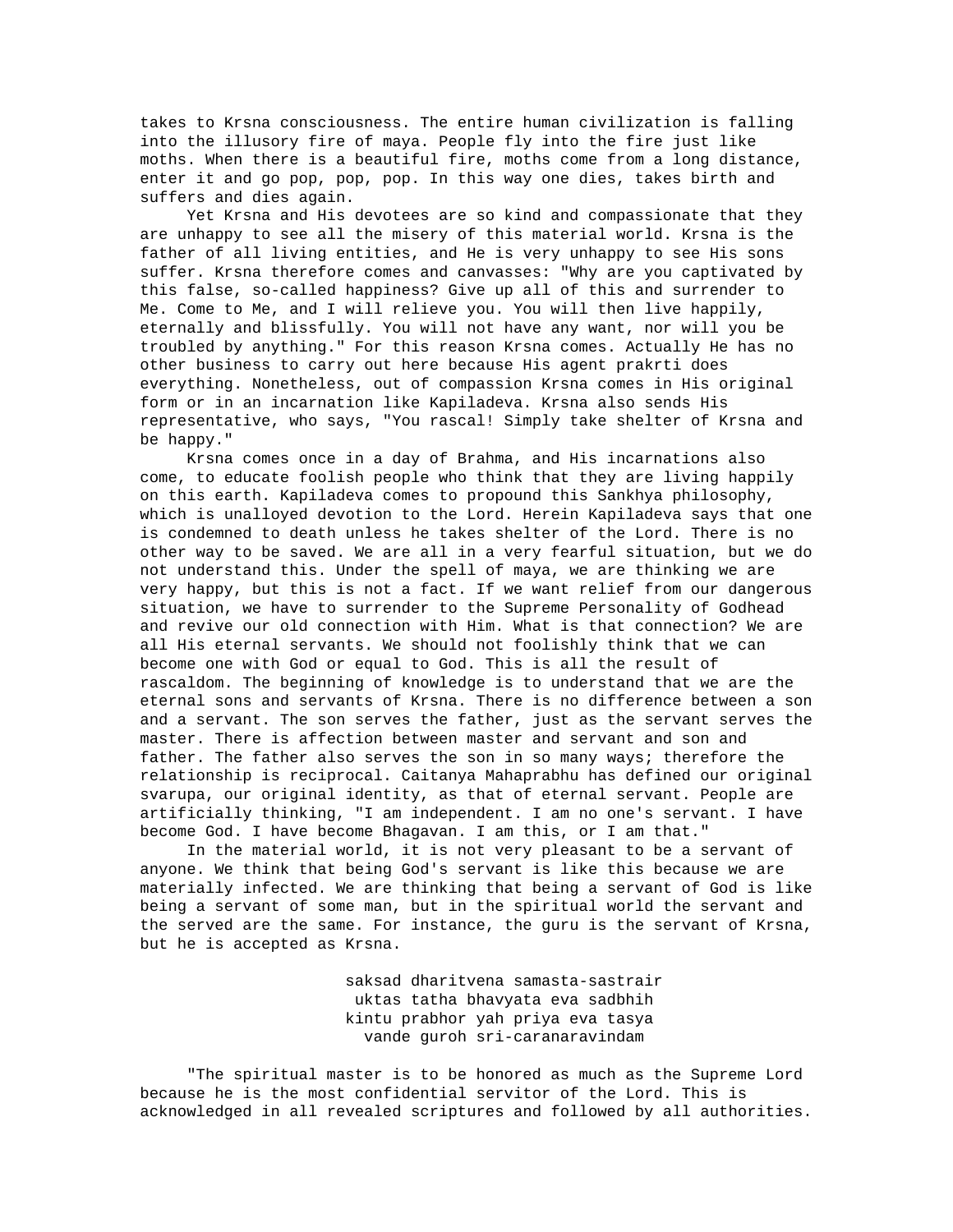takes to Krsna consciousness. The entire human civilization is falling into the illusory fire of maya. People fly into the fire just like moths. When there is a beautiful fire, moths come from a long distance, enter it and go pop, pop, pop. In this way one dies, takes birth and suffers and dies again.

 Yet Krsna and His devotees are so kind and compassionate that they are unhappy to see all the misery of this material world. Krsna is the father of all living entities, and He is very unhappy to see His sons suffer. Krsna therefore comes and canvasses: "Why are you captivated by this false, so-called happiness? Give up all of this and surrender to Me. Come to Me, and I will relieve you. You will then live happily, eternally and blissfully. You will not have any want, nor will you be troubled by anything." For this reason Krsna comes. Actually He has no other business to carry out here because His agent prakrti does everything. Nonetheless, out of compassion Krsna comes in His original form or in an incarnation like Kapiladeva. Krsna also sends His representative, who says, "You rascal! Simply take shelter of Krsna and be happy."

 Krsna comes once in a day of Brahma, and His incarnations also come, to educate foolish people who think that they are living happily on this earth. Kapiladeva comes to propound this Sankhya philosophy, which is unalloyed devotion to the Lord. Herein Kapiladeva says that one is condemned to death unless he takes shelter of the Lord. There is no other way to be saved. We are all in a very fearful situation, but we do not understand this. Under the spell of maya, we are thinking we are very happy, but this is not a fact. If we want relief from our dangerous situation, we have to surrender to the Supreme Personality of Godhead and revive our old connection with Him. What is that connection? We are all His eternal servants. We should not foolishly think that we can become one with God or equal to God. This is all the result of rascaldom. The beginning of knowledge is to understand that we are the eternal sons and servants of Krsna. There is no difference between a son and a servant. The son serves the father, just as the servant serves the master. There is affection between master and servant and son and father. The father also serves the son in so many ways; therefore the relationship is reciprocal. Caitanya Mahaprabhu has defined our original svarupa, our original identity, as that of eternal servant. People are artificially thinking, "I am independent. I am no one's servant. I have become God. I have become Bhagavan. I am this, or I am that."

 In the material world, it is not very pleasant to be a servant of anyone. We think that being God's servant is like this because we are materially infected. We are thinking that being a servant of God is like being a servant of some man, but in the spiritual world the servant and the served are the same. For instance, the guru is the servant of Krsna, but he is accepted as Krsna.

> saksad dharitvena samasta-sastrair uktas tatha bhavyata eva sadbhih kintu prabhor yah priya eva tasya vande guroh sri-caranaravindam

 "The spiritual master is to be honored as much as the Supreme Lord because he is the most confidential servitor of the Lord. This is acknowledged in all revealed scriptures and followed by all authorities.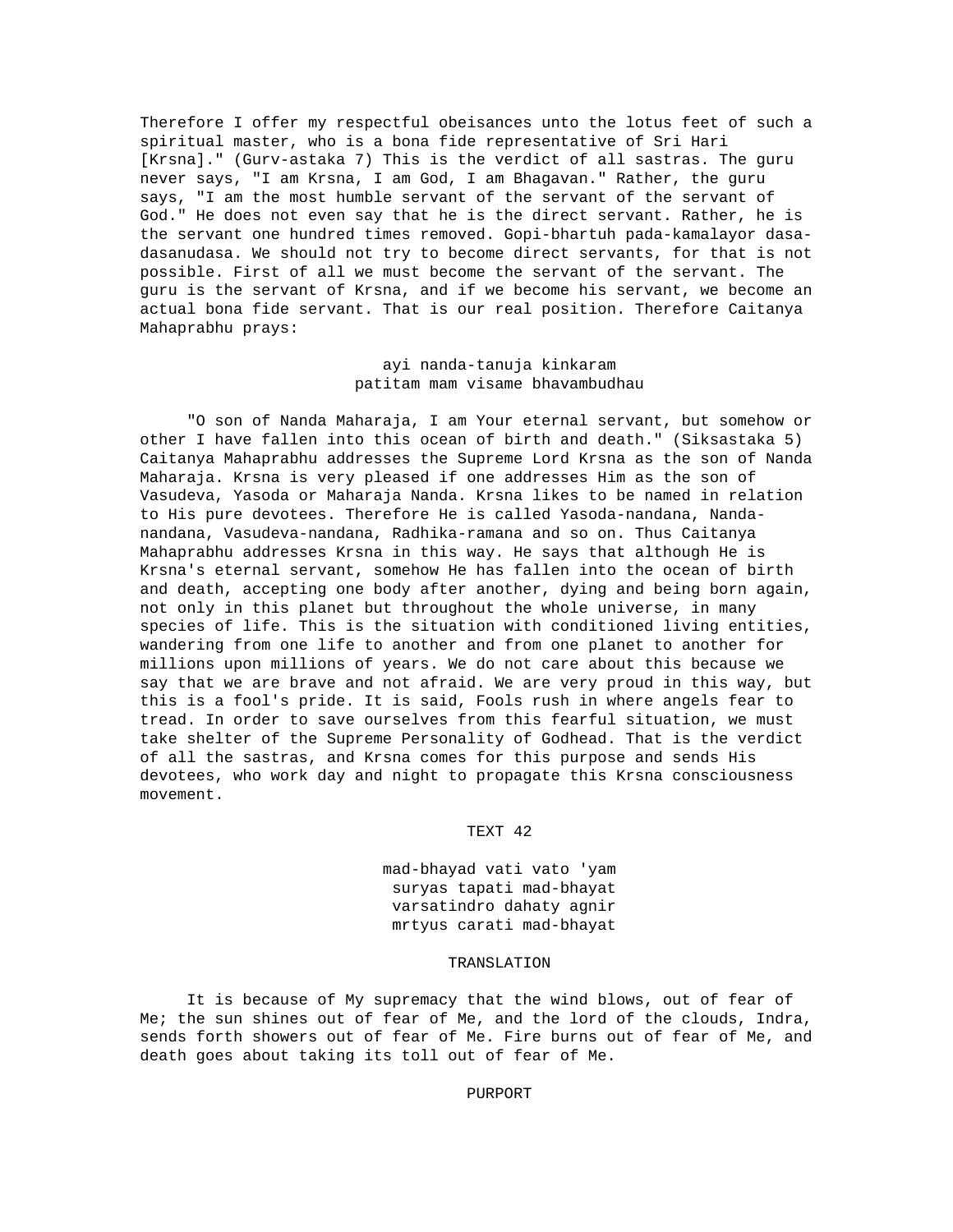Therefore I offer my respectful obeisances unto the lotus feet of such a spiritual master, who is a bona fide representative of Sri Hari [Krsna]." (Gurv-astaka 7) This is the verdict of all sastras. The guru never says, "I am Krsna, I am God, I am Bhagavan." Rather, the guru says, "I am the most humble servant of the servant of the servant of God." He does not even say that he is the direct servant. Rather, he is the servant one hundred times removed. Gopi-bhartuh pada-kamalayor dasadasanudasa. We should not try to become direct servants, for that is not possible. First of all we must become the servant of the servant. The guru is the servant of Krsna, and if we become his servant, we become an actual bona fide servant. That is our real position. Therefore Caitanya Mahaprabhu prays:

# ayi nanda-tanuja kinkaram patitam mam visame bhavambudhau

 "O son of Nanda Maharaja, I am Your eternal servant, but somehow or other I have fallen into this ocean of birth and death." (Siksastaka 5) Caitanya Mahaprabhu addresses the Supreme Lord Krsna as the son of Nanda Maharaja. Krsna is very pleased if one addresses Him as the son of Vasudeva, Yasoda or Maharaja Nanda. Krsna likes to be named in relation to His pure devotees. Therefore He is called Yasoda-nandana, Nandanandana, Vasudeva-nandana, Radhika-ramana and so on. Thus Caitanya Mahaprabhu addresses Krsna in this way. He says that although He is Krsna's eternal servant, somehow He has fallen into the ocean of birth and death, accepting one body after another, dying and being born again, not only in this planet but throughout the whole universe, in many species of life. This is the situation with conditioned living entities, wandering from one life to another and from one planet to another for millions upon millions of years. We do not care about this because we say that we are brave and not afraid. We are very proud in this way, but this is a fool's pride. It is said, Fools rush in where angels fear to tread. In order to save ourselves from this fearful situation, we must take shelter of the Supreme Personality of Godhead. That is the verdict of all the sastras, and Krsna comes for this purpose and sends His devotees, who work day and night to propagate this Krsna consciousness movement.

# TEXT 42

 mad-bhayad vati vato 'yam suryas tapati mad-bhayat varsatindro dahaty agnir mrtyus carati mad-bhayat

## TRANSLATION

 It is because of My supremacy that the wind blows, out of fear of Me; the sun shines out of fear of Me, and the lord of the clouds, Indra, sends forth showers out of fear of Me. Fire burns out of fear of Me, and death goes about taking its toll out of fear of Me.

### PURPORT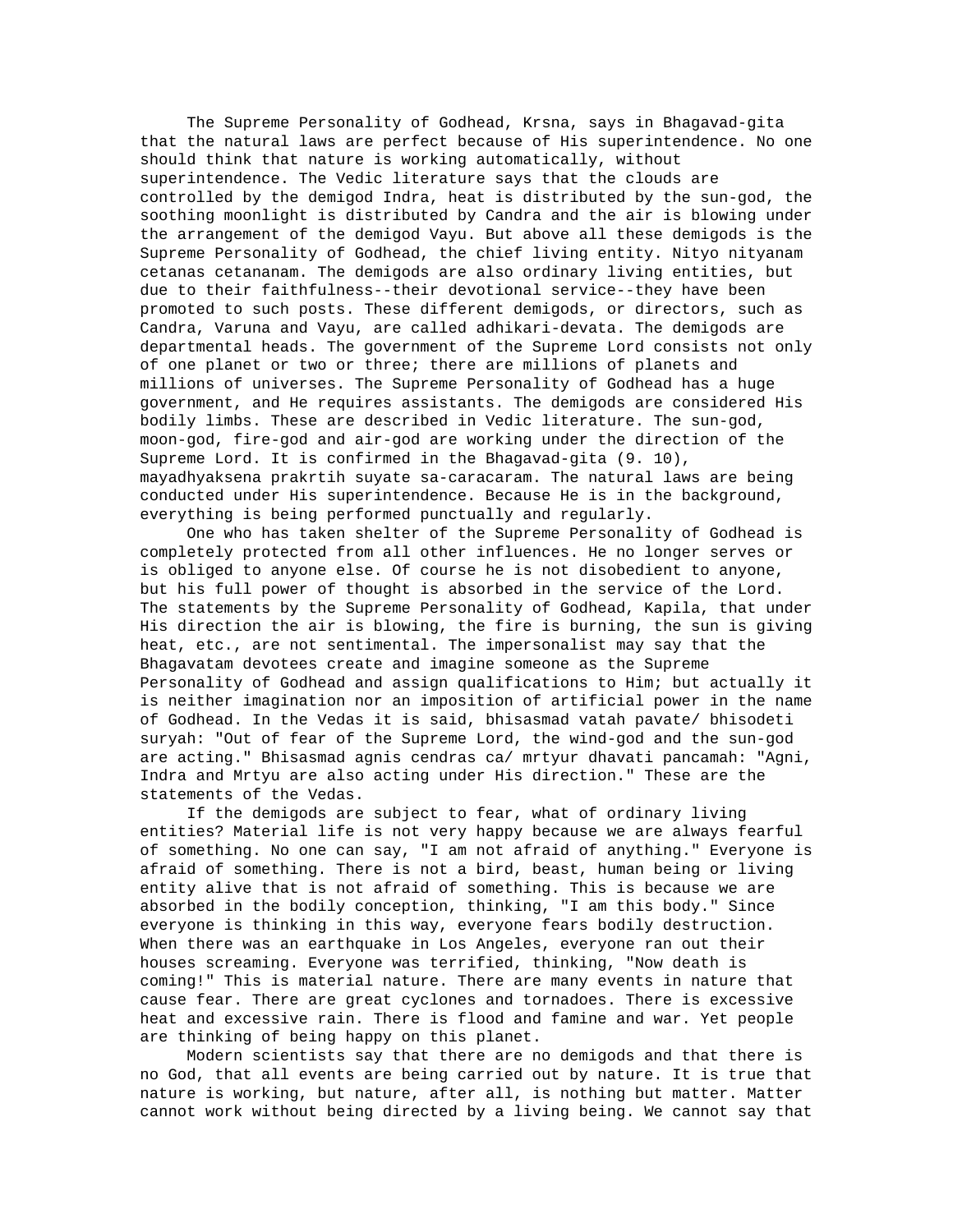The Supreme Personality of Godhead, Krsna, says in Bhagavad-gita that the natural laws are perfect because of His superintendence. No one should think that nature is working automatically, without superintendence. The Vedic literature says that the clouds are controlled by the demigod Indra, heat is distributed by the sun-god, the soothing moonlight is distributed by Candra and the air is blowing under the arrangement of the demigod Vayu. But above all these demigods is the Supreme Personality of Godhead, the chief living entity. Nityo nityanam cetanas cetananam. The demigods are also ordinary living entities, but due to their faithfulness--their devotional service--they have been promoted to such posts. These different demigods, or directors, such as Candra, Varuna and Vayu, are called adhikari-devata. The demigods are departmental heads. The government of the Supreme Lord consists not only of one planet or two or three; there are millions of planets and millions of universes. The Supreme Personality of Godhead has a huge government, and He requires assistants. The demigods are considered His bodily limbs. These are described in Vedic literature. The sun-god, moon-god, fire-god and air-god are working under the direction of the Supreme Lord. It is confirmed in the Bhagavad-gita (9. 10), mayadhyaksena prakrtih suyate sa-caracaram. The natural laws are being conducted under His superintendence. Because He is in the background, everything is being performed punctually and regularly.

 One who has taken shelter of the Supreme Personality of Godhead is completely protected from all other influences. He no longer serves or is obliged to anyone else. Of course he is not disobedient to anyone, but his full power of thought is absorbed in the service of the Lord. The statements by the Supreme Personality of Godhead, Kapila, that under His direction the air is blowing, the fire is burning, the sun is giving heat, etc., are not sentimental. The impersonalist may say that the Bhagavatam devotees create and imagine someone as the Supreme Personality of Godhead and assign qualifications to Him; but actually it is neither imagination nor an imposition of artificial power in the name of Godhead. In the Vedas it is said, bhisasmad vatah pavate/ bhisodeti suryah: "Out of fear of the Supreme Lord, the wind-god and the sun-god are acting." Bhisasmad agnis cendras ca/ mrtyur dhavati pancamah: "Agni, Indra and Mrtyu are also acting under His direction." These are the statements of the Vedas.

 If the demigods are subject to fear, what of ordinary living entities? Material life is not very happy because we are always fearful of something. No one can say, "I am not afraid of anything." Everyone is afraid of something. There is not a bird, beast, human being or living entity alive that is not afraid of something. This is because we are absorbed in the bodily conception, thinking, "I am this body." Since everyone is thinking in this way, everyone fears bodily destruction. When there was an earthquake in Los Angeles, everyone ran out their houses screaming. Everyone was terrified, thinking, "Now death is coming!" This is material nature. There are many events in nature that cause fear. There are great cyclones and tornadoes. There is excessive heat and excessive rain. There is flood and famine and war. Yet people are thinking of being happy on this planet.

 Modern scientists say that there are no demigods and that there is no God, that all events are being carried out by nature. It is true that nature is working, but nature, after all, is nothing but matter. Matter cannot work without being directed by a living being. We cannot say that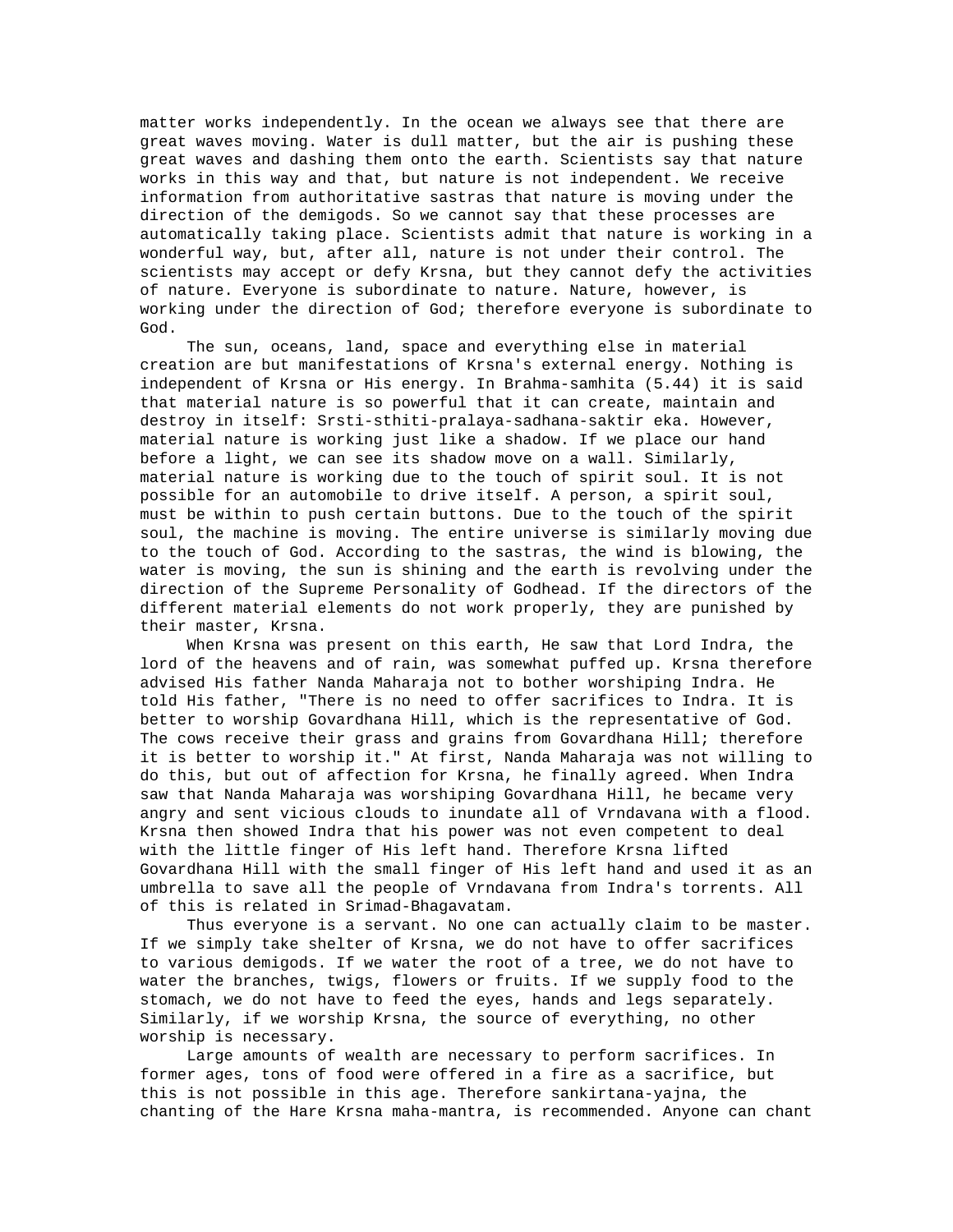matter works independently. In the ocean we always see that there are great waves moving. Water is dull matter, but the air is pushing these great waves and dashing them onto the earth. Scientists say that nature works in this way and that, but nature is not independent. We receive information from authoritative sastras that nature is moving under the direction of the demigods. So we cannot say that these processes are automatically taking place. Scientists admit that nature is working in a wonderful way, but, after all, nature is not under their control. The scientists may accept or defy Krsna, but they cannot defy the activities of nature. Everyone is subordinate to nature. Nature, however, is working under the direction of God; therefore everyone is subordinate to God.

 The sun, oceans, land, space and everything else in material creation are but manifestations of Krsna's external energy. Nothing is independent of Krsna or His energy. In Brahma-samhita (5.44) it is said that material nature is so powerful that it can create, maintain and destroy in itself: Srsti-sthiti-pralaya-sadhana-saktir eka. However, material nature is working just like a shadow. If we place our hand before a light, we can see its shadow move on a wall. Similarly, material nature is working due to the touch of spirit soul. It is not possible for an automobile to drive itself. A person, a spirit soul, must be within to push certain buttons. Due to the touch of the spirit soul, the machine is moving. The entire universe is similarly moving due to the touch of God. According to the sastras, the wind is blowing, the water is moving, the sun is shining and the earth is revolving under the direction of the Supreme Personality of Godhead. If the directors of the different material elements do not work properly, they are punished by their master, Krsna.

 When Krsna was present on this earth, He saw that Lord Indra, the lord of the heavens and of rain, was somewhat puffed up. Krsna therefore advised His father Nanda Maharaja not to bother worshiping Indra. He told His father, "There is no need to offer sacrifices to Indra. It is better to worship Govardhana Hill, which is the representative of God. The cows receive their grass and grains from Govardhana Hill; therefore it is better to worship it." At first, Nanda Maharaja was not willing to do this, but out of affection for Krsna, he finally agreed. When Indra saw that Nanda Maharaja was worshiping Govardhana Hill, he became very angry and sent vicious clouds to inundate all of Vrndavana with a flood. Krsna then showed Indra that his power was not even competent to deal with the little finger of His left hand. Therefore Krsna lifted Govardhana Hill with the small finger of His left hand and used it as an umbrella to save all the people of Vrndavana from Indra's torrents. All of this is related in Srimad-Bhagavatam.

 Thus everyone is a servant. No one can actually claim to be master. If we simply take shelter of Krsna, we do not have to offer sacrifices to various demigods. If we water the root of a tree, we do not have to water the branches, twigs, flowers or fruits. If we supply food to the stomach, we do not have to feed the eyes, hands and legs separately. Similarly, if we worship Krsna, the source of everything, no other worship is necessary.

 Large amounts of wealth are necessary to perform sacrifices. In former ages, tons of food were offered in a fire as a sacrifice, but this is not possible in this age. Therefore sankirtana-yajna, the chanting of the Hare Krsna maha-mantra, is recommended. Anyone can chant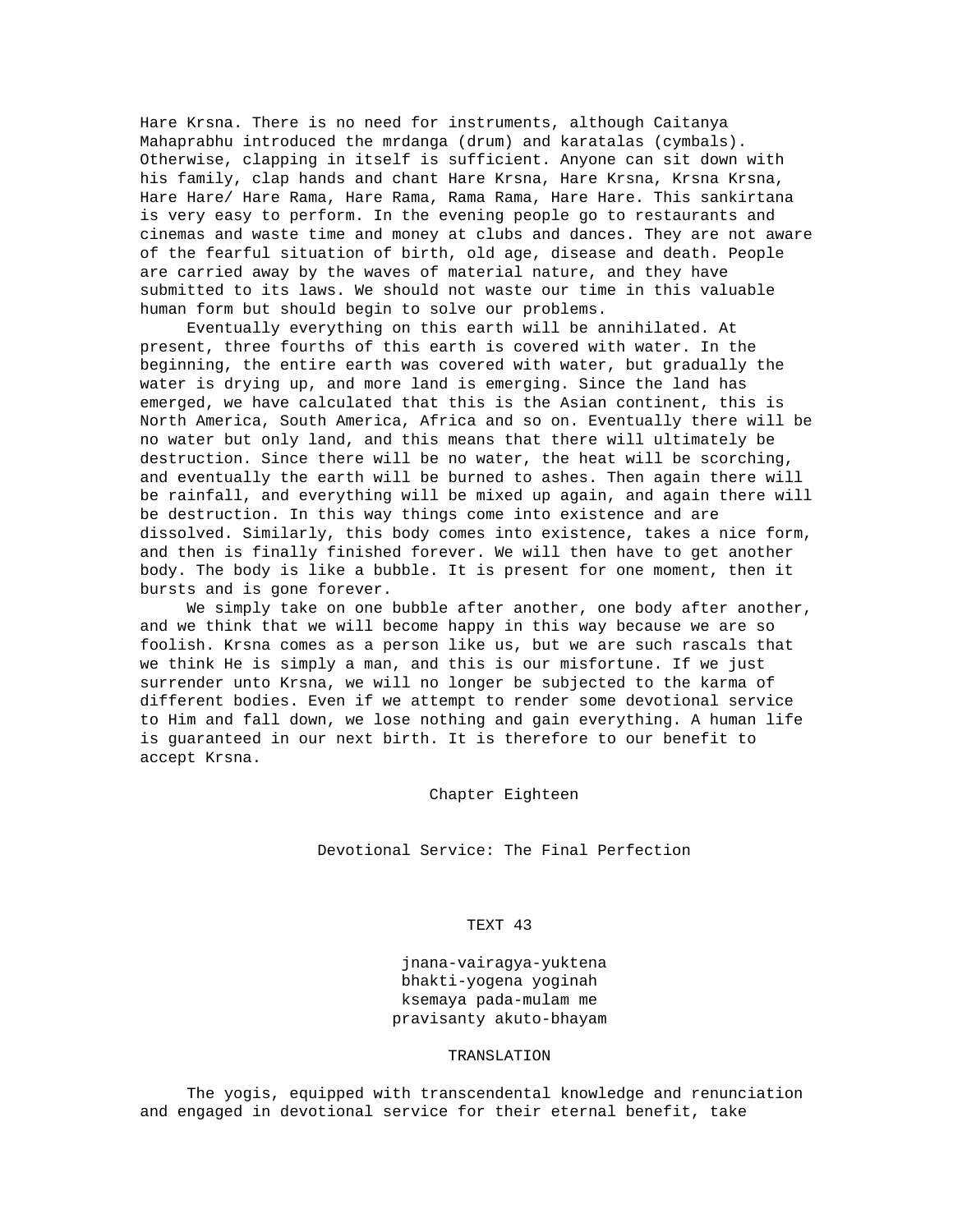Hare Krsna. There is no need for instruments, although Caitanya Mahaprabhu introduced the mrdanga (drum) and karatalas (cymbals). Otherwise, clapping in itself is sufficient. Anyone can sit down with his family, clap hands and chant Hare Krsna, Hare Krsna, Krsna Krsna, Hare Hare/ Hare Rama, Hare Rama, Rama Rama, Hare Hare. This sankirtana is very easy to perform. In the evening people go to restaurants and cinemas and waste time and money at clubs and dances. They are not aware of the fearful situation of birth, old age, disease and death. People are carried away by the waves of material nature, and they have submitted to its laws. We should not waste our time in this valuable human form but should begin to solve our problems.

 Eventually everything on this earth will be annihilated. At present, three fourths of this earth is covered with water. In the beginning, the entire earth was covered with water, but gradually the water is drying up, and more land is emerging. Since the land has emerged, we have calculated that this is the Asian continent, this is North America, South America, Africa and so on. Eventually there will be no water but only land, and this means that there will ultimately be destruction. Since there will be no water, the heat will be scorching, and eventually the earth will be burned to ashes. Then again there will be rainfall, and everything will be mixed up again, and again there will be destruction. In this way things come into existence and are dissolved. Similarly, this body comes into existence, takes a nice form, and then is finally finished forever. We will then have to get another body. The body is like a bubble. It is present for one moment, then it bursts and is gone forever.

 We simply take on one bubble after another, one body after another, and we think that we will become happy in this way because we are so foolish. Krsna comes as a person like us, but we are such rascals that we think He is simply a man, and this is our misfortune. If we just surrender unto Krsna, we will no longer be subjected to the karma of different bodies. Even if we attempt to render some devotional service to Him and fall down, we lose nothing and gain everything. A human life is guaranteed in our next birth. It is therefore to our benefit to accept Krsna.

Chapter Eighteen

Devotional Service: The Final Perfection

### TEXT 43

 jnana-vairagya-yuktena bhakti-yogena yoginah ksemaya pada-mulam me pravisanty akuto-bhayam

#### TRANSLATION

 The yogis, equipped with transcendental knowledge and renunciation and engaged in devotional service for their eternal benefit, take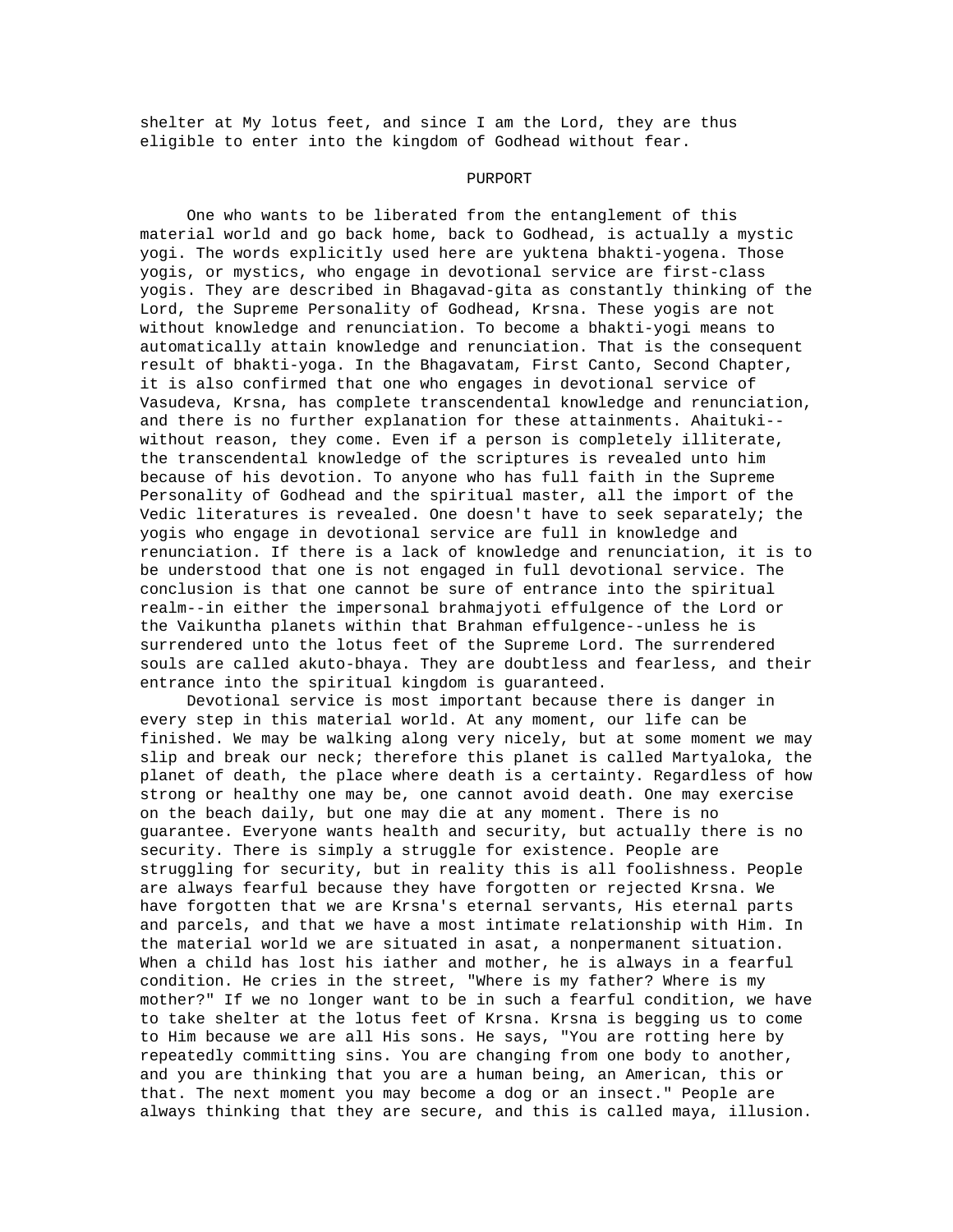shelter at My lotus feet, and since I am the Lord, they are thus eligible to enter into the kingdom of Godhead without fear.

#### PURPORT

 One who wants to be liberated from the entanglement of this material world and go back home, back to Godhead, is actually a mystic yogi. The words explicitly used here are yuktena bhakti-yogena. Those yogis, or mystics, who engage in devotional service are first-class yogis. They are described in Bhagavad-gita as constantly thinking of the Lord, the Supreme Personality of Godhead, Krsna. These yogis are not without knowledge and renunciation. To become a bhakti-yogi means to automatically attain knowledge and renunciation. That is the consequent result of bhakti-yoga. In the Bhagavatam, First Canto, Second Chapter, it is also confirmed that one who engages in devotional service of Vasudeva, Krsna, has complete transcendental knowledge and renunciation, and there is no further explanation for these attainments. Ahaituki- without reason, they come. Even if a person is completely illiterate, the transcendental knowledge of the scriptures is revealed unto him because of his devotion. To anyone who has full faith in the Supreme Personality of Godhead and the spiritual master, all the import of the Vedic literatures is revealed. One doesn't have to seek separately; the yogis who engage in devotional service are full in knowledge and renunciation. If there is a lack of knowledge and renunciation, it is to be understood that one is not engaged in full devotional service. The conclusion is that one cannot be sure of entrance into the spiritual realm--in either the impersonal brahmajyoti effulgence of the Lord or the Vaikuntha planets within that Brahman effulgence--unless he is surrendered unto the lotus feet of the Supreme Lord. The surrendered souls are called akuto-bhaya. They are doubtless and fearless, and their entrance into the spiritual kingdom is guaranteed.

 Devotional service is most important because there is danger in every step in this material world. At any moment, our life can be finished. We may be walking along very nicely, but at some moment we may slip and break our neck; therefore this planet is called Martyaloka, the planet of death, the place where death is a certainty. Regardless of how strong or healthy one may be, one cannot avoid death. One may exercise on the beach daily, but one may die at any moment. There is no guarantee. Everyone wants health and security, but actually there is no security. There is simply a struggle for existence. People are struggling for security, but in reality this is all foolishness. People are always fearful because they have forgotten or rejected Krsna. We have forgotten that we are Krsna's eternal servants, His eternal parts and parcels, and that we have a most intimate relationship with Him. In the material world we are situated in asat, a nonpermanent situation. When a child has lost his iather and mother, he is always in a fearful condition. He cries in the street, "Where is my father? Where is my mother?" If we no longer want to be in such a fearful condition, we have to take shelter at the lotus feet of Krsna. Krsna is begging us to come to Him because we are all His sons. He says, "You are rotting here by repeatedly committing sins. You are changing from one body to another, and you are thinking that you are a human being, an American, this or that. The next moment you may become a dog or an insect." People are always thinking that they are secure, and this is called maya, illusion.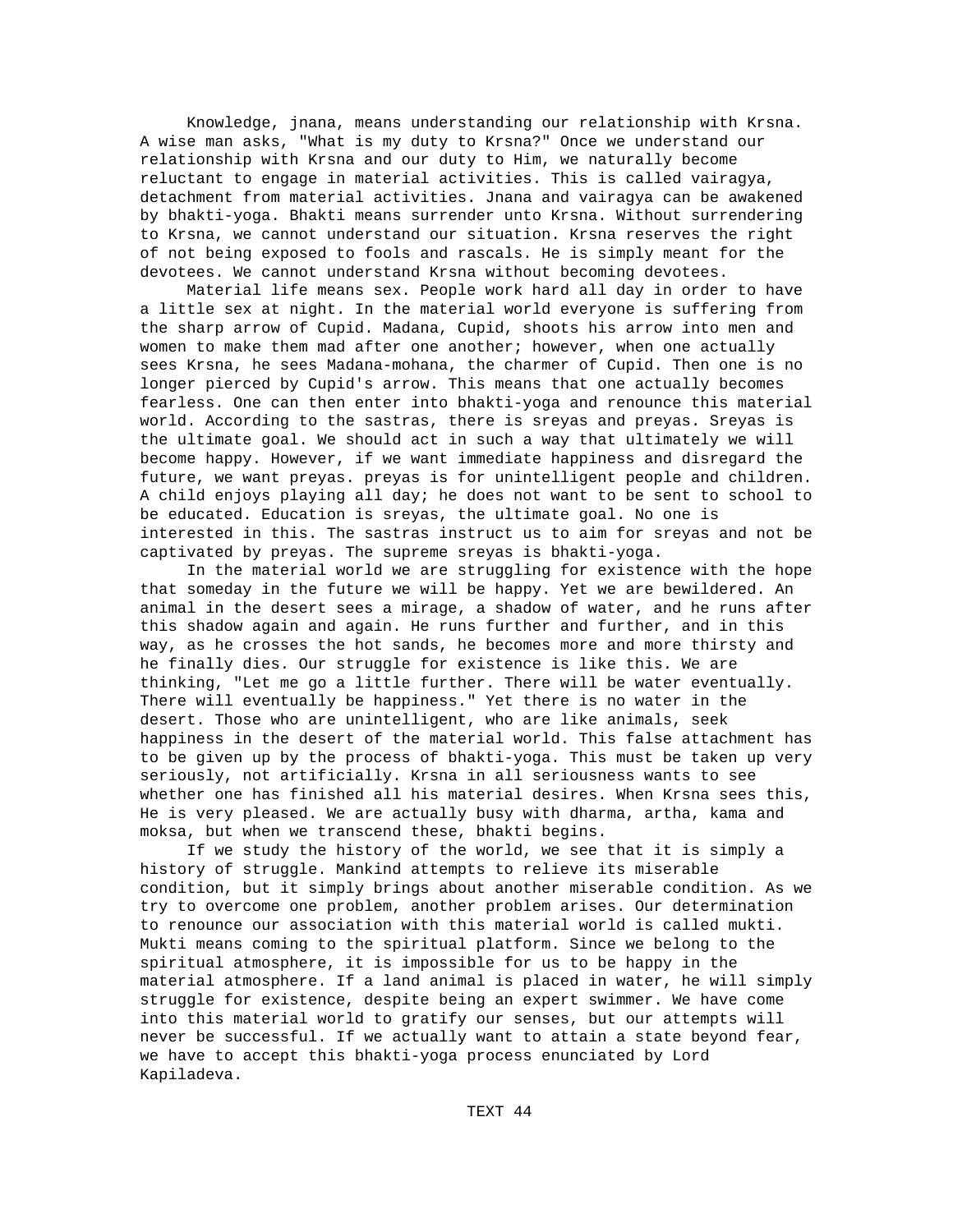Knowledge, jnana, means understanding our relationship with Krsna. A wise man asks, "What is my duty to Krsna?" Once we understand our relationship with Krsna and our duty to Him, we naturally become reluctant to engage in material activities. This is called vairagya, detachment from material activities. Jnana and vairagya can be awakened by bhakti-yoga. Bhakti means surrender unto Krsna. Without surrendering to Krsna, we cannot understand our situation. Krsna reserves the right of not being exposed to fools and rascals. He is simply meant for the devotees. We cannot understand Krsna without becoming devotees.

 Material life means sex. People work hard all day in order to have a little sex at night. In the material world everyone is suffering from the sharp arrow of Cupid. Madana, Cupid, shoots his arrow into men and women to make them mad after one another; however, when one actually sees Krsna, he sees Madana-mohana, the charmer of Cupid. Then one is no longer pierced by Cupid's arrow. This means that one actually becomes fearless. One can then enter into bhakti-yoga and renounce this material world. According to the sastras, there is sreyas and preyas. Sreyas is the ultimate goal. We should act in such a way that ultimately we will become happy. However, if we want immediate happiness and disregard the future, we want preyas. preyas is for unintelligent people and children. A child enjoys playing all day; he does not want to be sent to school to be educated. Education is sreyas, the ultimate goal. No one is interested in this. The sastras instruct us to aim for sreyas and not be captivated by preyas. The supreme sreyas is bhakti-yoga.

 In the material world we are struggling for existence with the hope that someday in the future we will be happy. Yet we are bewildered. An animal in the desert sees a mirage, a shadow of water, and he runs after this shadow again and again. He runs further and further, and in this way, as he crosses the hot sands, he becomes more and more thirsty and he finally dies. Our struggle for existence is like this. We are thinking, "Let me go a little further. There will be water eventually. There will eventually be happiness." Yet there is no water in the desert. Those who are unintelligent, who are like animals, seek happiness in the desert of the material world. This false attachment has to be given up by the process of bhakti-yoga. This must be taken up very seriously, not artificially. Krsna in all seriousness wants to see whether one has finished all his material desires. When Krsna sees this, He is very pleased. We are actually busy with dharma, artha, kama and moksa, but when we transcend these, bhakti begins.

 If we study the history of the world, we see that it is simply a history of struggle. Mankind attempts to relieve its miserable condition, but it simply brings about another miserable condition. As we try to overcome one problem, another problem arises. Our determination to renounce our association with this material world is called mukti. Mukti means coming to the spiritual platform. Since we belong to the spiritual atmosphere, it is impossible for us to be happy in the material atmosphere. If a land animal is placed in water, he will simply struggle for existence, despite being an expert swimmer. We have come into this material world to gratify our senses, but our attempts will never be successful. If we actually want to attain a state beyond fear, we have to accept this bhakti-yoga process enunciated by Lord Kapiladeva.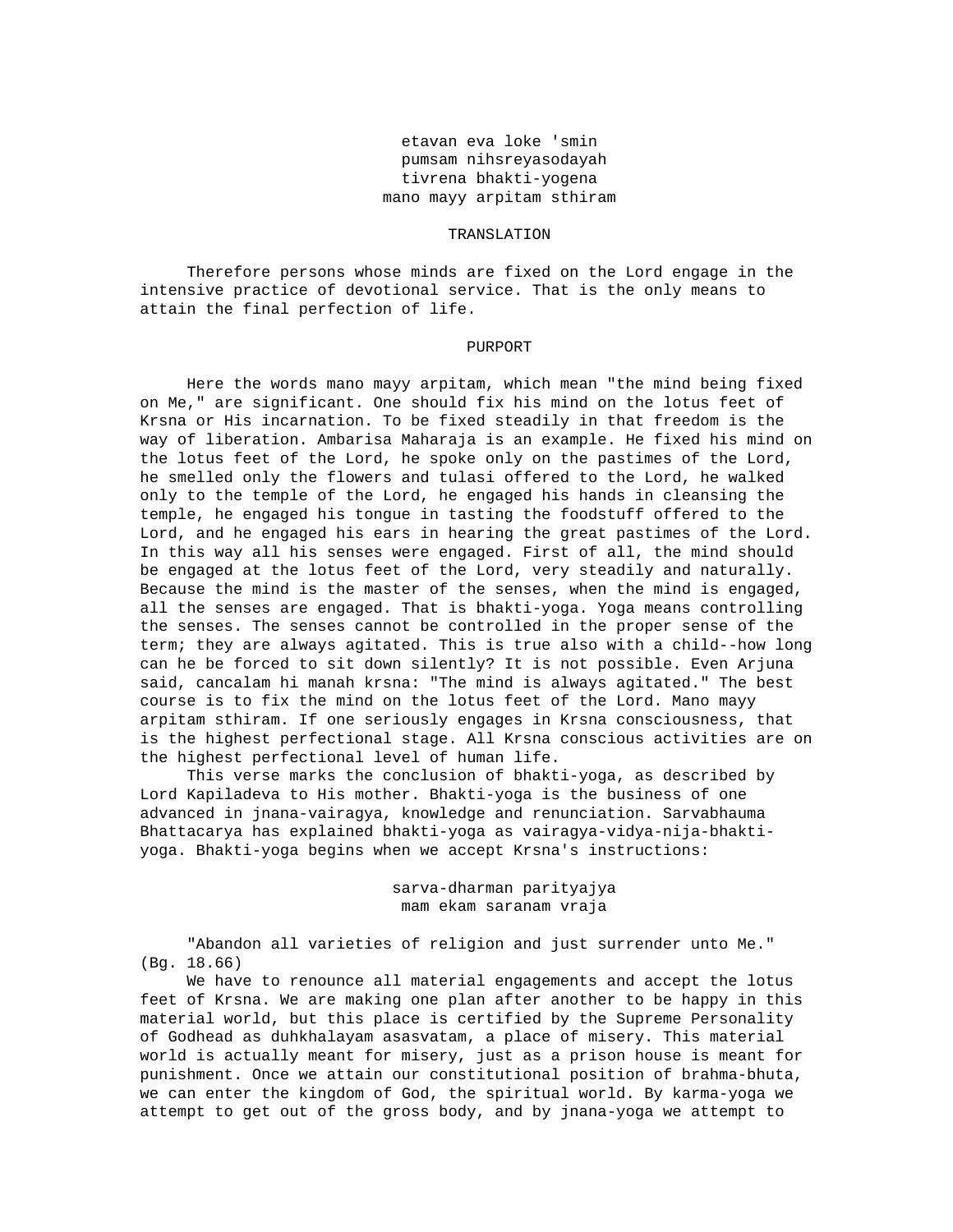# etavan eva loke 'smin pumsam nihsreyasodayah tivrena bhakti-yogena mano mayy arpitam sthiram

### TRANSLATION

 Therefore persons whose minds are fixed on the Lord engage in the intensive practice of devotional service. That is the only means to attain the final perfection of life.

### PURPORT

 Here the words mano mayy arpitam, which mean "the mind being fixed on Me," are significant. One should fix his mind on the lotus feet of Krsna or His incarnation. To be fixed steadily in that freedom is the way of liberation. Ambarisa Maharaja is an example. He fixed his mind on the lotus feet of the Lord, he spoke only on the pastimes of the Lord, he smelled only the flowers and tulasi offered to the Lord, he walked only to the temple of the Lord, he engaged his hands in cleansing the temple, he engaged his tongue in tasting the foodstuff offered to the Lord, and he engaged his ears in hearing the great pastimes of the Lord. In this way all his senses were engaged. First of all, the mind should be engaged at the lotus feet of the Lord, very steadily and naturally. Because the mind is the master of the senses, when the mind is engaged, all the senses are engaged. That is bhakti-yoga. Yoga means controlling the senses. The senses cannot be controlled in the proper sense of the term; they are always agitated. This is true also with a child--how long can he be forced to sit down silently? It is not possible. Even Arjuna said, cancalam hi manah krsna: "The mind is always agitated." The best course is to fix the mind on the lotus feet of the Lord. Mano mayy arpitam sthiram. If one seriously engages in Krsna consciousness, that is the highest perfectional stage. All Krsna conscious activities are on the highest perfectional level of human life.

 This verse marks the conclusion of bhakti-yoga, as described by Lord Kapiladeva to His mother. Bhakti-yoga is the business of one advanced in jnana-vairagya, knowledge and renunciation. Sarvabhauma Bhattacarya has explained bhakti-yoga as vairagya-vidya-nija-bhaktiyoga. Bhakti-yoga begins when we accept Krsna's instructions:

> sarva-dharman parityajya mam ekam saranam vraja

 "Abandon all varieties of religion and just surrender unto Me." (Bg. 18.66)

 We have to renounce all material engagements and accept the lotus feet of Krsna. We are making one plan after another to be happy in this material world, but this place is certified by the Supreme Personality of Godhead as duhkhalayam asasvatam, a place of misery. This material world is actually meant for misery, just as a prison house is meant for punishment. Once we attain our constitutional position of brahma-bhuta, we can enter the kingdom of God, the spiritual world. By karma-yoga we attempt to get out of the gross body, and by jnana-yoga we attempt to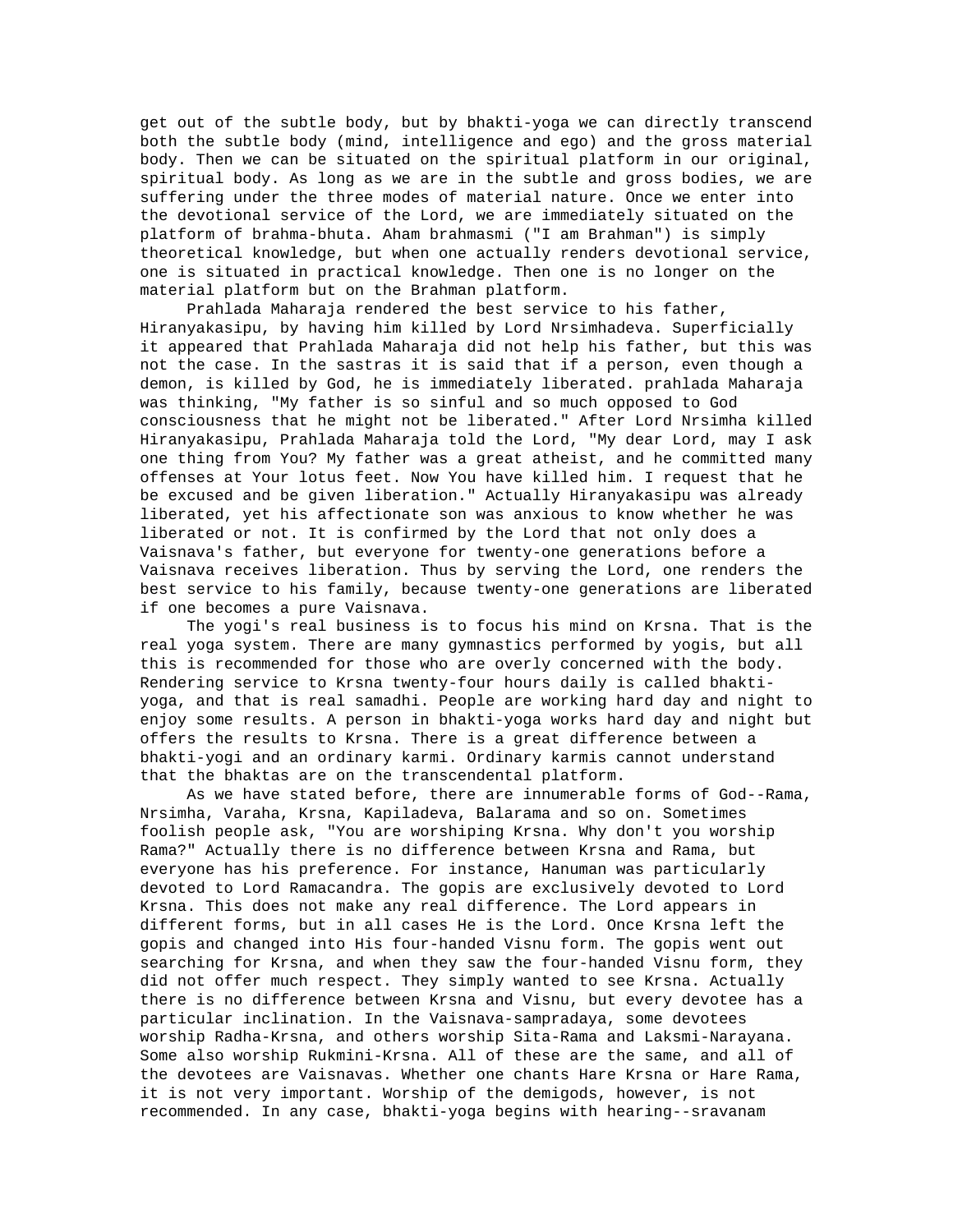get out of the subtle body, but by bhakti-yoga we can directly transcend both the subtle body (mind, intelligence and ego) and the gross material body. Then we can be situated on the spiritual platform in our original, spiritual body. As long as we are in the subtle and gross bodies, we are suffering under the three modes of material nature. Once we enter into the devotional service of the Lord, we are immediately situated on the platform of brahma-bhuta. Aham brahmasmi ("I am Brahman") is simply theoretical knowledge, but when one actually renders devotional service, one is situated in practical knowledge. Then one is no longer on the material platform but on the Brahman platform.

 Prahlada Maharaja rendered the best service to his father, Hiranyakasipu, by having him killed by Lord Nrsimhadeva. Superficially it appeared that Prahlada Maharaja did not help his father, but this was not the case. In the sastras it is said that if a person, even though a demon, is killed by God, he is immediately liberated. prahlada Maharaja was thinking, "My father is so sinful and so much opposed to God consciousness that he might not be liberated." After Lord Nrsimha killed Hiranyakasipu, Prahlada Maharaja told the Lord, "My dear Lord, may I ask one thing from You? My father was a great atheist, and he committed many offenses at Your lotus feet. Now You have killed him. I request that he be excused and be given liberation." Actually Hiranyakasipu was already liberated, yet his affectionate son was anxious to know whether he was liberated or not. It is confirmed by the Lord that not only does a Vaisnava's father, but everyone for twenty-one generations before a Vaisnava receives liberation. Thus by serving the Lord, one renders the best service to his family, because twenty-one generations are liberated if one becomes a pure Vaisnava.

 The yogi's real business is to focus his mind on Krsna. That is the real yoga system. There are many gymnastics performed by yogis, but all this is recommended for those who are overly concerned with the body. Rendering service to Krsna twenty-four hours daily is called bhaktiyoga, and that is real samadhi. People are working hard day and night to enjoy some results. A person in bhakti-yoga works hard day and night but offers the results to Krsna. There is a great difference between a bhakti-yogi and an ordinary karmi. Ordinary karmis cannot understand that the bhaktas are on the transcendental platform.

 As we have stated before, there are innumerable forms of God--Rama, Nrsimha, Varaha, Krsna, Kapiladeva, Balarama and so on. Sometimes foolish people ask, "You are worshiping Krsna. Why don't you worship Rama?" Actually there is no difference between Krsna and Rama, but everyone has his preference. For instance, Hanuman was particularly devoted to Lord Ramacandra. The gopis are exclusively devoted to Lord Krsna. This does not make any real difference. The Lord appears in different forms, but in all cases He is the Lord. Once Krsna left the gopis and changed into His four-handed Visnu form. The gopis went out searching for Krsna, and when they saw the four-handed Visnu form, they did not offer much respect. They simply wanted to see Krsna. Actually there is no difference between Krsna and Visnu, but every devotee has a particular inclination. In the Vaisnava-sampradaya, some devotees worship Radha-Krsna, and others worship Sita-Rama and Laksmi-Narayana. Some also worship Rukmini-Krsna. All of these are the same, and all of the devotees are Vaisnavas. Whether one chants Hare Krsna or Hare Rama, it is not very important. Worship of the demigods, however, is not recommended. In any case, bhakti-yoga begins with hearing--sravanam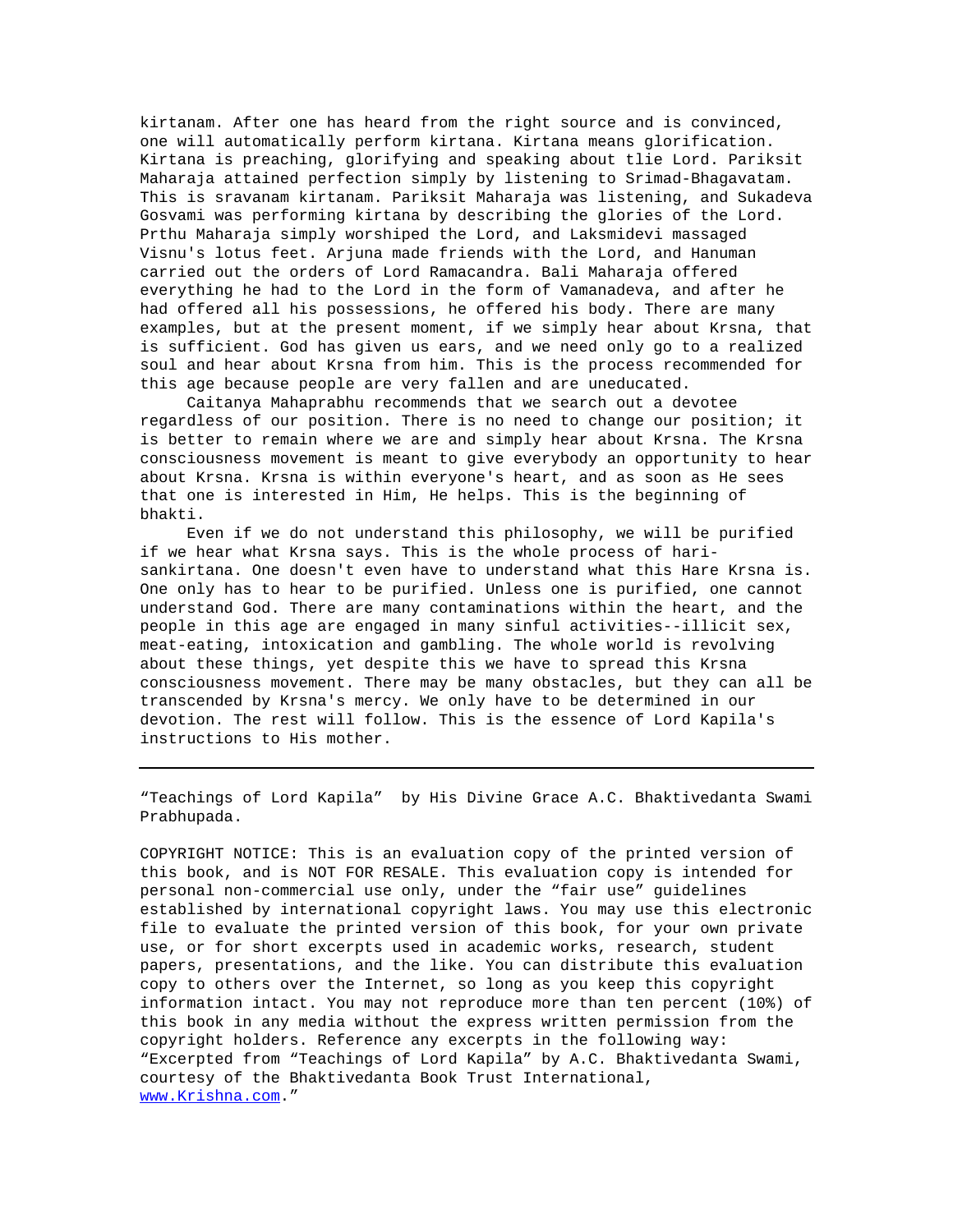kirtanam. After one has heard from the right source and is convinced, one will automatically perform kirtana. Kirtana means glorification. Kirtana is preaching, glorifying and speaking about tlie Lord. Pariksit Maharaja attained perfection simply by listening to Srimad-Bhagavatam. This is sravanam kirtanam. Pariksit Maharaja was listening, and Sukadeva Gosvami was performing kirtana by describing the glories of the Lord. Prthu Maharaja simply worshiped the Lord, and Laksmidevi massaged Visnu's lotus feet. Arjuna made friends with the Lord, and Hanuman carried out the orders of Lord Ramacandra. Bali Maharaja offered everything he had to the Lord in the form of Vamanadeva, and after he had offered all his possessions, he offered his body. There are many examples, but at the present moment, if we simply hear about Krsna, that is sufficient. God has given us ears, and we need only go to a realized soul and hear about Krsna from him. This is the process recommended for this age because people are very fallen and are uneducated.

 Caitanya Mahaprabhu recommends that we search out a devotee regardless of our position. There is no need to change our position; it is better to remain where we are and simply hear about Krsna. The Krsna consciousness movement is meant to give everybody an opportunity to hear about Krsna. Krsna is within everyone's heart, and as soon as He sees that one is interested in Him, He helps. This is the beginning of bhakti.

 Even if we do not understand this philosophy, we will be purified if we hear what Krsna says. This is the whole process of harisankirtana. One doesn't even have to understand what this Hare Krsna is. One only has to hear to be purified. Unless one is purified, one cannot understand God. There are many contaminations within the heart, and the people in this age are engaged in many sinful activities--illicit sex, meat-eating, intoxication and gambling. The whole world is revolving about these things, yet despite this we have to spread this Krsna consciousness movement. There may be many obstacles, but they can all be transcended by Krsna's mercy. We only have to be determined in our devotion. The rest will follow. This is the essence of Lord Kapila's instructions to His mother.

"Teachings of Lord Kapila" by His Divine Grace A.C. Bhaktivedanta Swami Prabhupada.

COPYRIGHT NOTICE: This is an evaluation copy of the printed version of this book, and is NOT FOR RESALE. This evaluation copy is intended for personal non-commercial use only, under the "fair use" guidelines established by international copyright laws. You may use this electronic file to evaluate the printed version of this book, for your own private use, or for short excerpts used in academic works, research, student papers, presentations, and the like. You can distribute this evaluation copy to others over the Internet, so long as you keep this copyright information intact. You may not reproduce more than ten percent (10%) of this book in any media without the express written permission from the copyright holders. Reference any excerpts in the following way: "Excerpted from "Teachings of Lord Kapila" by A.C. Bhaktivedanta Swami, courtesy of the Bhaktivedanta Book Trust International, www.Krishna.com ."